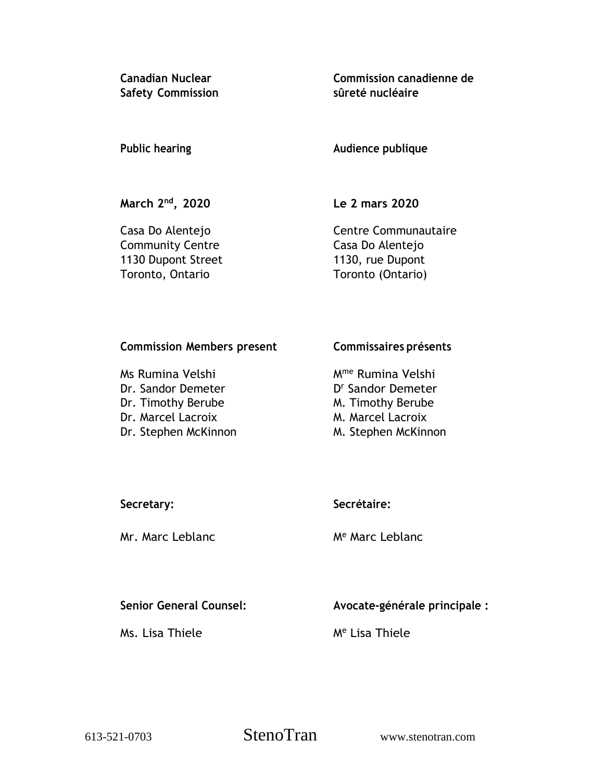**Safety Commission sûreté nucléaire**

**Canadian Nuclear Commission canadienne de**

**Public hearing Audience publique**

**March 2 nd**

**, 2020 Le 2 mars 2020**

Community Centre Casa Do Alentejo 1130 Dupont Street 1130, rue Dupont Toronto, Ontario Toronto (Ontario)

Casa Do Alentejo **Centre Communautaire** 

# **Commission Members present Commissaires présents**

Ms Rumina Velshi Mme Rumina Velshi Dr. Sandor Demeter Dr. Timothy Berube M. Timothy Berube Dr. Marcel Lacroix M. Marcel Lacroix Dr. Stephen McKinnon M. Stephen McKinnon

D<sup>r</sup> Sandor Demeter

# **Secretary: Secrétaire:**

Mr. Marc Leblanc Me Marc Leblanc

**Senior General Counsel: Avocate-générale principale :**

Ms. Lisa Thiele Me Lisa Thiele

613-521-0703 StenoTran www.stenotran.com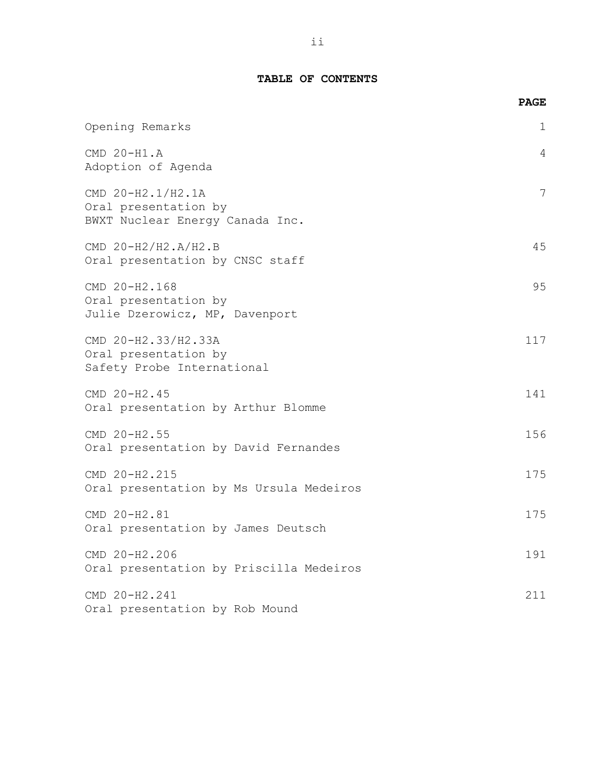|                                                                              | <b>PAGE</b> |
|------------------------------------------------------------------------------|-------------|
| Opening Remarks                                                              | 1           |
| CMD 20-H1.A<br>Adoption of Agenda                                            | 4           |
| CMD 20-H2.1/H2.1A<br>Oral presentation by<br>BWXT Nuclear Energy Canada Inc. | 7           |
| CMD 20-H2/H2.A/H2.B<br>Oral presentation by CNSC staff                       | 45          |
| CMD 20-H2.168<br>Oral presentation by<br>Julie Dzerowicz, MP, Davenport      | 95          |
| CMD 20-H2.33/H2.33A<br>Oral presentation by<br>Safety Probe International    | 117         |
| CMD 20-H2.45<br>Oral presentation by Arthur Blomme                           | 141         |
| CMD 20-H2.55<br>Oral presentation by David Fernandes                         | 156         |
| CMD 20-H2.215<br>Oral presentation by Ms Ursula Medeiros                     | 175         |
| CMD 20-H2.81<br>Oral presentation by James Deutsch                           | 175         |
| CMD 20-H2.206<br>Oral presentation by Priscilla Medeiros                     | 191         |
| CMD 20-H2.241<br>Oral presentation by Rob Mound                              | 211         |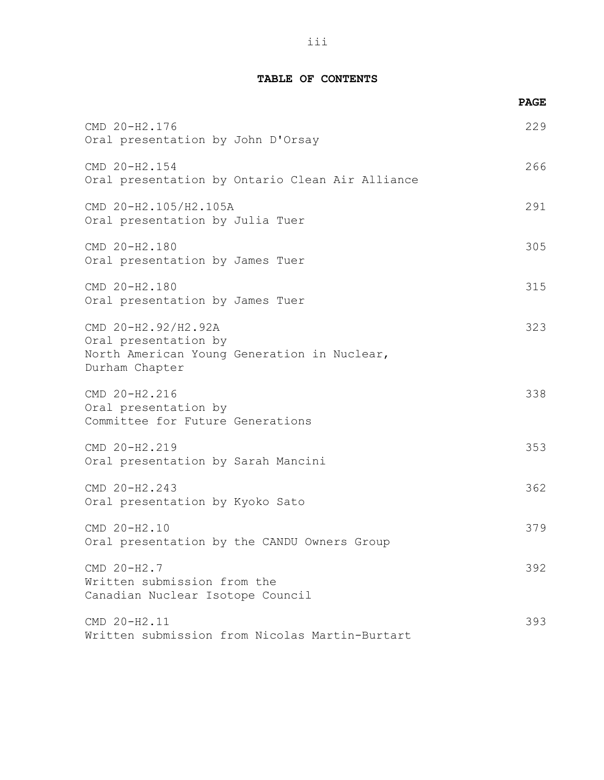|                                                                                                              | <b>PAGE</b> |
|--------------------------------------------------------------------------------------------------------------|-------------|
| CMD 20-H2.176<br>Oral presentation by John D'Orsay                                                           | 229         |
| CMD 20-H2.154<br>Oral presentation by Ontario Clean Air Alliance                                             | 266         |
| CMD 20-H2.105/H2.105A<br>Oral presentation by Julia Tuer                                                     | 291         |
| CMD 20-H2.180<br>Oral presentation by James Tuer                                                             | 305         |
| CMD 20-H2.180<br>Oral presentation by James Tuer                                                             | 315         |
| CMD 20-H2.92/H2.92A<br>Oral presentation by<br>North American Young Generation in Nuclear,<br>Durham Chapter | 323         |
| CMD 20-H2.216<br>Oral presentation by<br>Committee for Future Generations                                    | 338         |
| CMD 20-H2.219<br>Oral presentation by Sarah Mancini                                                          | 353         |
| CMD 20-H2.243<br>Oral presentation by Kyoko Sato                                                             | 362         |
| CMD 20-H2.10<br>Oral presentation by the CANDU Owners Group                                                  | 379         |
| CMD 20-H2.7<br>Written submission from the<br>Canadian Nuclear Isotope Council                               | 392         |
| CMD 20-H2.11<br>Written submission from Nicolas Martin-Burtart                                               | 393         |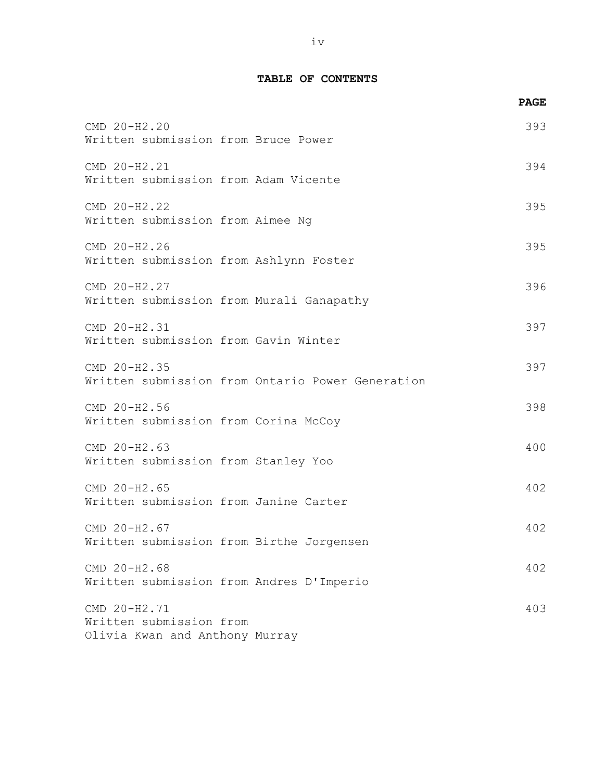|                                                                           | <b>PAGE</b> |
|---------------------------------------------------------------------------|-------------|
| CMD 20-H2.20<br>Written submission from Bruce Power                       | 393         |
| CMD 20-H2.21<br>Written submission from Adam Vicente                      | 394         |
| CMD 20-H2.22<br>Written submission from Aimee Ng                          | 395         |
| CMD 20-H2.26<br>Written submission from Ashlynn Foster                    | 395         |
| CMD 20-H2.27<br>Written submission from Murali Ganapathy                  | 396         |
| CMD 20-H2.31<br>Written submission from Gavin Winter                      | 397         |
| CMD 20-H2.35<br>Written submission from Ontario Power Generation          | 397         |
| CMD 20-H2.56<br>Written submission from Corina McCoy                      | 398         |
| CMD 20-H2.63<br>Written submission from Stanley Yoo                       | 400         |
| CMD 20-H2.65<br>Written submission from Janine Carter                     | 402         |
| CMD 20-H2.67<br>Written submission from Birthe Jorgensen                  | 402         |
| CMD 20-H2.68<br>Written submission from Andres D'Imperio                  | 402         |
| CMD 20-H2.71<br>Written submission from<br>Olivia Kwan and Anthony Murray | 403         |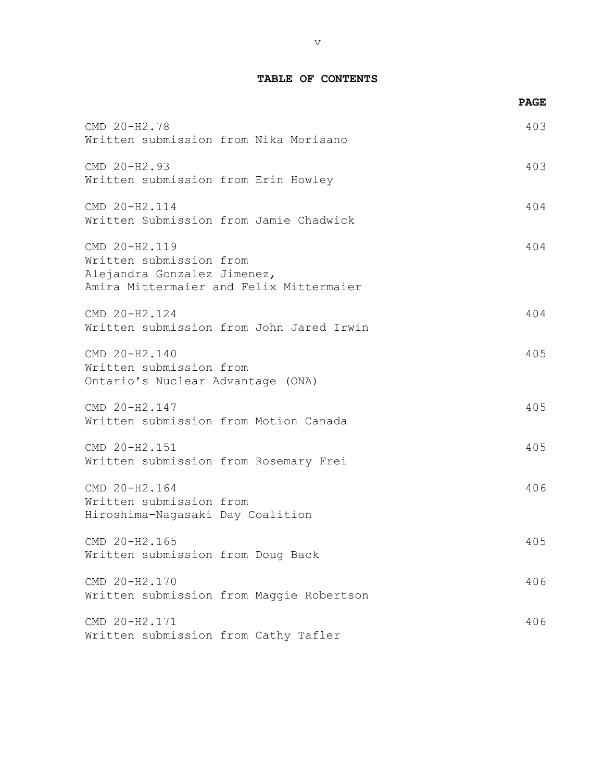|                                                                                                                    | <b>PAGE</b> |
|--------------------------------------------------------------------------------------------------------------------|-------------|
| CMD 20-H2.78<br>Written submission from Nika Morisano                                                              | 403         |
| CMD 20-H2.93<br>Written submission from Erin Howley                                                                | 403         |
| CMD 20-H2.114<br>Written Submission from Jamie Chadwick                                                            | 404         |
| CMD 20-H2.119<br>Written submission from<br>Alejandra Gonzalez Jimenez,<br>Amira Mittermaier and Felix Mittermaier | 404         |
| CMD 20-H2.124<br>Written submission from John Jared Irwin                                                          | 404         |
| CMD 20-H2.140<br>Written submission from<br>Ontario's Nuclear Advantage (ONA)                                      | 405         |
| CMD 20-H2.147<br>Written submission from Motion Canada                                                             | 405         |
| CMD 20-H2.151<br>Written submission from Rosemary Frei                                                             | 405         |
| CMD 20-H2.164<br>Written submission from<br>Hiroshima-Nagasaki Day Coalition                                       | 406         |
| CMD 20-H2.165<br>Written submission from Doug Back                                                                 | 405         |
| CMD 20-H2.170<br>Written submission from Maggie Robertson                                                          | 406         |
| CMD 20-H2.171<br>Written submission from Cathy Tafler                                                              | 406         |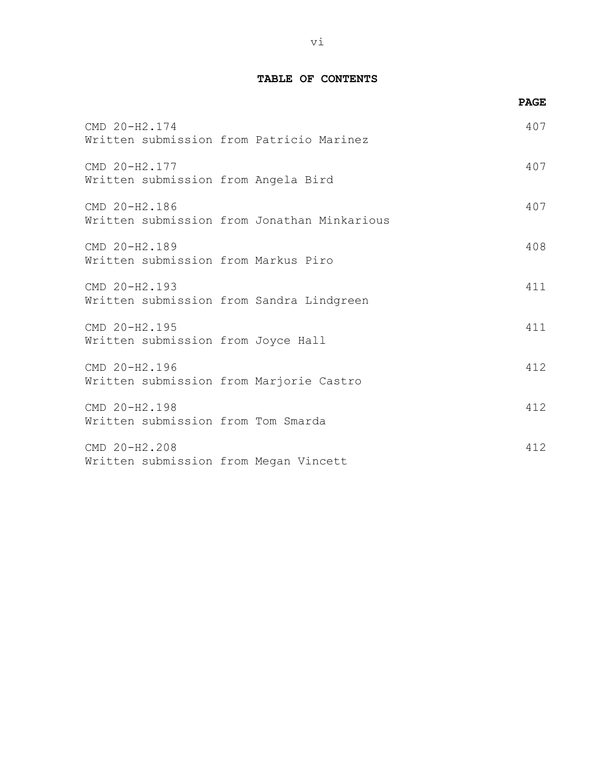|                                                      |                                             | <b>PAGE</b> |
|------------------------------------------------------|---------------------------------------------|-------------|
| CMD 20-H2.174                                        | Written submission from Patricio Marinez    | 407         |
| CMD 20-H2.177<br>Written submission from Angela Bird |                                             | 407         |
| CMD 20-H2.186                                        | Written submission from Jonathan Minkarious | 407         |
| CMD 20-H2.189<br>Written submission from Markus Piro |                                             | 408         |
| CMD 20-H2.193                                        | Written submission from Sandra Lindgreen    | 411         |
| CMD 20-H2.195<br>Written submission from Joyce Hall  |                                             | 411         |
| CMD 20-H2.196                                        | Written submission from Marjorie Castro     | 412         |
| CMD 20-H2.198<br>Written submission from Tom Smarda  |                                             | 412         |
| CMD 20-H2.208                                        | Written submission from Megan Vincett       | 412         |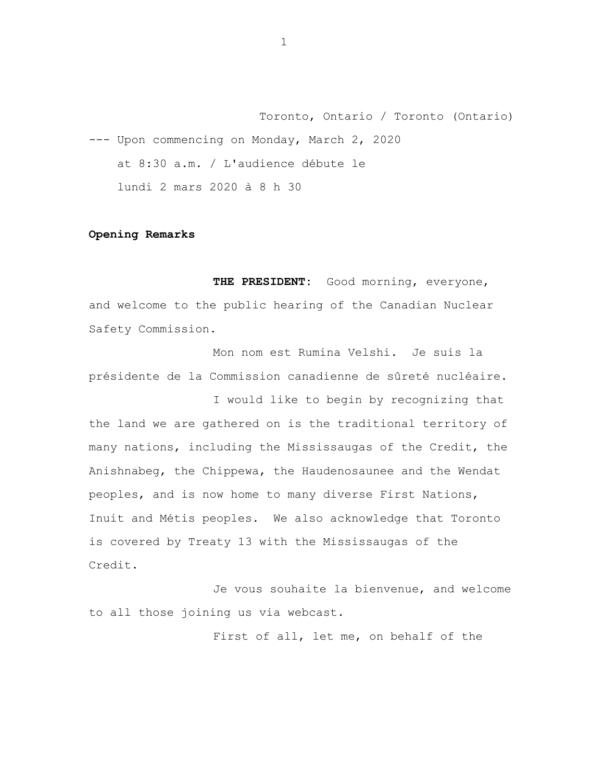Toronto, Ontario / Toronto (Ontario) --- Upon commencing on Monday, March 2, 2020 at 8:30 a.m. / L'audience débute le lundi 2 mars 2020 à 8 h 30

### **Opening Remarks**

**THE PRESIDENT:** Good morning, everyone, and welcome to the public hearing of the Canadian Nuclear Safety Commission.

Mon nom est Rumina Velshi. Je suis la présidente de la Commission canadienne de sûreté nucléaire.

I would like to begin by recognizing that the land we are gathered on is the traditional territory of many nations, including the Mississaugas of the Credit, the Anishnabeg, the Chippewa, the Haudenosaunee and the Wendat peoples, and is now home to many diverse First Nations, Inuit and Métis peoples. We also acknowledge that Toronto is covered by Treaty 13 with the Mississaugas of the Credit.

Je vous souhaite la bienvenue, and welcome to all those joining us via webcast.

First of all, let me, on behalf of the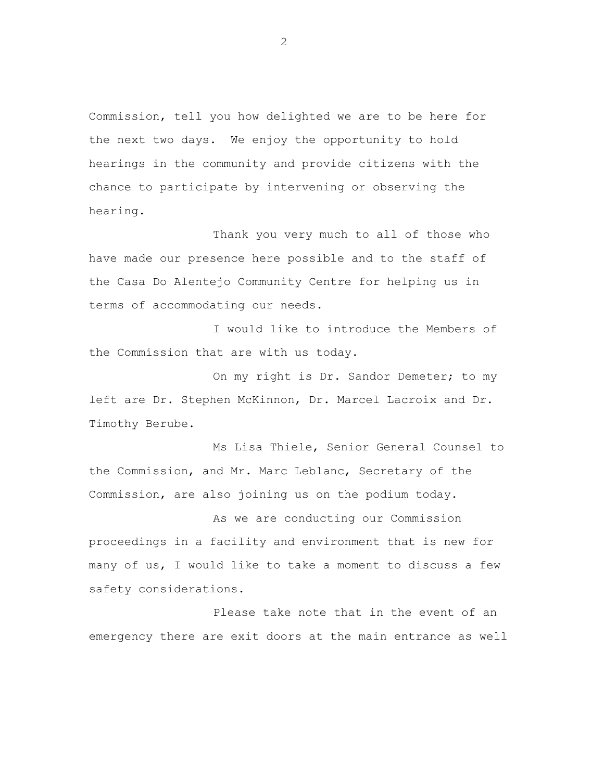Commission, tell you how delighted we are to be here for the next two days. We enjoy the opportunity to hold hearings in the community and provide citizens with the chance to participate by intervening or observing the hearing.

Thank you very much to all of those who have made our presence here possible and to the staff of the Casa Do Alentejo Community Centre for helping us in terms of accommodating our needs.

I would like to introduce the Members of the Commission that are with us today.

On my right is Dr. Sandor Demeter; to my left are Dr. Stephen McKinnon, Dr. Marcel Lacroix and Dr. Timothy Berube.

Ms Lisa Thiele, Senior General Counsel to the Commission, and Mr. Marc Leblanc, Secretary of the Commission, are also joining us on the podium today.

As we are conducting our Commission proceedings in a facility and environment that is new for many of us, I would like to take a moment to discuss a few safety considerations.

Please take note that in the event of an emergency there are exit doors at the main entrance as well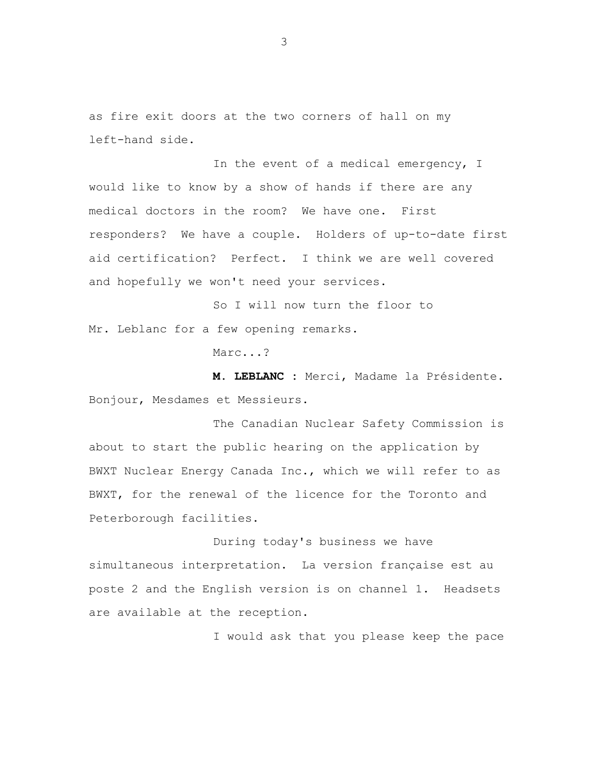as fire exit doors at the two corners of hall on my left-hand side.

In the event of a medical emergency, I would like to know by a show of hands if there are any medical doctors in the room? We have one. First responders? We have a couple. Holders of up-to-date first aid certification? Perfect. I think we are well covered and hopefully we won't need your services.

So I will now turn the floor to Mr. Leblanc for a few opening remarks.

Marc...?

**M. LEBLANC :** Merci, Madame la Présidente. Bonjour, Mesdames et Messieurs.

The Canadian Nuclear Safety Commission is about to start the public hearing on the application by BWXT Nuclear Energy Canada Inc., which we will refer to as BWXT, for the renewal of the licence for the Toronto and Peterborough facilities.

During today's business we have simultaneous interpretation. La version française est au poste 2 and the English version is on channel 1. Headsets are available at the reception.

I would ask that you please keep the pace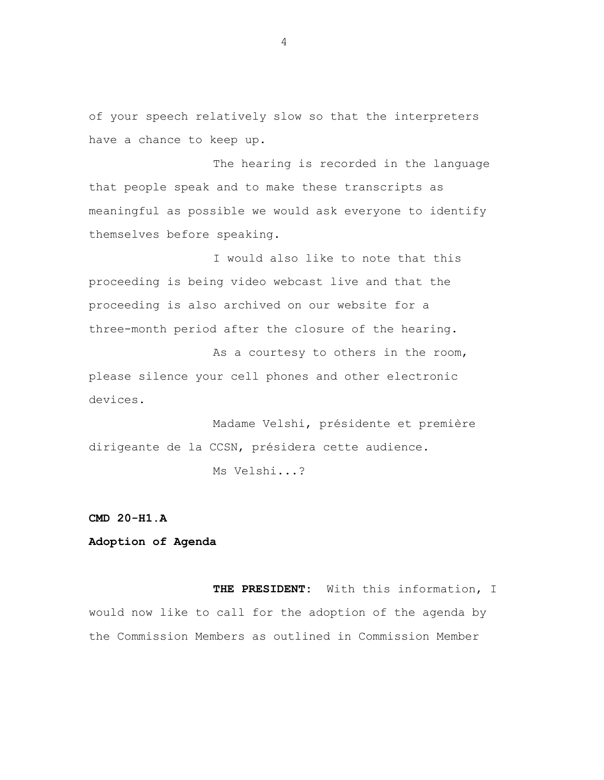of your speech relatively slow so that the interpreters have a chance to keep up.

The hearing is recorded in the language that people speak and to make these transcripts as meaningful as possible we would ask everyone to identify themselves before speaking.

I would also like to note that this proceeding is being video webcast live and that the proceeding is also archived on our website for a three-month period after the closure of the hearing.

As a courtesy to others in the room, please silence your cell phones and other electronic devices.

Madame Velshi, présidente et première dirigeante de la CCSN, présidera cette audience.

Ms Velshi...?

### **CMD 20-H1.A**

# **Adoption of Agenda**

**THE PRESIDENT:** With this information, I would now like to call for the adoption of the agenda by the Commission Members as outlined in Commission Member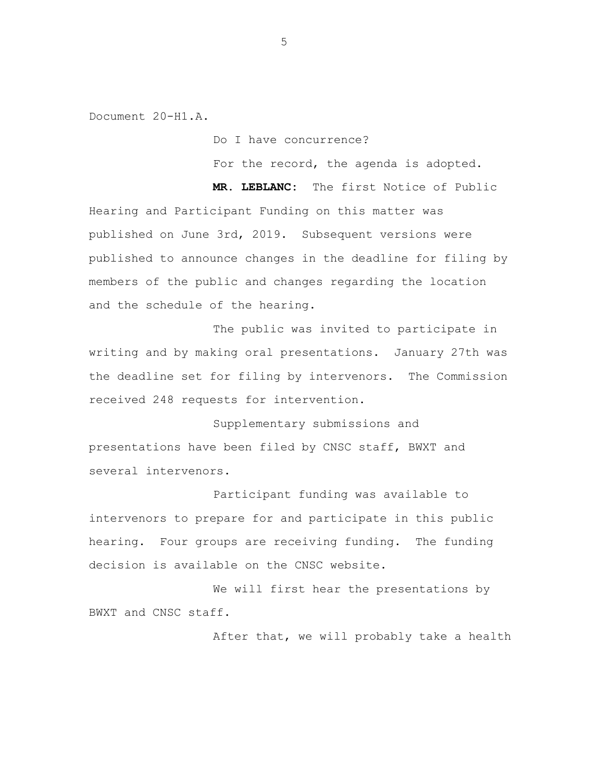Document 20-H1.A.

Do I have concurrence?

For the record, the agenda is adopted.

**MR. LEBLANC:** The first Notice of Public Hearing and Participant Funding on this matter was published on June 3rd, 2019. Subsequent versions were published to announce changes in the deadline for filing by members of the public and changes regarding the location and the schedule of the hearing.

The public was invited to participate in writing and by making oral presentations. January 27th was the deadline set for filing by intervenors. The Commission received 248 requests for intervention.

Supplementary submissions and presentations have been filed by CNSC staff, BWXT and several intervenors.

Participant funding was available to intervenors to prepare for and participate in this public hearing. Four groups are receiving funding. The funding decision is available on the CNSC website.

We will first hear the presentations by BWXT and CNSC staff.

After that, we will probably take a health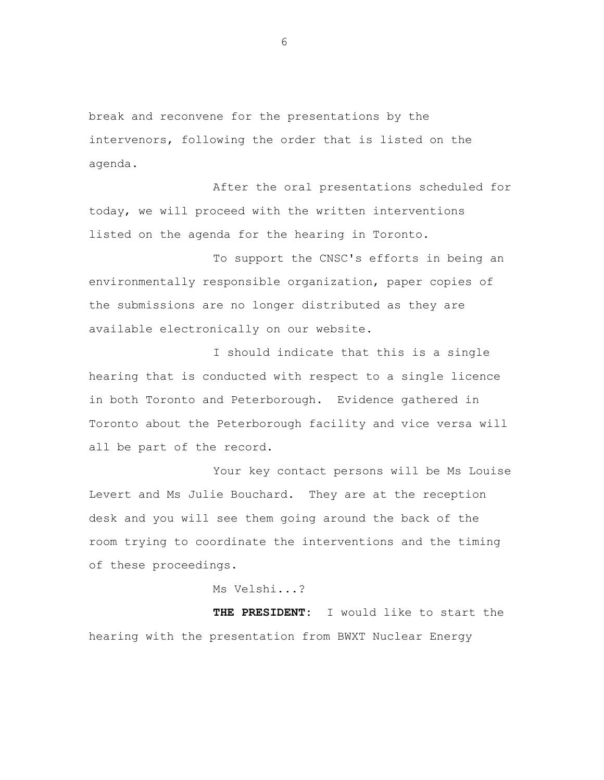break and reconvene for the presentations by the intervenors, following the order that is listed on the agenda.

After the oral presentations scheduled for today, we will proceed with the written interventions listed on the agenda for the hearing in Toronto.

To support the CNSC's efforts in being an environmentally responsible organization, paper copies of the submissions are no longer distributed as they are available electronically on our website.

I should indicate that this is a single hearing that is conducted with respect to a single licence in both Toronto and Peterborough. Evidence gathered in Toronto about the Peterborough facility and vice versa will all be part of the record.

Your key contact persons will be Ms Louise Levert and Ms Julie Bouchard. They are at the reception desk and you will see them going around the back of the room trying to coordinate the interventions and the timing of these proceedings.

Ms Velshi...?

**THE PRESIDENT:** I would like to start the hearing with the presentation from BWXT Nuclear Energy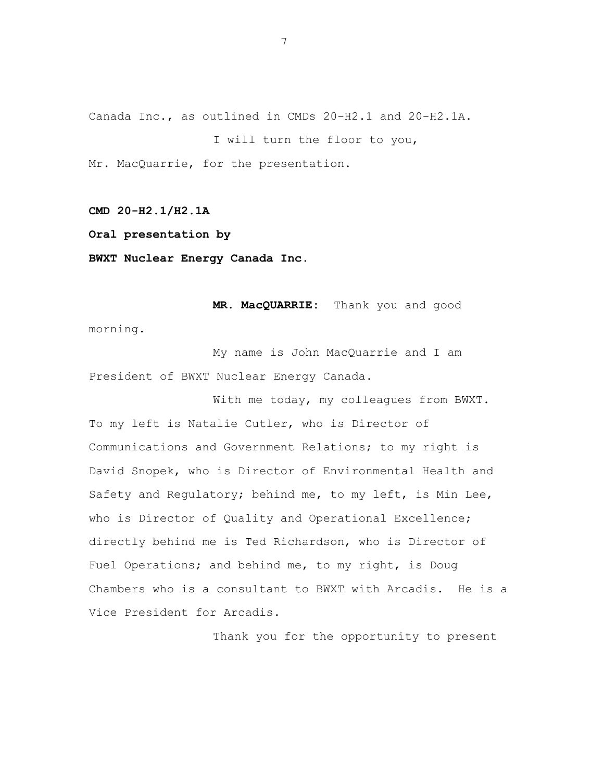Canada Inc., as outlined in CMDs 20-H2.1 and 20-H2.1A.

I will turn the floor to you,

Mr. MacQuarrie, for the presentation.

**CMD 20-H2.1/H2.1A**

**Oral presentation by**

**BWXT Nuclear Energy Canada Inc.**

**MR. MacQUARRIE:** Thank you and good morning.

My name is John MacQuarrie and I am President of BWXT Nuclear Energy Canada.

With me today, my colleagues from BWXT. To my left is Natalie Cutler, who is Director of Communications and Government Relations; to my right is David Snopek, who is Director of Environmental Health and Safety and Regulatory; behind me, to my left, is Min Lee, who is Director of Quality and Operational Excellence; directly behind me is Ted Richardson, who is Director of Fuel Operations; and behind me, to my right, is Doug Chambers who is a consultant to BWXT with Arcadis. He is a Vice President for Arcadis.

Thank you for the opportunity to present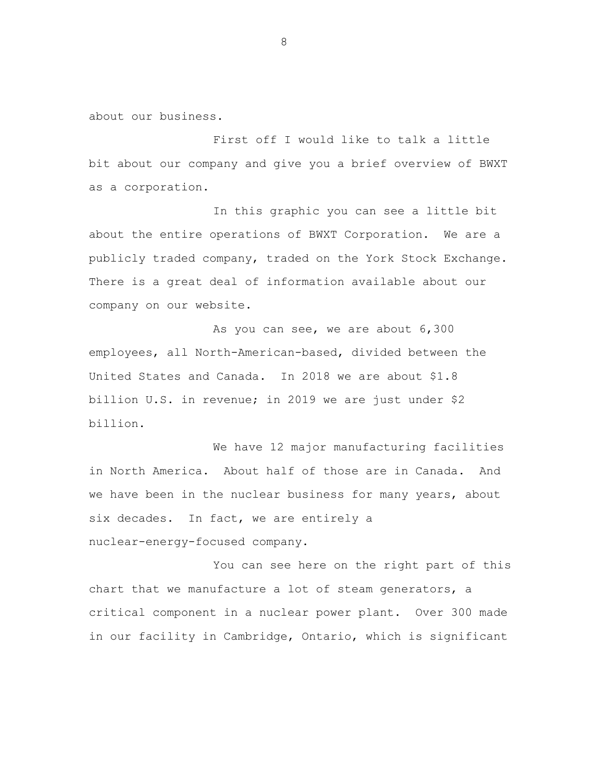about our business.

First off I would like to talk a little bit about our company and give you a brief overview of BWXT as a corporation.

In this graphic you can see a little bit about the entire operations of BWXT Corporation. We are a publicly traded company, traded on the York Stock Exchange. There is a great deal of information available about our company on our website.

As you can see, we are about 6,300 employees, all North-American-based, divided between the United States and Canada. In 2018 we are about \$1.8 billion U.S. in revenue; in 2019 we are just under \$2 billion.

We have 12 major manufacturing facilities in North America. About half of those are in Canada. And we have been in the nuclear business for many years, about six decades. In fact, we are entirely a nuclear-energy-focused company.

You can see here on the right part of this chart that we manufacture a lot of steam generators, a critical component in a nuclear power plant. Over 300 made in our facility in Cambridge, Ontario, which is significant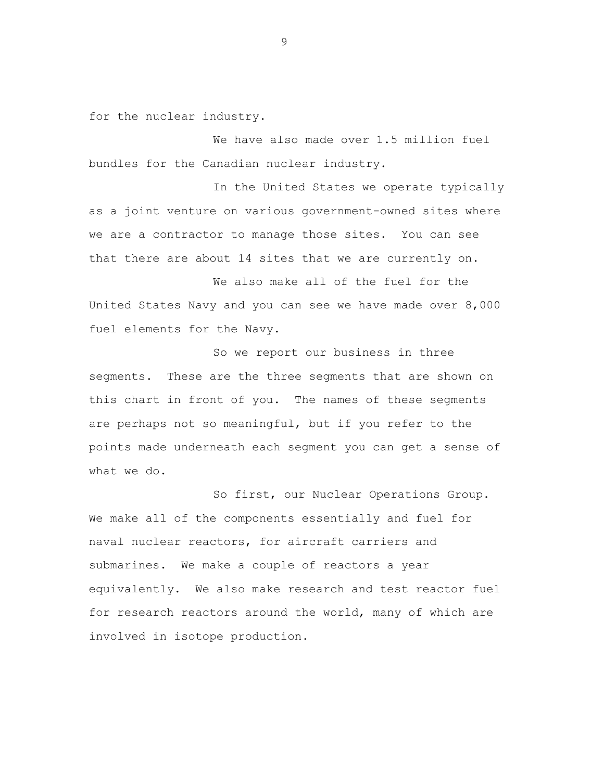for the nuclear industry.

We have also made over 1.5 million fuel bundles for the Canadian nuclear industry.

In the United States we operate typically as a joint venture on various government-owned sites where we are a contractor to manage those sites. You can see that there are about 14 sites that we are currently on.

We also make all of the fuel for the United States Navy and you can see we have made over 8,000 fuel elements for the Navy.

So we report our business in three segments. These are the three segments that are shown on this chart in front of you. The names of these segments are perhaps not so meaningful, but if you refer to the points made underneath each segment you can get a sense of what we do.

So first, our Nuclear Operations Group. We make all of the components essentially and fuel for naval nuclear reactors, for aircraft carriers and submarines. We make a couple of reactors a year equivalently. We also make research and test reactor fuel for research reactors around the world, many of which are involved in isotope production.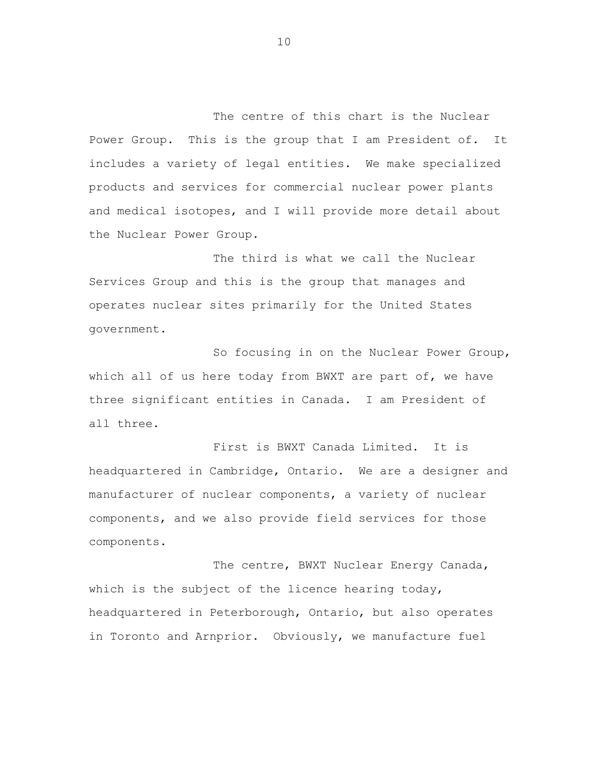The centre of this chart is the Nuclear Power Group. This is the group that I am President of. It includes a variety of legal entities. We make specialized products and services for commercial nuclear power plants and medical isotopes, and I will provide more detail about the Nuclear Power Group.

The third is what we call the Nuclear Services Group and this is the group that manages and operates nuclear sites primarily for the United States government.

So focusing in on the Nuclear Power Group, which all of us here today from BWXT are part of, we have three significant entities in Canada. I am President of all three.

First is BWXT Canada Limited. It is headquartered in Cambridge, Ontario. We are a designer and manufacturer of nuclear components, a variety of nuclear components, and we also provide field services for those components.

The centre, BWXT Nuclear Energy Canada, which is the subject of the licence hearing today, headquartered in Peterborough, Ontario, but also operates in Toronto and Arnprior. Obviously, we manufacture fuel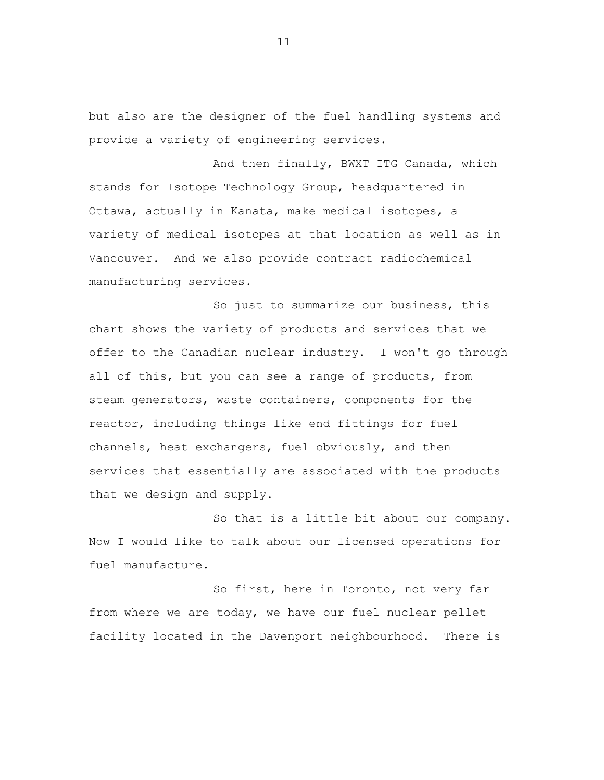but also are the designer of the fuel handling systems and provide a variety of engineering services.

And then finally, BWXT ITG Canada, which stands for Isotope Technology Group, headquartered in Ottawa, actually in Kanata, make medical isotopes, a variety of medical isotopes at that location as well as in Vancouver. And we also provide contract radiochemical manufacturing services.

So just to summarize our business, this chart shows the variety of products and services that we offer to the Canadian nuclear industry. I won't go through all of this, but you can see a range of products, from steam generators, waste containers, components for the reactor, including things like end fittings for fuel channels, heat exchangers, fuel obviously, and then services that essentially are associated with the products that we design and supply.

So that is a little bit about our company. Now I would like to talk about our licensed operations for fuel manufacture.

So first, here in Toronto, not very far from where we are today, we have our fuel nuclear pellet facility located in the Davenport neighbourhood. There is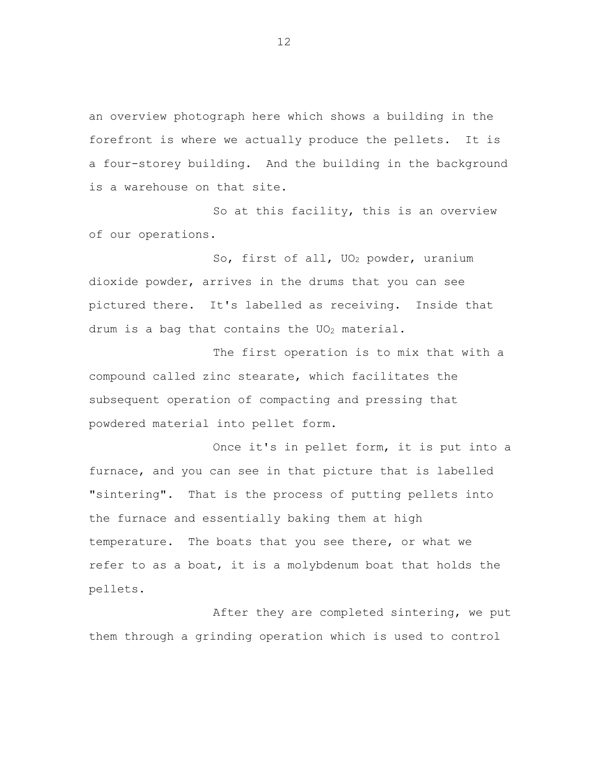an overview photograph here which shows a building in the forefront is where we actually produce the pellets. It is a four-storey building. And the building in the background is a warehouse on that site.

So at this facility, this is an overview of our operations.

So, first of all, UO<sup>2</sup> powder, uranium dioxide powder, arrives in the drums that you can see pictured there. It's labelled as receiving. Inside that drum is a bag that contains the  $UO_2$  material.

The first operation is to mix that with a compound called zinc stearate, which facilitates the subsequent operation of compacting and pressing that powdered material into pellet form.

Once it's in pellet form, it is put into a furnace, and you can see in that picture that is labelled "sintering". That is the process of putting pellets into the furnace and essentially baking them at high temperature. The boats that you see there, or what we refer to as a boat, it is a molybdenum boat that holds the pellets.

After they are completed sintering, we put them through a grinding operation which is used to control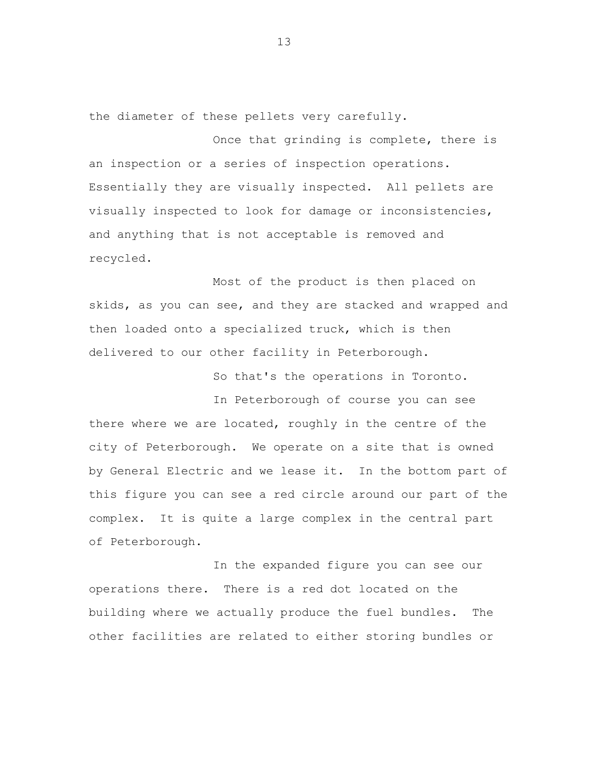the diameter of these pellets very carefully.

Once that grinding is complete, there is an inspection or a series of inspection operations. Essentially they are visually inspected. All pellets are visually inspected to look for damage or inconsistencies, and anything that is not acceptable is removed and recycled.

Most of the product is then placed on skids, as you can see, and they are stacked and wrapped and then loaded onto a specialized truck, which is then delivered to our other facility in Peterborough.

So that's the operations in Toronto.

In Peterborough of course you can see there where we are located, roughly in the centre of the city of Peterborough. We operate on a site that is owned by General Electric and we lease it. In the bottom part of this figure you can see a red circle around our part of the complex. It is quite a large complex in the central part of Peterborough.

In the expanded figure you can see our operations there. There is a red dot located on the building where we actually produce the fuel bundles. The other facilities are related to either storing bundles or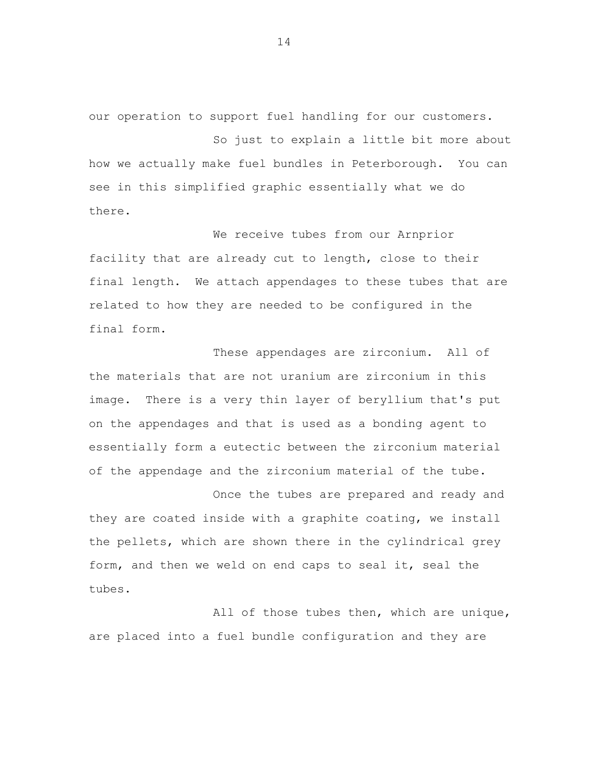our operation to support fuel handling for our customers.

So just to explain a little bit more about how we actually make fuel bundles in Peterborough. You can see in this simplified graphic essentially what we do there.

We receive tubes from our Arnprior facility that are already cut to length, close to their final length. We attach appendages to these tubes that are related to how they are needed to be configured in the final form.

These appendages are zirconium. All of the materials that are not uranium are zirconium in this image. There is a very thin layer of beryllium that's put on the appendages and that is used as a bonding agent to essentially form a eutectic between the zirconium material of the appendage and the zirconium material of the tube.

Once the tubes are prepared and ready and they are coated inside with a graphite coating, we install the pellets, which are shown there in the cylindrical grey form, and then we weld on end caps to seal it, seal the tubes.

All of those tubes then, which are unique, are placed into a fuel bundle configuration and they are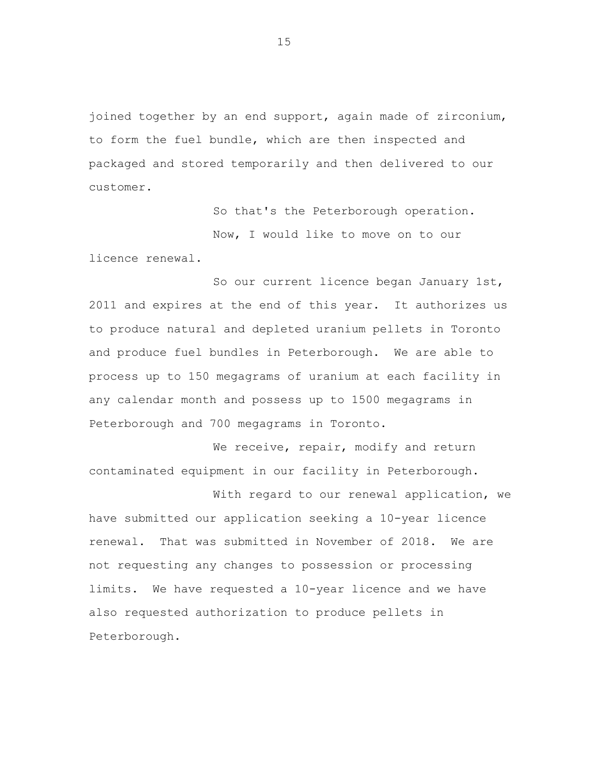joined together by an end support, again made of zirconium, to form the fuel bundle, which are then inspected and packaged and stored temporarily and then delivered to our customer.

> So that's the Peterborough operation. Now, I would like to move on to our

licence renewal.

So our current licence began January 1st, 2011 and expires at the end of this year. It authorizes us to produce natural and depleted uranium pellets in Toronto and produce fuel bundles in Peterborough. We are able to process up to 150 megagrams of uranium at each facility in any calendar month and possess up to 1500 megagrams in Peterborough and 700 megagrams in Toronto.

We receive, repair, modify and return contaminated equipment in our facility in Peterborough.

With regard to our renewal application, we have submitted our application seeking a 10-year licence renewal. That was submitted in November of 2018. We are not requesting any changes to possession or processing limits. We have requested a 10-year licence and we have also requested authorization to produce pellets in Peterborough.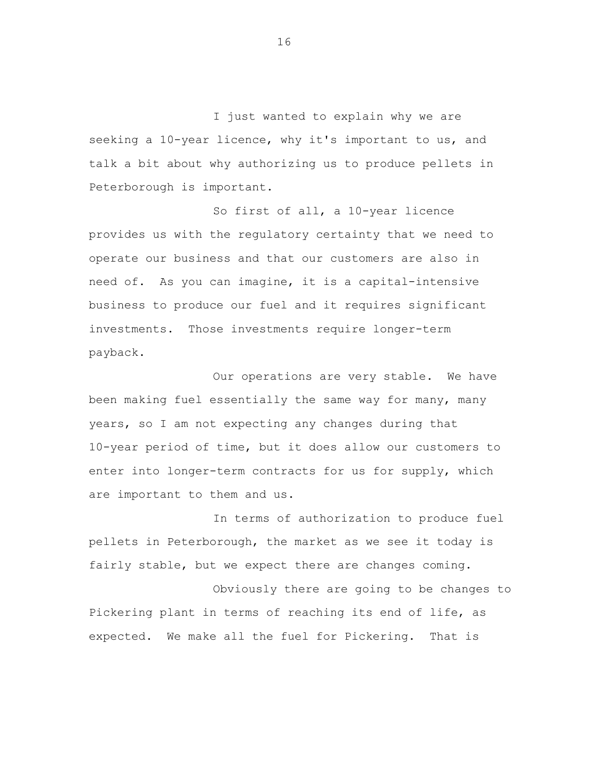I just wanted to explain why we are seeking a 10-year licence, why it's important to us, and talk a bit about why authorizing us to produce pellets in Peterborough is important.

So first of all, a 10-year licence provides us with the regulatory certainty that we need to operate our business and that our customers are also in need of. As you can imagine, it is a capital-intensive business to produce our fuel and it requires significant investments. Those investments require longer-term payback.

Our operations are very stable. We have been making fuel essentially the same way for many, many years, so I am not expecting any changes during that 10-year period of time, but it does allow our customers to enter into longer-term contracts for us for supply, which are important to them and us.

In terms of authorization to produce fuel pellets in Peterborough, the market as we see it today is fairly stable, but we expect there are changes coming.

Obviously there are going to be changes to Pickering plant in terms of reaching its end of life, as expected. We make all the fuel for Pickering. That is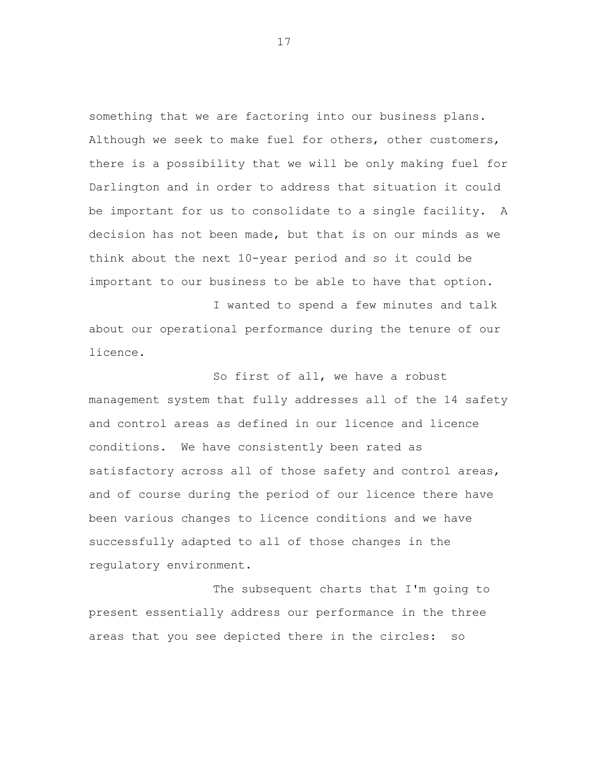something that we are factoring into our business plans. Although we seek to make fuel for others, other customers, there is a possibility that we will be only making fuel for Darlington and in order to address that situation it could be important for us to consolidate to a single facility. A decision has not been made, but that is on our minds as we think about the next 10-year period and so it could be important to our business to be able to have that option.

I wanted to spend a few minutes and talk about our operational performance during the tenure of our licence.

So first of all, we have a robust management system that fully addresses all of the 14 safety and control areas as defined in our licence and licence conditions. We have consistently been rated as satisfactory across all of those safety and control areas, and of course during the period of our licence there have been various changes to licence conditions and we have successfully adapted to all of those changes in the regulatory environment.

The subsequent charts that I'm going to present essentially address our performance in the three areas that you see depicted there in the circles: so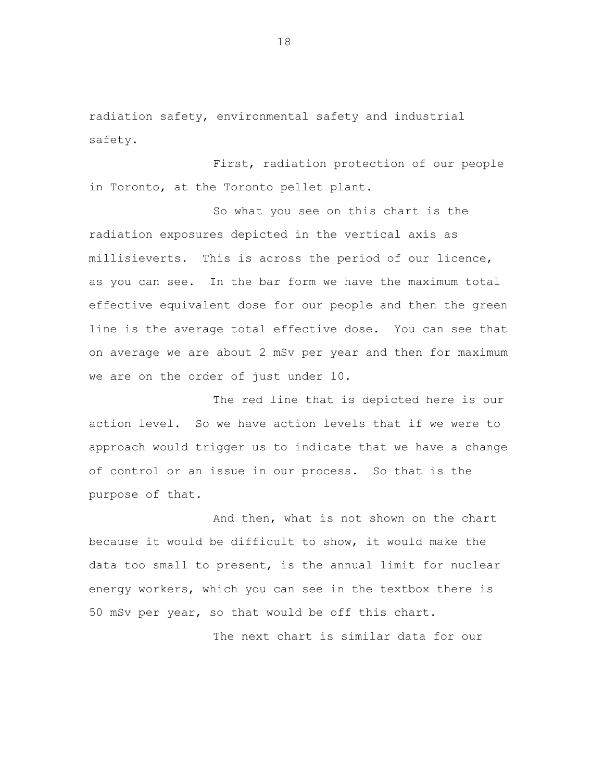radiation safety, environmental safety and industrial safety.

First, radiation protection of our people in Toronto, at the Toronto pellet plant.

So what you see on this chart is the radiation exposures depicted in the vertical axis as millisieverts. This is across the period of our licence, as you can see. In the bar form we have the maximum total effective equivalent dose for our people and then the green line is the average total effective dose. You can see that on average we are about 2 mSv per year and then for maximum we are on the order of just under 10.

The red line that is depicted here is our action level. So we have action levels that if we were to approach would trigger us to indicate that we have a change of control or an issue in our process. So that is the purpose of that.

And then, what is not shown on the chart because it would be difficult to show, it would make the data too small to present, is the annual limit for nuclear energy workers, which you can see in the textbox there is 50 mSv per year, so that would be off this chart.

The next chart is similar data for our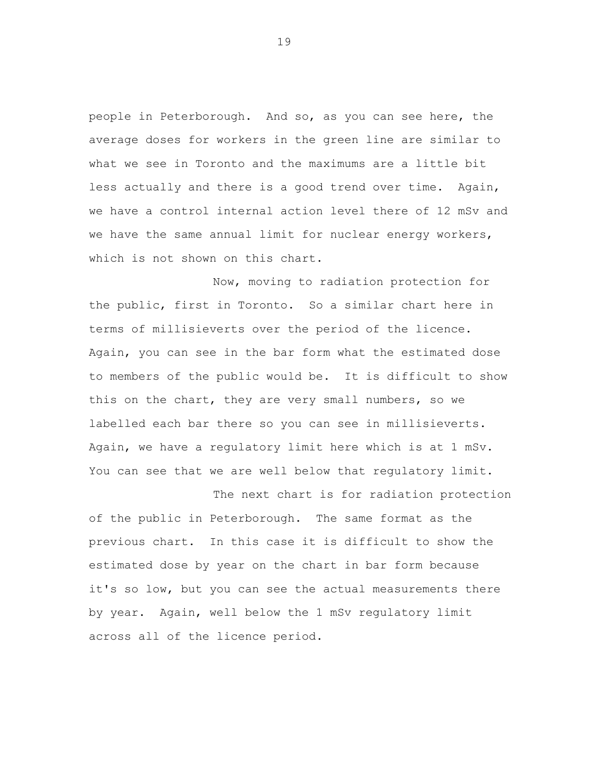people in Peterborough. And so, as you can see here, the average doses for workers in the green line are similar to what we see in Toronto and the maximums are a little bit less actually and there is a good trend over time. Again, we have a control internal action level there of 12 mSv and we have the same annual limit for nuclear energy workers, which is not shown on this chart.

Now, moving to radiation protection for the public, first in Toronto. So a similar chart here in terms of millisieverts over the period of the licence. Again, you can see in the bar form what the estimated dose to members of the public would be. It is difficult to show this on the chart, they are very small numbers, so we labelled each bar there so you can see in millisieverts. Again, we have a regulatory limit here which is at 1 mSv. You can see that we are well below that regulatory limit.

The next chart is for radiation protection of the public in Peterborough. The same format as the previous chart. In this case it is difficult to show the estimated dose by year on the chart in bar form because it's so low, but you can see the actual measurements there by year. Again, well below the 1 mSv regulatory limit across all of the licence period.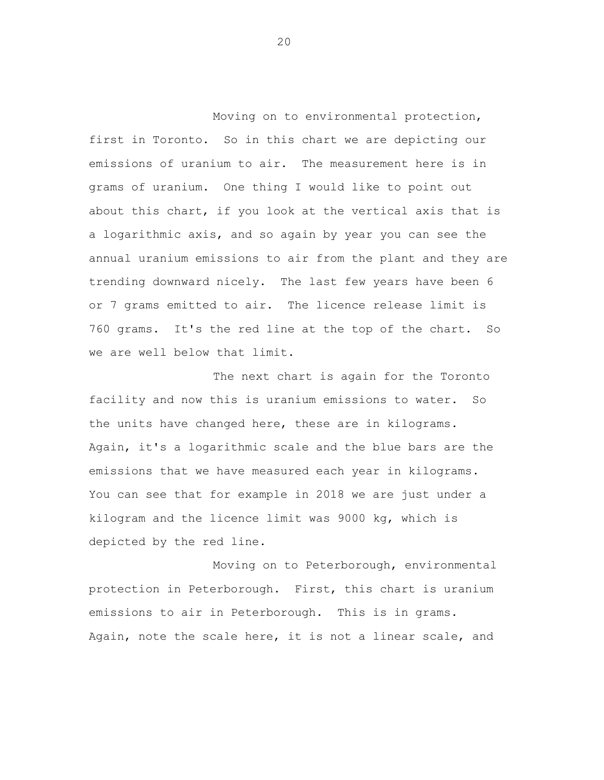Moving on to environmental protection, first in Toronto. So in this chart we are depicting our emissions of uranium to air. The measurement here is in grams of uranium. One thing I would like to point out about this chart, if you look at the vertical axis that is a logarithmic axis, and so again by year you can see the annual uranium emissions to air from the plant and they are trending downward nicely. The last few years have been 6 or 7 grams emitted to air. The licence release limit is 760 grams. It's the red line at the top of the chart. So we are well below that limit.

The next chart is again for the Toronto facility and now this is uranium emissions to water. So the units have changed here, these are in kilograms. Again, it's a logarithmic scale and the blue bars are the emissions that we have measured each year in kilograms. You can see that for example in 2018 we are just under a kilogram and the licence limit was 9000 kg, which is depicted by the red line.

Moving on to Peterborough, environmental protection in Peterborough. First, this chart is uranium emissions to air in Peterborough. This is in grams. Again, note the scale here, it is not a linear scale, and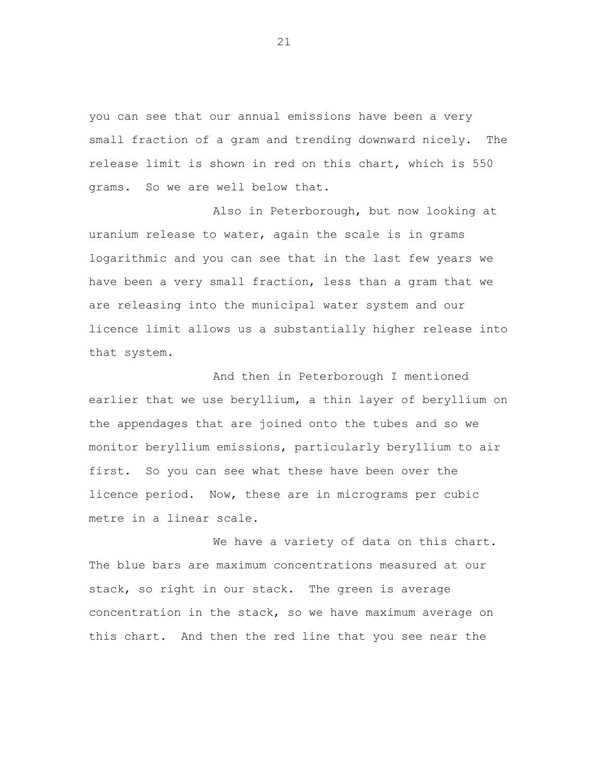you can see that our annual emissions have been a very small fraction of a gram and trending downward nicely. The release limit is shown in red on this chart, which is 550 grams. So we are well below that.

Also in Peterborough, but now looking at uranium release to water, again the scale is in grams logarithmic and you can see that in the last few years we have been a very small fraction, less than a gram that we are releasing into the municipal water system and our licence limit allows us a substantially higher release into that system.

And then in Peterborough I mentioned earlier that we use beryllium, a thin layer of beryllium on the appendages that are joined onto the tubes and so we monitor beryllium emissions, particularly beryllium to air first. So you can see what these have been over the licence period. Now, these are in micrograms per cubic metre in a linear scale.

We have a variety of data on this chart. The blue bars are maximum concentrations measured at our stack, so right in our stack. The green is average concentration in the stack, so we have maximum average on this chart. And then the red line that you see near the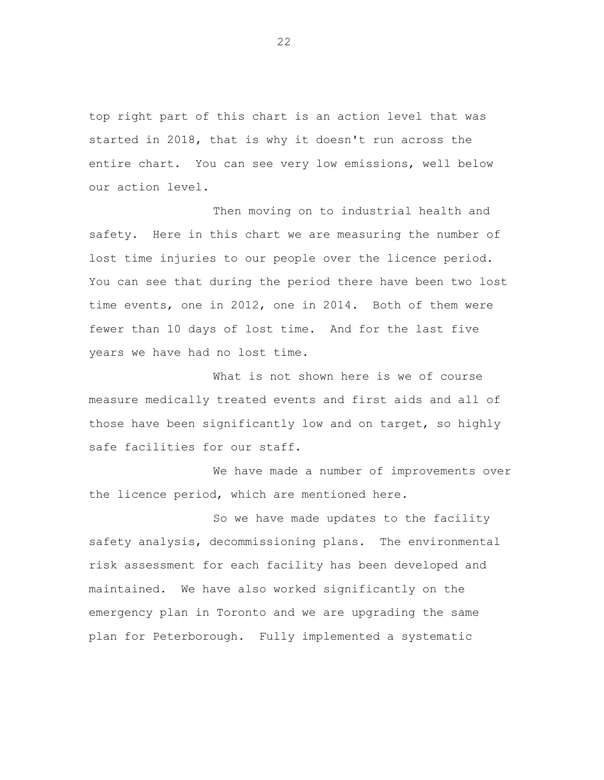top right part of this chart is an action level that was started in 2018, that is why it doesn't run across the entire chart. You can see very low emissions, well below our action level.

Then moving on to industrial health and safety. Here in this chart we are measuring the number of lost time injuries to our people over the licence period. You can see that during the period there have been two lost time events, one in 2012, one in 2014. Both of them were fewer than 10 days of lost time. And for the last five years we have had no lost time.

What is not shown here is we of course measure medically treated events and first aids and all of those have been significantly low and on target, so highly safe facilities for our staff.

We have made a number of improvements over the licence period, which are mentioned here.

So we have made updates to the facility safety analysis, decommissioning plans. The environmental risk assessment for each facility has been developed and maintained. We have also worked significantly on the emergency plan in Toronto and we are upgrading the same plan for Peterborough. Fully implemented a systematic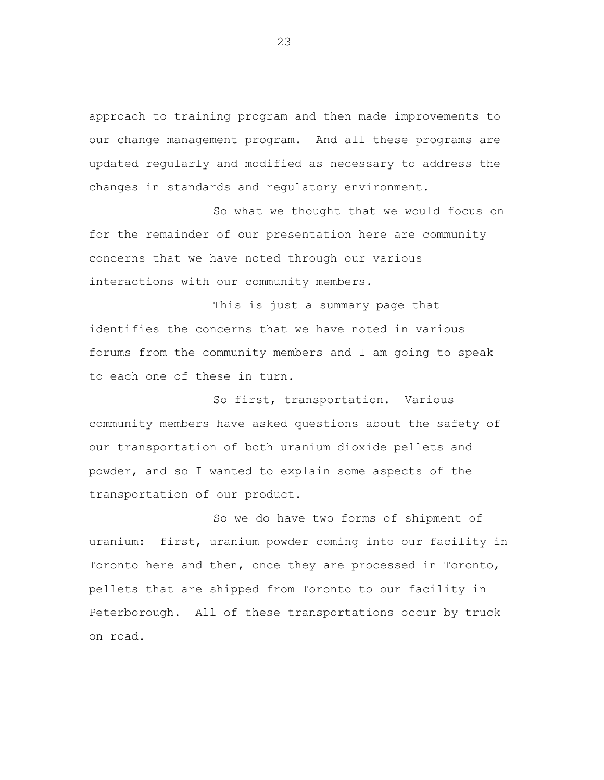approach to training program and then made improvements to our change management program. And all these programs are updated regularly and modified as necessary to address the changes in standards and regulatory environment.

So what we thought that we would focus on for the remainder of our presentation here are community concerns that we have noted through our various interactions with our community members.

This is just a summary page that identifies the concerns that we have noted in various forums from the community members and I am going to speak to each one of these in turn.

So first, transportation. Various community members have asked questions about the safety of our transportation of both uranium dioxide pellets and powder, and so I wanted to explain some aspects of the transportation of our product.

So we do have two forms of shipment of uranium: first, uranium powder coming into our facility in Toronto here and then, once they are processed in Toronto, pellets that are shipped from Toronto to our facility in Peterborough. All of these transportations occur by truck on road.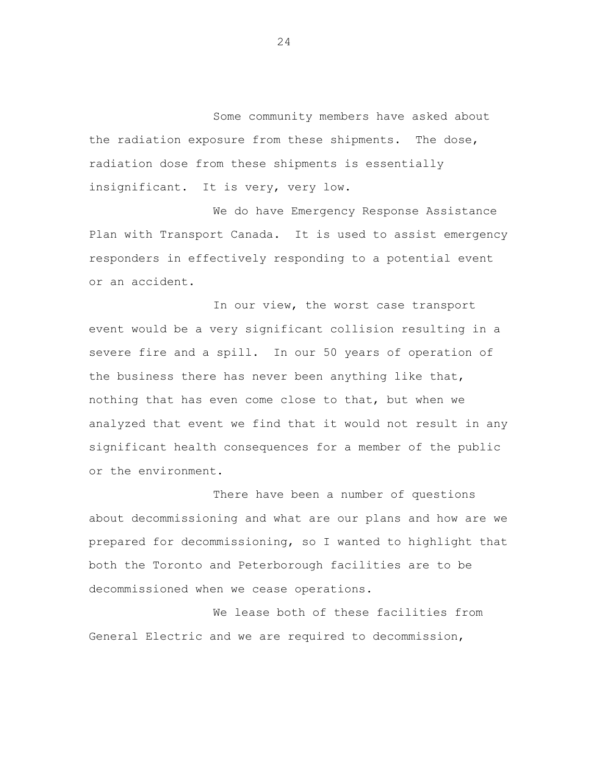Some community members have asked about the radiation exposure from these shipments. The dose, radiation dose from these shipments is essentially insignificant. It is very, very low.

We do have Emergency Response Assistance Plan with Transport Canada. It is used to assist emergency responders in effectively responding to a potential event or an accident.

In our view, the worst case transport event would be a very significant collision resulting in a severe fire and a spill. In our 50 years of operation of the business there has never been anything like that, nothing that has even come close to that, but when we analyzed that event we find that it would not result in any significant health consequences for a member of the public or the environment.

There have been a number of questions about decommissioning and what are our plans and how are we prepared for decommissioning, so I wanted to highlight that both the Toronto and Peterborough facilities are to be decommissioned when we cease operations.

We lease both of these facilities from General Electric and we are required to decommission,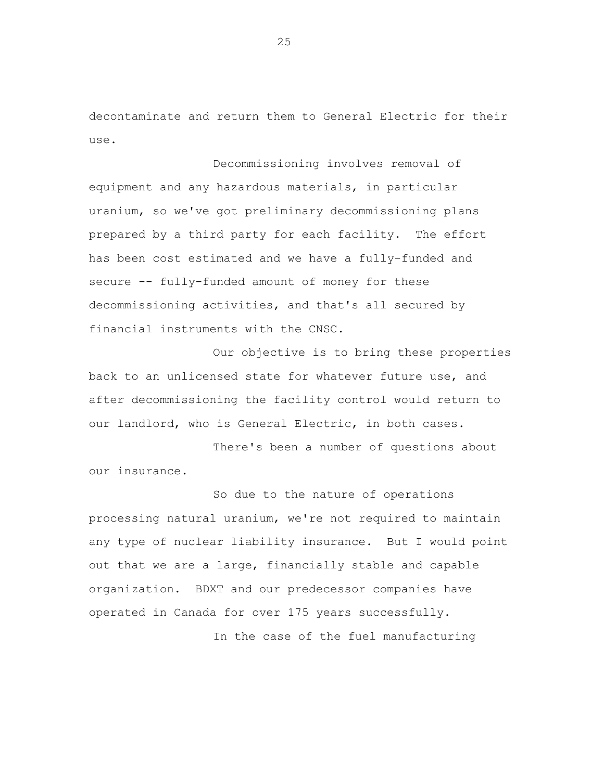decontaminate and return them to General Electric for their use.

Decommissioning involves removal of equipment and any hazardous materials, in particular uranium, so we've got preliminary decommissioning plans prepared by a third party for each facility. The effort has been cost estimated and we have a fully-funded and secure -- fully-funded amount of money for these decommissioning activities, and that's all secured by financial instruments with the CNSC.

Our objective is to bring these properties back to an unlicensed state for whatever future use, and after decommissioning the facility control would return to our landlord, who is General Electric, in both cases.

There's been a number of questions about our insurance.

So due to the nature of operations processing natural uranium, we're not required to maintain any type of nuclear liability insurance. But I would point out that we are a large, financially stable and capable organization. BDXT and our predecessor companies have operated in Canada for over 175 years successfully.

In the case of the fuel manufacturing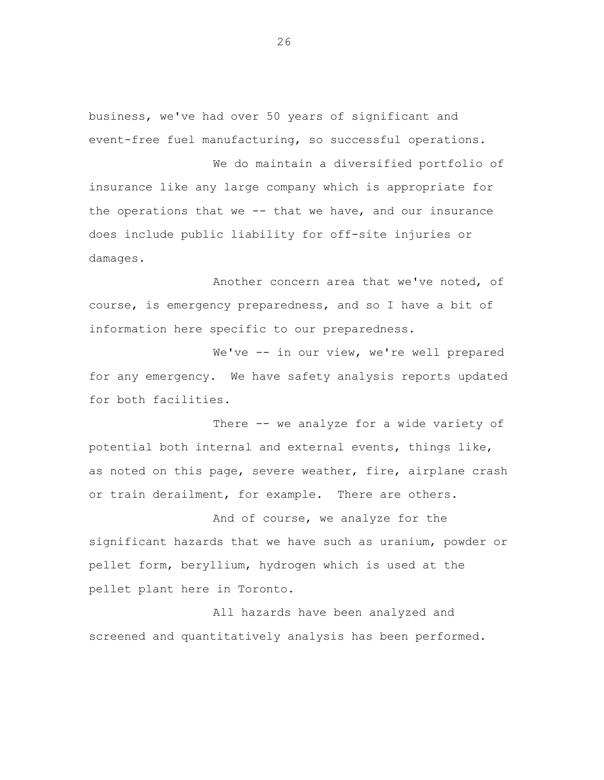business, we've had over 50 years of significant and event-free fuel manufacturing, so successful operations.

We do maintain a diversified portfolio of insurance like any large company which is appropriate for the operations that we -- that we have, and our insurance does include public liability for off-site injuries or damages.

Another concern area that we've noted, of course, is emergency preparedness, and so I have a bit of information here specific to our preparedness.

We've -- in our view, we're well prepared for any emergency. We have safety analysis reports updated for both facilities.

There -- we analyze for a wide variety of potential both internal and external events, things like, as noted on this page, severe weather, fire, airplane crash or train derailment, for example. There are others.

And of course, we analyze for the significant hazards that we have such as uranium, powder or pellet form, beryllium, hydrogen which is used at the pellet plant here in Toronto.

All hazards have been analyzed and screened and quantitatively analysis has been performed.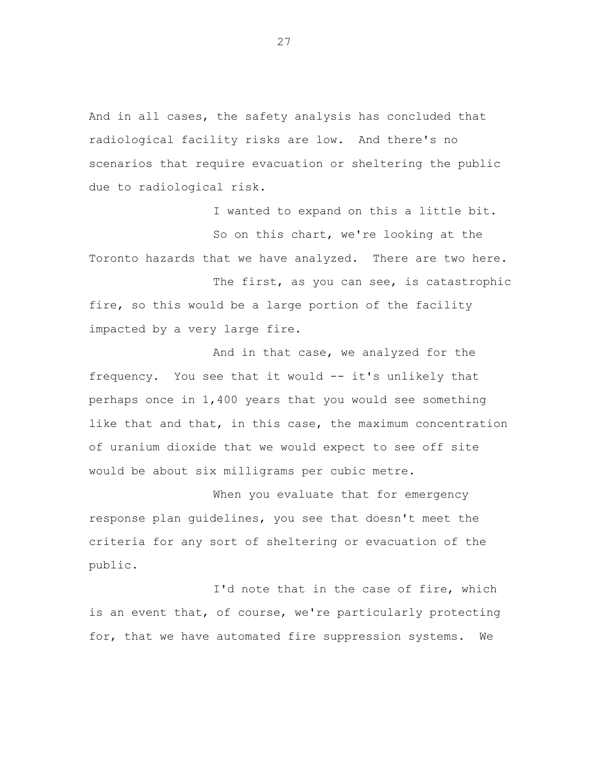And in all cases, the safety analysis has concluded that radiological facility risks are low. And there's no scenarios that require evacuation or sheltering the public due to radiological risk.

I wanted to expand on this a little bit. So on this chart, we're looking at the Toronto hazards that we have analyzed. There are two here.

The first, as you can see, is catastrophic fire, so this would be a large portion of the facility impacted by a very large fire.

And in that case, we analyzed for the frequency. You see that it would -- it's unlikely that perhaps once in 1,400 years that you would see something like that and that, in this case, the maximum concentration of uranium dioxide that we would expect to see off site would be about six milligrams per cubic metre.

When you evaluate that for emergency response plan guidelines, you see that doesn't meet the criteria for any sort of sheltering or evacuation of the public.

I'd note that in the case of fire, which is an event that, of course, we're particularly protecting for, that we have automated fire suppression systems. We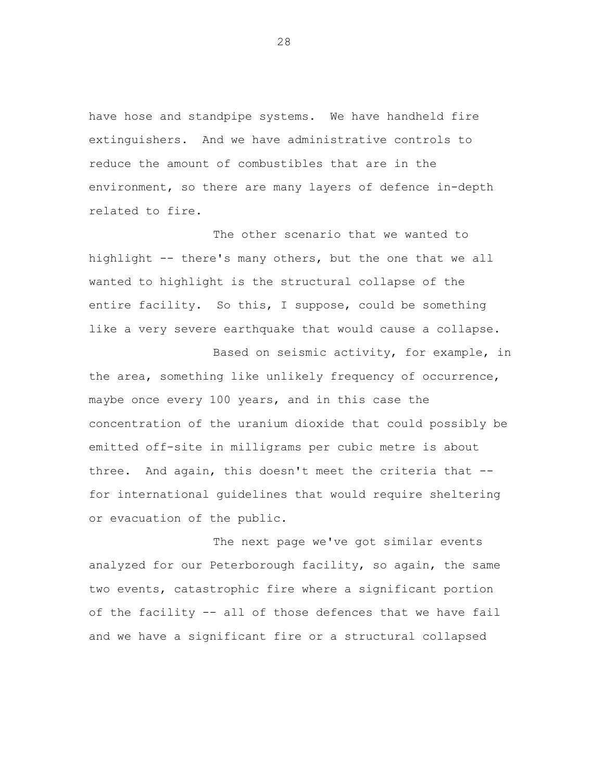have hose and standpipe systems. We have handheld fire extinguishers. And we have administrative controls to reduce the amount of combustibles that are in the environment, so there are many layers of defence in-depth related to fire.

The other scenario that we wanted to highlight -- there's many others, but the one that we all wanted to highlight is the structural collapse of the entire facility. So this, I suppose, could be something like a very severe earthquake that would cause a collapse.

Based on seismic activity, for example, in the area, something like unlikely frequency of occurrence, maybe once every 100 years, and in this case the concentration of the uranium dioxide that could possibly be emitted off-site in milligrams per cubic metre is about three. And again, this doesn't meet the criteria that - for international guidelines that would require sheltering or evacuation of the public.

The next page we've got similar events analyzed for our Peterborough facility, so again, the same two events, catastrophic fire where a significant portion of the facility -- all of those defences that we have fail and we have a significant fire or a structural collapsed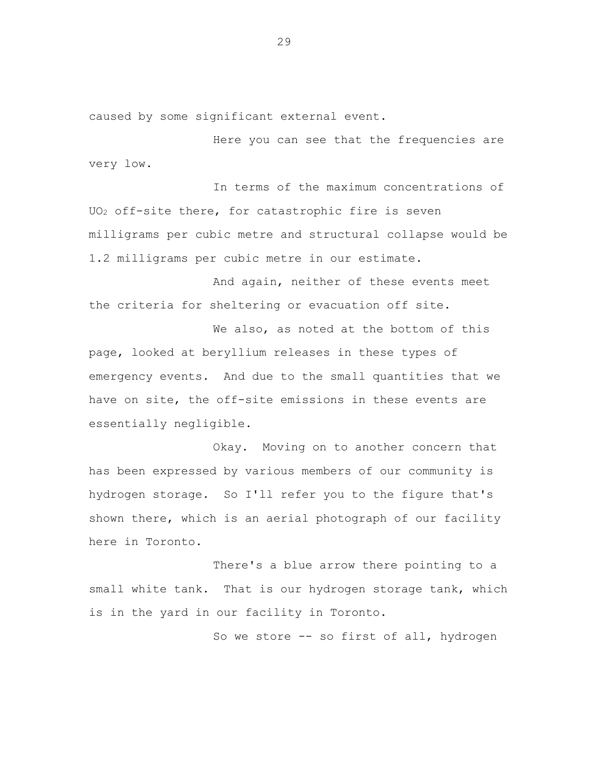caused by some significant external event.

Here you can see that the frequencies are very low.

In terms of the maximum concentrations of UO<sup>2</sup> off-site there, for catastrophic fire is seven milligrams per cubic metre and structural collapse would be 1.2 milligrams per cubic metre in our estimate.

And again, neither of these events meet the criteria for sheltering or evacuation off site.

We also, as noted at the bottom of this page, looked at beryllium releases in these types of emergency events. And due to the small quantities that we have on site, the off-site emissions in these events are essentially negligible.

Okay. Moving on to another concern that has been expressed by various members of our community is hydrogen storage. So I'll refer you to the figure that's shown there, which is an aerial photograph of our facility here in Toronto.

There's a blue arrow there pointing to a small white tank. That is our hydrogen storage tank, which is in the yard in our facility in Toronto.

So we store -- so first of all, hydrogen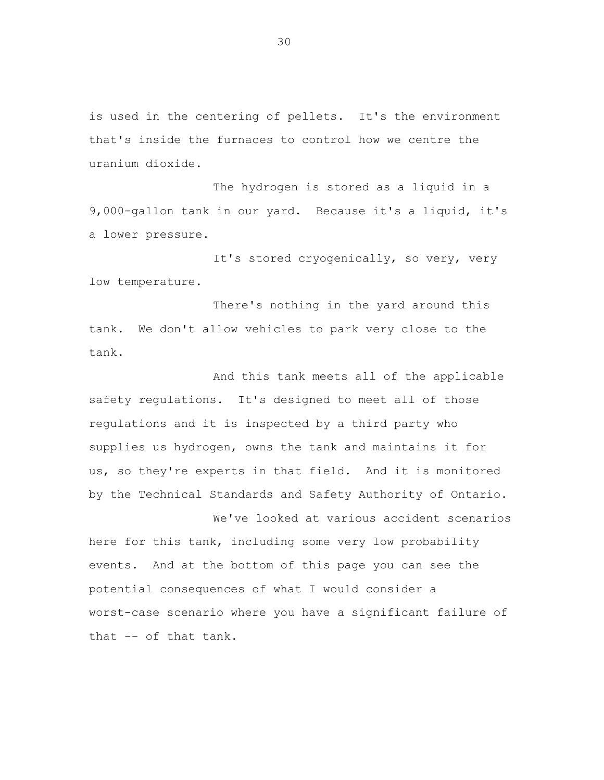is used in the centering of pellets. It's the environment that's inside the furnaces to control how we centre the uranium dioxide.

The hydrogen is stored as a liquid in a 9,000-gallon tank in our yard. Because it's a liquid, it's a lower pressure.

It's stored cryogenically, so very, very low temperature.

There's nothing in the yard around this tank. We don't allow vehicles to park very close to the tank.

And this tank meets all of the applicable safety regulations. It's designed to meet all of those regulations and it is inspected by a third party who supplies us hydrogen, owns the tank and maintains it for us, so they're experts in that field. And it is monitored by the Technical Standards and Safety Authority of Ontario.

We've looked at various accident scenarios here for this tank, including some very low probability events. And at the bottom of this page you can see the potential consequences of what I would consider a worst-case scenario where you have a significant failure of that -- of that tank.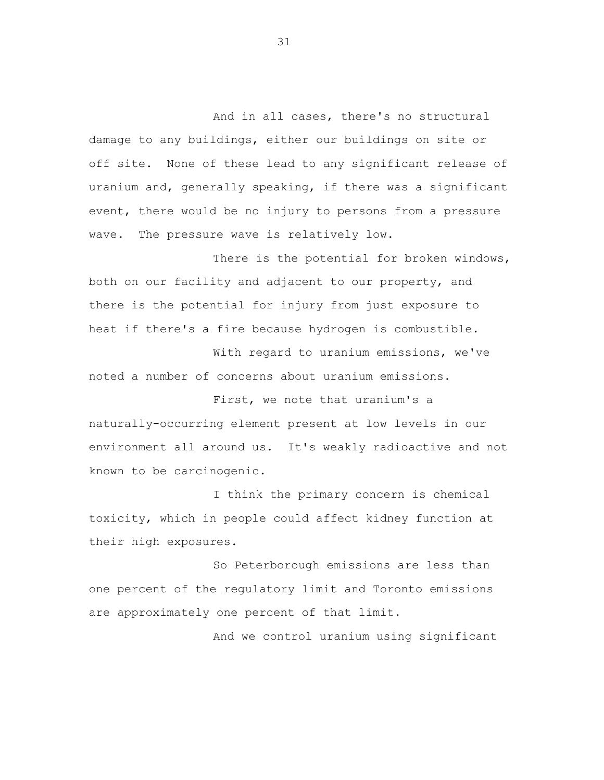And in all cases, there's no structural damage to any buildings, either our buildings on site or off site. None of these lead to any significant release of uranium and, generally speaking, if there was a significant event, there would be no injury to persons from a pressure wave. The pressure wave is relatively low.

There is the potential for broken windows, both on our facility and adjacent to our property, and there is the potential for injury from just exposure to heat if there's a fire because hydrogen is combustible.

With regard to uranium emissions, we've noted a number of concerns about uranium emissions.

First, we note that uranium's a naturally-occurring element present at low levels in our environment all around us. It's weakly radioactive and not known to be carcinogenic.

I think the primary concern is chemical toxicity, which in people could affect kidney function at their high exposures.

So Peterborough emissions are less than one percent of the regulatory limit and Toronto emissions are approximately one percent of that limit.

And we control uranium using significant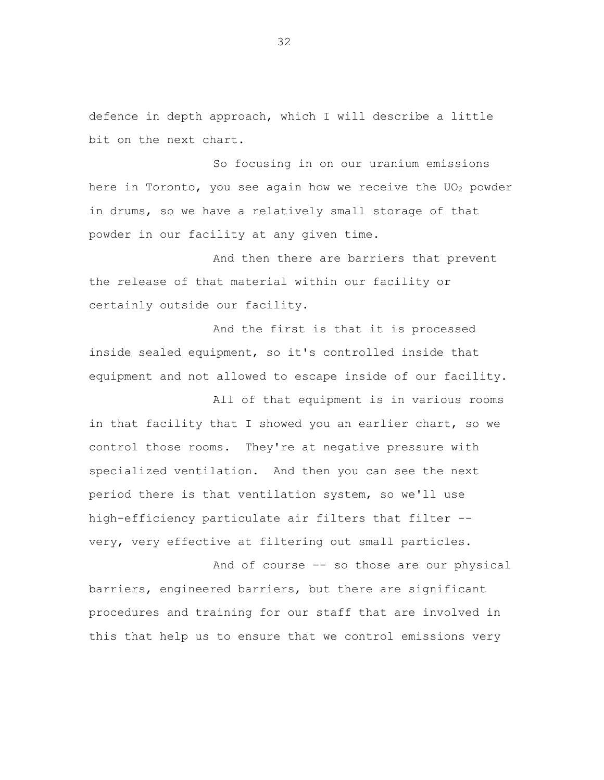defence in depth approach, which I will describe a little bit on the next chart.

So focusing in on our uranium emissions here in Toronto, you see again how we receive the  $UO<sub>2</sub>$  powder in drums, so we have a relatively small storage of that powder in our facility at any given time.

And then there are barriers that prevent the release of that material within our facility or certainly outside our facility.

And the first is that it is processed inside sealed equipment, so it's controlled inside that equipment and not allowed to escape inside of our facility.

All of that equipment is in various rooms in that facility that I showed you an earlier chart, so we control those rooms. They're at negative pressure with specialized ventilation. And then you can see the next period there is that ventilation system, so we'll use high-efficiency particulate air filters that filter - very, very effective at filtering out small particles.

And of course -- so those are our physical barriers, engineered barriers, but there are significant procedures and training for our staff that are involved in this that help us to ensure that we control emissions very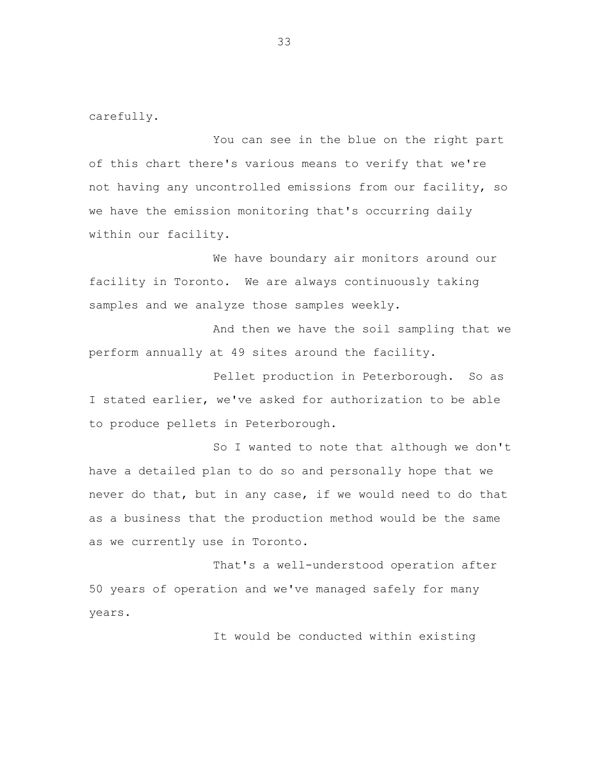carefully.

You can see in the blue on the right part of this chart there's various means to verify that we're not having any uncontrolled emissions from our facility, so we have the emission monitoring that's occurring daily within our facility.

We have boundary air monitors around our facility in Toronto. We are always continuously taking samples and we analyze those samples weekly.

And then we have the soil sampling that we perform annually at 49 sites around the facility.

Pellet production in Peterborough. So as I stated earlier, we've asked for authorization to be able to produce pellets in Peterborough.

So I wanted to note that although we don't have a detailed plan to do so and personally hope that we never do that, but in any case, if we would need to do that as a business that the production method would be the same as we currently use in Toronto.

That's a well-understood operation after 50 years of operation and we've managed safely for many years.

It would be conducted within existing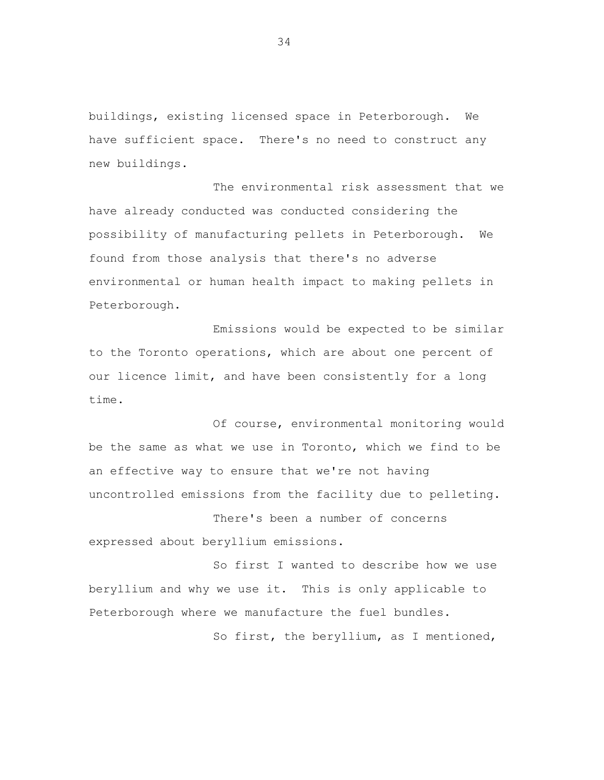buildings, existing licensed space in Peterborough. We have sufficient space. There's no need to construct any new buildings.

The environmental risk assessment that we have already conducted was conducted considering the possibility of manufacturing pellets in Peterborough. We found from those analysis that there's no adverse environmental or human health impact to making pellets in Peterborough.

Emissions would be expected to be similar to the Toronto operations, which are about one percent of our licence limit, and have been consistently for a long time.

Of course, environmental monitoring would be the same as what we use in Toronto, which we find to be an effective way to ensure that we're not having uncontrolled emissions from the facility due to pelleting.

There's been a number of concerns expressed about beryllium emissions.

So first I wanted to describe how we use beryllium and why we use it. This is only applicable to Peterborough where we manufacture the fuel bundles.

So first, the beryllium, as I mentioned,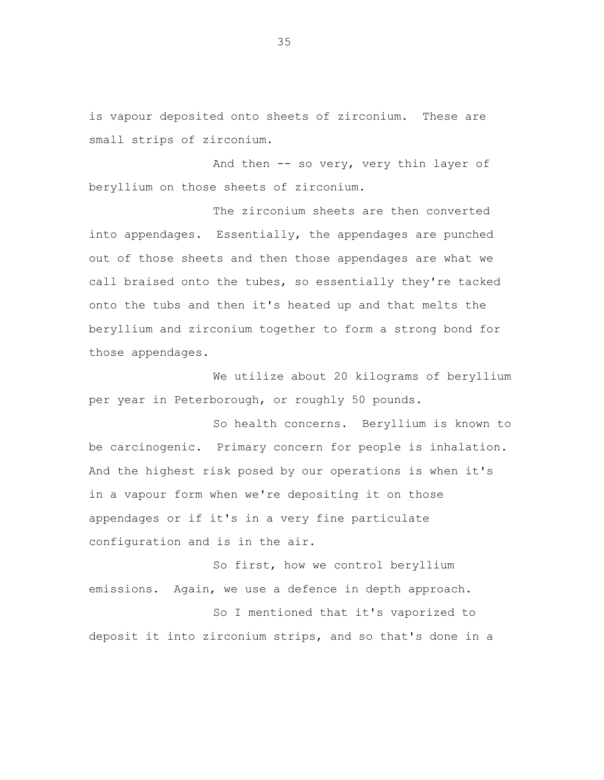is vapour deposited onto sheets of zirconium. These are small strips of zirconium.

And then -- so very, very thin layer of beryllium on those sheets of zirconium.

The zirconium sheets are then converted into appendages. Essentially, the appendages are punched out of those sheets and then those appendages are what we call braised onto the tubes, so essentially they're tacked onto the tubs and then it's heated up and that melts the beryllium and zirconium together to form a strong bond for those appendages.

We utilize about 20 kilograms of beryllium per year in Peterborough, or roughly 50 pounds.

So health concerns. Beryllium is known to be carcinogenic. Primary concern for people is inhalation. And the highest risk posed by our operations is when it's in a vapour form when we're depositing it on those appendages or if it's in a very fine particulate configuration and is in the air.

So first, how we control beryllium emissions. Again, we use a defence in depth approach.

So I mentioned that it's vaporized to deposit it into zirconium strips, and so that's done in a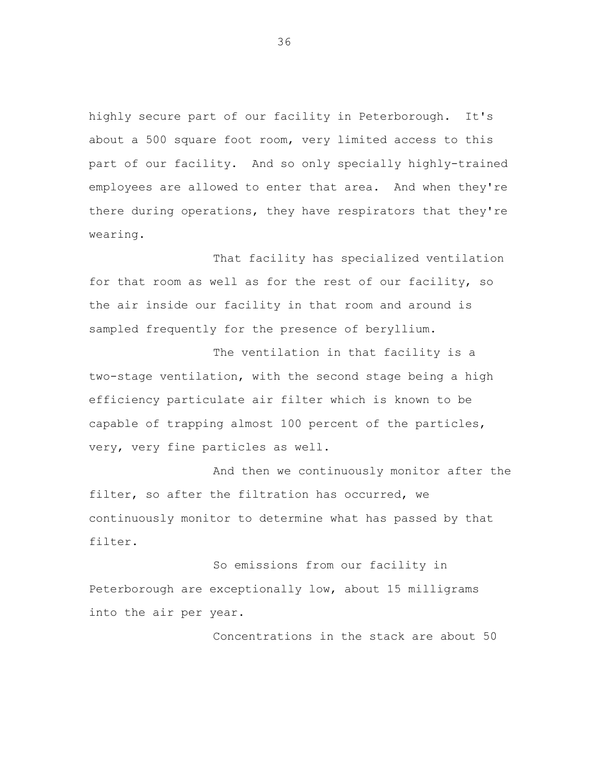highly secure part of our facility in Peterborough. It's about a 500 square foot room, very limited access to this part of our facility. And so only specially highly-trained employees are allowed to enter that area. And when they're there during operations, they have respirators that they're wearing.

That facility has specialized ventilation for that room as well as for the rest of our facility, so the air inside our facility in that room and around is sampled frequently for the presence of beryllium.

The ventilation in that facility is a two-stage ventilation, with the second stage being a high efficiency particulate air filter which is known to be capable of trapping almost 100 percent of the particles, very, very fine particles as well.

And then we continuously monitor after the filter, so after the filtration has occurred, we continuously monitor to determine what has passed by that filter.

So emissions from our facility in Peterborough are exceptionally low, about 15 milligrams into the air per year.

Concentrations in the stack are about 50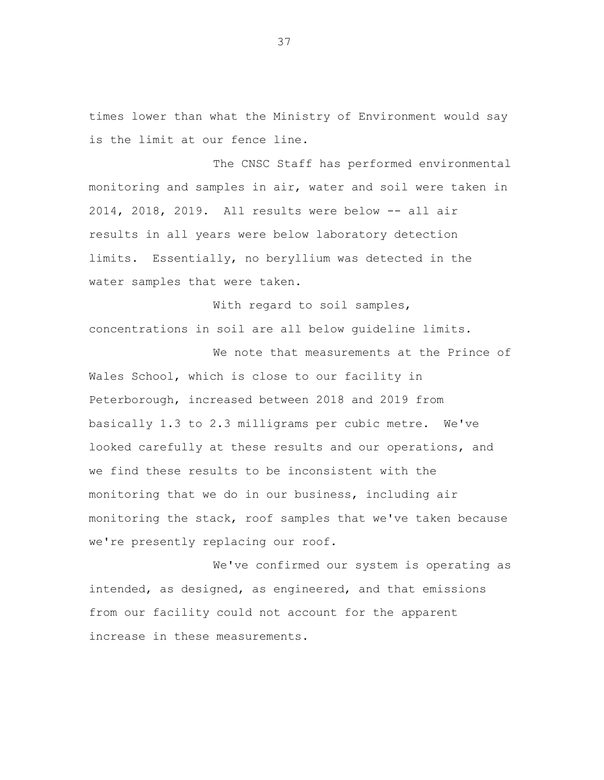times lower than what the Ministry of Environment would say is the limit at our fence line.

The CNSC Staff has performed environmental monitoring and samples in air, water and soil were taken in 2014, 2018, 2019. All results were below -- all air results in all years were below laboratory detection limits. Essentially, no beryllium was detected in the water samples that were taken.

With regard to soil samples, concentrations in soil are all below guideline limits.

We note that measurements at the Prince of Wales School, which is close to our facility in Peterborough, increased between 2018 and 2019 from basically 1.3 to 2.3 milligrams per cubic metre. We've looked carefully at these results and our operations, and we find these results to be inconsistent with the monitoring that we do in our business, including air monitoring the stack, roof samples that we've taken because we're presently replacing our roof.

We've confirmed our system is operating as intended, as designed, as engineered, and that emissions from our facility could not account for the apparent increase in these measurements.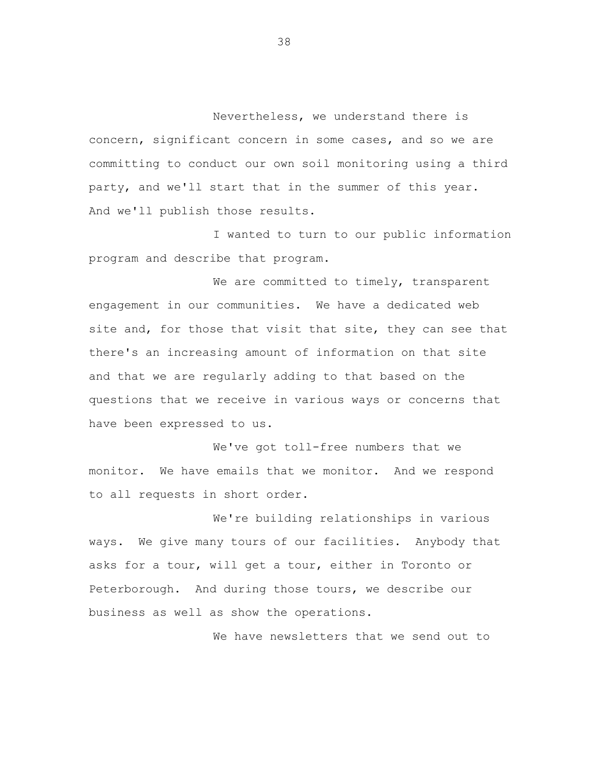Nevertheless, we understand there is concern, significant concern in some cases, and so we are committing to conduct our own soil monitoring using a third party, and we'll start that in the summer of this year. And we'll publish those results.

I wanted to turn to our public information program and describe that program.

We are committed to timely, transparent engagement in our communities. We have a dedicated web site and, for those that visit that site, they can see that there's an increasing amount of information on that site and that we are regularly adding to that based on the questions that we receive in various ways or concerns that have been expressed to us.

We've got toll-free numbers that we monitor. We have emails that we monitor. And we respond to all requests in short order.

We're building relationships in various ways. We give many tours of our facilities. Anybody that asks for a tour, will get a tour, either in Toronto or Peterborough. And during those tours, we describe our business as well as show the operations.

We have newsletters that we send out to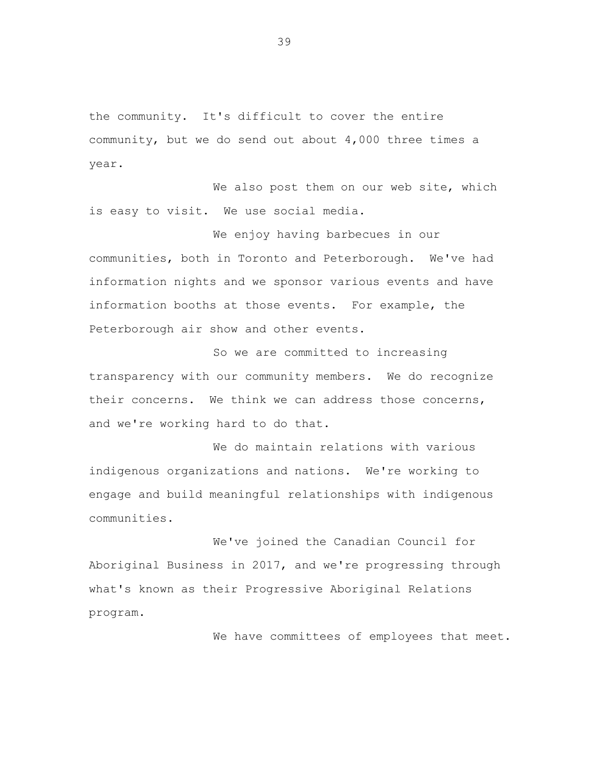the community. It's difficult to cover the entire community, but we do send out about 4,000 three times a year.

We also post them on our web site, which is easy to visit. We use social media.

We enjoy having barbecues in our communities, both in Toronto and Peterborough. We've had information nights and we sponsor various events and have information booths at those events. For example, the Peterborough air show and other events.

So we are committed to increasing transparency with our community members. We do recognize their concerns. We think we can address those concerns, and we're working hard to do that.

We do maintain relations with various indigenous organizations and nations. We're working to engage and build meaningful relationships with indigenous communities.

We've joined the Canadian Council for Aboriginal Business in 2017, and we're progressing through what's known as their Progressive Aboriginal Relations program.

We have committees of employees that meet.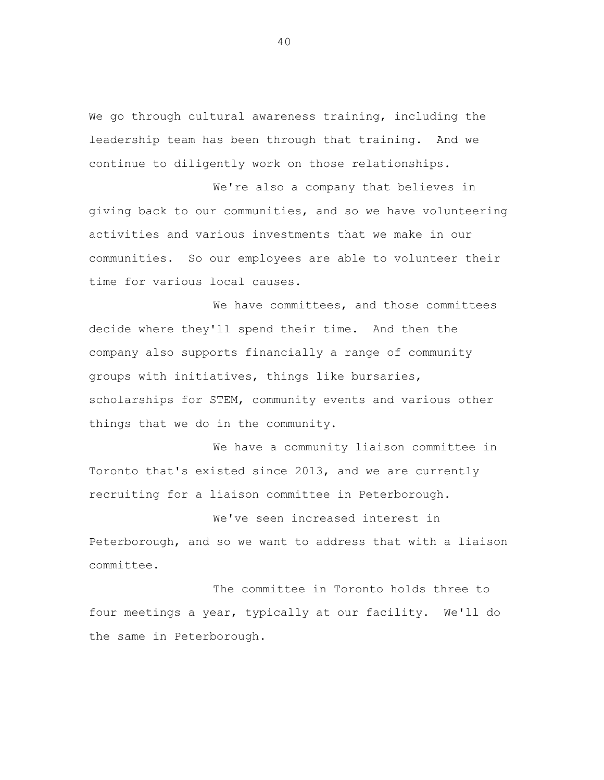We go through cultural awareness training, including the leadership team has been through that training. And we continue to diligently work on those relationships.

We're also a company that believes in giving back to our communities, and so we have volunteering activities and various investments that we make in our communities. So our employees are able to volunteer their time for various local causes.

We have committees, and those committees decide where they'll spend their time. And then the company also supports financially a range of community groups with initiatives, things like bursaries, scholarships for STEM, community events and various other things that we do in the community.

We have a community liaison committee in Toronto that's existed since 2013, and we are currently recruiting for a liaison committee in Peterborough.

We've seen increased interest in Peterborough, and so we want to address that with a liaison committee.

The committee in Toronto holds three to four meetings a year, typically at our facility. We'll do the same in Peterborough.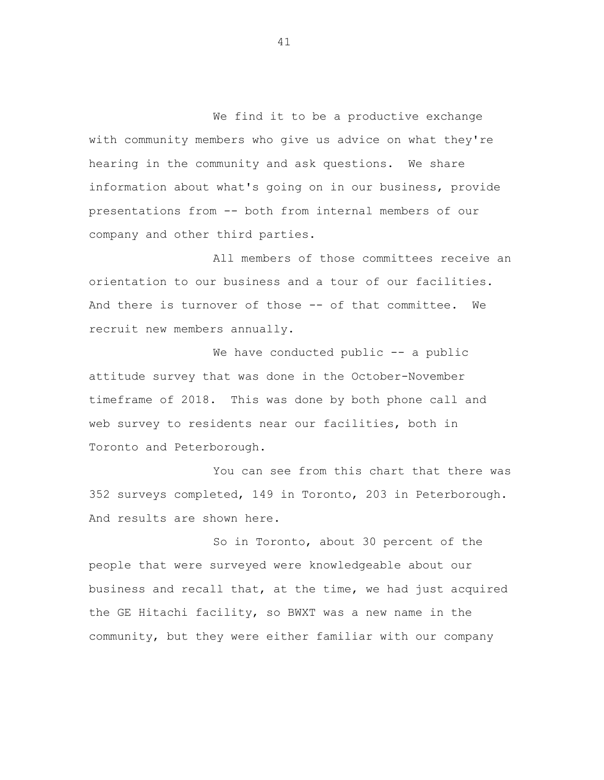We find it to be a productive exchange with community members who give us advice on what they're hearing in the community and ask questions. We share information about what's going on in our business, provide presentations from -- both from internal members of our company and other third parties.

All members of those committees receive an orientation to our business and a tour of our facilities. And there is turnover of those -- of that committee. We recruit new members annually.

We have conducted public -- a public attitude survey that was done in the October-November timeframe of 2018. This was done by both phone call and web survey to residents near our facilities, both in Toronto and Peterborough.

You can see from this chart that there was 352 surveys completed, 149 in Toronto, 203 in Peterborough. And results are shown here.

So in Toronto, about 30 percent of the people that were surveyed were knowledgeable about our business and recall that, at the time, we had just acquired the GE Hitachi facility, so BWXT was a new name in the community, but they were either familiar with our company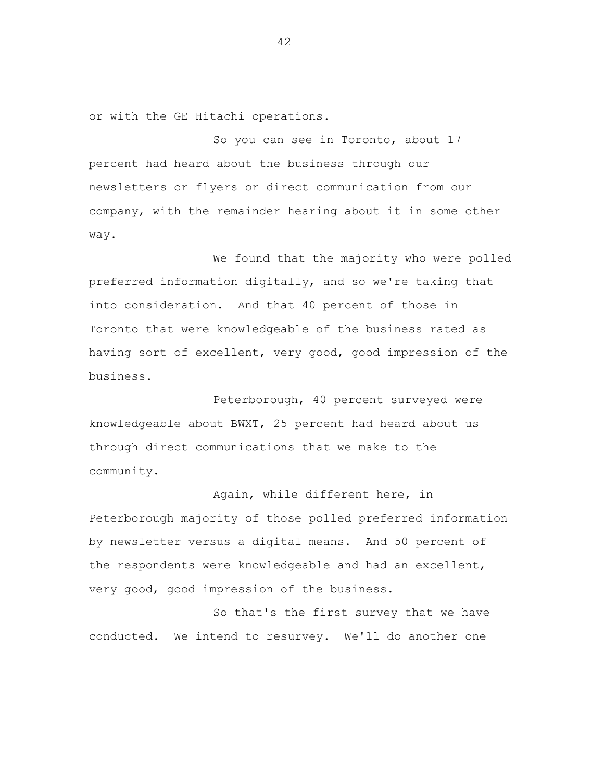or with the GE Hitachi operations.

So you can see in Toronto, about 17 percent had heard about the business through our newsletters or flyers or direct communication from our company, with the remainder hearing about it in some other way.

We found that the majority who were polled preferred information digitally, and so we're taking that into consideration. And that 40 percent of those in Toronto that were knowledgeable of the business rated as having sort of excellent, very good, good impression of the business.

Peterborough, 40 percent surveyed were knowledgeable about BWXT, 25 percent had heard about us through direct communications that we make to the community.

Again, while different here, in Peterborough majority of those polled preferred information by newsletter versus a digital means. And 50 percent of the respondents were knowledgeable and had an excellent, very good, good impression of the business.

So that's the first survey that we have conducted. We intend to resurvey. We'll do another one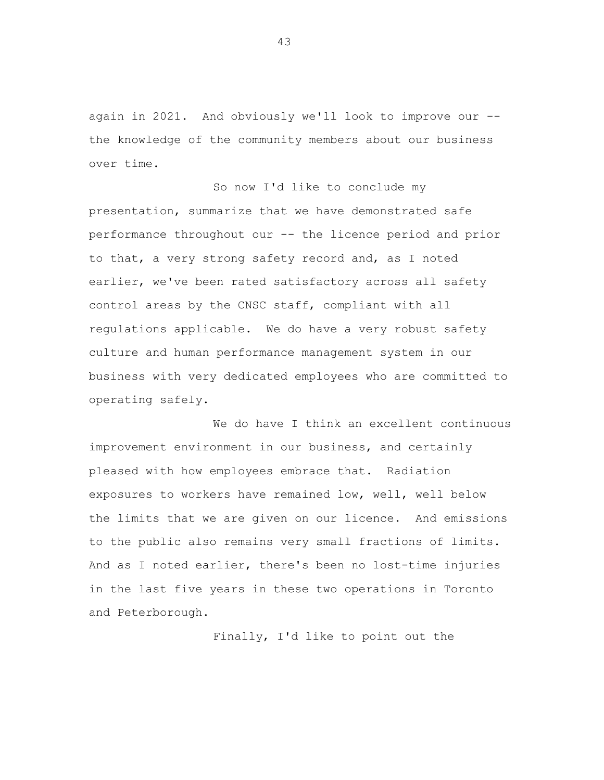again in 2021. And obviously we'll look to improve our - the knowledge of the community members about our business over time.

So now I'd like to conclude my presentation, summarize that we have demonstrated safe performance throughout our -- the licence period and prior to that, a very strong safety record and, as I noted earlier, we've been rated satisfactory across all safety control areas by the CNSC staff, compliant with all regulations applicable. We do have a very robust safety culture and human performance management system in our business with very dedicated employees who are committed to operating safely.

We do have I think an excellent continuous improvement environment in our business, and certainly pleased with how employees embrace that. Radiation exposures to workers have remained low, well, well below the limits that we are given on our licence. And emissions to the public also remains very small fractions of limits. And as I noted earlier, there's been no lost-time injuries in the last five years in these two operations in Toronto and Peterborough.

Finally, I'd like to point out the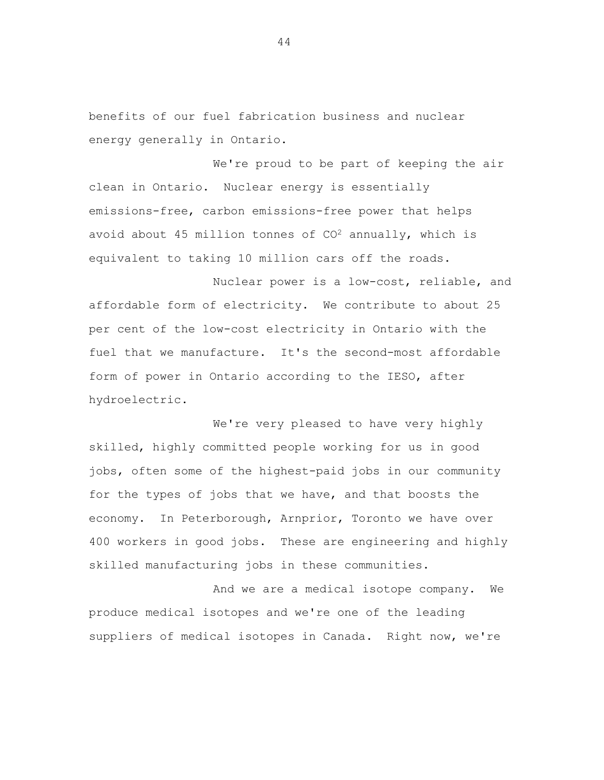benefits of our fuel fabrication business and nuclear energy generally in Ontario.

We're proud to be part of keeping the air clean in Ontario. Nuclear energy is essentially emissions-free, carbon emissions-free power that helps avoid about 45 million tonnes of  $CO<sup>2</sup>$  annually, which is equivalent to taking 10 million cars off the roads.

Nuclear power is a low-cost, reliable, and affordable form of electricity. We contribute to about 25 per cent of the low-cost electricity in Ontario with the fuel that we manufacture. It's the second-most affordable form of power in Ontario according to the IESO, after hydroelectric.

We're very pleased to have very highly skilled, highly committed people working for us in good jobs, often some of the highest-paid jobs in our community for the types of jobs that we have, and that boosts the economy. In Peterborough, Arnprior, Toronto we have over 400 workers in good jobs. These are engineering and highly skilled manufacturing jobs in these communities.

And we are a medical isotope company. We produce medical isotopes and we're one of the leading suppliers of medical isotopes in Canada. Right now, we're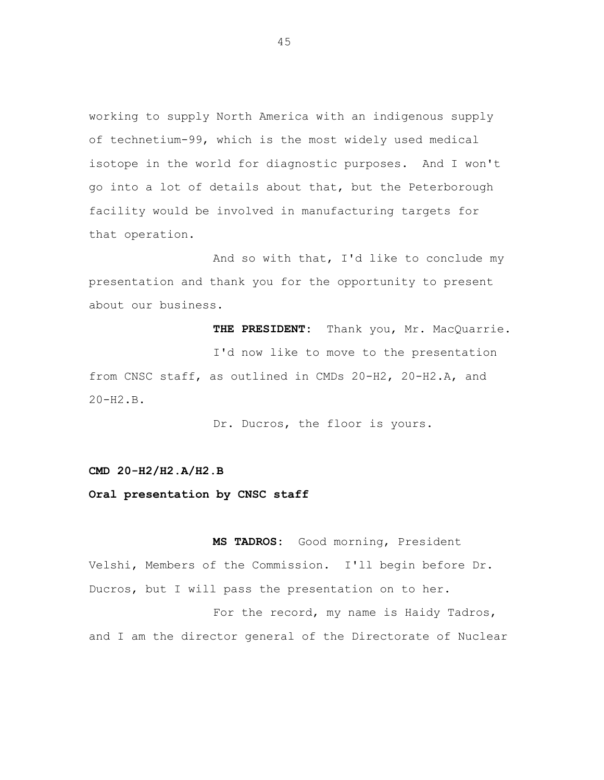working to supply North America with an indigenous supply of technetium-99, which is the most widely used medical isotope in the world for diagnostic purposes. And I won't go into a lot of details about that, but the Peterborough facility would be involved in manufacturing targets for that operation.

And so with that, I'd like to conclude my presentation and thank you for the opportunity to present about our business.

**THE PRESIDENT:** Thank you, Mr. MacQuarrie. I'd now like to move to the presentation from CNSC staff, as outlined in CMDs 20-H2, 20-H2.A, and 20-H2.B.

Dr. Ducros, the floor is yours.

## **CMD 20-H2/H2.A/H2.B**

## **Oral presentation by CNSC staff**

**MS TADROS:** Good morning, President Velshi, Members of the Commission. I'll begin before Dr. Ducros, but I will pass the presentation on to her.

For the record, my name is Haidy Tadros, and I am the director general of the Directorate of Nuclear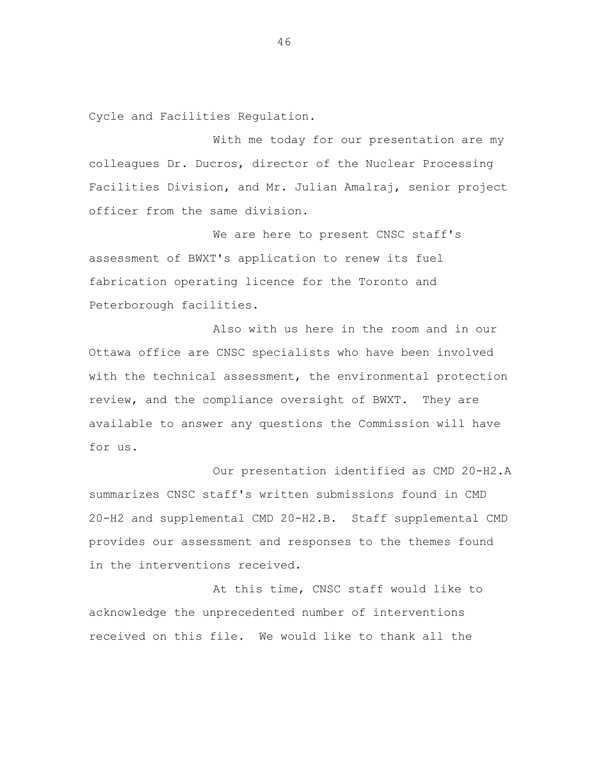Cycle and Facilities Regulation.

With me today for our presentation are my colleagues Dr. Ducros, director of the Nuclear Processing Facilities Division, and Mr. Julian Amalraj, senior project officer from the same division.

We are here to present CNSC staff's assessment of BWXT's application to renew its fuel fabrication operating licence for the Toronto and Peterborough facilities.

Also with us here in the room and in our Ottawa office are CNSC specialists who have been involved with the technical assessment, the environmental protection review, and the compliance oversight of BWXT. They are available to answer any questions the Commission will have for us.

Our presentation identified as CMD 20-H2.A summarizes CNSC staff's written submissions found in CMD 20-H2 and supplemental CMD 20-H2.B. Staff supplemental CMD provides our assessment and responses to the themes found in the interventions received.

At this time, CNSC staff would like to acknowledge the unprecedented number of interventions received on this file. We would like to thank all the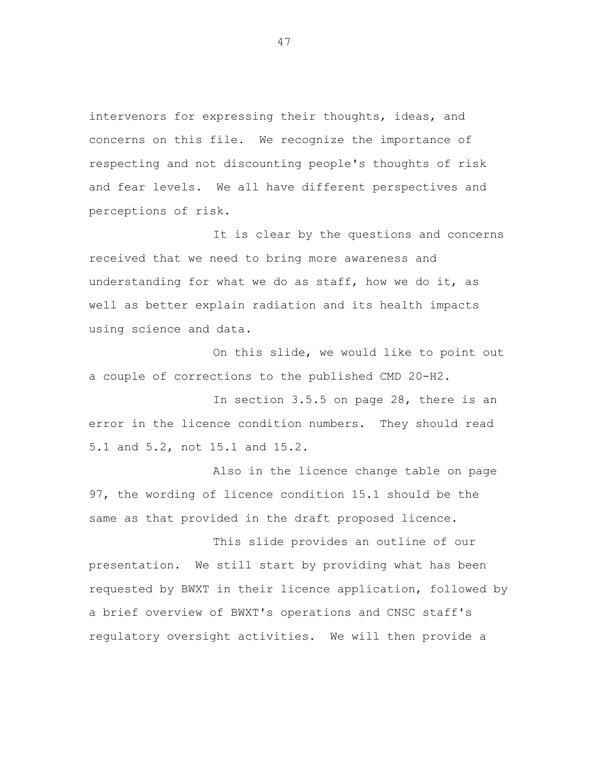intervenors for expressing their thoughts, ideas, and concerns on this file. We recognize the importance of respecting and not discounting people's thoughts of risk and fear levels. We all have different perspectives and perceptions of risk.

It is clear by the questions and concerns received that we need to bring more awareness and understanding for what we do as staff, how we do it, as well as better explain radiation and its health impacts using science and data.

On this slide, we would like to point out a couple of corrections to the published CMD 20-H2.

In section 3.5.5 on page 28, there is an error in the licence condition numbers. They should read 5.1 and 5.2, not 15.1 and 15.2.

Also in the licence change table on page 97, the wording of licence condition 15.1 should be the same as that provided in the draft proposed licence.

This slide provides an outline of our presentation. We still start by providing what has been requested by BWXT in their licence application, followed by a brief overview of BWXT's operations and CNSC staff's regulatory oversight activities. We will then provide a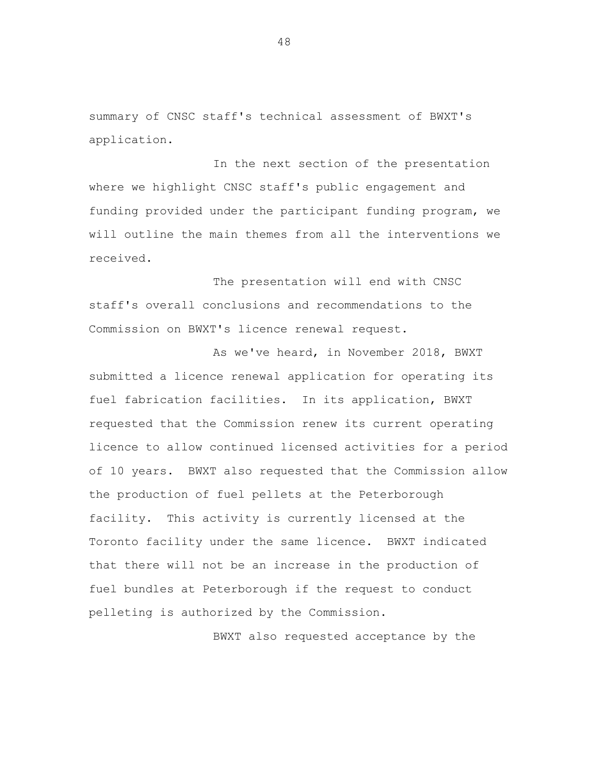summary of CNSC staff's technical assessment of BWXT's application.

In the next section of the presentation where we highlight CNSC staff's public engagement and funding provided under the participant funding program, we will outline the main themes from all the interventions we received.

The presentation will end with CNSC staff's overall conclusions and recommendations to the Commission on BWXT's licence renewal request.

As we've heard, in November 2018, BWXT submitted a licence renewal application for operating its fuel fabrication facilities. In its application, BWXT requested that the Commission renew its current operating licence to allow continued licensed activities for a period of 10 years. BWXT also requested that the Commission allow the production of fuel pellets at the Peterborough facility. This activity is currently licensed at the Toronto facility under the same licence. BWXT indicated that there will not be an increase in the production of fuel bundles at Peterborough if the request to conduct pelleting is authorized by the Commission.

BWXT also requested acceptance by the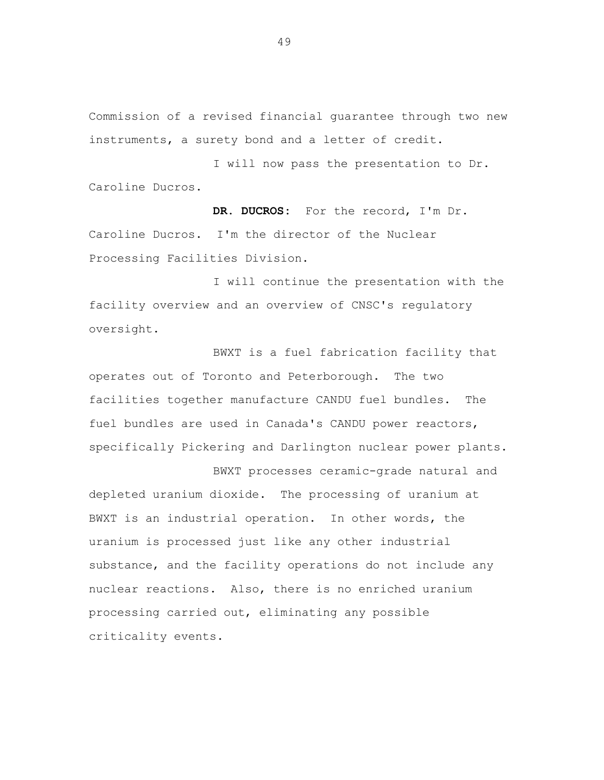Commission of a revised financial guarantee through two new instruments, a surety bond and a letter of credit.

I will now pass the presentation to Dr. Caroline Ducros.

**DR. DUCROS:** For the record, I'm Dr. Caroline Ducros. I'm the director of the Nuclear Processing Facilities Division.

I will continue the presentation with the facility overview and an overview of CNSC's regulatory oversight.

BWXT is a fuel fabrication facility that operates out of Toronto and Peterborough. The two facilities together manufacture CANDU fuel bundles. The fuel bundles are used in Canada's CANDU power reactors, specifically Pickering and Darlington nuclear power plants.

BWXT processes ceramic-grade natural and depleted uranium dioxide. The processing of uranium at BWXT is an industrial operation. In other words, the uranium is processed just like any other industrial substance, and the facility operations do not include any nuclear reactions. Also, there is no enriched uranium processing carried out, eliminating any possible criticality events.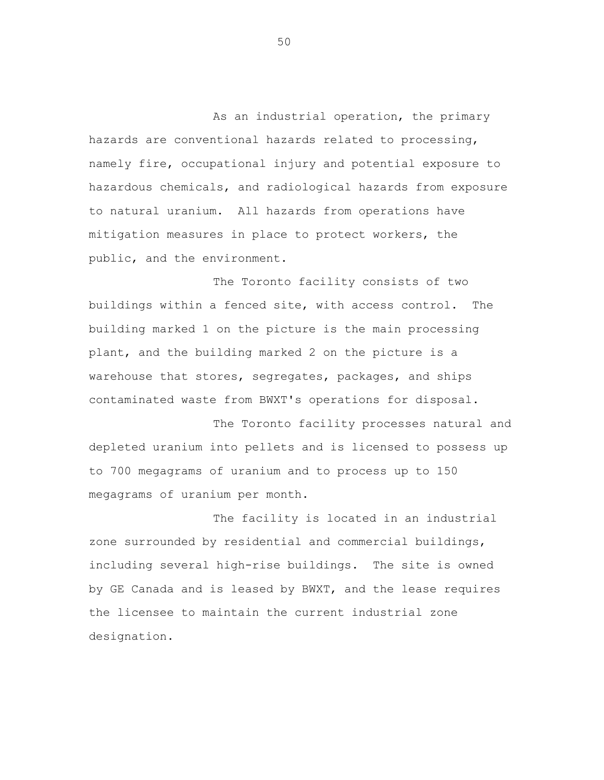As an industrial operation, the primary hazards are conventional hazards related to processing, namely fire, occupational injury and potential exposure to hazardous chemicals, and radiological hazards from exposure to natural uranium. All hazards from operations have mitigation measures in place to protect workers, the public, and the environment.

The Toronto facility consists of two buildings within a fenced site, with access control. The building marked 1 on the picture is the main processing plant, and the building marked 2 on the picture is a warehouse that stores, segregates, packages, and ships contaminated waste from BWXT's operations for disposal.

The Toronto facility processes natural and depleted uranium into pellets and is licensed to possess up to 700 megagrams of uranium and to process up to 150 megagrams of uranium per month.

The facility is located in an industrial zone surrounded by residential and commercial buildings, including several high-rise buildings. The site is owned by GE Canada and is leased by BWXT, and the lease requires the licensee to maintain the current industrial zone designation.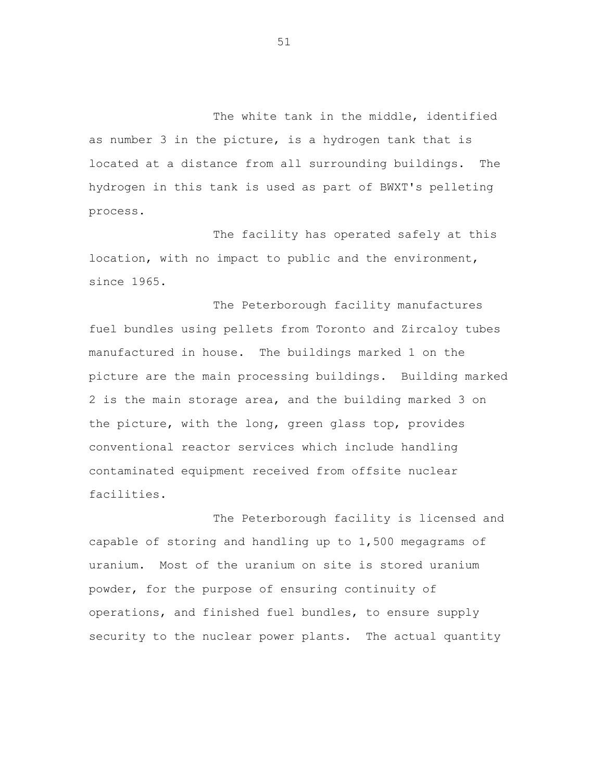The white tank in the middle, identified as number 3 in the picture, is a hydrogen tank that is located at a distance from all surrounding buildings. The hydrogen in this tank is used as part of BWXT's pelleting process.

The facility has operated safely at this location, with no impact to public and the environment, since 1965.

The Peterborough facility manufactures fuel bundles using pellets from Toronto and Zircaloy tubes manufactured in house. The buildings marked 1 on the picture are the main processing buildings. Building marked 2 is the main storage area, and the building marked 3 on the picture, with the long, green glass top, provides conventional reactor services which include handling contaminated equipment received from offsite nuclear facilities.

The Peterborough facility is licensed and capable of storing and handling up to 1,500 megagrams of uranium. Most of the uranium on site is stored uranium powder, for the purpose of ensuring continuity of operations, and finished fuel bundles, to ensure supply security to the nuclear power plants. The actual quantity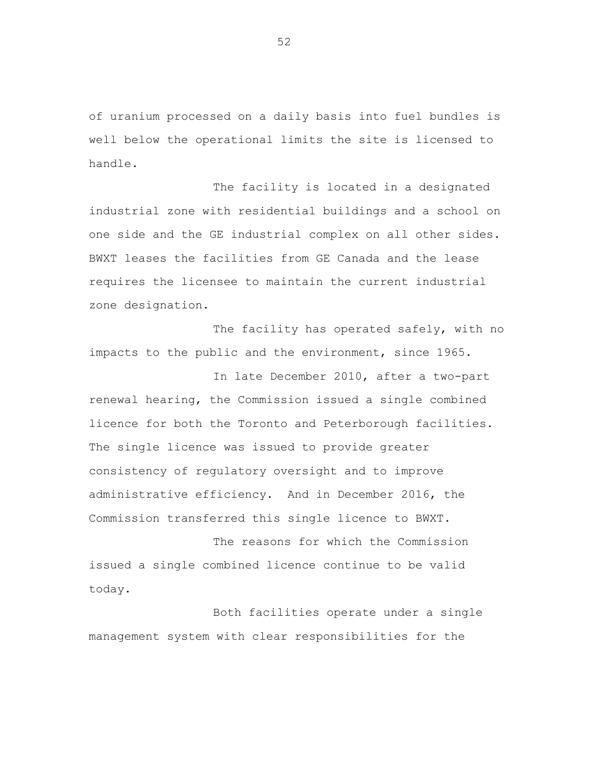of uranium processed on a daily basis into fuel bundles is well below the operational limits the site is licensed to handle.

The facility is located in a designated industrial zone with residential buildings and a school on one side and the GE industrial complex on all other sides. BWXT leases the facilities from GE Canada and the lease requires the licensee to maintain the current industrial zone designation.

The facility has operated safely, with no impacts to the public and the environment, since 1965.

In late December 2010, after a two-part renewal hearing, the Commission issued a single combined licence for both the Toronto and Peterborough facilities. The single licence was issued to provide greater consistency of regulatory oversight and to improve administrative efficiency. And in December 2016, the Commission transferred this single licence to BWXT.

The reasons for which the Commission issued a single combined licence continue to be valid today.

Both facilities operate under a single management system with clear responsibilities for the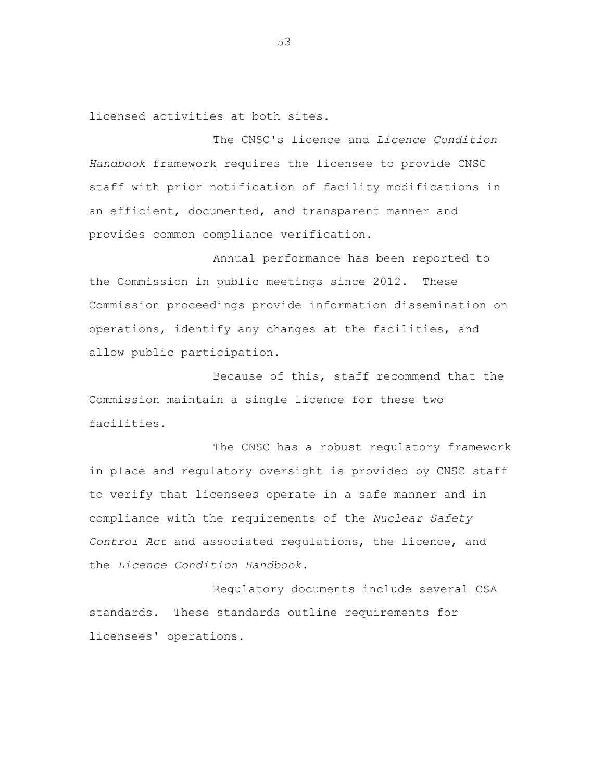licensed activities at both sites.

The CNSC's licence and *Licence Condition Handbook* framework requires the licensee to provide CNSC staff with prior notification of facility modifications in an efficient, documented, and transparent manner and provides common compliance verification.

Annual performance has been reported to the Commission in public meetings since 2012. These Commission proceedings provide information dissemination on operations, identify any changes at the facilities, and allow public participation.

Because of this, staff recommend that the Commission maintain a single licence for these two facilities.

The CNSC has a robust regulatory framework in place and regulatory oversight is provided by CNSC staff to verify that licensees operate in a safe manner and in compliance with the requirements of the *Nuclear Safety Control Act* and associated regulations, the licence, and the *Licence Condition Handbook*.

Regulatory documents include several CSA standards. These standards outline requirements for licensees' operations.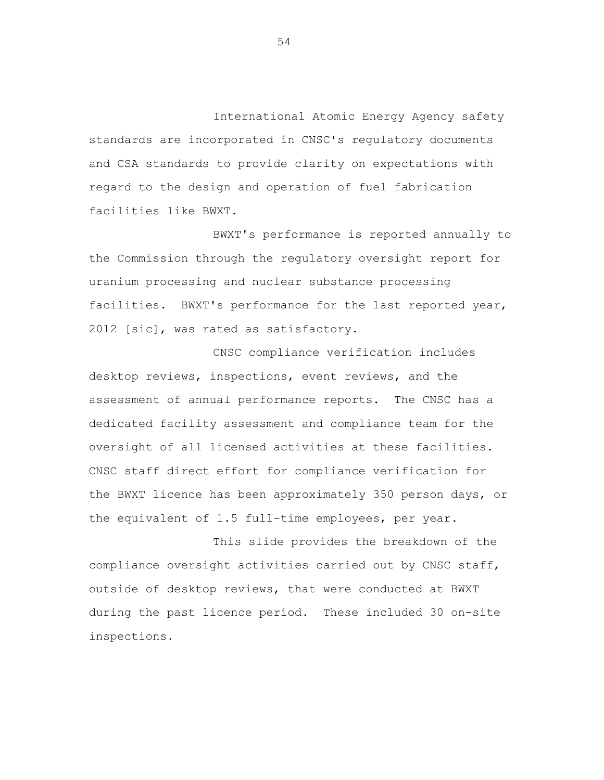International Atomic Energy Agency safety standards are incorporated in CNSC's regulatory documents and CSA standards to provide clarity on expectations with regard to the design and operation of fuel fabrication facilities like BWXT.

BWXT's performance is reported annually to the Commission through the regulatory oversight report for uranium processing and nuclear substance processing facilities. BWXT's performance for the last reported year, 2012 [sic], was rated as satisfactory.

CNSC compliance verification includes desktop reviews, inspections, event reviews, and the assessment of annual performance reports. The CNSC has a dedicated facility assessment and compliance team for the oversight of all licensed activities at these facilities. CNSC staff direct effort for compliance verification for the BWXT licence has been approximately 350 person days, or the equivalent of 1.5 full-time employees, per year.

This slide provides the breakdown of the compliance oversight activities carried out by CNSC staff, outside of desktop reviews, that were conducted at BWXT during the past licence period. These included 30 on-site inspections.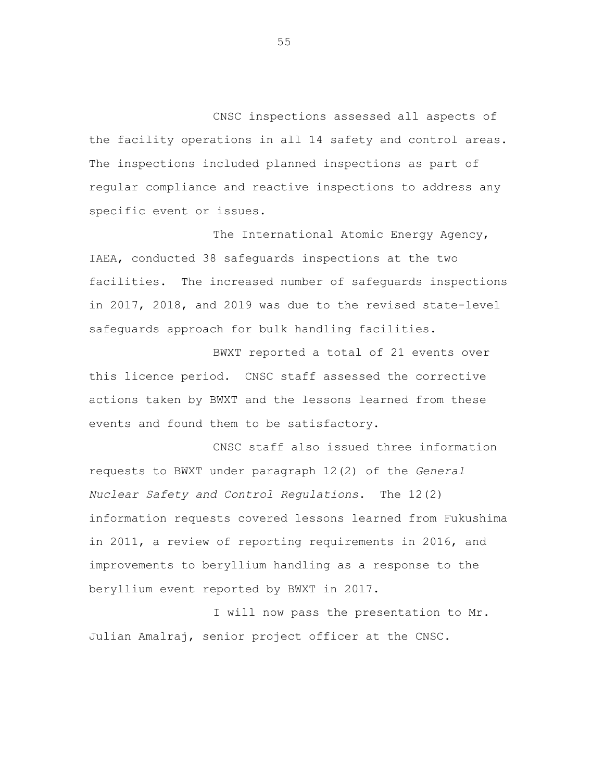CNSC inspections assessed all aspects of the facility operations in all 14 safety and control areas. The inspections included planned inspections as part of regular compliance and reactive inspections to address any specific event or issues.

The International Atomic Energy Agency, IAEA, conducted 38 safeguards inspections at the two facilities. The increased number of safeguards inspections in 2017, 2018, and 2019 was due to the revised state-level safeguards approach for bulk handling facilities.

BWXT reported a total of 21 events over this licence period. CNSC staff assessed the corrective actions taken by BWXT and the lessons learned from these events and found them to be satisfactory.

CNSC staff also issued three information requests to BWXT under paragraph 12(2) of the *General Nuclear Safety and Control Regulations*. The 12(2) information requests covered lessons learned from Fukushima in 2011, a review of reporting requirements in 2016, and improvements to beryllium handling as a response to the beryllium event reported by BWXT in 2017.

I will now pass the presentation to Mr. Julian Amalraj, senior project officer at the CNSC.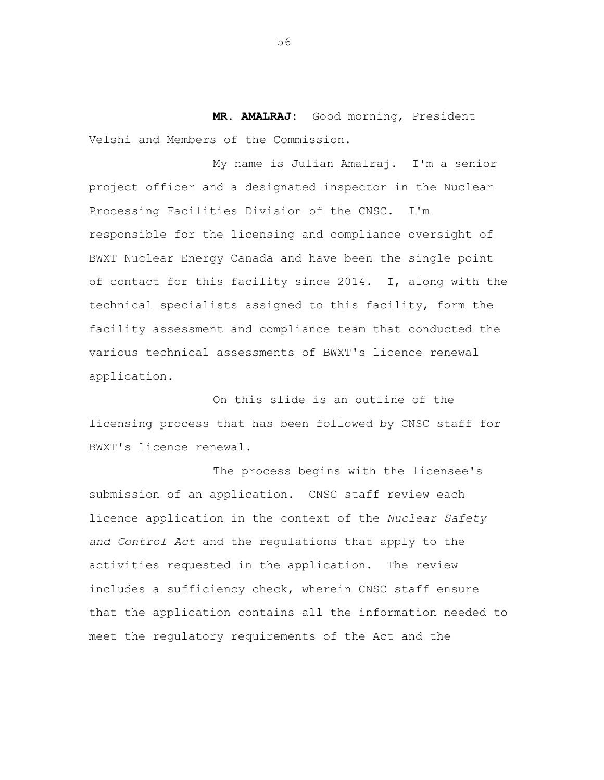**MR. AMALRAJ:** Good morning, President Velshi and Members of the Commission.

My name is Julian Amalraj. I'm a senior project officer and a designated inspector in the Nuclear Processing Facilities Division of the CNSC. I'm responsible for the licensing and compliance oversight of BWXT Nuclear Energy Canada and have been the single point of contact for this facility since 2014. I, along with the technical specialists assigned to this facility, form the facility assessment and compliance team that conducted the various technical assessments of BWXT's licence renewal application.

On this slide is an outline of the licensing process that has been followed by CNSC staff for BWXT's licence renewal.

The process begins with the licensee's submission of an application. CNSC staff review each licence application in the context of the *Nuclear Safety and Control Act* and the regulations that apply to the activities requested in the application. The review includes a sufficiency check, wherein CNSC staff ensure that the application contains all the information needed to meet the regulatory requirements of the Act and the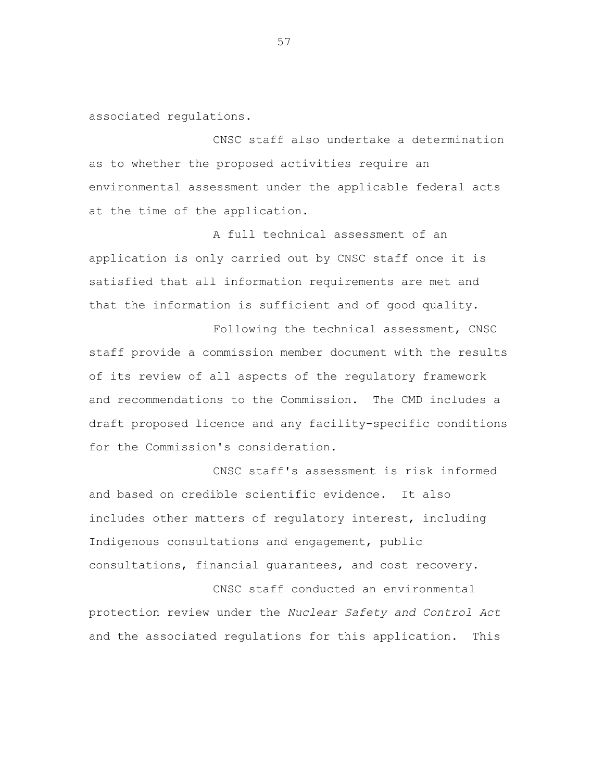associated regulations.

CNSC staff also undertake a determination as to whether the proposed activities require an environmental assessment under the applicable federal acts at the time of the application.

A full technical assessment of an application is only carried out by CNSC staff once it is satisfied that all information requirements are met and that the information is sufficient and of good quality.

Following the technical assessment, CNSC staff provide a commission member document with the results of its review of all aspects of the regulatory framework and recommendations to the Commission. The CMD includes a draft proposed licence and any facility-specific conditions for the Commission's consideration.

CNSC staff's assessment is risk informed and based on credible scientific evidence. It also includes other matters of regulatory interest, including Indigenous consultations and engagement, public consultations, financial guarantees, and cost recovery.

CNSC staff conducted an environmental protection review under the *Nuclear Safety and Control Act* and the associated regulations for this application. This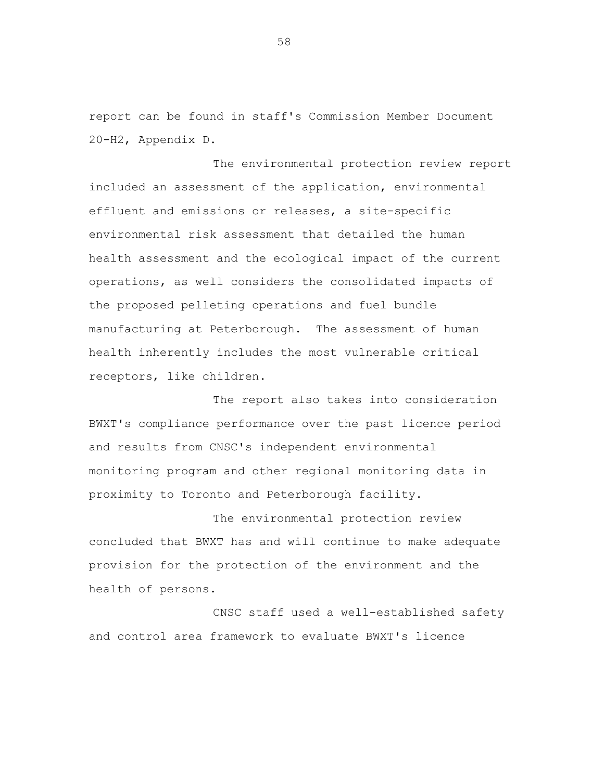report can be found in staff's Commission Member Document 20-H2, Appendix D.

The environmental protection review report included an assessment of the application, environmental effluent and emissions or releases, a site-specific environmental risk assessment that detailed the human health assessment and the ecological impact of the current operations, as well considers the consolidated impacts of the proposed pelleting operations and fuel bundle manufacturing at Peterborough. The assessment of human health inherently includes the most vulnerable critical receptors, like children.

The report also takes into consideration BWXT's compliance performance over the past licence period and results from CNSC's independent environmental monitoring program and other regional monitoring data in proximity to Toronto and Peterborough facility.

The environmental protection review concluded that BWXT has and will continue to make adequate provision for the protection of the environment and the health of persons.

CNSC staff used a well-established safety and control area framework to evaluate BWXT's licence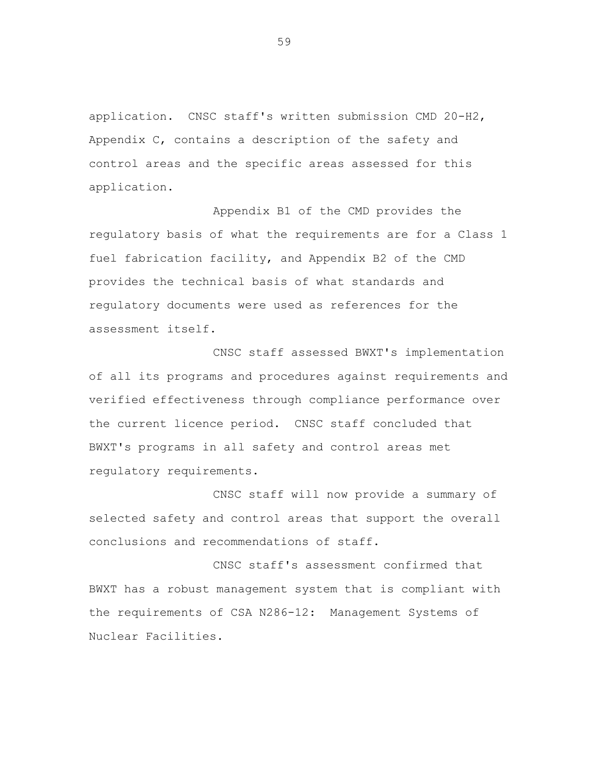application. CNSC staff's written submission CMD 20-H2, Appendix C, contains a description of the safety and control areas and the specific areas assessed for this application.

Appendix B1 of the CMD provides the regulatory basis of what the requirements are for a Class 1 fuel fabrication facility, and Appendix B2 of the CMD provides the technical basis of what standards and regulatory documents were used as references for the assessment itself.

CNSC staff assessed BWXT's implementation of all its programs and procedures against requirements and verified effectiveness through compliance performance over the current licence period. CNSC staff concluded that BWXT's programs in all safety and control areas met regulatory requirements.

CNSC staff will now provide a summary of selected safety and control areas that support the overall conclusions and recommendations of staff.

CNSC staff's assessment confirmed that BWXT has a robust management system that is compliant with the requirements of CSA N286-12: Management Systems of Nuclear Facilities.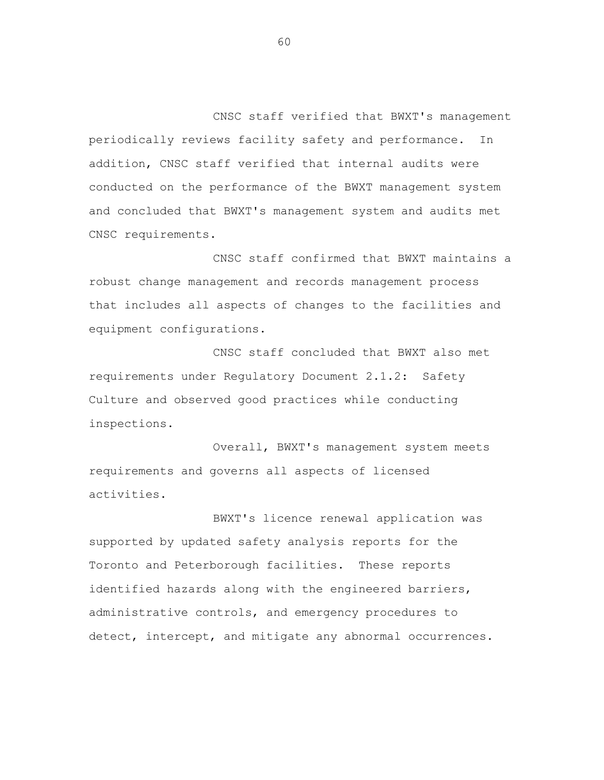CNSC staff verified that BWXT's management periodically reviews facility safety and performance. In addition, CNSC staff verified that internal audits were conducted on the performance of the BWXT management system and concluded that BWXT's management system and audits met CNSC requirements.

CNSC staff confirmed that BWXT maintains a robust change management and records management process that includes all aspects of changes to the facilities and equipment configurations.

CNSC staff concluded that BWXT also met requirements under Regulatory Document 2.1.2: Safety Culture and observed good practices while conducting inspections.

Overall, BWXT's management system meets requirements and governs all aspects of licensed activities.

BWXT's licence renewal application was supported by updated safety analysis reports for the Toronto and Peterborough facilities. These reports identified hazards along with the engineered barriers, administrative controls, and emergency procedures to detect, intercept, and mitigate any abnormal occurrences.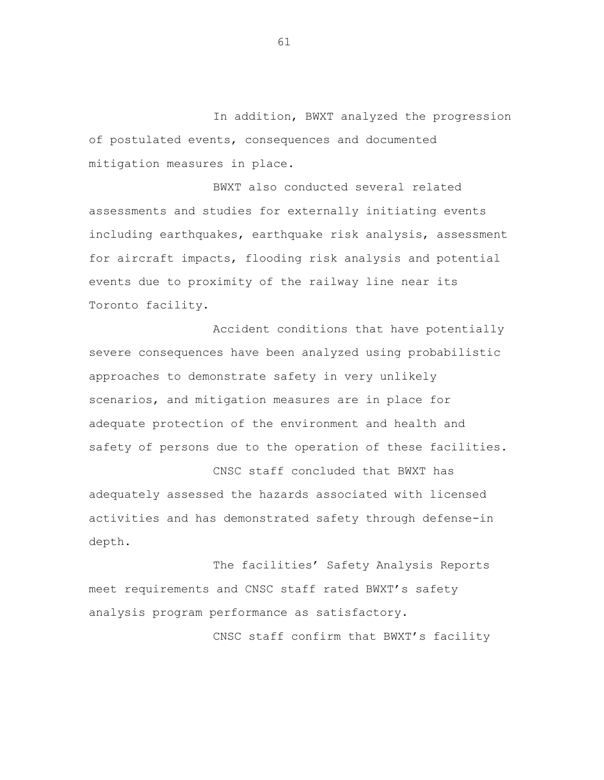In addition, BWXT analyzed the progression of postulated events, consequences and documented mitigation measures in place.

BWXT also conducted several related assessments and studies for externally initiating events including earthquakes, earthquake risk analysis, assessment for aircraft impacts, flooding risk analysis and potential events due to proximity of the railway line near its Toronto facility.

Accident conditions that have potentially severe consequences have been analyzed using probabilistic approaches to demonstrate safety in very unlikely scenarios, and mitigation measures are in place for adequate protection of the environment and health and safety of persons due to the operation of these facilities.

CNSC staff concluded that BWXT has adequately assessed the hazards associated with licensed activities and has demonstrated safety through defense-in depth.

The facilities' Safety Analysis Reports meet requirements and CNSC staff rated BWXT's safety analysis program performance as satisfactory.

CNSC staff confirm that BWXT's facility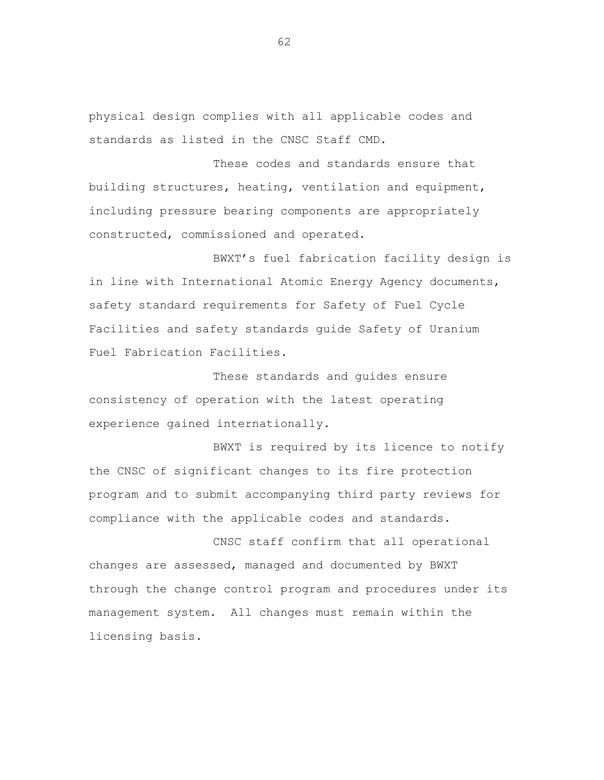physical design complies with all applicable codes and standards as listed in the CNSC Staff CMD.

These codes and standards ensure that building structures, heating, ventilation and equipment, including pressure bearing components are appropriately constructed, commissioned and operated.

BWXT's fuel fabrication facility design is in line with International Atomic Energy Agency documents, safety standard requirements for Safety of Fuel Cycle Facilities and safety standards guide Safety of Uranium Fuel Fabrication Facilities.

These standards and guides ensure consistency of operation with the latest operating experience gained internationally.

BWXT is required by its licence to notify the CNSC of significant changes to its fire protection program and to submit accompanying third party reviews for compliance with the applicable codes and standards.

CNSC staff confirm that all operational changes are assessed, managed and documented by BWXT through the change control program and procedures under its management system. All changes must remain within the licensing basis.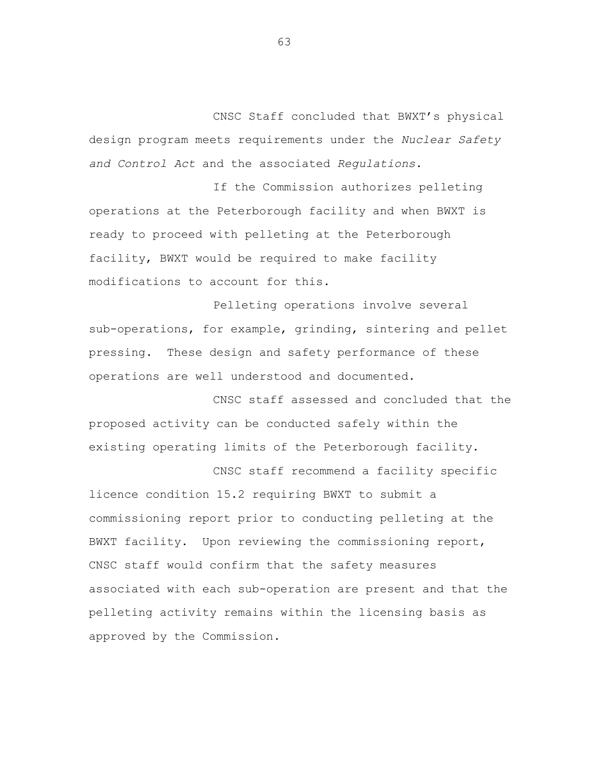CNSC Staff concluded that BWXT's physical design program meets requirements under the *Nuclear Safety and Control Act* and the associated *Regulations*.

If the Commission authorizes pelleting operations at the Peterborough facility and when BWXT is ready to proceed with pelleting at the Peterborough facility, BWXT would be required to make facility modifications to account for this.

Pelleting operations involve several sub-operations, for example, grinding, sintering and pellet pressing. These design and safety performance of these operations are well understood and documented.

CNSC staff assessed and concluded that the proposed activity can be conducted safely within the existing operating limits of the Peterborough facility.

CNSC staff recommend a facility specific licence condition 15.2 requiring BWXT to submit a commissioning report prior to conducting pelleting at the BWXT facility. Upon reviewing the commissioning report, CNSC staff would confirm that the safety measures associated with each sub-operation are present and that the pelleting activity remains within the licensing basis as approved by the Commission.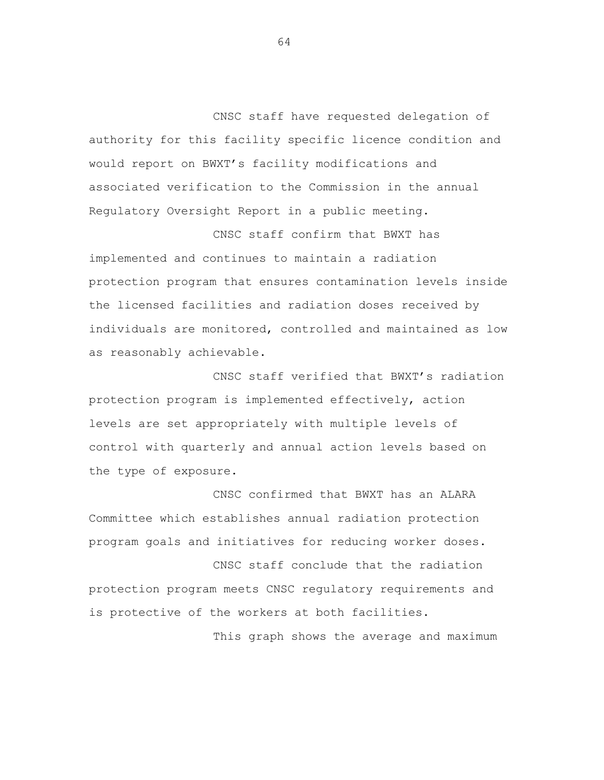CNSC staff have requested delegation of authority for this facility specific licence condition and would report on BWXT's facility modifications and associated verification to the Commission in the annual Regulatory Oversight Report in a public meeting.

CNSC staff confirm that BWXT has implemented and continues to maintain a radiation protection program that ensures contamination levels inside the licensed facilities and radiation doses received by individuals are monitored, controlled and maintained as low as reasonably achievable.

CNSC staff verified that BWXT's radiation protection program is implemented effectively, action levels are set appropriately with multiple levels of control with quarterly and annual action levels based on the type of exposure.

CNSC confirmed that BWXT has an ALARA Committee which establishes annual radiation protection program goals and initiatives for reducing worker doses.

CNSC staff conclude that the radiation protection program meets CNSC regulatory requirements and is protective of the workers at both facilities.

This graph shows the average and maximum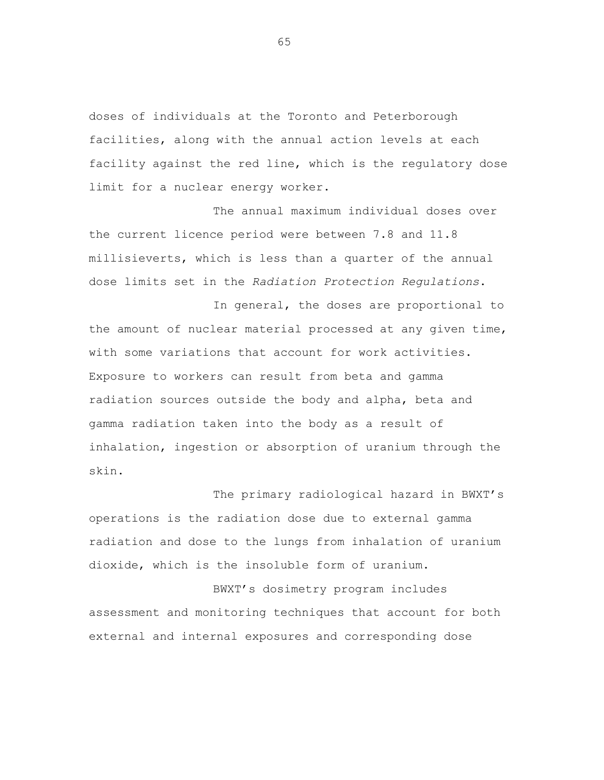doses of individuals at the Toronto and Peterborough facilities, along with the annual action levels at each facility against the red line, which is the regulatory dose limit for a nuclear energy worker.

The annual maximum individual doses over the current licence period were between 7.8 and 11.8 millisieverts, which is less than a quarter of the annual dose limits set in the *Radiation Protection Regulations*.

In general, the doses are proportional to the amount of nuclear material processed at any given time, with some variations that account for work activities. Exposure to workers can result from beta and gamma radiation sources outside the body and alpha, beta and gamma radiation taken into the body as a result of inhalation, ingestion or absorption of uranium through the skin.

The primary radiological hazard in BWXT's operations is the radiation dose due to external gamma radiation and dose to the lungs from inhalation of uranium dioxide, which is the insoluble form of uranium.

BWXT's dosimetry program includes assessment and monitoring techniques that account for both external and internal exposures and corresponding dose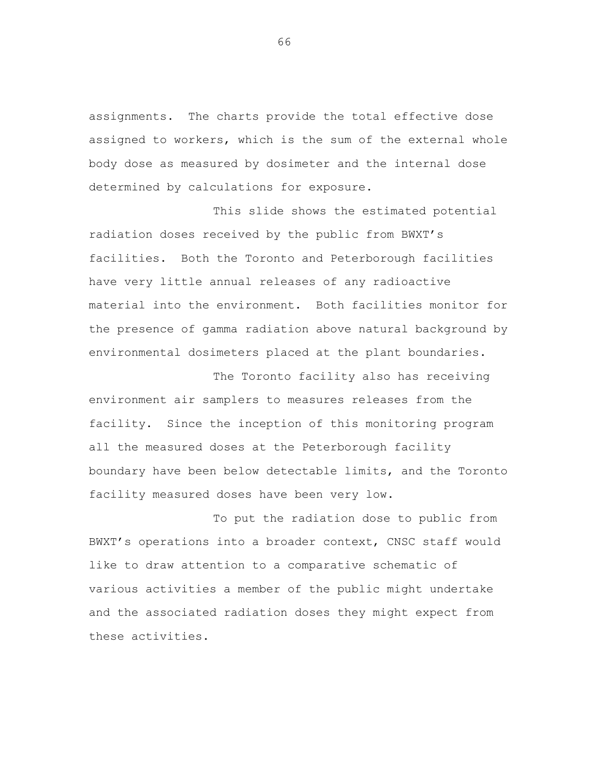assignments. The charts provide the total effective dose assigned to workers, which is the sum of the external whole body dose as measured by dosimeter and the internal dose determined by calculations for exposure.

This slide shows the estimated potential radiation doses received by the public from BWXT's facilities. Both the Toronto and Peterborough facilities have very little annual releases of any radioactive material into the environment. Both facilities monitor for the presence of gamma radiation above natural background by environmental dosimeters placed at the plant boundaries.

The Toronto facility also has receiving environment air samplers to measures releases from the facility. Since the inception of this monitoring program all the measured doses at the Peterborough facility boundary have been below detectable limits, and the Toronto facility measured doses have been very low.

To put the radiation dose to public from BWXT's operations into a broader context, CNSC staff would like to draw attention to a comparative schematic of various activities a member of the public might undertake and the associated radiation doses they might expect from these activities.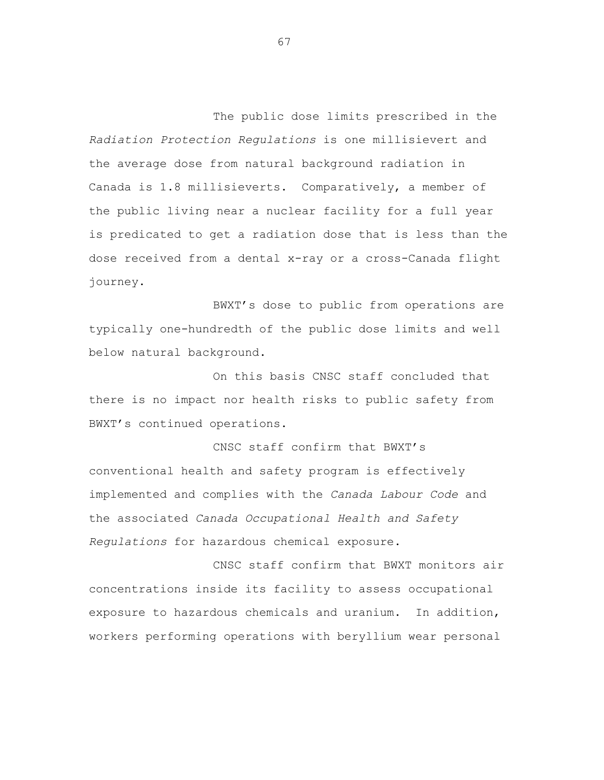The public dose limits prescribed in the *Radiation Protection Regulations* is one millisievert and the average dose from natural background radiation in Canada is 1.8 millisieverts. Comparatively, a member of the public living near a nuclear facility for a full year is predicated to get a radiation dose that is less than the dose received from a dental x-ray or a cross-Canada flight journey.

BWXT's dose to public from operations are typically one-hundredth of the public dose limits and well below natural background.

On this basis CNSC staff concluded that there is no impact nor health risks to public safety from BWXT's continued operations.

CNSC staff confirm that BWXT's conventional health and safety program is effectively implemented and complies with the *Canada Labour Code* and the associated *Canada Occupational Health and Safety Regulations* for hazardous chemical exposure.

CNSC staff confirm that BWXT monitors air concentrations inside its facility to assess occupational exposure to hazardous chemicals and uranium. In addition, workers performing operations with beryllium wear personal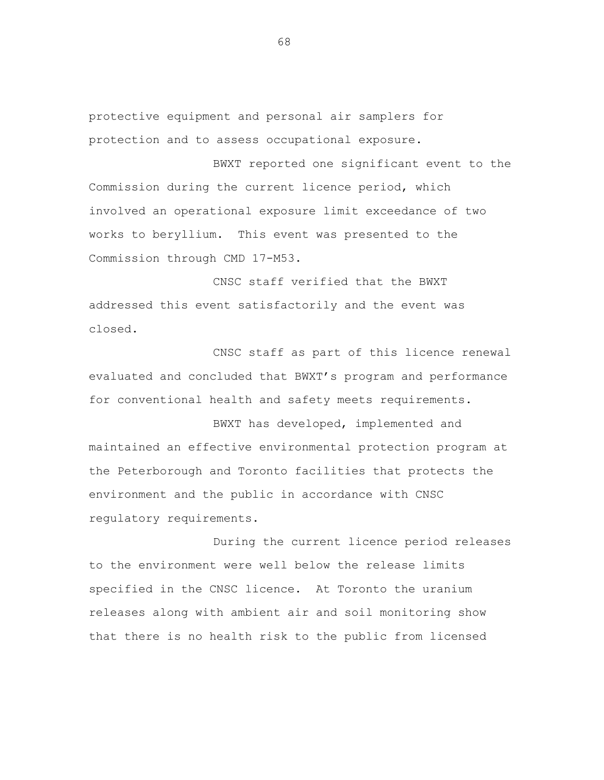protective equipment and personal air samplers for protection and to assess occupational exposure.

BWXT reported one significant event to the Commission during the current licence period, which involved an operational exposure limit exceedance of two works to beryllium. This event was presented to the Commission through CMD 17-M53.

CNSC staff verified that the BWXT addressed this event satisfactorily and the event was closed.

CNSC staff as part of this licence renewal evaluated and concluded that BWXT's program and performance for conventional health and safety meets requirements.

BWXT has developed, implemented and maintained an effective environmental protection program at the Peterborough and Toronto facilities that protects the environment and the public in accordance with CNSC regulatory requirements.

During the current licence period releases to the environment were well below the release limits specified in the CNSC licence. At Toronto the uranium releases along with ambient air and soil monitoring show that there is no health risk to the public from licensed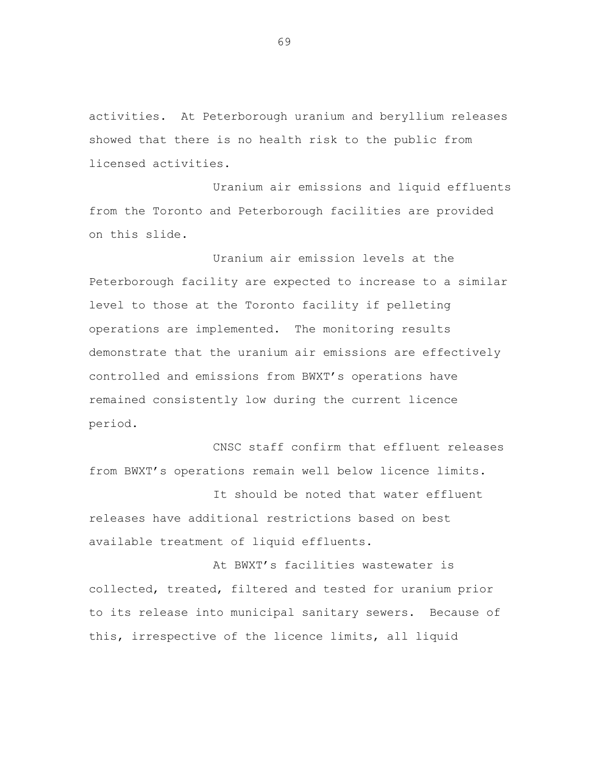activities. At Peterborough uranium and beryllium releases showed that there is no health risk to the public from licensed activities.

Uranium air emissions and liquid effluents from the Toronto and Peterborough facilities are provided on this slide.

Uranium air emission levels at the Peterborough facility are expected to increase to a similar level to those at the Toronto facility if pelleting operations are implemented. The monitoring results demonstrate that the uranium air emissions are effectively controlled and emissions from BWXT's operations have remained consistently low during the current licence period.

CNSC staff confirm that effluent releases from BWXT's operations remain well below licence limits.

It should be noted that water effluent releases have additional restrictions based on best available treatment of liquid effluents.

At BWXT's facilities wastewater is collected, treated, filtered and tested for uranium prior to its release into municipal sanitary sewers. Because of this, irrespective of the licence limits, all liquid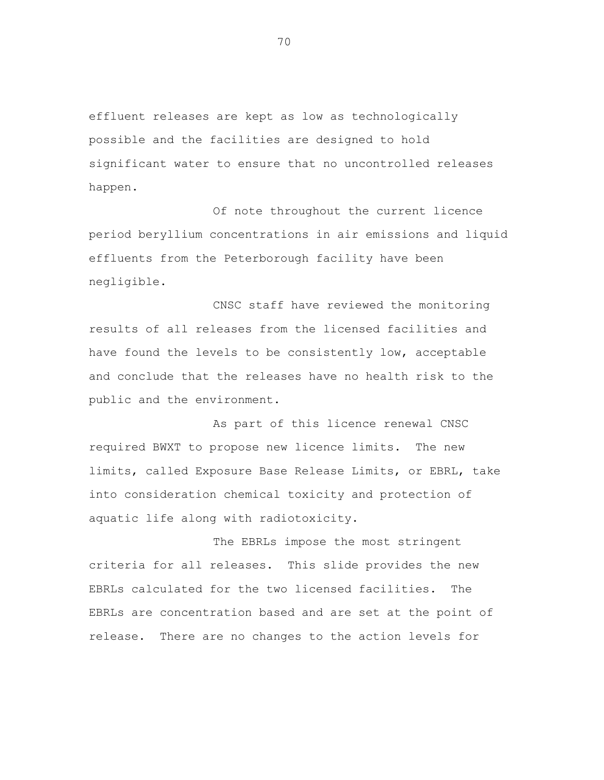effluent releases are kept as low as technologically possible and the facilities are designed to hold significant water to ensure that no uncontrolled releases happen.

Of note throughout the current licence period beryllium concentrations in air emissions and liquid effluents from the Peterborough facility have been negligible.

CNSC staff have reviewed the monitoring results of all releases from the licensed facilities and have found the levels to be consistently low, acceptable and conclude that the releases have no health risk to the public and the environment.

As part of this licence renewal CNSC required BWXT to propose new licence limits. The new limits, called Exposure Base Release Limits, or EBRL, take into consideration chemical toxicity and protection of aquatic life along with radiotoxicity.

The EBRLs impose the most stringent criteria for all releases. This slide provides the new EBRLs calculated for the two licensed facilities. The EBRLs are concentration based and are set at the point of release. There are no changes to the action levels for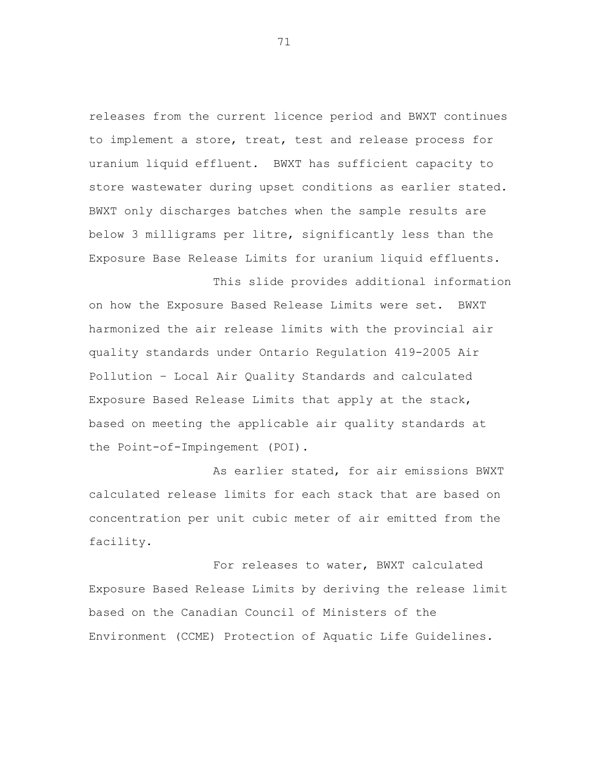releases from the current licence period and BWXT continues to implement a store, treat, test and release process for uranium liquid effluent. BWXT has sufficient capacity to store wastewater during upset conditions as earlier stated. BWXT only discharges batches when the sample results are below 3 milligrams per litre, significantly less than the Exposure Base Release Limits for uranium liquid effluents.

This slide provides additional information

on how the Exposure Based Release Limits were set. BWXT harmonized the air release limits with the provincial air quality standards under Ontario Regulation 419-2005 Air Pollution – Local Air Quality Standards and calculated Exposure Based Release Limits that apply at the stack, based on meeting the applicable air quality standards at the Point-of-Impingement (POI).

As earlier stated, for air emissions BWXT calculated release limits for each stack that are based on concentration per unit cubic meter of air emitted from the facility.

For releases to water, BWXT calculated Exposure Based Release Limits by deriving the release limit based on the Canadian Council of Ministers of the Environment (CCME) Protection of Aquatic Life Guidelines.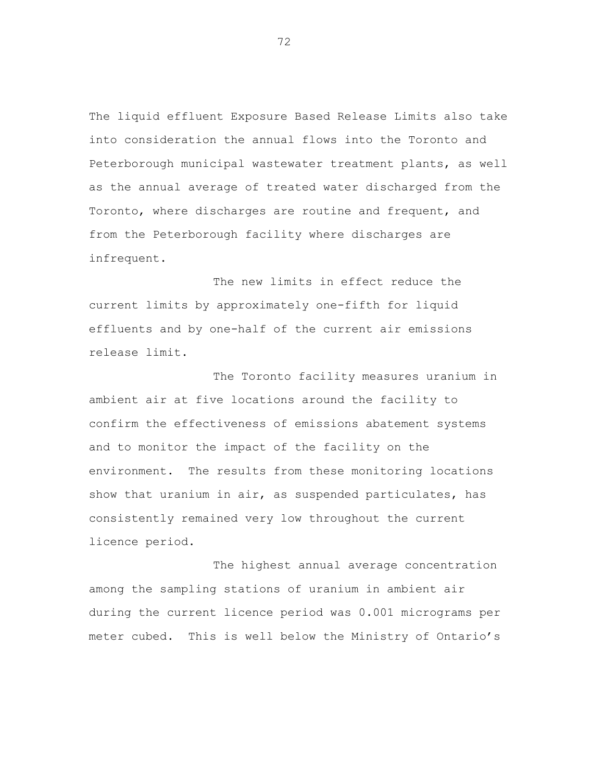The liquid effluent Exposure Based Release Limits also take into consideration the annual flows into the Toronto and Peterborough municipal wastewater treatment plants, as well as the annual average of treated water discharged from the Toronto, where discharges are routine and frequent, and from the Peterborough facility where discharges are infrequent.

The new limits in effect reduce the current limits by approximately one-fifth for liquid effluents and by one-half of the current air emissions release limit.

The Toronto facility measures uranium in ambient air at five locations around the facility to confirm the effectiveness of emissions abatement systems and to monitor the impact of the facility on the environment. The results from these monitoring locations show that uranium in air, as suspended particulates, has consistently remained very low throughout the current licence period.

The highest annual average concentration among the sampling stations of uranium in ambient air during the current licence period was 0.001 micrograms per meter cubed. This is well below the Ministry of Ontario's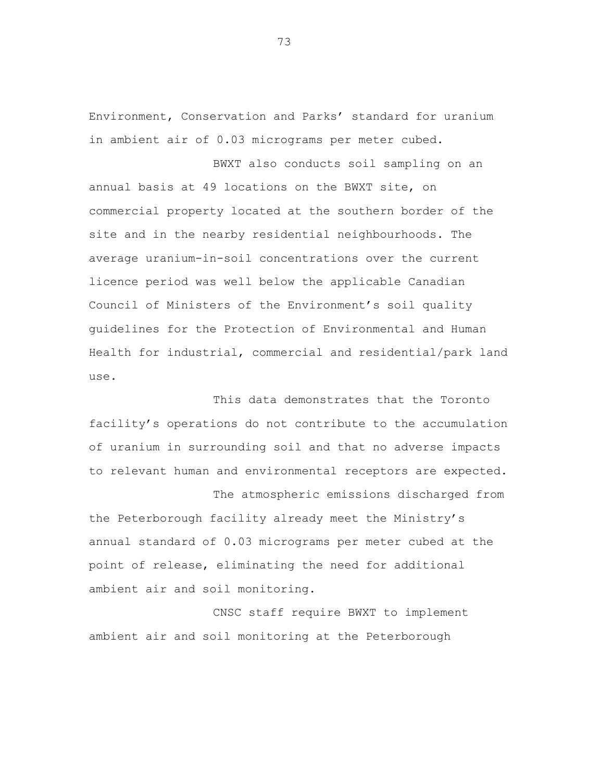Environment, Conservation and Parks' standard for uranium in ambient air of 0.03 micrograms per meter cubed.

BWXT also conducts soil sampling on an annual basis at 49 locations on the BWXT site, on commercial property located at the southern border of the site and in the nearby residential neighbourhoods. The average uranium-in-soil concentrations over the current licence period was well below the applicable Canadian Council of Ministers of the Environment's soil quality guidelines for the Protection of Environmental and Human Health for industrial, commercial and residential/park land use.

This data demonstrates that the Toronto facility's operations do not contribute to the accumulation of uranium in surrounding soil and that no adverse impacts to relevant human and environmental receptors are expected. The atmospheric emissions discharged from

the Peterborough facility already meet the Ministry's annual standard of 0.03 micrograms per meter cubed at the point of release, eliminating the need for additional ambient air and soil monitoring.

CNSC staff require BWXT to implement ambient air and soil monitoring at the Peterborough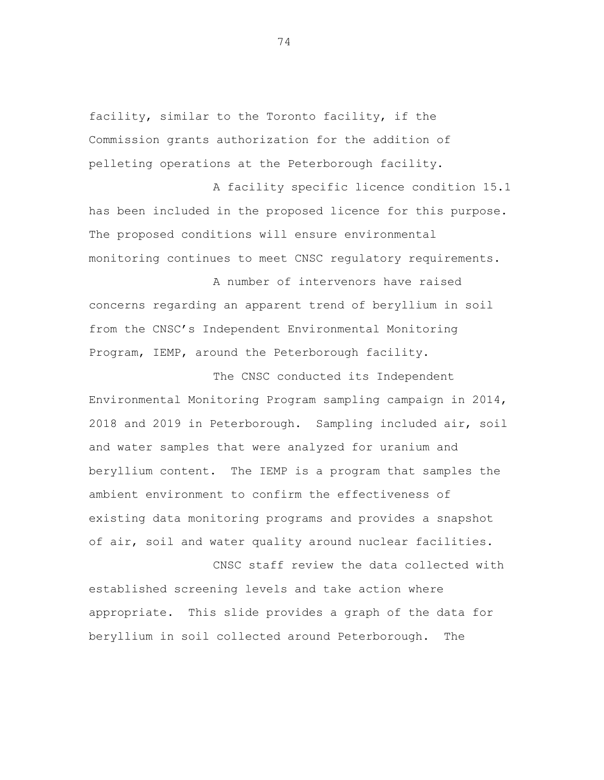facility, similar to the Toronto facility, if the Commission grants authorization for the addition of pelleting operations at the Peterborough facility.

A facility specific licence condition 15.1 has been included in the proposed licence for this purpose. The proposed conditions will ensure environmental monitoring continues to meet CNSC regulatory requirements.

A number of intervenors have raised concerns regarding an apparent trend of beryllium in soil from the CNSC's Independent Environmental Monitoring Program, IEMP, around the Peterborough facility.

The CNSC conducted its Independent Environmental Monitoring Program sampling campaign in 2014, 2018 and 2019 in Peterborough. Sampling included air, soil and water samples that were analyzed for uranium and beryllium content. The IEMP is a program that samples the ambient environment to confirm the effectiveness of existing data monitoring programs and provides a snapshot of air, soil and water quality around nuclear facilities.

CNSC staff review the data collected with established screening levels and take action where appropriate. This slide provides a graph of the data for beryllium in soil collected around Peterborough. The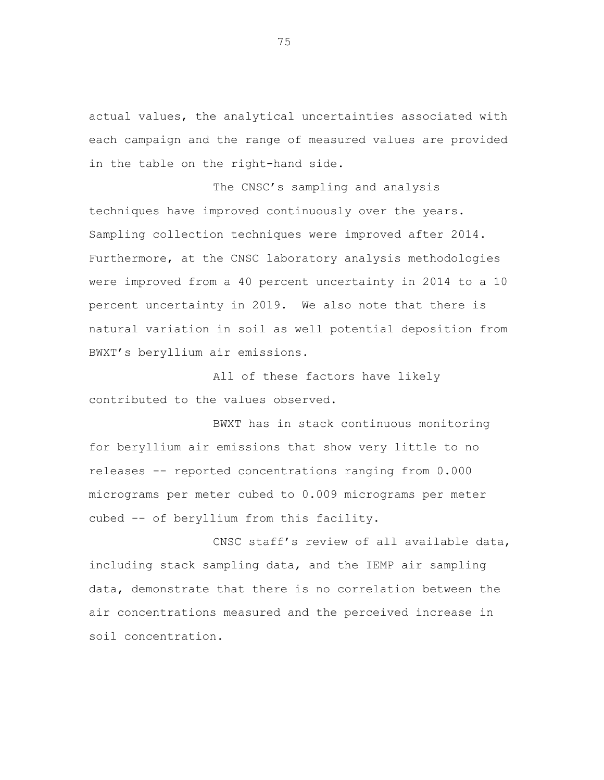actual values, the analytical uncertainties associated with each campaign and the range of measured values are provided in the table on the right-hand side.

The CNSC's sampling and analysis techniques have improved continuously over the years. Sampling collection techniques were improved after 2014. Furthermore, at the CNSC laboratory analysis methodologies were improved from a 40 percent uncertainty in 2014 to a 10 percent uncertainty in 2019. We also note that there is natural variation in soil as well potential deposition from BWXT's beryllium air emissions.

All of these factors have likely contributed to the values observed.

BWXT has in stack continuous monitoring for beryllium air emissions that show very little to no releases -- reported concentrations ranging from 0.000 micrograms per meter cubed to 0.009 micrograms per meter cubed -- of beryllium from this facility.

CNSC staff's review of all available data, including stack sampling data, and the IEMP air sampling data, demonstrate that there is no correlation between the air concentrations measured and the perceived increase in soil concentration.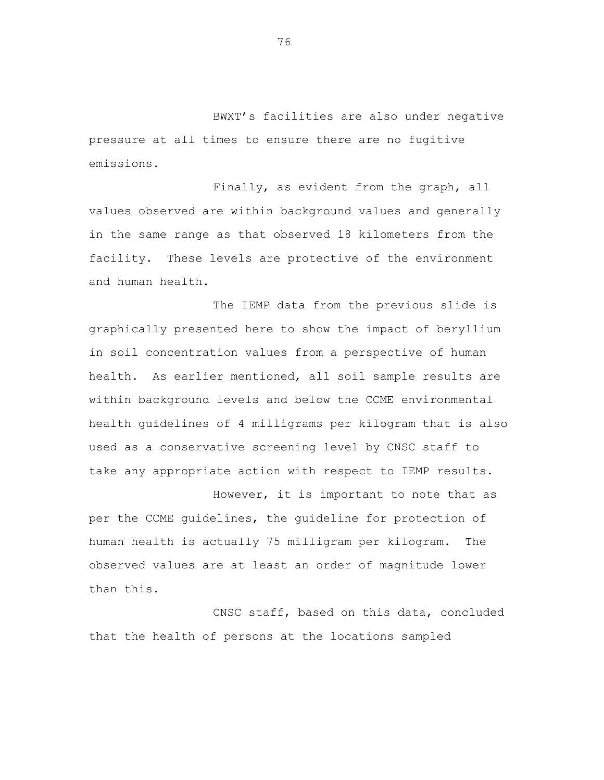BWXT's facilities are also under negative pressure at all times to ensure there are no fugitive emissions.

Finally, as evident from the graph, all values observed are within background values and generally in the same range as that observed 18 kilometers from the facility. These levels are protective of the environment and human health.

The IEMP data from the previous slide is graphically presented here to show the impact of beryllium in soil concentration values from a perspective of human health. As earlier mentioned, all soil sample results are within background levels and below the CCME environmental health guidelines of 4 milligrams per kilogram that is also used as a conservative screening level by CNSC staff to take any appropriate action with respect to IEMP results.

However, it is important to note that as per the CCME guidelines, the guideline for protection of human health is actually 75 milligram per kilogram. The observed values are at least an order of magnitude lower than this.

CNSC staff, based on this data, concluded that the health of persons at the locations sampled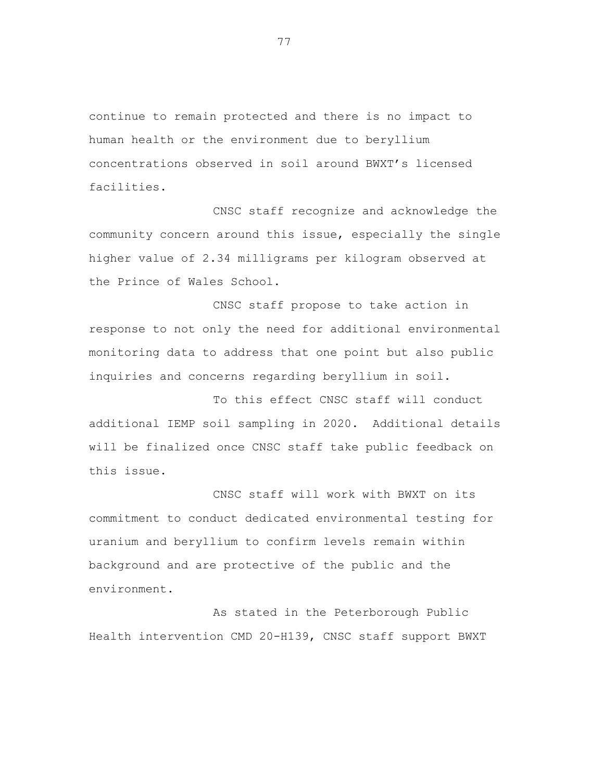continue to remain protected and there is no impact to human health or the environment due to beryllium concentrations observed in soil around BWXT's licensed facilities.

CNSC staff recognize and acknowledge the community concern around this issue, especially the single higher value of 2.34 milligrams per kilogram observed at the Prince of Wales School.

CNSC staff propose to take action in response to not only the need for additional environmental monitoring data to address that one point but also public inquiries and concerns regarding beryllium in soil.

To this effect CNSC staff will conduct additional IEMP soil sampling in 2020. Additional details will be finalized once CNSC staff take public feedback on this issue.

CNSC staff will work with BWXT on its commitment to conduct dedicated environmental testing for uranium and beryllium to confirm levels remain within background and are protective of the public and the environment.

As stated in the Peterborough Public Health intervention CMD 20-H139, CNSC staff support BWXT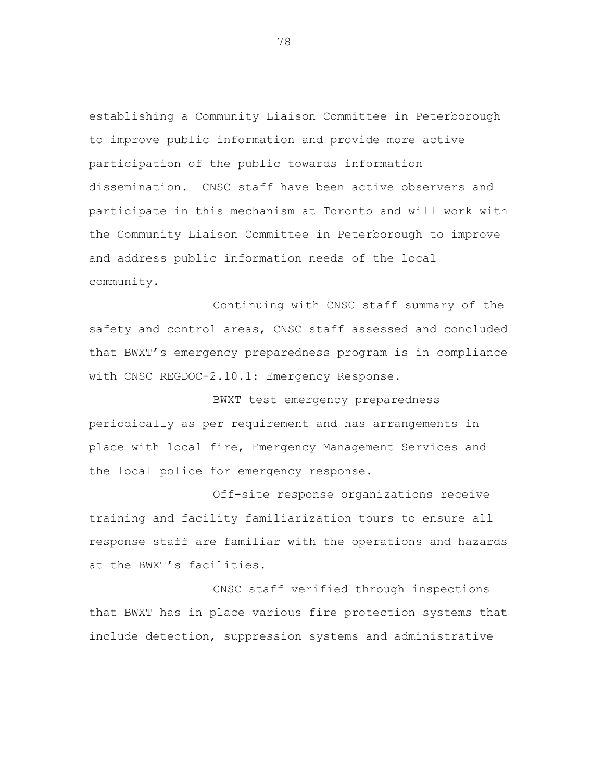establishing a Community Liaison Committee in Peterborough to improve public information and provide more active participation of the public towards information dissemination. CNSC staff have been active observers and participate in this mechanism at Toronto and will work with the Community Liaison Committee in Peterborough to improve and address public information needs of the local community.

Continuing with CNSC staff summary of the safety and control areas, CNSC staff assessed and concluded that BWXT's emergency preparedness program is in compliance with CNSC REGDOC-2.10.1: Emergency Response.

BWXT test emergency preparedness periodically as per requirement and has arrangements in place with local fire, Emergency Management Services and the local police for emergency response.

Off-site response organizations receive training and facility familiarization tours to ensure all response staff are familiar with the operations and hazards at the BWXT's facilities.

CNSC staff verified through inspections that BWXT has in place various fire protection systems that include detection, suppression systems and administrative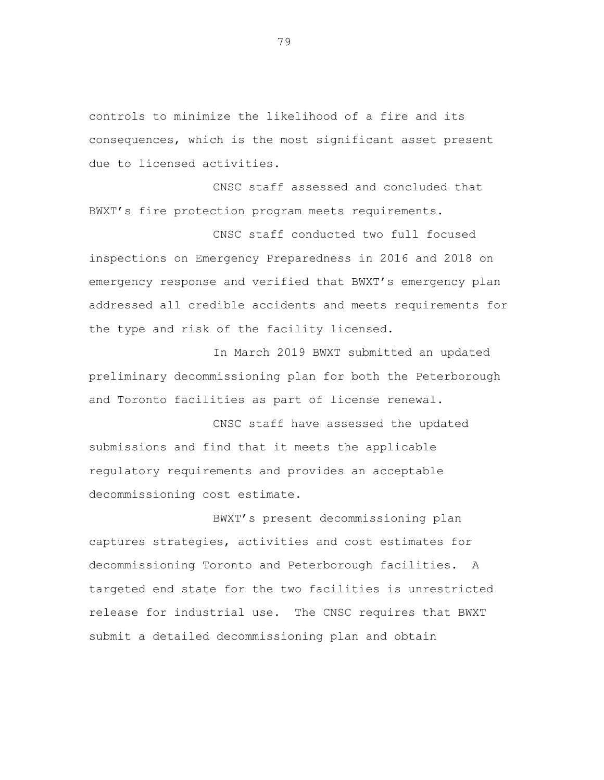controls to minimize the likelihood of a fire and its consequences, which is the most significant asset present due to licensed activities.

CNSC staff assessed and concluded that BWXT's fire protection program meets requirements.

CNSC staff conducted two full focused inspections on Emergency Preparedness in 2016 and 2018 on emergency response and verified that BWXT's emergency plan addressed all credible accidents and meets requirements for the type and risk of the facility licensed.

In March 2019 BWXT submitted an updated preliminary decommissioning plan for both the Peterborough and Toronto facilities as part of license renewal.

CNSC staff have assessed the updated submissions and find that it meets the applicable regulatory requirements and provides an acceptable decommissioning cost estimate.

BWXT's present decommissioning plan captures strategies, activities and cost estimates for decommissioning Toronto and Peterborough facilities. A targeted end state for the two facilities is unrestricted release for industrial use. The CNSC requires that BWXT submit a detailed decommissioning plan and obtain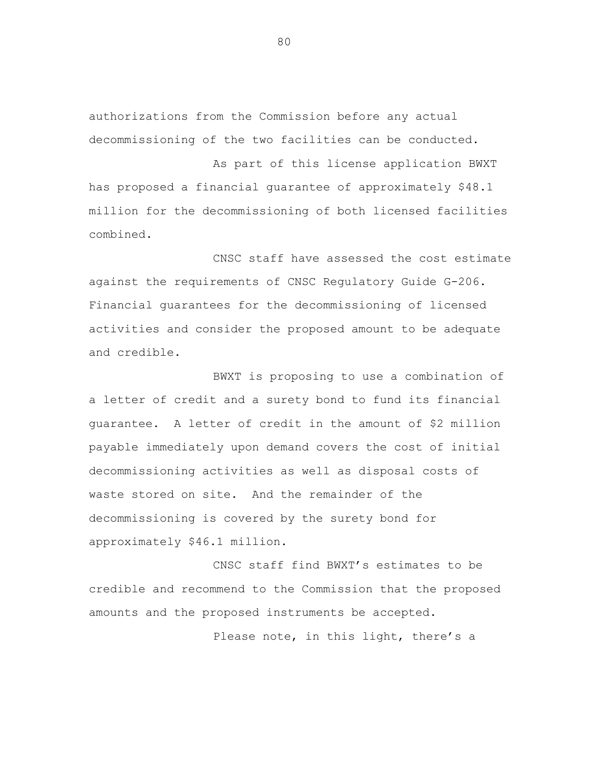authorizations from the Commission before any actual decommissioning of the two facilities can be conducted.

As part of this license application BWXT has proposed a financial guarantee of approximately \$48.1 million for the decommissioning of both licensed facilities combined.

CNSC staff have assessed the cost estimate against the requirements of CNSC Regulatory Guide G-206. Financial guarantees for the decommissioning of licensed activities and consider the proposed amount to be adequate and credible.

BWXT is proposing to use a combination of a letter of credit and a surety bond to fund its financial guarantee. A letter of credit in the amount of \$2 million payable immediately upon demand covers the cost of initial decommissioning activities as well as disposal costs of waste stored on site. And the remainder of the decommissioning is covered by the surety bond for approximately \$46.1 million.

CNSC staff find BWXT's estimates to be credible and recommend to the Commission that the proposed amounts and the proposed instruments be accepted.

Please note, in this light, there's a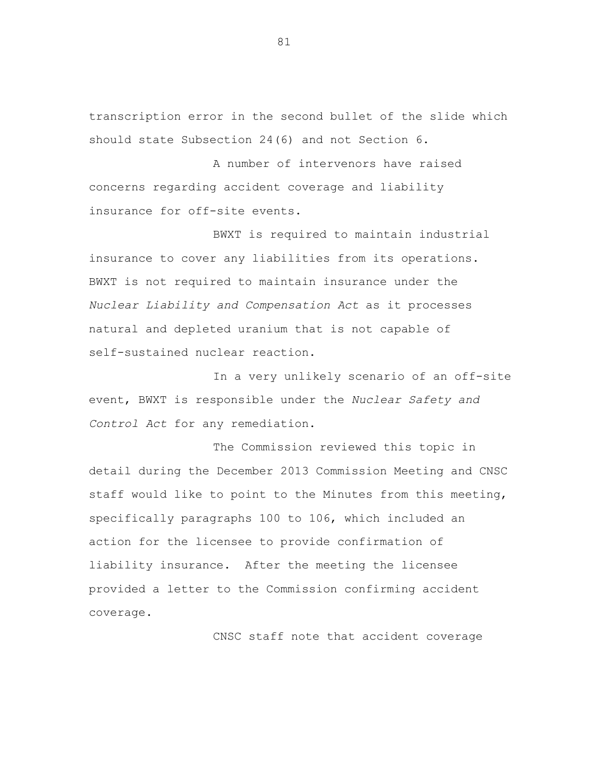transcription error in the second bullet of the slide which should state Subsection 24(6) and not Section 6.

A number of intervenors have raised concerns regarding accident coverage and liability insurance for off-site events.

BWXT is required to maintain industrial insurance to cover any liabilities from its operations. BWXT is not required to maintain insurance under the *Nuclear Liability and Compensation Act* as it processes natural and depleted uranium that is not capable of self-sustained nuclear reaction.

In a very unlikely scenario of an off-site event, BWXT is responsible under the *Nuclear Safety and Control Act* for any remediation.

The Commission reviewed this topic in detail during the December 2013 Commission Meeting and CNSC staff would like to point to the Minutes from this meeting, specifically paragraphs 100 to 106, which included an action for the licensee to provide confirmation of liability insurance. After the meeting the licensee provided a letter to the Commission confirming accident coverage.

CNSC staff note that accident coverage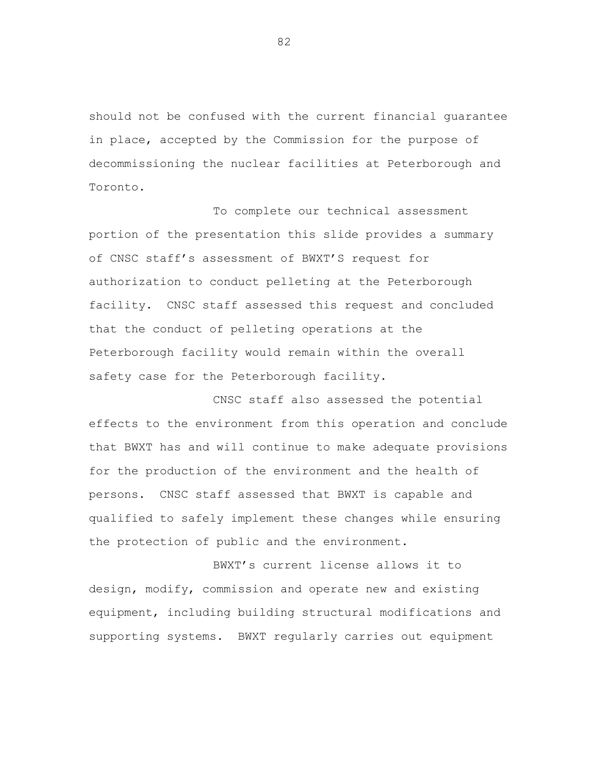should not be confused with the current financial guarantee in place, accepted by the Commission for the purpose of decommissioning the nuclear facilities at Peterborough and Toronto.

To complete our technical assessment portion of the presentation this slide provides a summary of CNSC staff's assessment of BWXT'S request for authorization to conduct pelleting at the Peterborough facility. CNSC staff assessed this request and concluded that the conduct of pelleting operations at the Peterborough facility would remain within the overall safety case for the Peterborough facility.

CNSC staff also assessed the potential effects to the environment from this operation and conclude that BWXT has and will continue to make adequate provisions for the production of the environment and the health of persons. CNSC staff assessed that BWXT is capable and qualified to safely implement these changes while ensuring the protection of public and the environment.

BWXT's current license allows it to design, modify, commission and operate new and existing equipment, including building structural modifications and supporting systems. BWXT regularly carries out equipment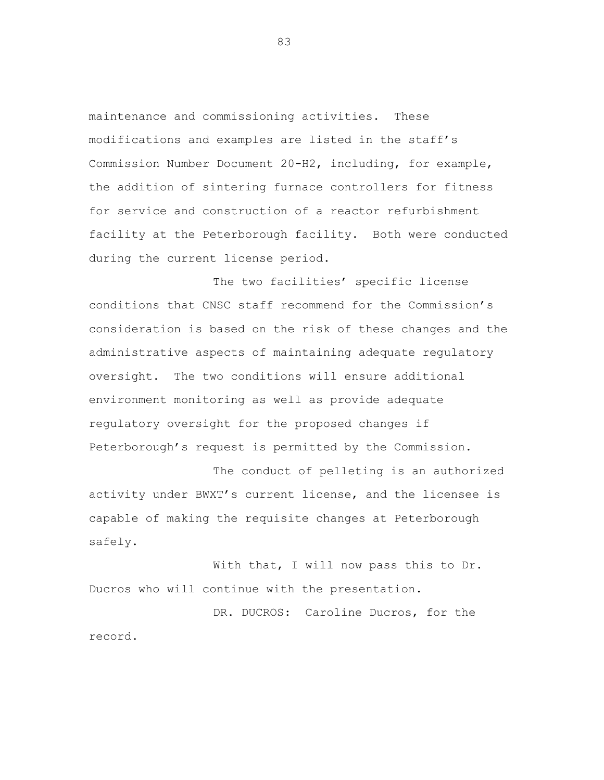maintenance and commissioning activities. These modifications and examples are listed in the staff's Commission Number Document 20-H2, including, for example, the addition of sintering furnace controllers for fitness for service and construction of a reactor refurbishment facility at the Peterborough facility. Both were conducted during the current license period.

The two facilities' specific license conditions that CNSC staff recommend for the Commission's consideration is based on the risk of these changes and the administrative aspects of maintaining adequate regulatory oversight. The two conditions will ensure additional environment monitoring as well as provide adequate regulatory oversight for the proposed changes if Peterborough's request is permitted by the Commission.

The conduct of pelleting is an authorized activity under BWXT's current license, and the licensee is capable of making the requisite changes at Peterborough safely.

With that, I will now pass this to Dr. Ducros who will continue with the presentation.

DR. DUCROS: Caroline Ducros, for the record.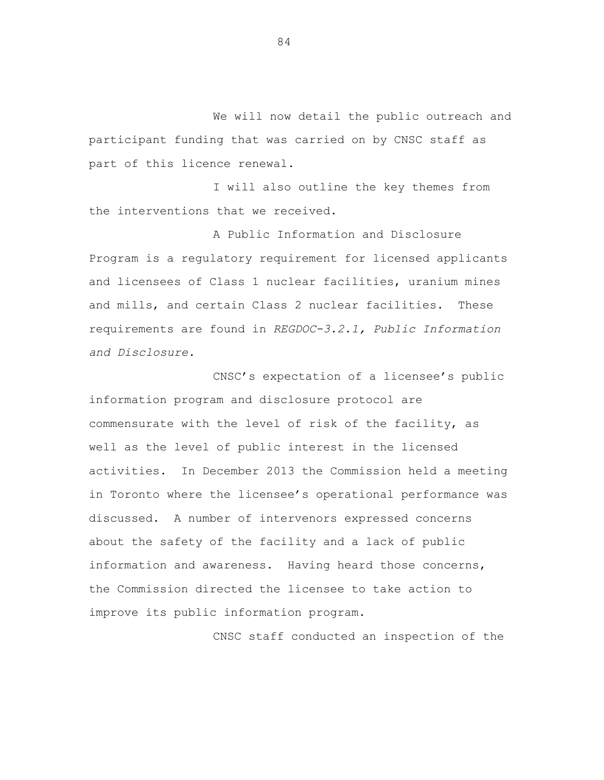We will now detail the public outreach and participant funding that was carried on by CNSC staff as part of this licence renewal.

I will also outline the key themes from the interventions that we received.

A Public Information and Disclosure Program is a regulatory requirement for licensed applicants and licensees of Class 1 nuclear facilities, uranium mines and mills, and certain Class 2 nuclear facilities. These requirements are found in *REGDOC-3.2.1, Public Information and Disclosure.* 

CNSC's expectation of a licensee's public information program and disclosure protocol are commensurate with the level of risk of the facility, as well as the level of public interest in the licensed activities. In December 2013 the Commission held a meeting in Toronto where the licensee's operational performance was discussed. A number of intervenors expressed concerns about the safety of the facility and a lack of public information and awareness. Having heard those concerns, the Commission directed the licensee to take action to improve its public information program.

CNSC staff conducted an inspection of the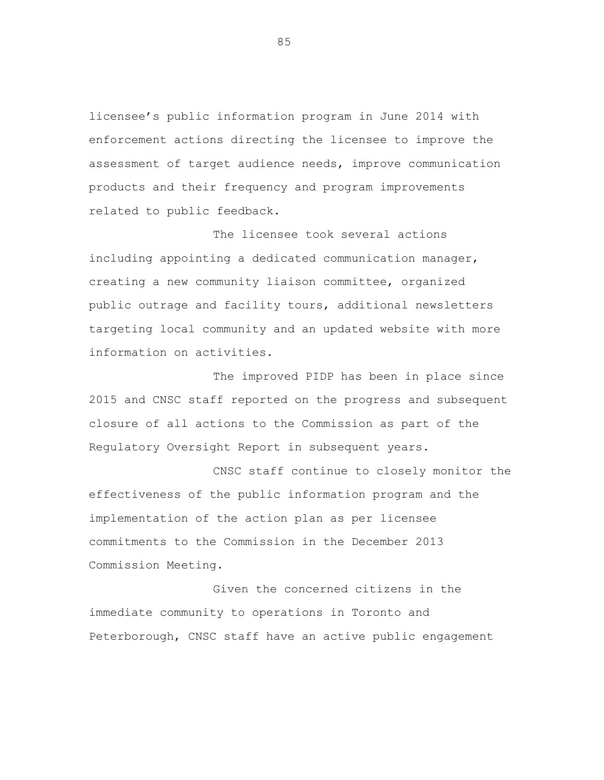licensee's public information program in June 2014 with enforcement actions directing the licensee to improve the assessment of target audience needs, improve communication products and their frequency and program improvements related to public feedback.

The licensee took several actions including appointing a dedicated communication manager, creating a new community liaison committee, organized public outrage and facility tours, additional newsletters targeting local community and an updated website with more information on activities.

The improved PIDP has been in place since 2015 and CNSC staff reported on the progress and subsequent closure of all actions to the Commission as part of the Regulatory Oversight Report in subsequent years.

CNSC staff continue to closely monitor the effectiveness of the public information program and the implementation of the action plan as per licensee commitments to the Commission in the December 2013 Commission Meeting.

Given the concerned citizens in the immediate community to operations in Toronto and Peterborough, CNSC staff have an active public engagement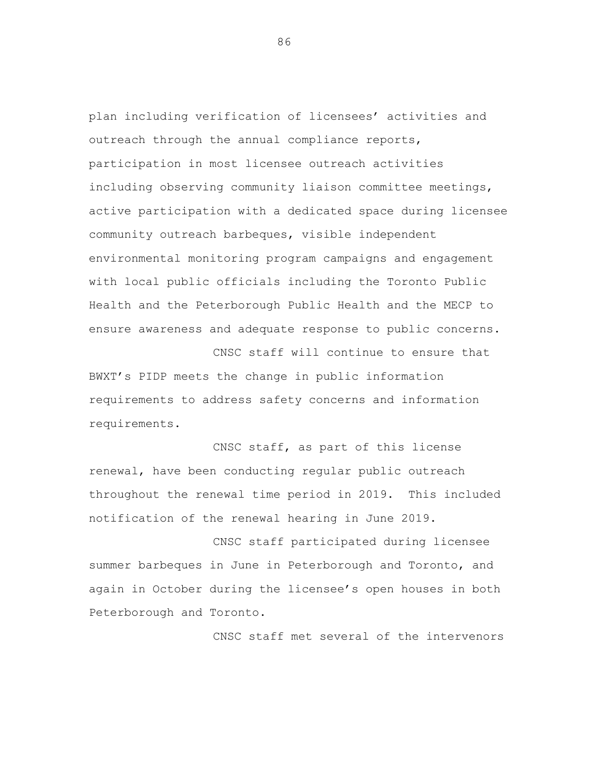plan including verification of licensees' activities and outreach through the annual compliance reports, participation in most licensee outreach activities including observing community liaison committee meetings, active participation with a dedicated space during licensee community outreach barbeques, visible independent environmental monitoring program campaigns and engagement with local public officials including the Toronto Public Health and the Peterborough Public Health and the MECP to ensure awareness and adequate response to public concerns.

CNSC staff will continue to ensure that BWXT's PIDP meets the change in public information requirements to address safety concerns and information requirements.

CNSC staff, as part of this license renewal, have been conducting regular public outreach throughout the renewal time period in 2019. This included notification of the renewal hearing in June 2019.

CNSC staff participated during licensee summer barbeques in June in Peterborough and Toronto, and again in October during the licensee's open houses in both Peterborough and Toronto.

CNSC staff met several of the intervenors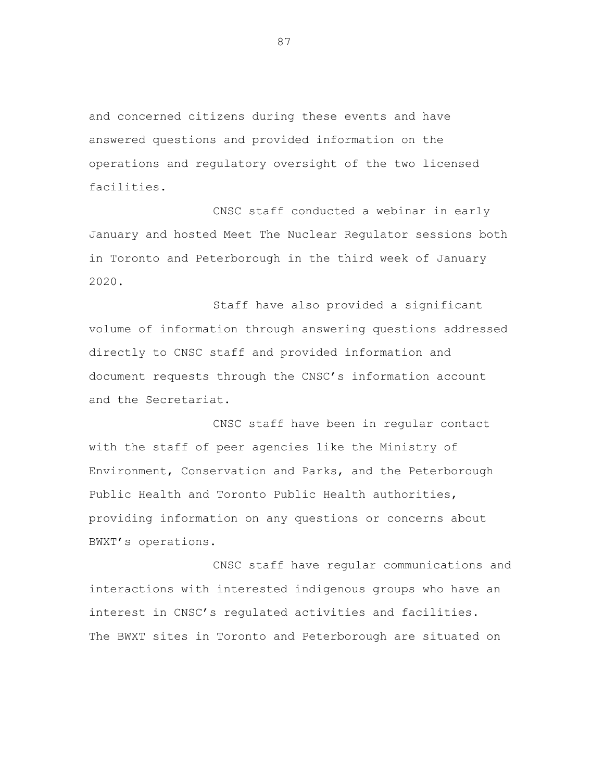and concerned citizens during these events and have answered questions and provided information on the operations and regulatory oversight of the two licensed facilities.

CNSC staff conducted a webinar in early January and hosted Meet The Nuclear Regulator sessions both in Toronto and Peterborough in the third week of January 2020.

Staff have also provided a significant volume of information through answering questions addressed directly to CNSC staff and provided information and document requests through the CNSC's information account and the Secretariat.

CNSC staff have been in regular contact with the staff of peer agencies like the Ministry of Environment, Conservation and Parks, and the Peterborough Public Health and Toronto Public Health authorities, providing information on any questions or concerns about BWXT's operations.

CNSC staff have regular communications and interactions with interested indigenous groups who have an interest in CNSC's regulated activities and facilities. The BWXT sites in Toronto and Peterborough are situated on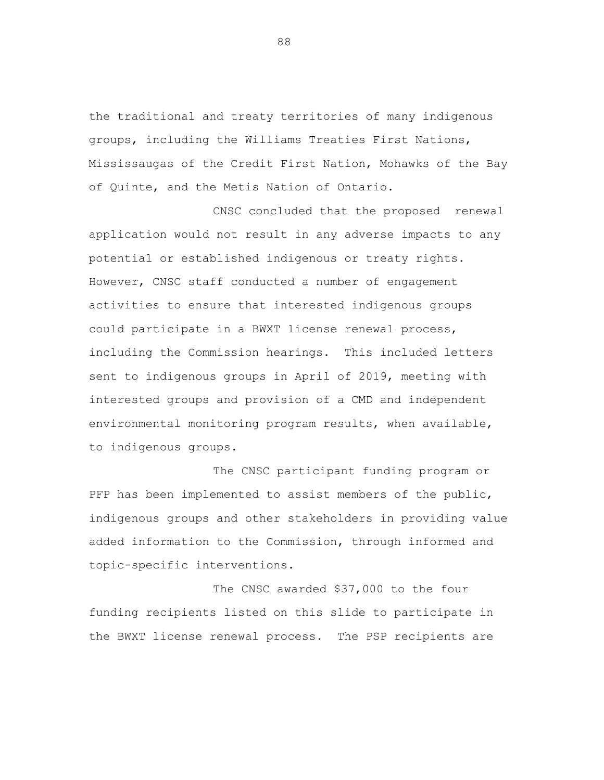the traditional and treaty territories of many indigenous groups, including the Williams Treaties First Nations, Mississaugas of the Credit First Nation, Mohawks of the Bay of Quinte, and the Metis Nation of Ontario.

CNSC concluded that the proposed renewal application would not result in any adverse impacts to any potential or established indigenous or treaty rights. However, CNSC staff conducted a number of engagement activities to ensure that interested indigenous groups could participate in a BWXT license renewal process, including the Commission hearings. This included letters sent to indigenous groups in April of 2019, meeting with interested groups and provision of a CMD and independent environmental monitoring program results, when available, to indigenous groups.

The CNSC participant funding program or PFP has been implemented to assist members of the public, indigenous groups and other stakeholders in providing value added information to the Commission, through informed and topic-specific interventions.

The CNSC awarded \$37,000 to the four funding recipients listed on this slide to participate in the BWXT license renewal process. The PSP recipients are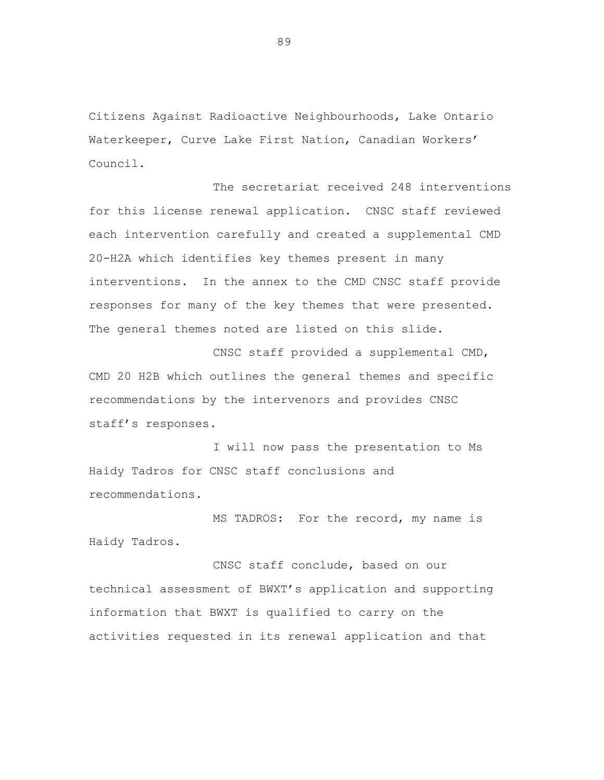Citizens Against Radioactive Neighbourhoods, Lake Ontario Waterkeeper, Curve Lake First Nation, Canadian Workers' Council.

The secretariat received 248 interventions for this license renewal application. CNSC staff reviewed each intervention carefully and created a supplemental CMD 20-H2A which identifies key themes present in many interventions. In the annex to the CMD CNSC staff provide responses for many of the key themes that were presented. The general themes noted are listed on this slide.

CNSC staff provided a supplemental CMD, CMD 20 H2B which outlines the general themes and specific recommendations by the intervenors and provides CNSC staff's responses.

I will now pass the presentation to Ms Haidy Tadros for CNSC staff conclusions and recommendations.

MS TADROS: For the record, my name is Haidy Tadros.

CNSC staff conclude, based on our technical assessment of BWXT's application and supporting information that BWXT is qualified to carry on the activities requested in its renewal application and that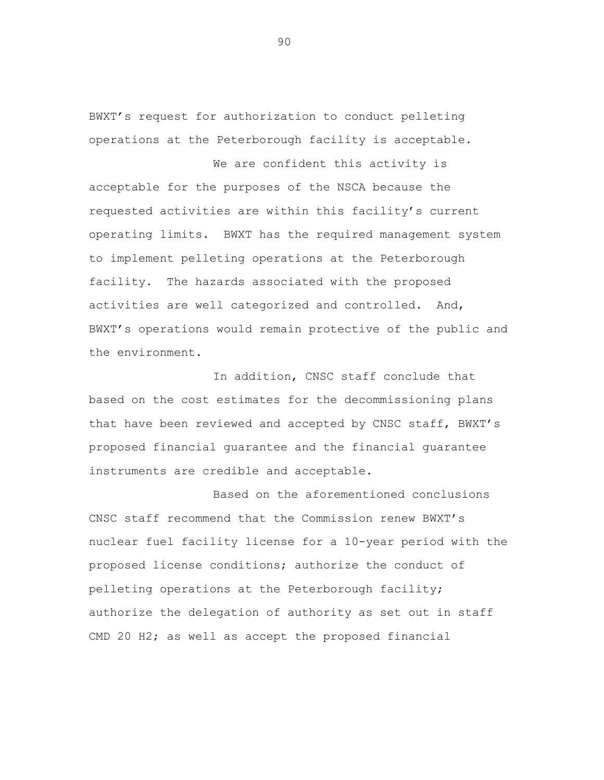BWXT's request for authorization to conduct pelleting operations at the Peterborough facility is acceptable.

We are confident this activity is acceptable for the purposes of the NSCA because the requested activities are within this facility's current operating limits. BWXT has the required management system to implement pelleting operations at the Peterborough facility. The hazards associated with the proposed activities are well categorized and controlled. And, BWXT's operations would remain protective of the public and the environment.

In addition, CNSC staff conclude that based on the cost estimates for the decommissioning plans that have been reviewed and accepted by CNSC staff, BWXT's proposed financial guarantee and the financial guarantee instruments are credible and acceptable.

Based on the aforementioned conclusions CNSC staff recommend that the Commission renew BWXT's nuclear fuel facility license for a 10-year period with the proposed license conditions; authorize the conduct of pelleting operations at the Peterborough facility; authorize the delegation of authority as set out in staff CMD 20 H2; as well as accept the proposed financial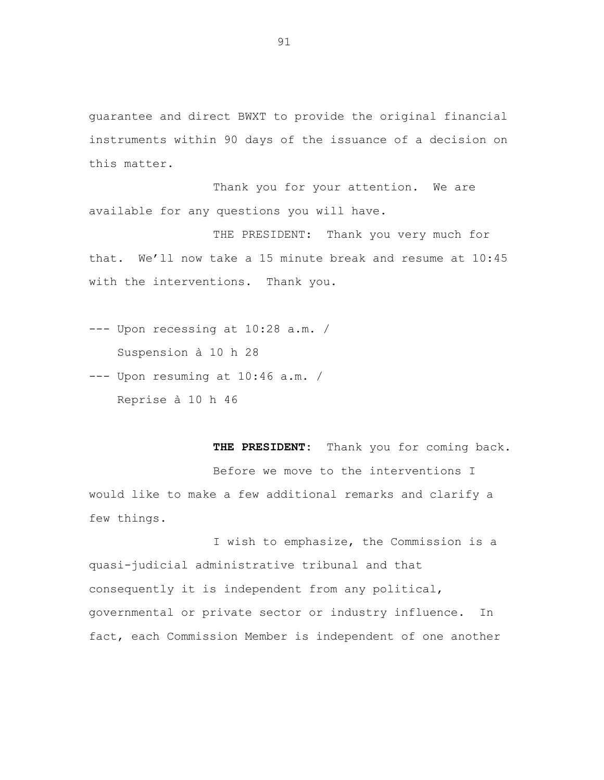guarantee and direct BWXT to provide the original financial instruments within 90 days of the issuance of a decision on this matter.

Thank you for your attention. We are available for any questions you will have.

THE PRESIDENT: Thank you very much for that. We'll now take a 15 minute break and resume at 10:45 with the interventions. Thank you.

--- Upon recessing at 10:28 a.m. / Suspension à 10 h 28

--- Upon resuming at 10:46 a.m. / Reprise à 10 h 46

**THE PRESIDENT:** Thank you for coming back. Before we move to the interventions I would like to make a few additional remarks and clarify a few things.

I wish to emphasize, the Commission is a quasi-judicial administrative tribunal and that consequently it is independent from any political, governmental or private sector or industry influence. In fact, each Commission Member is independent of one another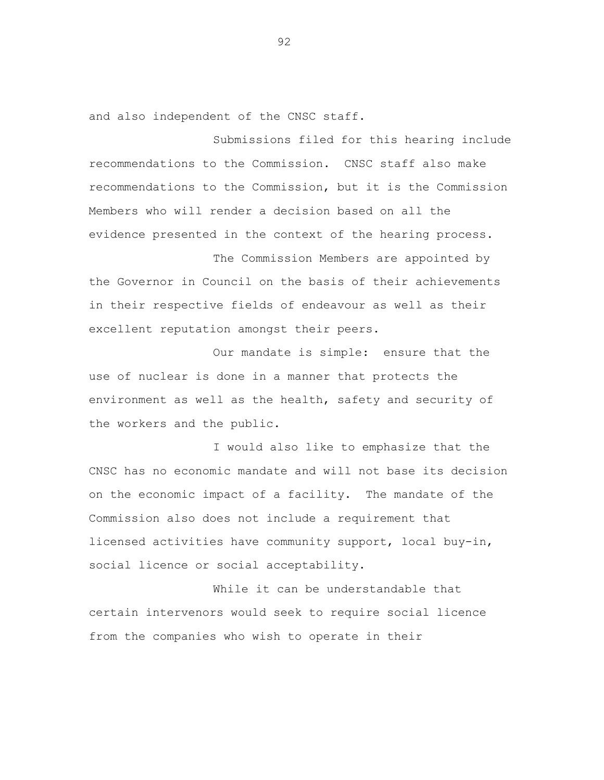and also independent of the CNSC staff.

Submissions filed for this hearing include recommendations to the Commission. CNSC staff also make recommendations to the Commission, but it is the Commission Members who will render a decision based on all the evidence presented in the context of the hearing process.

The Commission Members are appointed by the Governor in Council on the basis of their achievements in their respective fields of endeavour as well as their excellent reputation amongst their peers.

Our mandate is simple: ensure that the use of nuclear is done in a manner that protects the environment as well as the health, safety and security of the workers and the public.

I would also like to emphasize that the CNSC has no economic mandate and will not base its decision on the economic impact of a facility. The mandate of the Commission also does not include a requirement that licensed activities have community support, local buy-in, social licence or social acceptability.

While it can be understandable that certain intervenors would seek to require social licence from the companies who wish to operate in their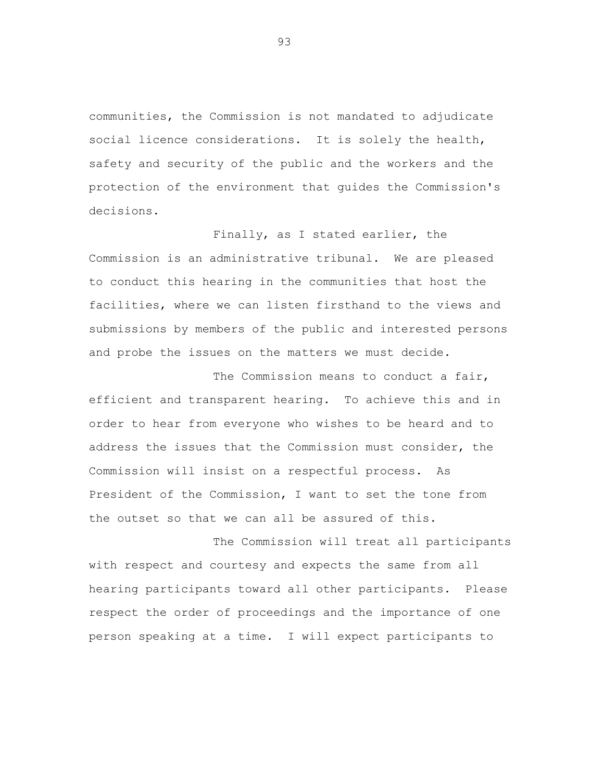communities, the Commission is not mandated to adjudicate social licence considerations. It is solely the health, safety and security of the public and the workers and the protection of the environment that guides the Commission's decisions.

Finally, as I stated earlier, the Commission is an administrative tribunal. We are pleased to conduct this hearing in the communities that host the facilities, where we can listen firsthand to the views and submissions by members of the public and interested persons and probe the issues on the matters we must decide.

The Commission means to conduct a fair, efficient and transparent hearing. To achieve this and in order to hear from everyone who wishes to be heard and to address the issues that the Commission must consider, the Commission will insist on a respectful process. As President of the Commission, I want to set the tone from the outset so that we can all be assured of this.

The Commission will treat all participants with respect and courtesy and expects the same from all hearing participants toward all other participants. Please respect the order of proceedings and the importance of one person speaking at a time. I will expect participants to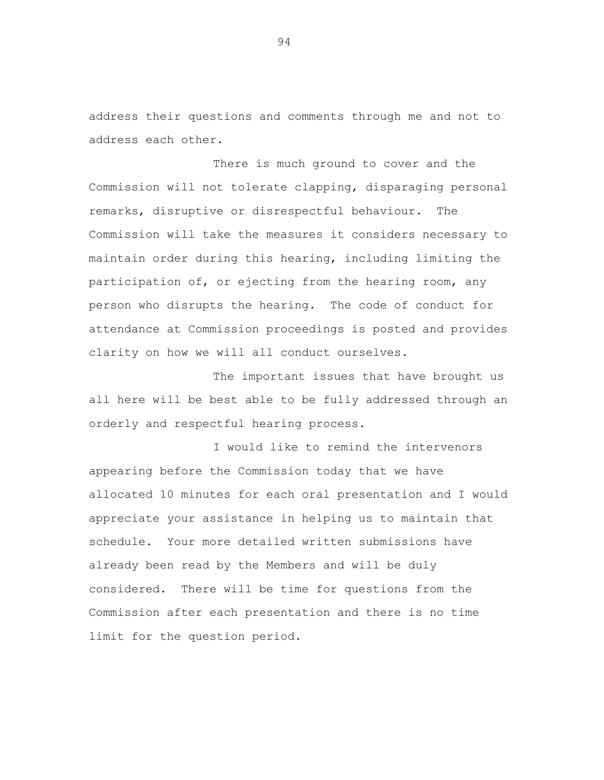address their questions and comments through me and not to address each other.

There is much ground to cover and the Commission will not tolerate clapping, disparaging personal remarks, disruptive or disrespectful behaviour. The Commission will take the measures it considers necessary to maintain order during this hearing, including limiting the participation of, or ejecting from the hearing room, any person who disrupts the hearing. The code of conduct for attendance at Commission proceedings is posted and provides clarity on how we will all conduct ourselves.

The important issues that have brought us all here will be best able to be fully addressed through an orderly and respectful hearing process.

I would like to remind the intervenors appearing before the Commission today that we have allocated 10 minutes for each oral presentation and I would appreciate your assistance in helping us to maintain that schedule. Your more detailed written submissions have already been read by the Members and will be duly considered. There will be time for questions from the Commission after each presentation and there is no time limit for the question period.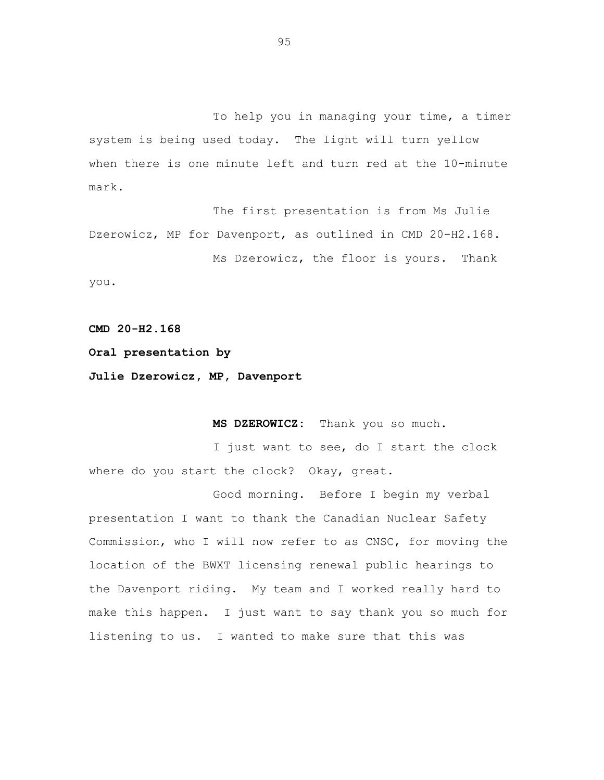To help you in managing your time, a timer system is being used today. The light will turn yellow when there is one minute left and turn red at the 10-minute mark.

The first presentation is from Ms Julie Dzerowicz, MP for Davenport, as outlined in CMD 20-H2.168. Ms Dzerowicz, the floor is yours. Thank

you.

**CMD 20-H2.168**

**Oral presentation by**

**Julie Dzerowicz, MP, Davenport**

**MS DZEROWICZ:** Thank you so much.

I just want to see, do I start the clock where do you start the clock? Okay, great.

Good morning. Before I begin my verbal presentation I want to thank the Canadian Nuclear Safety Commission, who I will now refer to as CNSC, for moving the location of the BWXT licensing renewal public hearings to the Davenport riding. My team and I worked really hard to make this happen. I just want to say thank you so much for listening to us. I wanted to make sure that this was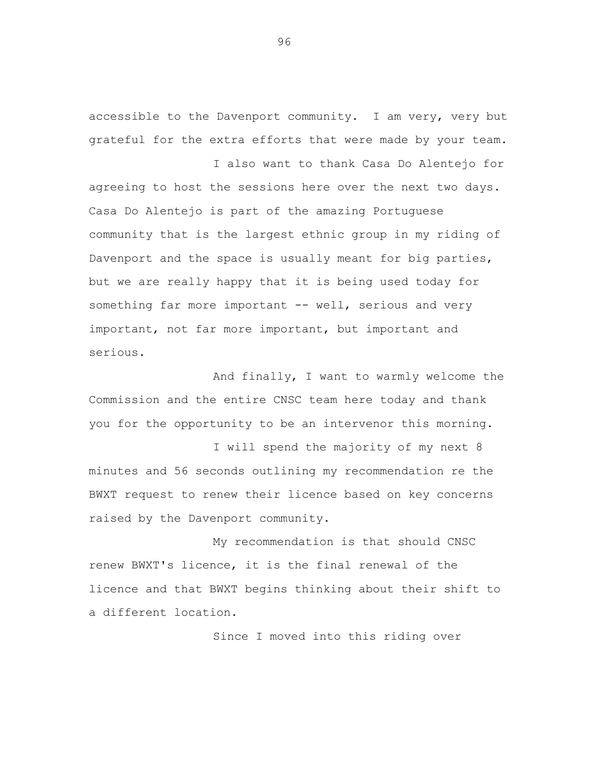accessible to the Davenport community. I am very, very but grateful for the extra efforts that were made by your team.

I also want to thank Casa Do Alentejo for agreeing to host the sessions here over the next two days. Casa Do Alentejo is part of the amazing Portuguese community that is the largest ethnic group in my riding of Davenport and the space is usually meant for big parties, but we are really happy that it is being used today for something far more important -- well, serious and very important, not far more important, but important and serious.

And finally, I want to warmly welcome the Commission and the entire CNSC team here today and thank you for the opportunity to be an intervenor this morning.

I will spend the majority of my next 8 minutes and 56 seconds outlining my recommendation re the BWXT request to renew their licence based on key concerns raised by the Davenport community.

My recommendation is that should CNSC renew BWXT's licence, it is the final renewal of the licence and that BWXT begins thinking about their shift to a different location.

Since I moved into this riding over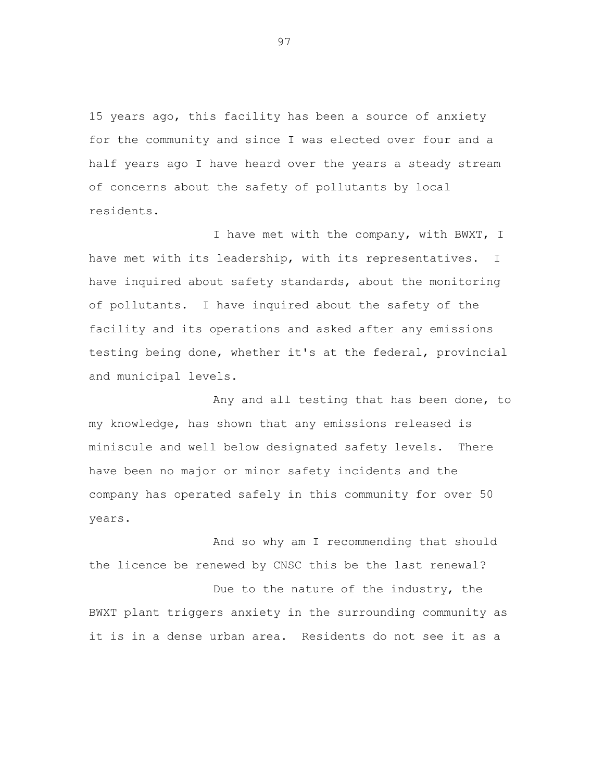15 years ago, this facility has been a source of anxiety for the community and since I was elected over four and a half years ago I have heard over the years a steady stream of concerns about the safety of pollutants by local residents.

I have met with the company, with BWXT, I have met with its leadership, with its representatives. I have inquired about safety standards, about the monitoring of pollutants. I have inquired about the safety of the facility and its operations and asked after any emissions testing being done, whether it's at the federal, provincial and municipal levels.

Any and all testing that has been done, to my knowledge, has shown that any emissions released is miniscule and well below designated safety levels. There have been no major or minor safety incidents and the company has operated safely in this community for over 50 years.

And so why am I recommending that should the licence be renewed by CNSC this be the last renewal? Due to the nature of the industry, the BWXT plant triggers anxiety in the surrounding community as it is in a dense urban area. Residents do not see it as a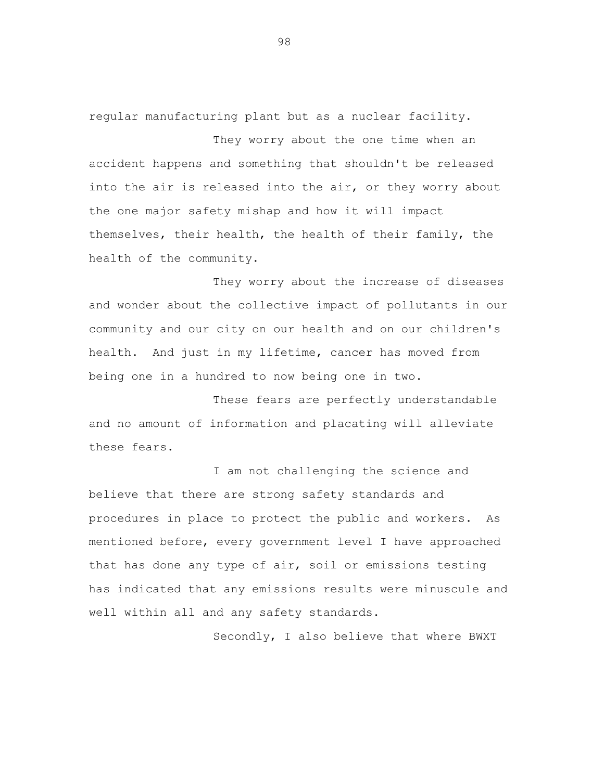regular manufacturing plant but as a nuclear facility.

They worry about the one time when an accident happens and something that shouldn't be released into the air is released into the air, or they worry about the one major safety mishap and how it will impact themselves, their health, the health of their family, the health of the community.

They worry about the increase of diseases and wonder about the collective impact of pollutants in our community and our city on our health and on our children's health. And just in my lifetime, cancer has moved from being one in a hundred to now being one in two.

These fears are perfectly understandable and no amount of information and placating will alleviate these fears.

I am not challenging the science and believe that there are strong safety standards and procedures in place to protect the public and workers. As mentioned before, every government level I have approached that has done any type of air, soil or emissions testing has indicated that any emissions results were minuscule and well within all and any safety standards.

Secondly, I also believe that where BWXT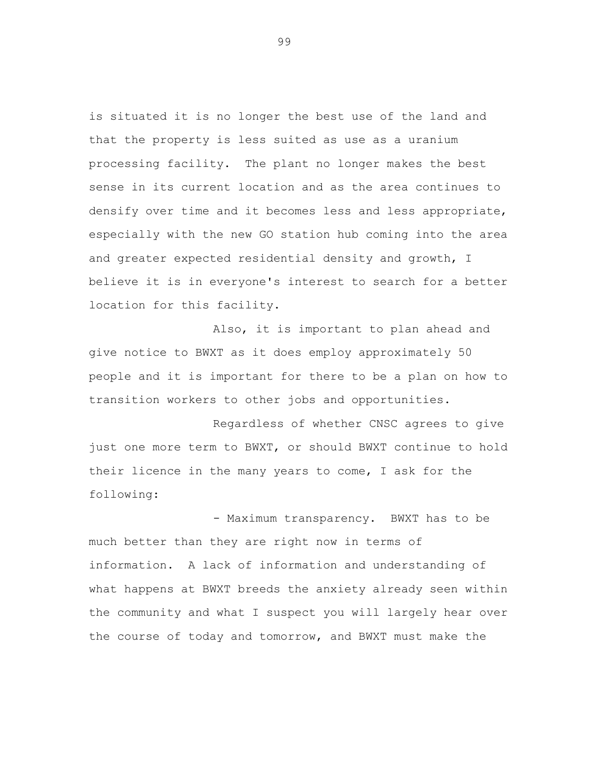is situated it is no longer the best use of the land and that the property is less suited as use as a uranium processing facility. The plant no longer makes the best sense in its current location and as the area continues to densify over time and it becomes less and less appropriate, especially with the new GO station hub coming into the area and greater expected residential density and growth, I believe it is in everyone's interest to search for a better location for this facility.

Also, it is important to plan ahead and give notice to BWXT as it does employ approximately 50 people and it is important for there to be a plan on how to transition workers to other jobs and opportunities.

Regardless of whether CNSC agrees to give just one more term to BWXT, or should BWXT continue to hold their licence in the many years to come, I ask for the following:

- Maximum transparency. BWXT has to be much better than they are right now in terms of information. A lack of information and understanding of what happens at BWXT breeds the anxiety already seen within the community and what I suspect you will largely hear over the course of today and tomorrow, and BWXT must make the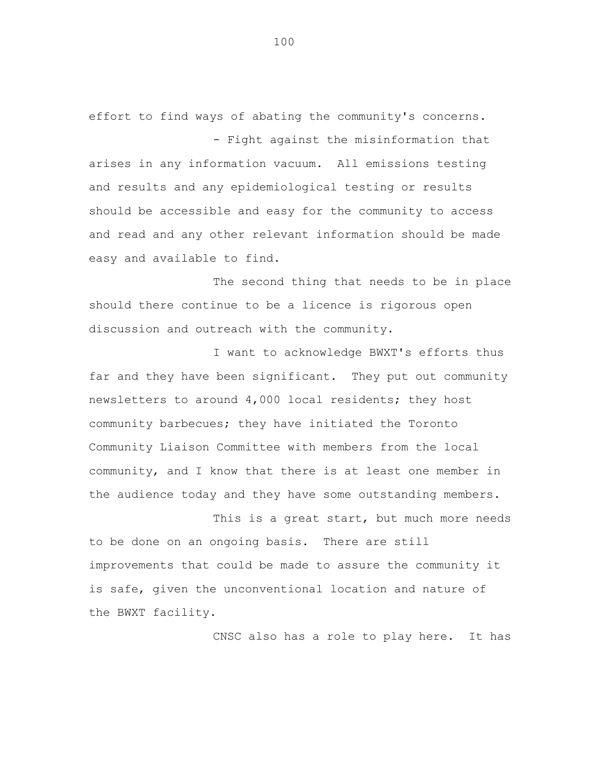effort to find ways of abating the community's concerns. - Fight against the misinformation that

arises in any information vacuum. All emissions testing and results and any epidemiological testing or results should be accessible and easy for the community to access and read and any other relevant information should be made easy and available to find.

The second thing that needs to be in place should there continue to be a licence is rigorous open discussion and outreach with the community.

I want to acknowledge BWXT's efforts thus far and they have been significant. They put out community newsletters to around 4,000 local residents; they host community barbecues; they have initiated the Toronto Community Liaison Committee with members from the local community, and I know that there is at least one member in the audience today and they have some outstanding members.

This is a great start, but much more needs to be done on an ongoing basis. There are still improvements that could be made to assure the community it is safe, given the unconventional location and nature of the BWXT facility.

CNSC also has a role to play here. It has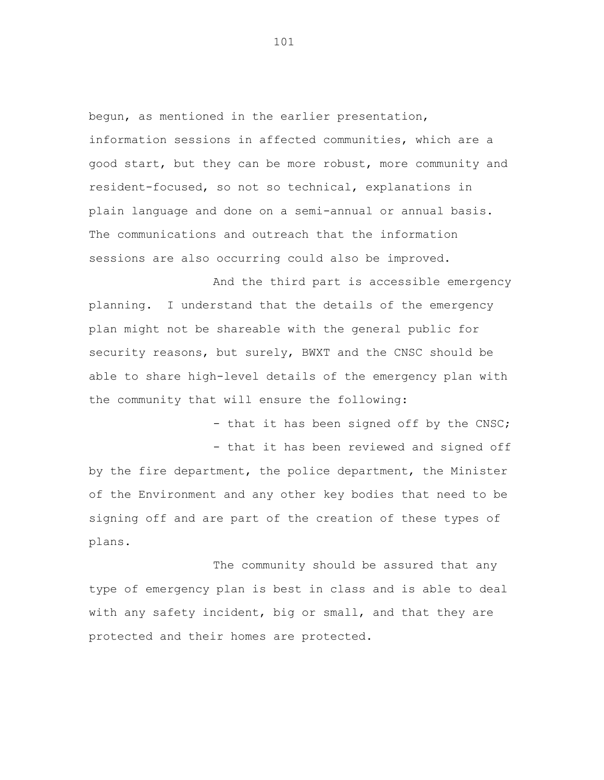begun, as mentioned in the earlier presentation, information sessions in affected communities, which are a good start, but they can be more robust, more community and resident-focused, so not so technical, explanations in plain language and done on a semi-annual or annual basis. The communications and outreach that the information sessions are also occurring could also be improved.

And the third part is accessible emergency planning. I understand that the details of the emergency plan might not be shareable with the general public for security reasons, but surely, BWXT and the CNSC should be able to share high-level details of the emergency plan with the community that will ensure the following:

> - that it has been signed off by the CNSC; - that it has been reviewed and signed off

by the fire department, the police department, the Minister of the Environment and any other key bodies that need to be signing off and are part of the creation of these types of plans.

The community should be assured that any type of emergency plan is best in class and is able to deal with any safety incident, big or small, and that they are protected and their homes are protected.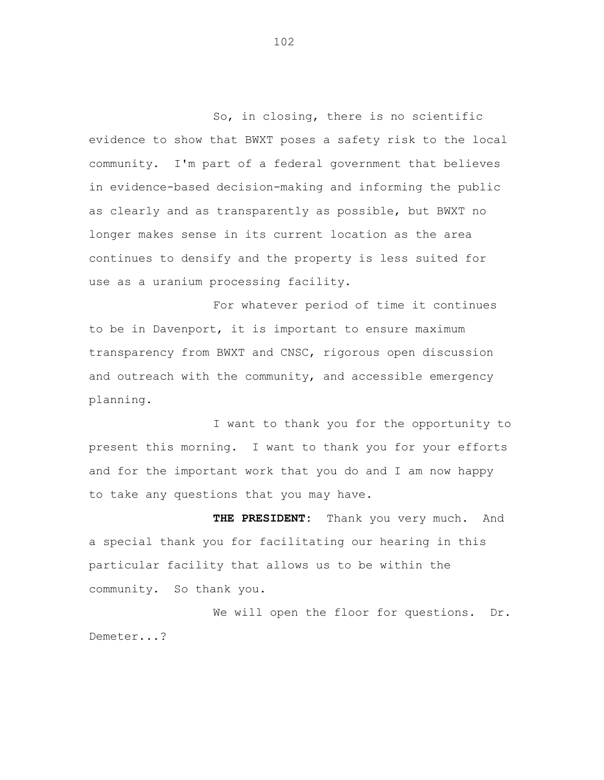So, in closing, there is no scientific evidence to show that BWXT poses a safety risk to the local community. I'm part of a federal government that believes in evidence-based decision-making and informing the public as clearly and as transparently as possible, but BWXT no longer makes sense in its current location as the area continues to densify and the property is less suited for use as a uranium processing facility.

For whatever period of time it continues to be in Davenport, it is important to ensure maximum transparency from BWXT and CNSC, rigorous open discussion and outreach with the community, and accessible emergency planning.

I want to thank you for the opportunity to present this morning. I want to thank you for your efforts and for the important work that you do and I am now happy to take any questions that you may have.

**THE PRESIDENT:** Thank you very much. And a special thank you for facilitating our hearing in this particular facility that allows us to be within the community. So thank you.

We will open the floor for questions. Dr. Demeter...?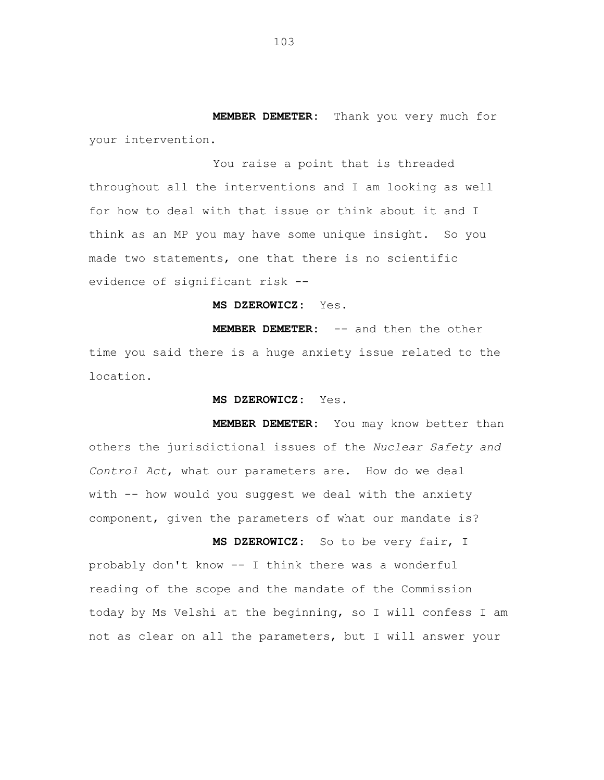**MEMBER DEMETER:** Thank you very much for your intervention.

You raise a point that is threaded throughout all the interventions and I am looking as well for how to deal with that issue or think about it and I think as an MP you may have some unique insight. So you made two statements, one that there is no scientific evidence of significant risk --

**MS DZEROWICZ:** Yes.

**MEMBER DEMETER:** -- and then the other time you said there is a huge anxiety issue related to the location.

**MS DZEROWICZ:** Yes.

**MEMBER DEMETER:** You may know better than others the jurisdictional issues of the *Nuclear Safety and Control Act*, what our parameters are. How do we deal with -- how would you suggest we deal with the anxiety component, given the parameters of what our mandate is?

**MS DZEROWICZ:** So to be very fair, I probably don't know -- I think there was a wonderful reading of the scope and the mandate of the Commission today by Ms Velshi at the beginning, so I will confess I am not as clear on all the parameters, but I will answer your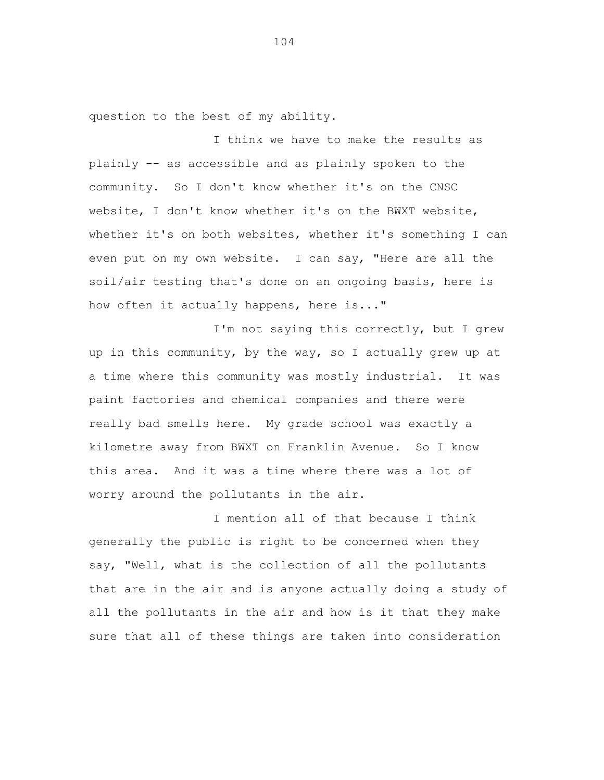question to the best of my ability.

I think we have to make the results as plainly -- as accessible and as plainly spoken to the community. So I don't know whether it's on the CNSC website, I don't know whether it's on the BWXT website, whether it's on both websites, whether it's something I can even put on my own website. I can say, "Here are all the soil/air testing that's done on an ongoing basis, here is how often it actually happens, here is..."

I'm not saying this correctly, but I grew up in this community, by the way, so I actually grew up at a time where this community was mostly industrial. It was paint factories and chemical companies and there were really bad smells here. My grade school was exactly a kilometre away from BWXT on Franklin Avenue. So I know this area. And it was a time where there was a lot of worry around the pollutants in the air.

I mention all of that because I think generally the public is right to be concerned when they say, "Well, what is the collection of all the pollutants that are in the air and is anyone actually doing a study of all the pollutants in the air and how is it that they make sure that all of these things are taken into consideration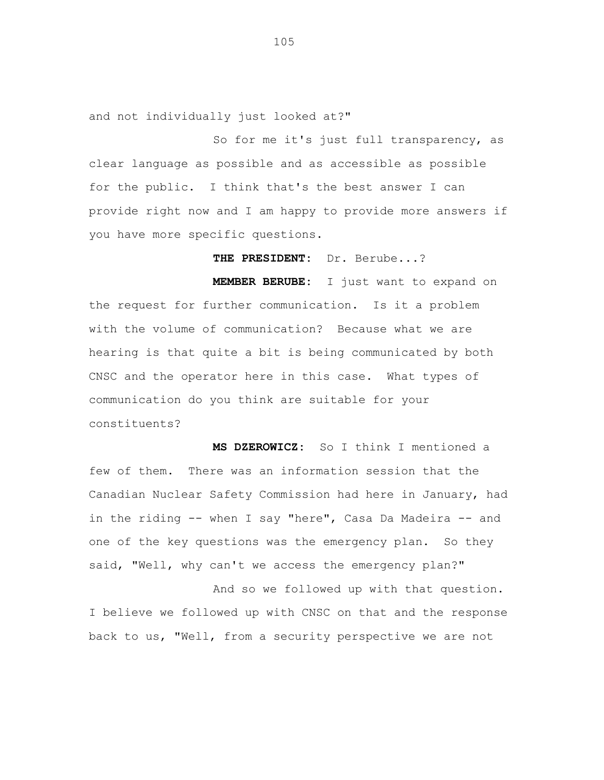and not individually just looked at?"

So for me it's just full transparency, as clear language as possible and as accessible as possible for the public. I think that's the best answer I can provide right now and I am happy to provide more answers if you have more specific questions.

**THE PRESIDENT:** Dr. Berube...?

**MEMBER BERUBE:** I just want to expand on the request for further communication. Is it a problem with the volume of communication? Because what we are hearing is that quite a bit is being communicated by both CNSC and the operator here in this case. What types of communication do you think are suitable for your constituents?

**MS DZEROWICZ:** So I think I mentioned a few of them. There was an information session that the Canadian Nuclear Safety Commission had here in January, had in the riding -- when I say "here", Casa Da Madeira -- and one of the key questions was the emergency plan. So they said, "Well, why can't we access the emergency plan?"

And so we followed up with that question. I believe we followed up with CNSC on that and the response back to us, "Well, from a security perspective we are not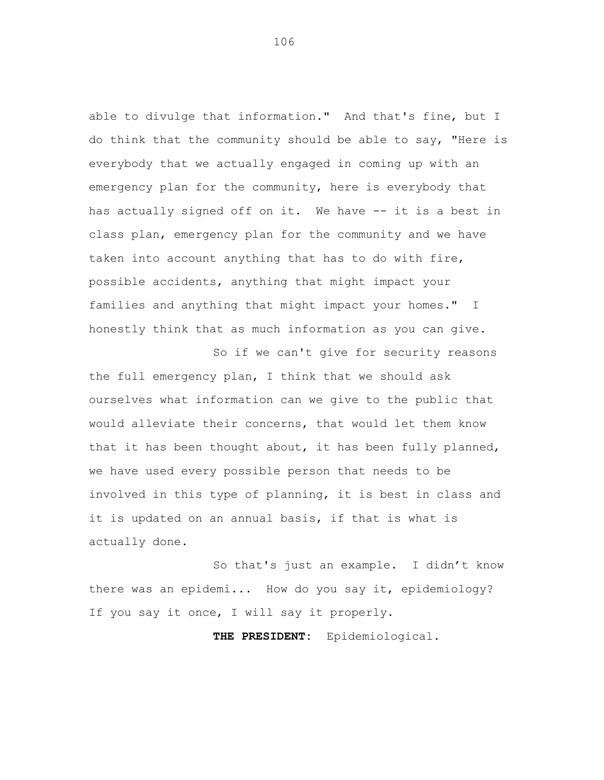able to divulge that information." And that's fine, but I do think that the community should be able to say, "Here is everybody that we actually engaged in coming up with an emergency plan for the community, here is everybody that has actually signed off on it. We have -- it is a best in class plan, emergency plan for the community and we have taken into account anything that has to do with fire, possible accidents, anything that might impact your families and anything that might impact your homes." I honestly think that as much information as you can give.

So if we can't give for security reasons the full emergency plan, I think that we should ask ourselves what information can we give to the public that would alleviate their concerns, that would let them know that it has been thought about, it has been fully planned, we have used every possible person that needs to be involved in this type of planning, it is best in class and it is updated on an annual basis, if that is what is actually done.

So that's just an example. I didn't know there was an epidemi... How do you say it, epidemiology? If you say it once, I will say it properly.

**THE PRESIDENT:** Epidemiological.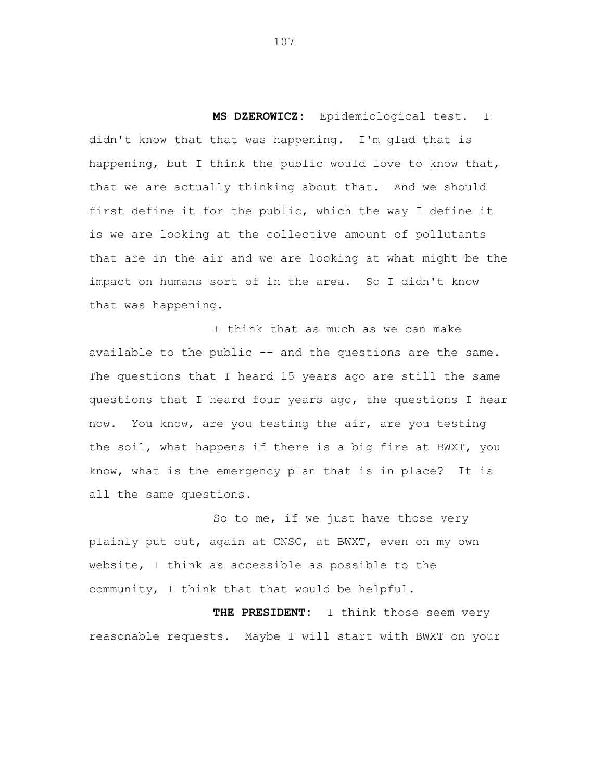**MS DZEROWICZ:** Epidemiological test. I didn't know that that was happening. I'm glad that is happening, but I think the public would love to know that, that we are actually thinking about that. And we should first define it for the public, which the way I define it is we are looking at the collective amount of pollutants that are in the air and we are looking at what might be the impact on humans sort of in the area. So I didn't know that was happening.

I think that as much as we can make available to the public -- and the questions are the same. The questions that I heard 15 years ago are still the same questions that I heard four years ago, the questions I hear now. You know, are you testing the air, are you testing the soil, what happens if there is a big fire at BWXT, you know, what is the emergency plan that is in place? It is all the same questions.

So to me, if we just have those very plainly put out, again at CNSC, at BWXT, even on my own website, I think as accessible as possible to the community, I think that that would be helpful.

**THE PRESIDENT:** I think those seem very reasonable requests. Maybe I will start with BWXT on your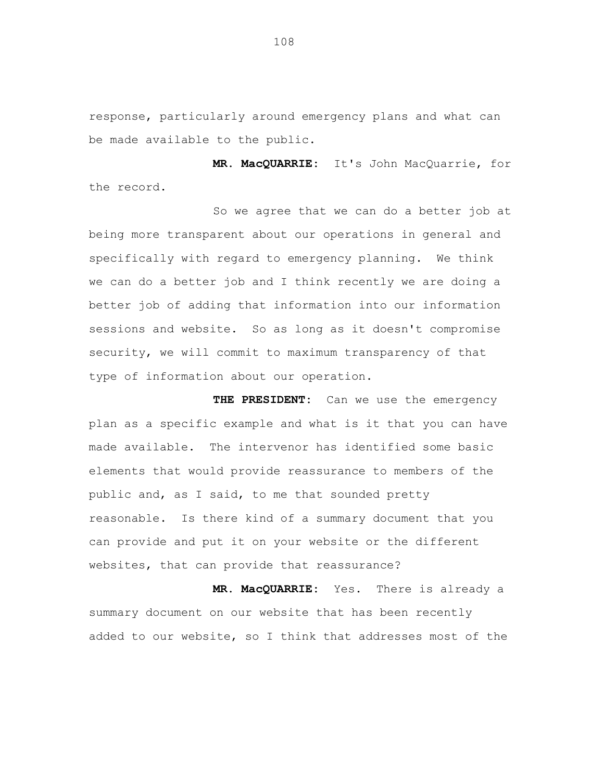response, particularly around emergency plans and what can be made available to the public.

**MR. MacQUARRIE:** It's John MacQuarrie, for the record.

So we agree that we can do a better job at being more transparent about our operations in general and specifically with regard to emergency planning. We think we can do a better job and I think recently we are doing a better job of adding that information into our information sessions and website. So as long as it doesn't compromise security, we will commit to maximum transparency of that type of information about our operation.

**THE PRESIDENT:** Can we use the emergency plan as a specific example and what is it that you can have made available. The intervenor has identified some basic elements that would provide reassurance to members of the public and, as I said, to me that sounded pretty reasonable. Is there kind of a summary document that you can provide and put it on your website or the different websites, that can provide that reassurance?

**MR. MacQUARRIE:** Yes. There is already a summary document on our website that has been recently added to our website, so I think that addresses most of the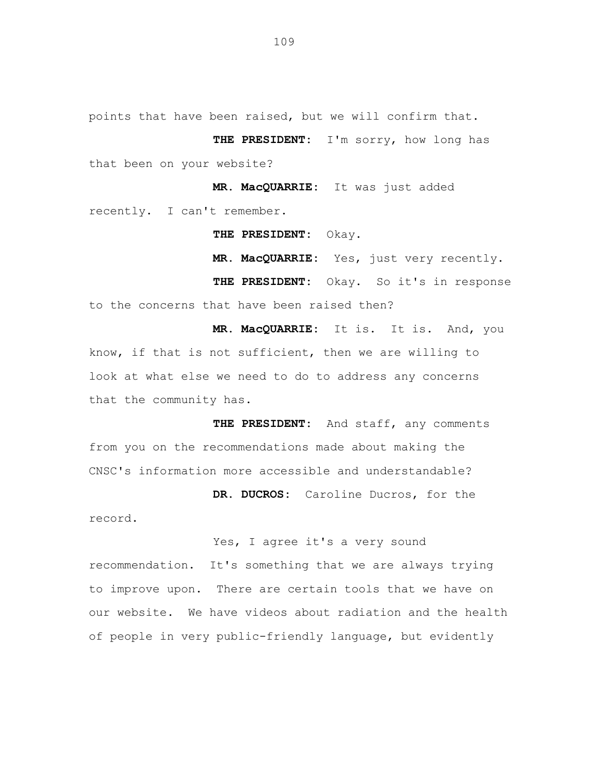points that have been raised, but we will confirm that.

**THE PRESIDENT:** I'm sorry, how long has that been on your website?

**MR. MacQUARRIE:** It was just added recently. I can't remember.

**THE PRESIDENT:** Okay.

**MR. MacQUARRIE:** Yes, just very recently.

THE PRESIDENT: Okay. So it's in response to the concerns that have been raised then?

**MR. MacQUARRIE:** It is. It is. And, you know, if that is not sufficient, then we are willing to look at what else we need to do to address any concerns that the community has.

**THE PRESIDENT:** And staff, any comments from you on the recommendations made about making the CNSC's information more accessible and understandable?

record.

**DR. DUCROS:** Caroline Ducros, for the

Yes, I agree it's a very sound recommendation. It's something that we are always trying to improve upon. There are certain tools that we have on our website. We have videos about radiation and the health of people in very public-friendly language, but evidently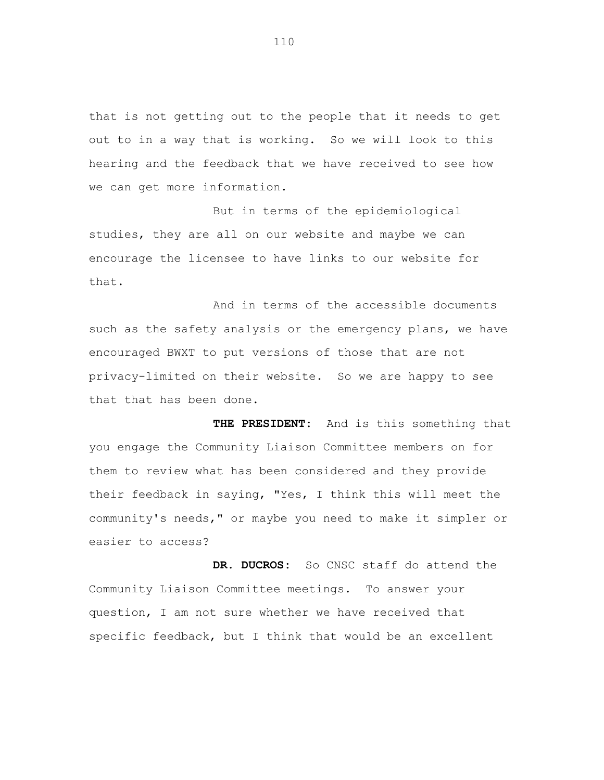that is not getting out to the people that it needs to get out to in a way that is working. So we will look to this hearing and the feedback that we have received to see how we can get more information.

But in terms of the epidemiological studies, they are all on our website and maybe we can encourage the licensee to have links to our website for that.

And in terms of the accessible documents such as the safety analysis or the emergency plans, we have encouraged BWXT to put versions of those that are not privacy-limited on their website. So we are happy to see that that has been done.

**THE PRESIDENT:** And is this something that you engage the Community Liaison Committee members on for them to review what has been considered and they provide their feedback in saying, "Yes, I think this will meet the community's needs," or maybe you need to make it simpler or easier to access?

**DR. DUCROS:** So CNSC staff do attend the Community Liaison Committee meetings. To answer your question, I am not sure whether we have received that specific feedback, but I think that would be an excellent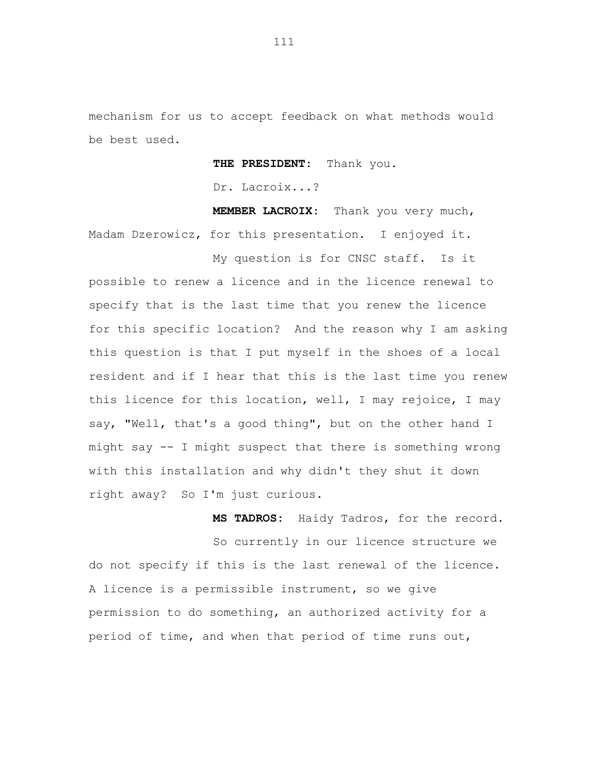mechanism for us to accept feedback on what methods would be best used.

**THE PRESIDENT:** Thank you.

Dr. Lacroix...?

**MEMBER LACROIX:** Thank you very much, Madam Dzerowicz, for this presentation. I enjoyed it.

My question is for CNSC staff. Is it possible to renew a licence and in the licence renewal to specify that is the last time that you renew the licence for this specific location? And the reason why I am asking this question is that I put myself in the shoes of a local resident and if I hear that this is the last time you renew this licence for this location, well, I may rejoice, I may say, "Well, that's a good thing", but on the other hand I might say -- I might suspect that there is something wrong with this installation and why didn't they shut it down right away? So I'm just curious.

**MS TADROS:** Haidy Tadros, for the record. So currently in our licence structure we do not specify if this is the last renewal of the licence. A licence is a permissible instrument, so we give permission to do something, an authorized activity for a period of time, and when that period of time runs out,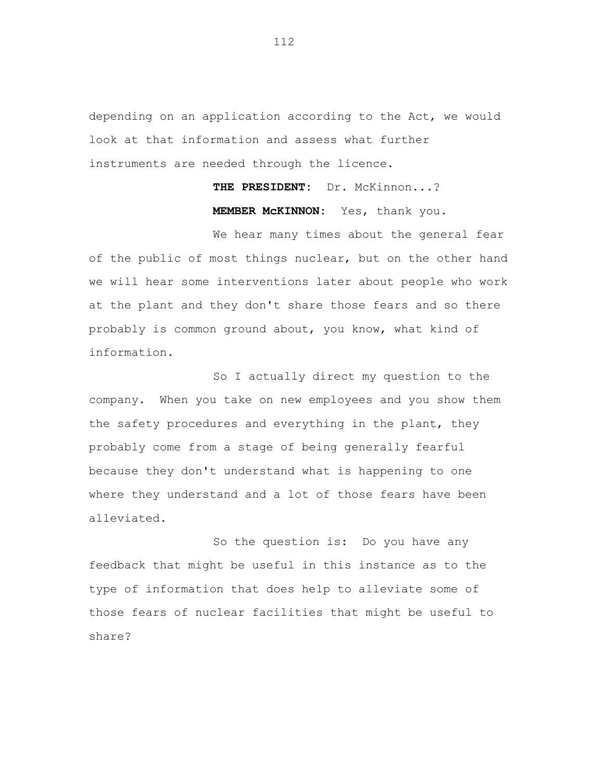depending on an application according to the Act, we would look at that information and assess what further instruments are needed through the licence.

> **THE PRESIDENT:** Dr. McKinnon...? **MEMBER McKINNON:** Yes, thank you.

We hear many times about the general fear of the public of most things nuclear, but on the other hand we will hear some interventions later about people who work at the plant and they don't share those fears and so there probably is common ground about, you know, what kind of information.

So I actually direct my question to the company. When you take on new employees and you show them the safety procedures and everything in the plant, they probably come from a stage of being generally fearful because they don't understand what is happening to one where they understand and a lot of those fears have been alleviated.

So the question is: Do you have any feedback that might be useful in this instance as to the type of information that does help to alleviate some of those fears of nuclear facilities that might be useful to share?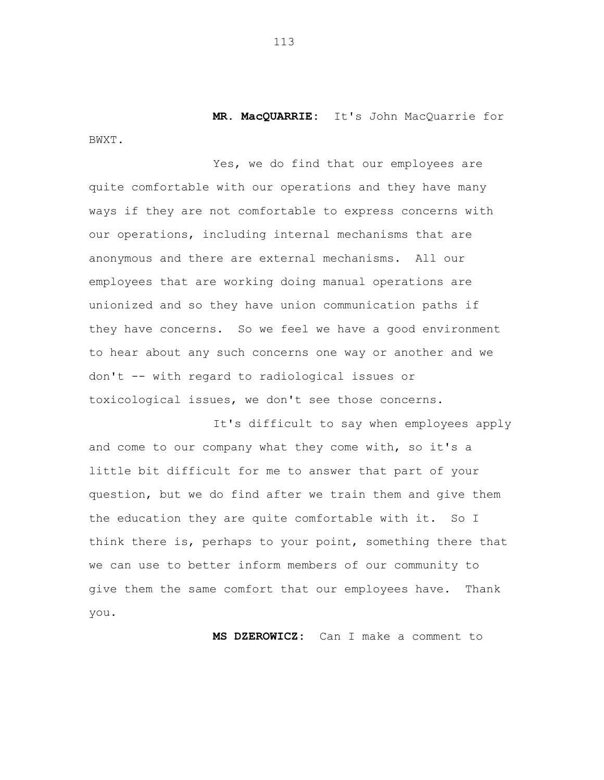**MR. MacQUARRIE:** It's John MacQuarrie for BWXT.

Yes, we do find that our employees are quite comfortable with our operations and they have many ways if they are not comfortable to express concerns with our operations, including internal mechanisms that are anonymous and there are external mechanisms. All our employees that are working doing manual operations are unionized and so they have union communication paths if they have concerns. So we feel we have a good environment to hear about any such concerns one way or another and we don't -- with regard to radiological issues or toxicological issues, we don't see those concerns.

It's difficult to say when employees apply and come to our company what they come with, so it's a little bit difficult for me to answer that part of your question, but we do find after we train them and give them the education they are quite comfortable with it. So I think there is, perhaps to your point, something there that we can use to better inform members of our community to give them the same comfort that our employees have. Thank you.

**MS DZEROWICZ:** Can I make a comment to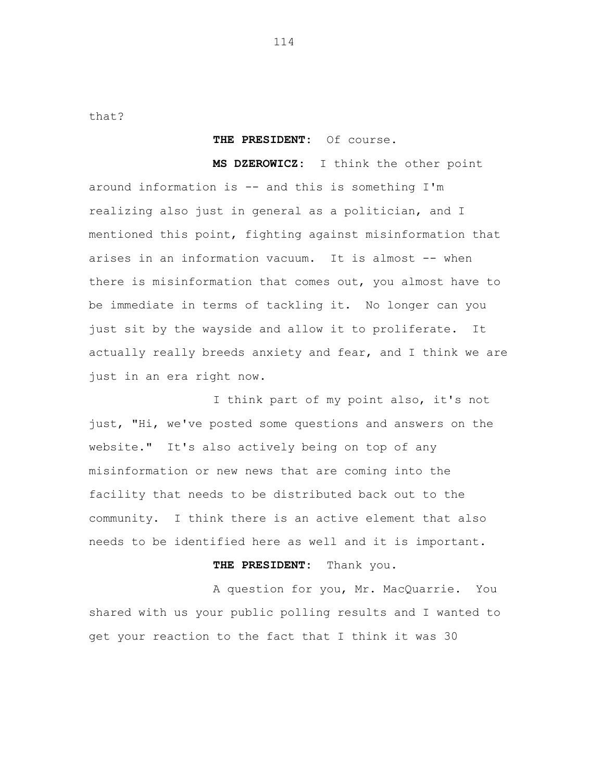that?

## **THE PRESIDENT:** Of course.

**MS DZEROWICZ:** I think the other point around information is -- and this is something I'm realizing also just in general as a politician, and I mentioned this point, fighting against misinformation that arises in an information vacuum. It is almost -- when there is misinformation that comes out, you almost have to be immediate in terms of tackling it. No longer can you just sit by the wayside and allow it to proliferate. It actually really breeds anxiety and fear, and I think we are just in an era right now.

I think part of my point also, it's not just, "Hi, we've posted some questions and answers on the website." It's also actively being on top of any misinformation or new news that are coming into the facility that needs to be distributed back out to the community. I think there is an active element that also needs to be identified here as well and it is important.

## **THE PRESIDENT:** Thank you.

A question for you, Mr. MacQuarrie. You shared with us your public polling results and I wanted to get your reaction to the fact that I think it was 30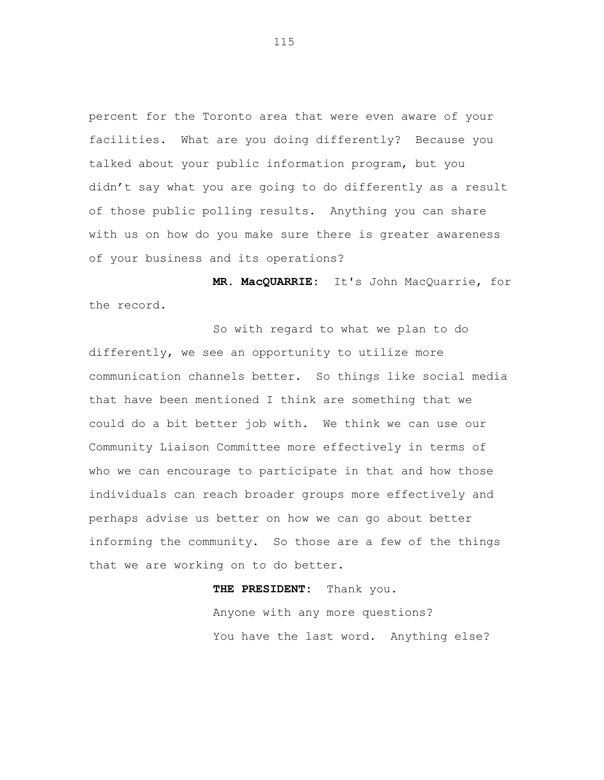percent for the Toronto area that were even aware of your facilities. What are you doing differently? Because you talked about your public information program, but you didn't say what you are going to do differently as a result of those public polling results. Anything you can share with us on how do you make sure there is greater awareness of your business and its operations?

**MR. MacQUARRIE:** It's John MacQuarrie, for the record.

So with regard to what we plan to do differently, we see an opportunity to utilize more communication channels better. So things like social media that have been mentioned I think are something that we could do a bit better job with. We think we can use our Community Liaison Committee more effectively in terms of who we can encourage to participate in that and how those individuals can reach broader groups more effectively and perhaps advise us better on how we can go about better informing the community. So those are a few of the things that we are working on to do better.

## **THE PRESIDENT:** Thank you.

Anyone with any more questions? You have the last word. Anything else?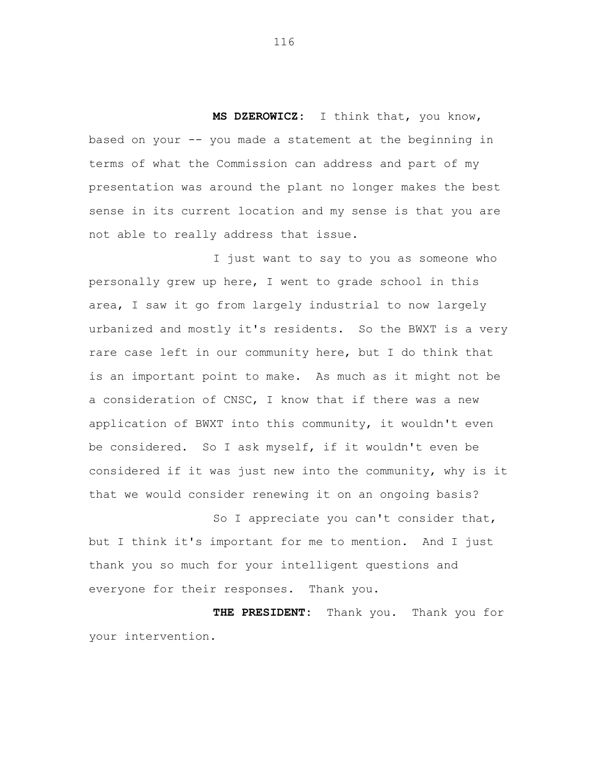**MS DZEROWICZ:** I think that, you know, based on your -- you made a statement at the beginning in terms of what the Commission can address and part of my presentation was around the plant no longer makes the best sense in its current location and my sense is that you are not able to really address that issue.

I just want to say to you as someone who personally grew up here, I went to grade school in this area, I saw it go from largely industrial to now largely urbanized and mostly it's residents. So the BWXT is a very rare case left in our community here, but I do think that is an important point to make. As much as it might not be a consideration of CNSC, I know that if there was a new application of BWXT into this community, it wouldn't even be considered. So I ask myself, if it wouldn't even be considered if it was just new into the community, why is it that we would consider renewing it on an ongoing basis?

So I appreciate you can't consider that, but I think it's important for me to mention. And I just thank you so much for your intelligent questions and everyone for their responses. Thank you.

**THE PRESIDENT:** Thank you. Thank you for your intervention.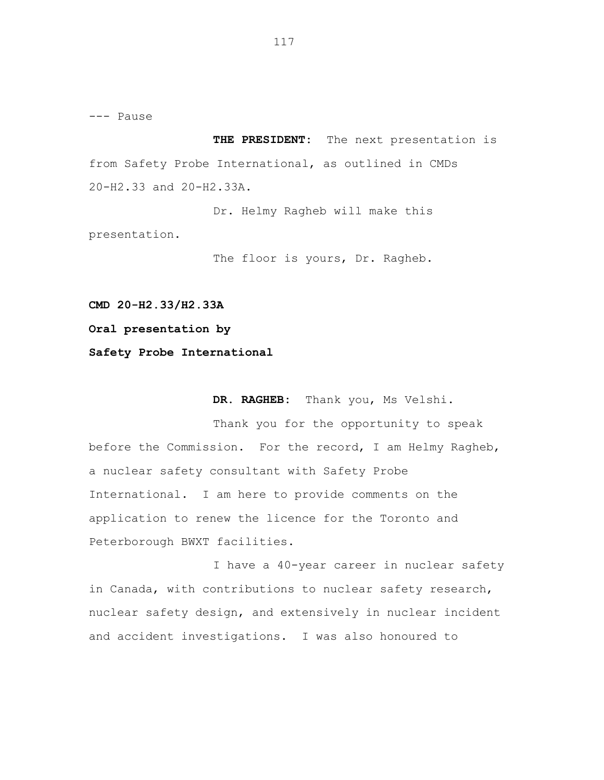--- Pause

**THE PRESIDENT:** The next presentation is from Safety Probe International, as outlined in CMDs 20-H2.33 and 20-H2.33A.

Dr. Helmy Ragheb will make this presentation.

The floor is yours, Dr. Ragheb.

**CMD 20-H2.33/H2.33A**

**Oral presentation by**

**Safety Probe International**

**DR. RAGHEB:** Thank you, Ms Velshi.

Thank you for the opportunity to speak before the Commission. For the record, I am Helmy Ragheb, a nuclear safety consultant with Safety Probe International. I am here to provide comments on the application to renew the licence for the Toronto and Peterborough BWXT facilities.

I have a 40-year career in nuclear safety in Canada, with contributions to nuclear safety research, nuclear safety design, and extensively in nuclear incident and accident investigations. I was also honoured to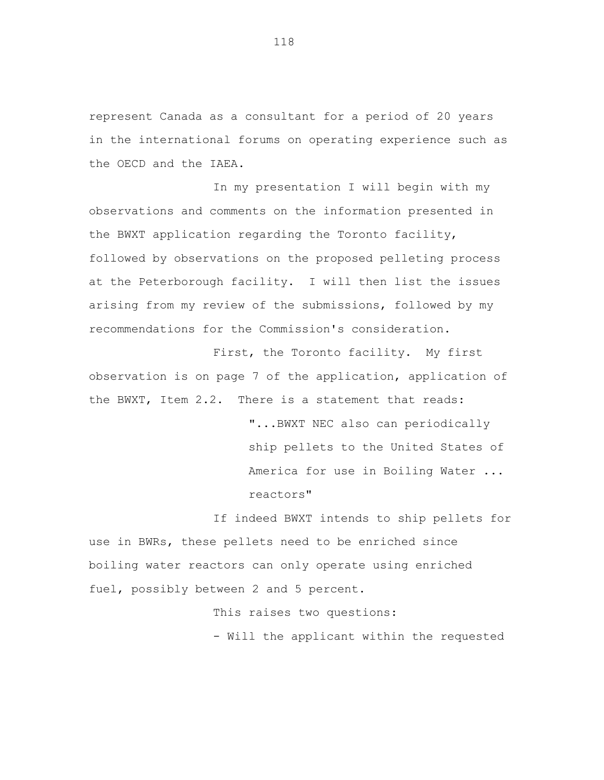represent Canada as a consultant for a period of 20 years in the international forums on operating experience such as the OECD and the IAEA.

In my presentation I will begin with my observations and comments on the information presented in the BWXT application regarding the Toronto facility, followed by observations on the proposed pelleting process at the Peterborough facility. I will then list the issues arising from my review of the submissions, followed by my recommendations for the Commission's consideration.

First, the Toronto facility. My first observation is on page 7 of the application, application of the BWXT, Item 2.2. There is a statement that reads:

> "...BWXT NEC also can periodically ship pellets to the United States of America for use in Boiling Water ... reactors"

If indeed BWXT intends to ship pellets for use in BWRs, these pellets need to be enriched since boiling water reactors can only operate using enriched fuel, possibly between 2 and 5 percent.

> This raises two questions: - Will the applicant within the requested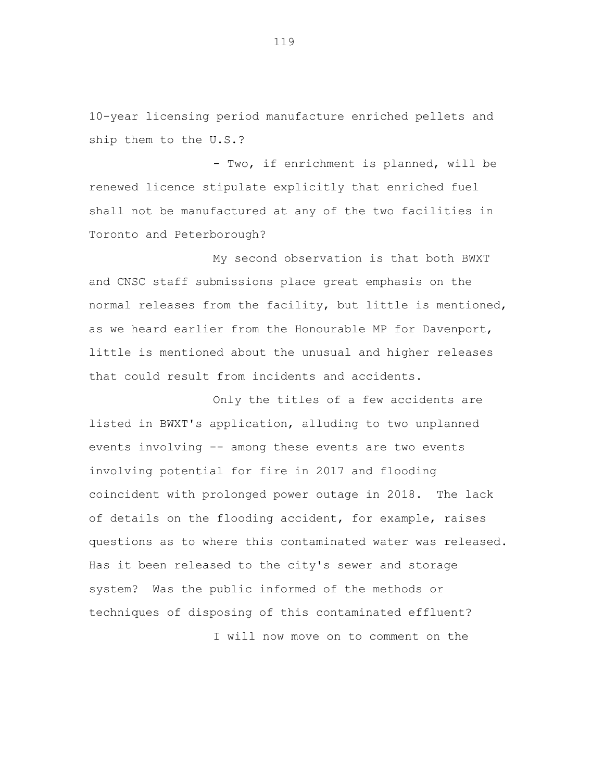10-year licensing period manufacture enriched pellets and ship them to the U.S.?

- Two, if enrichment is planned, will be renewed licence stipulate explicitly that enriched fuel shall not be manufactured at any of the two facilities in Toronto and Peterborough?

My second observation is that both BWXT and CNSC staff submissions place great emphasis on the normal releases from the facility, but little is mentioned, as we heard earlier from the Honourable MP for Davenport, little is mentioned about the unusual and higher releases that could result from incidents and accidents.

Only the titles of a few accidents are listed in BWXT's application, alluding to two unplanned events involving -- among these events are two events involving potential for fire in 2017 and flooding coincident with prolonged power outage in 2018. The lack of details on the flooding accident, for example, raises questions as to where this contaminated water was released. Has it been released to the city's sewer and storage system? Was the public informed of the methods or techniques of disposing of this contaminated effluent? I will now move on to comment on the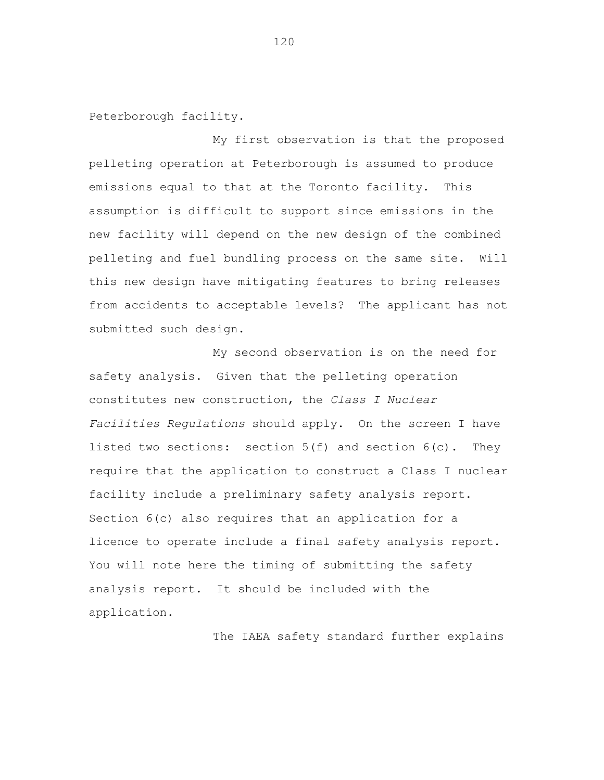Peterborough facility.

My first observation is that the proposed pelleting operation at Peterborough is assumed to produce emissions equal to that at the Toronto facility. This assumption is difficult to support since emissions in the new facility will depend on the new design of the combined pelleting and fuel bundling process on the same site. Will this new design have mitigating features to bring releases from accidents to acceptable levels? The applicant has not submitted such design.

My second observation is on the need for safety analysis. Given that the pelleting operation constitutes new construction, the *Class I Nuclear Facilities Regulations* should apply. On the screen I have listed two sections: section  $5(f)$  and section  $6(c)$ . They require that the application to construct a Class I nuclear facility include a preliminary safety analysis report. Section 6(c) also requires that an application for a licence to operate include a final safety analysis report. You will note here the timing of submitting the safety analysis report. It should be included with the application.

The IAEA safety standard further explains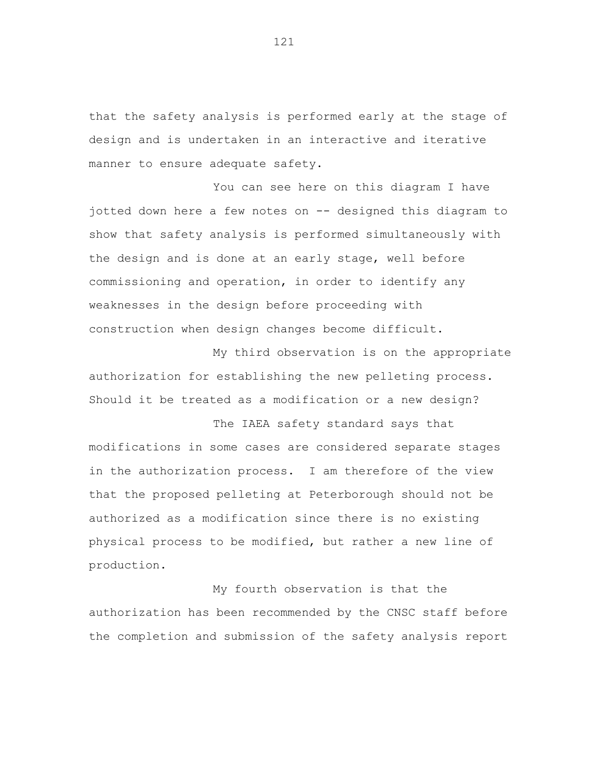that the safety analysis is performed early at the stage of design and is undertaken in an interactive and iterative manner to ensure adequate safety.

You can see here on this diagram I have jotted down here a few notes on -- designed this diagram to show that safety analysis is performed simultaneously with the design and is done at an early stage, well before commissioning and operation, in order to identify any weaknesses in the design before proceeding with construction when design changes become difficult.

My third observation is on the appropriate authorization for establishing the new pelleting process. Should it be treated as a modification or a new design?

The IAEA safety standard says that modifications in some cases are considered separate stages in the authorization process. I am therefore of the view that the proposed pelleting at Peterborough should not be authorized as a modification since there is no existing physical process to be modified, but rather a new line of production.

My fourth observation is that the authorization has been recommended by the CNSC staff before the completion and submission of the safety analysis report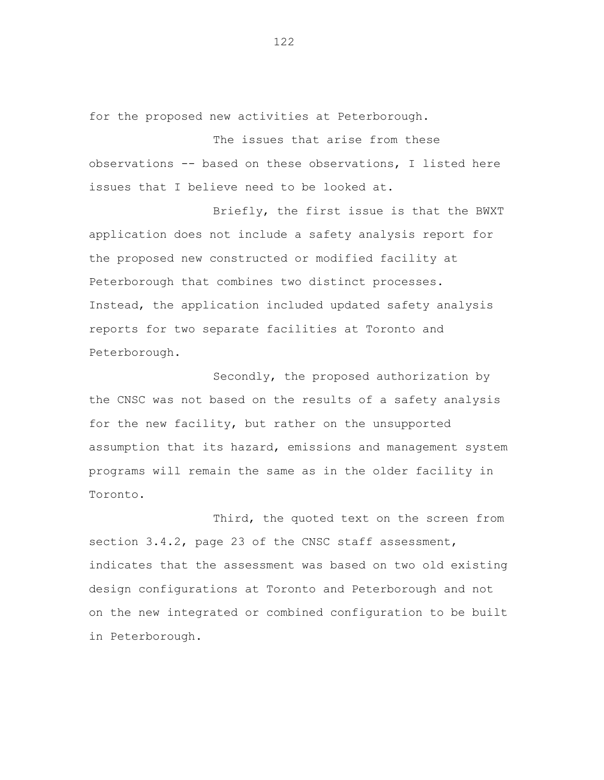for the proposed new activities at Peterborough.

The issues that arise from these observations -- based on these observations, I listed here issues that I believe need to be looked at.

Briefly, the first issue is that the BWXT application does not include a safety analysis report for the proposed new constructed or modified facility at Peterborough that combines two distinct processes. Instead, the application included updated safety analysis reports for two separate facilities at Toronto and Peterborough.

Secondly, the proposed authorization by the CNSC was not based on the results of a safety analysis for the new facility, but rather on the unsupported assumption that its hazard, emissions and management system programs will remain the same as in the older facility in Toronto.

Third, the quoted text on the screen from section 3.4.2, page 23 of the CNSC staff assessment, indicates that the assessment was based on two old existing design configurations at Toronto and Peterborough and not on the new integrated or combined configuration to be built in Peterborough.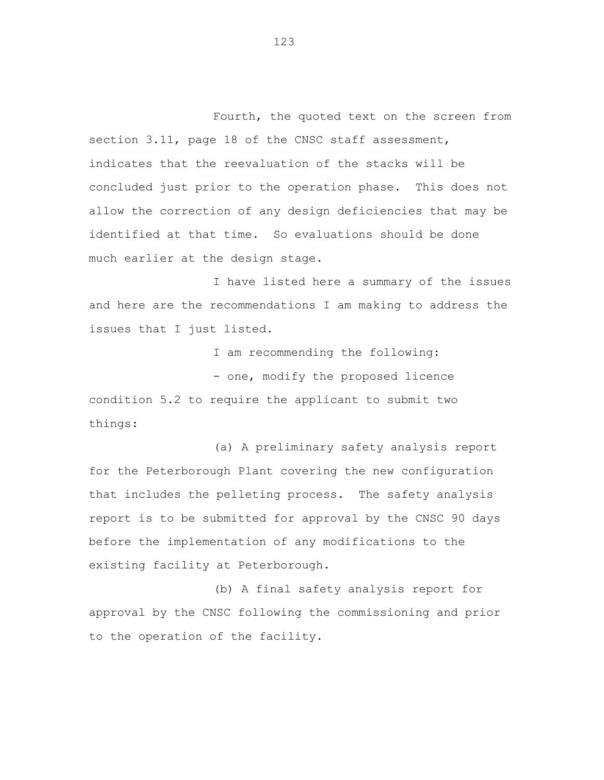Fourth, the quoted text on the screen from section 3.11, page 18 of the CNSC staff assessment, indicates that the reevaluation of the stacks will be concluded just prior to the operation phase. This does not allow the correction of any design deficiencies that may be identified at that time. So evaluations should be done much earlier at the design stage.

I have listed here a summary of the issues and here are the recommendations I am making to address the issues that I just listed.

I am recommending the following: - one, modify the proposed licence condition 5.2 to require the applicant to submit two things:

(a) A preliminary safety analysis report for the Peterborough Plant covering the new configuration that includes the pelleting process. The safety analysis report is to be submitted for approval by the CNSC 90 days before the implementation of any modifications to the existing facility at Peterborough.

(b) A final safety analysis report for approval by the CNSC following the commissioning and prior to the operation of the facility.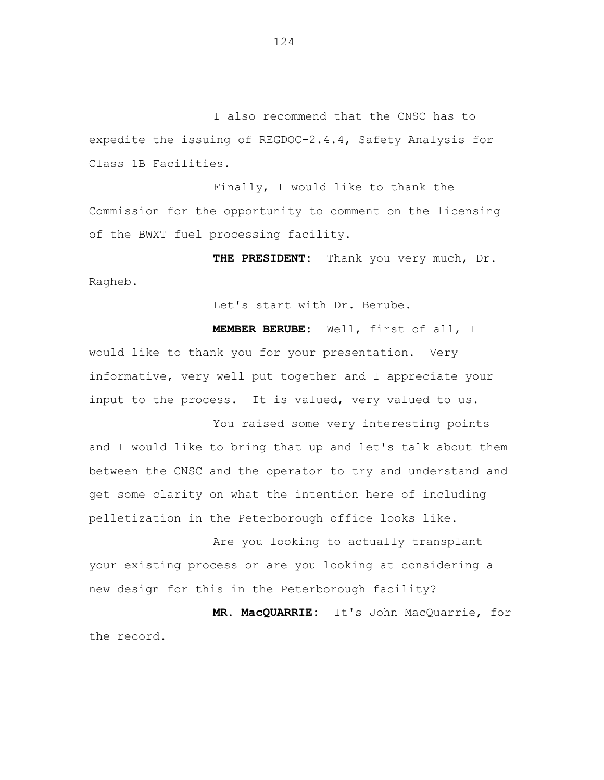I also recommend that the CNSC has to expedite the issuing of REGDOC-2.4.4, Safety Analysis for Class 1B Facilities.

Finally, I would like to thank the Commission for the opportunity to comment on the licensing of the BWXT fuel processing facility.

**THE PRESIDENT:** Thank you very much, Dr. Ragheb.

Let's start with Dr. Berube.

**MEMBER BERUBE:** Well, first of all, I would like to thank you for your presentation. Very informative, very well put together and I appreciate your input to the process. It is valued, very valued to us.

You raised some very interesting points and I would like to bring that up and let's talk about them between the CNSC and the operator to try and understand and get some clarity on what the intention here of including pelletization in the Peterborough office looks like.

Are you looking to actually transplant your existing process or are you looking at considering a new design for this in the Peterborough facility?

**MR. MacQUARRIE:** It's John MacQuarrie, for the record.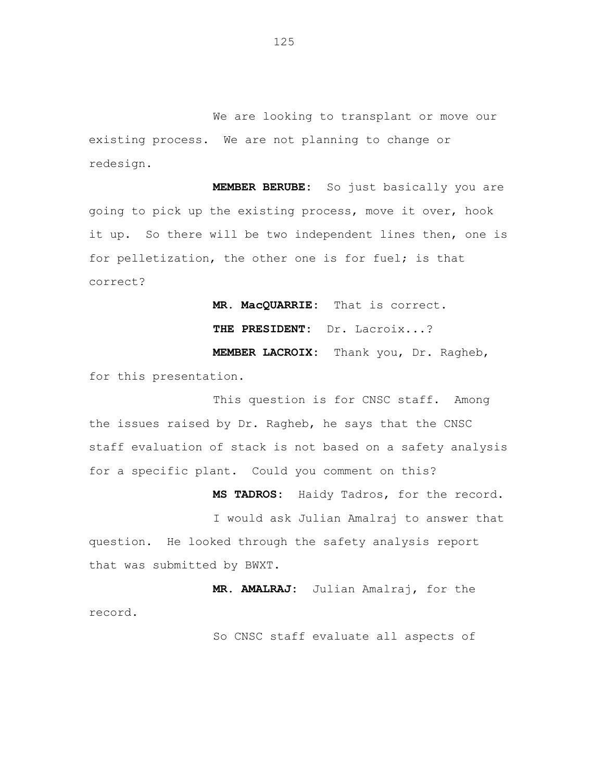We are looking to transplant or move our existing process. We are not planning to change or redesign.

**MEMBER BERUBE:** So just basically you are going to pick up the existing process, move it over, hook it up. So there will be two independent lines then, one is for pelletization, the other one is for fuel; is that correct?

**MR. MacQUARRIE:** That is correct. **THE PRESIDENT:** Dr. Lacroix...? **MEMBER LACROIX:** Thank you, Dr. Ragheb, for this presentation.

This question is for CNSC staff. Among the issues raised by Dr. Ragheb, he says that the CNSC staff evaluation of stack is not based on a safety analysis for a specific plant. Could you comment on this?

**MS TADROS:** Haidy Tadros, for the record. I would ask Julian Amalraj to answer that question. He looked through the safety analysis report that was submitted by BWXT.

**MR. AMALRAJ:** Julian Amalraj, for the record.

So CNSC staff evaluate all aspects of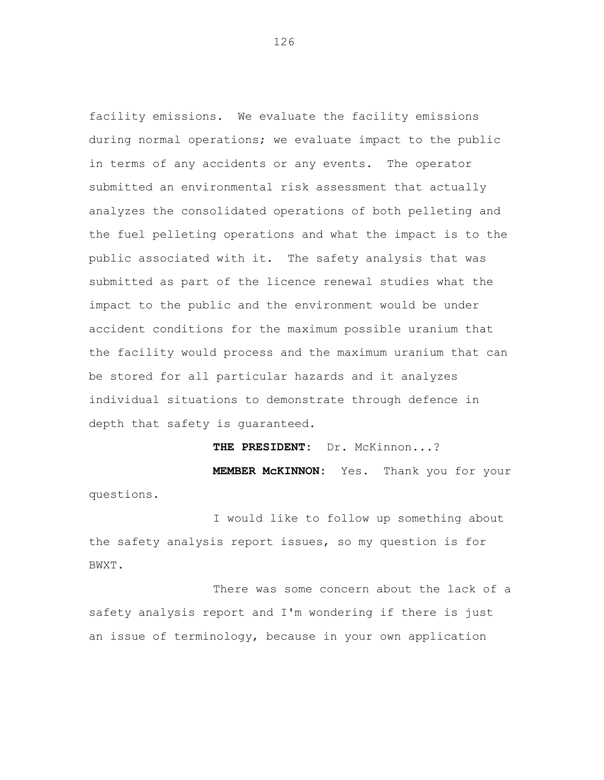facility emissions. We evaluate the facility emissions during normal operations; we evaluate impact to the public in terms of any accidents or any events. The operator submitted an environmental risk assessment that actually analyzes the consolidated operations of both pelleting and the fuel pelleting operations and what the impact is to the public associated with it. The safety analysis that was submitted as part of the licence renewal studies what the impact to the public and the environment would be under accident conditions for the maximum possible uranium that the facility would process and the maximum uranium that can be stored for all particular hazards and it analyzes individual situations to demonstrate through defence in depth that safety is guaranteed.

**THE PRESIDENT:** Dr. McKinnon...? **MEMBER McKINNON:** Yes. Thank you for your questions.

I would like to follow up something about the safety analysis report issues, so my question is for BWXT.

There was some concern about the lack of a safety analysis report and I'm wondering if there is just an issue of terminology, because in your own application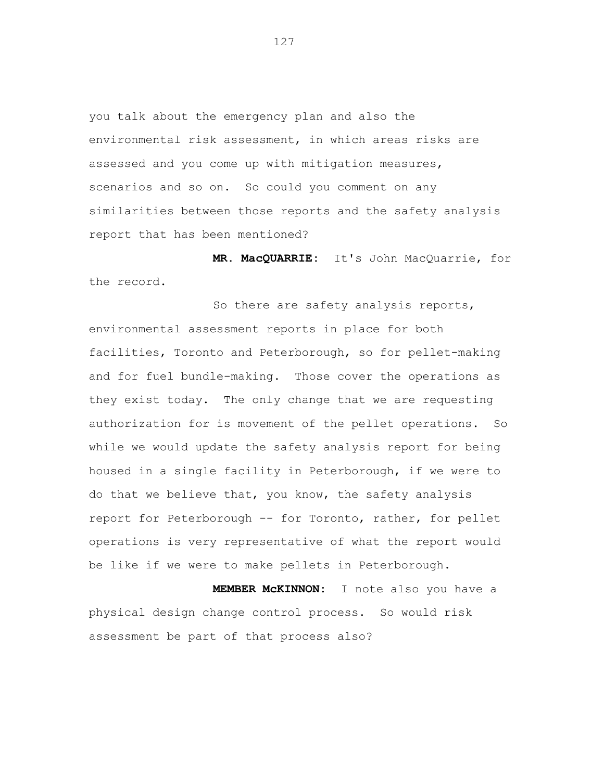you talk about the emergency plan and also the environmental risk assessment, in which areas risks are assessed and you come up with mitigation measures, scenarios and so on. So could you comment on any similarities between those reports and the safety analysis report that has been mentioned?

**MR. MacQUARRIE:** It's John MacQuarrie, for the record.

So there are safety analysis reports, environmental assessment reports in place for both facilities, Toronto and Peterborough, so for pellet-making and for fuel bundle-making. Those cover the operations as they exist today. The only change that we are requesting authorization for is movement of the pellet operations. So while we would update the safety analysis report for being housed in a single facility in Peterborough, if we were to do that we believe that, you know, the safety analysis report for Peterborough -- for Toronto, rather, for pellet operations is very representative of what the report would be like if we were to make pellets in Peterborough.

**MEMBER McKINNON:** I note also you have a physical design change control process. So would risk assessment be part of that process also?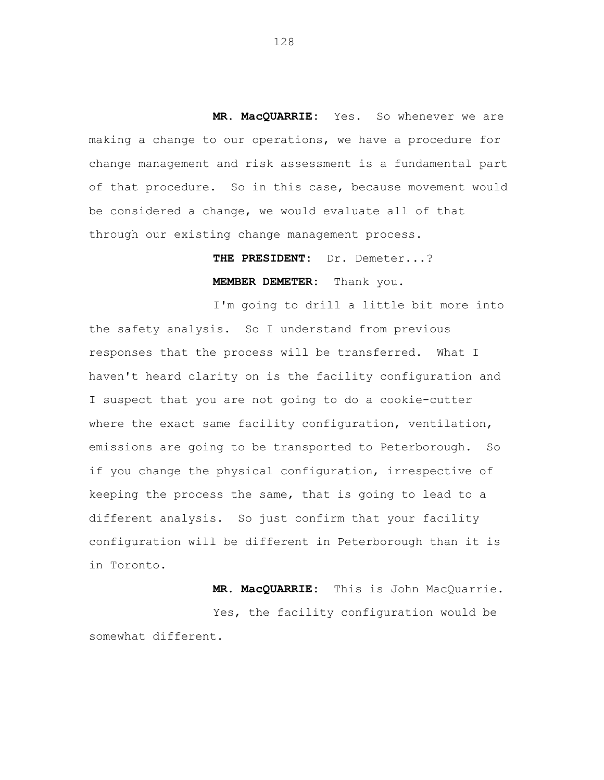**MR. MacQUARRIE:** Yes. So whenever we are making a change to our operations, we have a procedure for change management and risk assessment is a fundamental part of that procedure. So in this case, because movement would be considered a change, we would evaluate all of that through our existing change management process.

> **THE PRESIDENT:** Dr. Demeter...? **MEMBER DEMETER:** Thank you.

I'm going to drill a little bit more into the safety analysis. So I understand from previous responses that the process will be transferred. What I haven't heard clarity on is the facility configuration and I suspect that you are not going to do a cookie-cutter where the exact same facility configuration, ventilation, emissions are going to be transported to Peterborough. So if you change the physical configuration, irrespective of keeping the process the same, that is going to lead to a different analysis. So just confirm that your facility configuration will be different in Peterborough than it is in Toronto.

**MR. MacQUARRIE:** This is John MacQuarrie. Yes, the facility configuration would be somewhat different.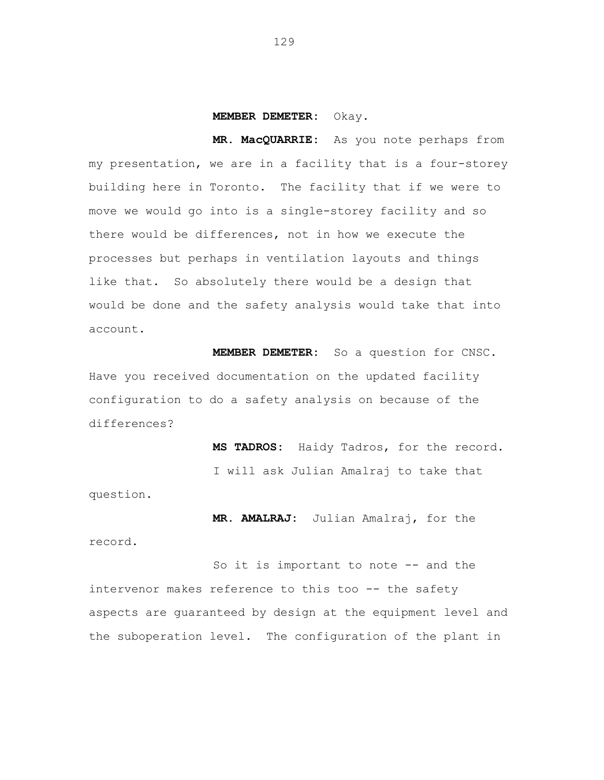## **MEMBER DEMETER:** Okay.

**MR. MacQUARRIE:** As you note perhaps from my presentation, we are in a facility that is a four-storey building here in Toronto. The facility that if we were to move we would go into is a single-storey facility and so there would be differences, not in how we execute the processes but perhaps in ventilation layouts and things like that. So absolutely there would be a design that would be done and the safety analysis would take that into account.

**MEMBER DEMETER:** So a question for CNSC. Have you received documentation on the updated facility configuration to do a safety analysis on because of the differences?

> **MS TADROS:** Haidy Tadros, for the record. I will ask Julian Amalraj to take that

question.

**MR. AMALRAJ:** Julian Amalraj, for the

record.

So it is important to note -- and the intervenor makes reference to this too -- the safety aspects are guaranteed by design at the equipment level and the suboperation level. The configuration of the plant in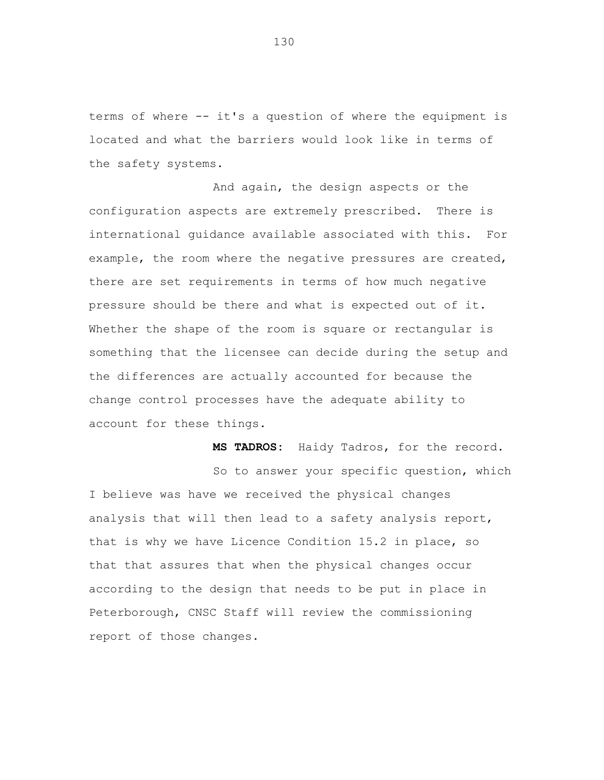terms of where -- it's a question of where the equipment is located and what the barriers would look like in terms of the safety systems.

And again, the design aspects or the configuration aspects are extremely prescribed. There is international guidance available associated with this. For example, the room where the negative pressures are created, there are set requirements in terms of how much negative pressure should be there and what is expected out of it. Whether the shape of the room is square or rectangular is something that the licensee can decide during the setup and the differences are actually accounted for because the change control processes have the adequate ability to account for these things.

> **MS TADROS:** Haidy Tadros, for the record. So to answer your specific question, which

I believe was have we received the physical changes analysis that will then lead to a safety analysis report, that is why we have Licence Condition 15.2 in place, so that that assures that when the physical changes occur according to the design that needs to be put in place in Peterborough, CNSC Staff will review the commissioning report of those changes.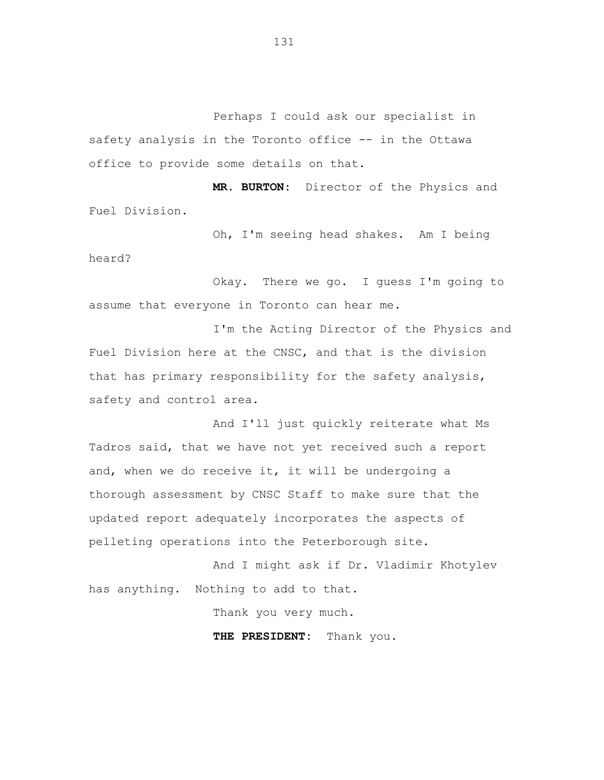Perhaps I could ask our specialist in safety analysis in the Toronto office -- in the Ottawa office to provide some details on that.

**MR. BURTON:** Director of the Physics and Fuel Division.

Oh, I'm seeing head shakes. Am I being heard?

Okay. There we go. I guess I'm going to assume that everyone in Toronto can hear me.

I'm the Acting Director of the Physics and Fuel Division here at the CNSC, and that is the division that has primary responsibility for the safety analysis, safety and control area.

And I'll just quickly reiterate what Ms Tadros said, that we have not yet received such a report and, when we do receive it, it will be undergoing a thorough assessment by CNSC Staff to make sure that the updated report adequately incorporates the aspects of pelleting operations into the Peterborough site.

And I might ask if Dr. Vladimir Khotylev has anything. Nothing to add to that.

Thank you very much.

**THE PRESIDENT:** Thank you.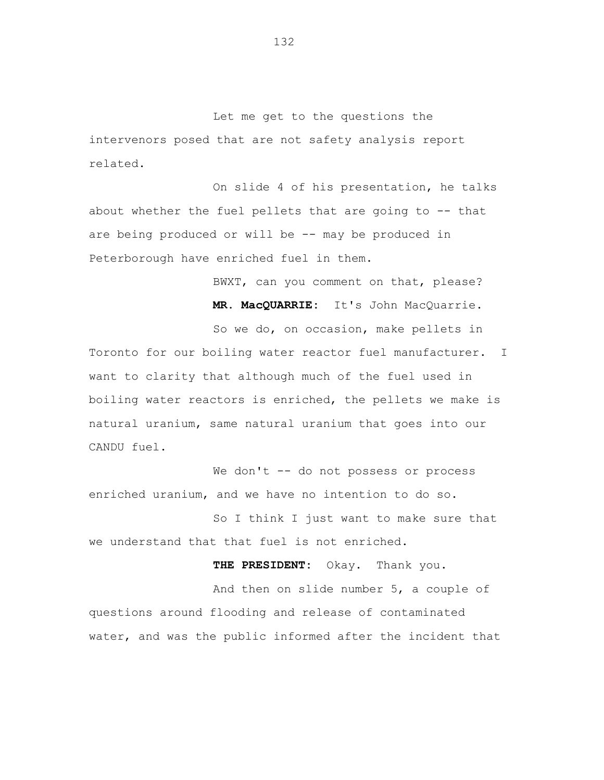Let me get to the questions the intervenors posed that are not safety analysis report related.

On slide 4 of his presentation, he talks about whether the fuel pellets that are going to -- that are being produced or will be -- may be produced in Peterborough have enriched fuel in them.

> BWXT, can you comment on that, please? **MR. MacQUARRIE:** It's John MacQuarrie.

So we do, on occasion, make pellets in Toronto for our boiling water reactor fuel manufacturer. I want to clarity that although much of the fuel used in boiling water reactors is enriched, the pellets we make is natural uranium, same natural uranium that goes into our CANDU fuel.

We don't -- do not possess or process enriched uranium, and we have no intention to do so.

So I think I just want to make sure that we understand that that fuel is not enriched.

**THE PRESIDENT:** Okay. Thank you.

And then on slide number 5, a couple of questions around flooding and release of contaminated water, and was the public informed after the incident that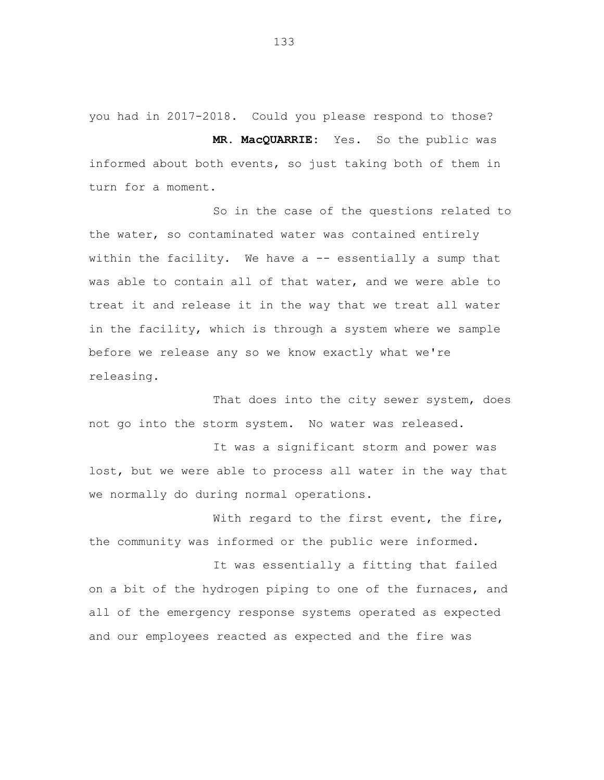you had in 2017-2018. Could you please respond to those? **MR. MacQUARRIE:** Yes. So the public was

informed about both events, so just taking both of them in turn for a moment.

So in the case of the questions related to the water, so contaminated water was contained entirely within the facility. We have a -- essentially a sump that was able to contain all of that water, and we were able to treat it and release it in the way that we treat all water in the facility, which is through a system where we sample before we release any so we know exactly what we're releasing.

That does into the city sewer system, does not go into the storm system. No water was released.

It was a significant storm and power was lost, but we were able to process all water in the way that we normally do during normal operations.

With regard to the first event, the fire, the community was informed or the public were informed.

It was essentially a fitting that failed on a bit of the hydrogen piping to one of the furnaces, and all of the emergency response systems operated as expected and our employees reacted as expected and the fire was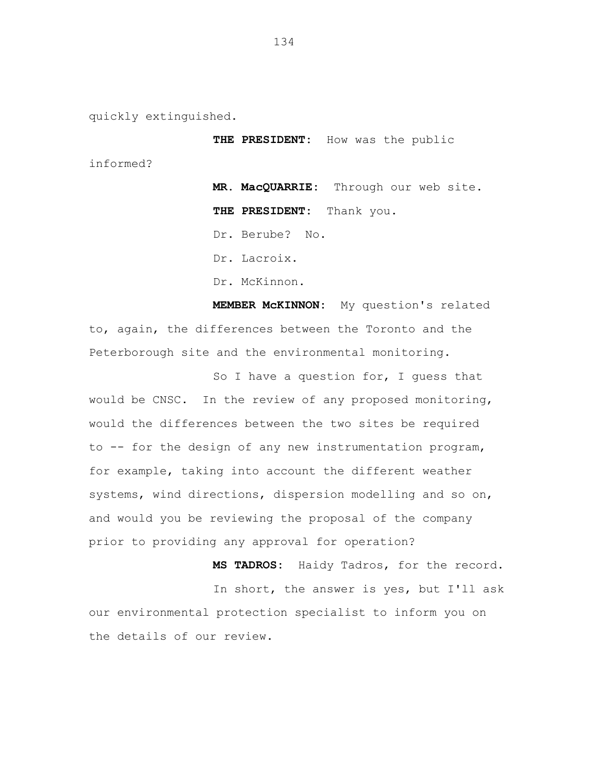quickly extinguished.

**THE PRESIDENT:** How was the public

informed?

**MR. MacQUARRIE:** Through our web site. **THE PRESIDENT:** Thank you. Dr. Berube? No.

Dr. Lacroix.

Dr. McKinnon.

**MEMBER McKINNON:** My question's related to, again, the differences between the Toronto and the Peterborough site and the environmental monitoring.

So I have a question for, I quess that would be CNSC. In the review of any proposed monitoring, would the differences between the two sites be required to -- for the design of any new instrumentation program, for example, taking into account the different weather systems, wind directions, dispersion modelling and so on, and would you be reviewing the proposal of the company prior to providing any approval for operation?

**MS TADROS:** Haidy Tadros, for the record.

In short, the answer is yes, but I'll ask our environmental protection specialist to inform you on the details of our review.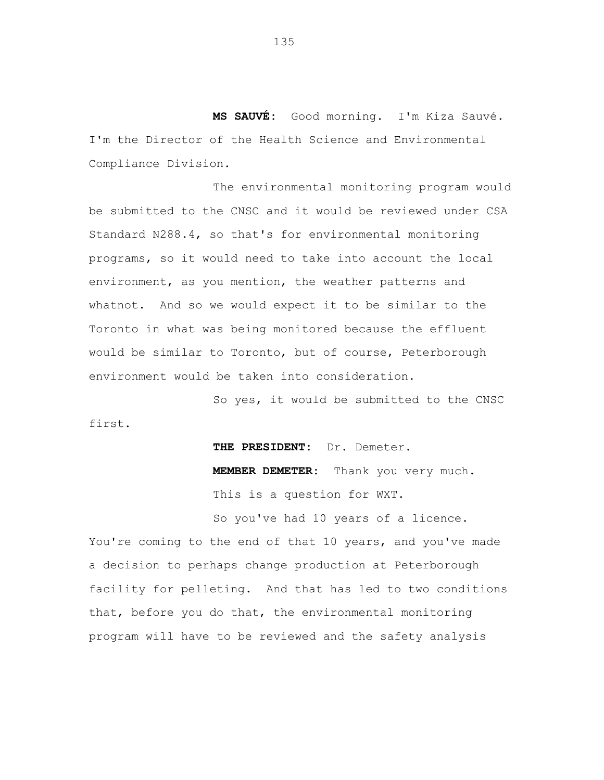**MS SAUVÉ:** Good morning. I'm Kiza Sauvé. I'm the Director of the Health Science and Environmental Compliance Division.

The environmental monitoring program would be submitted to the CNSC and it would be reviewed under CSA Standard N288.4, so that's for environmental monitoring programs, so it would need to take into account the local environment, as you mention, the weather patterns and whatnot. And so we would expect it to be similar to the Toronto in what was being monitored because the effluent would be similar to Toronto, but of course, Peterborough environment would be taken into consideration.

So yes, it would be submitted to the CNSC first.

> **THE PRESIDENT:** Dr. Demeter. **MEMBER DEMETER:** Thank you very much. This is a question for WXT.

So you've had 10 years of a licence. You're coming to the end of that 10 years, and you've made a decision to perhaps change production at Peterborough facility for pelleting. And that has led to two conditions that, before you do that, the environmental monitoring program will have to be reviewed and the safety analysis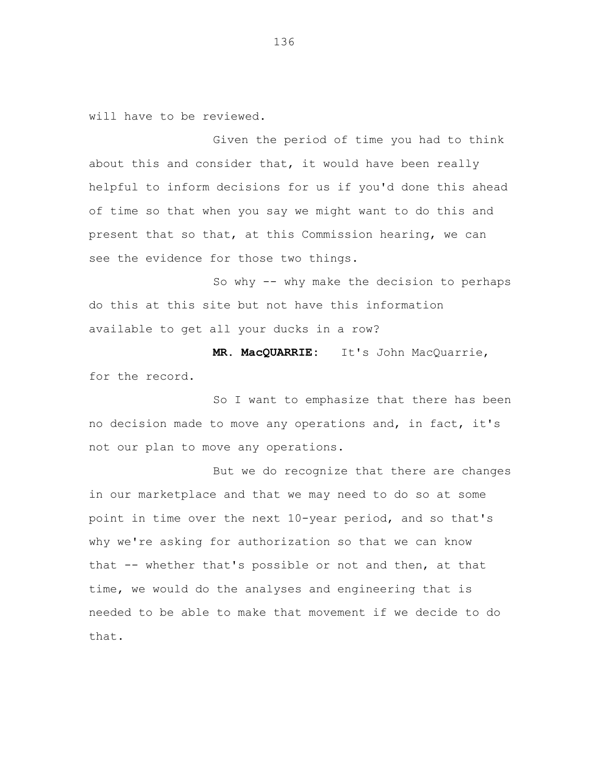will have to be reviewed.

Given the period of time you had to think about this and consider that, it would have been really helpful to inform decisions for us if you'd done this ahead of time so that when you say we might want to do this and present that so that, at this Commission hearing, we can see the evidence for those two things.

So why -- why make the decision to perhaps do this at this site but not have this information available to get all your ducks in a row?

**MR. MacQUARRIE:** It's John MacQuarrie, for the record.

So I want to emphasize that there has been no decision made to move any operations and, in fact, it's not our plan to move any operations.

But we do recognize that there are changes in our marketplace and that we may need to do so at some point in time over the next 10-year period, and so that's why we're asking for authorization so that we can know that -- whether that's possible or not and then, at that time, we would do the analyses and engineering that is needed to be able to make that movement if we decide to do that.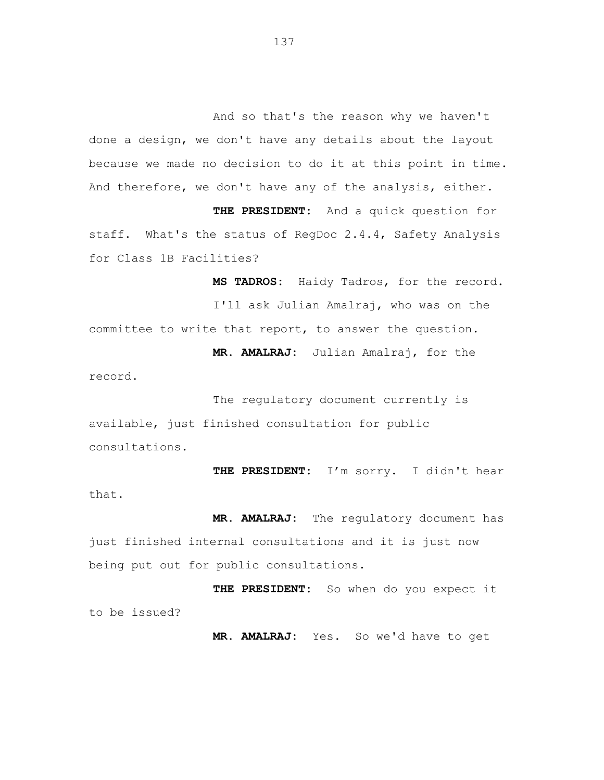And so that's the reason why we haven't done a design, we don't have any details about the layout because we made no decision to do it at this point in time. And therefore, we don't have any of the analysis, either.

**THE PRESIDENT:** And a quick question for staff. What's the status of RegDoc 2.4.4, Safety Analysis for Class 1B Facilities?

**MS TADROS:** Haidy Tadros, for the record. I'll ask Julian Amalraj, who was on the committee to write that report, to answer the question. **MR. AMALRAJ:** Julian Amalraj, for the record.

The regulatory document currently is available, just finished consultation for public consultations.

**THE PRESIDENT:** I'm sorry. I didn't hear that.

**MR. AMALRAJ:** The regulatory document has just finished internal consultations and it is just now being put out for public consultations.

**THE PRESIDENT:** So when do you expect it to be issued?

**MR. AMALRAJ:** Yes. So we'd have to get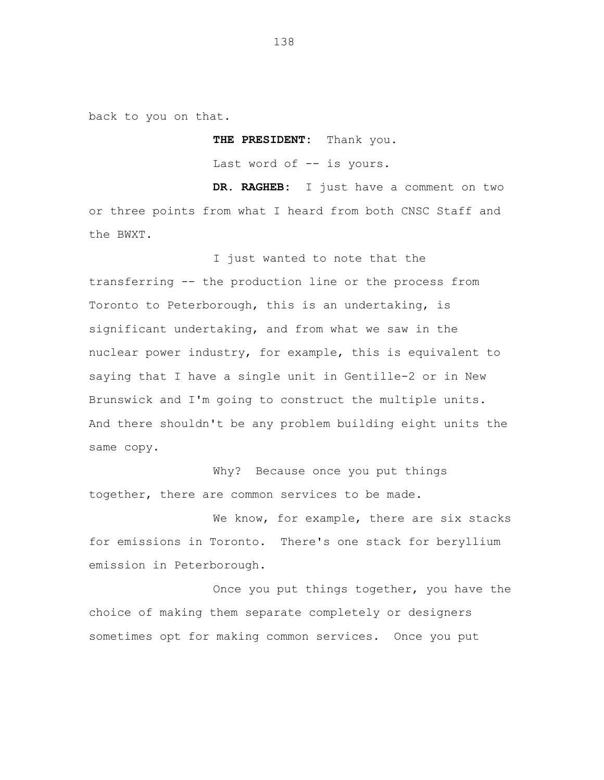back to you on that.

**THE PRESIDENT:** Thank you. Last word of -- is yours.

**DR. RAGHEB:** I just have a comment on two or three points from what I heard from both CNSC Staff and the BWXT.

I just wanted to note that the transferring -- the production line or the process from Toronto to Peterborough, this is an undertaking, is significant undertaking, and from what we saw in the nuclear power industry, for example, this is equivalent to saying that I have a single unit in Gentille-2 or in New Brunswick and I'm going to construct the multiple units. And there shouldn't be any problem building eight units the same copy.

Why? Because once you put things together, there are common services to be made.

We know, for example, there are six stacks for emissions in Toronto. There's one stack for beryllium emission in Peterborough.

Once you put things together, you have the choice of making them separate completely or designers sometimes opt for making common services. Once you put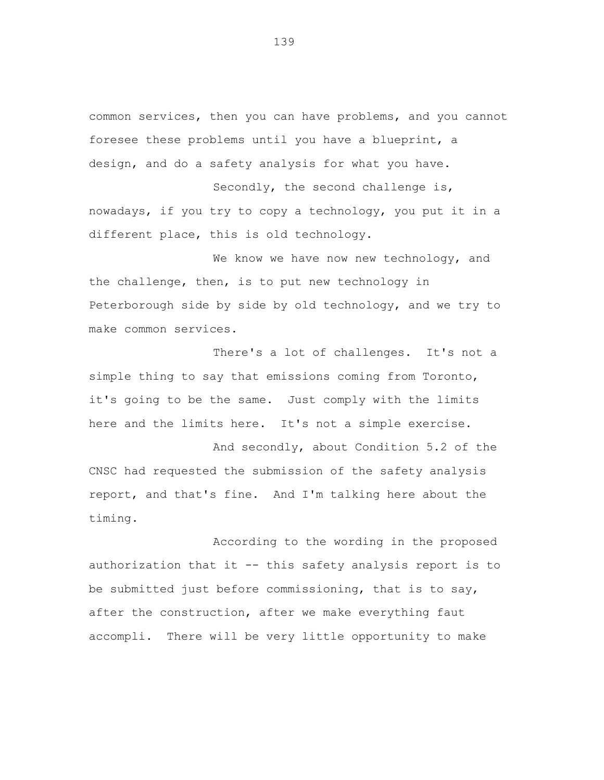common services, then you can have problems, and you cannot foresee these problems until you have a blueprint, a design, and do a safety analysis for what you have.

Secondly, the second challenge is, nowadays, if you try to copy a technology, you put it in a different place, this is old technology.

We know we have now new technology, and the challenge, then, is to put new technology in Peterborough side by side by old technology, and we try to make common services.

There's a lot of challenges. It's not a simple thing to say that emissions coming from Toronto, it's going to be the same. Just comply with the limits here and the limits here. It's not a simple exercise.

And secondly, about Condition 5.2 of the CNSC had requested the submission of the safety analysis report, and that's fine. And I'm talking here about the timing.

According to the wording in the proposed authorization that it -- this safety analysis report is to be submitted just before commissioning, that is to say, after the construction, after we make everything faut accompli. There will be very little opportunity to make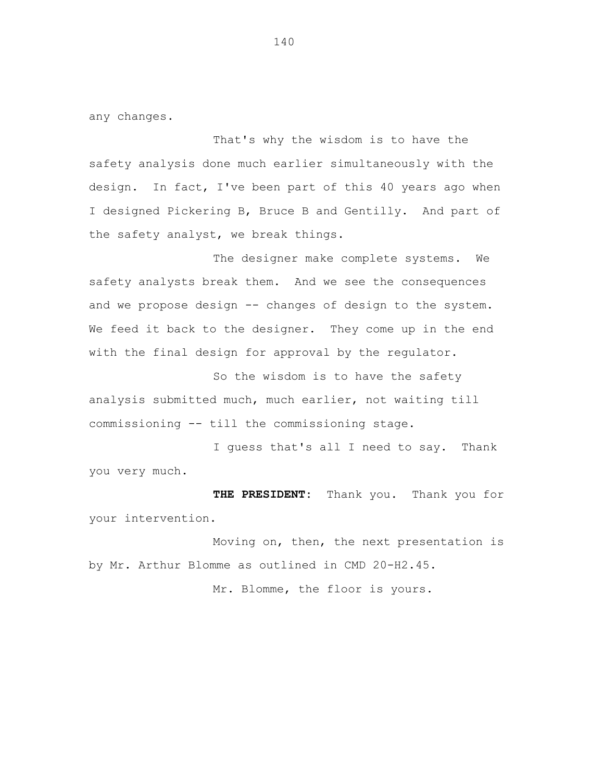any changes.

That's why the wisdom is to have the safety analysis done much earlier simultaneously with the design. In fact, I've been part of this 40 years ago when I designed Pickering B, Bruce B and Gentilly. And part of the safety analyst, we break things.

The designer make complete systems. We safety analysts break them. And we see the consequences and we propose design -- changes of design to the system. We feed it back to the designer. They come up in the end with the final design for approval by the regulator.

So the wisdom is to have the safety analysis submitted much, much earlier, not waiting till commissioning -- till the commissioning stage.

I guess that's all I need to say. Thank you very much.

**THE PRESIDENT:** Thank you. Thank you for your intervention.

Moving on, then, the next presentation is by Mr. Arthur Blomme as outlined in CMD 20-H2.45.

Mr. Blomme, the floor is yours.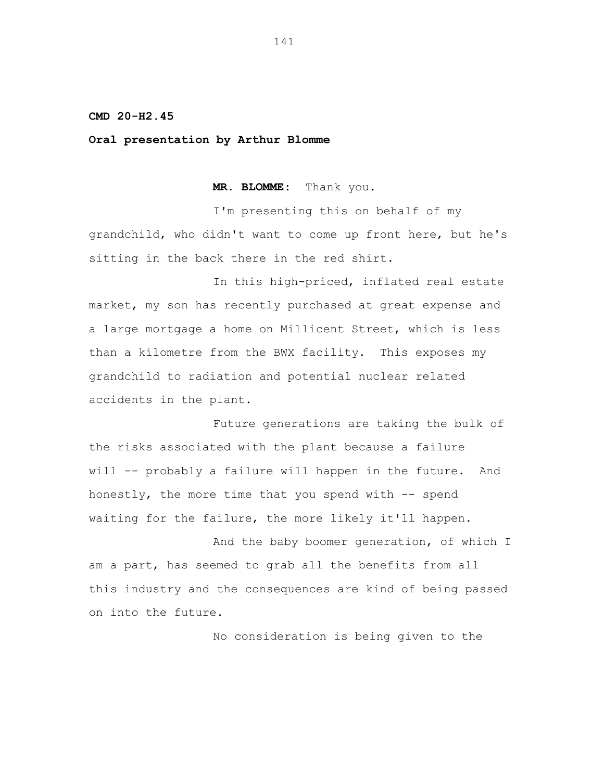## **CMD 20-H2.45**

**Oral presentation by Arthur Blomme**

**MR. BLOMME:** Thank you.

I'm presenting this on behalf of my grandchild, who didn't want to come up front here, but he's sitting in the back there in the red shirt.

In this high-priced, inflated real estate market, my son has recently purchased at great expense and a large mortgage a home on Millicent Street, which is less than a kilometre from the BWX facility. This exposes my grandchild to radiation and potential nuclear related accidents in the plant.

Future generations are taking the bulk of the risks associated with the plant because a failure will -- probably a failure will happen in the future. And honestly, the more time that you spend with -- spend waiting for the failure, the more likely it'll happen.

And the baby boomer generation, of which I am a part, has seemed to grab all the benefits from all this industry and the consequences are kind of being passed on into the future.

No consideration is being given to the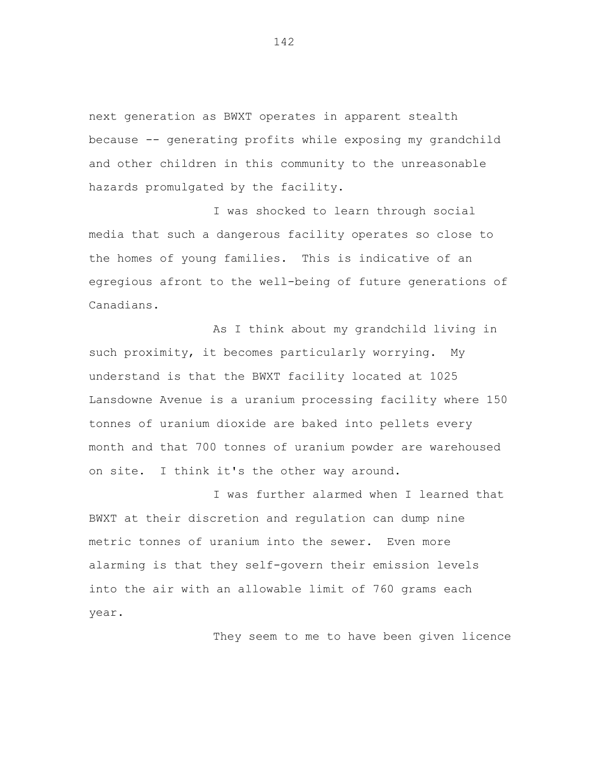next generation as BWXT operates in apparent stealth because -- generating profits while exposing my grandchild and other children in this community to the unreasonable hazards promulgated by the facility.

I was shocked to learn through social media that such a dangerous facility operates so close to the homes of young families. This is indicative of an egregious afront to the well-being of future generations of Canadians.

As I think about my grandchild living in such proximity, it becomes particularly worrying. My understand is that the BWXT facility located at 1025 Lansdowne Avenue is a uranium processing facility where 150 tonnes of uranium dioxide are baked into pellets every month and that 700 tonnes of uranium powder are warehoused on site. I think it's the other way around.

I was further alarmed when I learned that BWXT at their discretion and regulation can dump nine metric tonnes of uranium into the sewer. Even more alarming is that they self-govern their emission levels into the air with an allowable limit of 760 grams each year.

They seem to me to have been given licence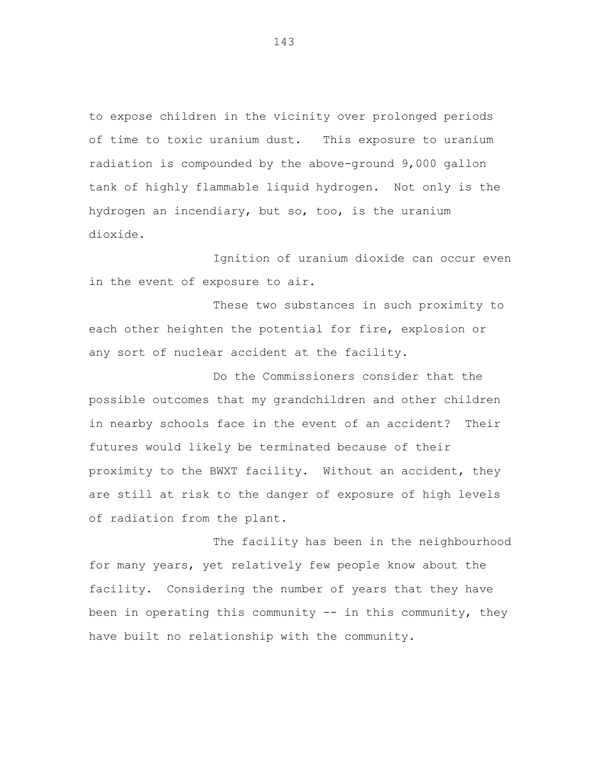to expose children in the vicinity over prolonged periods of time to toxic uranium dust. This exposure to uranium radiation is compounded by the above-ground 9,000 gallon tank of highly flammable liquid hydrogen. Not only is the hydrogen an incendiary, but so, too, is the uranium dioxide.

Ignition of uranium dioxide can occur even in the event of exposure to air.

These two substances in such proximity to each other heighten the potential for fire, explosion or any sort of nuclear accident at the facility.

Do the Commissioners consider that the possible outcomes that my grandchildren and other children in nearby schools face in the event of an accident? Their futures would likely be terminated because of their proximity to the BWXT facility. Without an accident, they are still at risk to the danger of exposure of high levels of radiation from the plant.

The facility has been in the neighbourhood for many years, yet relatively few people know about the facility. Considering the number of years that they have been in operating this community  $-$  in this community, they have built no relationship with the community.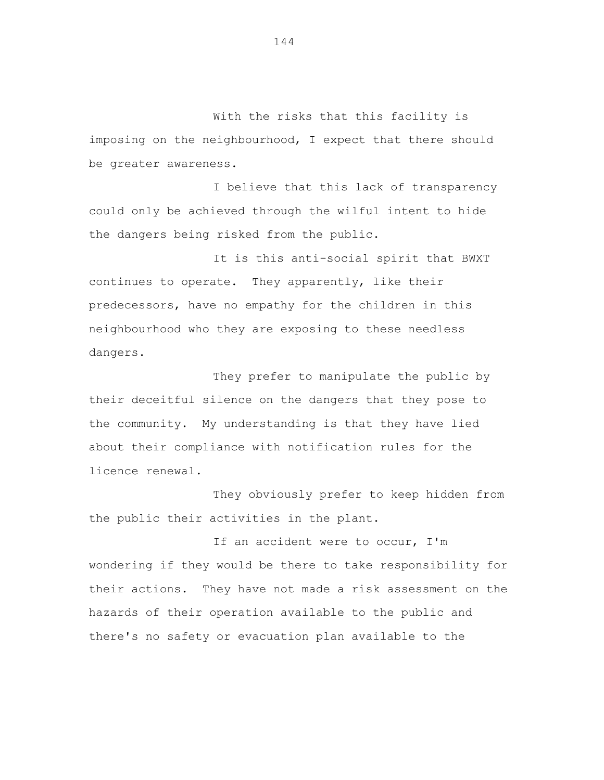With the risks that this facility is imposing on the neighbourhood, I expect that there should be greater awareness.

I believe that this lack of transparency could only be achieved through the wilful intent to hide the dangers being risked from the public.

It is this anti-social spirit that BWXT continues to operate. They apparently, like their predecessors, have no empathy for the children in this neighbourhood who they are exposing to these needless dangers.

They prefer to manipulate the public by their deceitful silence on the dangers that they pose to the community. My understanding is that they have lied about their compliance with notification rules for the licence renewal.

They obviously prefer to keep hidden from the public their activities in the plant.

If an accident were to occur, I'm wondering if they would be there to take responsibility for their actions. They have not made a risk assessment on the hazards of their operation available to the public and there's no safety or evacuation plan available to the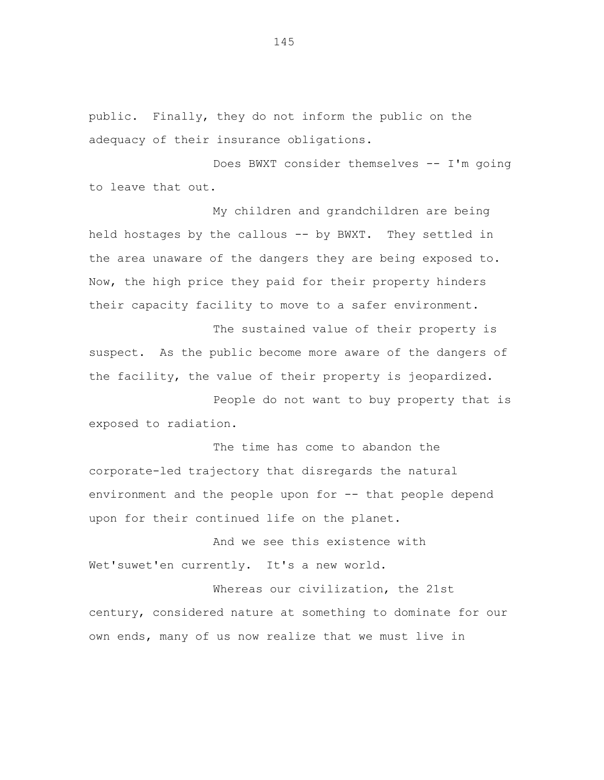public. Finally, they do not inform the public on the adequacy of their insurance obligations.

Does BWXT consider themselves -- I'm going to leave that out.

My children and grandchildren are being held hostages by the callous -- by BWXT. They settled in the area unaware of the dangers they are being exposed to. Now, the high price they paid for their property hinders their capacity facility to move to a safer environment.

The sustained value of their property is suspect. As the public become more aware of the dangers of the facility, the value of their property is jeopardized.

People do not want to buy property that is exposed to radiation.

The time has come to abandon the corporate-led trajectory that disregards the natural environment and the people upon for -- that people depend upon for their continued life on the planet.

And we see this existence with Wet'suwet'en currently. It's a new world.

Whereas our civilization, the 21st century, considered nature at something to dominate for our own ends, many of us now realize that we must live in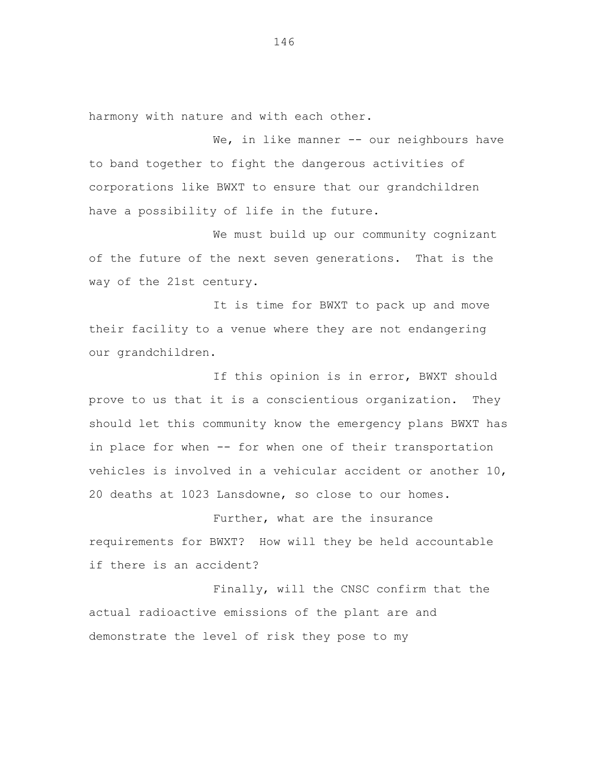harmony with nature and with each other.

We, in like manner -- our neighbours have to band together to fight the dangerous activities of corporations like BWXT to ensure that our grandchildren have a possibility of life in the future.

We must build up our community cognizant of the future of the next seven generations. That is the way of the 21st century.

It is time for BWXT to pack up and move their facility to a venue where they are not endangering our grandchildren.

If this opinion is in error, BWXT should prove to us that it is a conscientious organization. They should let this community know the emergency plans BWXT has in place for when -- for when one of their transportation vehicles is involved in a vehicular accident or another 10, 20 deaths at 1023 Lansdowne, so close to our homes.

Further, what are the insurance requirements for BWXT? How will they be held accountable if there is an accident?

Finally, will the CNSC confirm that the actual radioactive emissions of the plant are and demonstrate the level of risk they pose to my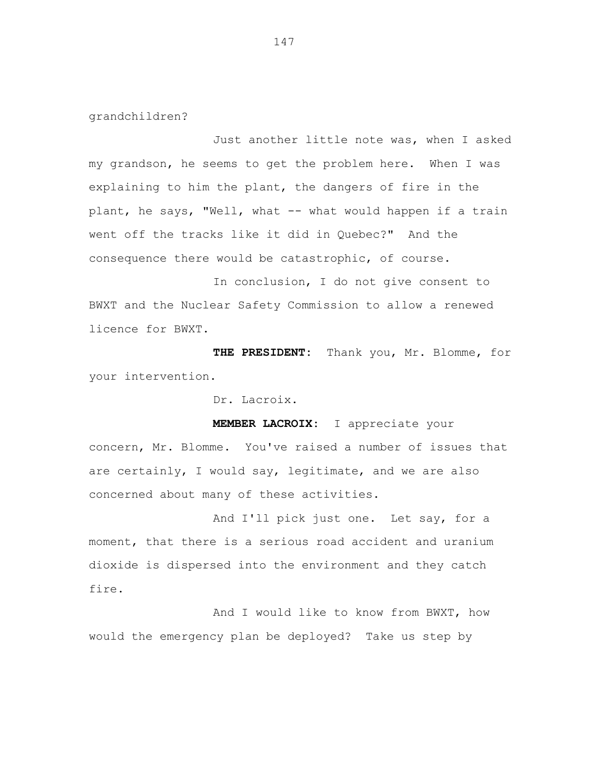grandchildren?

Just another little note was, when I asked my grandson, he seems to get the problem here. When I was explaining to him the plant, the dangers of fire in the plant, he says, "Well, what -- what would happen if a train went off the tracks like it did in Quebec?" And the consequence there would be catastrophic, of course.

In conclusion, I do not give consent to BWXT and the Nuclear Safety Commission to allow a renewed licence for BWXT.

**THE PRESIDENT:** Thank you, Mr. Blomme, for your intervention.

Dr. Lacroix.

**MEMBER LACROIX:** I appreciate your concern, Mr. Blomme. You've raised a number of issues that are certainly, I would say, legitimate, and we are also concerned about many of these activities.

And I'll pick just one. Let say, for a moment, that there is a serious road accident and uranium dioxide is dispersed into the environment and they catch fire.

And I would like to know from BWXT, how would the emergency plan be deployed? Take us step by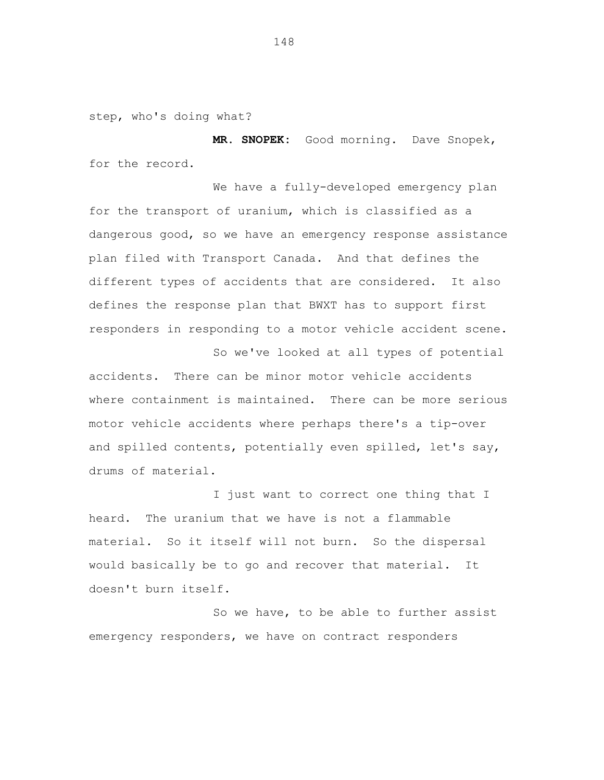step, who's doing what?

**MR. SNOPEK:** Good morning. Dave Snopek, for the record.

We have a fully-developed emergency plan for the transport of uranium, which is classified as a dangerous good, so we have an emergency response assistance plan filed with Transport Canada. And that defines the different types of accidents that are considered. It also defines the response plan that BWXT has to support first responders in responding to a motor vehicle accident scene.

So we've looked at all types of potential accidents. There can be minor motor vehicle accidents where containment is maintained. There can be more serious motor vehicle accidents where perhaps there's a tip-over and spilled contents, potentially even spilled, let's say, drums of material.

I just want to correct one thing that I heard. The uranium that we have is not a flammable material. So it itself will not burn. So the dispersal would basically be to go and recover that material. It doesn't burn itself.

So we have, to be able to further assist emergency responders, we have on contract responders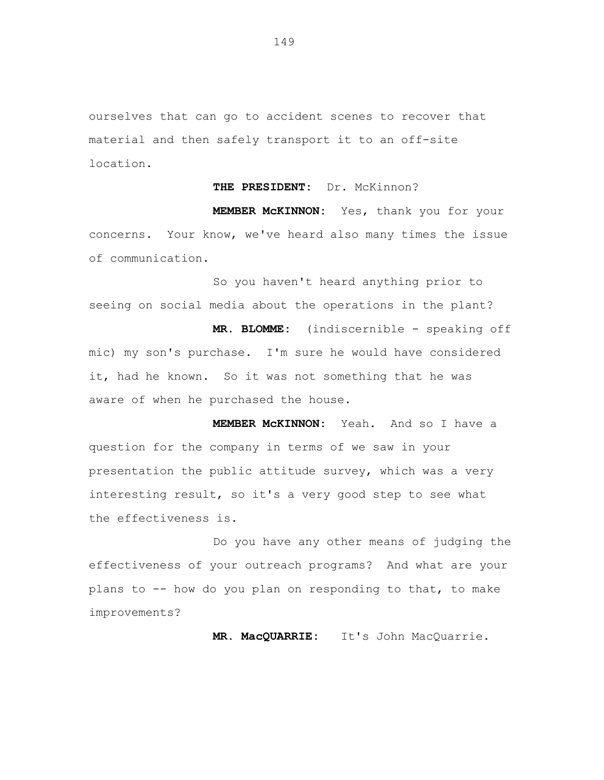ourselves that can go to accident scenes to recover that material and then safely transport it to an off-site location.

## **THE PRESIDENT:** Dr. McKinnon?

**MEMBER McKINNON:** Yes, thank you for your concerns. Your know, we've heard also many times the issue of communication.

So you haven't heard anything prior to seeing on social media about the operations in the plant?

**MR. BLOMME:** (indiscernible - speaking off mic) my son's purchase. I'm sure he would have considered it, had he known. So it was not something that he was aware of when he purchased the house.

**MEMBER McKINNON:** Yeah. And so I have a question for the company in terms of we saw in your presentation the public attitude survey, which was a very interesting result, so it's a very good step to see what the effectiveness is.

Do you have any other means of judging the effectiveness of your outreach programs? And what are your plans to -- how do you plan on responding to that, to make improvements?

**MR. MacQUARRIE:** It's John MacQuarrie.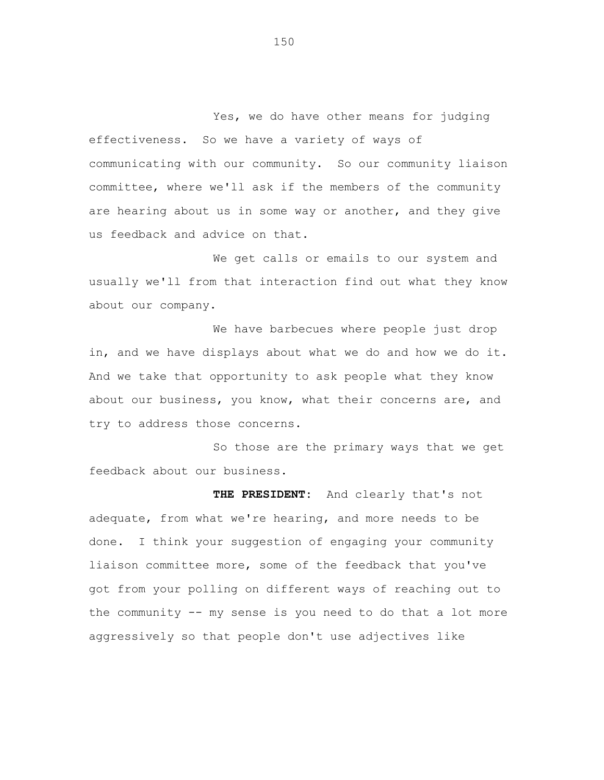Yes, we do have other means for judging effectiveness. So we have a variety of ways of communicating with our community. So our community liaison committee, where we'll ask if the members of the community are hearing about us in some way or another, and they give us feedback and advice on that.

We get calls or emails to our system and usually we'll from that interaction find out what they know about our company.

We have barbecues where people just drop in, and we have displays about what we do and how we do it. And we take that opportunity to ask people what they know about our business, you know, what their concerns are, and try to address those concerns.

So those are the primary ways that we get feedback about our business.

**THE PRESIDENT:** And clearly that's not adequate, from what we're hearing, and more needs to be done. I think your suggestion of engaging your community liaison committee more, some of the feedback that you've got from your polling on different ways of reaching out to the community -- my sense is you need to do that a lot more aggressively so that people don't use adjectives like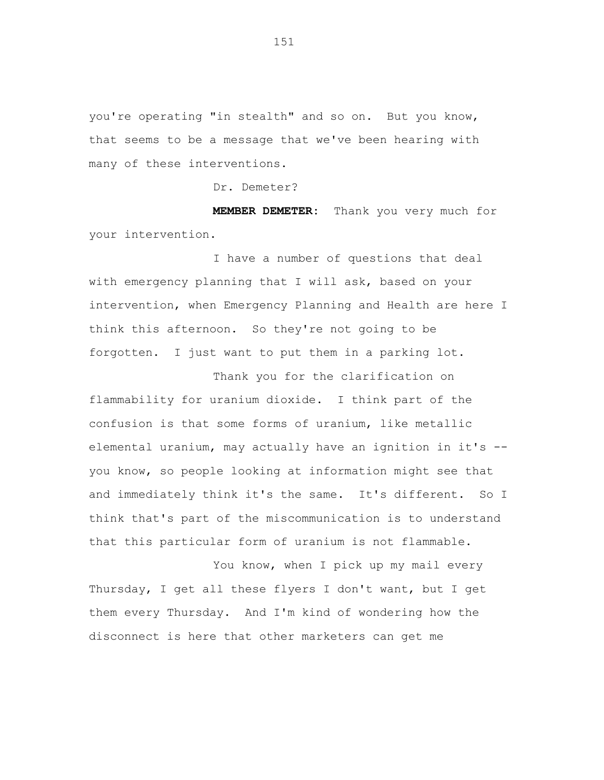you're operating "in stealth" and so on. But you know, that seems to be a message that we've been hearing with many of these interventions.

Dr. Demeter?

**MEMBER DEMETER:** Thank you very much for your intervention.

I have a number of questions that deal with emergency planning that I will ask, based on your intervention, when Emergency Planning and Health are here I think this afternoon. So they're not going to be forgotten. I just want to put them in a parking lot.

Thank you for the clarification on flammability for uranium dioxide. I think part of the confusion is that some forms of uranium, like metallic elemental uranium, may actually have an ignition in it's - you know, so people looking at information might see that and immediately think it's the same. It's different. So I think that's part of the miscommunication is to understand that this particular form of uranium is not flammable.

You know, when I pick up my mail every Thursday, I get all these flyers I don't want, but I get them every Thursday. And I'm kind of wondering how the disconnect is here that other marketers can get me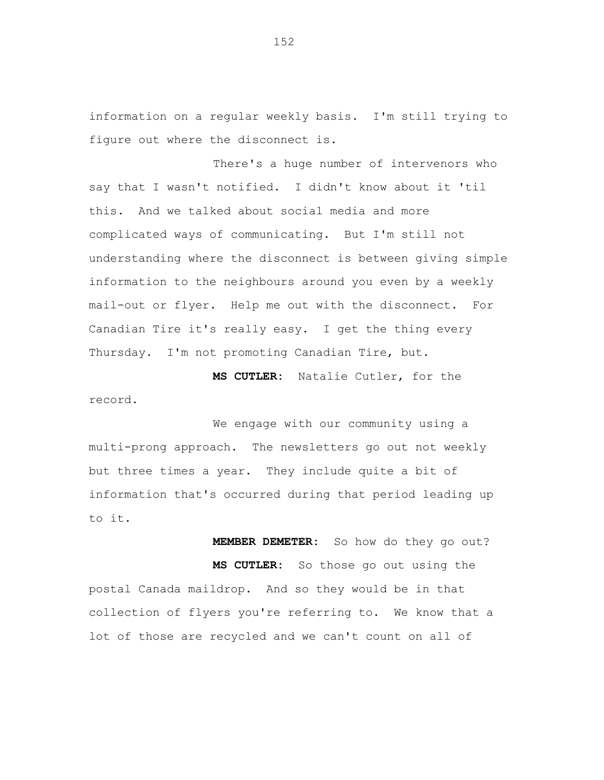information on a regular weekly basis. I'm still trying to figure out where the disconnect is.

There's a huge number of intervenors who say that I wasn't notified. I didn't know about it 'til this. And we talked about social media and more complicated ways of communicating. But I'm still not understanding where the disconnect is between giving simple information to the neighbours around you even by a weekly mail-out or flyer. Help me out with the disconnect. For Canadian Tire it's really easy. I get the thing every Thursday. I'm not promoting Canadian Tire, but.

**MS CUTLER:** Natalie Cutler, for the record.

We engage with our community using a multi-prong approach. The newsletters go out not weekly but three times a year. They include quite a bit of information that's occurred during that period leading up to it.

**MEMBER DEMETER:** So how do they go out? **MS CUTLER:** So those go out using the postal Canada maildrop. And so they would be in that collection of flyers you're referring to. We know that a lot of those are recycled and we can't count on all of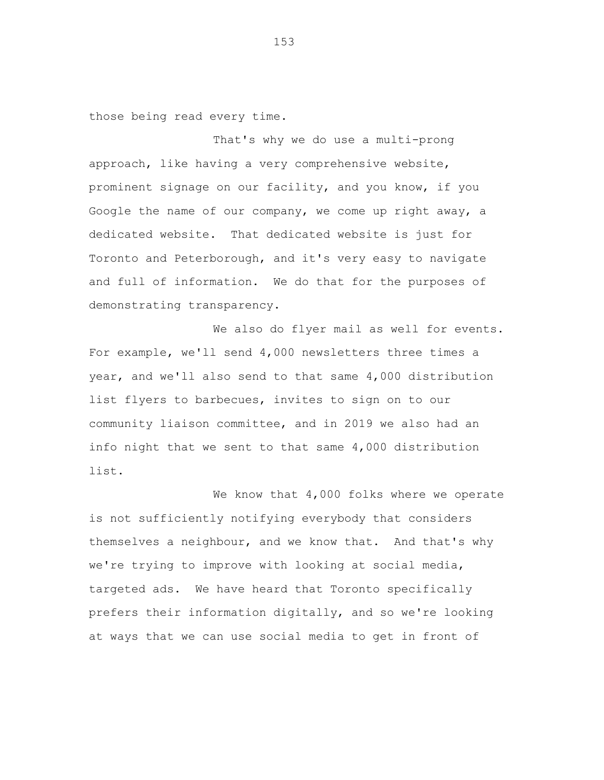those being read every time.

That's why we do use a multi-prong approach, like having a very comprehensive website, prominent signage on our facility, and you know, if you Google the name of our company, we come up right away, a dedicated website. That dedicated website is just for Toronto and Peterborough, and it's very easy to navigate and full of information. We do that for the purposes of demonstrating transparency.

We also do flyer mail as well for events. For example, we'll send 4,000 newsletters three times a year, and we'll also send to that same 4,000 distribution list flyers to barbecues, invites to sign on to our community liaison committee, and in 2019 we also had an info night that we sent to that same 4,000 distribution list.

We know that 4,000 folks where we operate is not sufficiently notifying everybody that considers themselves a neighbour, and we know that. And that's why we're trying to improve with looking at social media, targeted ads. We have heard that Toronto specifically prefers their information digitally, and so we're looking at ways that we can use social media to get in front of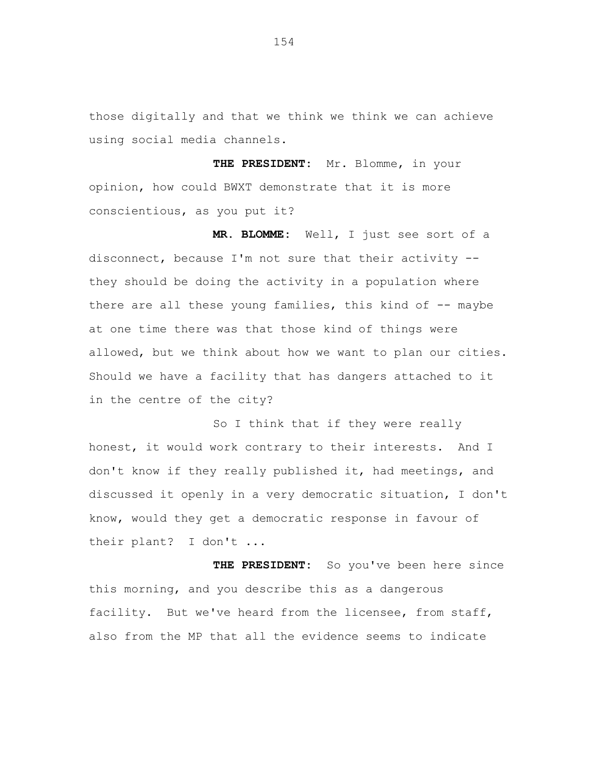those digitally and that we think we think we can achieve using social media channels.

**THE PRESIDENT:** Mr. Blomme, in your opinion, how could BWXT demonstrate that it is more conscientious, as you put it?

**MR. BLOMME:** Well, I just see sort of a disconnect, because I'm not sure that their activity - they should be doing the activity in a population where there are all these young families, this kind of -- maybe at one time there was that those kind of things were allowed, but we think about how we want to plan our cities. Should we have a facility that has dangers attached to it in the centre of the city?

So I think that if they were really honest, it would work contrary to their interests. And I don't know if they really published it, had meetings, and discussed it openly in a very democratic situation, I don't know, would they get a democratic response in favour of their plant? I don't ...

**THE PRESIDENT:** So you've been here since this morning, and you describe this as a dangerous facility. But we've heard from the licensee, from staff, also from the MP that all the evidence seems to indicate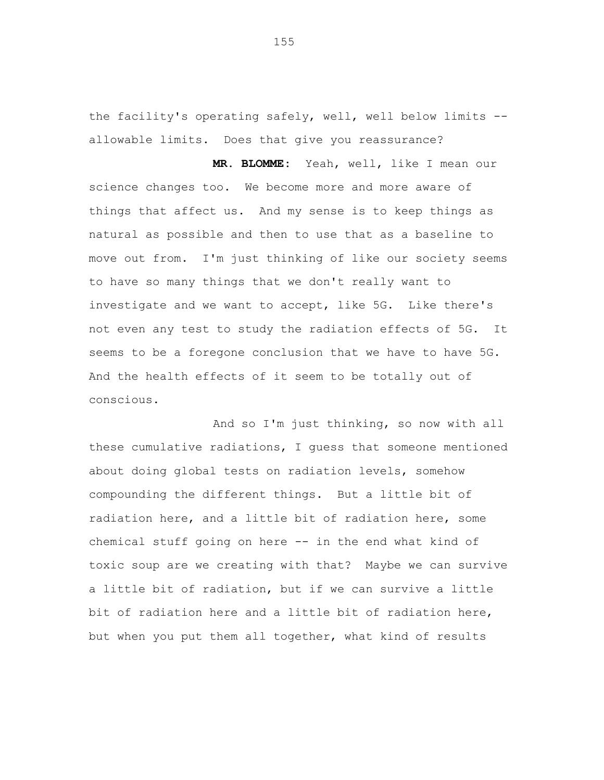the facility's operating safely, well, well below limits - allowable limits. Does that give you reassurance?

**MR. BLOMME:** Yeah, well, like I mean our science changes too. We become more and more aware of things that affect us. And my sense is to keep things as natural as possible and then to use that as a baseline to move out from. I'm just thinking of like our society seems to have so many things that we don't really want to investigate and we want to accept, like 5G. Like there's not even any test to study the radiation effects of 5G. It seems to be a foregone conclusion that we have to have 5G. And the health effects of it seem to be totally out of conscious.

And so I'm just thinking, so now with all these cumulative radiations, I guess that someone mentioned about doing global tests on radiation levels, somehow compounding the different things. But a little bit of radiation here, and a little bit of radiation here, some chemical stuff going on here -- in the end what kind of toxic soup are we creating with that? Maybe we can survive a little bit of radiation, but if we can survive a little bit of radiation here and a little bit of radiation here, but when you put them all together, what kind of results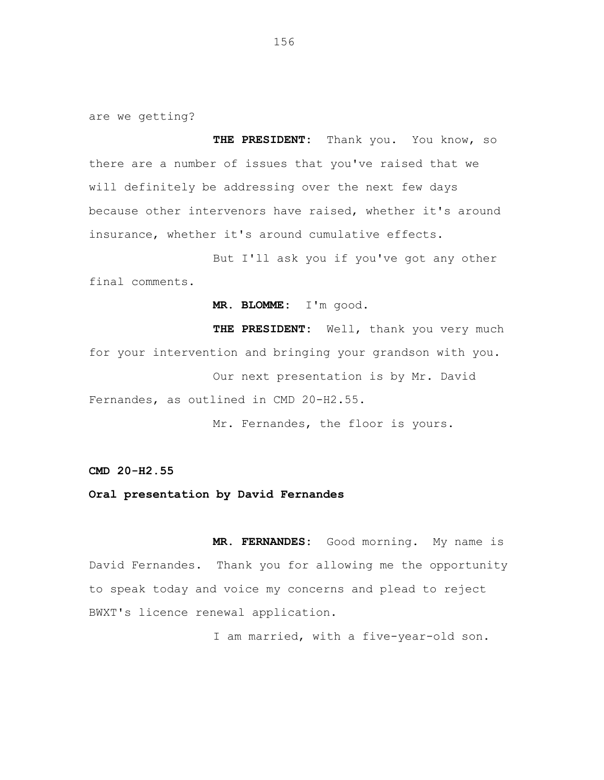are we getting?

**THE PRESIDENT:** Thank you. You know, so there are a number of issues that you've raised that we will definitely be addressing over the next few days because other intervenors have raised, whether it's around insurance, whether it's around cumulative effects.

But I'll ask you if you've got any other final comments.

**MR. BLOMME:** I'm good.

**THE PRESIDENT:** Well, thank you very much for your intervention and bringing your grandson with you. Our next presentation is by Mr. David Fernandes, as outlined in CMD 20-H2.55.

Mr. Fernandes, the floor is yours.

**CMD 20-H2.55**

**Oral presentation by David Fernandes**

**MR. FERNANDES:** Good morning. My name is David Fernandes. Thank you for allowing me the opportunity to speak today and voice my concerns and plead to reject BWXT's licence renewal application.

I am married, with a five-year-old son.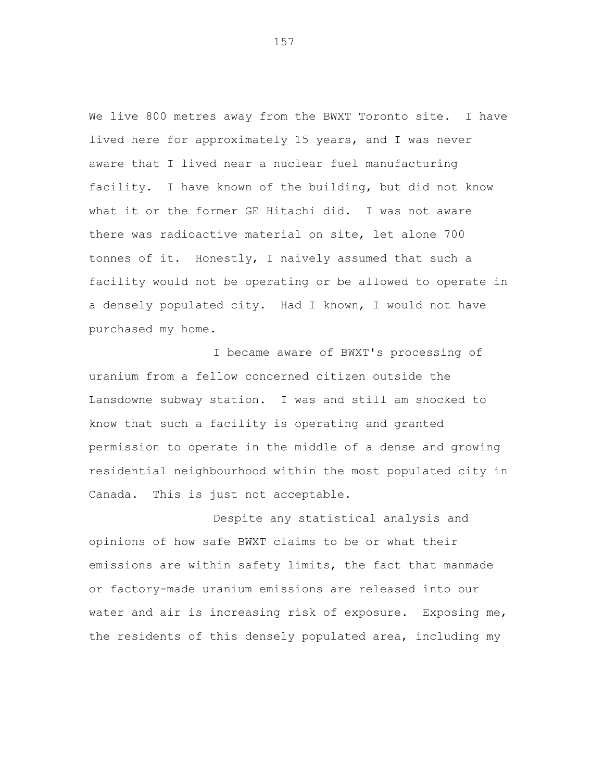We live 800 metres away from the BWXT Toronto site. I have lived here for approximately 15 years, and I was never aware that I lived near a nuclear fuel manufacturing facility. I have known of the building, but did not know what it or the former GE Hitachi did. I was not aware there was radioactive material on site, let alone 700 tonnes of it. Honestly, I naively assumed that such a facility would not be operating or be allowed to operate in a densely populated city. Had I known, I would not have purchased my home.

I became aware of BWXT's processing of uranium from a fellow concerned citizen outside the Lansdowne subway station. I was and still am shocked to know that such a facility is operating and granted permission to operate in the middle of a dense and growing residential neighbourhood within the most populated city in Canada. This is just not acceptable.

Despite any statistical analysis and opinions of how safe BWXT claims to be or what their emissions are within safety limits, the fact that manmade or factory-made uranium emissions are released into our water and air is increasing risk of exposure. Exposing me, the residents of this densely populated area, including my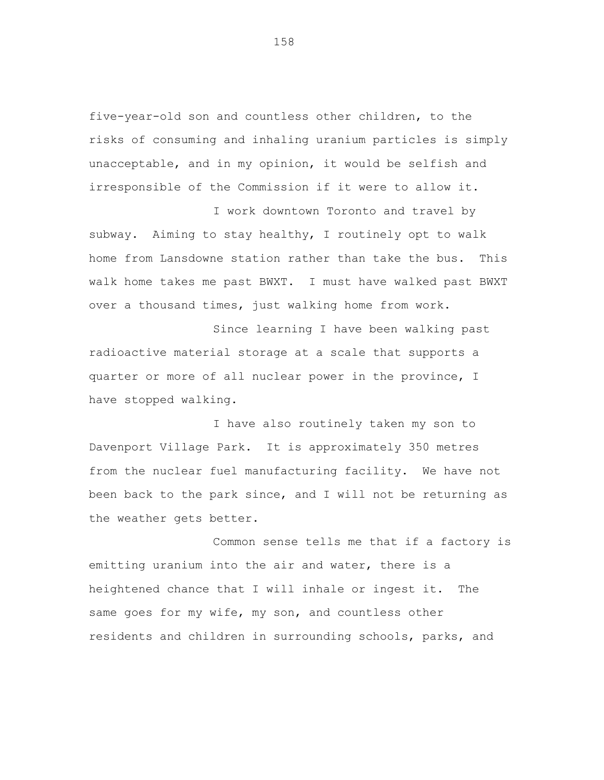five-year-old son and countless other children, to the risks of consuming and inhaling uranium particles is simply unacceptable, and in my opinion, it would be selfish and irresponsible of the Commission if it were to allow it.

I work downtown Toronto and travel by subway. Aiming to stay healthy, I routinely opt to walk home from Lansdowne station rather than take the bus. This walk home takes me past BWXT. I must have walked past BWXT over a thousand times, just walking home from work.

Since learning I have been walking past radioactive material storage at a scale that supports a quarter or more of all nuclear power in the province, I have stopped walking.

I have also routinely taken my son to Davenport Village Park. It is approximately 350 metres from the nuclear fuel manufacturing facility. We have not been back to the park since, and I will not be returning as the weather gets better.

Common sense tells me that if a factory is emitting uranium into the air and water, there is a heightened chance that I will inhale or ingest it. The same goes for my wife, my son, and countless other residents and children in surrounding schools, parks, and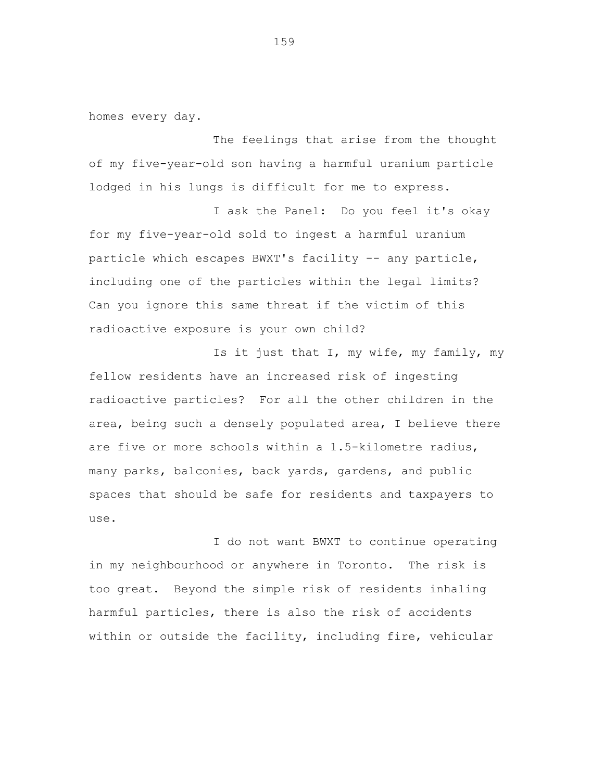homes every day.

The feelings that arise from the thought of my five-year-old son having a harmful uranium particle lodged in his lungs is difficult for me to express.

I ask the Panel: Do you feel it's okay for my five-year-old sold to ingest a harmful uranium particle which escapes BWXT's facility -- any particle, including one of the particles within the legal limits? Can you ignore this same threat if the victim of this radioactive exposure is your own child?

Is it just that I, my wife, my family, my fellow residents have an increased risk of ingesting radioactive particles? For all the other children in the area, being such a densely populated area, I believe there are five or more schools within a 1.5-kilometre radius, many parks, balconies, back yards, gardens, and public spaces that should be safe for residents and taxpayers to use.

I do not want BWXT to continue operating in my neighbourhood or anywhere in Toronto. The risk is too great. Beyond the simple risk of residents inhaling harmful particles, there is also the risk of accidents within or outside the facility, including fire, vehicular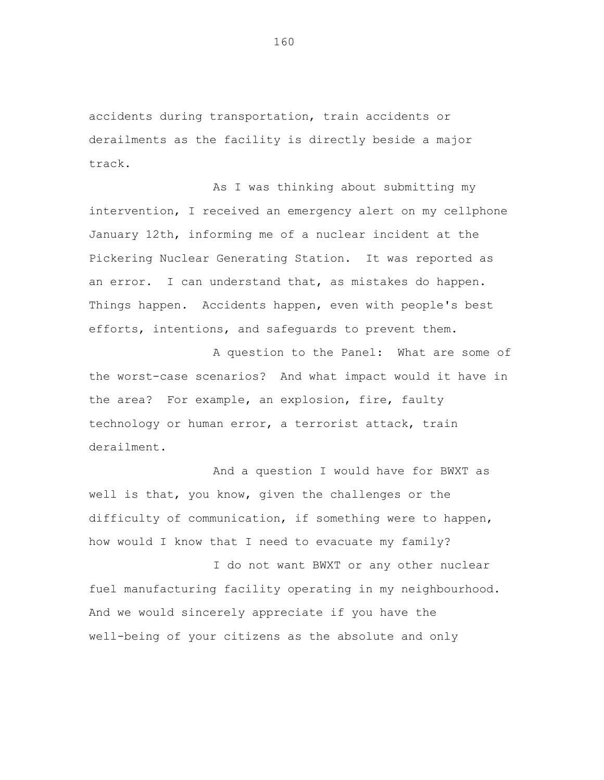accidents during transportation, train accidents or derailments as the facility is directly beside a major track.

As I was thinking about submitting my intervention, I received an emergency alert on my cellphone January 12th, informing me of a nuclear incident at the Pickering Nuclear Generating Station. It was reported as an error. I can understand that, as mistakes do happen. Things happen. Accidents happen, even with people's best efforts, intentions, and safeguards to prevent them.

A question to the Panel: What are some of the worst-case scenarios? And what impact would it have in the area? For example, an explosion, fire, faulty technology or human error, a terrorist attack, train derailment.

And a question I would have for BWXT as well is that, you know, given the challenges or the difficulty of communication, if something were to happen, how would I know that I need to evacuate my family?

I do not want BWXT or any other nuclear fuel manufacturing facility operating in my neighbourhood. And we would sincerely appreciate if you have the well-being of your citizens as the absolute and only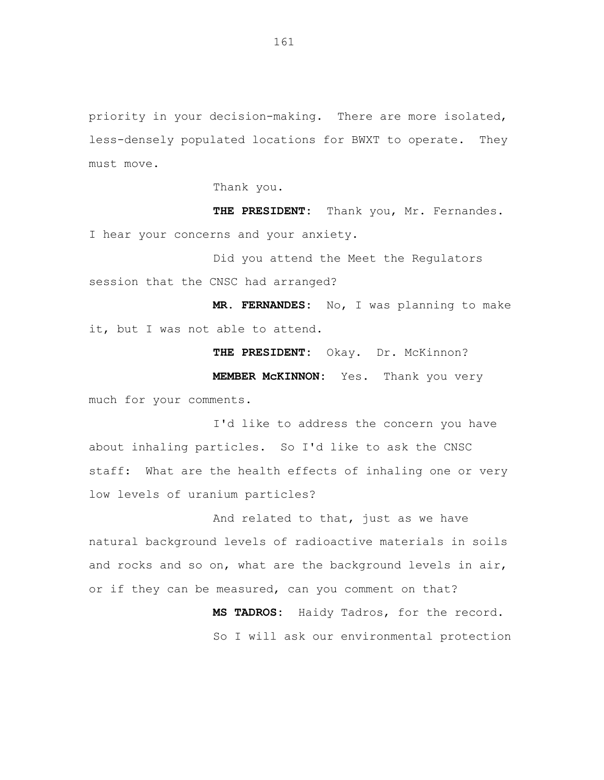priority in your decision-making. There are more isolated, less-densely populated locations for BWXT to operate. They must move.

Thank you.

THE PRESIDENT: Thank you, Mr. Fernandes. I hear your concerns and your anxiety.

Did you attend the Meet the Regulators session that the CNSC had arranged?

**MR. FERNANDES:** No, I was planning to make it, but I was not able to attend.

THE PRESIDENT: Okay. Dr. McKinnon?

**MEMBER McKINNON:** Yes. Thank you very much for your comments.

I'd like to address the concern you have about inhaling particles. So I'd like to ask the CNSC staff: What are the health effects of inhaling one or very low levels of uranium particles?

And related to that, just as we have natural background levels of radioactive materials in soils and rocks and so on, what are the background levels in air, or if they can be measured, can you comment on that?

> **MS TADROS:** Haidy Tadros, for the record. So I will ask our environmental protection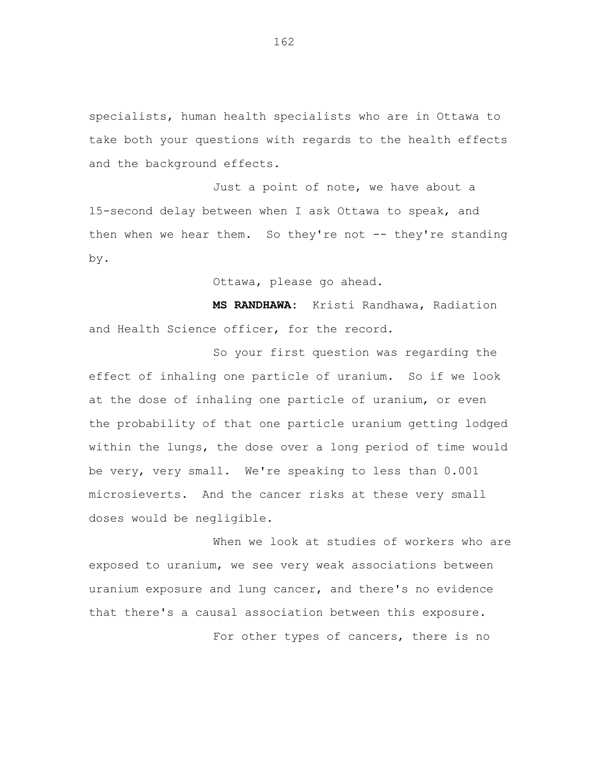specialists, human health specialists who are in Ottawa to take both your questions with regards to the health effects and the background effects.

Just a point of note, we have about a 15-second delay between when I ask Ottawa to speak, and then when we hear them. So they're not -- they're standing by.

Ottawa, please go ahead.

**MS RANDHAWA:** Kristi Randhawa, Radiation and Health Science officer, for the record.

So your first question was regarding the effect of inhaling one particle of uranium. So if we look at the dose of inhaling one particle of uranium, or even the probability of that one particle uranium getting lodged within the lungs, the dose over a long period of time would be very, very small. We're speaking to less than 0.001 microsieverts. And the cancer risks at these very small doses would be negligible.

When we look at studies of workers who are exposed to uranium, we see very weak associations between uranium exposure and lung cancer, and there's no evidence that there's a causal association between this exposure. For other types of cancers, there is no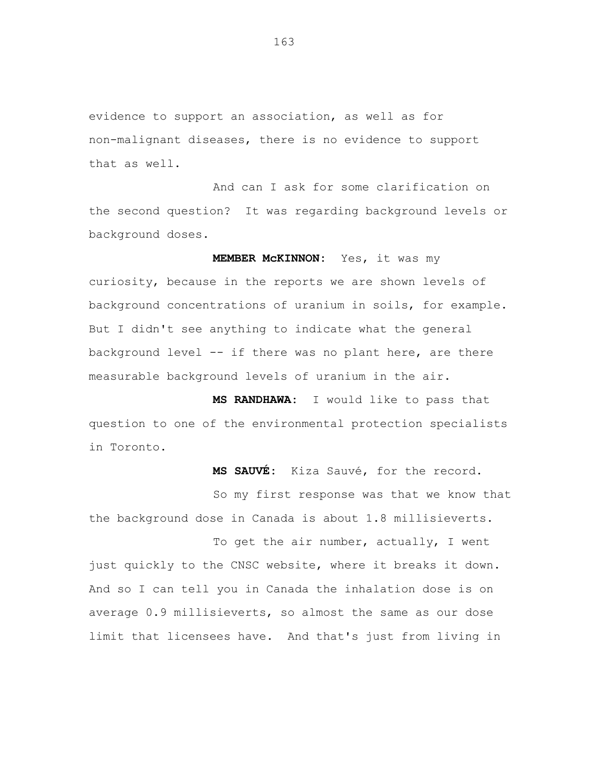evidence to support an association, as well as for non-malignant diseases, there is no evidence to support that as well.

And can I ask for some clarification on the second question? It was regarding background levels or background doses.

**MEMBER McKINNON:** Yes, it was my curiosity, because in the reports we are shown levels of background concentrations of uranium in soils, for example. But I didn't see anything to indicate what the general background level -- if there was no plant here, are there measurable background levels of uranium in the air.

**MS RANDHAWA:** I would like to pass that question to one of the environmental protection specialists in Toronto.

**MS SAUVÉ:** Kiza Sauvé, for the record.

So my first response was that we know that the background dose in Canada is about 1.8 millisieverts.

To get the air number, actually, I went just quickly to the CNSC website, where it breaks it down. And so I can tell you in Canada the inhalation dose is on average 0.9 millisieverts, so almost the same as our dose limit that licensees have. And that's just from living in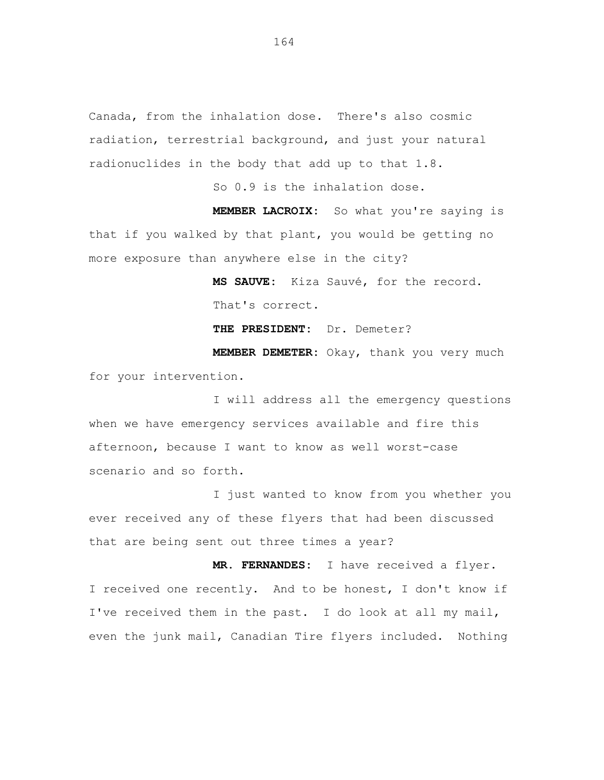Canada, from the inhalation dose. There's also cosmic radiation, terrestrial background, and just your natural radionuclides in the body that add up to that 1.8.

So 0.9 is the inhalation dose.

**MEMBER LACROIX:** So what you're saying is that if you walked by that plant, you would be getting no more exposure than anywhere else in the city?

> **MS SAUVE:** Kiza Sauvé, for the record. That's correct.

**THE PRESIDENT:** Dr. Demeter?

**MEMBER DEMETER:** Okay, thank you very much for your intervention.

I will address all the emergency questions when we have emergency services available and fire this afternoon, because I want to know as well worst-case scenario and so forth.

I just wanted to know from you whether you ever received any of these flyers that had been discussed that are being sent out three times a year?

**MR. FERNANDES:** I have received a flyer. I received one recently. And to be honest, I don't know if I've received them in the past. I do look at all my mail, even the junk mail, Canadian Tire flyers included. Nothing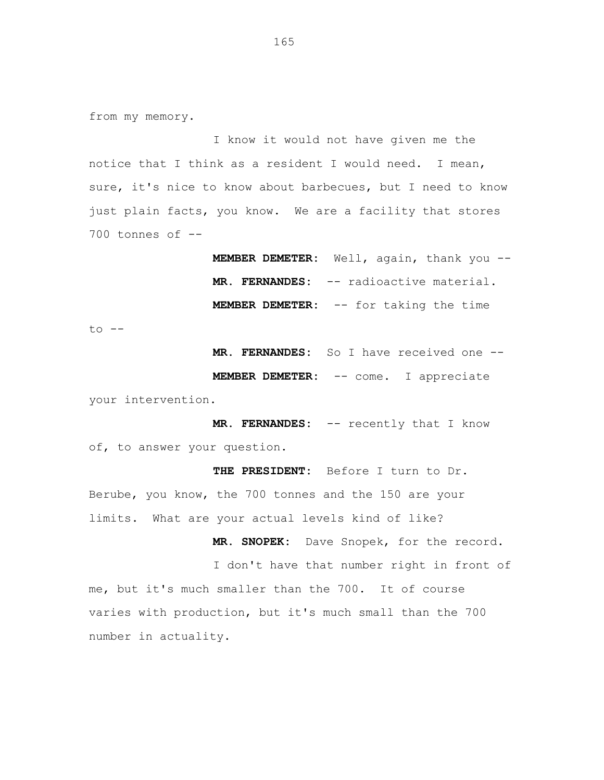from my memory.

I know it would not have given me the notice that I think as a resident I would need. I mean, sure, it's nice to know about barbecues, but I need to know just plain facts, you know. We are a facility that stores  $700$  tonnes of  $-$ 

> **MEMBER DEMETER:** Well, again, thank you -- **MR. FERNANDES:** -- radioactive material. **MEMBER DEMETER:** -- for taking the time

to --

**MR. FERNANDES:** So I have received one --

**MEMBER DEMETER:** -- come. I appreciate your intervention.

**MR. FERNANDES:** -- recently that I know of, to answer your question.

**THE PRESIDENT:** Before I turn to Dr. Berube, you know, the 700 tonnes and the 150 are your limits. What are your actual levels kind of like?

**MR. SNOPEK:** Dave Snopek, for the record.

I don't have that number right in front of me, but it's much smaller than the 700. It of course varies with production, but it's much small than the 700 number in actuality.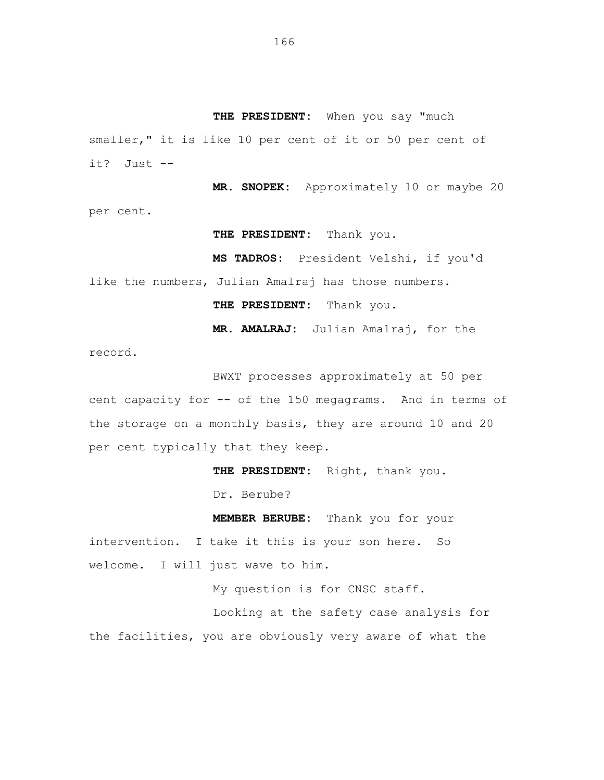**THE PRESIDENT:** When you say "much smaller," it is like 10 per cent of it or 50 per cent of it? Just --

**MR. SNOPEK:** Approximately 10 or maybe 20 per cent.

**THE PRESIDENT:** Thank you.

**MS TADROS:** President Velshi, if you'd

like the numbers, Julian Amalraj has those numbers.

**THE PRESIDENT:** Thank you.

**MR. AMALRAJ:** Julian Amalraj, for the

record.

BWXT processes approximately at 50 per cent capacity for -- of the 150 megagrams. And in terms of the storage on a monthly basis, they are around 10 and 20 per cent typically that they keep.

**THE PRESIDENT:** Right, thank you.

Dr. Berube?

**MEMBER BERUBE:** Thank you for your intervention. I take it this is your son here. So

welcome. I will just wave to him.

My question is for CNSC staff.

Looking at the safety case analysis for the facilities, you are obviously very aware of what the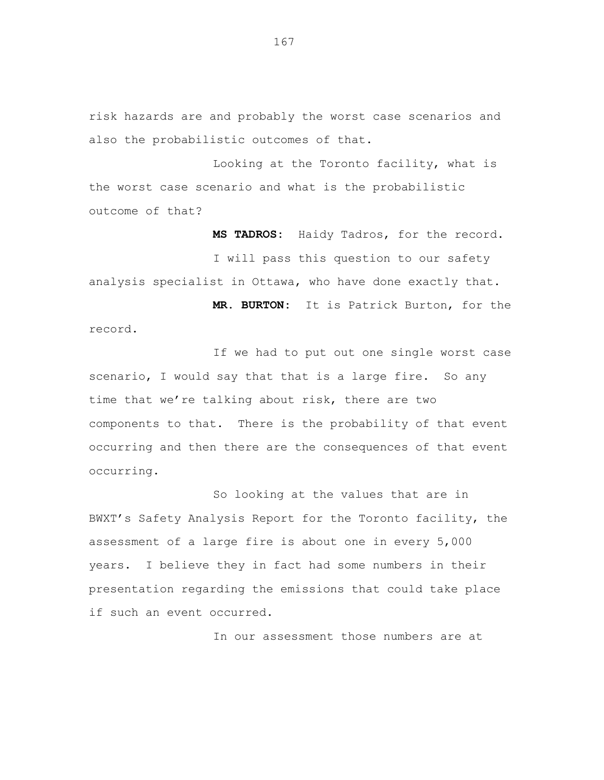risk hazards are and probably the worst case scenarios and also the probabilistic outcomes of that.

Looking at the Toronto facility, what is the worst case scenario and what is the probabilistic outcome of that?

**MS TADROS:** Haidy Tadros, for the record. I will pass this question to our safety analysis specialist in Ottawa, who have done exactly that. **MR. BURTON:** It is Patrick Burton, for the

record.

If we had to put out one single worst case scenario, I would say that that is a large fire. So any time that we're talking about risk, there are two components to that. There is the probability of that event occurring and then there are the consequences of that event occurring.

So looking at the values that are in BWXT's Safety Analysis Report for the Toronto facility, the assessment of a large fire is about one in every 5,000 years. I believe they in fact had some numbers in their presentation regarding the emissions that could take place if such an event occurred.

In our assessment those numbers are at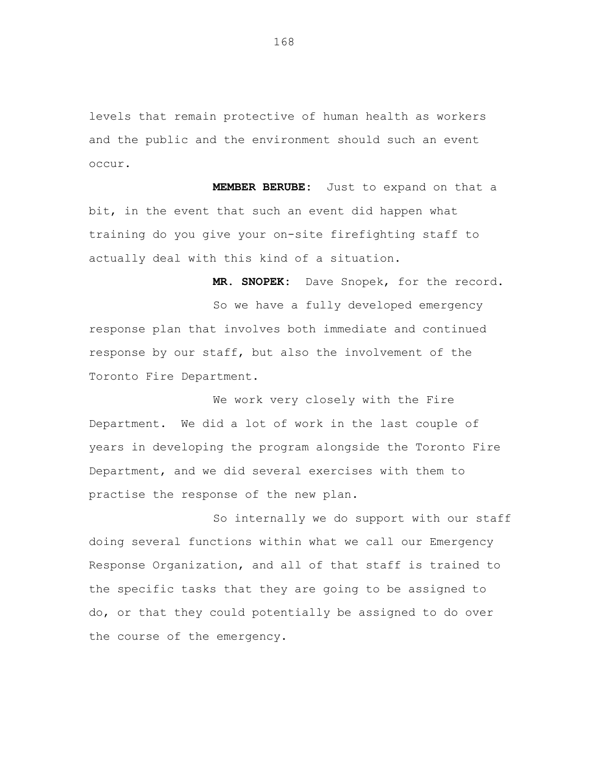levels that remain protective of human health as workers and the public and the environment should such an event occur.

**MEMBER BERUBE:** Just to expand on that a bit, in the event that such an event did happen what training do you give your on-site firefighting staff to actually deal with this kind of a situation.

**MR. SNOPEK:** Dave Snopek, for the record. So we have a fully developed emergency response plan that involves both immediate and continued response by our staff, but also the involvement of the Toronto Fire Department.

We work very closely with the Fire Department. We did a lot of work in the last couple of years in developing the program alongside the Toronto Fire Department, and we did several exercises with them to practise the response of the new plan.

So internally we do support with our staff doing several functions within what we call our Emergency Response Organization, and all of that staff is trained to the specific tasks that they are going to be assigned to do, or that they could potentially be assigned to do over the course of the emergency.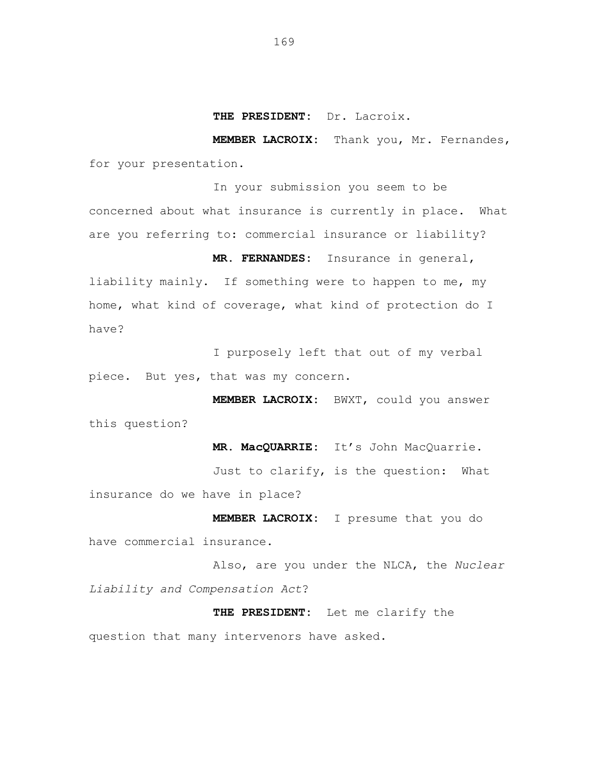**MEMBER LACROIX:** Thank you, Mr. Fernandes, for your presentation.

In your submission you seem to be concerned about what insurance is currently in place. What are you referring to: commercial insurance or liability?

**MR. FERNANDES:** Insurance in general, liability mainly. If something were to happen to me, my home, what kind of coverage, what kind of protection do I have?

I purposely left that out of my verbal piece. But yes, that was my concern.

**MEMBER LACROIX:** BWXT, could you answer this question?

**MR. MacQUARRIE:** It's John MacQuarrie.

Just to clarify, is the question: What insurance do we have in place?

**MEMBER LACROIX:** I presume that you do have commercial insurance.

Also, are you under the NLCA, the *Nuclear Liability and Compensation Act*?

**THE PRESIDENT:** Let me clarify the question that many intervenors have asked.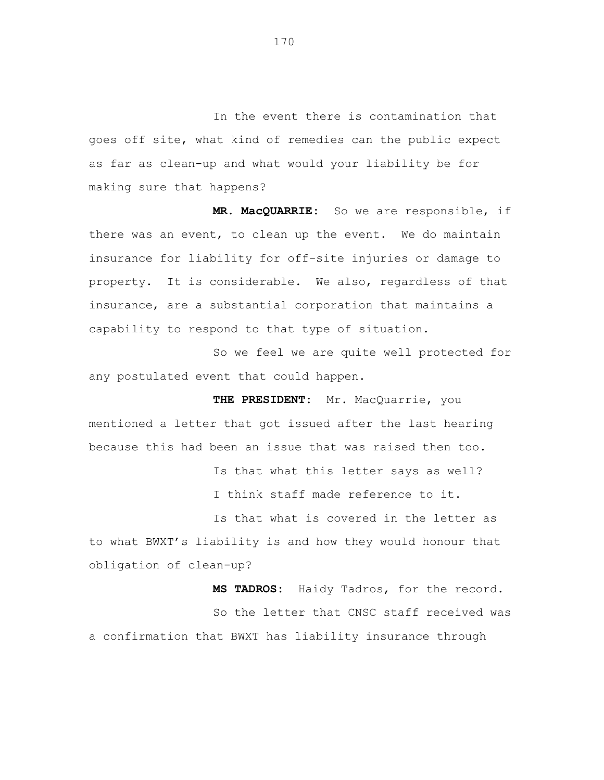In the event there is contamination that goes off site, what kind of remedies can the public expect as far as clean-up and what would your liability be for making sure that happens?

**MR. MacQUARRIE:** So we are responsible, if there was an event, to clean up the event. We do maintain insurance for liability for off-site injuries or damage to property. It is considerable. We also, regardless of that insurance, are a substantial corporation that maintains a capability to respond to that type of situation.

So we feel we are quite well protected for any postulated event that could happen.

**THE PRESIDENT:** Mr. MacQuarrie, you mentioned a letter that got issued after the last hearing because this had been an issue that was raised then too.

> Is that what this letter says as well? I think staff made reference to it.

Is that what is covered in the letter as to what BWXT's liability is and how they would honour that obligation of clean-up?

**MS TADROS:** Haidy Tadros, for the record. So the letter that CNSC staff received was a confirmation that BWXT has liability insurance through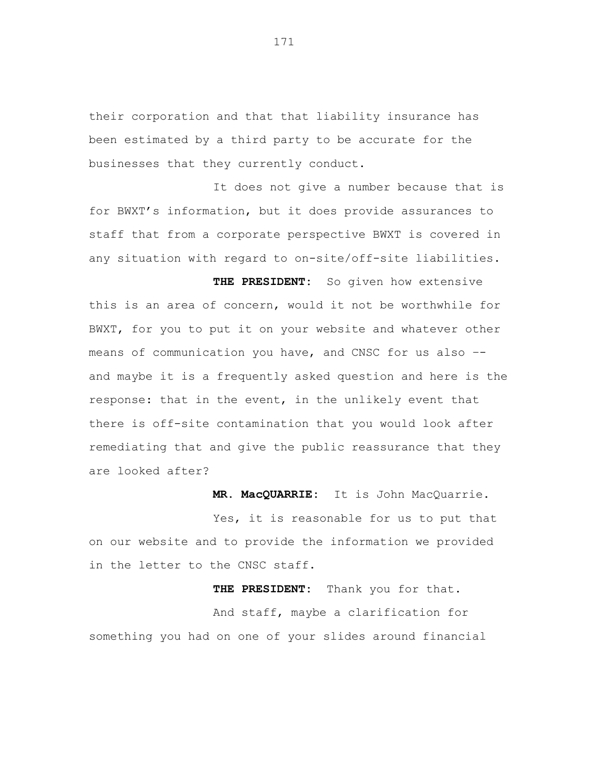their corporation and that that liability insurance has been estimated by a third party to be accurate for the businesses that they currently conduct.

It does not give a number because that is for BWXT's information, but it does provide assurances to staff that from a corporate perspective BWXT is covered in any situation with regard to on-site/off-site liabilities.

**THE PRESIDENT:** So given how extensive this is an area of concern, would it not be worthwhile for BWXT, for you to put it on your website and whatever other means of communication you have, and CNSC for us also – and maybe it is a frequently asked question and here is the response: that in the event, in the unlikely event that there is off-site contamination that you would look after remediating that and give the public reassurance that they are looked after?

**MR. MacQUARRIE:** It is John MacQuarrie.

Yes, it is reasonable for us to put that on our website and to provide the information we provided in the letter to the CNSC staff.

**THE PRESIDENT:** Thank you for that. And staff, maybe a clarification for something you had on one of your slides around financial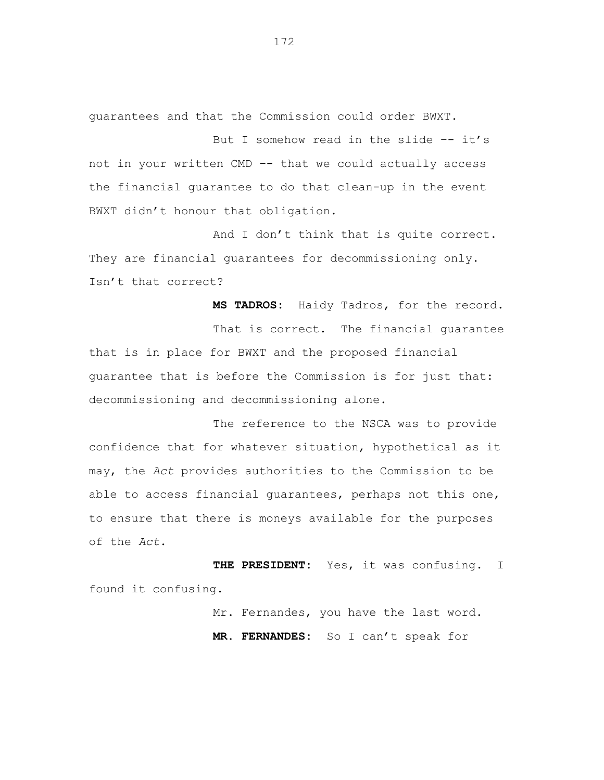guarantees and that the Commission could order BWXT.

But I somehow read in the slide  $-$ - it's not in your written CMD –- that we could actually access the financial guarantee to do that clean-up in the event BWXT didn't honour that obligation.

And I don't think that is quite correct. They are financial quarantees for decommissioning only. Isn't that correct?

**MS TADROS:** Haidy Tadros, for the record. That is correct. The financial guarantee that is in place for BWXT and the proposed financial guarantee that is before the Commission is for just that: decommissioning and decommissioning alone.

The reference to the NSCA was to provide confidence that for whatever situation, hypothetical as it may, the *Act* provides authorities to the Commission to be able to access financial guarantees, perhaps not this one, to ensure that there is moneys available for the purposes of the *Act*.

**THE PRESIDENT:** Yes, it was confusing. I found it confusing.

> Mr. Fernandes, you have the last word. **MR. FERNANDES:** So I can't speak for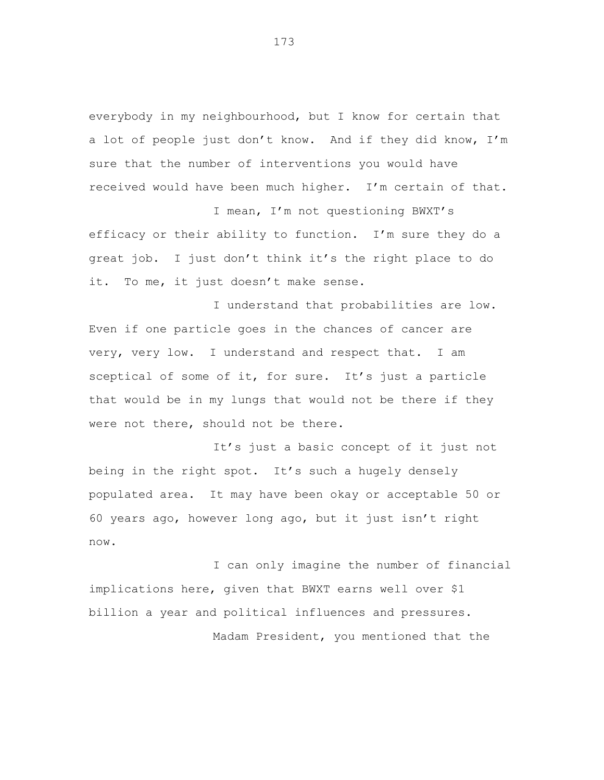everybody in my neighbourhood, but I know for certain that a lot of people just don't know. And if they did know, I'm sure that the number of interventions you would have received would have been much higher. I'm certain of that.

I mean, I'm not questioning BWXT's efficacy or their ability to function. I'm sure they do a great job. I just don't think it's the right place to do it. To me, it just doesn't make sense.

I understand that probabilities are low. Even if one particle goes in the chances of cancer are very, very low. I understand and respect that. I am sceptical of some of it, for sure. It's just a particle that would be in my lungs that would not be there if they were not there, should not be there.

It's just a basic concept of it just not being in the right spot. It's such a hugely densely populated area. It may have been okay or acceptable 50 or 60 years ago, however long ago, but it just isn't right now.

I can only imagine the number of financial implications here, given that BWXT earns well over \$1 billion a year and political influences and pressures. Madam President, you mentioned that the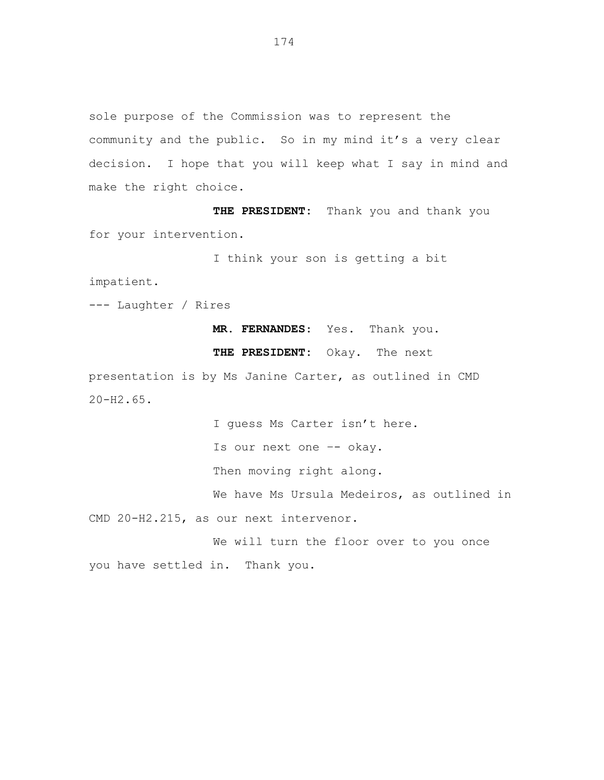sole purpose of the Commission was to represent the community and the public. So in my mind it's a very clear decision. I hope that you will keep what I say in mind and make the right choice.

**THE PRESIDENT:** Thank you and thank you for your intervention.

I think your son is getting a bit

impatient.

--- Laughter / Rires

**MR. FERNANDES**: Yes. Thank you.

**THE PRESIDENT:** Okay. The next

presentation is by Ms Janine Carter, as outlined in CMD 20-H2.65.

I guess Ms Carter isn't here. Is our next one –- okay. Then moving right along. We have Ms Ursula Medeiros, as outlined in CMD 20-H2.215, as our next intervenor. We will turn the floor over to you once

you have settled in. Thank you.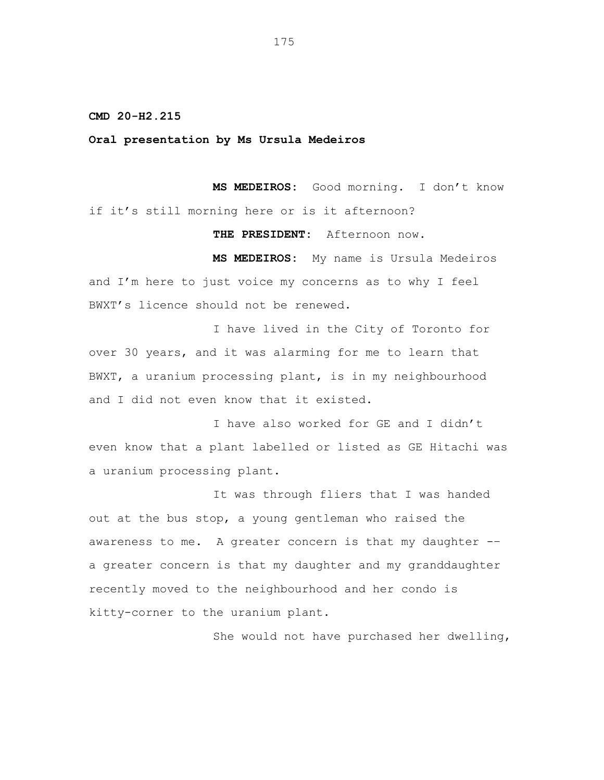**CMD 20-H2.215**

**Oral presentation by Ms Ursula Medeiros**

**MS MEDEIROS:** Good morning. I don't know if it's still morning here or is it afternoon?

**THE PRESIDENT:** Afternoon now.

**MS MEDEIROS:** My name is Ursula Medeiros and I'm here to just voice my concerns as to why I feel BWXT's licence should not be renewed.

I have lived in the City of Toronto for over 30 years, and it was alarming for me to learn that BWXT, a uranium processing plant, is in my neighbourhood and I did not even know that it existed.

I have also worked for GE and I didn't even know that a plant labelled or listed as GE Hitachi was a uranium processing plant.

It was through fliers that I was handed out at the bus stop, a young gentleman who raised the awareness to me. A greater concern is that my daughter -– a greater concern is that my daughter and my granddaughter recently moved to the neighbourhood and her condo is kitty-corner to the uranium plant.

She would not have purchased her dwelling,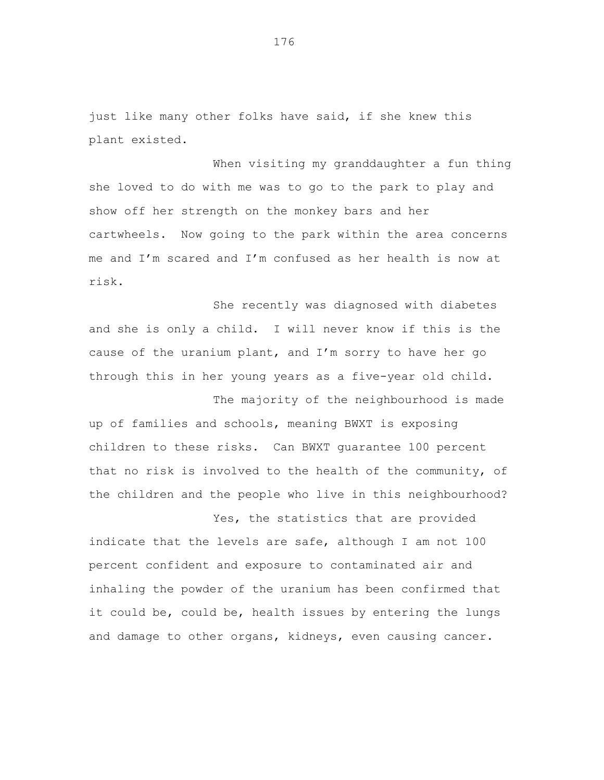just like many other folks have said, if she knew this plant existed.

When visiting my granddaughter a fun thing she loved to do with me was to go to the park to play and show off her strength on the monkey bars and her cartwheels. Now going to the park within the area concerns me and I'm scared and I'm confused as her health is now at risk.

She recently was diagnosed with diabetes and she is only a child. I will never know if this is the cause of the uranium plant, and I'm sorry to have her go through this in her young years as a five-year old child.

The majority of the neighbourhood is made up of families and schools, meaning BWXT is exposing children to these risks. Can BWXT guarantee 100 percent that no risk is involved to the health of the community, of the children and the people who live in this neighbourhood?

Yes, the statistics that are provided indicate that the levels are safe, although I am not 100 percent confident and exposure to contaminated air and inhaling the powder of the uranium has been confirmed that it could be, could be, health issues by entering the lungs and damage to other organs, kidneys, even causing cancer.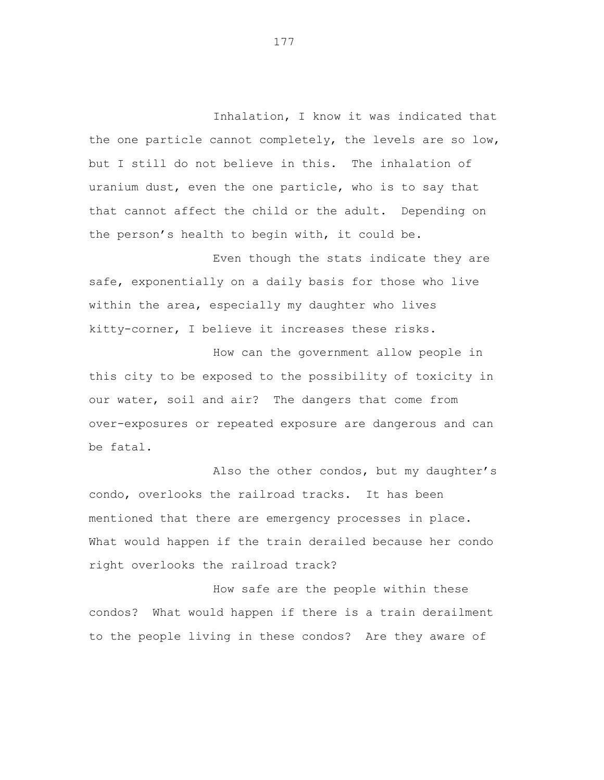Inhalation, I know it was indicated that the one particle cannot completely, the levels are so low, but I still do not believe in this. The inhalation of uranium dust, even the one particle, who is to say that that cannot affect the child or the adult. Depending on the person's health to begin with, it could be.

Even though the stats indicate they are safe, exponentially on a daily basis for those who live within the area, especially my daughter who lives kitty-corner, I believe it increases these risks.

How can the government allow people in this city to be exposed to the possibility of toxicity in our water, soil and air? The dangers that come from over-exposures or repeated exposure are dangerous and can be fatal.

Also the other condos, but my daughter's condo, overlooks the railroad tracks. It has been mentioned that there are emergency processes in place. What would happen if the train derailed because her condo right overlooks the railroad track?

How safe are the people within these condos? What would happen if there is a train derailment to the people living in these condos? Are they aware of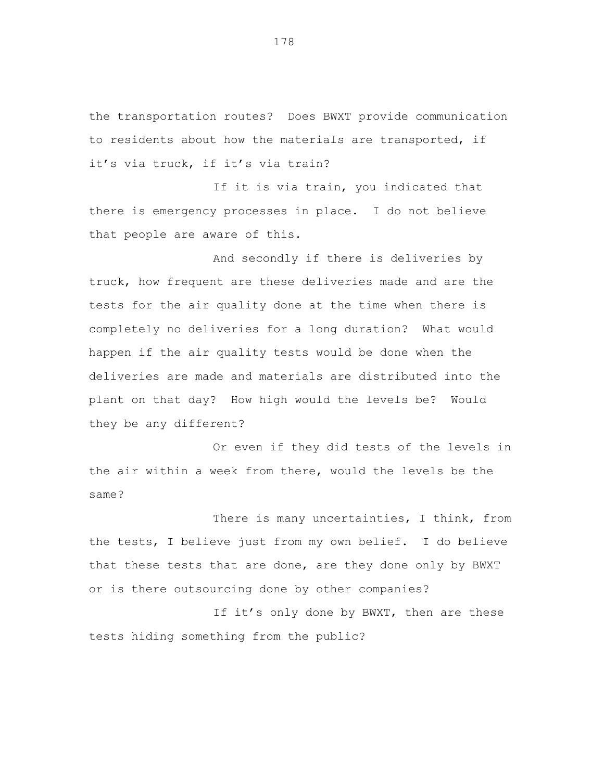the transportation routes? Does BWXT provide communication to residents about how the materials are transported, if it's via truck, if it's via train?

If it is via train, you indicated that there is emergency processes in place. I do not believe that people are aware of this.

And secondly if there is deliveries by truck, how frequent are these deliveries made and are the tests for the air quality done at the time when there is completely no deliveries for a long duration? What would happen if the air quality tests would be done when the deliveries are made and materials are distributed into the plant on that day? How high would the levels be? Would they be any different?

Or even if they did tests of the levels in the air within a week from there, would the levels be the same?

There is many uncertainties, I think, from the tests, I believe just from my own belief. I do believe that these tests that are done, are they done only by BWXT or is there outsourcing done by other companies?

If it's only done by BWXT, then are these tests hiding something from the public?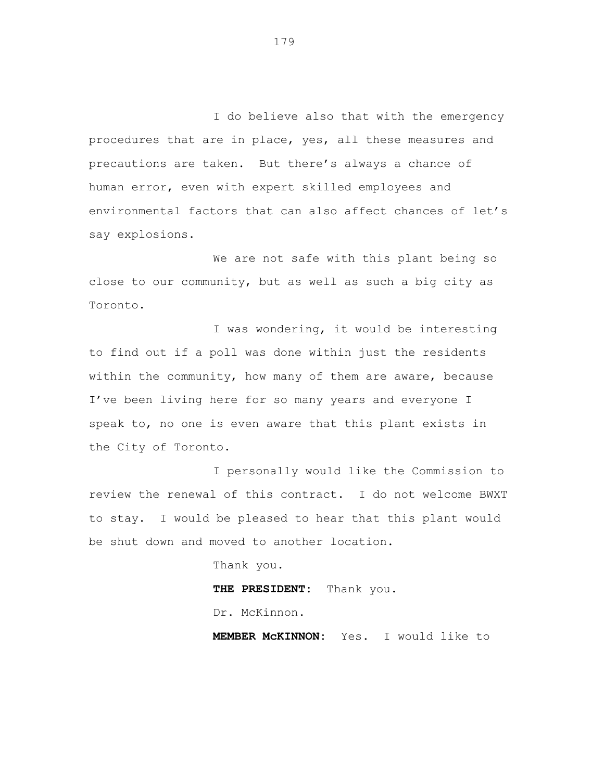I do believe also that with the emergency procedures that are in place, yes, all these measures and precautions are taken. But there's always a chance of human error, even with expert skilled employees and environmental factors that can also affect chances of let's say explosions.

We are not safe with this plant being so close to our community, but as well as such a big city as Toronto.

I was wondering, it would be interesting to find out if a poll was done within just the residents within the community, how many of them are aware, because I've been living here for so many years and everyone I speak to, no one is even aware that this plant exists in the City of Toronto.

I personally would like the Commission to review the renewal of this contract. I do not welcome BWXT to stay. I would be pleased to hear that this plant would be shut down and moved to another location.

> Thank you. **THE PRESIDENT:** Thank you. Dr. McKinnon.

**MEMBER McKINNON:** Yes. I would like to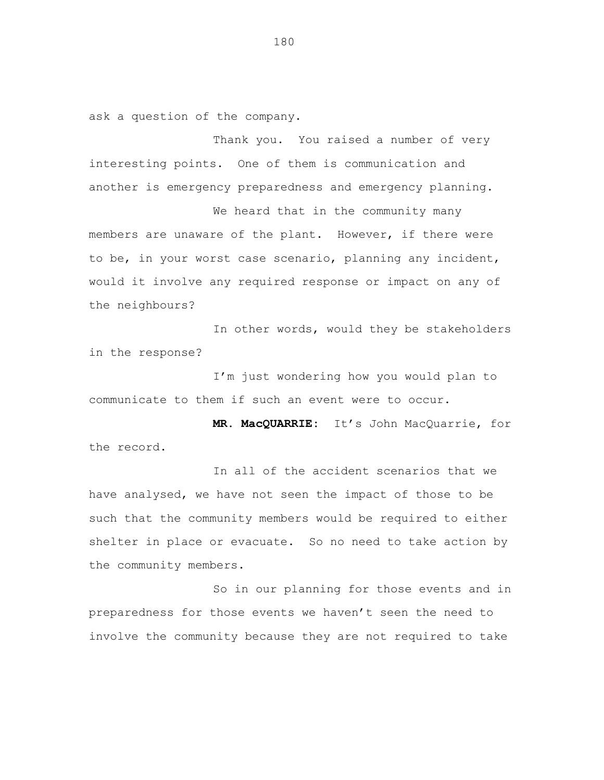ask a question of the company.

Thank you. You raised a number of very interesting points. One of them is communication and another is emergency preparedness and emergency planning.

We heard that in the community many members are unaware of the plant. However, if there were to be, in your worst case scenario, planning any incident, would it involve any required response or impact on any of the neighbours?

In other words, would they be stakeholders in the response?

I'm just wondering how you would plan to communicate to them if such an event were to occur.

**MR. MacQUARRIE:** It's John MacQuarrie, for the record.

In all of the accident scenarios that we have analysed, we have not seen the impact of those to be such that the community members would be required to either shelter in place or evacuate. So no need to take action by the community members.

So in our planning for those events and in preparedness for those events we haven't seen the need to involve the community because they are not required to take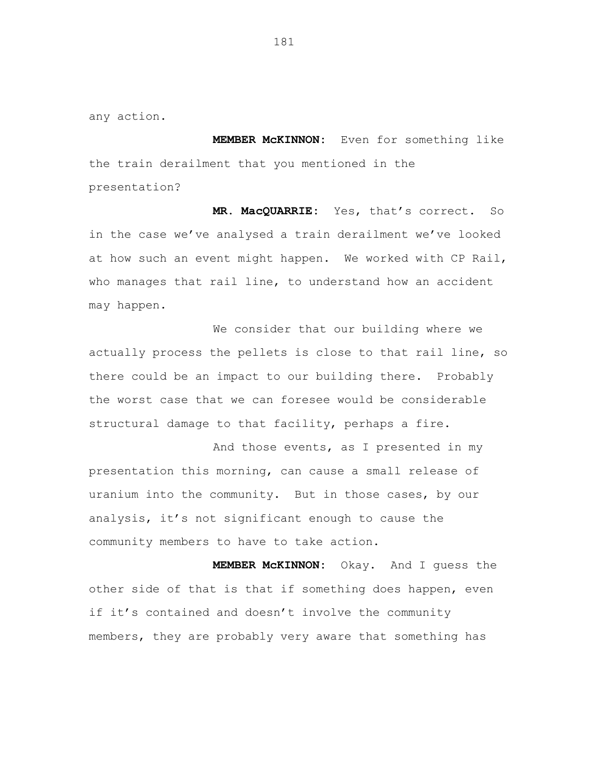any action.

**MEMBER McKINNON:** Even for something like the train derailment that you mentioned in the presentation?

**MR. MacQUARRIE:** Yes, that's correct. So in the case we've analysed a train derailment we've looked at how such an event might happen. We worked with CP Rail, who manages that rail line, to understand how an accident may happen.

We consider that our building where we actually process the pellets is close to that rail line, so there could be an impact to our building there. Probably the worst case that we can foresee would be considerable structural damage to that facility, perhaps a fire.

And those events, as I presented in my presentation this morning, can cause a small release of uranium into the community. But in those cases, by our analysis, it's not significant enough to cause the community members to have to take action.

**MEMBER McKINNON:** Okay. And I guess the other side of that is that if something does happen, even if it's contained and doesn't involve the community members, they are probably very aware that something has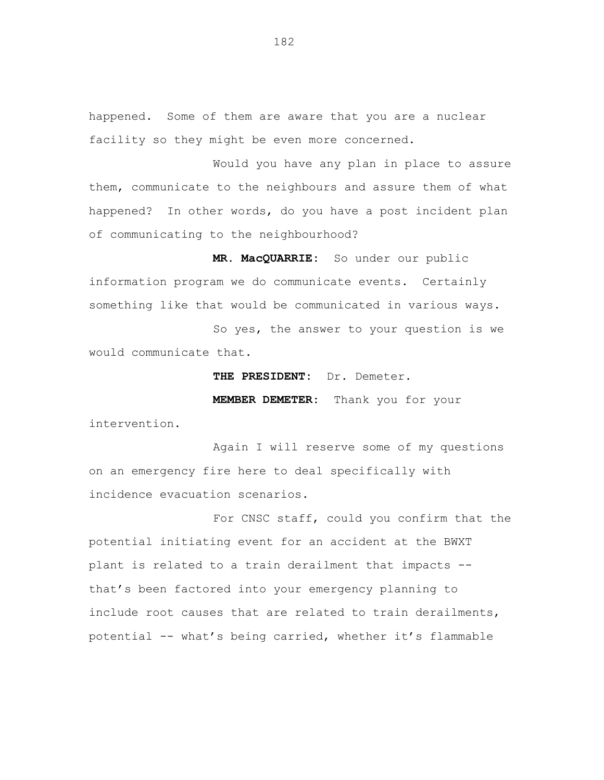happened. Some of them are aware that you are a nuclear facility so they might be even more concerned.

Would you have any plan in place to assure them, communicate to the neighbours and assure them of what happened? In other words, do you have a post incident plan of communicating to the neighbourhood?

**MR. MacQUARRIE:** So under our public information program we do communicate events. Certainly something like that would be communicated in various ways.

So yes, the answer to your question is we would communicate that.

> **THE PRESIDENT:** Dr. Demeter. **MEMBER DEMETER:** Thank you for your

intervention.

Again I will reserve some of my questions on an emergency fire here to deal specifically with incidence evacuation scenarios.

For CNSC staff, could you confirm that the potential initiating event for an accident at the BWXT plant is related to a train derailment that impacts - that's been factored into your emergency planning to include root causes that are related to train derailments, potential -- what's being carried, whether it's flammable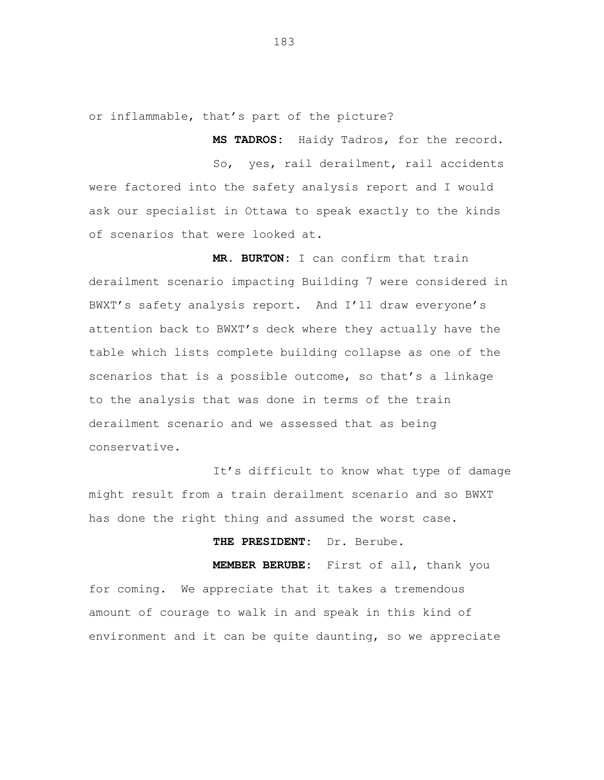or inflammable, that's part of the picture?

So, yes, rail derailment, rail accidents were factored into the safety analysis report and I would ask our specialist in Ottawa to speak exactly to the kinds of scenarios that were looked at.

**MS TADROS:** Haidy Tadros, for the record.

**MR. BURTON:** I can confirm that train derailment scenario impacting Building 7 were considered in BWXT's safety analysis report. And I'll draw everyone's attention back to BWXT's deck where they actually have the table which lists complete building collapse as one of the scenarios that is a possible outcome, so that's a linkage to the analysis that was done in terms of the train derailment scenario and we assessed that as being conservative.

It's difficult to know what type of damage might result from a train derailment scenario and so BWXT has done the right thing and assumed the worst case.

**THE PRESIDENT:** Dr. Berube.

**MEMBER BERUBE:** First of all, thank you for coming. We appreciate that it takes a tremendous amount of courage to walk in and speak in this kind of environment and it can be quite daunting, so we appreciate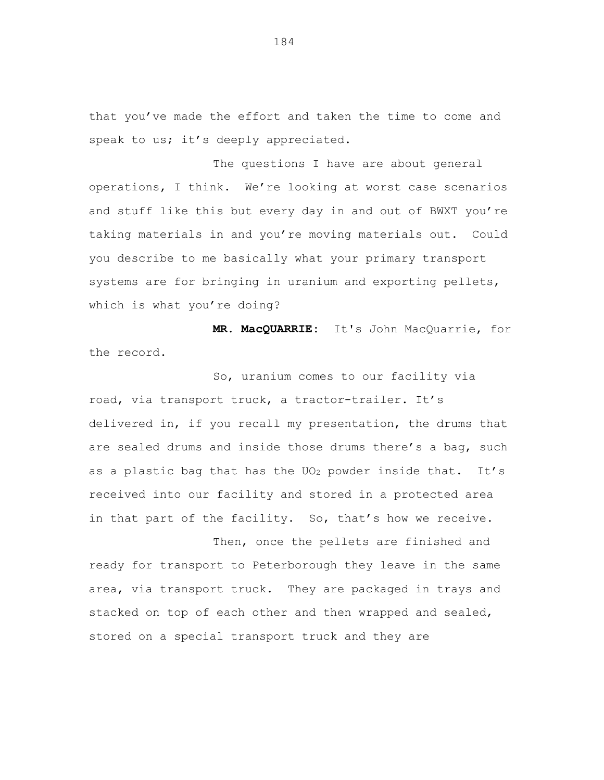that you've made the effort and taken the time to come and speak to us; it's deeply appreciated.

The questions I have are about general operations, I think. We're looking at worst case scenarios and stuff like this but every day in and out of BWXT you're taking materials in and you're moving materials out. Could you describe to me basically what your primary transport systems are for bringing in uranium and exporting pellets, which is what you're doing?

**MR. MacQUARRIE:** It's John MacQuarrie, for the record.

So, uranium comes to our facility via road, via transport truck, a tractor-trailer. It's delivered in, if you recall my presentation, the drums that are sealed drums and inside those drums there's a bag, such as a plastic bag that has the  $UO_2$  powder inside that. It's received into our facility and stored in a protected area in that part of the facility. So, that's how we receive.

Then, once the pellets are finished and ready for transport to Peterborough they leave in the same area, via transport truck. They are packaged in trays and stacked on top of each other and then wrapped and sealed, stored on a special transport truck and they are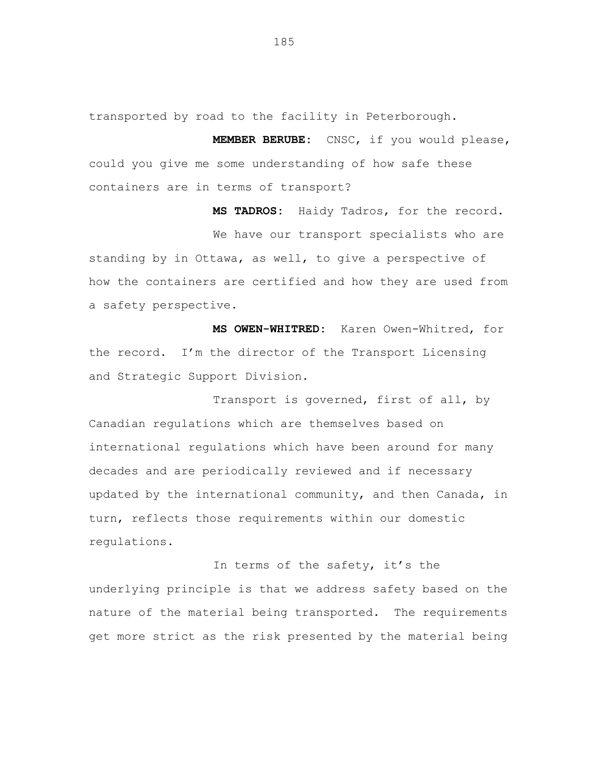transported by road to the facility in Peterborough.

**MEMBER BERUBE:** CNSC, if you would please, could you give me some understanding of how safe these containers are in terms of transport?

**MS TADROS:** Haidy Tadros, for the record. We have our transport specialists who are standing by in Ottawa, as well, to give a perspective of how the containers are certified and how they are used from a safety perspective.

**MS OWEN-WHITRED:** Karen Owen-Whitred, for the record. I'm the director of the Transport Licensing and Strategic Support Division.

Transport is governed, first of all, by Canadian regulations which are themselves based on international regulations which have been around for many decades and are periodically reviewed and if necessary updated by the international community, and then Canada, in turn, reflects those requirements within our domestic regulations.

In terms of the safety, it's the underlying principle is that we address safety based on the nature of the material being transported. The requirements get more strict as the risk presented by the material being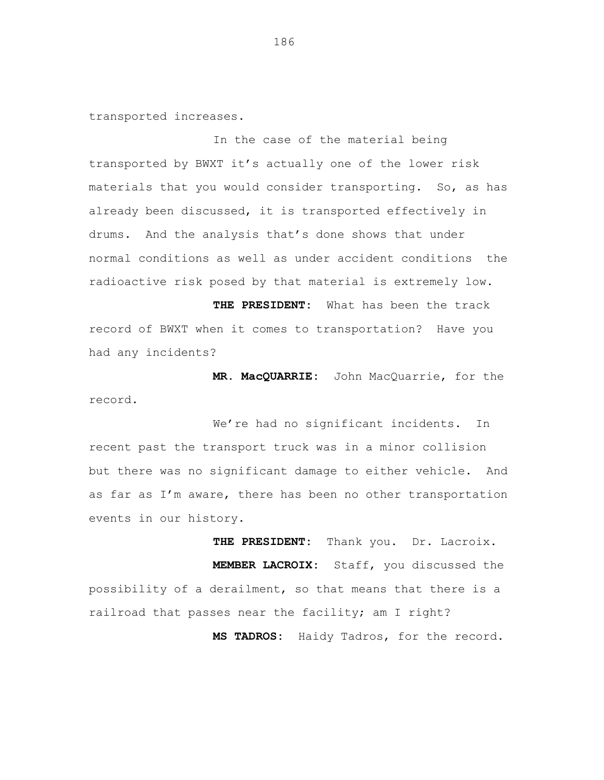transported increases.

In the case of the material being transported by BWXT it's actually one of the lower risk materials that you would consider transporting. So, as has already been discussed, it is transported effectively in drums. And the analysis that's done shows that under normal conditions as well as under accident conditions the radioactive risk posed by that material is extremely low.

**THE PRESIDENT:** What has been the track record of BWXT when it comes to transportation? Have you had any incidents?

**MR. MacQUARRIE:** John MacQuarrie, for the record.

We're had no significant incidents. In recent past the transport truck was in a minor collision but there was no significant damage to either vehicle. And as far as I'm aware, there has been no other transportation events in our history.

**THE PRESIDENT:** Thank you. Dr. Lacroix. **MEMBER LACROIX:** Staff, you discussed the possibility of a derailment, so that means that there is a railroad that passes near the facility; am I right? **MS TADROS:** Haidy Tadros, for the record.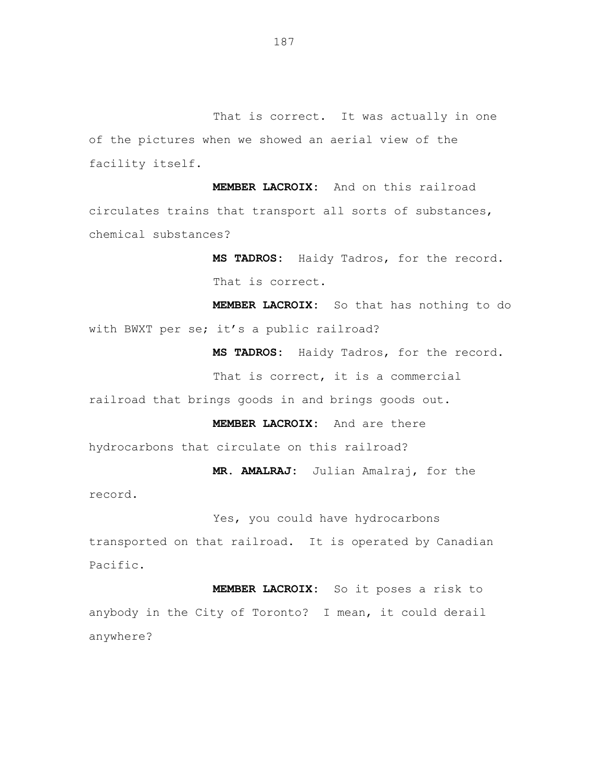That is correct. It was actually in one of the pictures when we showed an aerial view of the facility itself.

**MEMBER LACROIX:** And on this railroad circulates trains that transport all sorts of substances, chemical substances?

> **MS TADROS:** Haidy Tadros, for the record. That is correct.

**MEMBER LACROIX:** So that has nothing to do with BWXT per se; it's a public railroad?

**MS TADROS:** Haidy Tadros, for the record.

That is correct, it is a commercial

railroad that brings goods in and brings goods out.

**MEMBER LACROIX:** And are there

hydrocarbons that circulate on this railroad?

**MR. AMALRAJ:** Julian Amalraj, for the

record.

Yes, you could have hydrocarbons

transported on that railroad. It is operated by Canadian Pacific.

**MEMBER LACROIX:** So it poses a risk to anybody in the City of Toronto? I mean, it could derail anywhere?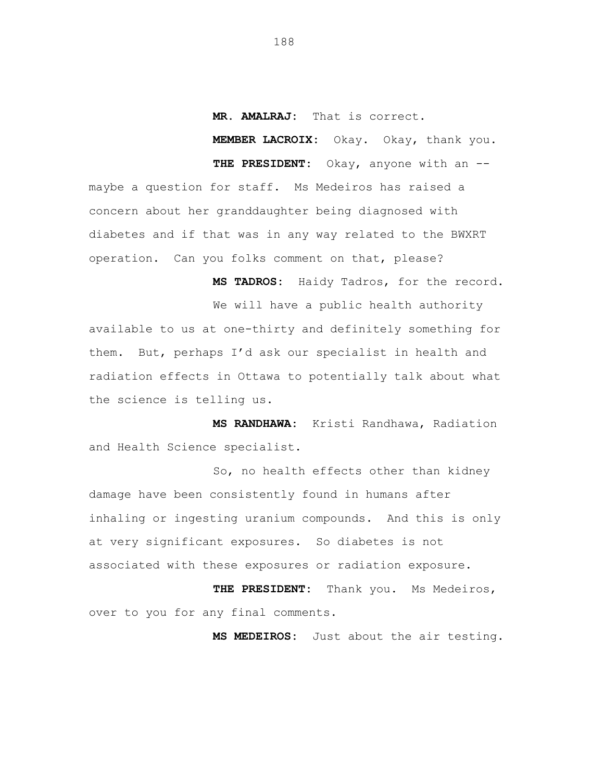### **MR. AMALRAJ:** That is correct.

**MEMBER LACROIX:** Okay. Okay, thank you.

**THE PRESIDENT:** Okay, anyone with an - maybe a question for staff. Ms Medeiros has raised a concern about her granddaughter being diagnosed with diabetes and if that was in any way related to the BWXRT operation. Can you folks comment on that, please?

> **MS TADROS:** Haidy Tadros, for the record. We will have a public health authority

available to us at one-thirty and definitely something for them. But, perhaps I'd ask our specialist in health and radiation effects in Ottawa to potentially talk about what the science is telling us.

**MS RANDHAWA:** Kristi Randhawa, Radiation and Health Science specialist.

So, no health effects other than kidney damage have been consistently found in humans after inhaling or ingesting uranium compounds. And this is only at very significant exposures. So diabetes is not associated with these exposures or radiation exposure.

**THE PRESIDENT:** Thank you. Ms Medeiros, over to you for any final comments.

**MS MEDEIROS:** Just about the air testing.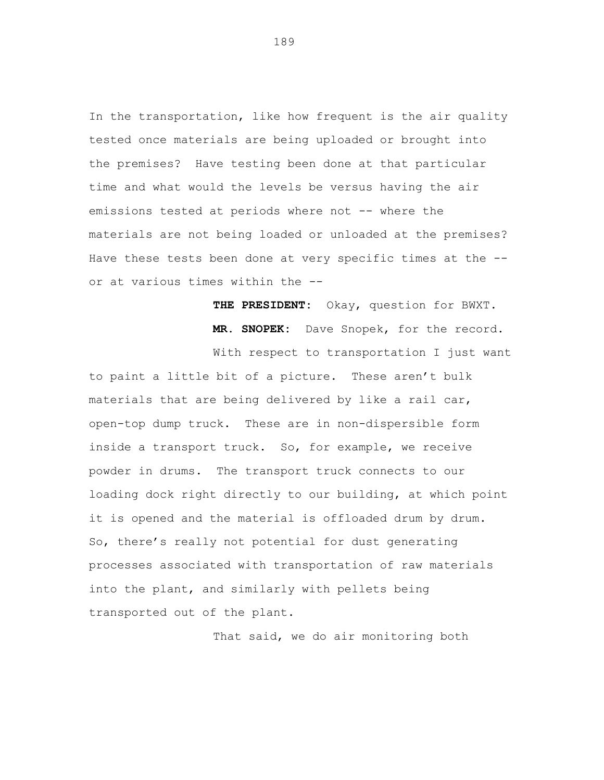In the transportation, like how frequent is the air quality tested once materials are being uploaded or brought into the premises? Have testing been done at that particular time and what would the levels be versus having the air emissions tested at periods where not -- where the materials are not being loaded or unloaded at the premises? Have these tests been done at very specific times at the - or at various times within the --

> **THE PRESIDENT:** Okay, question for BWXT. **MR. SNOPEK:** Dave Snopek, for the record.

With respect to transportation I just want

to paint a little bit of a picture. These aren't bulk materials that are being delivered by like a rail car, open-top dump truck. These are in non-dispersible form inside a transport truck. So, for example, we receive powder in drums. The transport truck connects to our loading dock right directly to our building, at which point it is opened and the material is offloaded drum by drum. So, there's really not potential for dust generating processes associated with transportation of raw materials into the plant, and similarly with pellets being transported out of the plant.

That said, we do air monitoring both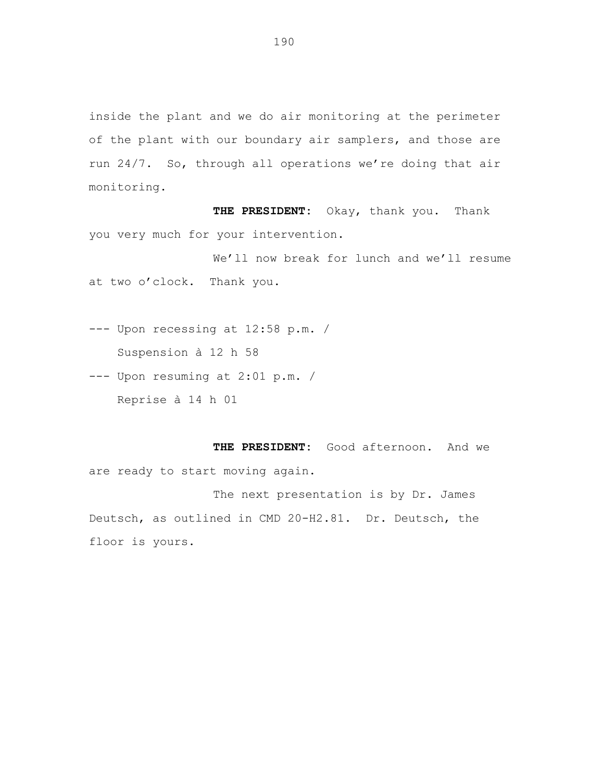inside the plant and we do air monitoring at the perimeter of the plant with our boundary air samplers, and those are run 24/7. So, through all operations we're doing that air monitoring.

**THE PRESIDENT:** Okay, thank you. Thank you very much for your intervention.

We'll now break for lunch and we'll resume at two o'clock. Thank you.

--- Upon recessing at 12:58 p.m. / Suspension à 12 h 58

--- Upon resuming at 2:01 p.m. / Reprise à 14 h 01

**THE PRESIDENT:** Good afternoon. And we are ready to start moving again.

The next presentation is by Dr. James Deutsch, as outlined in CMD 20-H2.81. Dr. Deutsch, the floor is yours.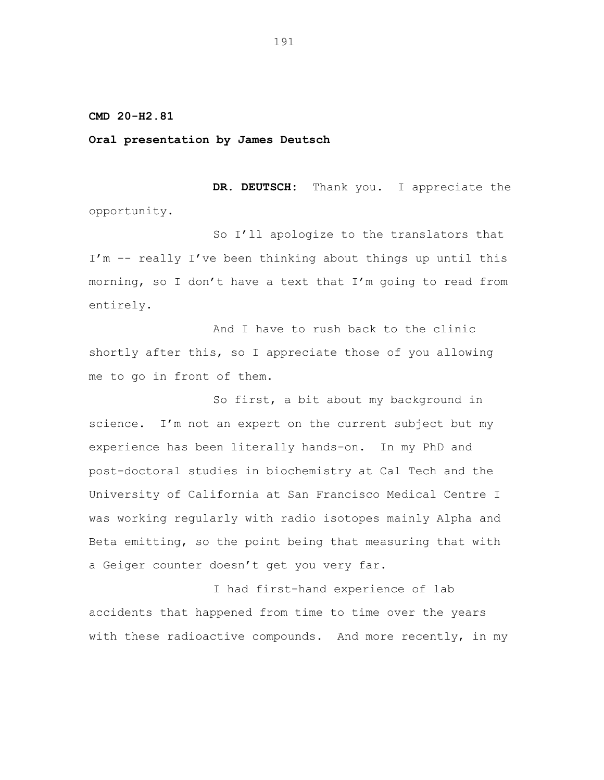**CMD 20-H2.81**

## **Oral presentation by James Deutsch**

**DR. DEUTSCH:** Thank you. I appreciate the opportunity.

So I'll apologize to the translators that I'm -- really I've been thinking about things up until this morning, so I don't have a text that I'm going to read from entirely.

And I have to rush back to the clinic shortly after this, so I appreciate those of you allowing me to go in front of them.

So first, a bit about my background in science. I'm not an expert on the current subject but my experience has been literally hands-on. In my PhD and post-doctoral studies in biochemistry at Cal Tech and the University of California at San Francisco Medical Centre I was working regularly with radio isotopes mainly Alpha and Beta emitting, so the point being that measuring that with a Geiger counter doesn't get you very far.

I had first-hand experience of lab accidents that happened from time to time over the years with these radioactive compounds. And more recently, in my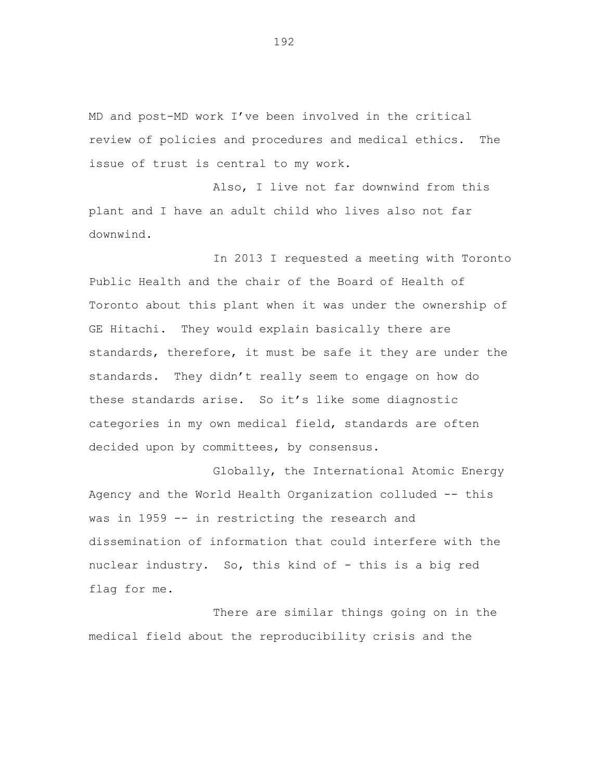MD and post-MD work I've been involved in the critical review of policies and procedures and medical ethics. The issue of trust is central to my work.

Also, I live not far downwind from this plant and I have an adult child who lives also not far downwind.

In 2013 I requested a meeting with Toronto Public Health and the chair of the Board of Health of Toronto about this plant when it was under the ownership of GE Hitachi. They would explain basically there are standards, therefore, it must be safe it they are under the standards. They didn't really seem to engage on how do these standards arise. So it's like some diagnostic categories in my own medical field, standards are often decided upon by committees, by consensus.

Globally, the International Atomic Energy Agency and the World Health Organization colluded -- this was in 1959 -- in restricting the research and dissemination of information that could interfere with the nuclear industry. So, this kind of - this is a big red flag for me.

There are similar things going on in the medical field about the reproducibility crisis and the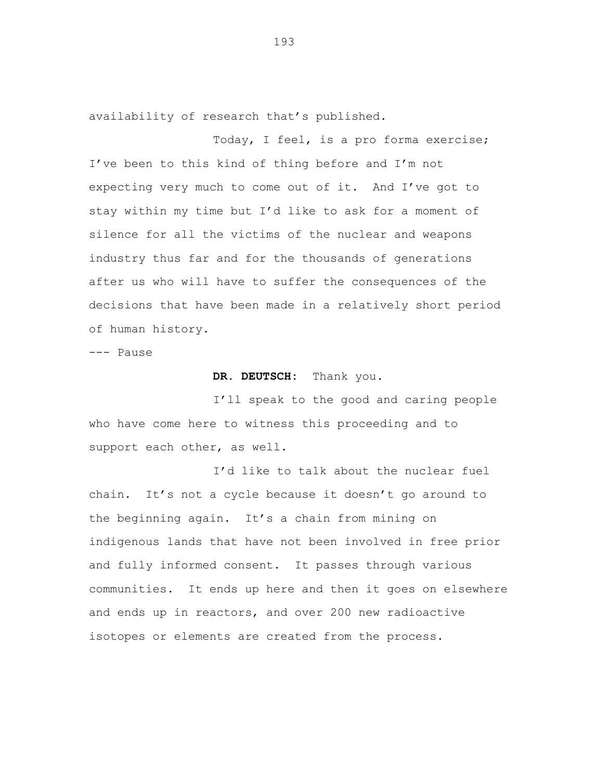availability of research that's published.

Today, I feel, is a pro forma exercise; I've been to this kind of thing before and I'm not expecting very much to come out of it. And I've got to stay within my time but I'd like to ask for a moment of silence for all the victims of the nuclear and weapons industry thus far and for the thousands of generations after us who will have to suffer the consequences of the decisions that have been made in a relatively short period of human history.

--- Pause

# **DR. DEUTSCH:** Thank you.

I'll speak to the good and caring people who have come here to witness this proceeding and to support each other, as well.

I'd like to talk about the nuclear fuel chain. It's not a cycle because it doesn't go around to the beginning again. It's a chain from mining on indigenous lands that have not been involved in free prior and fully informed consent. It passes through various communities. It ends up here and then it goes on elsewhere and ends up in reactors, and over 200 new radioactive isotopes or elements are created from the process.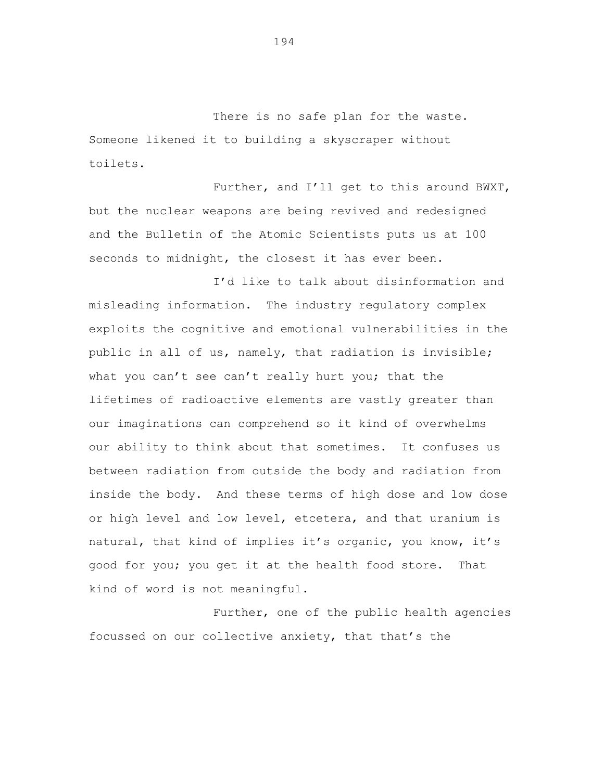There is no safe plan for the waste. Someone likened it to building a skyscraper without toilets.

Further, and I'll get to this around BWXT, but the nuclear weapons are being revived and redesigned and the Bulletin of the Atomic Scientists puts us at 100 seconds to midnight, the closest it has ever been.

I'd like to talk about disinformation and misleading information. The industry regulatory complex exploits the cognitive and emotional vulnerabilities in the public in all of us, namely, that radiation is invisible; what you can't see can't really hurt you; that the lifetimes of radioactive elements are vastly greater than our imaginations can comprehend so it kind of overwhelms our ability to think about that sometimes. It confuses us between radiation from outside the body and radiation from inside the body. And these terms of high dose and low dose or high level and low level, etcetera, and that uranium is natural, that kind of implies it's organic, you know, it's good for you; you get it at the health food store. That kind of word is not meaningful.

Further, one of the public health agencies focussed on our collective anxiety, that that's the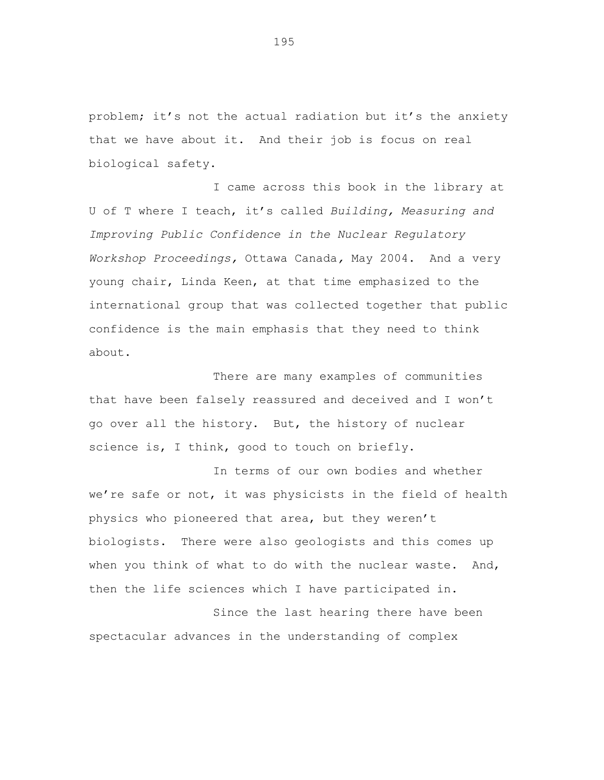problem; it's not the actual radiation but it's the anxiety that we have about it. And their job is focus on real biological safety.

I came across this book in the library at U of T where I teach, it's called *Building, Measuring and Improving Public Confidence in the Nuclear Regulatory Workshop Proceedings,* Ottawa Canada*,* May 2004. And a very young chair, Linda Keen, at that time emphasized to the international group that was collected together that public confidence is the main emphasis that they need to think about.

There are many examples of communities that have been falsely reassured and deceived and I won't go over all the history. But, the history of nuclear science is, I think, good to touch on briefly.

In terms of our own bodies and whether we're safe or not, it was physicists in the field of health physics who pioneered that area, but they weren't biologists. There were also geologists and this comes up when you think of what to do with the nuclear waste. And, then the life sciences which I have participated in.

Since the last hearing there have been spectacular advances in the understanding of complex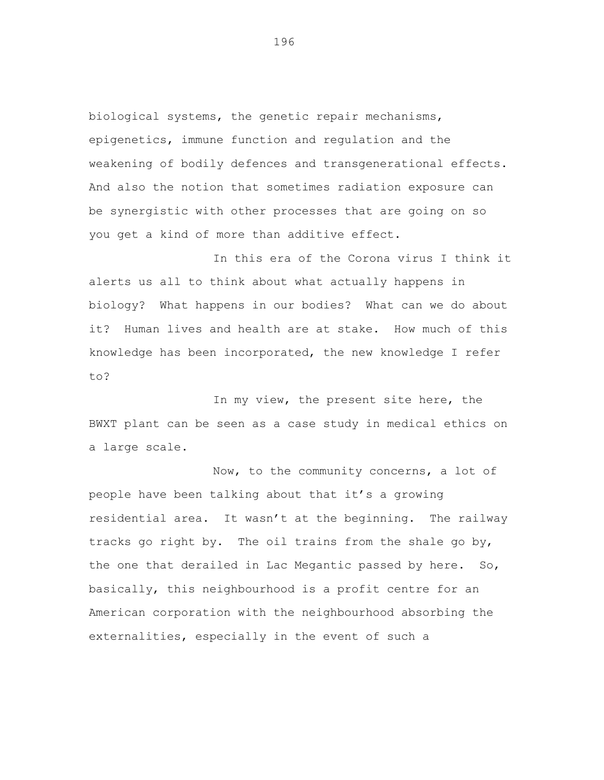biological systems, the genetic repair mechanisms, epigenetics, immune function and regulation and the weakening of bodily defences and transgenerational effects. And also the notion that sometimes radiation exposure can be synergistic with other processes that are going on so you get a kind of more than additive effect.

In this era of the Corona virus I think it alerts us all to think about what actually happens in biology? What happens in our bodies? What can we do about it? Human lives and health are at stake. How much of this knowledge has been incorporated, the new knowledge I refer to?

In my view, the present site here, the BWXT plant can be seen as a case study in medical ethics on a large scale.

Now, to the community concerns, a lot of people have been talking about that it's a growing residential area. It wasn't at the beginning. The railway tracks go right by. The oil trains from the shale go by, the one that derailed in Lac Megantic passed by here. So, basically, this neighbourhood is a profit centre for an American corporation with the neighbourhood absorbing the externalities, especially in the event of such a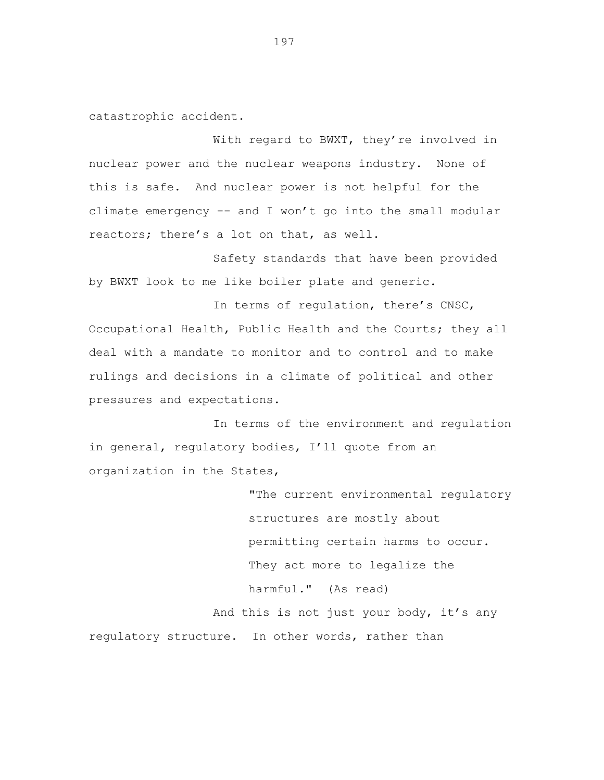catastrophic accident.

With regard to BWXT, they're involved in nuclear power and the nuclear weapons industry. None of this is safe. And nuclear power is not helpful for the climate emergency -- and I won't go into the small modular reactors; there's a lot on that, as well.

Safety standards that have been provided by BWXT look to me like boiler plate and generic.

In terms of regulation, there's CNSC, Occupational Health, Public Health and the Courts; they all deal with a mandate to monitor and to control and to make rulings and decisions in a climate of political and other pressures and expectations.

In terms of the environment and regulation in general, regulatory bodies, I'll quote from an organization in the States,

> "The current environmental regulatory structures are mostly about permitting certain harms to occur. They act more to legalize the harmful." (As read) And this is not just your body, it's any

regulatory structure. In other words, rather than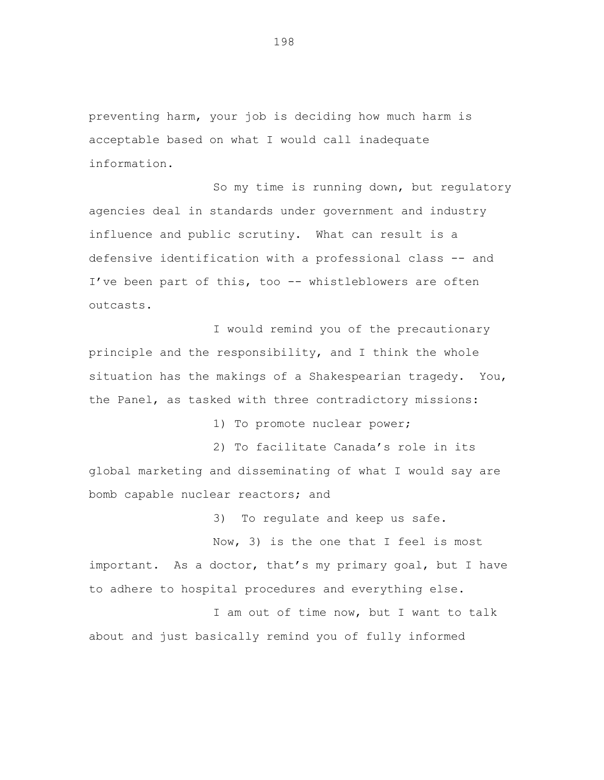preventing harm, your job is deciding how much harm is acceptable based on what I would call inadequate information.

So my time is running down, but regulatory agencies deal in standards under government and industry influence and public scrutiny. What can result is a defensive identification with a professional class -- and I've been part of this, too -- whistleblowers are often outcasts.

I would remind you of the precautionary principle and the responsibility, and I think the whole situation has the makings of a Shakespearian tragedy. You, the Panel, as tasked with three contradictory missions:

1) To promote nuclear power;

2) To facilitate Canada's role in its global marketing and disseminating of what I would say are bomb capable nuclear reactors; and

3) To regulate and keep us safe.

Now, 3) is the one that I feel is most important. As a doctor, that's my primary goal, but I have to adhere to hospital procedures and everything else.

I am out of time now, but I want to talk about and just basically remind you of fully informed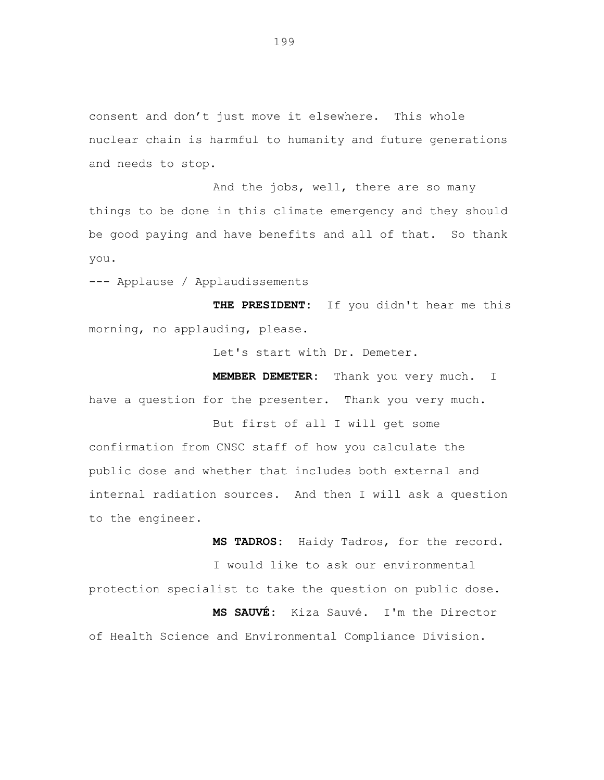consent and don't just move it elsewhere. This whole nuclear chain is harmful to humanity and future generations and needs to stop.

And the jobs, well, there are so many things to be done in this climate emergency and they should be good paying and have benefits and all of that. So thank you.

--- Applause / Applaudissements

**THE PRESIDENT:** If you didn't hear me this morning, no applauding, please.

Let's start with Dr. Demeter.

**MEMBER DEMETER:** Thank you very much. I have a question for the presenter. Thank you very much.

But first of all I will get some confirmation from CNSC staff of how you calculate the public dose and whether that includes both external and internal radiation sources. And then I will ask a question to the engineer.

**MS TADROS:** Haidy Tadros, for the record. I would like to ask our environmental protection specialist to take the question on public dose. **MS SAUVÉ:** Kiza Sauvé. I'm the Director of Health Science and Environmental Compliance Division.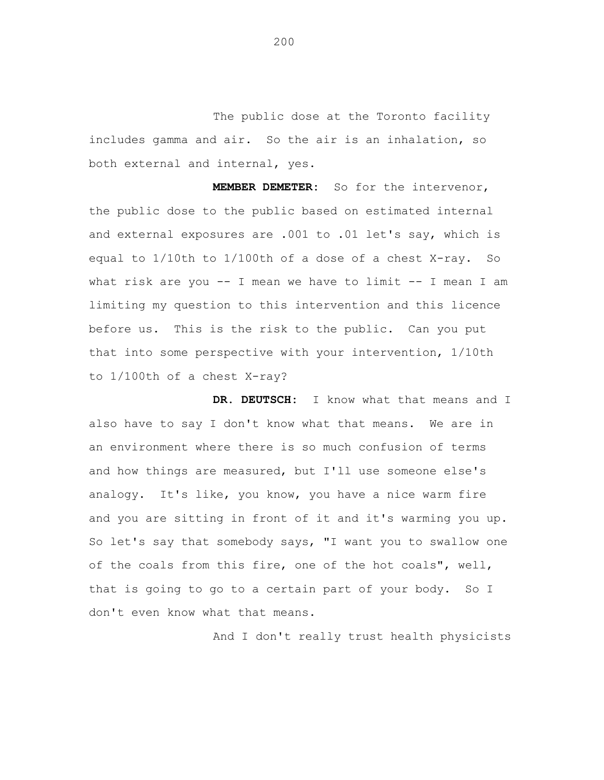The public dose at the Toronto facility includes gamma and air. So the air is an inhalation, so both external and internal, yes.

**MEMBER DEMETER:** So for the intervenor, the public dose to the public based on estimated internal and external exposures are .001 to .01 let's say, which is equal to 1/10th to 1/100th of a dose of a chest X-ray. So what risk are you -- I mean we have to limit -- I mean I am limiting my question to this intervention and this licence before us. This is the risk to the public. Can you put that into some perspective with your intervention, 1/10th to 1/100th of a chest X-ray?

**DR. DEUTSCH:** I know what that means and I also have to say I don't know what that means. We are in an environment where there is so much confusion of terms and how things are measured, but I'll use someone else's analogy. It's like, you know, you have a nice warm fire and you are sitting in front of it and it's warming you up. So let's say that somebody says, "I want you to swallow one of the coals from this fire, one of the hot coals", well, that is going to go to a certain part of your body. So I don't even know what that means.

And I don't really trust health physicists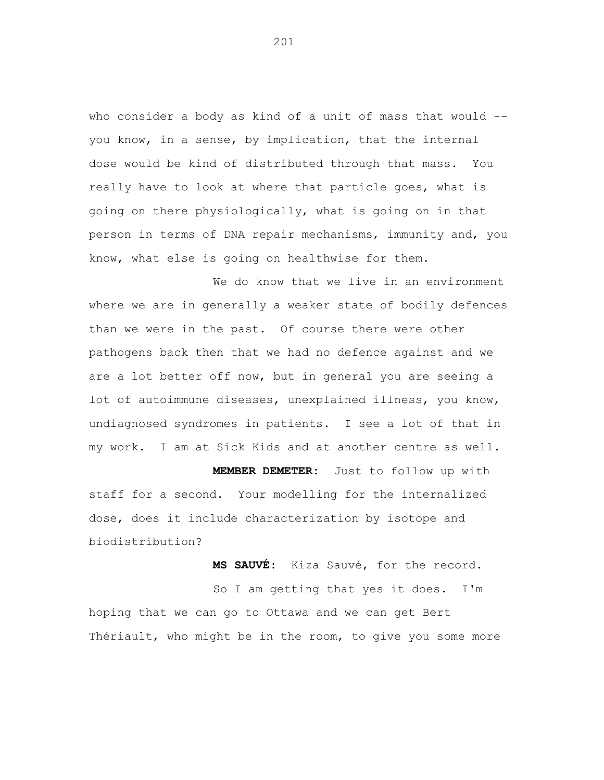who consider a body as kind of a unit of mass that would -you know, in a sense, by implication, that the internal dose would be kind of distributed through that mass. You really have to look at where that particle goes, what is going on there physiologically, what is going on in that person in terms of DNA repair mechanisms, immunity and, you know, what else is going on healthwise for them.

We do know that we live in an environment where we are in generally a weaker state of bodily defences than we were in the past. Of course there were other pathogens back then that we had no defence against and we are a lot better off now, but in general you are seeing a lot of autoimmune diseases, unexplained illness, you know, undiagnosed syndromes in patients. I see a lot of that in my work. I am at Sick Kids and at another centre as well.

**MEMBER DEMETER:** Just to follow up with staff for a second. Your modelling for the internalized dose, does it include characterization by isotope and biodistribution?

**MS SAUVÉ:** Kiza Sauvé, for the record.

So I am getting that yes it does. I'm hoping that we can go to Ottawa and we can get Bert Thériault, who might be in the room, to give you some more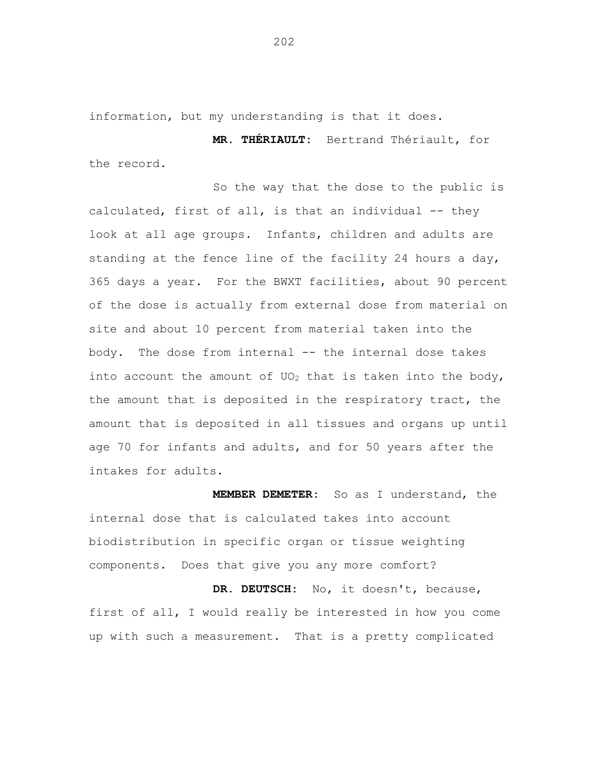information, but my understanding is that it does.

**MR. THÉRIAULT:** Bertrand Thériault, for the record.

So the way that the dose to the public is calculated, first of all, is that an individual -- they look at all age groups. Infants, children and adults are standing at the fence line of the facility 24 hours a day, 365 days a year. For the BWXT facilities, about 90 percent of the dose is actually from external dose from material on site and about 10 percent from material taken into the body. The dose from internal -- the internal dose takes into account the amount of UO<sub>2</sub> that is taken into the body, the amount that is deposited in the respiratory tract, the amount that is deposited in all tissues and organs up until age 70 for infants and adults, and for 50 years after the intakes for adults.

**MEMBER DEMETER:** So as I understand, the internal dose that is calculated takes into account biodistribution in specific organ or tissue weighting components. Does that give you any more comfort?

**DR. DEUTSCH:** No, it doesn't, because, first of all, I would really be interested in how you come up with such a measurement. That is a pretty complicated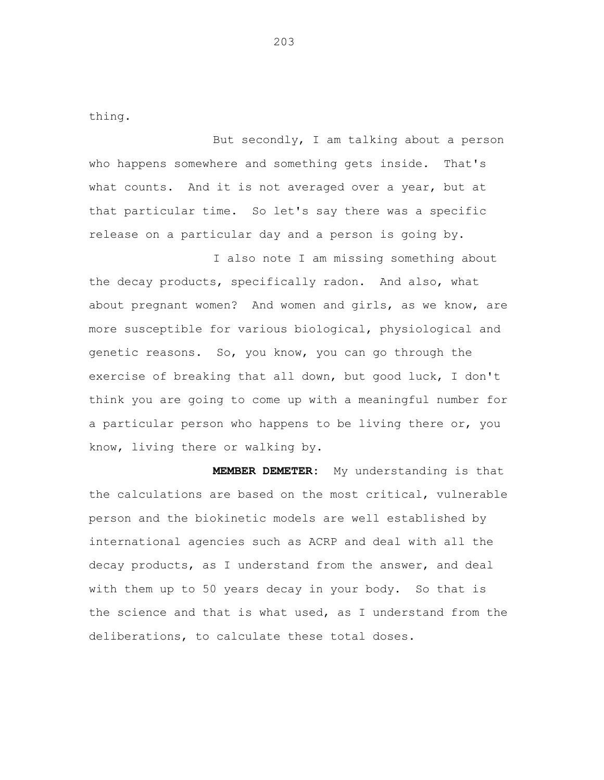thing.

But secondly, I am talking about a person who happens somewhere and something gets inside. That's what counts. And it is not averaged over a year, but at that particular time. So let's say there was a specific release on a particular day and a person is going by.

I also note I am missing something about the decay products, specifically radon. And also, what about pregnant women? And women and girls, as we know, are more susceptible for various biological, physiological and genetic reasons. So, you know, you can go through the exercise of breaking that all down, but good luck, I don't think you are going to come up with a meaningful number for a particular person who happens to be living there or, you know, living there or walking by.

**MEMBER DEMETER:** My understanding is that the calculations are based on the most critical, vulnerable person and the biokinetic models are well established by international agencies such as ACRP and deal with all the decay products, as I understand from the answer, and deal with them up to 50 years decay in your body. So that is the science and that is what used, as I understand from the deliberations, to calculate these total doses.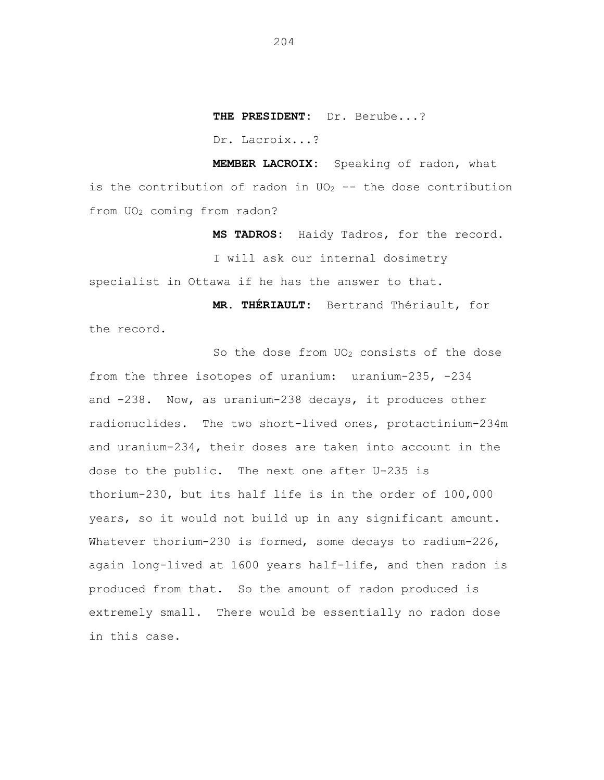**THE PRESIDENT:** Dr. Berube...?

Dr. Lacroix...?

**MEMBER LACROIX:** Speaking of radon, what is the contribution of radon in  $UO_2$  -- the dose contribution from UO<sup>2</sup> coming from radon?

> **MS TADROS:** Haidy Tadros, for the record. I will ask our internal dosimetry

specialist in Ottawa if he has the answer to that.

**MR. THÉRIAULT:** Bertrand Thériault, for the record.

So the dose from  $UO<sub>2</sub>$  consists of the dose from the three isotopes of uranium: uranium-235, -234 and -238. Now, as uranium-238 decays, it produces other radionuclides. The two short-lived ones, protactinium-234m and uranium-234, their doses are taken into account in the dose to the public. The next one after U-235 is thorium-230, but its half life is in the order of 100,000 years, so it would not build up in any significant amount. Whatever thorium-230 is formed, some decays to radium-226, again long-lived at 1600 years half-life, and then radon is produced from that. So the amount of radon produced is extremely small. There would be essentially no radon dose in this case.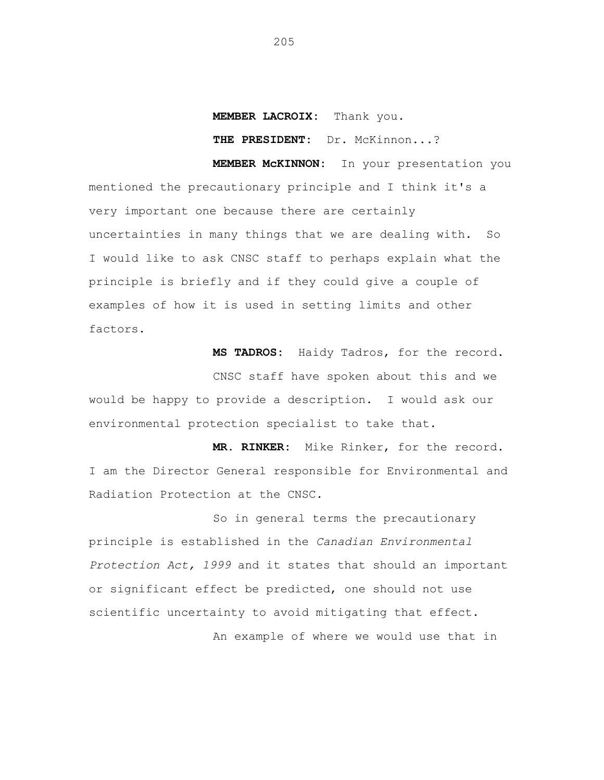## **MEMBER LACROIX:** Thank you.

**THE PRESIDENT:** Dr. McKinnon...?

**MEMBER McKINNON:** In your presentation you mentioned the precautionary principle and I think it's a very important one because there are certainly uncertainties in many things that we are dealing with. So I would like to ask CNSC staff to perhaps explain what the principle is briefly and if they could give a couple of examples of how it is used in setting limits and other factors.

**MS TADROS:** Haidy Tadros, for the record.

CNSC staff have spoken about this and we would be happy to provide a description. I would ask our environmental protection specialist to take that.

**MR. RINKER:** Mike Rinker, for the record. I am the Director General responsible for Environmental and Radiation Protection at the CNSC.

So in general terms the precautionary principle is established in the *Canadian Environmental Protection Act, 1999* and it states that should an important or significant effect be predicted, one should not use scientific uncertainty to avoid mitigating that effect. An example of where we would use that in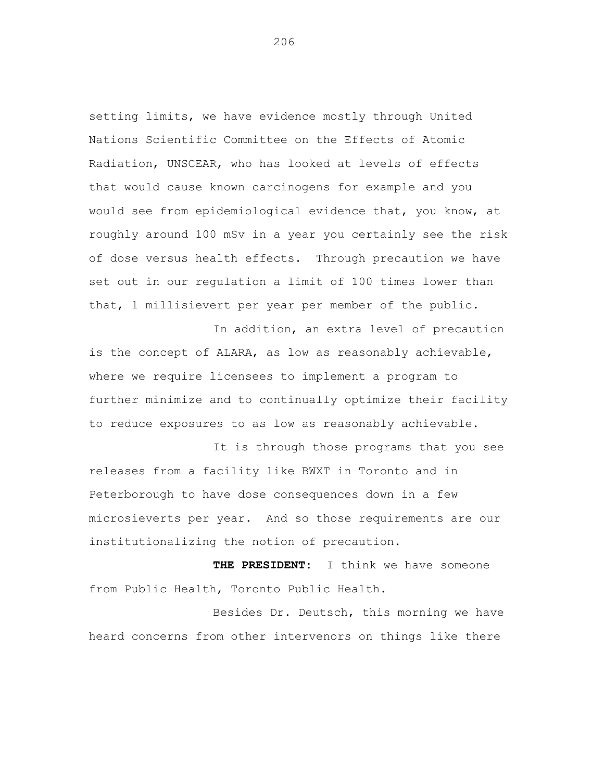setting limits, we have evidence mostly through United Nations Scientific Committee on the Effects of Atomic Radiation, UNSCEAR, who has looked at levels of effects that would cause known carcinogens for example and you would see from epidemiological evidence that, you know, at roughly around 100 mSv in a year you certainly see the risk of dose versus health effects. Through precaution we have set out in our regulation a limit of 100 times lower than that, 1 millisievert per year per member of the public.

In addition, an extra level of precaution is the concept of ALARA, as low as reasonably achievable, where we require licensees to implement a program to further minimize and to continually optimize their facility to reduce exposures to as low as reasonably achievable.

It is through those programs that you see releases from a facility like BWXT in Toronto and in Peterborough to have dose consequences down in a few microsieverts per year. And so those requirements are our institutionalizing the notion of precaution.

**THE PRESIDENT:** I think we have someone from Public Health, Toronto Public Health.

Besides Dr. Deutsch, this morning we have heard concerns from other intervenors on things like there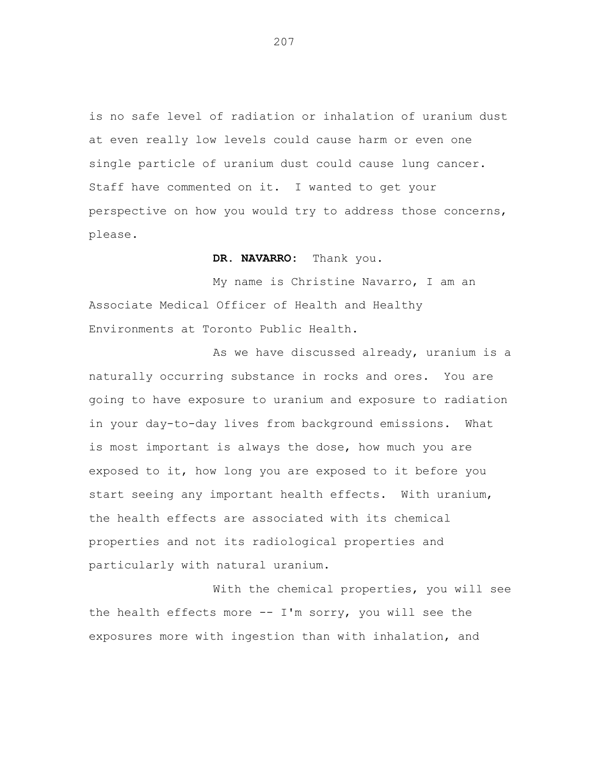is no safe level of radiation or inhalation of uranium dust at even really low levels could cause harm or even one single particle of uranium dust could cause lung cancer. Staff have commented on it. I wanted to get your perspective on how you would try to address those concerns, please.

# **DR. NAVARRO:** Thank you.

My name is Christine Navarro, I am an Associate Medical Officer of Health and Healthy Environments at Toronto Public Health.

As we have discussed already, uranium is a naturally occurring substance in rocks and ores. You are going to have exposure to uranium and exposure to radiation in your day-to-day lives from background emissions. What is most important is always the dose, how much you are exposed to it, how long you are exposed to it before you start seeing any important health effects. With uranium, the health effects are associated with its chemical properties and not its radiological properties and particularly with natural uranium.

With the chemical properties, you will see the health effects more -- I'm sorry, you will see the exposures more with ingestion than with inhalation, and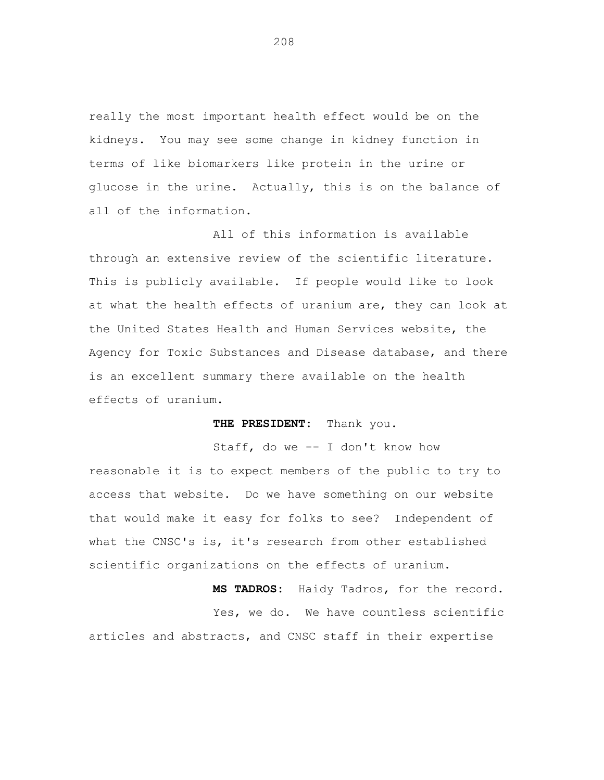really the most important health effect would be on the kidneys. You may see some change in kidney function in terms of like biomarkers like protein in the urine or glucose in the urine. Actually, this is on the balance of all of the information.

All of this information is available through an extensive review of the scientific literature. This is publicly available. If people would like to look at what the health effects of uranium are, they can look at the United States Health and Human Services website, the Agency for Toxic Substances and Disease database, and there is an excellent summary there available on the health effects of uranium.

**THE PRESIDENT:** Thank you.

Staff, do we -- I don't know how reasonable it is to expect members of the public to try to access that website. Do we have something on our website that would make it easy for folks to see? Independent of what the CNSC's is, it's research from other established scientific organizations on the effects of uranium.

**MS TADROS:** Haidy Tadros, for the record. Yes, we do. We have countless scientific articles and abstracts, and CNSC staff in their expertise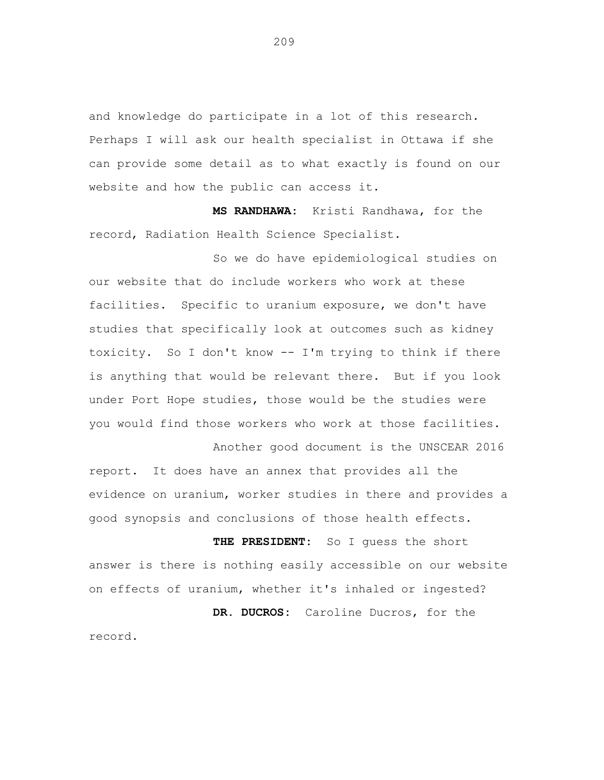and knowledge do participate in a lot of this research. Perhaps I will ask our health specialist in Ottawa if she can provide some detail as to what exactly is found on our website and how the public can access it.

**MS RANDHAWA:** Kristi Randhawa, for the record, Radiation Health Science Specialist.

So we do have epidemiological studies on our website that do include workers who work at these facilities. Specific to uranium exposure, we don't have studies that specifically look at outcomes such as kidney toxicity. So I don't know -- I'm trying to think if there is anything that would be relevant there. But if you look under Port Hope studies, those would be the studies were you would find those workers who work at those facilities.

report. It does have an annex that provides all the evidence on uranium, worker studies in there and provides a good synopsis and conclusions of those health effects.

Another good document is the UNSCEAR 2016

**THE PRESIDENT:** So I guess the short answer is there is nothing easily accessible on our website on effects of uranium, whether it's inhaled or ingested? **DR. DUCROS:** Caroline Ducros, for the record.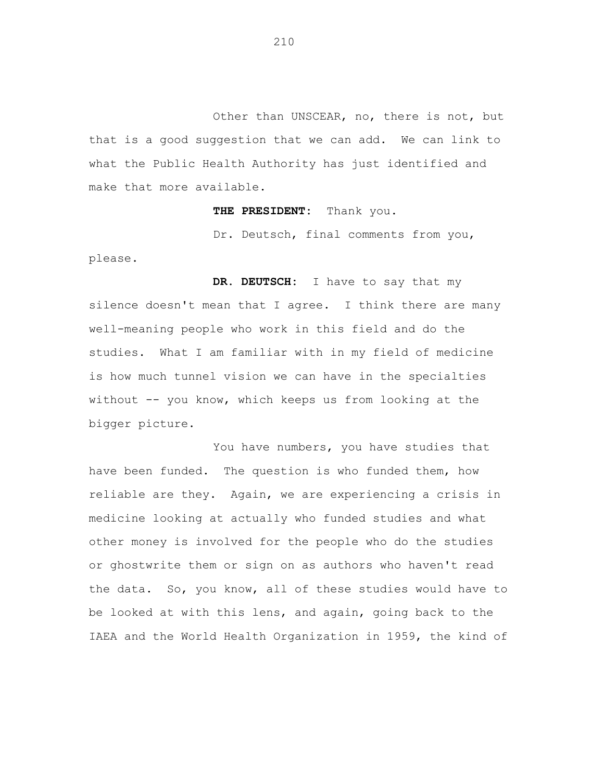Other than UNSCEAR, no, there is not, but that is a good suggestion that we can add. We can link to what the Public Health Authority has just identified and make that more available.

**THE PRESIDENT:** Thank you.

Dr. Deutsch, final comments from you,

please.

**DR. DEUTSCH:** I have to say that my silence doesn't mean that I agree. I think there are many well-meaning people who work in this field and do the studies. What I am familiar with in my field of medicine is how much tunnel vision we can have in the specialties without -- you know, which keeps us from looking at the bigger picture.

You have numbers, you have studies that have been funded. The question is who funded them, how reliable are they. Again, we are experiencing a crisis in medicine looking at actually who funded studies and what other money is involved for the people who do the studies or ghostwrite them or sign on as authors who haven't read the data. So, you know, all of these studies would have to be looked at with this lens, and again, going back to the IAEA and the World Health Organization in 1959, the kind of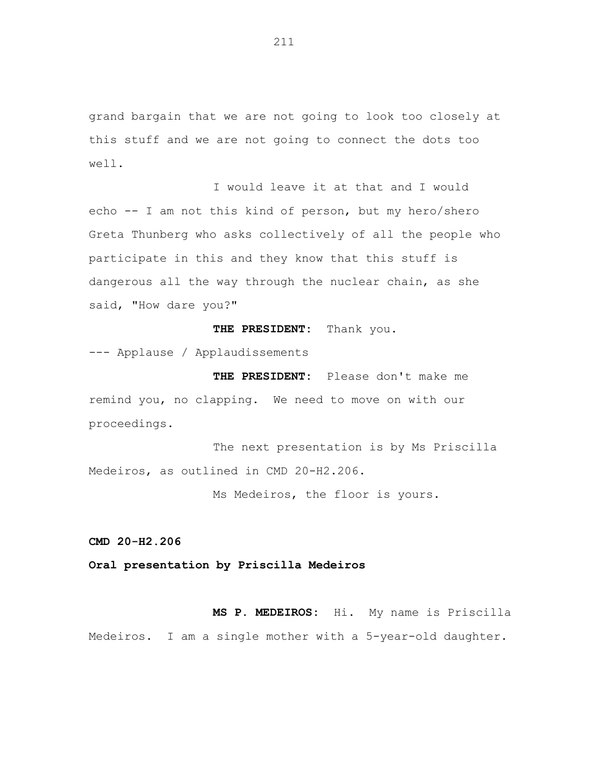grand bargain that we are not going to look too closely at this stuff and we are not going to connect the dots too well.

I would leave it at that and I would echo -- I am not this kind of person, but my hero/shero Greta Thunberg who asks collectively of all the people who participate in this and they know that this stuff is dangerous all the way through the nuclear chain, as she said, "How dare you?"

## **THE PRESIDENT:** Thank you.

--- Applause / Applaudissements

**THE PRESIDENT:** Please don't make me remind you, no clapping. We need to move on with our proceedings.

The next presentation is by Ms Priscilla Medeiros, as outlined in CMD 20-H2.206.

Ms Medeiros, the floor is yours.

**CMD 20-H2.206**

**Oral presentation by Priscilla Medeiros**

**MS P. MEDEIROS:** Hi. My name is Priscilla Medeiros. I am a single mother with a 5-year-old daughter.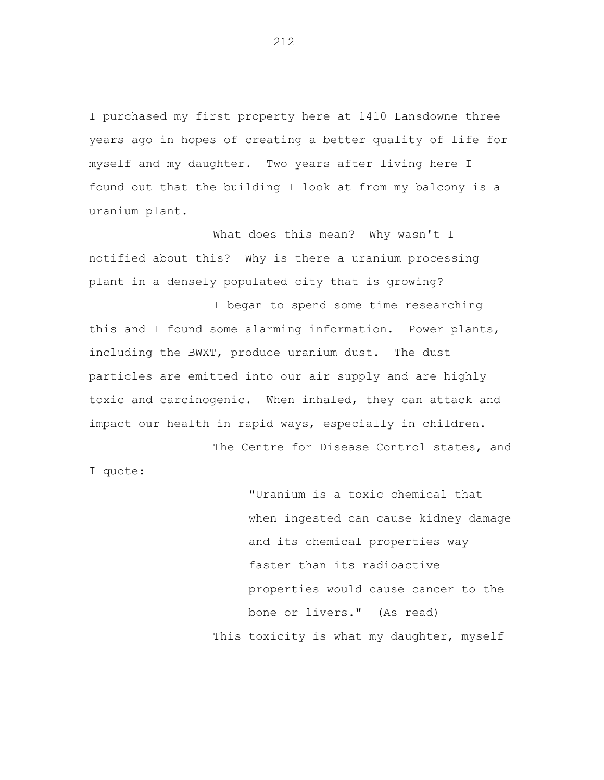I purchased my first property here at 1410 Lansdowne three years ago in hopes of creating a better quality of life for myself and my daughter. Two years after living here I found out that the building I look at from my balcony is a uranium plant.

What does this mean? Why wasn't I notified about this? Why is there a uranium processing plant in a densely populated city that is growing?

I began to spend some time researching this and I found some alarming information. Power plants, including the BWXT, produce uranium dust. The dust particles are emitted into our air supply and are highly toxic and carcinogenic. When inhaled, they can attack and impact our health in rapid ways, especially in children.

The Centre for Disease Control states, and I quote:

> "Uranium is a toxic chemical that when ingested can cause kidney damage and its chemical properties way faster than its radioactive properties would cause cancer to the bone or livers." (As read) This toxicity is what my daughter, myself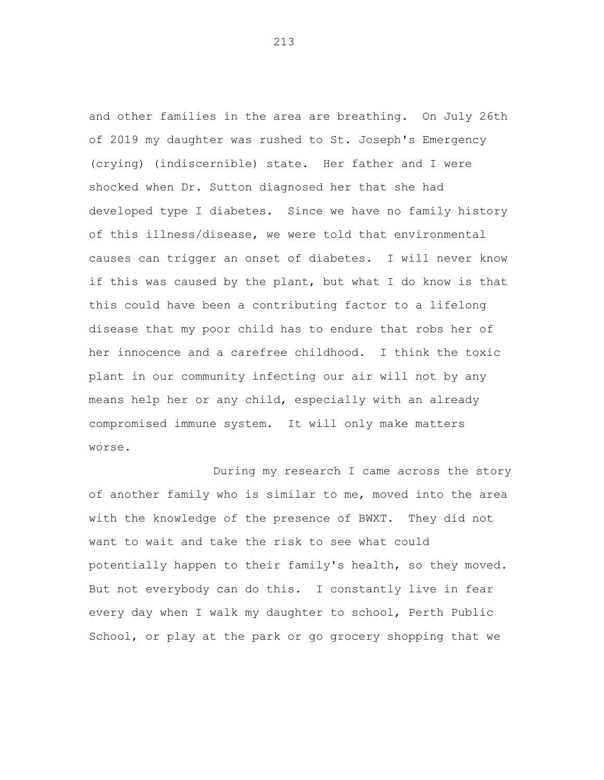and other families in the area are breathing. On July 26th of 2019 my daughter was rushed to St. Joseph's Emergency (crying) (indiscernible) state. Her father and I were shocked when Dr. Sutton diagnosed her that she had developed type I diabetes. Since we have no family history of this illness/disease, we were told that environmental causes can trigger an onset of diabetes. I will never know if this was caused by the plant, but what I do know is that this could have been a contributing factor to a lifelong disease that my poor child has to endure that robs her of her innocence and a carefree childhood. I think the toxic plant in our community infecting our air will not by any means help her or any child, especially with an already compromised immune system. It will only make matters worse.

During my research I came across the story of another family who is similar to me, moved into the area with the knowledge of the presence of BWXT. They did not want to wait and take the risk to see what could potentially happen to their family's health, so they moved. But not everybody can do this. I constantly live in fear every day when I walk my daughter to school, Perth Public School, or play at the park or go grocery shopping that we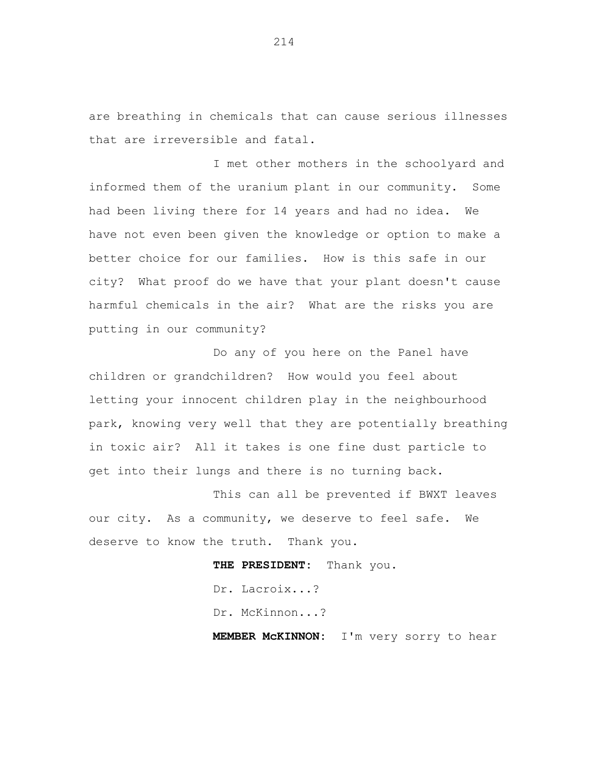are breathing in chemicals that can cause serious illnesses that are irreversible and fatal.

I met other mothers in the schoolyard and informed them of the uranium plant in our community. Some had been living there for 14 years and had no idea. We have not even been given the knowledge or option to make a better choice for our families. How is this safe in our city? What proof do we have that your plant doesn't cause harmful chemicals in the air? What are the risks you are putting in our community?

Do any of you here on the Panel have children or grandchildren? How would you feel about letting your innocent children play in the neighbourhood park, knowing very well that they are potentially breathing in toxic air? All it takes is one fine dust particle to get into their lungs and there is no turning back.

This can all be prevented if BWXT leaves our city. As a community, we deserve to feel safe. We deserve to know the truth. Thank you.

> **THE PRESIDENT:** Thank you. Dr. Lacroix...? Dr. McKinnon...? **MEMBER McKINNON:** I'm very sorry to hear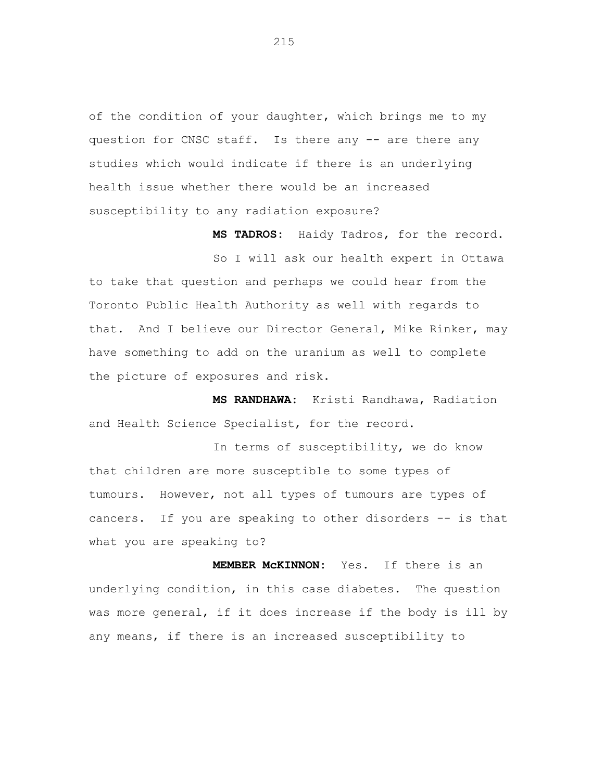of the condition of your daughter, which brings me to my question for CNSC staff. Is there any -- are there any studies which would indicate if there is an underlying health issue whether there would be an increased susceptibility to any radiation exposure?

**MS TADROS:** Haidy Tadros, for the record.

So I will ask our health expert in Ottawa to take that question and perhaps we could hear from the Toronto Public Health Authority as well with regards to that. And I believe our Director General, Mike Rinker, may have something to add on the uranium as well to complete the picture of exposures and risk.

**MS RANDHAWA:** Kristi Randhawa, Radiation and Health Science Specialist, for the record.

In terms of susceptibility, we do know that children are more susceptible to some types of tumours. However, not all types of tumours are types of cancers. If you are speaking to other disorders -- is that what you are speaking to?

**MEMBER McKINNON:** Yes. If there is an underlying condition, in this case diabetes. The question was more general, if it does increase if the body is ill by any means, if there is an increased susceptibility to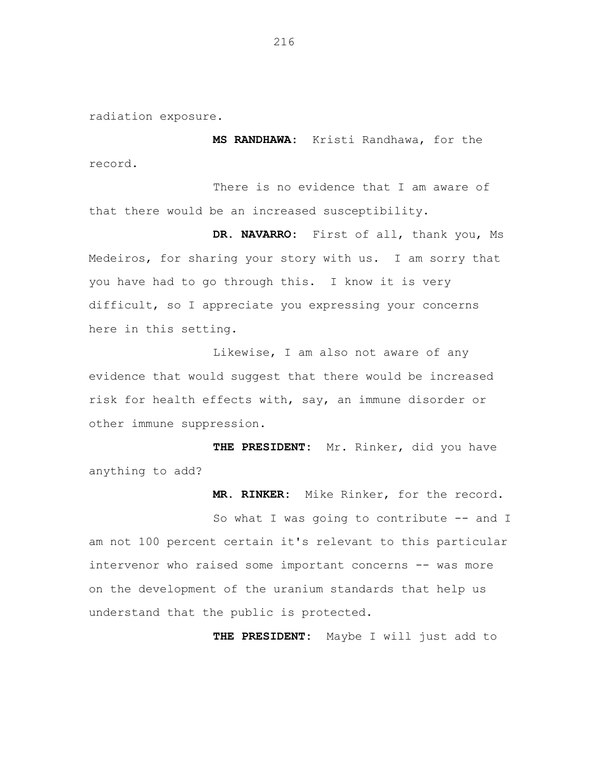radiation exposure.

**MS RANDHAWA:** Kristi Randhawa, for the record.

There is no evidence that I am aware of that there would be an increased susceptibility.

**DR. NAVARRO:** First of all, thank you, Ms Medeiros, for sharing your story with us. I am sorry that you have had to go through this. I know it is very difficult, so I appreciate you expressing your concerns here in this setting.

Likewise, I am also not aware of any evidence that would suggest that there would be increased risk for health effects with, say, an immune disorder or other immune suppression.

**THE PRESIDENT:** Mr. Rinker, did you have anything to add?

**MR. RINKER:** Mike Rinker, for the record.

So what I was going to contribute -- and I am not 100 percent certain it's relevant to this particular intervenor who raised some important concerns -- was more on the development of the uranium standards that help us understand that the public is protected.

**THE PRESIDENT:** Maybe I will just add to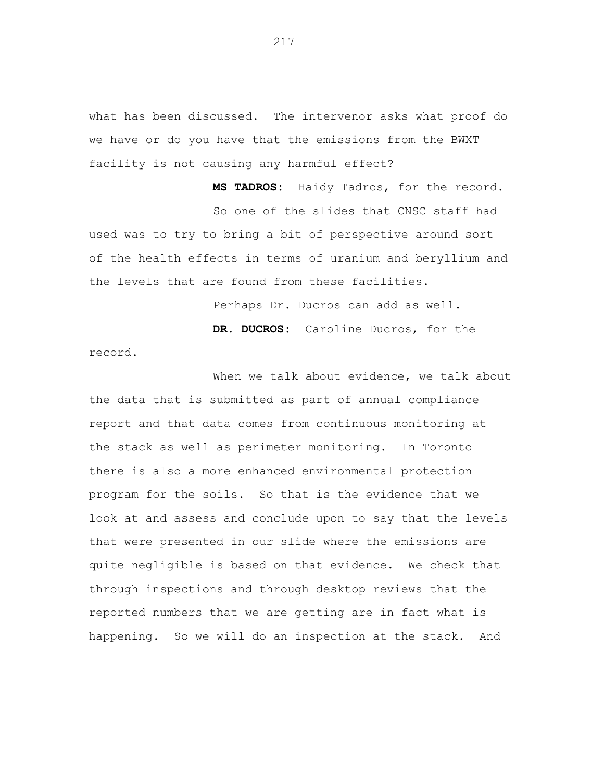what has been discussed. The intervenor asks what proof do we have or do you have that the emissions from the BWXT facility is not causing any harmful effect?

**MS TADROS:** Haidy Tadros, for the record. So one of the slides that CNSC staff had used was to try to bring a bit of perspective around sort of the health effects in terms of uranium and beryllium and the levels that are found from these facilities.

Perhaps Dr. Ducros can add as well.

**DR. DUCROS:** Caroline Ducros, for the

record.

When we talk about evidence, we talk about the data that is submitted as part of annual compliance report and that data comes from continuous monitoring at the stack as well as perimeter monitoring. In Toronto there is also a more enhanced environmental protection program for the soils. So that is the evidence that we look at and assess and conclude upon to say that the levels that were presented in our slide where the emissions are quite negligible is based on that evidence. We check that through inspections and through desktop reviews that the reported numbers that we are getting are in fact what is happening. So we will do an inspection at the stack. And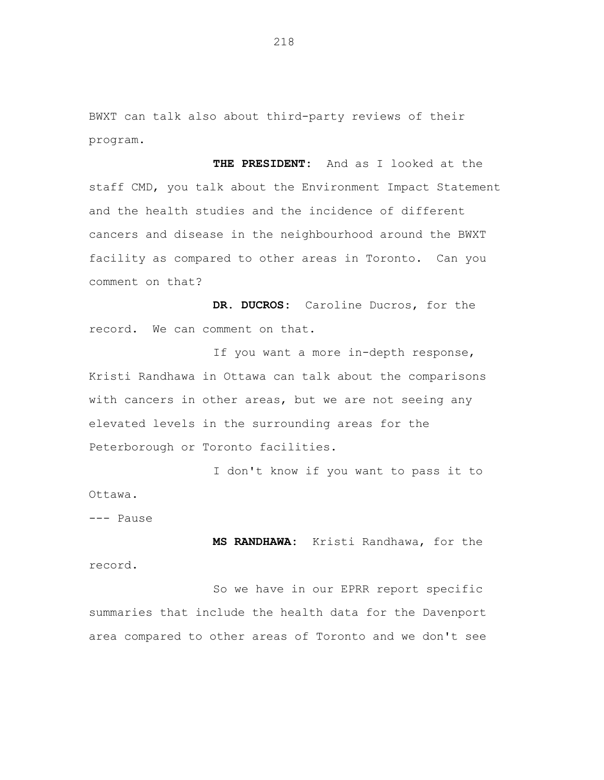BWXT can talk also about third-party reviews of their program.

**THE PRESIDENT:** And as I looked at the staff CMD, you talk about the Environment Impact Statement and the health studies and the incidence of different cancers and disease in the neighbourhood around the BWXT facility as compared to other areas in Toronto. Can you comment on that?

**DR. DUCROS:** Caroline Ducros, for the record. We can comment on that.

If you want a more in-depth response, Kristi Randhawa in Ottawa can talk about the comparisons with cancers in other areas, but we are not seeing any elevated levels in the surrounding areas for the Peterborough or Toronto facilities.

I don't know if you want to pass it to Ottawa.

--- Pause

**MS RANDHAWA:** Kristi Randhawa, for the record.

So we have in our EPRR report specific summaries that include the health data for the Davenport area compared to other areas of Toronto and we don't see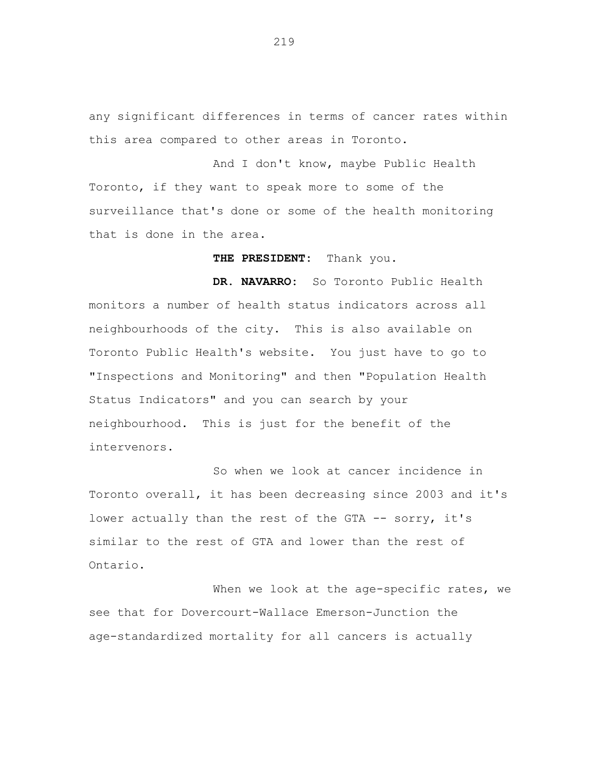any significant differences in terms of cancer rates within this area compared to other areas in Toronto.

And I don't know, maybe Public Health Toronto, if they want to speak more to some of the surveillance that's done or some of the health monitoring that is done in the area.

**THE PRESIDENT:** Thank you.

**DR. NAVARRO:** So Toronto Public Health monitors a number of health status indicators across all neighbourhoods of the city. This is also available on Toronto Public Health's website. You just have to go to "Inspections and Monitoring" and then "Population Health Status Indicators" and you can search by your neighbourhood. This is just for the benefit of the intervenors.

So when we look at cancer incidence in Toronto overall, it has been decreasing since 2003 and it's lower actually than the rest of the GTA -- sorry, it's similar to the rest of GTA and lower than the rest of Ontario.

When we look at the age-specific rates, we see that for Dovercourt-Wallace Emerson-Junction the age-standardized mortality for all cancers is actually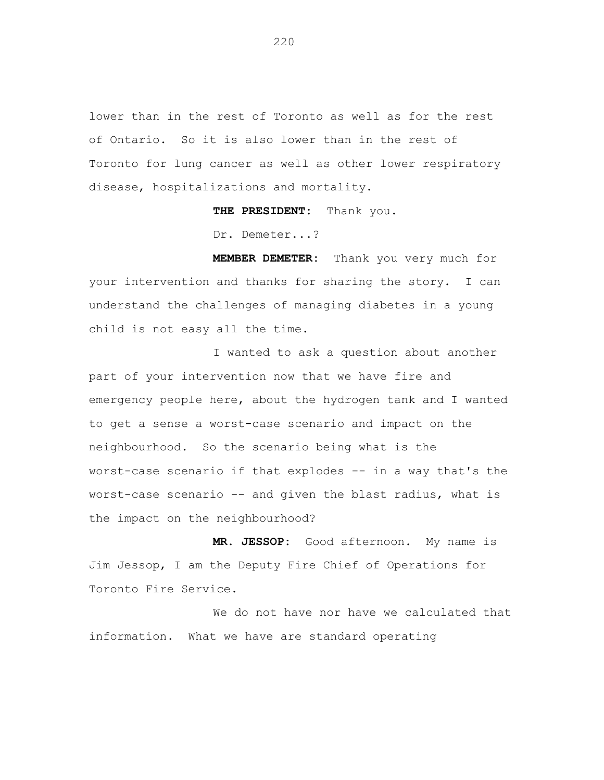lower than in the rest of Toronto as well as for the rest of Ontario. So it is also lower than in the rest of Toronto for lung cancer as well as other lower respiratory disease, hospitalizations and mortality.

**THE PRESIDENT:** Thank you.

Dr. Demeter...?

**MEMBER DEMETER:** Thank you very much for your intervention and thanks for sharing the story. I can understand the challenges of managing diabetes in a young child is not easy all the time.

I wanted to ask a question about another part of your intervention now that we have fire and emergency people here, about the hydrogen tank and I wanted to get a sense a worst-case scenario and impact on the neighbourhood. So the scenario being what is the worst-case scenario if that explodes -- in a way that's the worst-case scenario -- and given the blast radius, what is the impact on the neighbourhood?

**MR. JESSOP:** Good afternoon. My name is Jim Jessop, I am the Deputy Fire Chief of Operations for Toronto Fire Service.

We do not have nor have we calculated that information. What we have are standard operating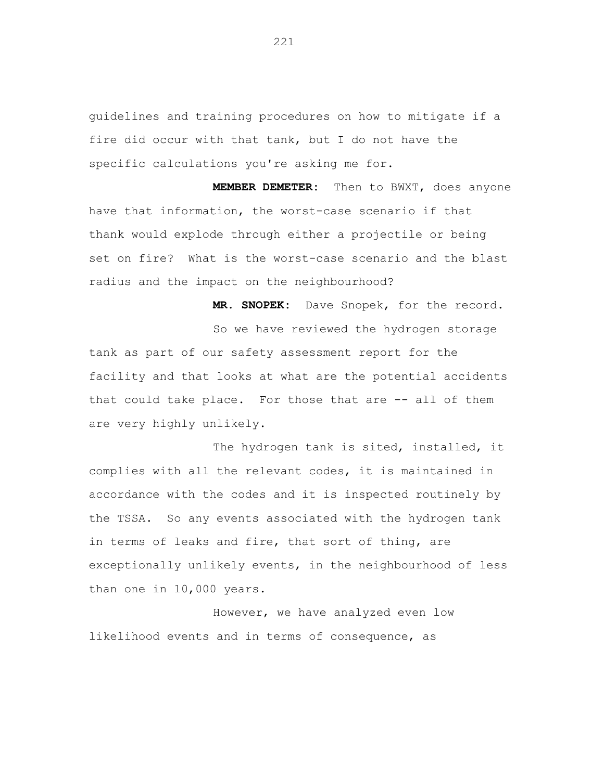guidelines and training procedures on how to mitigate if a fire did occur with that tank, but I do not have the specific calculations you're asking me for.

**MEMBER DEMETER:** Then to BWXT, does anyone have that information, the worst-case scenario if that thank would explode through either a projectile or being set on fire? What is the worst-case scenario and the blast radius and the impact on the neighbourhood?

**MR. SNOPEK:** Dave Snopek, for the record.

So we have reviewed the hydrogen storage tank as part of our safety assessment report for the facility and that looks at what are the potential accidents that could take place. For those that are -- all of them are very highly unlikely.

The hydrogen tank is sited, installed, it complies with all the relevant codes, it is maintained in accordance with the codes and it is inspected routinely by the TSSA. So any events associated with the hydrogen tank in terms of leaks and fire, that sort of thing, are exceptionally unlikely events, in the neighbourhood of less than one in 10,000 years.

However, we have analyzed even low likelihood events and in terms of consequence, as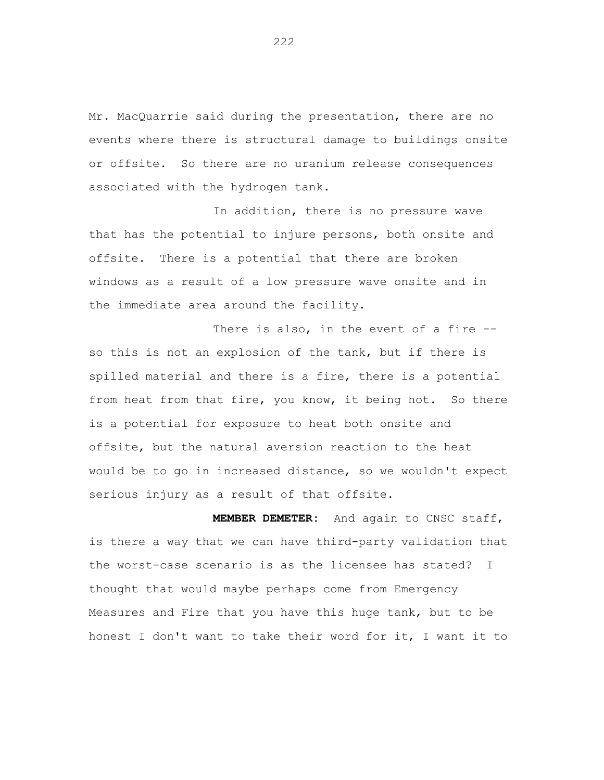Mr. MacQuarrie said during the presentation, there are no events where there is structural damage to buildings onsite or offsite. So there are no uranium release consequences associated with the hydrogen tank.

In addition, there is no pressure wave that has the potential to injure persons, both onsite and offsite. There is a potential that there are broken windows as a result of a low pressure wave onsite and in the immediate area around the facility.

There is also, in the event of a fire -so this is not an explosion of the tank, but if there is spilled material and there is a fire, there is a potential from heat from that fire, you know, it being hot. So there is a potential for exposure to heat both onsite and offsite, but the natural aversion reaction to the heat would be to go in increased distance, so we wouldn't expect serious injury as a result of that offsite.

**MEMBER DEMETER:** And again to CNSC staff, is there a way that we can have third-party validation that the worst-case scenario is as the licensee has stated? I thought that would maybe perhaps come from Emergency Measures and Fire that you have this huge tank, but to be honest I don't want to take their word for it, I want it to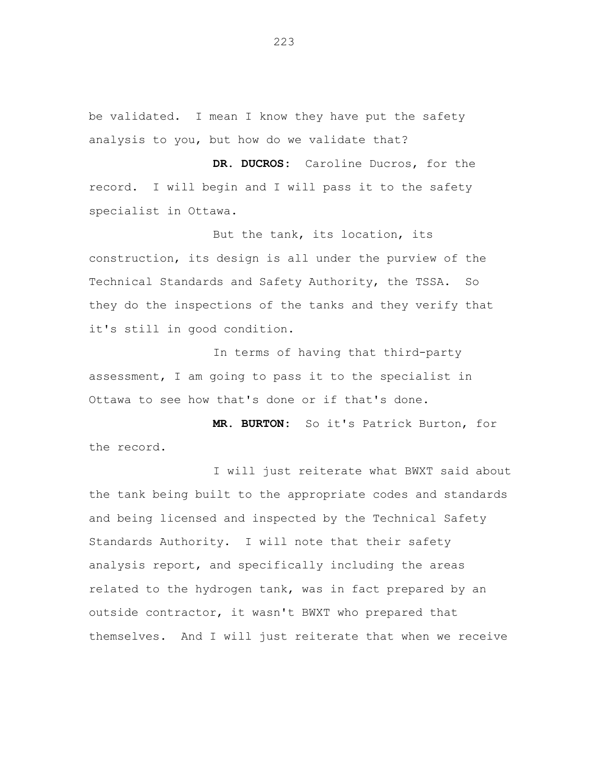be validated. I mean I know they have put the safety analysis to you, but how do we validate that?

**DR. DUCROS:** Caroline Ducros, for the record. I will begin and I will pass it to the safety specialist in Ottawa.

But the tank, its location, its construction, its design is all under the purview of the Technical Standards and Safety Authority, the TSSA. So they do the inspections of the tanks and they verify that it's still in good condition.

In terms of having that third-party assessment, I am going to pass it to the specialist in Ottawa to see how that's done or if that's done.

**MR. BURTON:** So it's Patrick Burton, for the record.

I will just reiterate what BWXT said about the tank being built to the appropriate codes and standards and being licensed and inspected by the Technical Safety Standards Authority. I will note that their safety analysis report, and specifically including the areas related to the hydrogen tank, was in fact prepared by an outside contractor, it wasn't BWXT who prepared that themselves. And I will just reiterate that when we receive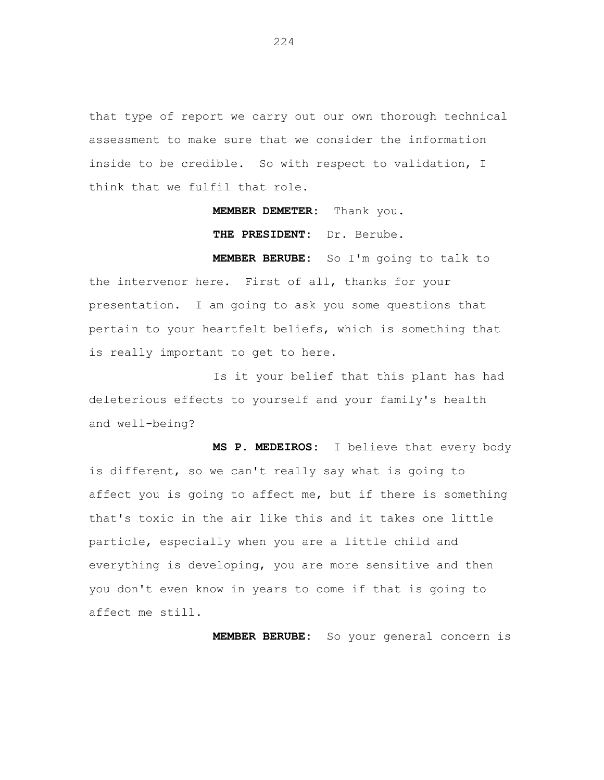that type of report we carry out our own thorough technical assessment to make sure that we consider the information inside to be credible. So with respect to validation, I think that we fulfil that role.

**MEMBER DEMETER:** Thank you.

**THE PRESIDENT:** Dr. Berube.

**MEMBER BERUBE:** So I'm going to talk to the intervenor here. First of all, thanks for your presentation. I am going to ask you some questions that pertain to your heartfelt beliefs, which is something that is really important to get to here.

Is it your belief that this plant has had deleterious effects to yourself and your family's health and well-being?

**MS P. MEDEIROS:** I believe that every body is different, so we can't really say what is going to affect you is going to affect me, but if there is something that's toxic in the air like this and it takes one little particle, especially when you are a little child and everything is developing, you are more sensitive and then you don't even know in years to come if that is going to affect me still.

**MEMBER BERUBE:** So your general concern is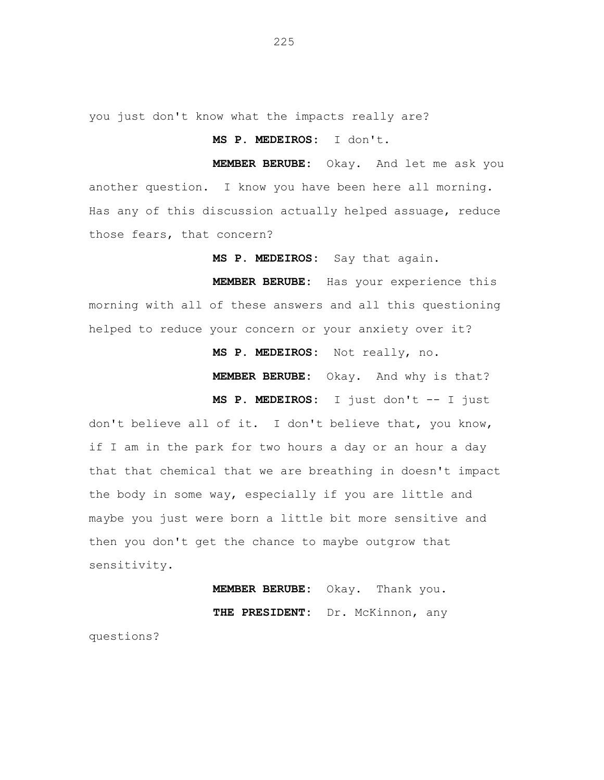you just don't know what the impacts really are?

## **MS P. MEDEIROS:** I don't.

**MEMBER BERUBE:** Okay. And let me ask you another question. I know you have been here all morning. Has any of this discussion actually helped assuage, reduce those fears, that concern?

**MS P. MEDEIROS:** Say that again.

**MEMBER BERUBE:** Has your experience this morning with all of these answers and all this questioning helped to reduce your concern or your anxiety over it?

**MS P. MEDEIROS:** Not really, no.

**MEMBER BERUBE:** Okay. And why is that?

**MS P. MEDEIROS:** I just don't -- I just

don't believe all of it. I don't believe that, you know, if I am in the park for two hours a day or an hour a day that that chemical that we are breathing in doesn't impact the body in some way, especially if you are little and maybe you just were born a little bit more sensitive and then you don't get the chance to maybe outgrow that sensitivity.

> **MEMBER BERUBE:** Okay. Thank you. **THE PRESIDENT:** Dr. McKinnon, any

questions?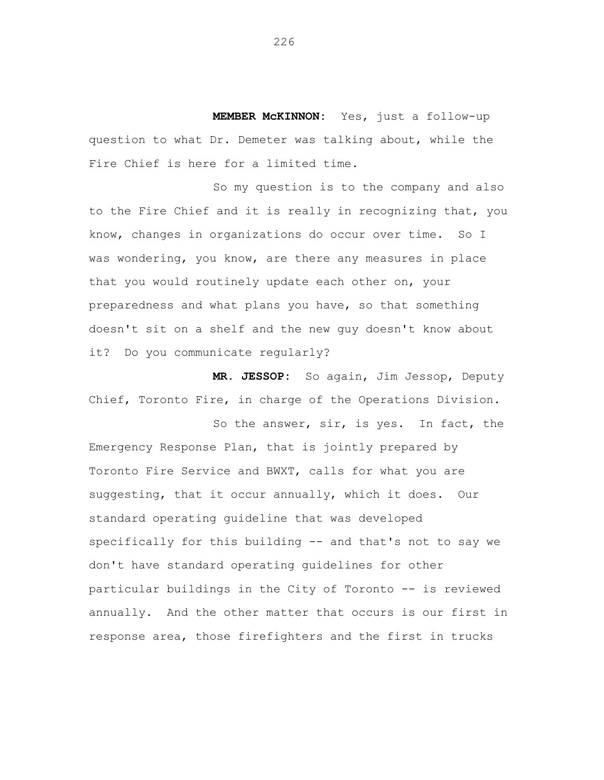**MEMBER McKINNON:** Yes, just a follow-up question to what Dr. Demeter was talking about, while the Fire Chief is here for a limited time.

So my question is to the company and also to the Fire Chief and it is really in recognizing that, you know, changes in organizations do occur over time. So I was wondering, you know, are there any measures in place that you would routinely update each other on, your preparedness and what plans you have, so that something doesn't sit on a shelf and the new guy doesn't know about it? Do you communicate regularly?

**MR. JESSOP:** So again, Jim Jessop, Deputy Chief, Toronto Fire, in charge of the Operations Division.

So the answer, sir, is yes. In fact, the Emergency Response Plan, that is jointly prepared by Toronto Fire Service and BWXT, calls for what you are suggesting, that it occur annually, which it does. Our standard operating guideline that was developed specifically for this building -- and that's not to say we don't have standard operating guidelines for other particular buildings in the City of Toronto -- is reviewed annually. And the other matter that occurs is our first in response area, those firefighters and the first in trucks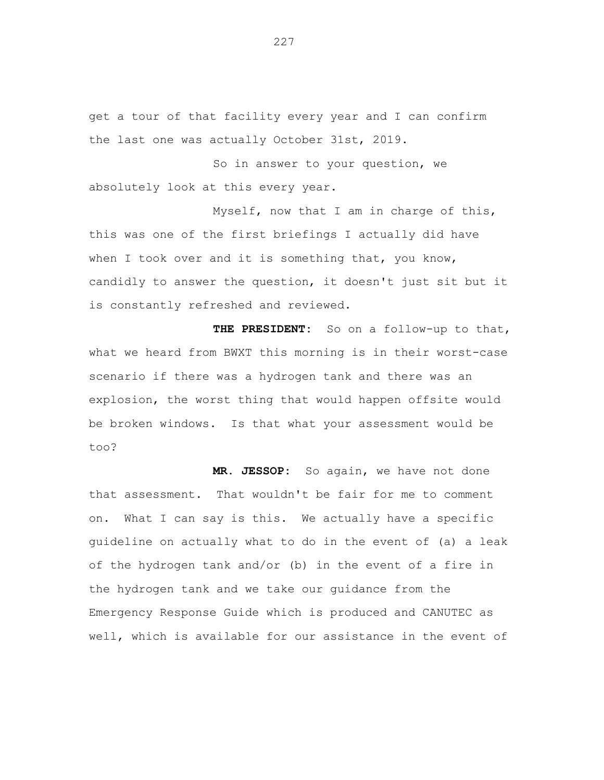get a tour of that facility every year and I can confirm the last one was actually October 31st, 2019.

So in answer to your question, we absolutely look at this every year.

Myself, now that I am in charge of this, this was one of the first briefings I actually did have when I took over and it is something that, you know, candidly to answer the question, it doesn't just sit but it is constantly refreshed and reviewed.

**THE PRESIDENT:** So on a follow-up to that, what we heard from BWXT this morning is in their worst-case scenario if there was a hydrogen tank and there was an explosion, the worst thing that would happen offsite would be broken windows. Is that what your assessment would be too?

**MR. JESSOP:** So again, we have not done that assessment. That wouldn't be fair for me to comment on. What I can say is this. We actually have a specific guideline on actually what to do in the event of (a) a leak of the hydrogen tank and/or (b) in the event of a fire in the hydrogen tank and we take our guidance from the Emergency Response Guide which is produced and CANUTEC as well, which is available for our assistance in the event of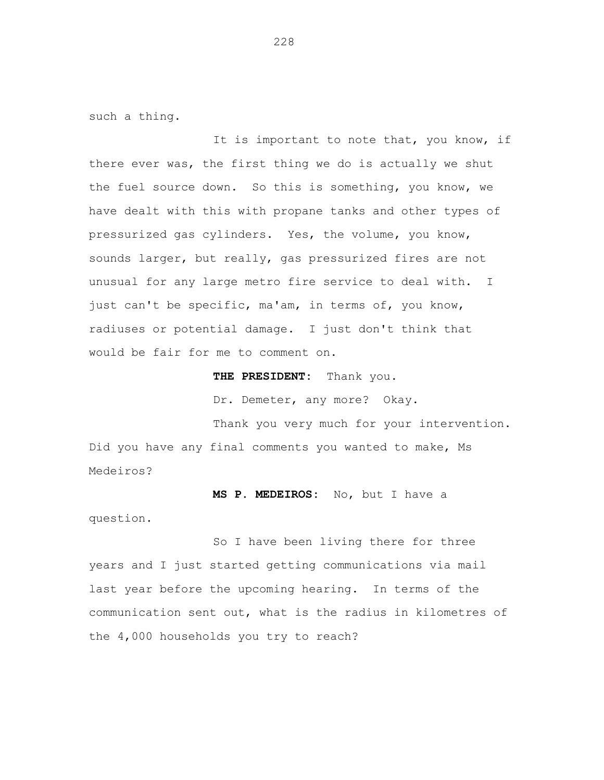such a thing.

It is important to note that, you know, if there ever was, the first thing we do is actually we shut the fuel source down. So this is something, you know, we have dealt with this with propane tanks and other types of pressurized gas cylinders. Yes, the volume, you know, sounds larger, but really, gas pressurized fires are not unusual for any large metro fire service to deal with. I just can't be specific, ma'am, in terms of, you know, radiuses or potential damage. I just don't think that would be fair for me to comment on.

**THE PRESIDENT:** Thank you.

Dr. Demeter, any more? Okay.

Thank you very much for your intervention. Did you have any final comments you wanted to make, Ms Medeiros?

**MS P. MEDEIROS:** No, but I have a

question.

So I have been living there for three years and I just started getting communications via mail last year before the upcoming hearing. In terms of the communication sent out, what is the radius in kilometres of the 4,000 households you try to reach?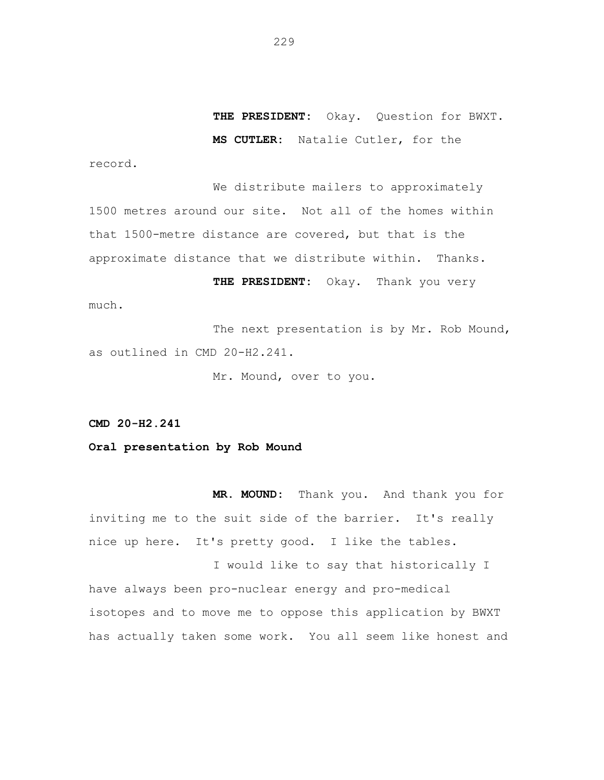**THE PRESIDENT:** Okay. Question for BWXT. **MS CUTLER:** Natalie Cutler, for the

record.

We distribute mailers to approximately 1500 metres around our site. Not all of the homes within that 1500-metre distance are covered, but that is the approximate distance that we distribute within. Thanks.

**THE PRESIDENT:** Okay. Thank you very much.

The next presentation is by Mr. Rob Mound, as outlined in CMD 20-H2.241.

Mr. Mound, over to you.

**CMD 20-H2.241**

**Oral presentation by Rob Mound**

**MR. MOUND:** Thank you. And thank you for inviting me to the suit side of the barrier. It's really nice up here. It's pretty good. I like the tables.

I would like to say that historically I have always been pro-nuclear energy and pro-medical isotopes and to move me to oppose this application by BWXT has actually taken some work. You all seem like honest and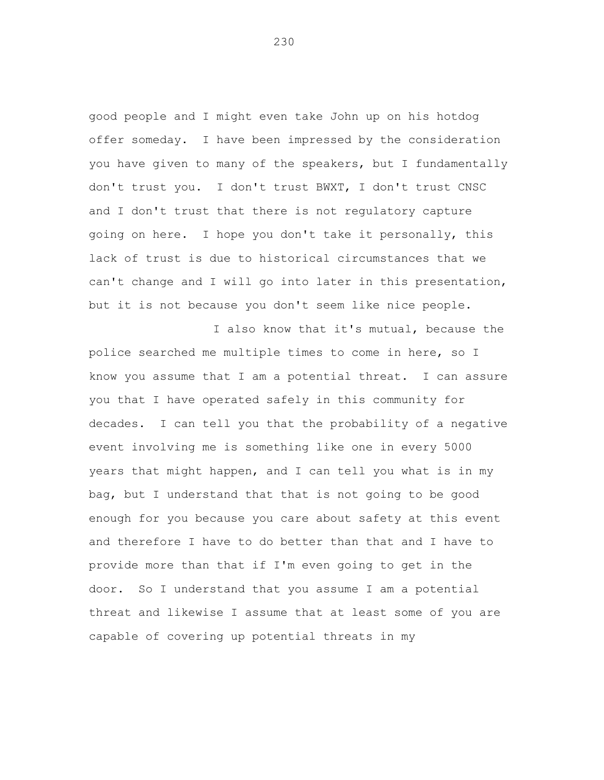good people and I might even take John up on his hotdog offer someday. I have been impressed by the consideration you have given to many of the speakers, but I fundamentally don't trust you. I don't trust BWXT, I don't trust CNSC and I don't trust that there is not regulatory capture going on here. I hope you don't take it personally, this lack of trust is due to historical circumstances that we can't change and I will go into later in this presentation, but it is not because you don't seem like nice people.

I also know that it's mutual, because the police searched me multiple times to come in here, so I know you assume that I am a potential threat. I can assure you that I have operated safely in this community for decades. I can tell you that the probability of a negative event involving me is something like one in every 5000 years that might happen, and I can tell you what is in my bag, but I understand that that is not going to be good enough for you because you care about safety at this event and therefore I have to do better than that and I have to provide more than that if I'm even going to get in the door. So I understand that you assume I am a potential threat and likewise I assume that at least some of you are capable of covering up potential threats in my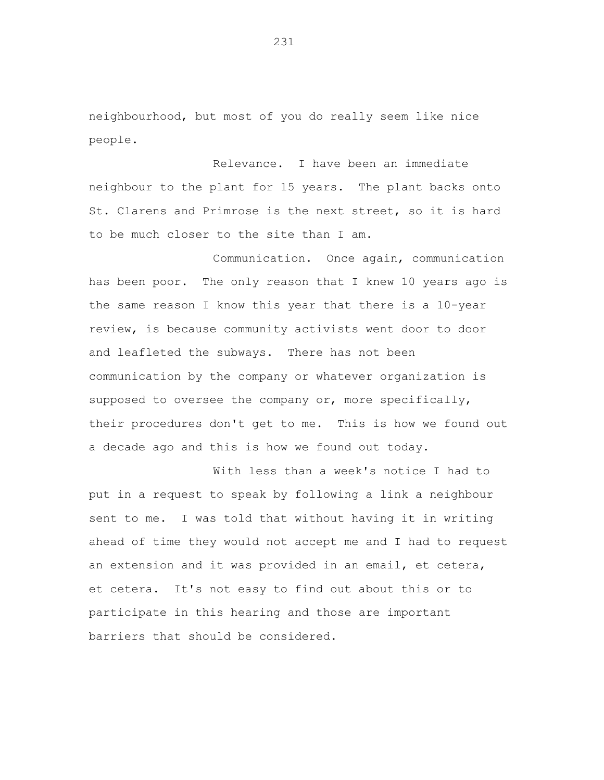neighbourhood, but most of you do really seem like nice people.

Relevance. I have been an immediate neighbour to the plant for 15 years. The plant backs onto St. Clarens and Primrose is the next street, so it is hard to be much closer to the site than I am.

Communication. Once again, communication has been poor. The only reason that I knew 10 years ago is the same reason I know this year that there is a 10-year review, is because community activists went door to door and leafleted the subways. There has not been communication by the company or whatever organization is supposed to oversee the company or, more specifically, their procedures don't get to me. This is how we found out a decade ago and this is how we found out today.

With less than a week's notice I had to put in a request to speak by following a link a neighbour sent to me. I was told that without having it in writing ahead of time they would not accept me and I had to request an extension and it was provided in an email, et cetera, et cetera. It's not easy to find out about this or to participate in this hearing and those are important barriers that should be considered.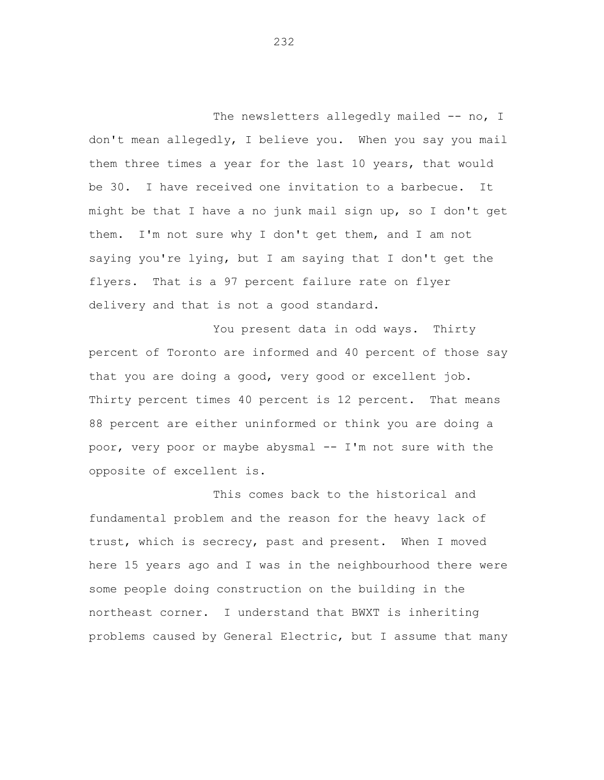The newsletters allegedly mailed -- no, I don't mean allegedly, I believe you. When you say you mail them three times a year for the last 10 years, that would be 30. I have received one invitation to a barbecue. It might be that I have a no junk mail sign up, so I don't get them. I'm not sure why I don't get them, and I am not saying you're lying, but I am saying that I don't get the flyers. That is a 97 percent failure rate on flyer delivery and that is not a good standard.

You present data in odd ways. Thirty percent of Toronto are informed and 40 percent of those say that you are doing a good, very good or excellent job. Thirty percent times 40 percent is 12 percent. That means 88 percent are either uninformed or think you are doing a poor, very poor or maybe abysmal -- I'm not sure with the opposite of excellent is.

This comes back to the historical and fundamental problem and the reason for the heavy lack of trust, which is secrecy, past and present. When I moved here 15 years ago and I was in the neighbourhood there were some people doing construction on the building in the northeast corner. I understand that BWXT is inheriting problems caused by General Electric, but I assume that many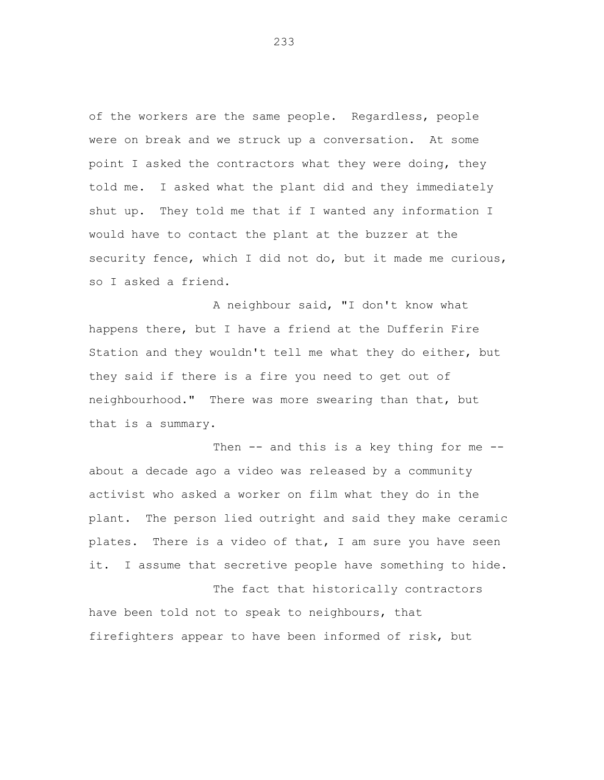of the workers are the same people. Regardless, people were on break and we struck up a conversation. At some point I asked the contractors what they were doing, they told me. I asked what the plant did and they immediately shut up. They told me that if I wanted any information I would have to contact the plant at the buzzer at the security fence, which I did not do, but it made me curious, so I asked a friend.

A neighbour said, "I don't know what happens there, but I have a friend at the Dufferin Fire Station and they wouldn't tell me what they do either, but they said if there is a fire you need to get out of neighbourhood." There was more swearing than that, but that is a summary.

Then -- and this is a key thing for me -about a decade ago a video was released by a community activist who asked a worker on film what they do in the plant. The person lied outright and said they make ceramic plates. There is a video of that, I am sure you have seen it. I assume that secretive people have something to hide.

The fact that historically contractors have been told not to speak to neighbours, that firefighters appear to have been informed of risk, but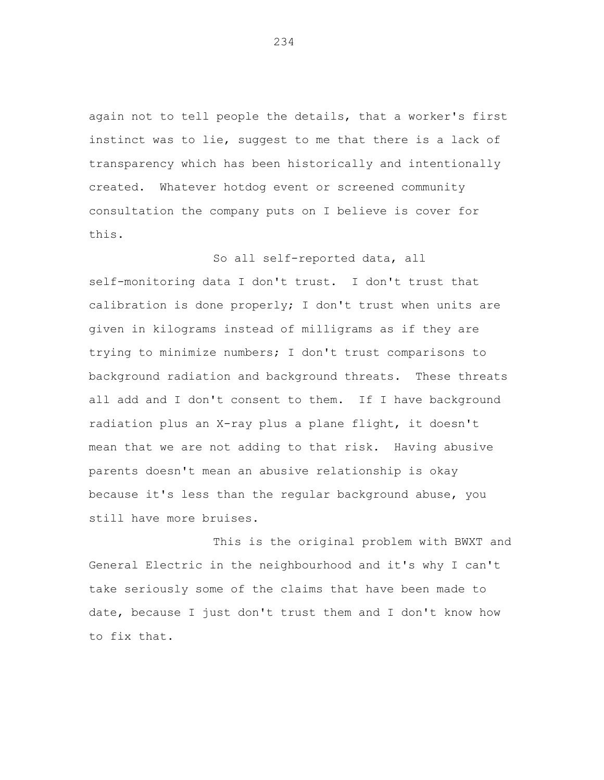again not to tell people the details, that a worker's first instinct was to lie, suggest to me that there is a lack of transparency which has been historically and intentionally created. Whatever hotdog event or screened community consultation the company puts on I believe is cover for this.

So all self-reported data, all self-monitoring data I don't trust. I don't trust that calibration is done properly; I don't trust when units are given in kilograms instead of milligrams as if they are trying to minimize numbers; I don't trust comparisons to background radiation and background threats. These threats all add and I don't consent to them. If I have background radiation plus an X-ray plus a plane flight, it doesn't mean that we are not adding to that risk. Having abusive parents doesn't mean an abusive relationship is okay because it's less than the regular background abuse, you still have more bruises.

This is the original problem with BWXT and General Electric in the neighbourhood and it's why I can't take seriously some of the claims that have been made to date, because I just don't trust them and I don't know how to fix that.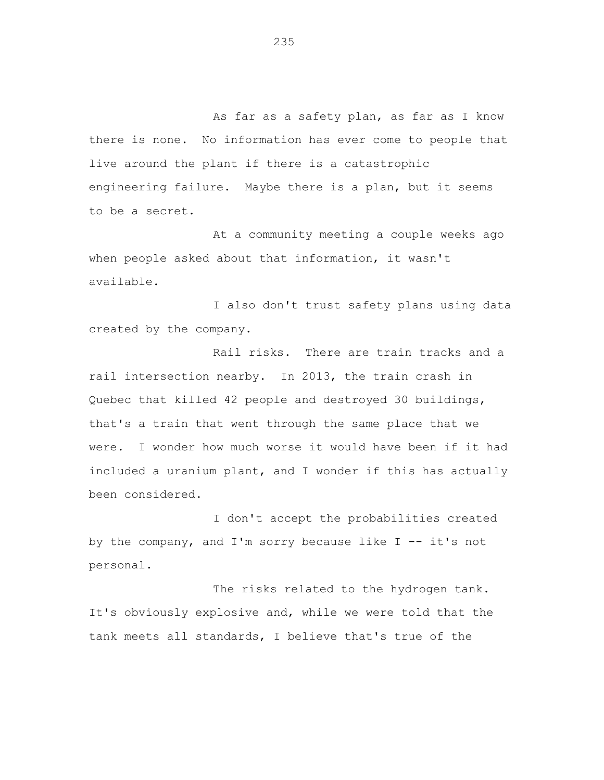As far as a safety plan, as far as I know there is none. No information has ever come to people that live around the plant if there is a catastrophic engineering failure. Maybe there is a plan, but it seems to be a secret.

At a community meeting a couple weeks ago when people asked about that information, it wasn't available.

I also don't trust safety plans using data created by the company.

Rail risks. There are train tracks and a rail intersection nearby. In 2013, the train crash in Quebec that killed 42 people and destroyed 30 buildings, that's a train that went through the same place that we were. I wonder how much worse it would have been if it had included a uranium plant, and I wonder if this has actually been considered.

I don't accept the probabilities created by the company, and I'm sorry because like  $I - - it's$  not personal.

The risks related to the hydrogen tank. It's obviously explosive and, while we were told that the tank meets all standards, I believe that's true of the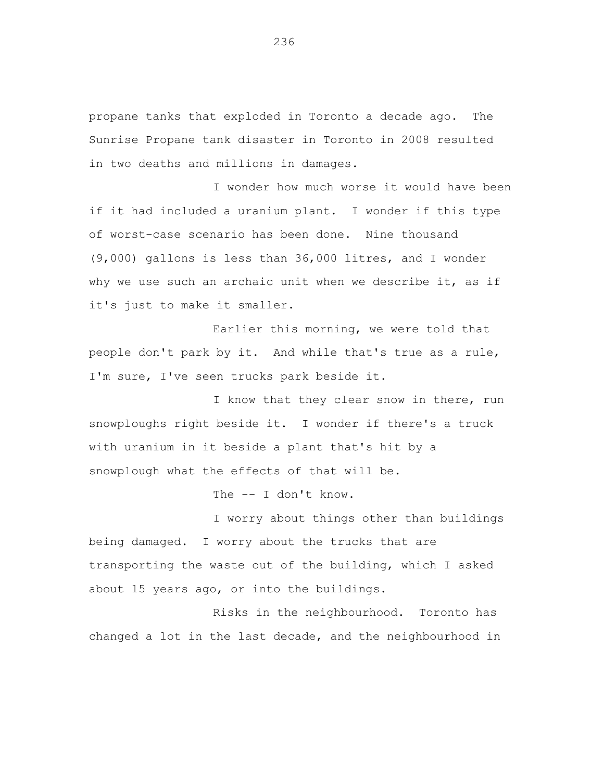propane tanks that exploded in Toronto a decade ago. The Sunrise Propane tank disaster in Toronto in 2008 resulted in two deaths and millions in damages.

I wonder how much worse it would have been if it had included a uranium plant. I wonder if this type of worst-case scenario has been done. Nine thousand (9,000) gallons is less than 36,000 litres, and I wonder why we use such an archaic unit when we describe it, as if it's just to make it smaller.

Earlier this morning, we were told that people don't park by it. And while that's true as a rule, I'm sure, I've seen trucks park beside it.

I know that they clear snow in there, run snowploughs right beside it. I wonder if there's a truck with uranium in it beside a plant that's hit by a snowplough what the effects of that will be.

The -- I don't know.

I worry about things other than buildings being damaged. I worry about the trucks that are transporting the waste out of the building, which I asked about 15 years ago, or into the buildings.

Risks in the neighbourhood. Toronto has changed a lot in the last decade, and the neighbourhood in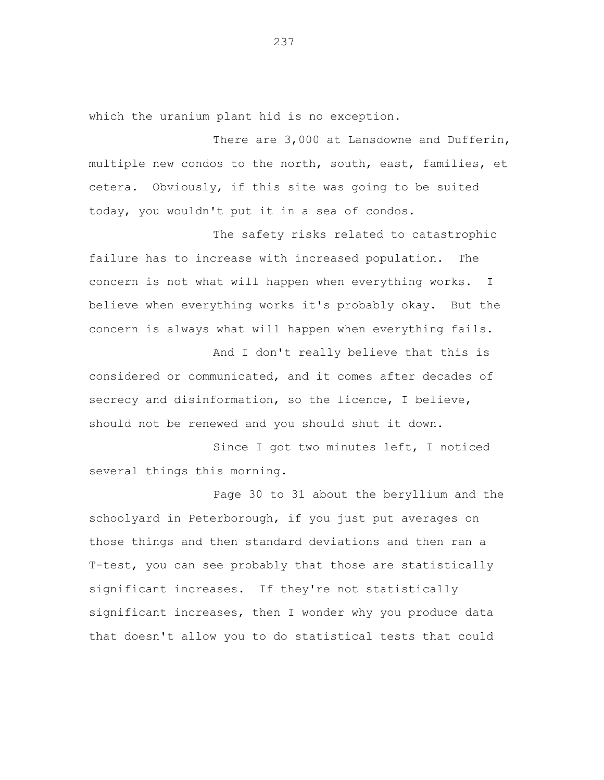which the uranium plant hid is no exception.

There are 3,000 at Lansdowne and Dufferin, multiple new condos to the north, south, east, families, et cetera. Obviously, if this site was going to be suited today, you wouldn't put it in a sea of condos.

The safety risks related to catastrophic failure has to increase with increased population. The concern is not what will happen when everything works. I believe when everything works it's probably okay. But the concern is always what will happen when everything fails.

And I don't really believe that this is considered or communicated, and it comes after decades of secrecy and disinformation, so the licence, I believe, should not be renewed and you should shut it down.

Since I got two minutes left, I noticed several things this morning.

Page 30 to 31 about the beryllium and the schoolyard in Peterborough, if you just put averages on those things and then standard deviations and then ran a T-test, you can see probably that those are statistically significant increases. If they're not statistically significant increases, then I wonder why you produce data that doesn't allow you to do statistical tests that could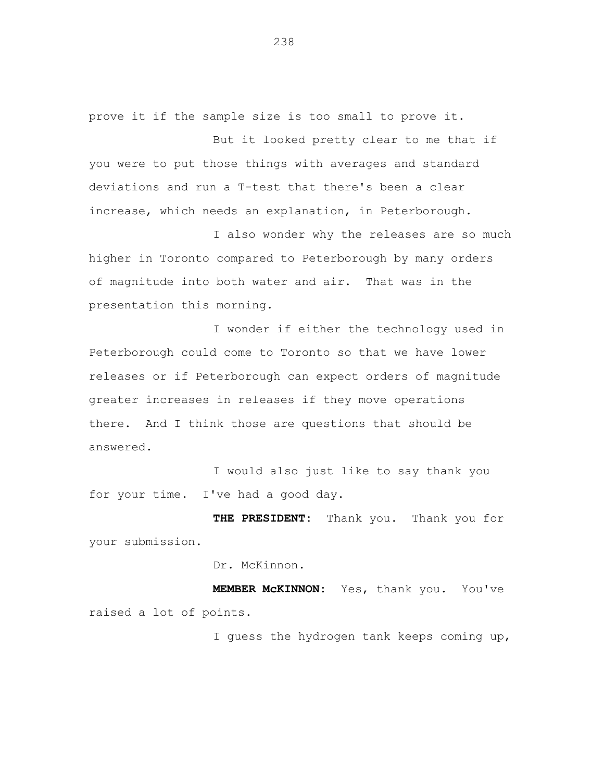prove it if the sample size is too small to prove it.

But it looked pretty clear to me that if you were to put those things with averages and standard deviations and run a T-test that there's been a clear increase, which needs an explanation, in Peterborough.

I also wonder why the releases are so much higher in Toronto compared to Peterborough by many orders of magnitude into both water and air. That was in the presentation this morning.

I wonder if either the technology used in Peterborough could come to Toronto so that we have lower releases or if Peterborough can expect orders of magnitude greater increases in releases if they move operations there. And I think those are questions that should be answered.

I would also just like to say thank you for your time. I've had a good day.

**THE PRESIDENT:** Thank you. Thank you for your submission.

Dr. McKinnon.

**MEMBER McKINNON:** Yes, thank you. You've raised a lot of points.

I guess the hydrogen tank keeps coming up,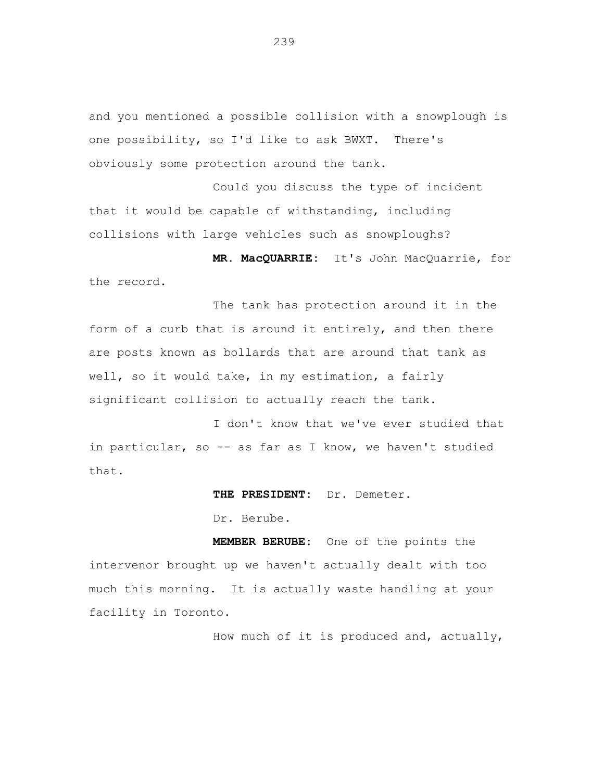and you mentioned a possible collision with a snowplough is one possibility, so I'd like to ask BWXT. There's obviously some protection around the tank.

Could you discuss the type of incident that it would be capable of withstanding, including collisions with large vehicles such as snowploughs?

**MR. MacQUARRIE:** It's John MacQuarrie, for the record.

The tank has protection around it in the form of a curb that is around it entirely, and then there are posts known as bollards that are around that tank as well, so it would take, in my estimation, a fairly significant collision to actually reach the tank.

I don't know that we've ever studied that in particular, so -- as far as I know, we haven't studied that.

**THE PRESIDENT:** Dr. Demeter.

Dr. Berube.

**MEMBER BERUBE:** One of the points the intervenor brought up we haven't actually dealt with too much this morning. It is actually waste handling at your facility in Toronto.

How much of it is produced and, actually,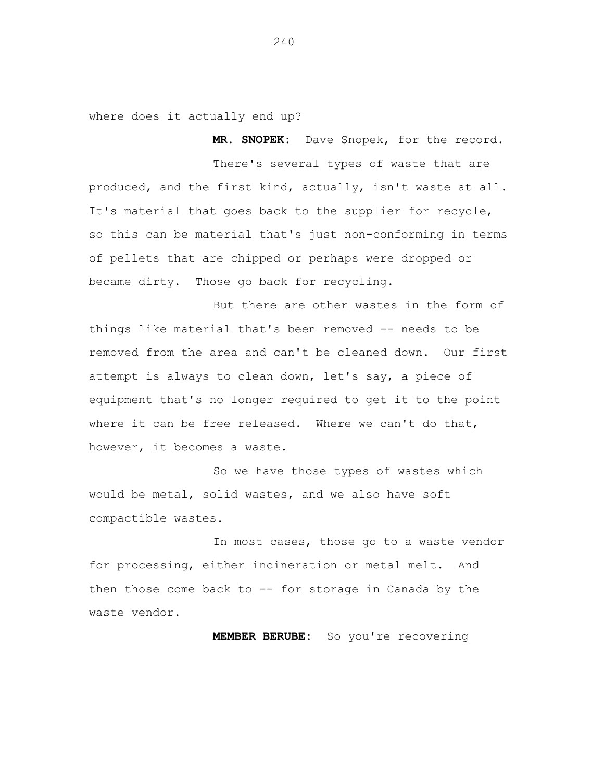where does it actually end up?

**MR. SNOPEK:** Dave Snopek, for the record.

There's several types of waste that are produced, and the first kind, actually, isn't waste at all. It's material that goes back to the supplier for recycle, so this can be material that's just non-conforming in terms of pellets that are chipped or perhaps were dropped or became dirty. Those go back for recycling.

But there are other wastes in the form of things like material that's been removed -- needs to be removed from the area and can't be cleaned down. Our first attempt is always to clean down, let's say, a piece of equipment that's no longer required to get it to the point where it can be free released. Where we can't do that, however, it becomes a waste.

So we have those types of wastes which would be metal, solid wastes, and we also have soft compactible wastes.

In most cases, those go to a waste vendor for processing, either incineration or metal melt. And then those come back to -- for storage in Canada by the waste vendor.

**MEMBER BERUBE:** So you're recovering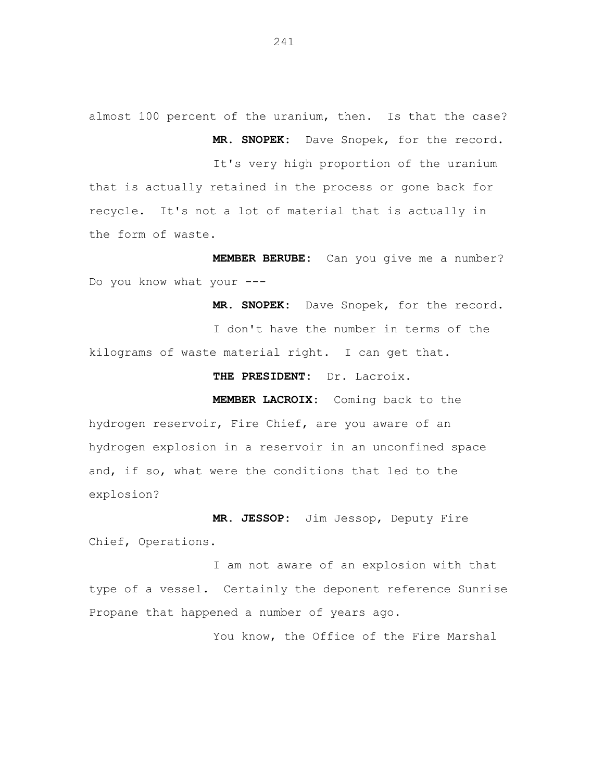almost 100 percent of the uranium, then. Is that the case? **MR. SNOPEK:** Dave Snopek, for the record.

It's very high proportion of the uranium that is actually retained in the process or gone back for recycle. It's not a lot of material that is actually in the form of waste.

**MEMBER BERUBE:** Can you give me a number? Do you know what your ---

**MR. SNOPEK:** Dave Snopek, for the record. I don't have the number in terms of the kilograms of waste material right. I can get that.

**THE PRESIDENT:** Dr. Lacroix.

**MEMBER LACROIX:** Coming back to the

hydrogen reservoir, Fire Chief, are you aware of an hydrogen explosion in a reservoir in an unconfined space and, if so, what were the conditions that led to the explosion?

**MR. JESSOP:** Jim Jessop, Deputy Fire Chief, Operations.

I am not aware of an explosion with that type of a vessel. Certainly the deponent reference Sunrise Propane that happened a number of years ago.

You know, the Office of the Fire Marshal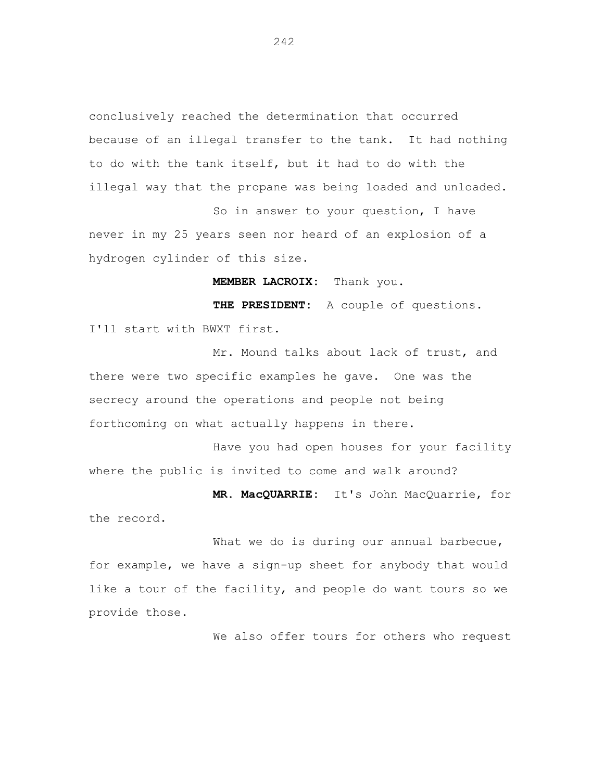conclusively reached the determination that occurred because of an illegal transfer to the tank. It had nothing to do with the tank itself, but it had to do with the illegal way that the propane was being loaded and unloaded.

So in answer to your question, I have never in my 25 years seen nor heard of an explosion of a hydrogen cylinder of this size.

**MEMBER LACROIX:** Thank you.

**THE PRESIDENT:** A couple of questions. I'll start with BWXT first.

Mr. Mound talks about lack of trust, and there were two specific examples he gave. One was the secrecy around the operations and people not being forthcoming on what actually happens in there.

Have you had open houses for your facility where the public is invited to come and walk around?

**MR. MacQUARRIE:** It's John MacQuarrie, for the record.

What we do is during our annual barbecue, for example, we have a sign-up sheet for anybody that would like a tour of the facility, and people do want tours so we provide those.

We also offer tours for others who request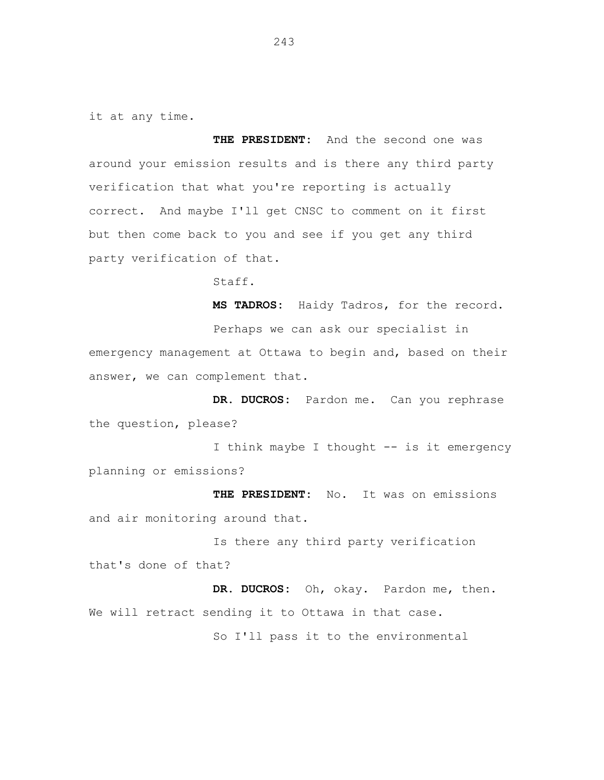it at any time.

**THE PRESIDENT:** And the second one was around your emission results and is there any third party verification that what you're reporting is actually correct. And maybe I'll get CNSC to comment on it first but then come back to you and see if you get any third party verification of that.

Staff.

**MS TADROS:** Haidy Tadros, for the record. Perhaps we can ask our specialist in emergency management at Ottawa to begin and, based on their

answer, we can complement that.

**DR. DUCROS:** Pardon me. Can you rephrase the question, please?

I think maybe I thought -- is it emergency planning or emissions?

**THE PRESIDENT:** No. It was on emissions and air monitoring around that.

Is there any third party verification that's done of that?

**DR. DUCROS:** Oh, okay. Pardon me, then. We will retract sending it to Ottawa in that case. So I'll pass it to the environmental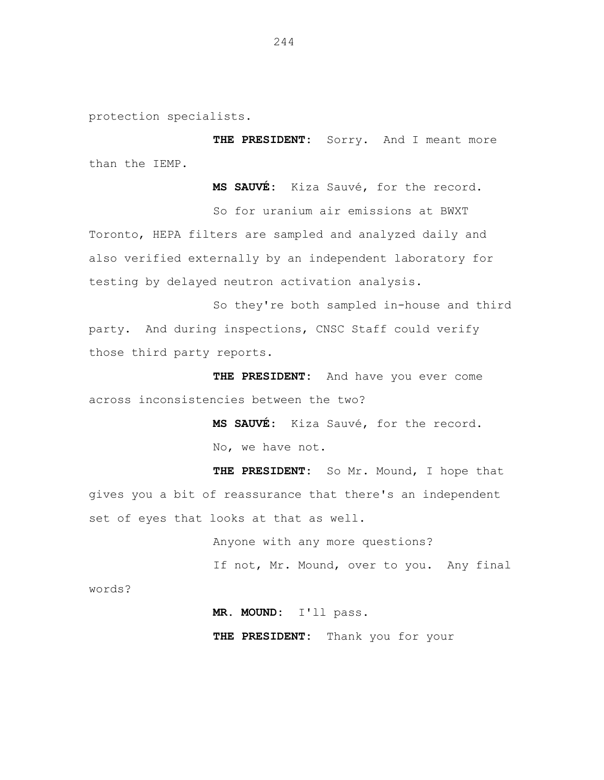protection specialists.

**THE PRESIDENT:** Sorry. And I meant more than the IEMP.

**MS SAUVÉ:** Kiza Sauvé, for the record.

So for uranium air emissions at BWXT Toronto, HEPA filters are sampled and analyzed daily and also verified externally by an independent laboratory for testing by delayed neutron activation analysis.

So they're both sampled in-house and third party. And during inspections, CNSC Staff could verify those third party reports.

**THE PRESIDENT:** And have you ever come across inconsistencies between the two?

> **MS SAUVÉ:** Kiza Sauvé, for the record. No, we have not.

**THE PRESIDENT:** So Mr. Mound, I hope that gives you a bit of reassurance that there's an independent set of eyes that looks at that as well.

> Anyone with any more questions? If not, Mr. Mound, over to you. Any final

words?

**MR. MOUND:** I'll pass.

**THE PRESIDENT:** Thank you for your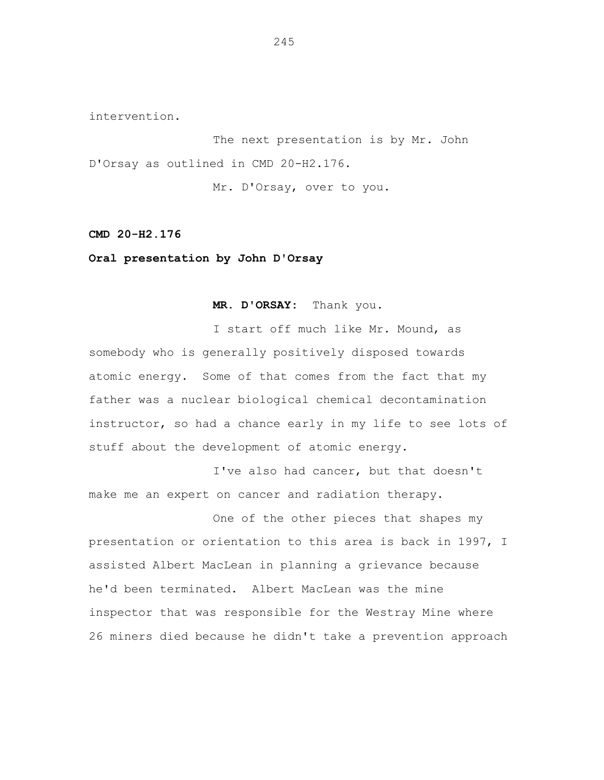intervention.

The next presentation is by Mr. John D'Orsay as outlined in CMD 20-H2.176.

Mr. D'Orsay, over to you.

**CMD 20-H2.176**

**Oral presentation by John D'Orsay**

**MR. D'ORSAY:** Thank you.

I start off much like Mr. Mound, as somebody who is generally positively disposed towards atomic energy. Some of that comes from the fact that my father was a nuclear biological chemical decontamination instructor, so had a chance early in my life to see lots of stuff about the development of atomic energy.

I've also had cancer, but that doesn't make me an expert on cancer and radiation therapy.

One of the other pieces that shapes my presentation or orientation to this area is back in 1997, I assisted Albert MacLean in planning a grievance because he'd been terminated. Albert MacLean was the mine inspector that was responsible for the Westray Mine where 26 miners died because he didn't take a prevention approach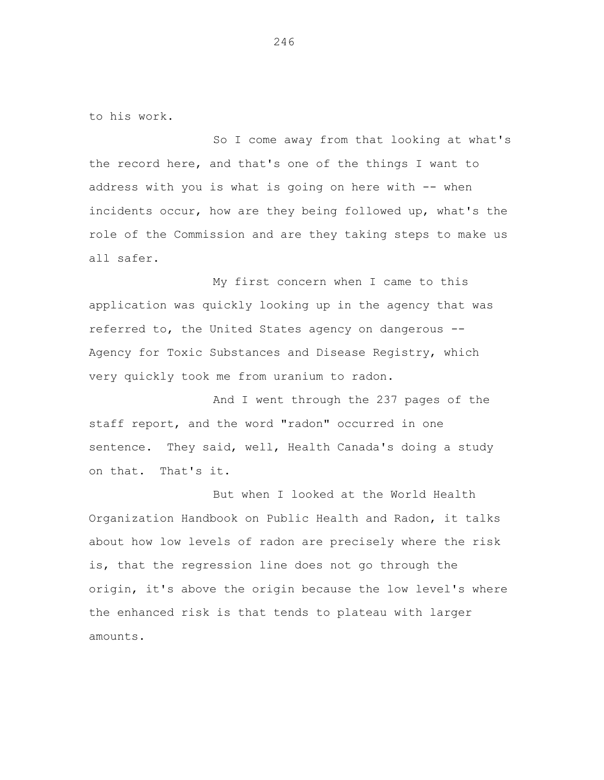to his work.

So I come away from that looking at what's the record here, and that's one of the things I want to address with you is what is going on here with -- when incidents occur, how are they being followed up, what's the role of the Commission and are they taking steps to make us all safer.

My first concern when I came to this application was quickly looking up in the agency that was referred to, the United States agency on dangerous -- Agency for Toxic Substances and Disease Registry, which very quickly took me from uranium to radon.

And I went through the 237 pages of the staff report, and the word "radon" occurred in one sentence. They said, well, Health Canada's doing a study on that. That's it.

But when I looked at the World Health Organization Handbook on Public Health and Radon, it talks about how low levels of radon are precisely where the risk is, that the regression line does not go through the origin, it's above the origin because the low level's where the enhanced risk is that tends to plateau with larger amounts.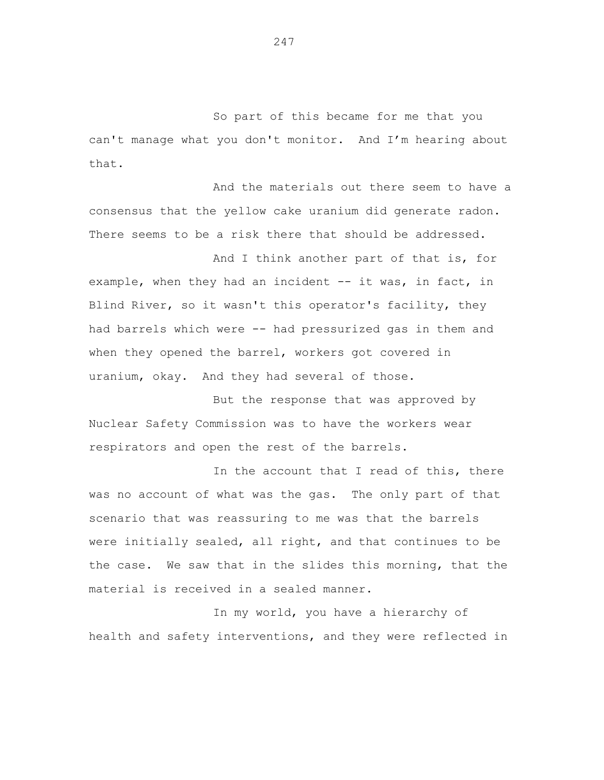So part of this became for me that you can't manage what you don't monitor. And I'm hearing about that.

And the materials out there seem to have a consensus that the yellow cake uranium did generate radon. There seems to be a risk there that should be addressed.

And I think another part of that is, for example, when they had an incident -- it was, in fact, in Blind River, so it wasn't this operator's facility, they had barrels which were -- had pressurized gas in them and when they opened the barrel, workers got covered in uranium, okay. And they had several of those.

But the response that was approved by Nuclear Safety Commission was to have the workers wear respirators and open the rest of the barrels.

In the account that I read of this, there was no account of what was the gas. The only part of that scenario that was reassuring to me was that the barrels were initially sealed, all right, and that continues to be the case. We saw that in the slides this morning, that the material is received in a sealed manner.

In my world, you have a hierarchy of health and safety interventions, and they were reflected in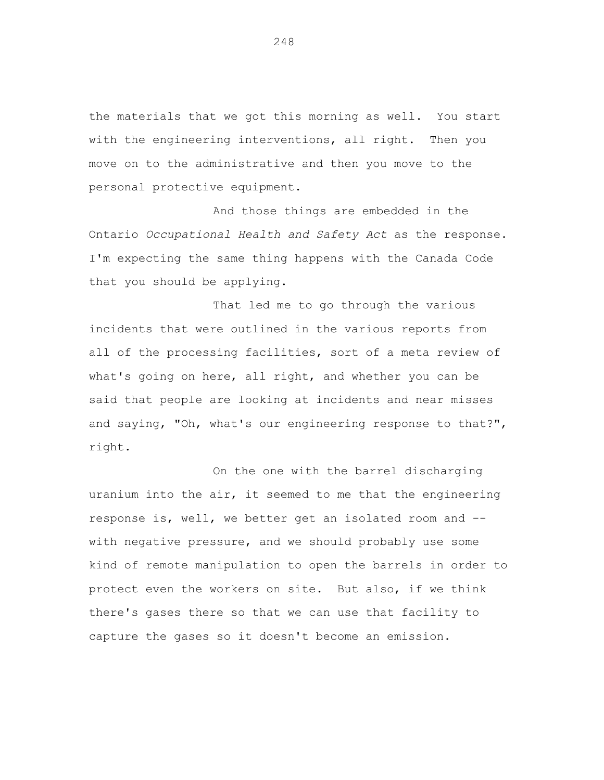the materials that we got this morning as well. You start with the engineering interventions, all right. Then you move on to the administrative and then you move to the personal protective equipment.

And those things are embedded in the Ontario *Occupational Health and Safety Act* as the response. I'm expecting the same thing happens with the Canada Code that you should be applying.

That led me to go through the various incidents that were outlined in the various reports from all of the processing facilities, sort of a meta review of what's going on here, all right, and whether you can be said that people are looking at incidents and near misses and saying, "Oh, what's our engineering response to that?", right.

On the one with the barrel discharging uranium into the air, it seemed to me that the engineering response is, well, we better get an isolated room and - with negative pressure, and we should probably use some kind of remote manipulation to open the barrels in order to protect even the workers on site. But also, if we think there's gases there so that we can use that facility to capture the gases so it doesn't become an emission.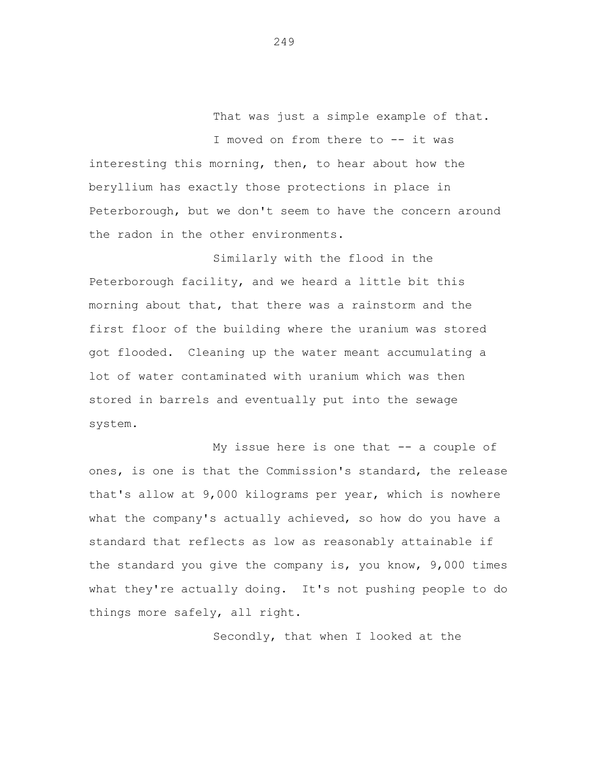That was just a simple example of that.

I moved on from there to -- it was interesting this morning, then, to hear about how the beryllium has exactly those protections in place in Peterborough, but we don't seem to have the concern around the radon in the other environments.

Similarly with the flood in the Peterborough facility, and we heard a little bit this morning about that, that there was a rainstorm and the first floor of the building where the uranium was stored got flooded. Cleaning up the water meant accumulating a lot of water contaminated with uranium which was then stored in barrels and eventually put into the sewage system.

My issue here is one that -- a couple of ones, is one is that the Commission's standard, the release that's allow at 9,000 kilograms per year, which is nowhere what the company's actually achieved, so how do you have a standard that reflects as low as reasonably attainable if the standard you give the company is, you know, 9,000 times what they're actually doing. It's not pushing people to do things more safely, all right.

Secondly, that when I looked at the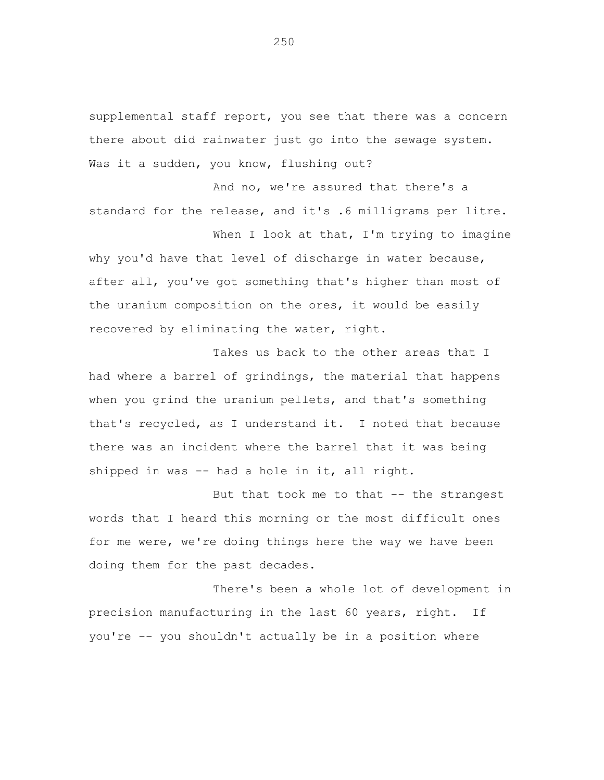supplemental staff report, you see that there was a concern there about did rainwater just go into the sewage system. Was it a sudden, you know, flushing out?

And no, we're assured that there's a standard for the release, and it's .6 milligrams per litre. When I look at that, I'm trying to imagine

why you'd have that level of discharge in water because, after all, you've got something that's higher than most of the uranium composition on the ores, it would be easily recovered by eliminating the water, right.

Takes us back to the other areas that I had where a barrel of grindings, the material that happens when you grind the uranium pellets, and that's something that's recycled, as I understand it. I noted that because there was an incident where the barrel that it was being shipped in was -- had a hole in it, all right.

But that took me to that -- the strangest words that I heard this morning or the most difficult ones for me were, we're doing things here the way we have been doing them for the past decades.

There's been a whole lot of development in precision manufacturing in the last 60 years, right. If you're -- you shouldn't actually be in a position where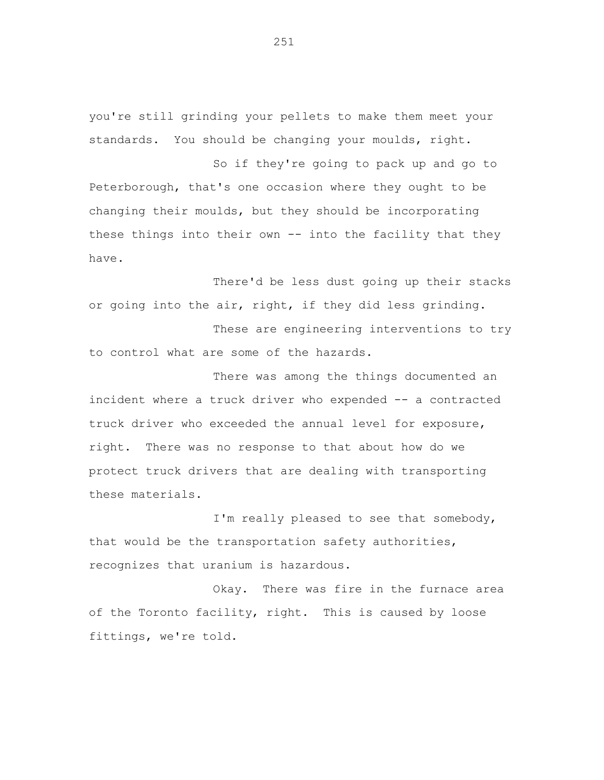you're still grinding your pellets to make them meet your standards. You should be changing your moulds, right.

So if they're going to pack up and go to Peterborough, that's one occasion where they ought to be changing their moulds, but they should be incorporating these things into their own -- into the facility that they have.

There'd be less dust going up their stacks or going into the air, right, if they did less grinding.

These are engineering interventions to try to control what are some of the hazards.

There was among the things documented an incident where a truck driver who expended -- a contracted truck driver who exceeded the annual level for exposure, right. There was no response to that about how do we protect truck drivers that are dealing with transporting these materials.

I'm really pleased to see that somebody, that would be the transportation safety authorities, recognizes that uranium is hazardous.

Okay. There was fire in the furnace area of the Toronto facility, right. This is caused by loose fittings, we're told.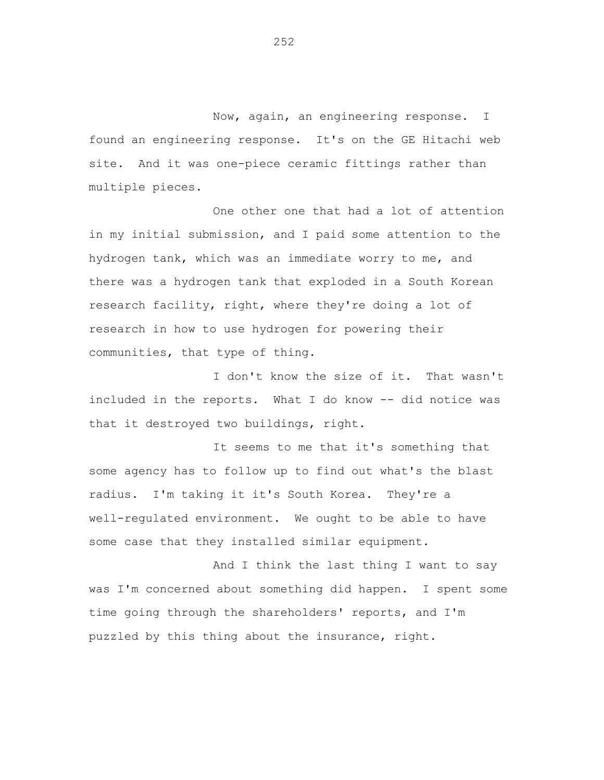Now, again, an engineering response. I found an engineering response. It's on the GE Hitachi web site. And it was one-piece ceramic fittings rather than multiple pieces.

One other one that had a lot of attention in my initial submission, and I paid some attention to the hydrogen tank, which was an immediate worry to me, and there was a hydrogen tank that exploded in a South Korean research facility, right, where they're doing a lot of research in how to use hydrogen for powering their communities, that type of thing.

I don't know the size of it. That wasn't included in the reports. What I do know -- did notice was that it destroyed two buildings, right.

It seems to me that it's something that some agency has to follow up to find out what's the blast radius. I'm taking it it's South Korea. They're a well-regulated environment. We ought to be able to have some case that they installed similar equipment.

And I think the last thing I want to say was I'm concerned about something did happen. I spent some time going through the shareholders' reports, and I'm puzzled by this thing about the insurance, right.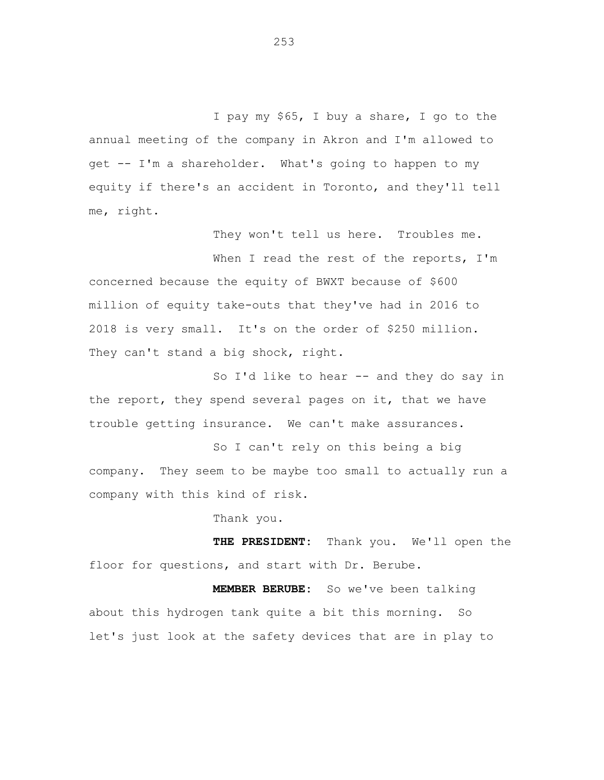I pay my \$65, I buy a share, I go to the annual meeting of the company in Akron and I'm allowed to get -- I'm a shareholder. What's going to happen to my equity if there's an accident in Toronto, and they'll tell me, right.

They won't tell us here. Troubles me.

When I read the rest of the reports, I'm concerned because the equity of BWXT because of \$600 million of equity take-outs that they've had in 2016 to 2018 is very small. It's on the order of \$250 million. They can't stand a big shock, right.

So I'd like to hear -- and they do say in the report, they spend several pages on it, that we have trouble getting insurance. We can't make assurances.

So I can't rely on this being a big company. They seem to be maybe too small to actually run a company with this kind of risk.

Thank you.

**THE PRESIDENT:** Thank you. We'll open the floor for questions, and start with Dr. Berube.

**MEMBER BERUBE:** So we've been talking about this hydrogen tank quite a bit this morning. So let's just look at the safety devices that are in play to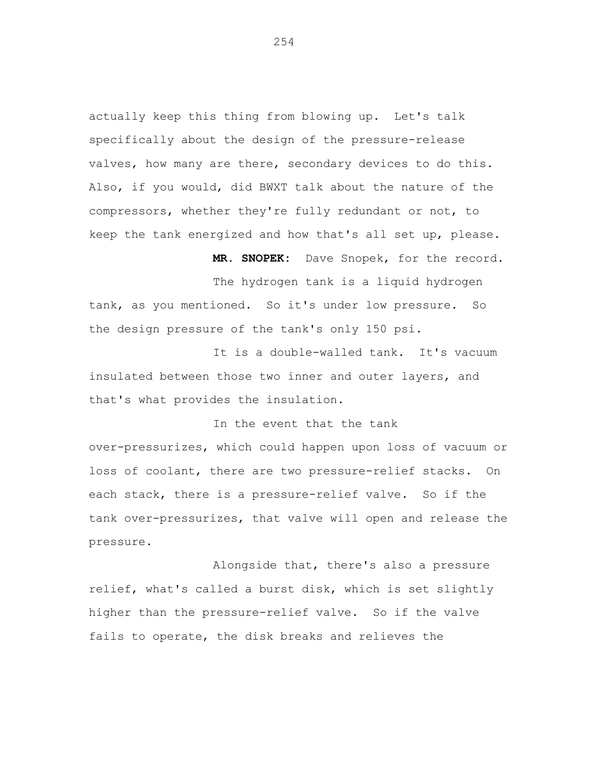actually keep this thing from blowing up. Let's talk specifically about the design of the pressure-release valves, how many are there, secondary devices to do this. Also, if you would, did BWXT talk about the nature of the compressors, whether they're fully redundant or not, to keep the tank energized and how that's all set up, please.

The hydrogen tank is a liquid hydrogen tank, as you mentioned. So it's under low pressure. So the design pressure of the tank's only 150 psi.

**MR. SNOPEK:** Dave Snopek, for the record.

It is a double-walled tank. It's vacuum insulated between those two inner and outer layers, and that's what provides the insulation.

In the event that the tank over-pressurizes, which could happen upon loss of vacuum or loss of coolant, there are two pressure-relief stacks. On each stack, there is a pressure-relief valve. So if the tank over-pressurizes, that valve will open and release the pressure.

Alongside that, there's also a pressure relief, what's called a burst disk, which is set slightly higher than the pressure-relief valve. So if the valve fails to operate, the disk breaks and relieves the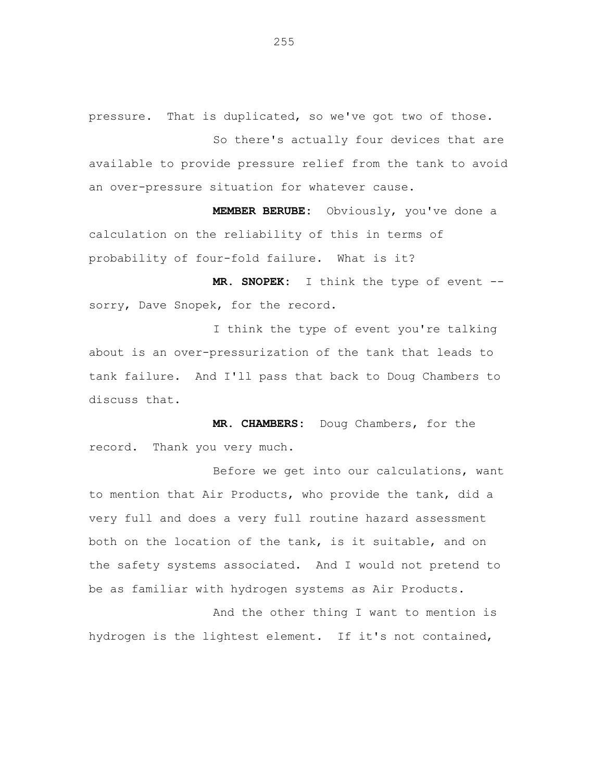pressure. That is duplicated, so we've got two of those.

So there's actually four devices that are available to provide pressure relief from the tank to avoid an over-pressure situation for whatever cause.

**MEMBER BERUBE:** Obviously, you've done a calculation on the reliability of this in terms of probability of four-fold failure. What is it?

**MR. SNOPEK:** I think the type of event - sorry, Dave Snopek, for the record.

I think the type of event you're talking about is an over-pressurization of the tank that leads to tank failure. And I'll pass that back to Doug Chambers to discuss that.

**MR. CHAMBERS:** Doug Chambers, for the record. Thank you very much.

Before we get into our calculations, want to mention that Air Products, who provide the tank, did a very full and does a very full routine hazard assessment both on the location of the tank, is it suitable, and on the safety systems associated. And I would not pretend to be as familiar with hydrogen systems as Air Products.

And the other thing I want to mention is hydrogen is the lightest element. If it's not contained,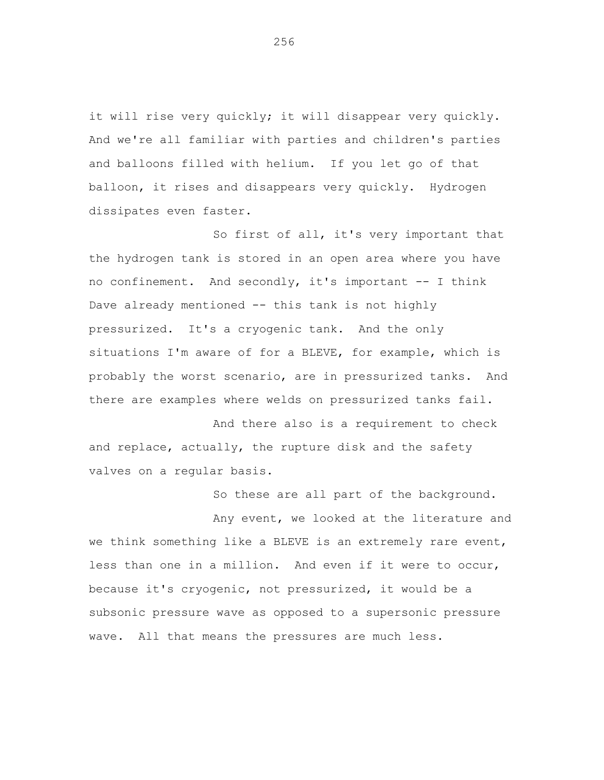it will rise very quickly; it will disappear very quickly. And we're all familiar with parties and children's parties and balloons filled with helium. If you let go of that balloon, it rises and disappears very quickly. Hydrogen dissipates even faster.

So first of all, it's very important that the hydrogen tank is stored in an open area where you have no confinement. And secondly, it's important -- I think Dave already mentioned -- this tank is not highly pressurized. It's a cryogenic tank. And the only situations I'm aware of for a BLEVE, for example, which is probably the worst scenario, are in pressurized tanks. And there are examples where welds on pressurized tanks fail.

And there also is a requirement to check and replace, actually, the rupture disk and the safety valves on a regular basis.

So these are all part of the background.

Any event, we looked at the literature and we think something like a BLEVE is an extremely rare event, less than one in a million. And even if it were to occur, because it's cryogenic, not pressurized, it would be a subsonic pressure wave as opposed to a supersonic pressure wave. All that means the pressures are much less.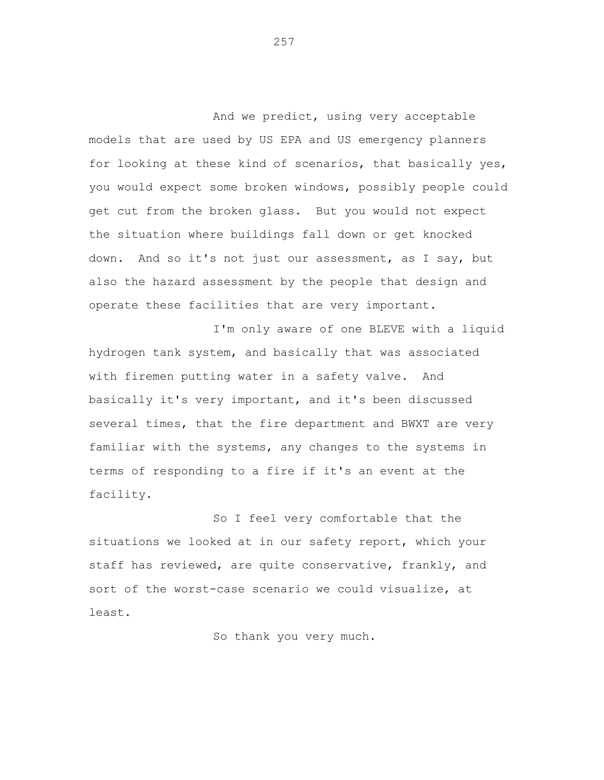And we predict, using very acceptable models that are used by US EPA and US emergency planners for looking at these kind of scenarios, that basically yes, you would expect some broken windows, possibly people could get cut from the broken glass. But you would not expect the situation where buildings fall down or get knocked down. And so it's not just our assessment, as I say, but also the hazard assessment by the people that design and operate these facilities that are very important.

I'm only aware of one BLEVE with a liquid hydrogen tank system, and basically that was associated with firemen putting water in a safety valve. And basically it's very important, and it's been discussed several times, that the fire department and BWXT are very familiar with the systems, any changes to the systems in terms of responding to a fire if it's an event at the facility.

So I feel very comfortable that the situations we looked at in our safety report, which your staff has reviewed, are quite conservative, frankly, and sort of the worst-case scenario we could visualize, at least.

So thank you very much.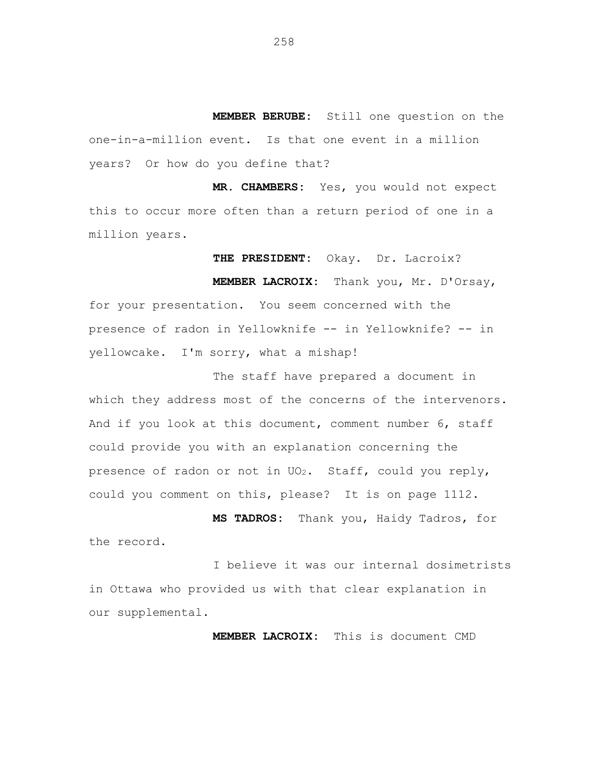**MEMBER BERUBE:** Still one question on the one-in-a-million event. Is that one event in a million years? Or how do you define that?

**MR. CHAMBERS:** Yes, you would not expect this to occur more often than a return period of one in a million years.

**THE PRESIDENT:** Okay. Dr. Lacroix? **MEMBER LACROIX:** Thank you, Mr. D'Orsay, for your presentation. You seem concerned with the presence of radon in Yellowknife -- in Yellowknife? -- in yellowcake. I'm sorry, what a mishap!

The staff have prepared a document in which they address most of the concerns of the intervenors. And if you look at this document, comment number 6, staff could provide you with an explanation concerning the presence of radon or not in UO<sub>2</sub>. Staff, could you reply, could you comment on this, please? It is on page 1112.

**MS TADROS:** Thank you, Haidy Tadros, for the record.

I believe it was our internal dosimetrists in Ottawa who provided us with that clear explanation in our supplemental.

**MEMBER LACROIX:** This is document CMD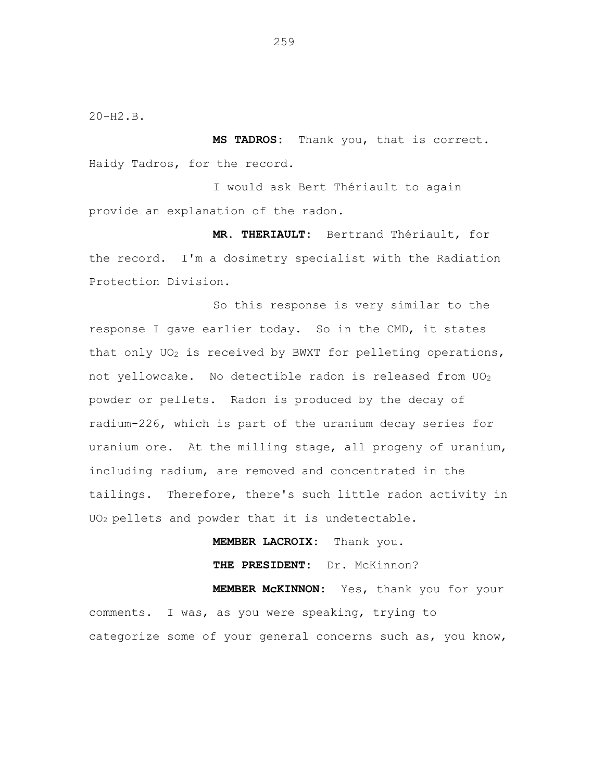20-H2.B.

**MS TADROS:** Thank you, that is correct. Haidy Tadros, for the record.

I would ask Bert Thériault to again provide an explanation of the radon.

**MR. THERIAULT:** Bertrand Thériault, for the record. I'm a dosimetry specialist with the Radiation Protection Division.

So this response is very similar to the response I gave earlier today. So in the CMD, it states that only  $UO<sub>2</sub>$  is received by BWXT for pelleting operations, not yellowcake. No detectible radon is released from UO<sub>2</sub> powder or pellets. Radon is produced by the decay of radium-226, which is part of the uranium decay series for uranium ore. At the milling stage, all progeny of uranium, including radium, are removed and concentrated in the tailings. Therefore, there's such little radon activity in UO2 pellets and powder that it is undetectable.

**MEMBER LACROIX:** Thank you.

**THE PRESIDENT:** Dr. McKinnon?

**MEMBER McKINNON:** Yes, thank you for your comments. I was, as you were speaking, trying to categorize some of your general concerns such as, you know,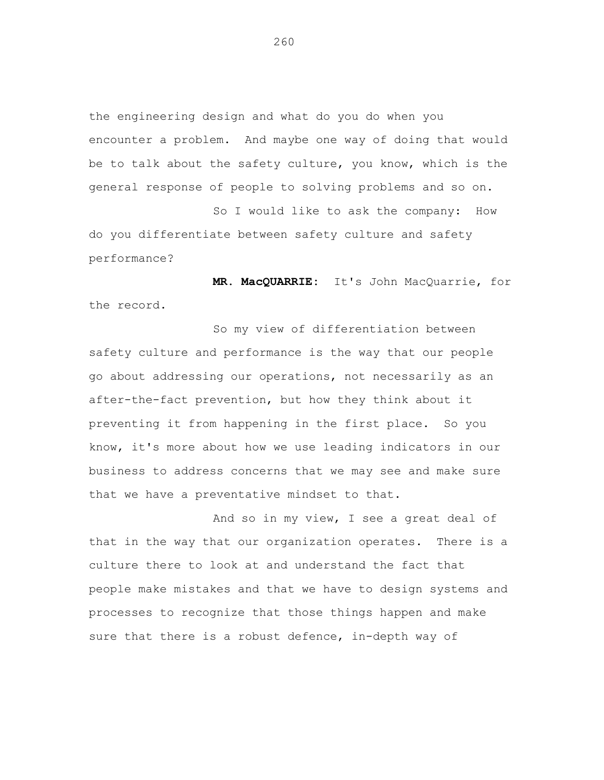the engineering design and what do you do when you encounter a problem. And maybe one way of doing that would be to talk about the safety culture, you know, which is the general response of people to solving problems and so on.

So I would like to ask the company: How do you differentiate between safety culture and safety performance?

**MR. MacQUARRIE:** It's John MacQuarrie, for the record.

So my view of differentiation between safety culture and performance is the way that our people go about addressing our operations, not necessarily as an after-the-fact prevention, but how they think about it preventing it from happening in the first place. So you know, it's more about how we use leading indicators in our business to address concerns that we may see and make sure that we have a preventative mindset to that.

And so in my view, I see a great deal of that in the way that our organization operates. There is a culture there to look at and understand the fact that people make mistakes and that we have to design systems and processes to recognize that those things happen and make sure that there is a robust defence, in-depth way of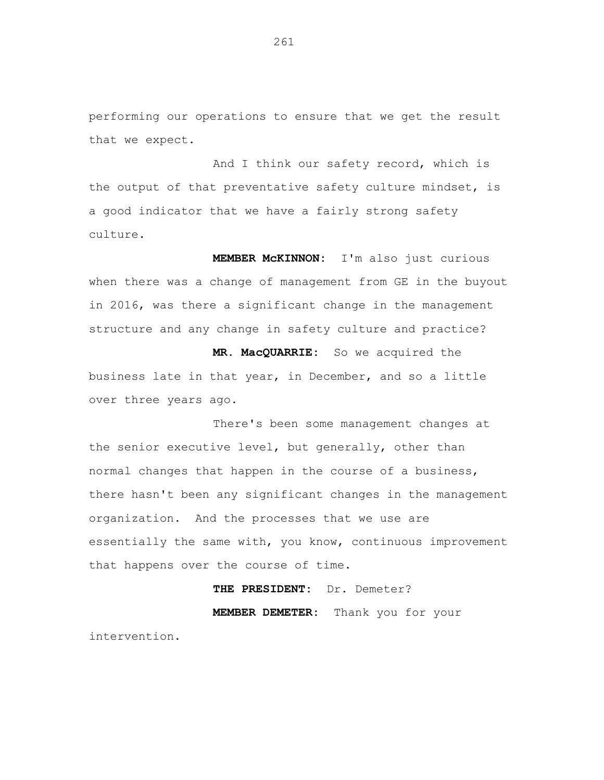performing our operations to ensure that we get the result that we expect.

And I think our safety record, which is the output of that preventative safety culture mindset, is a good indicator that we have a fairly strong safety culture.

**MEMBER McKINNON:** I'm also just curious when there was a change of management from GE in the buyout in 2016, was there a significant change in the management structure and any change in safety culture and practice?

**MR. MacQUARRIE:** So we acquired the business late in that year, in December, and so a little over three years ago.

There's been some management changes at the senior executive level, but generally, other than normal changes that happen in the course of a business, there hasn't been any significant changes in the management organization. And the processes that we use are essentially the same with, you know, continuous improvement that happens over the course of time.

## **THE PRESIDENT:** Dr. Demeter?

**MEMBER DEMETER:** Thank you for your intervention.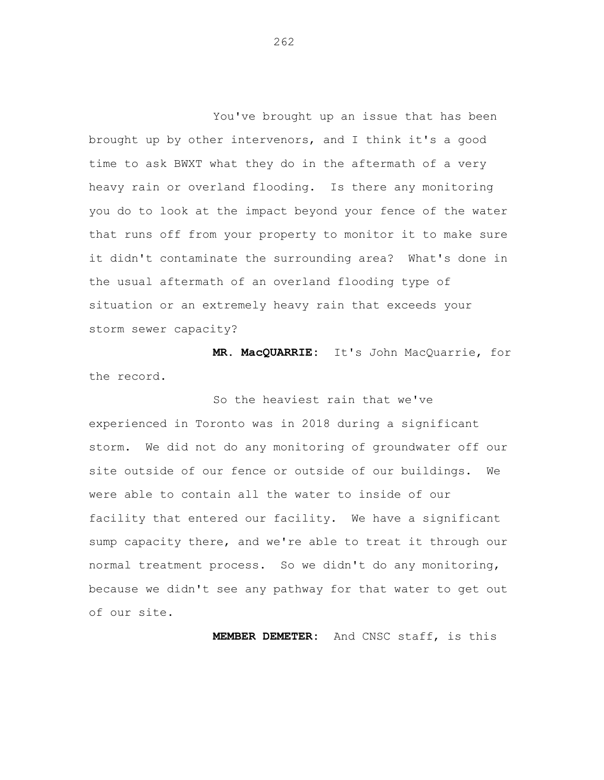You've brought up an issue that has been brought up by other intervenors, and I think it's a good time to ask BWXT what they do in the aftermath of a very heavy rain or overland flooding. Is there any monitoring you do to look at the impact beyond your fence of the water that runs off from your property to monitor it to make sure it didn't contaminate the surrounding area? What's done in the usual aftermath of an overland flooding type of situation or an extremely heavy rain that exceeds your storm sewer capacity?

**MR. MacQUARRIE:** It's John MacQuarrie, for the record.

So the heaviest rain that we've experienced in Toronto was in 2018 during a significant storm. We did not do any monitoring of groundwater off our site outside of our fence or outside of our buildings. We were able to contain all the water to inside of our facility that entered our facility. We have a significant sump capacity there, and we're able to treat it through our normal treatment process. So we didn't do any monitoring, because we didn't see any pathway for that water to get out of our site.

**MEMBER DEMETER:** And CNSC staff, is this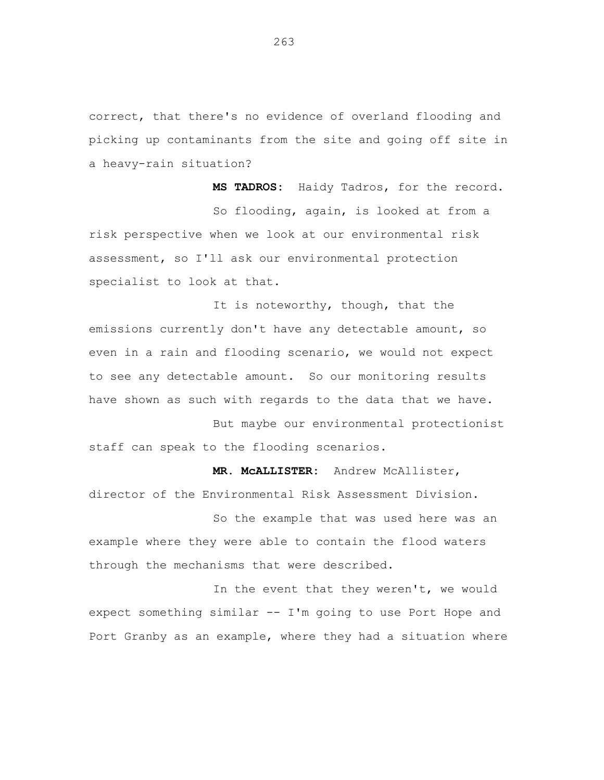correct, that there's no evidence of overland flooding and picking up contaminants from the site and going off site in a heavy-rain situation?

**MS TADROS:** Haidy Tadros, for the record. So flooding, again, is looked at from a risk perspective when we look at our environmental risk assessment, so I'll ask our environmental protection specialist to look at that.

It is noteworthy, though, that the emissions currently don't have any detectable amount, so even in a rain and flooding scenario, we would not expect to see any detectable amount. So our monitoring results have shown as such with regards to the data that we have.

But maybe our environmental protectionist staff can speak to the flooding scenarios.

**MR. McALLISTER:** Andrew McAllister, director of the Environmental Risk Assessment Division.

So the example that was used here was an example where they were able to contain the flood waters through the mechanisms that were described.

In the event that they weren't, we would expect something similar -- I'm going to use Port Hope and Port Granby as an example, where they had a situation where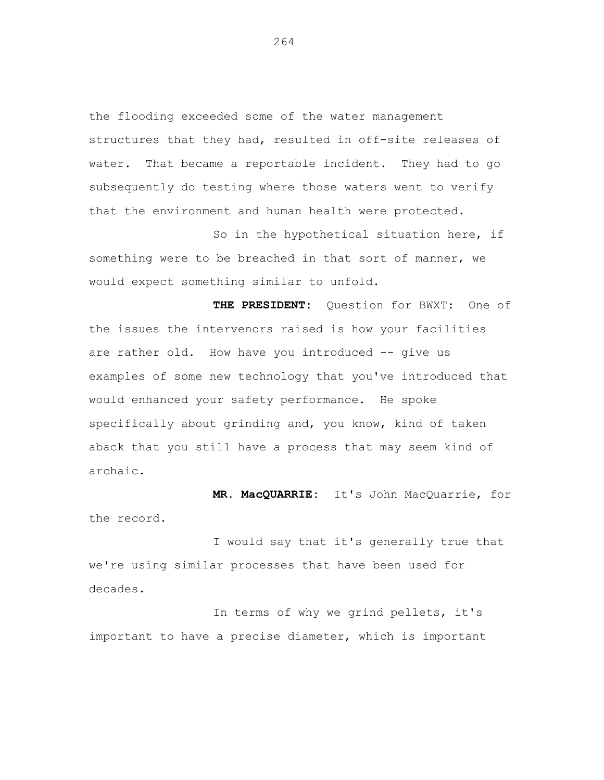the flooding exceeded some of the water management structures that they had, resulted in off-site releases of water. That became a reportable incident. They had to go subsequently do testing where those waters went to verify that the environment and human health were protected.

So in the hypothetical situation here, if something were to be breached in that sort of manner, we would expect something similar to unfold.

**THE PRESIDENT:** Question for BWXT: One of the issues the intervenors raised is how your facilities are rather old. How have you introduced -- give us examples of some new technology that you've introduced that would enhanced your safety performance. He spoke specifically about grinding and, you know, kind of taken aback that you still have a process that may seem kind of archaic.

**MR. MacQUARRIE:** It's John MacQuarrie, for the record.

I would say that it's generally true that we're using similar processes that have been used for decades.

In terms of why we grind pellets, it's important to have a precise diameter, which is important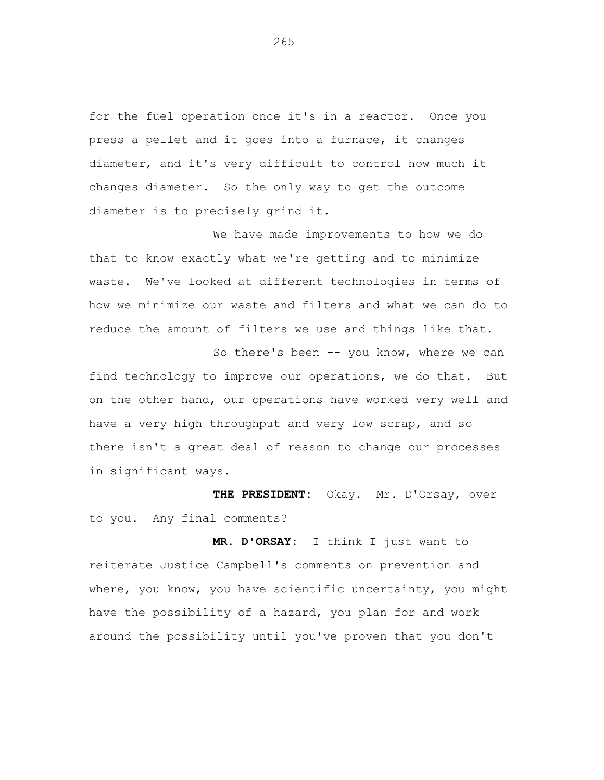for the fuel operation once it's in a reactor. Once you press a pellet and it goes into a furnace, it changes diameter, and it's very difficult to control how much it changes diameter. So the only way to get the outcome diameter is to precisely grind it.

We have made improvements to how we do that to know exactly what we're getting and to minimize waste. We've looked at different technologies in terms of how we minimize our waste and filters and what we can do to reduce the amount of filters we use and things like that.

So there's been -- you know, where we can find technology to improve our operations, we do that. But on the other hand, our operations have worked very well and have a very high throughput and very low scrap, and so there isn't a great deal of reason to change our processes in significant ways.

**THE PRESIDENT:** Okay. Mr. D'Orsay, over to you. Any final comments?

**MR. D'ORSAY:** I think I just want to reiterate Justice Campbell's comments on prevention and where, you know, you have scientific uncertainty, you might have the possibility of a hazard, you plan for and work around the possibility until you've proven that you don't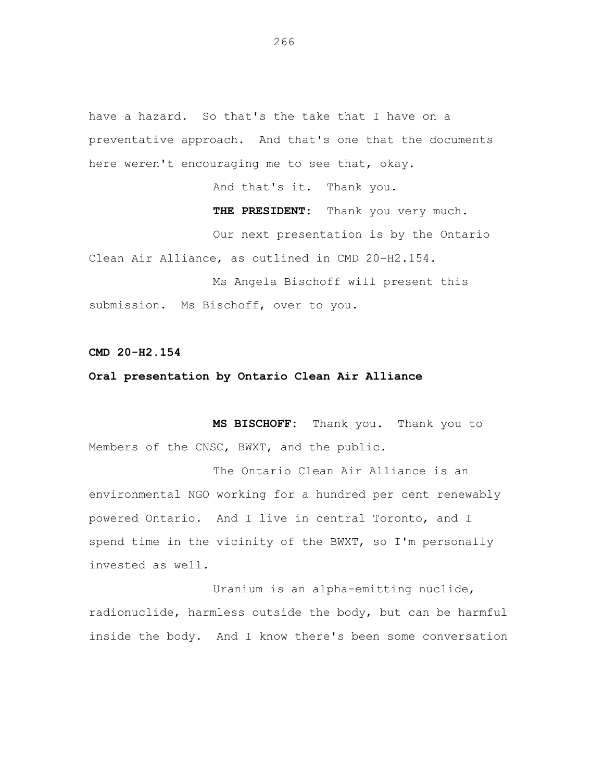have a hazard. So that's the take that I have on a preventative approach. And that's one that the documents here weren't encouraging me to see that, okay.

And that's it. Thank you.

**THE PRESIDENT:** Thank you very much.

Our next presentation is by the Ontario Clean Air Alliance, as outlined in CMD 20-H2.154.

Ms Angela Bischoff will present this submission. Ms Bischoff, over to you.

**CMD 20-H2.154**

## **Oral presentation by Ontario Clean Air Alliance**

**MS BISCHOFF:** Thank you. Thank you to Members of the CNSC, BWXT, and the public.

The Ontario Clean Air Alliance is an environmental NGO working for a hundred per cent renewably powered Ontario. And I live in central Toronto, and I spend time in the vicinity of the BWXT, so I'm personally invested as well.

Uranium is an alpha-emitting nuclide, radionuclide, harmless outside the body, but can be harmful inside the body. And I know there's been some conversation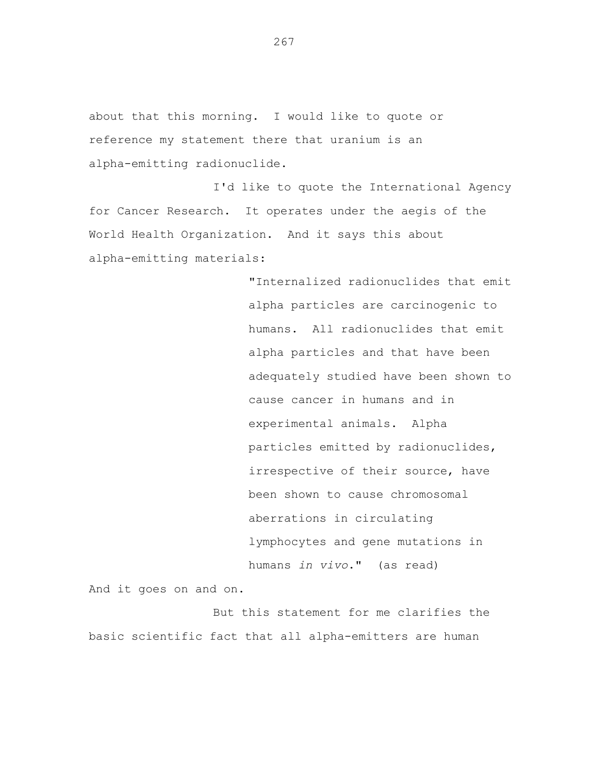about that this morning. I would like to quote or reference my statement there that uranium is an alpha-emitting radionuclide.

I'd like to quote the International Agency for Cancer Research. It operates under the aegis of the World Health Organization. And it says this about alpha-emitting materials:

> "Internalized radionuclides that emit alpha particles are carcinogenic to humans. All radionuclides that emit alpha particles and that have been adequately studied have been shown to cause cancer in humans and in experimental animals. Alpha particles emitted by radionuclides, irrespective of their source, have been shown to cause chromosomal aberrations in circulating lymphocytes and gene mutations in humans *in vivo*." (as read)

And it goes on and on.

But this statement for me clarifies the basic scientific fact that all alpha-emitters are human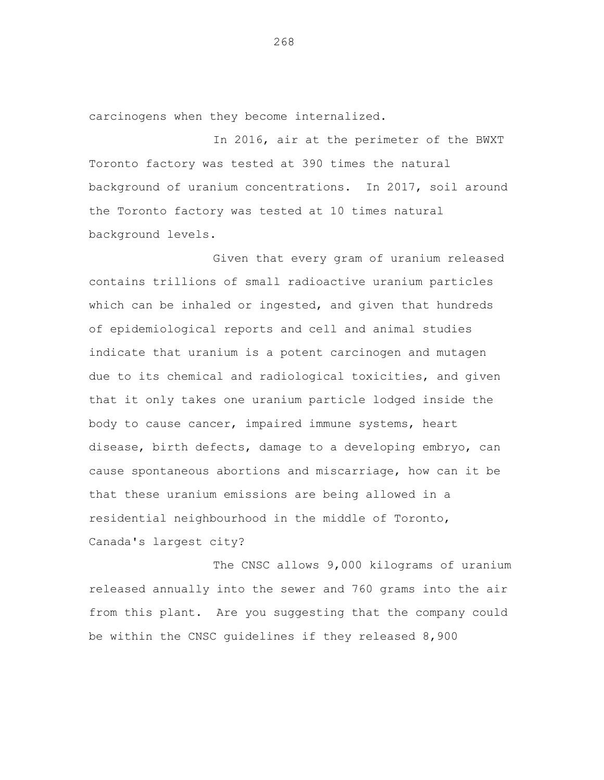carcinogens when they become internalized.

In 2016, air at the perimeter of the BWXT Toronto factory was tested at 390 times the natural background of uranium concentrations. In 2017, soil around the Toronto factory was tested at 10 times natural background levels.

Given that every gram of uranium released contains trillions of small radioactive uranium particles which can be inhaled or ingested, and given that hundreds of epidemiological reports and cell and animal studies indicate that uranium is a potent carcinogen and mutagen due to its chemical and radiological toxicities, and given that it only takes one uranium particle lodged inside the body to cause cancer, impaired immune systems, heart disease, birth defects, damage to a developing embryo, can cause spontaneous abortions and miscarriage, how can it be that these uranium emissions are being allowed in a residential neighbourhood in the middle of Toronto, Canada's largest city?

The CNSC allows 9,000 kilograms of uranium released annually into the sewer and 760 grams into the air from this plant. Are you suggesting that the company could be within the CNSC guidelines if they released 8,900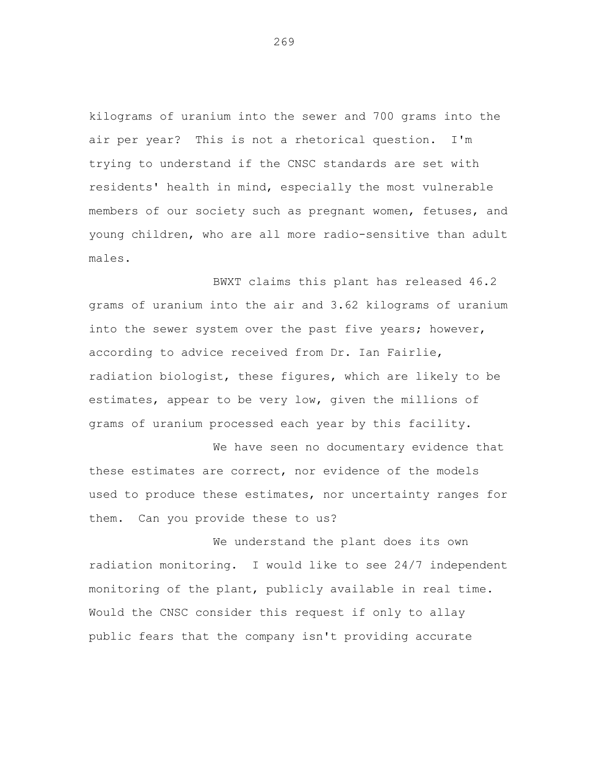kilograms of uranium into the sewer and 700 grams into the air per year? This is not a rhetorical question. I'm trying to understand if the CNSC standards are set with residents' health in mind, especially the most vulnerable members of our society such as pregnant women, fetuses, and young children, who are all more radio-sensitive than adult males.

BWXT claims this plant has released 46.2 grams of uranium into the air and 3.62 kilograms of uranium into the sewer system over the past five years; however, according to advice received from Dr. Ian Fairlie, radiation biologist, these figures, which are likely to be estimates, appear to be very low, given the millions of grams of uranium processed each year by this facility.

We have seen no documentary evidence that these estimates are correct, nor evidence of the models used to produce these estimates, nor uncertainty ranges for them. Can you provide these to us?

We understand the plant does its own radiation monitoring. I would like to see 24/7 independent monitoring of the plant, publicly available in real time. Would the CNSC consider this request if only to allay public fears that the company isn't providing accurate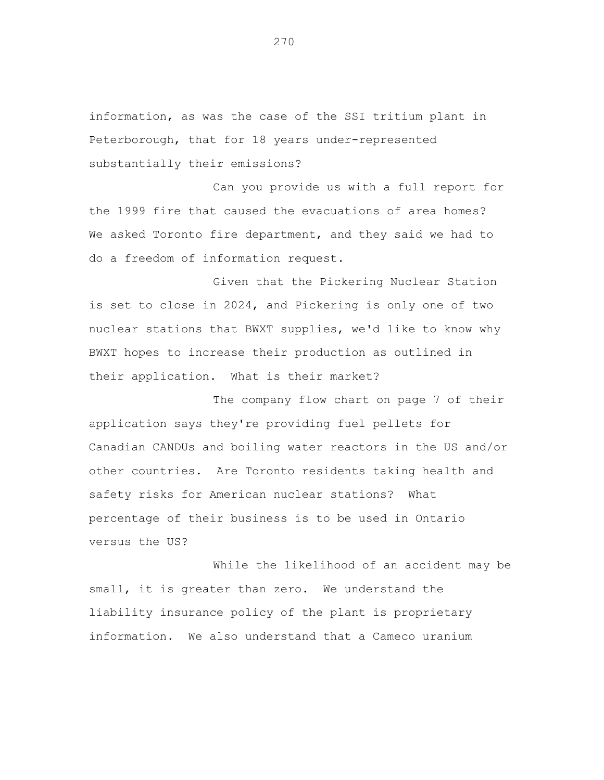information, as was the case of the SSI tritium plant in Peterborough, that for 18 years under-represented substantially their emissions?

Can you provide us with a full report for the 1999 fire that caused the evacuations of area homes? We asked Toronto fire department, and they said we had to do a freedom of information request.

Given that the Pickering Nuclear Station is set to close in 2024, and Pickering is only one of two nuclear stations that BWXT supplies, we'd like to know why BWXT hopes to increase their production as outlined in their application. What is their market?

The company flow chart on page 7 of their application says they're providing fuel pellets for Canadian CANDUs and boiling water reactors in the US and/or other countries. Are Toronto residents taking health and safety risks for American nuclear stations? What percentage of their business is to be used in Ontario versus the US?

While the likelihood of an accident may be small, it is greater than zero. We understand the liability insurance policy of the plant is proprietary information. We also understand that a Cameco uranium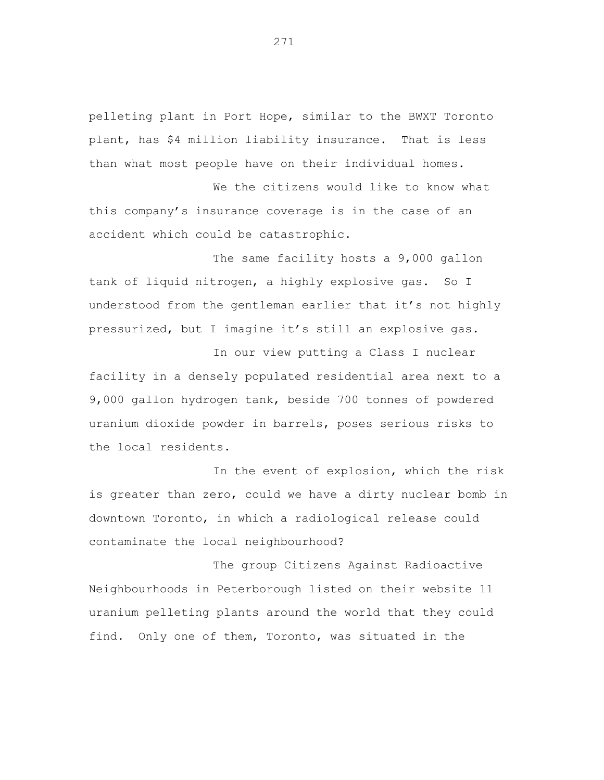pelleting plant in Port Hope, similar to the BWXT Toronto plant, has \$4 million liability insurance. That is less than what most people have on their individual homes.

We the citizens would like to know what this company's insurance coverage is in the case of an accident which could be catastrophic.

The same facility hosts a 9,000 gallon tank of liquid nitrogen, a highly explosive gas. So I understood from the gentleman earlier that it's not highly pressurized, but I imagine it's still an explosive gas.

In our view putting a Class I nuclear facility in a densely populated residential area next to a 9,000 gallon hydrogen tank, beside 700 tonnes of powdered uranium dioxide powder in barrels, poses serious risks to the local residents.

In the event of explosion, which the risk is greater than zero, could we have a dirty nuclear bomb in downtown Toronto, in which a radiological release could contaminate the local neighbourhood?

The group Citizens Against Radioactive Neighbourhoods in Peterborough listed on their website 11 uranium pelleting plants around the world that they could find. Only one of them, Toronto, was situated in the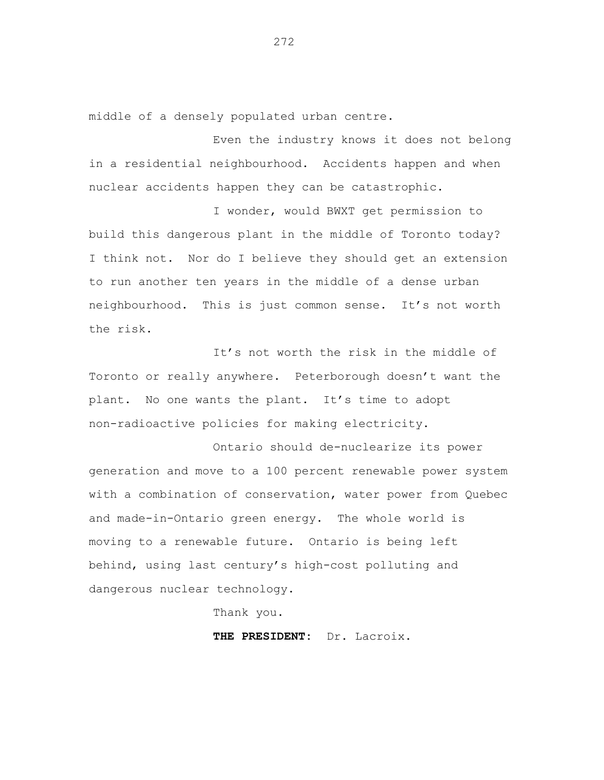middle of a densely populated urban centre.

Even the industry knows it does not belong in a residential neighbourhood. Accidents happen and when nuclear accidents happen they can be catastrophic.

I wonder, would BWXT get permission to build this dangerous plant in the middle of Toronto today? I think not. Nor do I believe they should get an extension to run another ten years in the middle of a dense urban neighbourhood. This is just common sense. It's not worth the risk.

It's not worth the risk in the middle of Toronto or really anywhere. Peterborough doesn't want the plant. No one wants the plant. It's time to adopt non-radioactive policies for making electricity.

Ontario should de-nuclearize its power generation and move to a 100 percent renewable power system with a combination of conservation, water power from Quebec and made-in-Ontario green energy. The whole world is moving to a renewable future. Ontario is being left behind, using last century's high-cost polluting and dangerous nuclear technology.

Thank you.

**THE PRESIDENT:** Dr. Lacroix.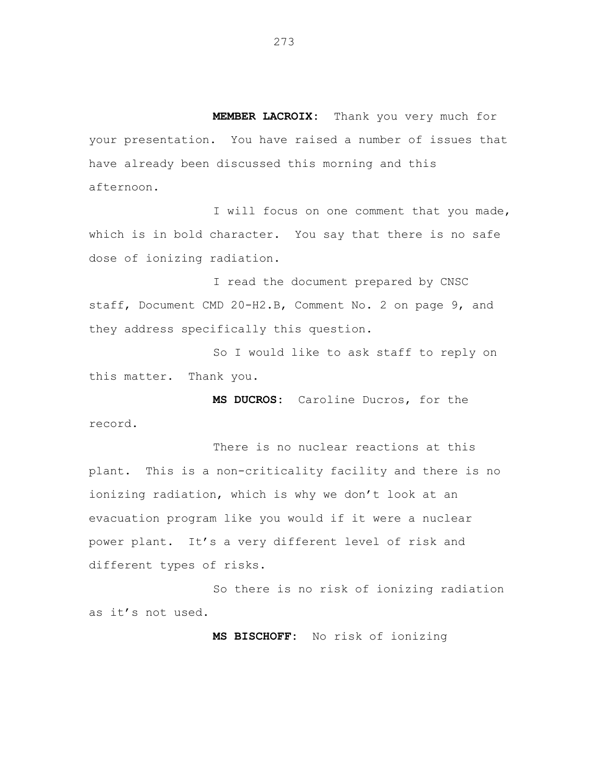**MEMBER LACROIX:** Thank you very much for your presentation. You have raised a number of issues that have already been discussed this morning and this afternoon.

I will focus on one comment that you made, which is in bold character. You say that there is no safe dose of ionizing radiation.

I read the document prepared by CNSC staff, Document CMD 20-H2.B, Comment No. 2 on page 9, and they address specifically this question.

So I would like to ask staff to reply on this matter. Thank you.

**MS DUCROS:** Caroline Ducros, for the record.

There is no nuclear reactions at this plant. This is a non-criticality facility and there is no ionizing radiation, which is why we don't look at an evacuation program like you would if it were a nuclear power plant. It's a very different level of risk and different types of risks.

So there is no risk of ionizing radiation as it's not used.

**MS BISCHOFF:** No risk of ionizing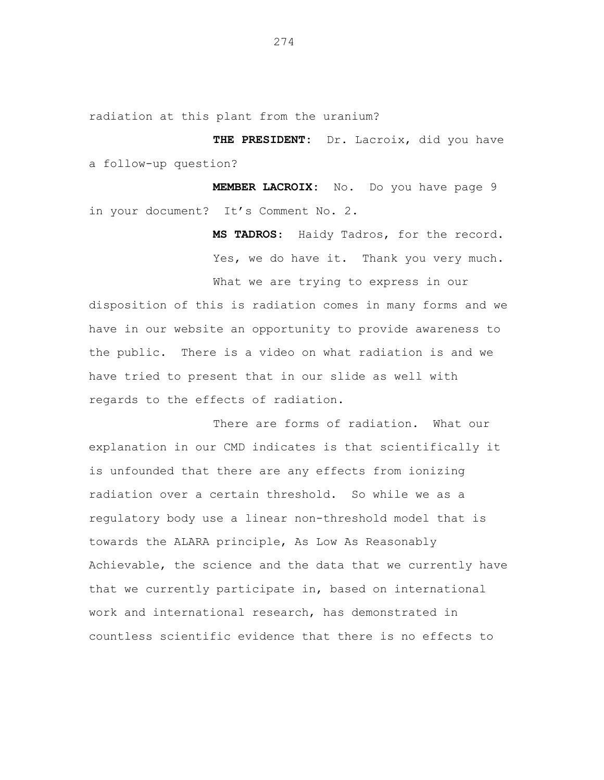radiation at this plant from the uranium?

**THE PRESIDENT:** Dr. Lacroix, did you have a follow-up question?

**MEMBER LACROIX:** No. Do you have page 9 in your document? It's Comment No. 2.

> **MS TADROS**: Haidy Tadros, for the record. Yes, we do have it. Thank you very much.

What we are trying to express in our

disposition of this is radiation comes in many forms and we have in our website an opportunity to provide awareness to the public. There is a video on what radiation is and we have tried to present that in our slide as well with regards to the effects of radiation.

There are forms of radiation. What our explanation in our CMD indicates is that scientifically it is unfounded that there are any effects from ionizing radiation over a certain threshold. So while we as a regulatory body use a linear non-threshold model that is towards the ALARA principle, As Low As Reasonably Achievable, the science and the data that we currently have that we currently participate in, based on international work and international research, has demonstrated in countless scientific evidence that there is no effects to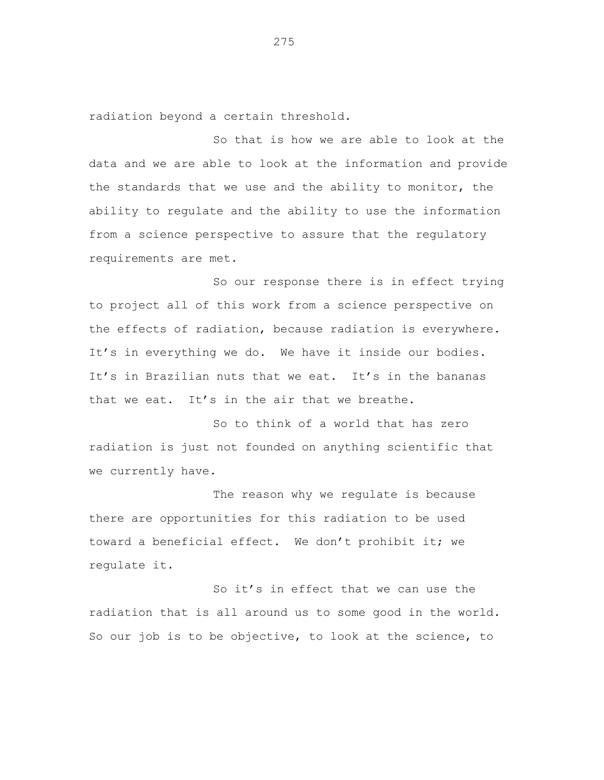radiation beyond a certain threshold.

So that is how we are able to look at the data and we are able to look at the information and provide the standards that we use and the ability to monitor, the ability to regulate and the ability to use the information from a science perspective to assure that the regulatory requirements are met.

So our response there is in effect trying to project all of this work from a science perspective on the effects of radiation, because radiation is everywhere. It's in everything we do. We have it inside our bodies. It's in Brazilian nuts that we eat. It's in the bananas that we eat. It's in the air that we breathe.

So to think of a world that has zero radiation is just not founded on anything scientific that we currently have.

The reason why we regulate is because there are opportunities for this radiation to be used toward a beneficial effect. We don't prohibit it; we regulate it.

So it's in effect that we can use the radiation that is all around us to some good in the world. So our job is to be objective, to look at the science, to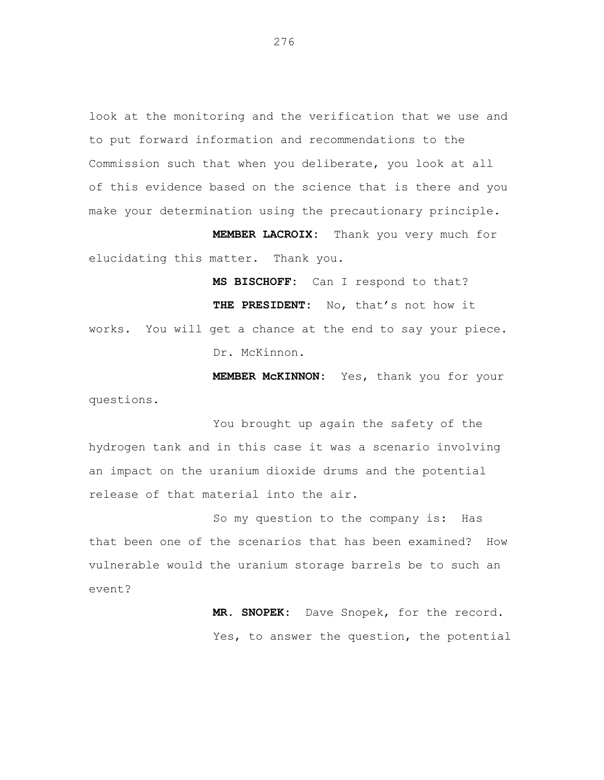look at the monitoring and the verification that we use and to put forward information and recommendations to the Commission such that when you deliberate, you look at all of this evidence based on the science that is there and you make your determination using the precautionary principle.

**MEMBER LACROIX:** Thank you very much for elucidating this matter. Thank you.

**MS BISCHOFF:** Can I respond to that? **THE PRESIDENT:** No, that's not how it works. You will get a chance at the end to say your piece. Dr. McKinnon.

**MEMBER McKINNON:** Yes, thank you for your questions.

You brought up again the safety of the hydrogen tank and in this case it was a scenario involving an impact on the uranium dioxide drums and the potential release of that material into the air.

So my question to the company is: Has that been one of the scenarios that has been examined? How vulnerable would the uranium storage barrels be to such an event?

> **MR. SNOPEK:** Dave Snopek, for the record. Yes, to answer the question, the potential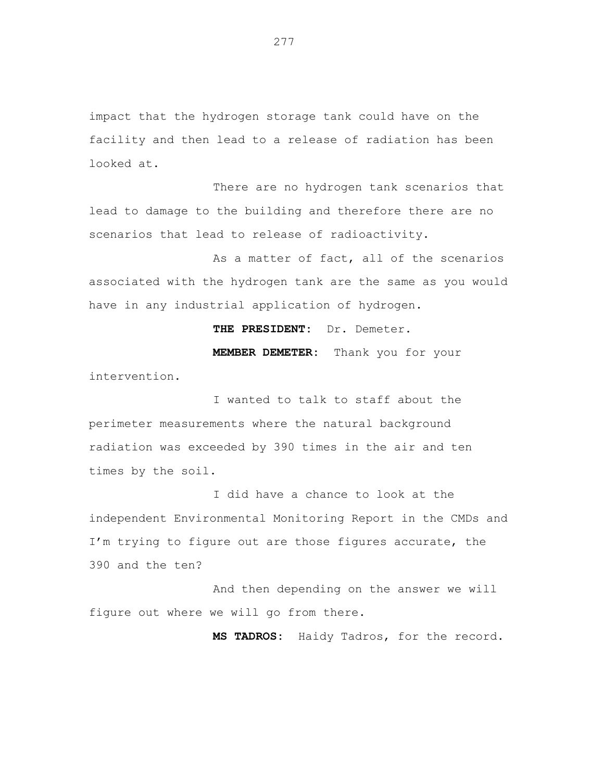impact that the hydrogen storage tank could have on the facility and then lead to a release of radiation has been looked at.

There are no hydrogen tank scenarios that lead to damage to the building and therefore there are no scenarios that lead to release of radioactivity.

As a matter of fact, all of the scenarios associated with the hydrogen tank are the same as you would have in any industrial application of hydrogen.

**THE PRESIDENT:** Dr. Demeter. **MEMBER DEMETER:** Thank you for your intervention.

I wanted to talk to staff about the perimeter measurements where the natural background radiation was exceeded by 390 times in the air and ten times by the soil.

I did have a chance to look at the independent Environmental Monitoring Report in the CMDs and I'm trying to figure out are those figures accurate, the 390 and the ten?

And then depending on the answer we will figure out where we will go from there.

**MS TADROS:** Haidy Tadros, for the record.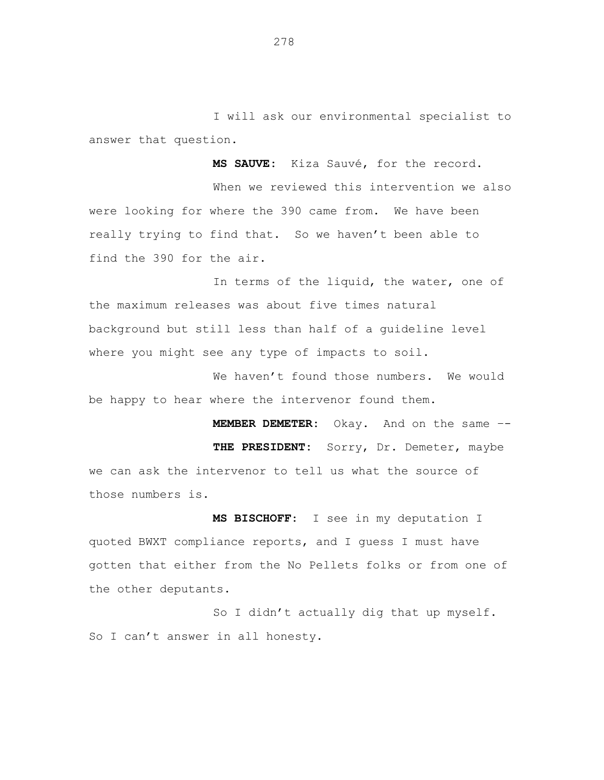I will ask our environmental specialist to answer that question.

**MS SAUVE:** Kiza Sauvé, for the record.

When we reviewed this intervention we also were looking for where the 390 came from. We have been really trying to find that. So we haven't been able to find the 390 for the air.

In terms of the liquid, the water, one of the maximum releases was about five times natural background but still less than half of a guideline level where you might see any type of impacts to soil.

We haven't found those numbers. We would be happy to hear where the intervenor found them.

**MEMBER DEMETER:** Okay. And on the same –- **THE PRESIDENT:** Sorry, Dr. Demeter, maybe we can ask the intervenor to tell us what the source of those numbers is.

**MS BISCHOFF**: I see in my deputation I quoted BWXT compliance reports, and I guess I must have gotten that either from the No Pellets folks or from one of the other deputants.

So I didn't actually dig that up myself. So I can't answer in all honesty.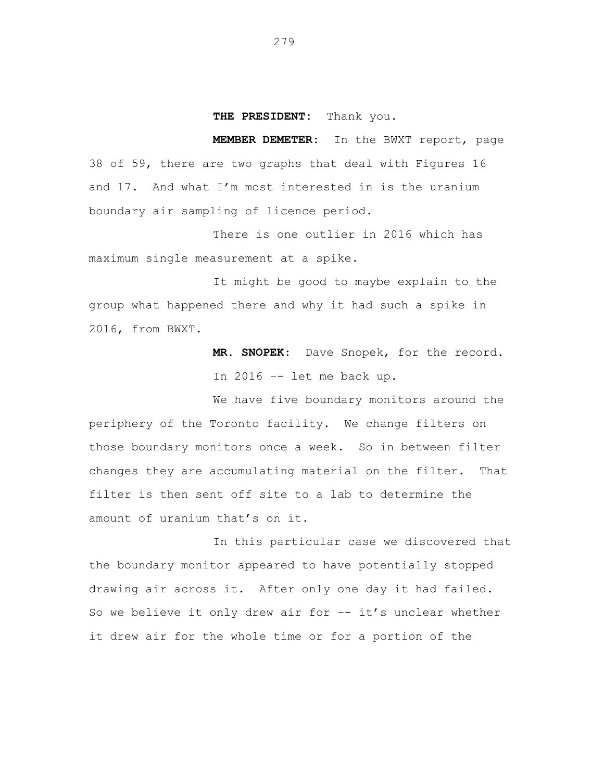## **THE PRESIDENT:** Thank you.

**MEMBER DEMETER:** In the BWXT report, page 38 of 59, there are two graphs that deal with Figures 16 and 17. And what I'm most interested in is the uranium boundary air sampling of licence period.

There is one outlier in 2016 which has maximum single measurement at a spike.

It might be good to maybe explain to the group what happened there and why it had such a spike in 2016, from BWXT.

> **MR. SNOPEK**: Dave Snopek, for the record. In 2016 –- let me back up.

We have five boundary monitors around the periphery of the Toronto facility. We change filters on those boundary monitors once a week. So in between filter changes they are accumulating material on the filter. That filter is then sent off site to a lab to determine the amount of uranium that's on it.

In this particular case we discovered that the boundary monitor appeared to have potentially stopped drawing air across it. After only one day it had failed. So we believe it only drew air for -- it's unclear whether it drew air for the whole time or for a portion of the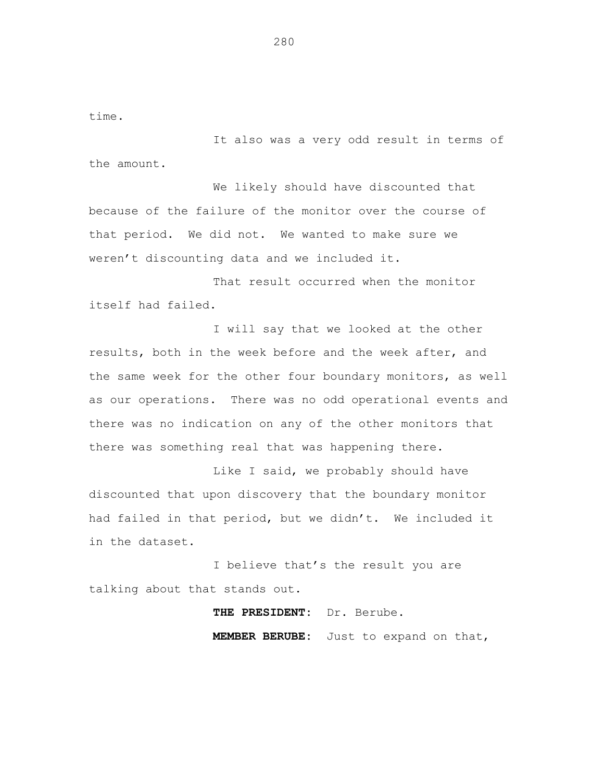time.

It also was a very odd result in terms of the amount.

We likely should have discounted that because of the failure of the monitor over the course of that period. We did not. We wanted to make sure we weren't discounting data and we included it.

That result occurred when the monitor itself had failed.

I will say that we looked at the other results, both in the week before and the week after, and the same week for the other four boundary monitors, as well as our operations. There was no odd operational events and there was no indication on any of the other monitors that there was something real that was happening there.

Like I said, we probably should have discounted that upon discovery that the boundary monitor had failed in that period, but we didn't. We included it in the dataset.

I believe that's the result you are talking about that stands out.

**THE PRESIDENT:** Dr. Berube.

**MEMBER BERUBE:** Just to expand on that,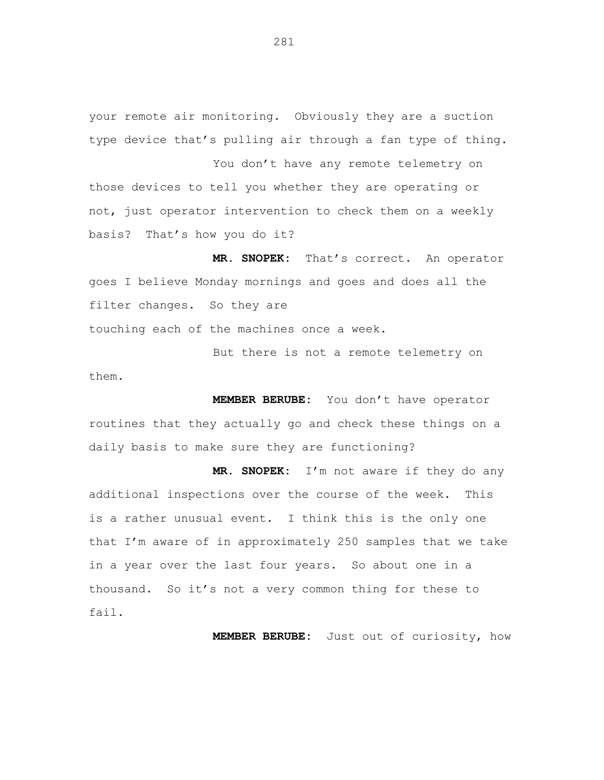your remote air monitoring. Obviously they are a suction type device that's pulling air through a fan type of thing.

You don't have any remote telemetry on those devices to tell you whether they are operating or not, just operator intervention to check them on a weekly basis? That's how you do it?

**MR. SNOPEK:** That's correct. An operator goes I believe Monday mornings and goes and does all the filter changes. So they are

But there is not a remote telemetry on them.

touching each of the machines once a week.

**MEMBER BERUBE:** You don't have operator routines that they actually go and check these things on a daily basis to make sure they are functioning?

**MR. SNOPEK:** I'm not aware if they do any additional inspections over the course of the week. This is a rather unusual event. I think this is the only one that I'm aware of in approximately 250 samples that we take in a year over the last four years. So about one in a thousand. So it's not a very common thing for these to fail.

**MEMBER BERUBE:** Just out of curiosity, how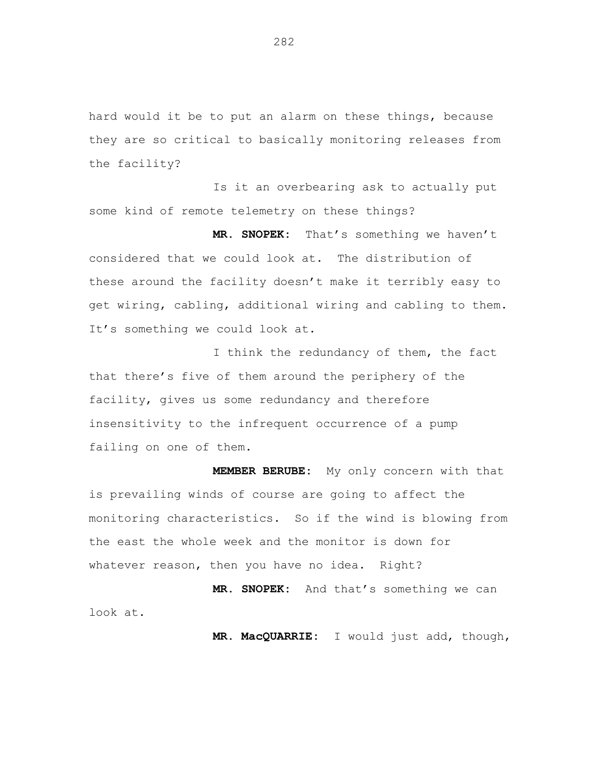hard would it be to put an alarm on these things, because they are so critical to basically monitoring releases from the facility?

Is it an overbearing ask to actually put some kind of remote telemetry on these things?

**MR. SNOPEK:** That's something we haven't considered that we could look at. The distribution of these around the facility doesn't make it terribly easy to get wiring, cabling, additional wiring and cabling to them. It's something we could look at.

I think the redundancy of them, the fact that there's five of them around the periphery of the facility, gives us some redundancy and therefore insensitivity to the infrequent occurrence of a pump failing on one of them.

**MEMBER BERUBE:** My only concern with that is prevailing winds of course are going to affect the monitoring characteristics. So if the wind is blowing from the east the whole week and the monitor is down for whatever reason, then you have no idea. Right?

**MR. SNOPEK:** And that's something we can look at.

**MR. MacQUARRIE:** I would just add, though,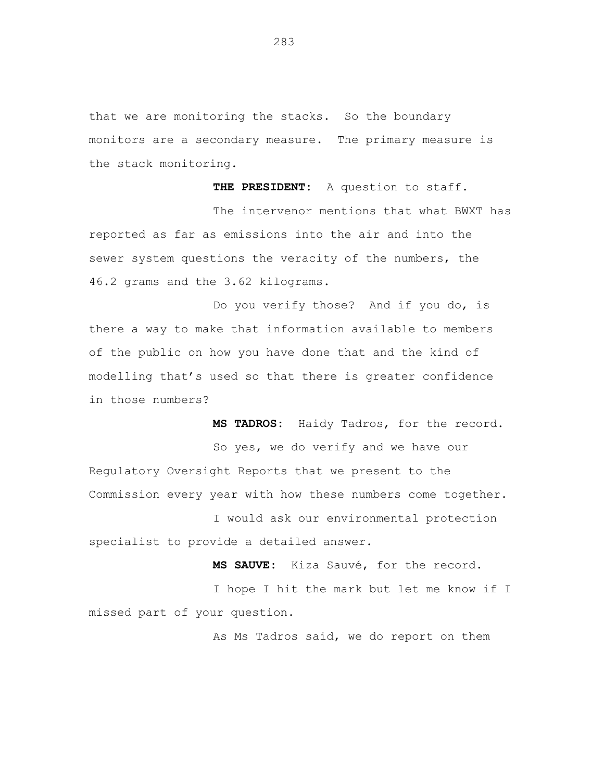that we are monitoring the stacks. So the boundary monitors are a secondary measure. The primary measure is the stack monitoring.

**THE PRESIDENT:** A question to staff.

The intervenor mentions that what BWXT has reported as far as emissions into the air and into the sewer system questions the veracity of the numbers, the 46.2 grams and the 3.62 kilograms.

Do you verify those? And if you do, is there a way to make that information available to members of the public on how you have done that and the kind of modelling that's used so that there is greater confidence in those numbers?

**MS TADROS:** Haidy Tadros, for the record. So yes, we do verify and we have our Regulatory Oversight Reports that we present to the Commission every year with how these numbers come together.

I would ask our environmental protection specialist to provide a detailed answer.

**MS SAUVE:** Kiza Sauvé, for the record.

I hope I hit the mark but let me know if I missed part of your question.

As Ms Tadros said, we do report on them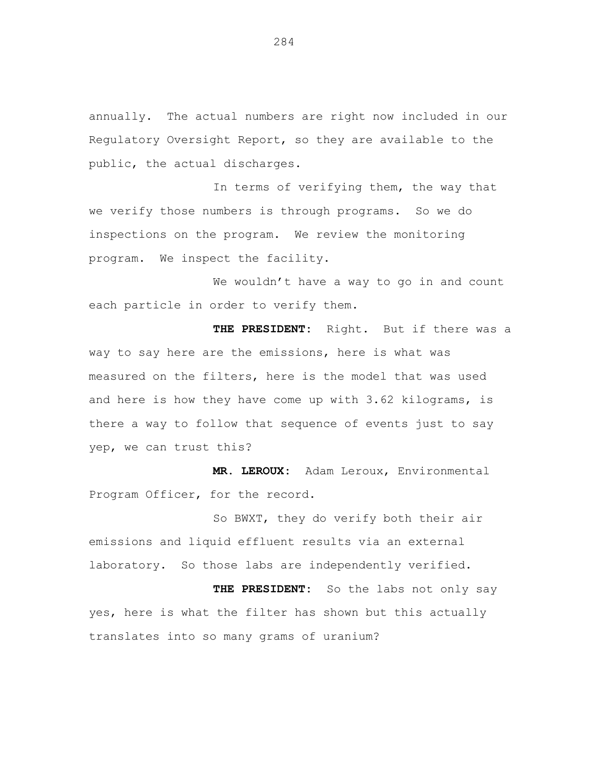annually. The actual numbers are right now included in our Regulatory Oversight Report, so they are available to the public, the actual discharges.

In terms of verifying them, the way that we verify those numbers is through programs. So we do inspections on the program. We review the monitoring program. We inspect the facility.

We wouldn't have a way to go in and count each particle in order to verify them.

**THE PRESIDENT:** Right. But if there was a way to say here are the emissions, here is what was measured on the filters, here is the model that was used and here is how they have come up with 3.62 kilograms, is there a way to follow that sequence of events just to say yep, we can trust this?

**MR. LEROUX:** Adam Leroux, Environmental Program Officer, for the record.

So BWXT, they do verify both their air emissions and liquid effluent results via an external laboratory. So those labs are independently verified.

**THE PRESIDENT:** So the labs not only say yes, here is what the filter has shown but this actually translates into so many grams of uranium?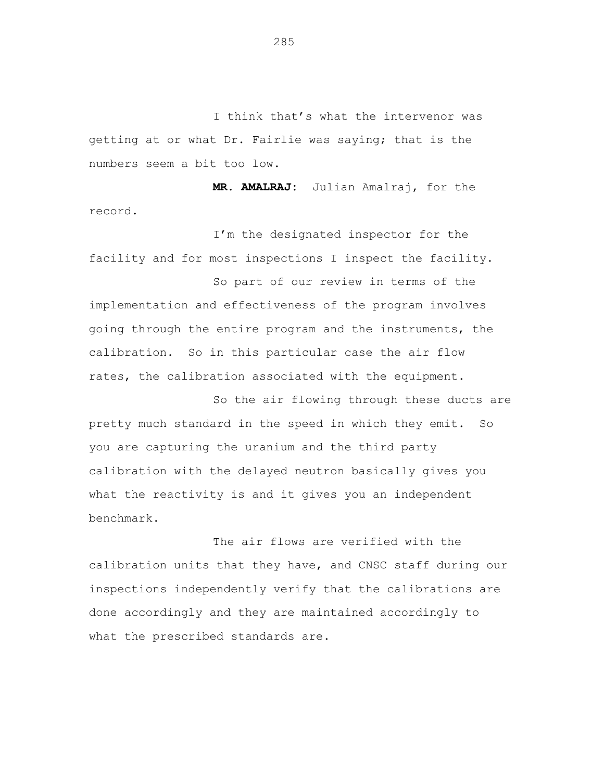I think that's what the intervenor was getting at or what Dr. Fairlie was saying; that is the numbers seem a bit too low.

**MR. AMALRAJ:** Julian Amalraj, for the record.

I'm the designated inspector for the facility and for most inspections I inspect the facility.

So part of our review in terms of the implementation and effectiveness of the program involves going through the entire program and the instruments, the calibration. So in this particular case the air flow rates, the calibration associated with the equipment.

So the air flowing through these ducts are pretty much standard in the speed in which they emit. So you are capturing the uranium and the third party calibration with the delayed neutron basically gives you what the reactivity is and it gives you an independent benchmark.

The air flows are verified with the calibration units that they have, and CNSC staff during our inspections independently verify that the calibrations are done accordingly and they are maintained accordingly to what the prescribed standards are.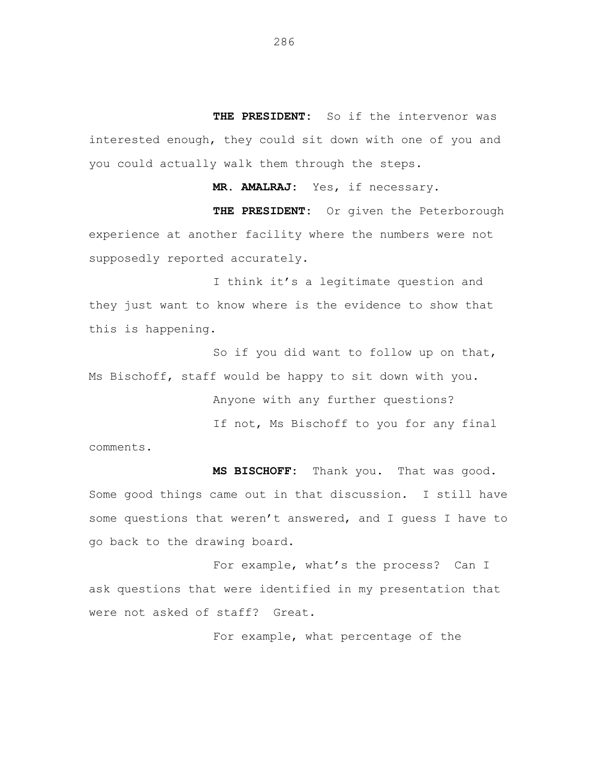**THE PRESIDENT:** So if the intervenor was interested enough, they could sit down with one of you and you could actually walk them through the steps.

**MR. AMALRAJ:** Yes, if necessary.

**THE PRESIDENT:** Or given the Peterborough experience at another facility where the numbers were not supposedly reported accurately.

I think it's a legitimate question and they just want to know where is the evidence to show that this is happening.

So if you did want to follow up on that, Ms Bischoff, staff would be happy to sit down with you.

Anyone with any further questions?

If not, Ms Bischoff to you for any final comments.

**MS BISCHOFF:** Thank you. That was good. Some good things came out in that discussion. I still have some questions that weren't answered, and I guess I have to go back to the drawing board.

For example, what's the process? Can I ask questions that were identified in my presentation that were not asked of staff? Great.

For example, what percentage of the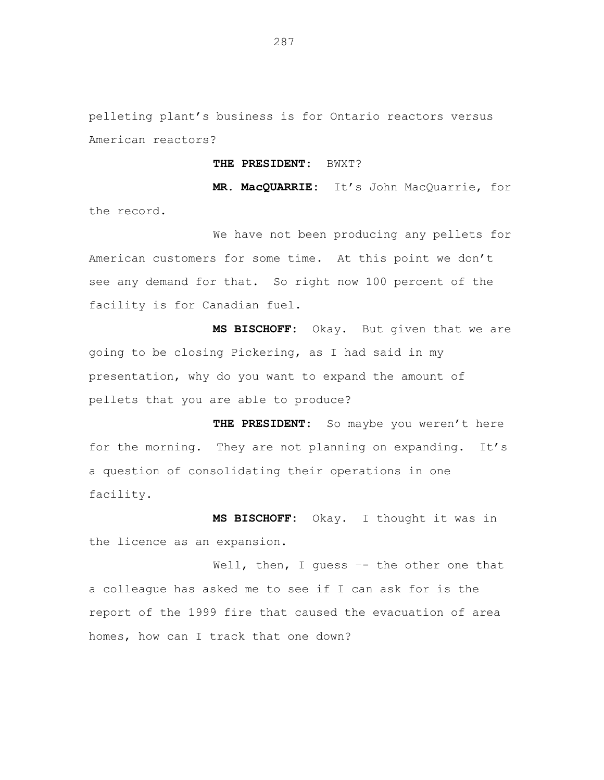pelleting plant's business is for Ontario reactors versus American reactors?

## **THE PRESIDENT:** BWXT?

**MR. MacQUARRIE:** It's John MacQuarrie, for the record.

We have not been producing any pellets for American customers for some time. At this point we don't see any demand for that. So right now 100 percent of the facility is for Canadian fuel.

**MS BISCHOFF:** Okay. But given that we are going to be closing Pickering, as I had said in my presentation, why do you want to expand the amount of pellets that you are able to produce?

**THE PRESIDENT:** So maybe you weren't here for the morning. They are not planning on expanding. It's a question of consolidating their operations in one facility.

**MS BISCHOFF:** Okay. I thought it was in the licence as an expansion.

Well, then, I quess -- the other one that a colleague has asked me to see if I can ask for is the report of the 1999 fire that caused the evacuation of area homes, how can I track that one down?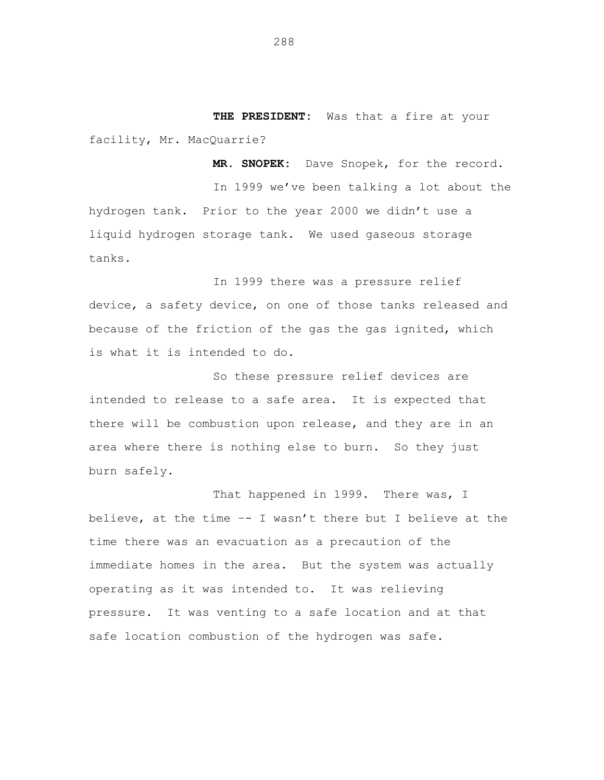**THE PRESIDENT:** Was that a fire at your facility, Mr. MacQuarrie?

**MR. SNOPEK:** Dave Snopek, for the record.

In 1999 we've been talking a lot about the hydrogen tank. Prior to the year 2000 we didn't use a liquid hydrogen storage tank. We used gaseous storage tanks.

In 1999 there was a pressure relief device, a safety device, on one of those tanks released and because of the friction of the gas the gas ignited, which is what it is intended to do.

So these pressure relief devices are intended to release to a safe area. It is expected that there will be combustion upon release, and they are in an area where there is nothing else to burn. So they just burn safely.

That happened in 1999. There was, I believe, at the time –- I wasn't there but I believe at the time there was an evacuation as a precaution of the immediate homes in the area. But the system was actually operating as it was intended to. It was relieving pressure. It was venting to a safe location and at that safe location combustion of the hydrogen was safe.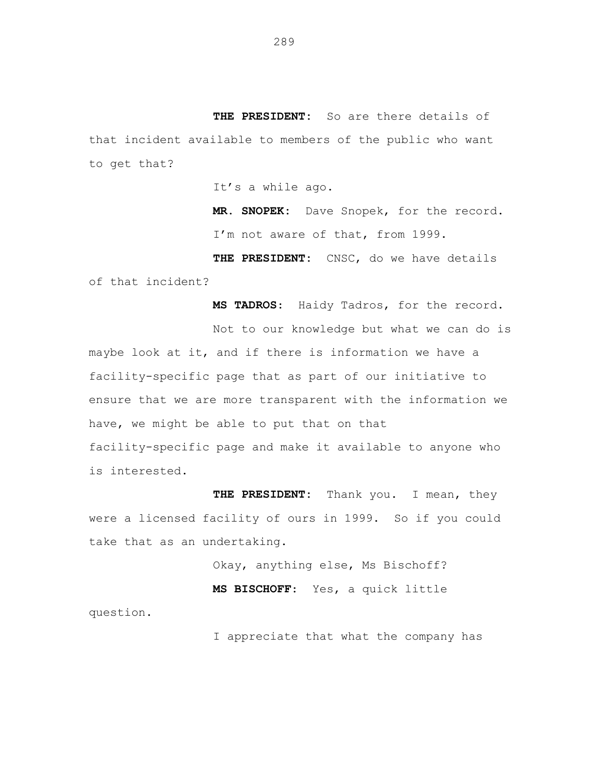**THE PRESIDENT:** So are there details of that incident available to members of the public who want to get that?

It's a while ago.

**MR. SNOPEK:** Dave Snopek, for the record. I'm not aware of that, from 1999.

**THE PRESIDENT:** CNSC, do we have details of that incident?

**MS TADROS**: Haidy Tadros, for the record.

Not to our knowledge but what we can do is maybe look at it, and if there is information we have a facility-specific page that as part of our initiative to ensure that we are more transparent with the information we have, we might be able to put that on that facility-specific page and make it available to anyone who is interested.

**THE PRESIDENT:** Thank you. I mean, they were a licensed facility of ours in 1999. So if you could take that as an undertaking.

question.

Okay, anything else, Ms Bischoff? **MS BISCHOFF**: Yes, a quick little

I appreciate that what the company has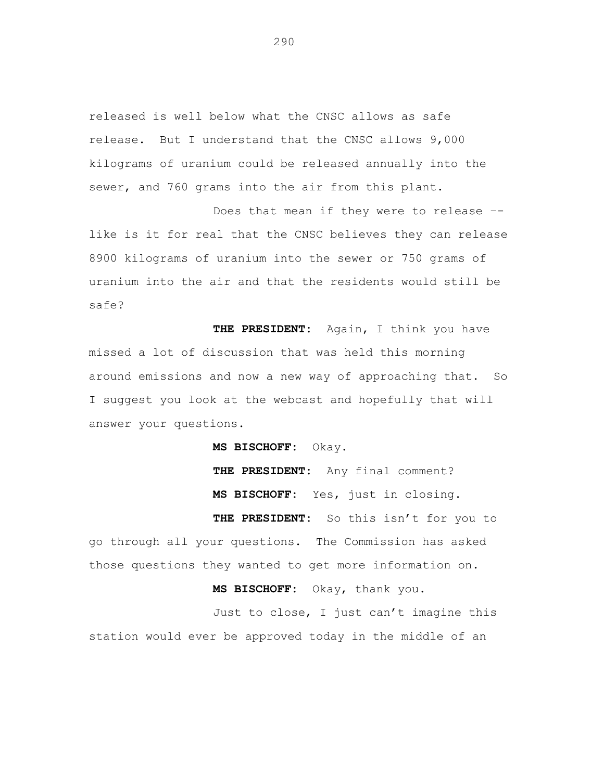released is well below what the CNSC allows as safe release. But I understand that the CNSC allows 9,000 kilograms of uranium could be released annually into the sewer, and 760 grams into the air from this plant.

Does that mean if they were to release – like is it for real that the CNSC believes they can release 8900 kilograms of uranium into the sewer or 750 grams of uranium into the air and that the residents would still be safe?

**THE PRESIDENT:** Again, I think you have missed a lot of discussion that was held this morning around emissions and now a new way of approaching that. So I suggest you look at the webcast and hopefully that will answer your questions.

**MS BISCHOFF:** Okay.

**THE PRESIDENT:** Any final comment? **MS BISCHOFF:** Yes, just in closing.

**THE PRESIDENT:** So this isn't for you to go through all your questions. The Commission has asked those questions they wanted to get more information on.

**MS BISCHOFF:** Okay, thank you.

Just to close, I just can't imagine this station would ever be approved today in the middle of an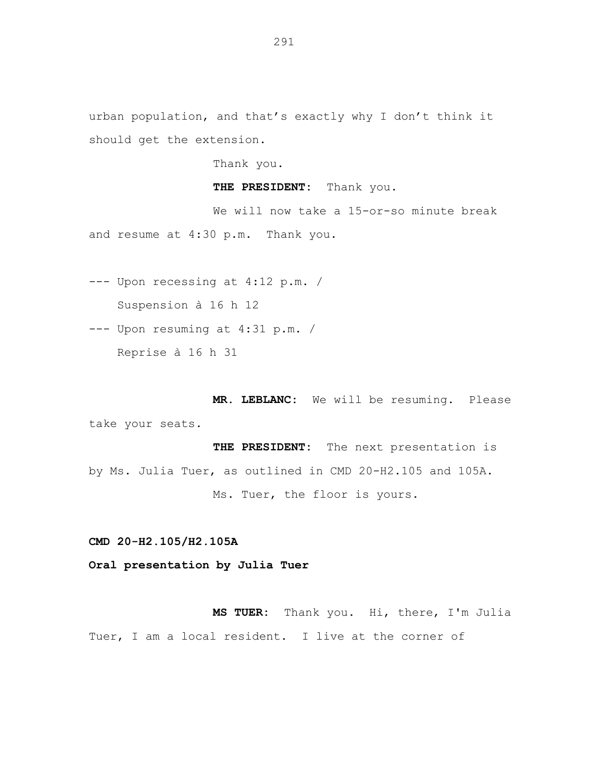urban population, and that's exactly why I don't think it should get the extension.

Thank you.

**THE PRESIDENT:** Thank you.

We will now take a 15-or-so minute break and resume at 4:30 p.m. Thank you.

--- Upon recessing at 4:12 p.m. / Suspension à 16 h 12

--- Upon resuming at 4:31 p.m. /

Reprise à 16 h 31

**MR. LEBLANC:** We will be resuming. Please take your seats.

**THE PRESIDENT:** The next presentation is by Ms. Julia Tuer, as outlined in CMD 20-H2.105 and 105A. Ms. Tuer, the floor is yours.

**CMD 20-H2.105/H2.105A**

**Oral presentation by Julia Tuer**

**MS TUER:** Thank you. Hi, there, I'm Julia Tuer, I am a local resident. I live at the corner of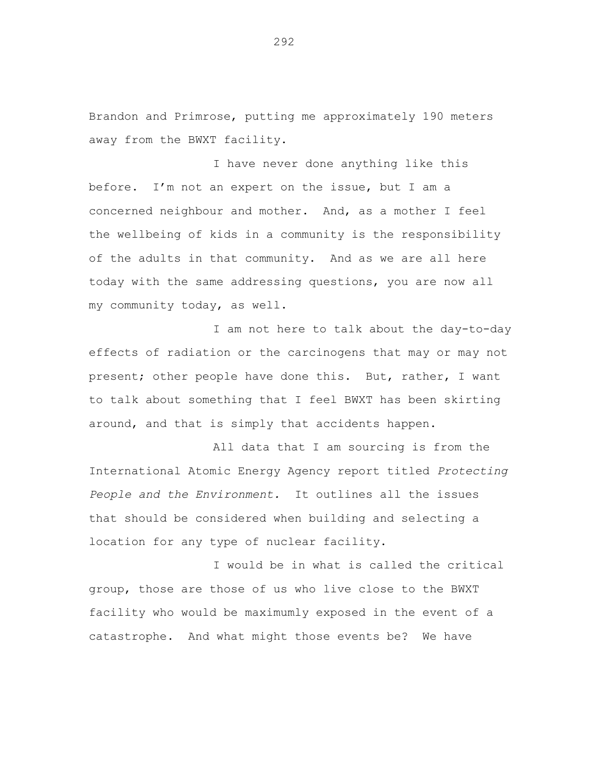Brandon and Primrose, putting me approximately 190 meters away from the BWXT facility.

I have never done anything like this before. I'm not an expert on the issue, but I am a concerned neighbour and mother. And, as a mother I feel the wellbeing of kids in a community is the responsibility of the adults in that community. And as we are all here today with the same addressing questions, you are now all my community today, as well.

I am not here to talk about the day-to-day effects of radiation or the carcinogens that may or may not present; other people have done this. But, rather, I want to talk about something that I feel BWXT has been skirting around, and that is simply that accidents happen.

All data that I am sourcing is from the International Atomic Energy Agency report titled *Protecting People and the Environment.* It outlines all the issues that should be considered when building and selecting a location for any type of nuclear facility.

I would be in what is called the critical group, those are those of us who live close to the BWXT facility who would be maximumly exposed in the event of a catastrophe. And what might those events be? We have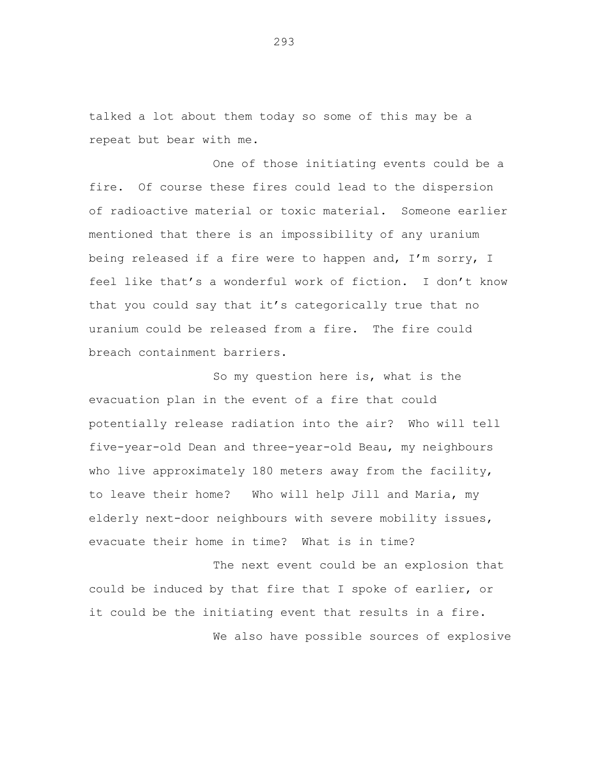talked a lot about them today so some of this may be a repeat but bear with me.

One of those initiating events could be a fire. Of course these fires could lead to the dispersion of radioactive material or toxic material. Someone earlier mentioned that there is an impossibility of any uranium being released if a fire were to happen and, I'm sorry, I feel like that's a wonderful work of fiction. I don't know that you could say that it's categorically true that no uranium could be released from a fire. The fire could breach containment barriers.

So my question here is, what is the evacuation plan in the event of a fire that could potentially release radiation into the air? Who will tell five-year-old Dean and three-year-old Beau, my neighbours who live approximately 180 meters away from the facility, to leave their home? Who will help Jill and Maria, my elderly next-door neighbours with severe mobility issues, evacuate their home in time? What is in time?

The next event could be an explosion that could be induced by that fire that I spoke of earlier, or it could be the initiating event that results in a fire. We also have possible sources of explosive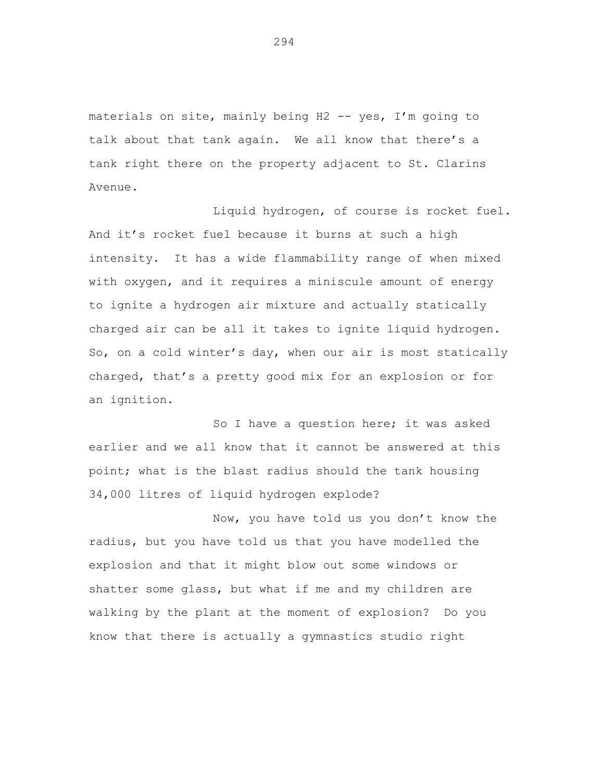materials on site, mainly being H2 -- yes, I'm going to talk about that tank again. We all know that there's a tank right there on the property adjacent to St. Clarins Avenue.

Liquid hydrogen, of course is rocket fuel. And it's rocket fuel because it burns at such a high intensity. It has a wide flammability range of when mixed with oxygen, and it requires a miniscule amount of energy to ignite a hydrogen air mixture and actually statically charged air can be all it takes to ignite liquid hydrogen. So, on a cold winter's day, when our air is most statically charged, that's a pretty good mix for an explosion or for an ignition.

So I have a question here; it was asked earlier and we all know that it cannot be answered at this point; what is the blast radius should the tank housing 34,000 litres of liquid hydrogen explode?

Now, you have told us you don't know the radius, but you have told us that you have modelled the explosion and that it might blow out some windows or shatter some glass, but what if me and my children are walking by the plant at the moment of explosion? Do you know that there is actually a gymnastics studio right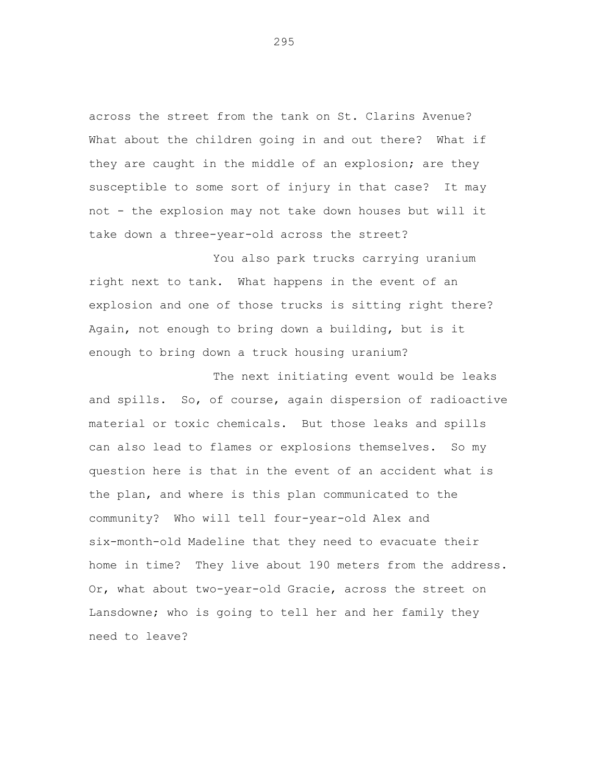across the street from the tank on St. Clarins Avenue? What about the children going in and out there? What if they are caught in the middle of an explosion; are they susceptible to some sort of injury in that case? It may not - the explosion may not take down houses but will it take down a three-year-old across the street?

You also park trucks carrying uranium right next to tank. What happens in the event of an explosion and one of those trucks is sitting right there? Again, not enough to bring down a building, but is it enough to bring down a truck housing uranium?

The next initiating event would be leaks and spills. So, of course, again dispersion of radioactive material or toxic chemicals. But those leaks and spills can also lead to flames or explosions themselves. So my question here is that in the event of an accident what is the plan, and where is this plan communicated to the community? Who will tell four-year-old Alex and six-month-old Madeline that they need to evacuate their home in time? They live about 190 meters from the address. Or, what about two-year-old Gracie, across the street on Lansdowne; who is going to tell her and her family they need to leave?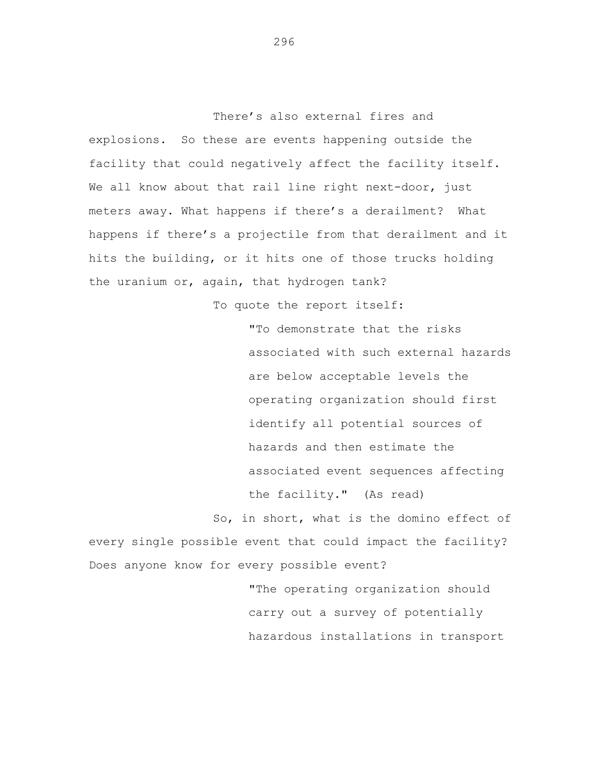There's also external fires and explosions. So these are events happening outside the facility that could negatively affect the facility itself. We all know about that rail line right next-door, just meters away. What happens if there's a derailment? What happens if there's a projectile from that derailment and it hits the building, or it hits one of those trucks holding the uranium or, again, that hydrogen tank?

To quote the report itself:

"To demonstrate that the risks associated with such external hazards are below acceptable levels the operating organization should first identify all potential sources of hazards and then estimate the associated event sequences affecting the facility." (As read)

So, in short, what is the domino effect of every single possible event that could impact the facility? Does anyone know for every possible event?

> "The operating organization should carry out a survey of potentially hazardous installations in transport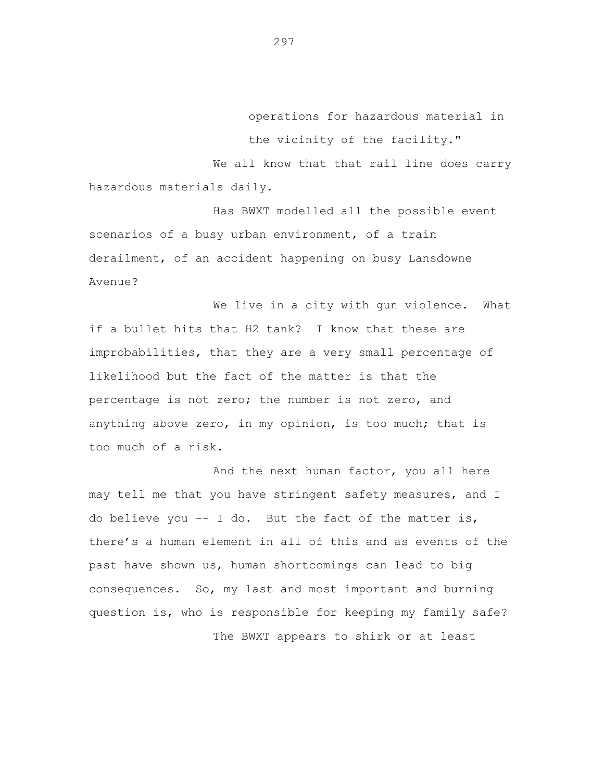operations for hazardous material in the vicinity of the facility."

We all know that that rail line does carry hazardous materials daily.

Has BWXT modelled all the possible event scenarios of a busy urban environment, of a train derailment, of an accident happening on busy Lansdowne Avenue?

We live in a city with gun violence. What if a bullet hits that H2 tank? I know that these are improbabilities, that they are a very small percentage of likelihood but the fact of the matter is that the percentage is not zero; the number is not zero, and anything above zero, in my opinion, is too much; that is too much of a risk.

And the next human factor, you all here may tell me that you have stringent safety measures, and I do believe you  $-$ - I do. But the fact of the matter is, there's a human element in all of this and as events of the past have shown us, human shortcomings can lead to big consequences. So, my last and most important and burning question is, who is responsible for keeping my family safe? The BWXT appears to shirk or at least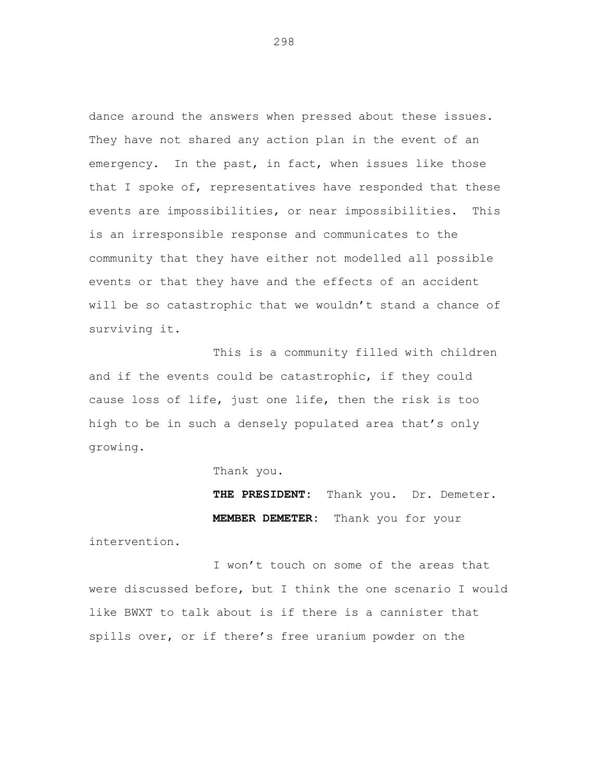dance around the answers when pressed about these issues. They have not shared any action plan in the event of an emergency. In the past, in fact, when issues like those that I spoke of, representatives have responded that these events are impossibilities, or near impossibilities. This is an irresponsible response and communicates to the community that they have either not modelled all possible events or that they have and the effects of an accident will be so catastrophic that we wouldn't stand a chance of surviving it.

This is a community filled with children and if the events could be catastrophic, if they could cause loss of life, just one life, then the risk is too high to be in such a densely populated area that's only growing.

Thank you.

**THE PRESIDENT:** Thank you. Dr. Demeter. **MEMBER DEMETER:** Thank you for your

intervention.

I won't touch on some of the areas that were discussed before, but I think the one scenario I would like BWXT to talk about is if there is a cannister that spills over, or if there's free uranium powder on the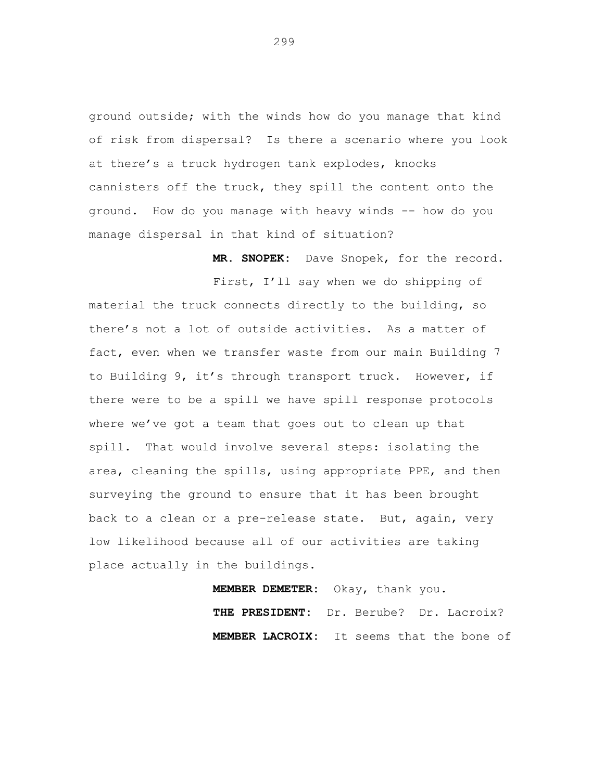ground outside; with the winds how do you manage that kind of risk from dispersal? Is there a scenario where you look at there's a truck hydrogen tank explodes, knocks cannisters off the truck, they spill the content onto the ground. How do you manage with heavy winds -- how do you manage dispersal in that kind of situation?

**MR. SNOPEK:** Dave Snopek, for the record.

First, I'll say when we do shipping of material the truck connects directly to the building, so there's not a lot of outside activities. As a matter of fact, even when we transfer waste from our main Building 7 to Building 9, it's through transport truck. However, if there were to be a spill we have spill response protocols where we've got a team that goes out to clean up that spill. That would involve several steps: isolating the area, cleaning the spills, using appropriate PPE, and then surveying the ground to ensure that it has been brought back to a clean or a pre-release state. But, again, very low likelihood because all of our activities are taking place actually in the buildings.

> **MEMBER DEMETER:** Okay, thank you. **THE PRESIDENT:** Dr. Berube? Dr. Lacroix? **MEMBER LACROIX:** It seems that the bone of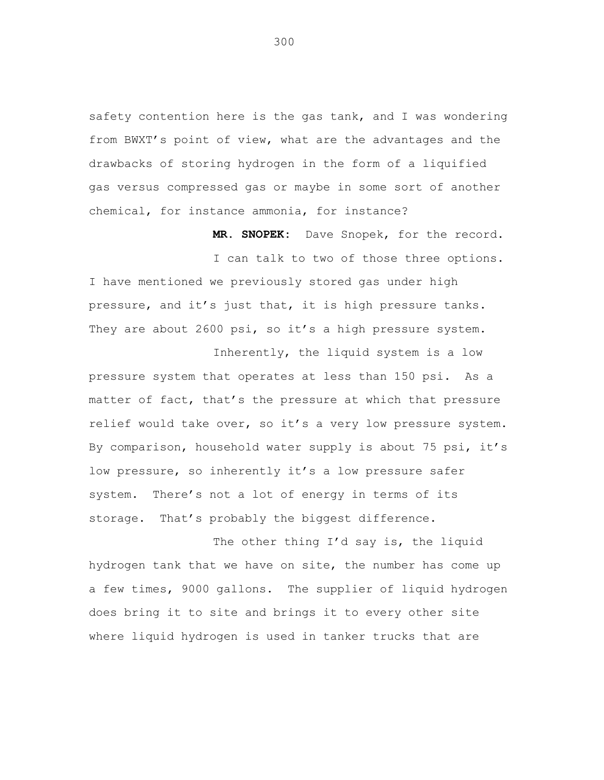safety contention here is the gas tank, and I was wondering from BWXT's point of view, what are the advantages and the drawbacks of storing hydrogen in the form of a liquified gas versus compressed gas or maybe in some sort of another chemical, for instance ammonia, for instance?

**MR. SNOPEK:** Dave Snopek, for the record.

I can talk to two of those three options. I have mentioned we previously stored gas under high pressure, and it's just that, it is high pressure tanks. They are about 2600 psi, so it's a high pressure system.

Inherently, the liquid system is a low pressure system that operates at less than 150 psi. As a matter of fact, that's the pressure at which that pressure relief would take over, so it's a very low pressure system. By comparison, household water supply is about 75 psi, it's low pressure, so inherently it's a low pressure safer system. There's not a lot of energy in terms of its storage. That's probably the biggest difference.

The other thing I'd say is, the liquid hydrogen tank that we have on site, the number has come up a few times, 9000 gallons. The supplier of liquid hydrogen does bring it to site and brings it to every other site where liquid hydrogen is used in tanker trucks that are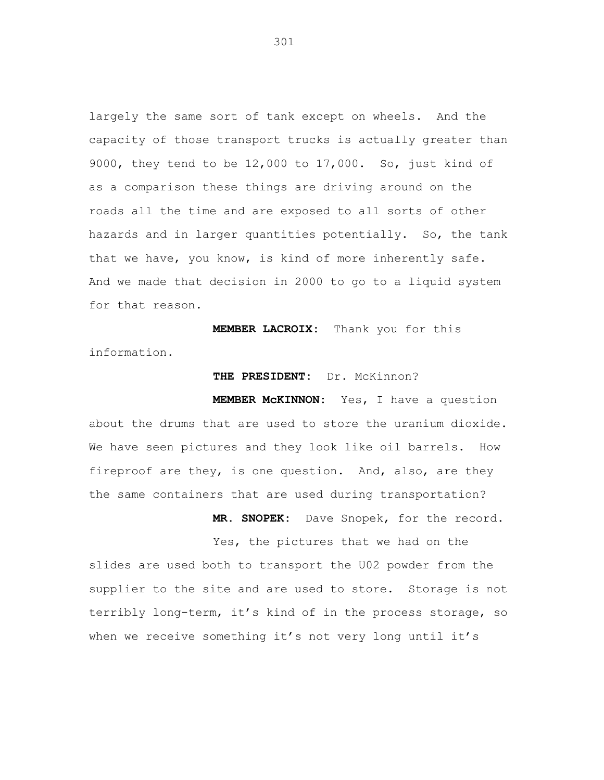largely the same sort of tank except on wheels. And the capacity of those transport trucks is actually greater than 9000, they tend to be 12,000 to 17,000. So, just kind of as a comparison these things are driving around on the roads all the time and are exposed to all sorts of other hazards and in larger quantities potentially. So, the tank that we have, you know, is kind of more inherently safe. And we made that decision in 2000 to go to a liquid system for that reason.

**MEMBER LACROIX:** Thank you for this information.

## **THE PRESIDENT:** Dr. McKinnon?

**MEMBER McKINNON:** Yes, I have a question about the drums that are used to store the uranium dioxide. We have seen pictures and they look like oil barrels. How fireproof are they, is one question. And, also, are they the same containers that are used during transportation?

> **MR. SNOPEK:** Dave Snopek, for the record. Yes, the pictures that we had on the

slides are used both to transport the U02 powder from the supplier to the site and are used to store. Storage is not terribly long-term, it's kind of in the process storage, so when we receive something it's not very long until it's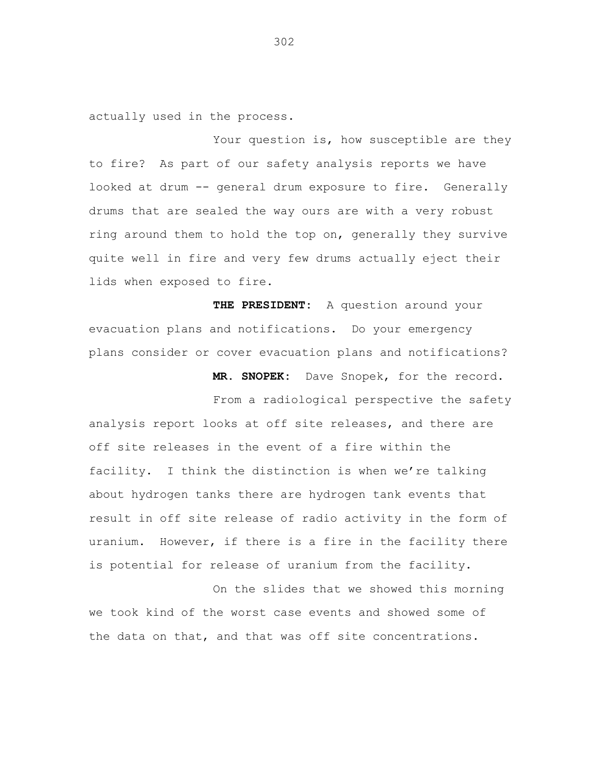actually used in the process.

Your question is, how susceptible are they to fire? As part of our safety analysis reports we have looked at drum -- general drum exposure to fire. Generally drums that are sealed the way ours are with a very robust ring around them to hold the top on, generally they survive quite well in fire and very few drums actually eject their lids when exposed to fire.

**THE PRESIDENT:** A question around your evacuation plans and notifications. Do your emergency plans consider or cover evacuation plans and notifications?

**MR. SNOPEK:** Dave Snopek, for the record.

From a radiological perspective the safety analysis report looks at off site releases, and there are off site releases in the event of a fire within the facility. I think the distinction is when we're talking about hydrogen tanks there are hydrogen tank events that result in off site release of radio activity in the form of uranium. However, if there is a fire in the facility there is potential for release of uranium from the facility.

On the slides that we showed this morning we took kind of the worst case events and showed some of the data on that, and that was off site concentrations.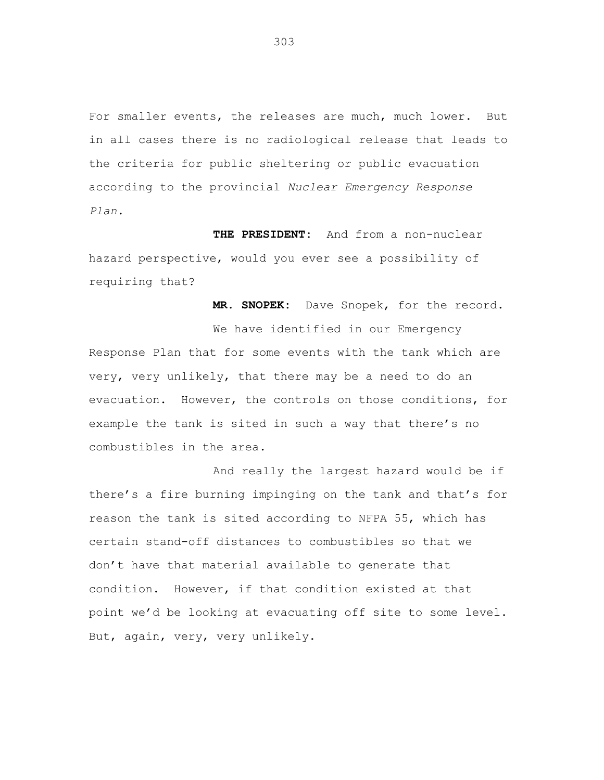For smaller events, the releases are much, much lower. But in all cases there is no radiological release that leads to the criteria for public sheltering or public evacuation according to the provincial *Nuclear Emergency Response Plan*.

**THE PRESIDENT:** And from a non-nuclear hazard perspective, would you ever see a possibility of requiring that?

**MR. SNOPEK:** Dave Snopek, for the record.

We have identified in our Emergency Response Plan that for some events with the tank which are very, very unlikely, that there may be a need to do an evacuation. However, the controls on those conditions, for example the tank is sited in such a way that there's no combustibles in the area.

And really the largest hazard would be if there's a fire burning impinging on the tank and that's for reason the tank is sited according to NFPA 55, which has certain stand-off distances to combustibles so that we don't have that material available to generate that condition. However, if that condition existed at that point we'd be looking at evacuating off site to some level. But, again, very, very unlikely.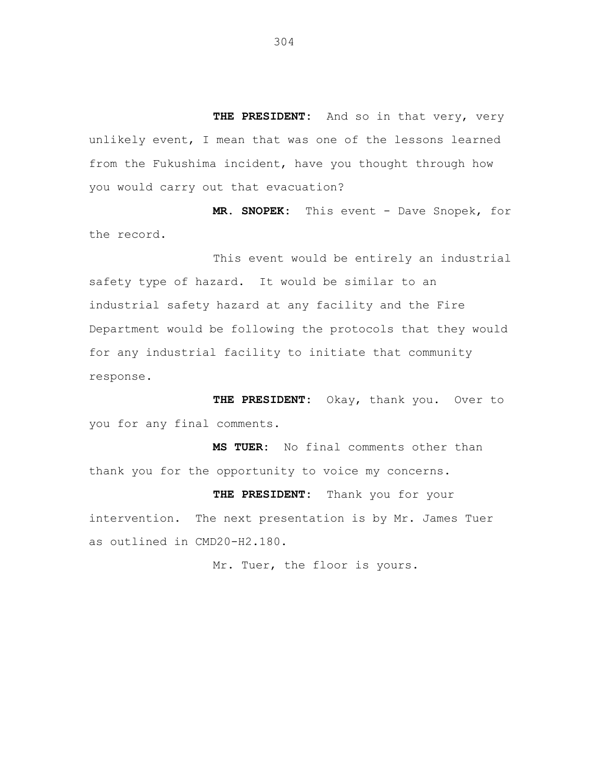**THE PRESIDENT:** And so in that very, very unlikely event, I mean that was one of the lessons learned from the Fukushima incident, have you thought through how you would carry out that evacuation?

**MR. SNOPEK:** This event - Dave Snopek, for the record.

This event would be entirely an industrial safety type of hazard. It would be similar to an industrial safety hazard at any facility and the Fire Department would be following the protocols that they would for any industrial facility to initiate that community response.

**THE PRESIDENT:** Okay, thank you. Over to you for any final comments.

**MS TUER:** No final comments other than thank you for the opportunity to voice my concerns.

**THE PRESIDENT:** Thank you for your intervention. The next presentation is by Mr. James Tuer as outlined in CMD20-H2.180.

Mr. Tuer, the floor is yours.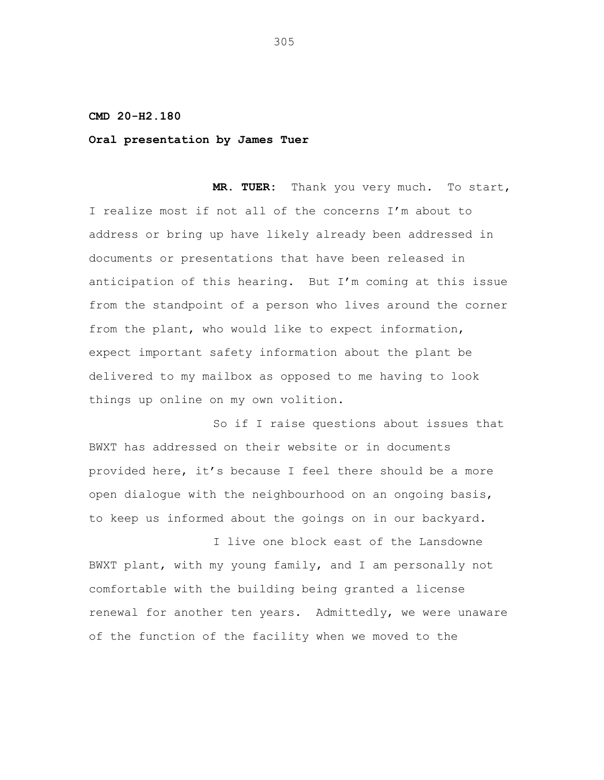## **CMD 20-H2.180**

## **Oral presentation by James Tuer**

**MR. TUER:** Thank you very much. To start, I realize most if not all of the concerns I'm about to address or bring up have likely already been addressed in documents or presentations that have been released in anticipation of this hearing. But I'm coming at this issue from the standpoint of a person who lives around the corner from the plant, who would like to expect information, expect important safety information about the plant be delivered to my mailbox as opposed to me having to look things up online on my own volition.

So if I raise questions about issues that BWXT has addressed on their website or in documents provided here, it's because I feel there should be a more open dialogue with the neighbourhood on an ongoing basis, to keep us informed about the goings on in our backyard.

I live one block east of the Lansdowne BWXT plant, with my young family, and I am personally not comfortable with the building being granted a license renewal for another ten years. Admittedly, we were unaware of the function of the facility when we moved to the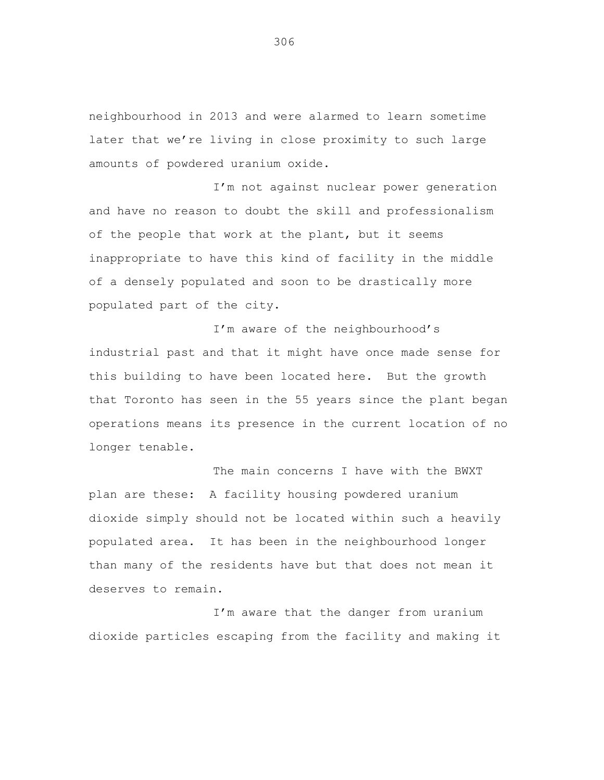neighbourhood in 2013 and were alarmed to learn sometime later that we're living in close proximity to such large amounts of powdered uranium oxide.

I'm not against nuclear power generation and have no reason to doubt the skill and professionalism of the people that work at the plant, but it seems inappropriate to have this kind of facility in the middle of a densely populated and soon to be drastically more populated part of the city.

I'm aware of the neighbourhood's industrial past and that it might have once made sense for this building to have been located here. But the growth that Toronto has seen in the 55 years since the plant began operations means its presence in the current location of no longer tenable.

The main concerns I have with the BWXT plan are these: A facility housing powdered uranium dioxide simply should not be located within such a heavily populated area. It has been in the neighbourhood longer than many of the residents have but that does not mean it deserves to remain.

I'm aware that the danger from uranium dioxide particles escaping from the facility and making it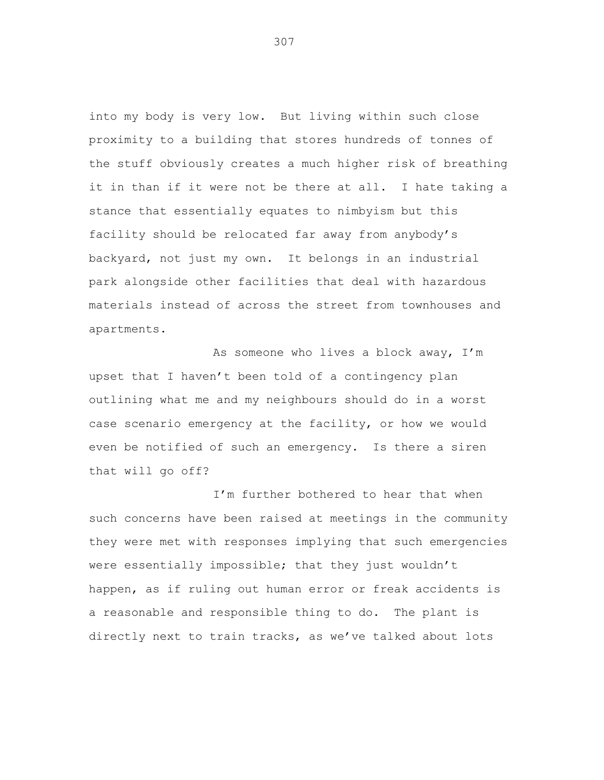into my body is very low. But living within such close proximity to a building that stores hundreds of tonnes of the stuff obviously creates a much higher risk of breathing it in than if it were not be there at all. I hate taking a stance that essentially equates to nimbyism but this facility should be relocated far away from anybody's backyard, not just my own. It belongs in an industrial park alongside other facilities that deal with hazardous materials instead of across the street from townhouses and apartments.

As someone who lives a block away, I'm upset that I haven't been told of a contingency plan outlining what me and my neighbours should do in a worst case scenario emergency at the facility, or how we would even be notified of such an emergency. Is there a siren that will go off?

I'm further bothered to hear that when such concerns have been raised at meetings in the community they were met with responses implying that such emergencies were essentially impossible; that they just wouldn't happen, as if ruling out human error or freak accidents is a reasonable and responsible thing to do. The plant is directly next to train tracks, as we've talked about lots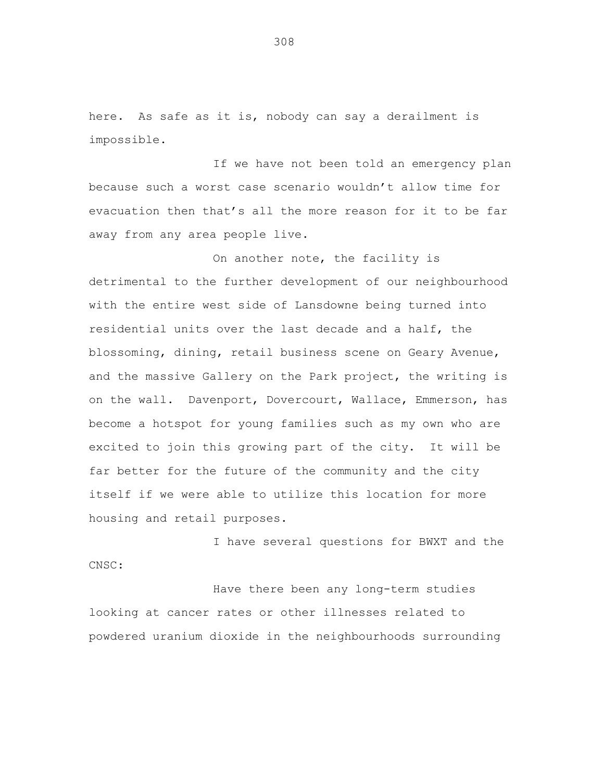here. As safe as it is, nobody can say a derailment is impossible.

If we have not been told an emergency plan because such a worst case scenario wouldn't allow time for evacuation then that's all the more reason for it to be far away from any area people live.

On another note, the facility is detrimental to the further development of our neighbourhood with the entire west side of Lansdowne being turned into residential units over the last decade and a half, the blossoming, dining, retail business scene on Geary Avenue, and the massive Gallery on the Park project, the writing is on the wall. Davenport, Dovercourt, Wallace, Emmerson, has become a hotspot for young families such as my own who are excited to join this growing part of the city. It will be far better for the future of the community and the city itself if we were able to utilize this location for more housing and retail purposes.

I have several questions for BWXT and the CNSC:

Have there been any long-term studies looking at cancer rates or other illnesses related to powdered uranium dioxide in the neighbourhoods surrounding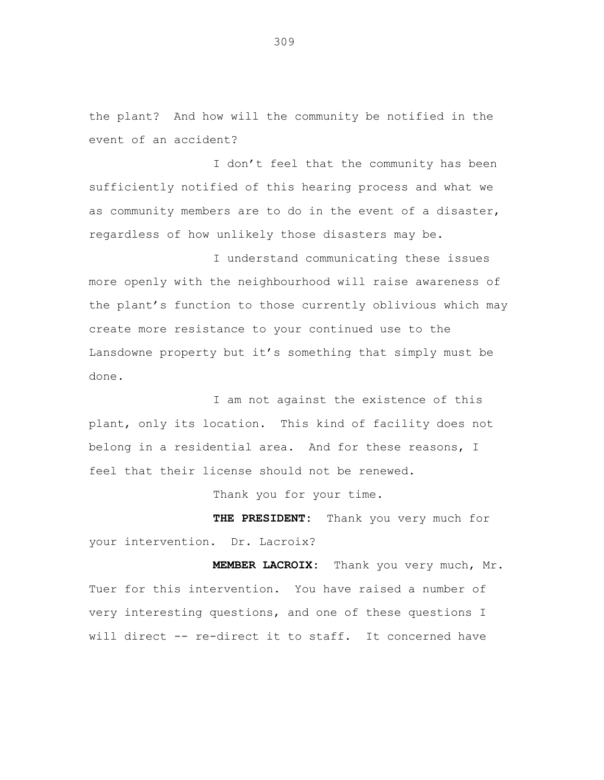the plant? And how will the community be notified in the event of an accident?

I don't feel that the community has been sufficiently notified of this hearing process and what we as community members are to do in the event of a disaster, regardless of how unlikely those disasters may be.

I understand communicating these issues more openly with the neighbourhood will raise awareness of the plant's function to those currently oblivious which may create more resistance to your continued use to the Lansdowne property but it's something that simply must be done.

I am not against the existence of this plant, only its location. This kind of facility does not belong in a residential area. And for these reasons, I feel that their license should not be renewed.

Thank you for your time.

**THE PRESIDENT:** Thank you very much for your intervention. Dr. Lacroix?

**MEMBER LACROIX:** Thank you very much, Mr. Tuer for this intervention. You have raised a number of very interesting questions, and one of these questions I will direct -- re-direct it to staff. It concerned have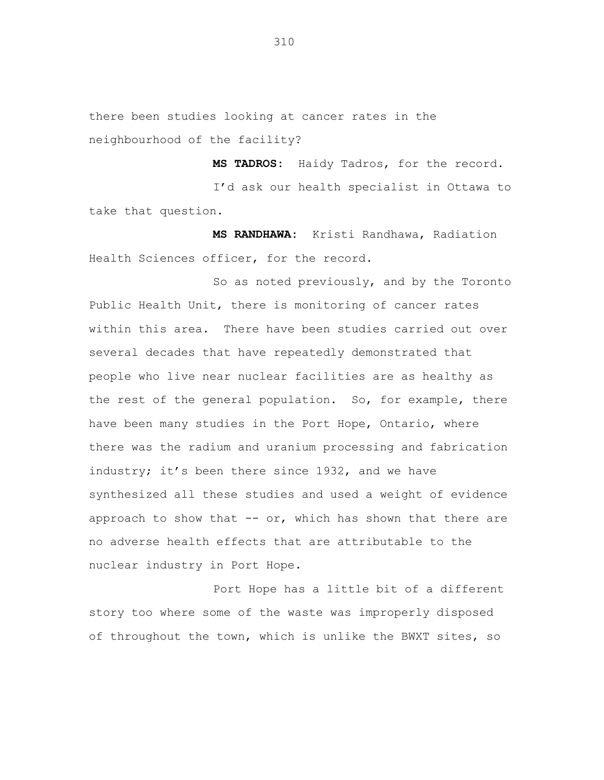there been studies looking at cancer rates in the neighbourhood of the facility?

**MS TADROS:** Haidy Tadros, for the record. I'd ask our health specialist in Ottawa to take that question.

**MS RANDHAWA:** Kristi Randhawa, Radiation Health Sciences officer, for the record.

So as noted previously, and by the Toronto Public Health Unit, there is monitoring of cancer rates within this area. There have been studies carried out over several decades that have repeatedly demonstrated that people who live near nuclear facilities are as healthy as the rest of the general population. So, for example, there have been many studies in the Port Hope, Ontario, where there was the radium and uranium processing and fabrication industry; it's been there since 1932, and we have synthesized all these studies and used a weight of evidence approach to show that  $--$  or, which has shown that there are no adverse health effects that are attributable to the nuclear industry in Port Hope.

Port Hope has a little bit of a different story too where some of the waste was improperly disposed of throughout the town, which is unlike the BWXT sites, so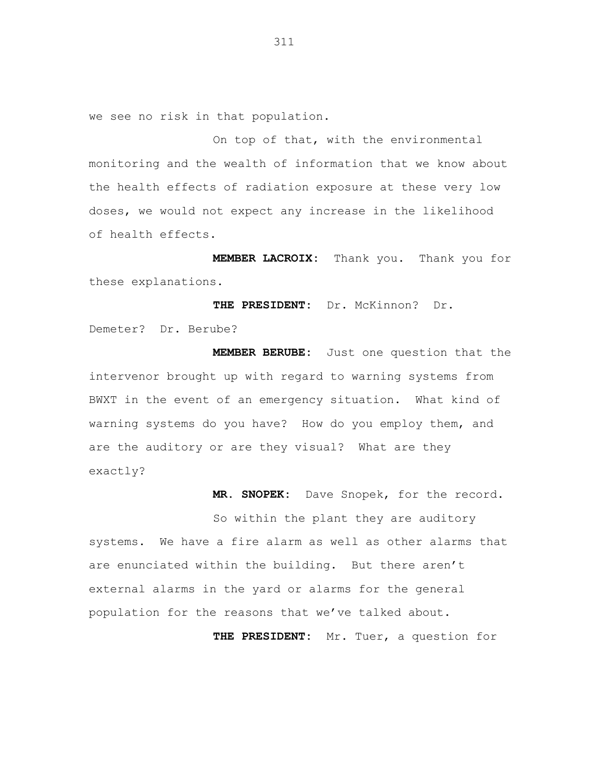we see no risk in that population.

On top of that, with the environmental monitoring and the wealth of information that we know about the health effects of radiation exposure at these very low doses, we would not expect any increase in the likelihood of health effects.

**MEMBER LACROIX:** Thank you. Thank you for these explanations.

**THE PRESIDENT:** Dr. McKinnon? Dr. Demeter? Dr. Berube?

**MEMBER BERUBE:** Just one question that the intervenor brought up with regard to warning systems from BWXT in the event of an emergency situation. What kind of warning systems do you have? How do you employ them, and are the auditory or are they visual? What are they exactly?

**MR. SNOPEK:** Dave Snopek, for the record.

So within the plant they are auditory systems. We have a fire alarm as well as other alarms that are enunciated within the building. But there aren't external alarms in the yard or alarms for the general population for the reasons that we've talked about.

**THE PRESIDENT:** Mr. Tuer, a question for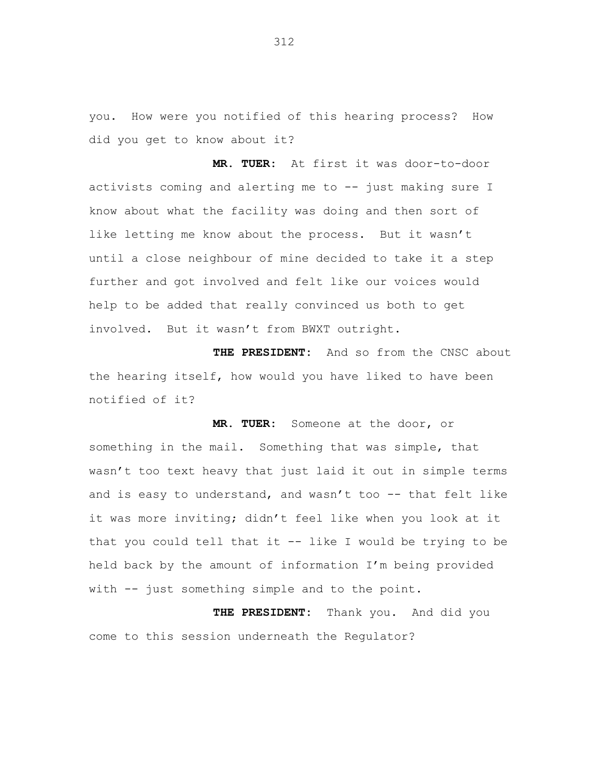you. How were you notified of this hearing process? How did you get to know about it?

**MR. TUER:** At first it was door-to-door activists coming and alerting me to -- just making sure I know about what the facility was doing and then sort of like letting me know about the process. But it wasn't until a close neighbour of mine decided to take it a step further and got involved and felt like our voices would help to be added that really convinced us both to get involved. But it wasn't from BWXT outright.

**THE PRESIDENT:** And so from the CNSC about the hearing itself, how would you have liked to have been notified of it?

**MR. TUER:** Someone at the door, or something in the mail. Something that was simple, that wasn't too text heavy that just laid it out in simple terms and is easy to understand, and wasn't too -- that felt like it was more inviting; didn't feel like when you look at it that you could tell that it -- like I would be trying to be held back by the amount of information I'm being provided with -- just something simple and to the point.

**THE PRESIDENT:** Thank you. And did you come to this session underneath the Regulator?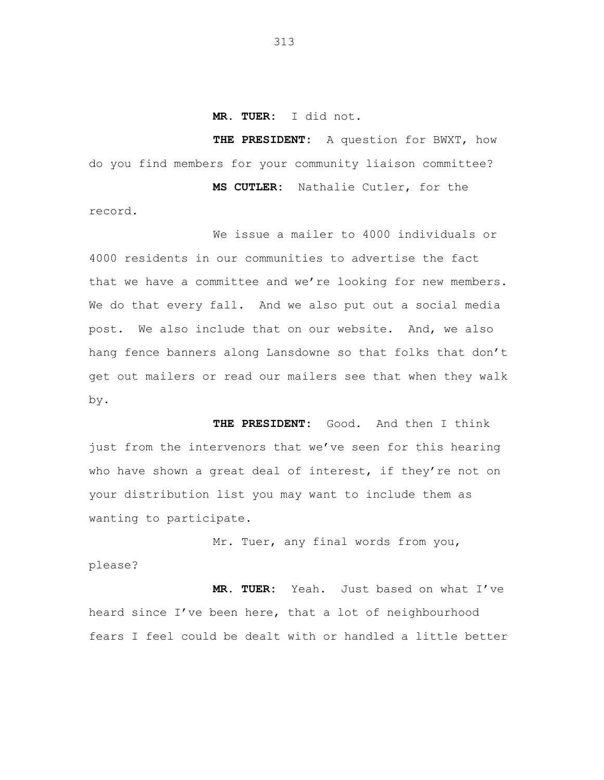**MR. TUER:** I did not.

**THE PRESIDENT:** A question for BWXT, how do you find members for your community liaison committee? **MS CUTLER:** Nathalie Cutler, for the

We issue a mailer to 4000 individuals or

record.

4000 residents in our communities to advertise the fact that we have a committee and we're looking for new members. We do that every fall. And we also put out a social media post. We also include that on our website. And, we also hang fence banners along Lansdowne so that folks that don't get out mailers or read our mailers see that when they walk by.

**THE PRESIDENT:** Good. And then I think just from the intervenors that we've seen for this hearing who have shown a great deal of interest, if they're not on your distribution list you may want to include them as wanting to participate.

Mr. Tuer, any final words from you, please?

**MR. TUER:** Yeah. Just based on what I've heard since I've been here, that a lot of neighbourhood fears I feel could be dealt with or handled a little better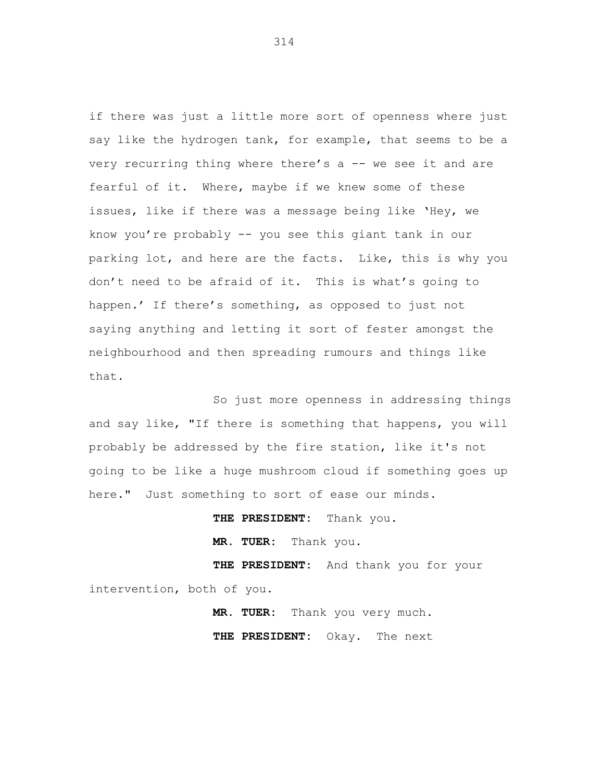if there was just a little more sort of openness where just say like the hydrogen tank, for example, that seems to be a very recurring thing where there's a -- we see it and are fearful of it. Where, maybe if we knew some of these issues, like if there was a message being like 'Hey, we know you're probably -- you see this giant tank in our parking lot, and here are the facts. Like, this is why you don't need to be afraid of it. This is what's going to happen.' If there's something, as opposed to just not saying anything and letting it sort of fester amongst the neighbourhood and then spreading rumours and things like that.

So just more openness in addressing things and say like, "If there is something that happens, you will probably be addressed by the fire station, like it's not going to be like a huge mushroom cloud if something goes up here." Just something to sort of ease our minds.

**THE PRESIDENT:** Thank you. **MR. TUER:** Thank you. **THE PRESIDENT:** And thank you for your intervention, both of you.

> **MR. TUER:** Thank you very much. **THE PRESIDENT:** Okay. The next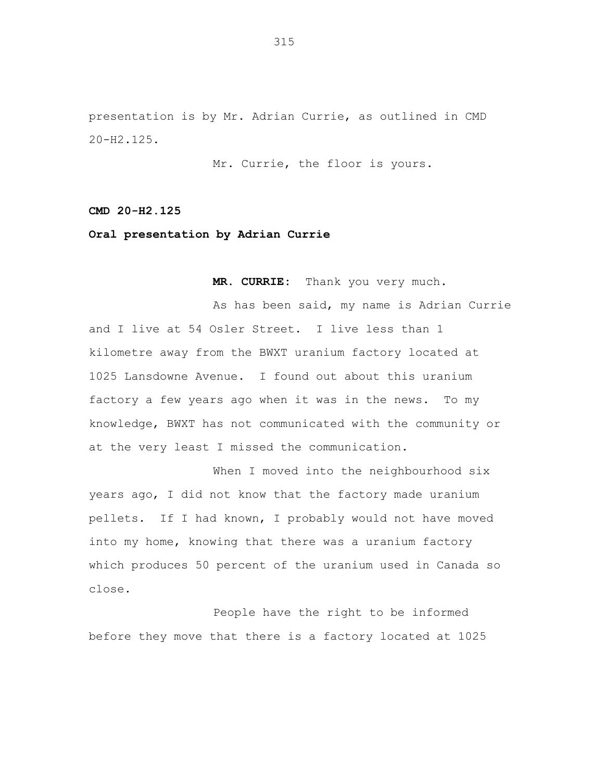presentation is by Mr. Adrian Currie, as outlined in CMD 20-H2.125.

Mr. Currie, the floor is yours.

**CMD 20-H2.125**

**Oral presentation by Adrian Currie**

**MR. CURRIE:** Thank you very much.

As has been said, my name is Adrian Currie and I live at 54 Osler Street. I live less than 1 kilometre away from the BWXT uranium factory located at 1025 Lansdowne Avenue. I found out about this uranium factory a few years ago when it was in the news. To my knowledge, BWXT has not communicated with the community or at the very least I missed the communication.

When I moved into the neighbourhood six years ago, I did not know that the factory made uranium pellets. If I had known, I probably would not have moved into my home, knowing that there was a uranium factory which produces 50 percent of the uranium used in Canada so close.

People have the right to be informed before they move that there is a factory located at 1025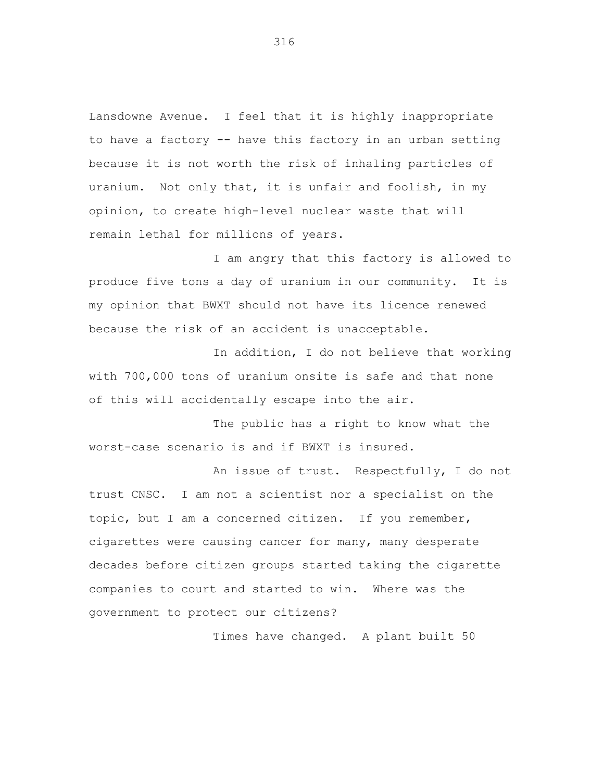Lansdowne Avenue. I feel that it is highly inappropriate to have a factory -- have this factory in an urban setting because it is not worth the risk of inhaling particles of uranium. Not only that, it is unfair and foolish, in my opinion, to create high-level nuclear waste that will remain lethal for millions of years.

I am angry that this factory is allowed to produce five tons a day of uranium in our community. It is my opinion that BWXT should not have its licence renewed because the risk of an accident is unacceptable.

In addition, I do not believe that working with 700,000 tons of uranium onsite is safe and that none of this will accidentally escape into the air.

The public has a right to know what the worst-case scenario is and if BWXT is insured.

An issue of trust. Respectfully, I do not trust CNSC. I am not a scientist nor a specialist on the topic, but I am a concerned citizen. If you remember, cigarettes were causing cancer for many, many desperate decades before citizen groups started taking the cigarette companies to court and started to win. Where was the government to protect our citizens?

Times have changed. A plant built 50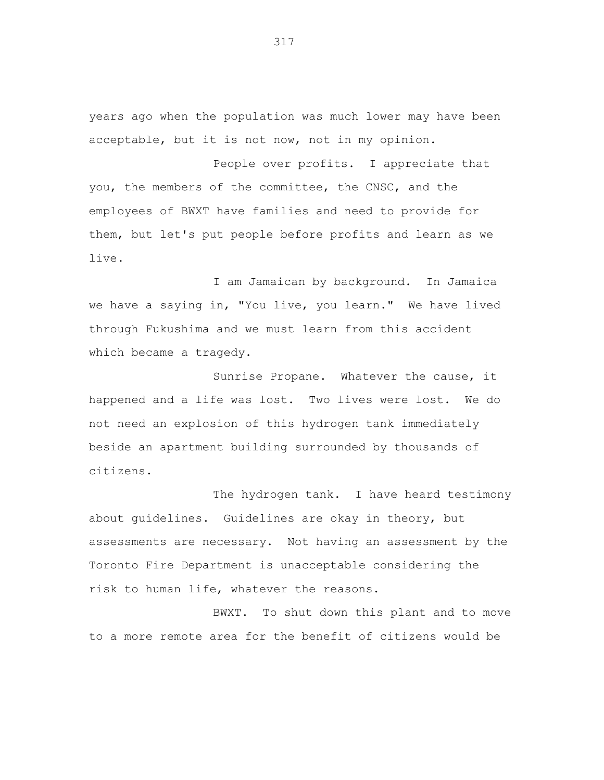years ago when the population was much lower may have been acceptable, but it is not now, not in my opinion.

People over profits. I appreciate that you, the members of the committee, the CNSC, and the employees of BWXT have families and need to provide for them, but let's put people before profits and learn as we live.

I am Jamaican by background. In Jamaica we have a saying in, "You live, you learn." We have lived through Fukushima and we must learn from this accident which became a tragedy.

Sunrise Propane. Whatever the cause, it happened and a life was lost. Two lives were lost. We do not need an explosion of this hydrogen tank immediately beside an apartment building surrounded by thousands of citizens.

The hydrogen tank. I have heard testimony about guidelines. Guidelines are okay in theory, but assessments are necessary. Not having an assessment by the Toronto Fire Department is unacceptable considering the risk to human life, whatever the reasons.

BWXT. To shut down this plant and to move to a more remote area for the benefit of citizens would be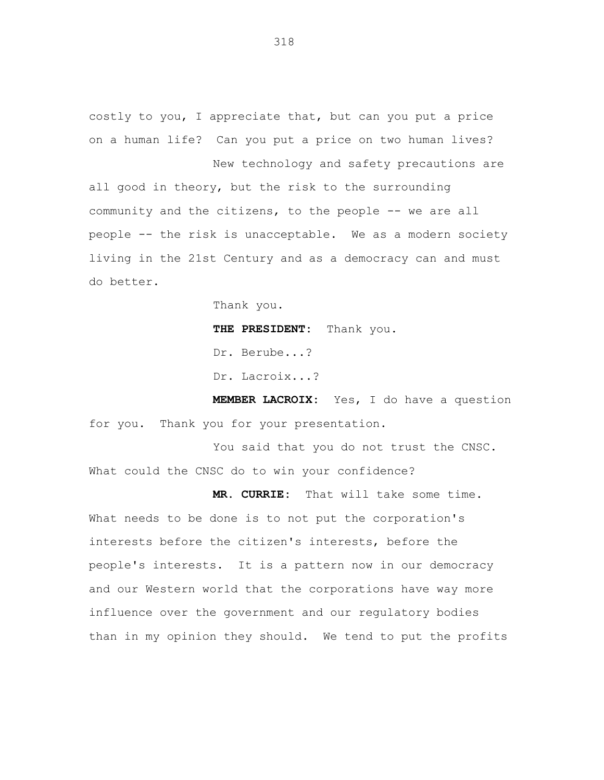costly to you, I appreciate that, but can you put a price on a human life? Can you put a price on two human lives? New technology and safety precautions are

all good in theory, but the risk to the surrounding community and the citizens, to the people -- we are all people -- the risk is unacceptable. We as a modern society living in the 21st Century and as a democracy can and must do better.

Thank you.

**THE PRESIDENT:** Thank you.

Dr. Berube...?

Dr. Lacroix...?

**MEMBER LACROIX:** Yes, I do have a question for you. Thank you for your presentation.

You said that you do not trust the CNSC. What could the CNSC do to win your confidence?

**MR. CURRIE:** That will take some time. What needs to be done is to not put the corporation's interests before the citizen's interests, before the people's interests. It is a pattern now in our democracy and our Western world that the corporations have way more influence over the government and our regulatory bodies than in my opinion they should. We tend to put the profits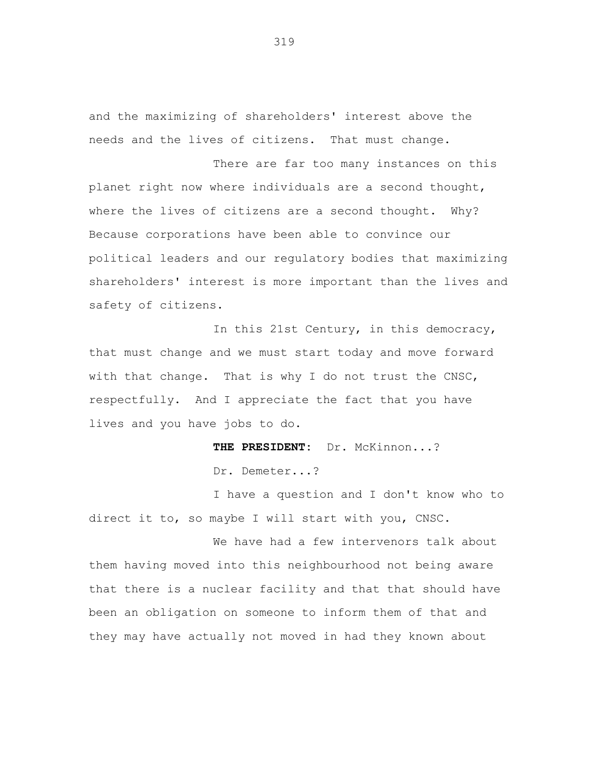and the maximizing of shareholders' interest above the needs and the lives of citizens. That must change.

There are far too many instances on this planet right now where individuals are a second thought, where the lives of citizens are a second thought. Why? Because corporations have been able to convince our political leaders and our regulatory bodies that maximizing shareholders' interest is more important than the lives and safety of citizens.

In this 21st Century, in this democracy, that must change and we must start today and move forward with that change. That is why I do not trust the CNSC, respectfully. And I appreciate the fact that you have lives and you have jobs to do.

**THE PRESIDENT:** Dr. McKinnon...?

Dr. Demeter...?

I have a question and I don't know who to direct it to, so maybe I will start with you, CNSC.

We have had a few intervenors talk about them having moved into this neighbourhood not being aware that there is a nuclear facility and that that should have been an obligation on someone to inform them of that and they may have actually not moved in had they known about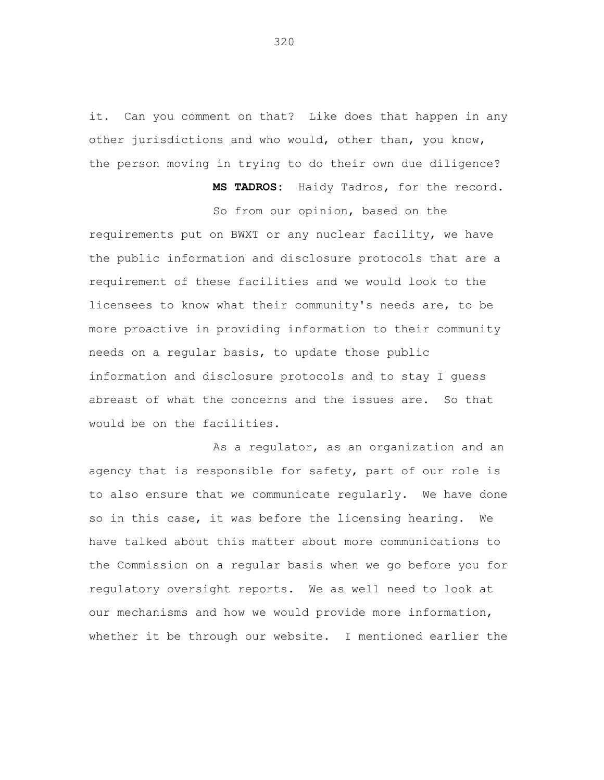it. Can you comment on that? Like does that happen in any other jurisdictions and who would, other than, you know, the person moving in trying to do their own due diligence?

**MS TADROS:** Haidy Tadros, for the record.

So from our opinion, based on the requirements put on BWXT or any nuclear facility, we have the public information and disclosure protocols that are a requirement of these facilities and we would look to the licensees to know what their community's needs are, to be more proactive in providing information to their community needs on a regular basis, to update those public information and disclosure protocols and to stay I guess abreast of what the concerns and the issues are. So that would be on the facilities.

As a regulator, as an organization and an agency that is responsible for safety, part of our role is to also ensure that we communicate regularly. We have done so in this case, it was before the licensing hearing. We have talked about this matter about more communications to the Commission on a regular basis when we go before you for regulatory oversight reports. We as well need to look at our mechanisms and how we would provide more information, whether it be through our website. I mentioned earlier the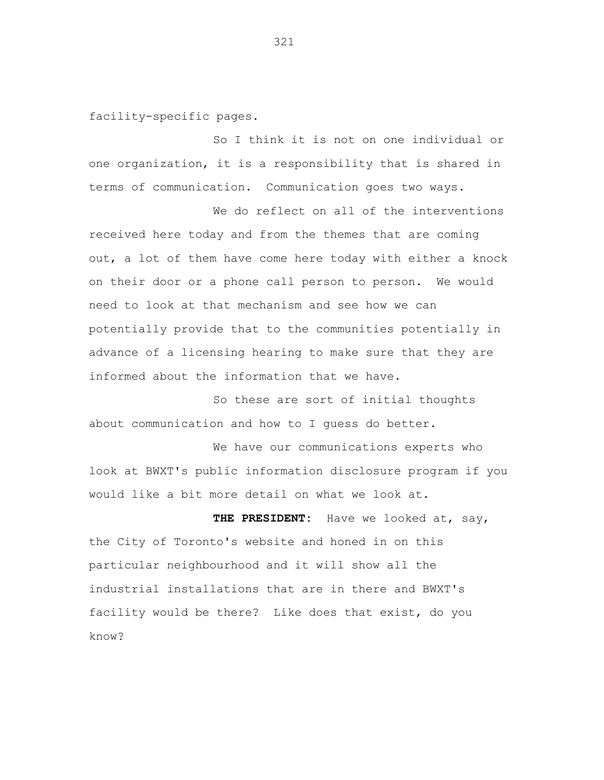facility-specific pages.

So I think it is not on one individual or one organization, it is a responsibility that is shared in terms of communication. Communication goes two ways.

We do reflect on all of the interventions received here today and from the themes that are coming out, a lot of them have come here today with either a knock on their door or a phone call person to person. We would need to look at that mechanism and see how we can potentially provide that to the communities potentially in advance of a licensing hearing to make sure that they are informed about the information that we have.

So these are sort of initial thoughts about communication and how to I guess do better.

We have our communications experts who look at BWXT's public information disclosure program if you would like a bit more detail on what we look at.

**THE PRESIDENT:** Have we looked at, say, the City of Toronto's website and honed in on this particular neighbourhood and it will show all the industrial installations that are in there and BWXT's facility would be there? Like does that exist, do you know?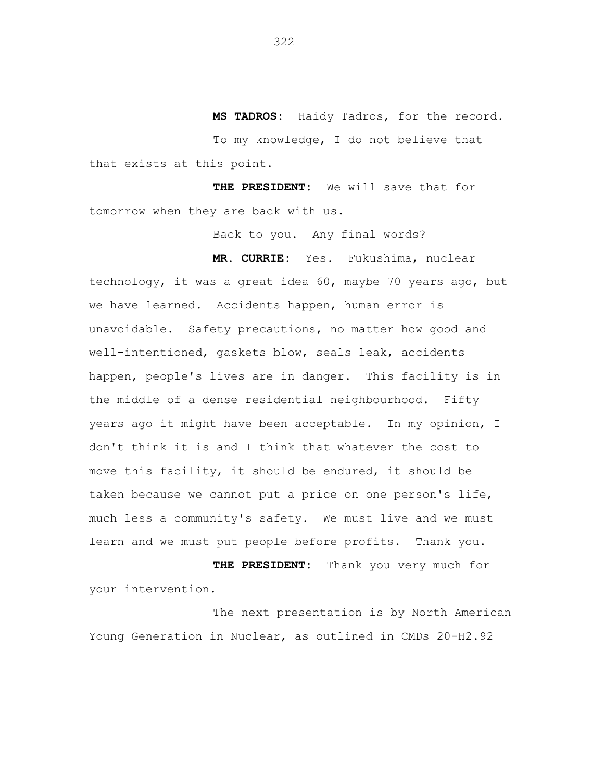**MS TADROS:** Haidy Tadros, for the record. To my knowledge, I do not believe that that exists at this point.

**THE PRESIDENT:** We will save that for tomorrow when they are back with us.

Back to you. Any final words?

**MR. CURRIE:** Yes. Fukushima, nuclear

technology, it was a great idea 60, maybe 70 years ago, but we have learned. Accidents happen, human error is unavoidable. Safety precautions, no matter how good and well-intentioned, gaskets blow, seals leak, accidents happen, people's lives are in danger. This facility is in the middle of a dense residential neighbourhood. Fifty years ago it might have been acceptable. In my opinion, I don't think it is and I think that whatever the cost to move this facility, it should be endured, it should be taken because we cannot put a price on one person's life, much less a community's safety. We must live and we must learn and we must put people before profits. Thank you.

**THE PRESIDENT:** Thank you very much for your intervention.

The next presentation is by North American Young Generation in Nuclear, as outlined in CMDs 20-H2.92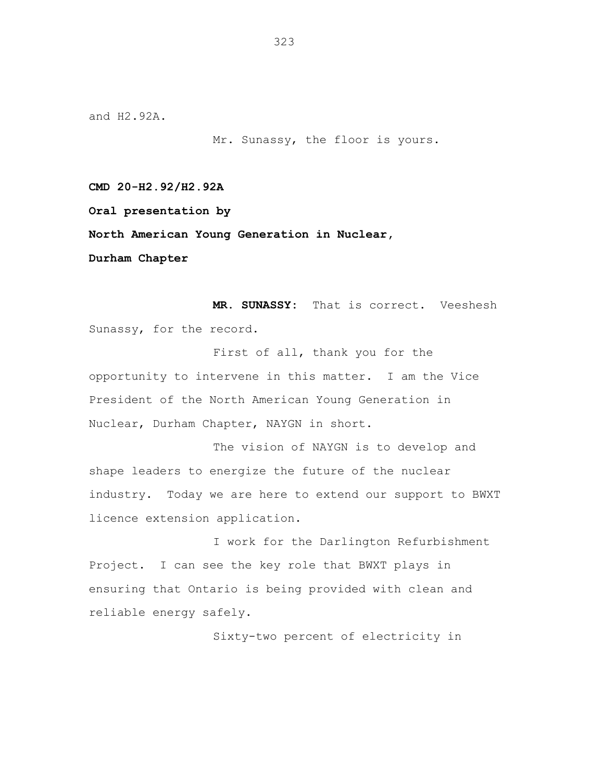and H2.92A.

Mr. Sunassy, the floor is yours.

**CMD 20-H2.92/H2.92A**

**Oral presentation by**

**North American Young Generation in Nuclear,**

**Durham Chapter**

**MR. SUNASSY:** That is correct. Veeshesh Sunassy, for the record.

First of all, thank you for the opportunity to intervene in this matter. I am the Vice President of the North American Young Generation in Nuclear, Durham Chapter, NAYGN in short.

The vision of NAYGN is to develop and shape leaders to energize the future of the nuclear industry. Today we are here to extend our support to BWXT licence extension application.

I work for the Darlington Refurbishment Project. I can see the key role that BWXT plays in ensuring that Ontario is being provided with clean and reliable energy safely.

Sixty-two percent of electricity in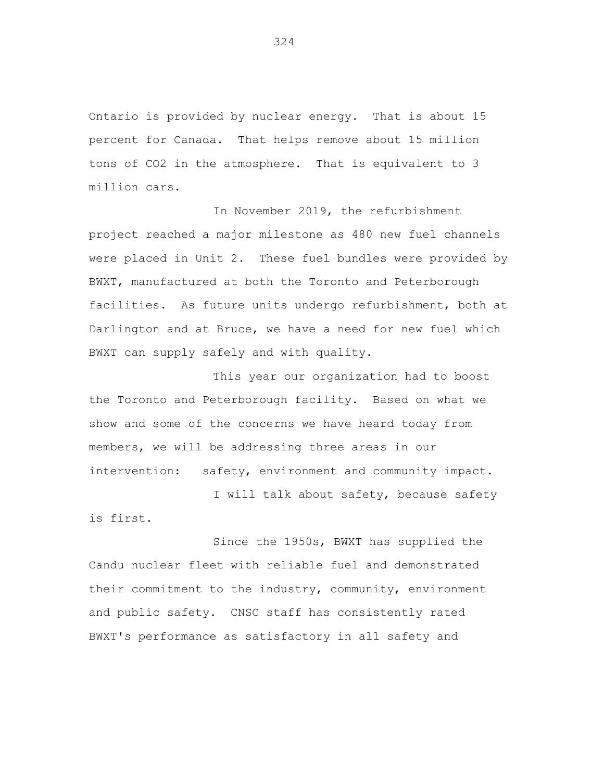Ontario is provided by nuclear energy. That is about 15 percent for Canada. That helps remove about 15 million tons of CO2 in the atmosphere. That is equivalent to 3 million cars.

In November 2019, the refurbishment project reached a major milestone as 480 new fuel channels were placed in Unit 2. These fuel bundles were provided by BWXT, manufactured at both the Toronto and Peterborough facilities. As future units undergo refurbishment, both at Darlington and at Bruce, we have a need for new fuel which BWXT can supply safely and with quality.

This year our organization had to boost the Toronto and Peterborough facility. Based on what we show and some of the concerns we have heard today from members, we will be addressing three areas in our intervention: safety, environment and community impact.

I will talk about safety, because safety

is first.

Since the 1950s, BWXT has supplied the Candu nuclear fleet with reliable fuel and demonstrated their commitment to the industry, community, environment and public safety. CNSC staff has consistently rated BWXT's performance as satisfactory in all safety and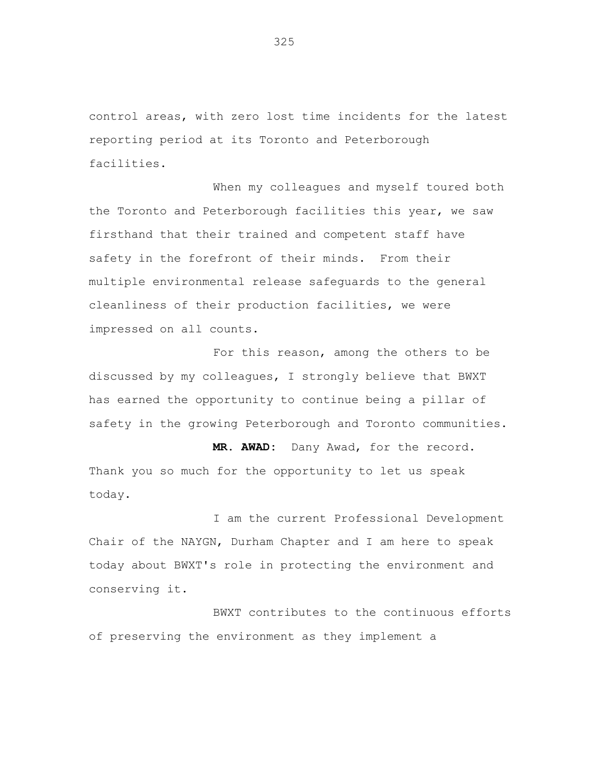control areas, with zero lost time incidents for the latest reporting period at its Toronto and Peterborough facilities.

When my colleagues and myself toured both the Toronto and Peterborough facilities this year, we saw firsthand that their trained and competent staff have safety in the forefront of their minds. From their multiple environmental release safeguards to the general cleanliness of their production facilities, we were impressed on all counts.

For this reason, among the others to be discussed by my colleagues, I strongly believe that BWXT has earned the opportunity to continue being a pillar of safety in the growing Peterborough and Toronto communities.

**MR. AWAD:** Dany Awad, for the record. Thank you so much for the opportunity to let us speak today.

I am the current Professional Development Chair of the NAYGN, Durham Chapter and I am here to speak today about BWXT's role in protecting the environment and conserving it.

BWXT contributes to the continuous efforts of preserving the environment as they implement a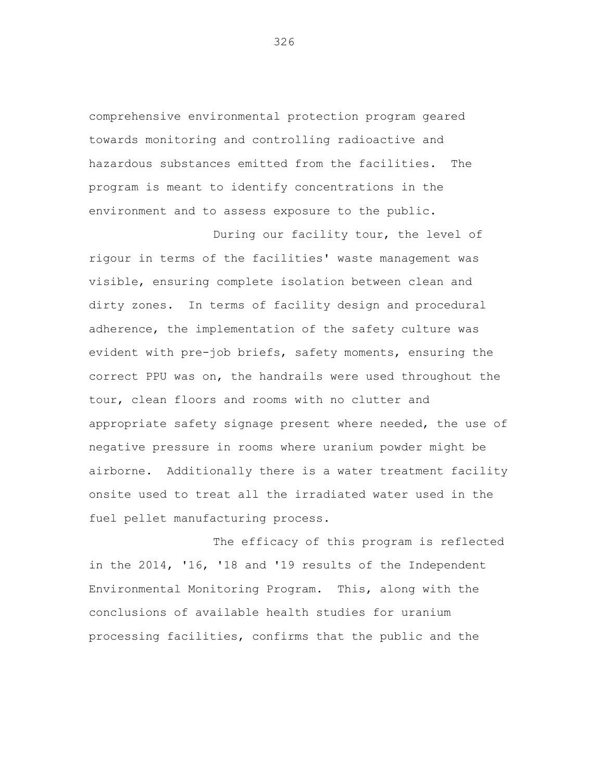comprehensive environmental protection program geared towards monitoring and controlling radioactive and hazardous substances emitted from the facilities. The program is meant to identify concentrations in the environment and to assess exposure to the public.

During our facility tour, the level of rigour in terms of the facilities' waste management was visible, ensuring complete isolation between clean and dirty zones. In terms of facility design and procedural adherence, the implementation of the safety culture was evident with pre-job briefs, safety moments, ensuring the correct PPU was on, the handrails were used throughout the tour, clean floors and rooms with no clutter and appropriate safety signage present where needed, the use of negative pressure in rooms where uranium powder might be airborne. Additionally there is a water treatment facility onsite used to treat all the irradiated water used in the fuel pellet manufacturing process.

The efficacy of this program is reflected in the 2014, '16, '18 and '19 results of the Independent Environmental Monitoring Program. This, along with the conclusions of available health studies for uranium processing facilities, confirms that the public and the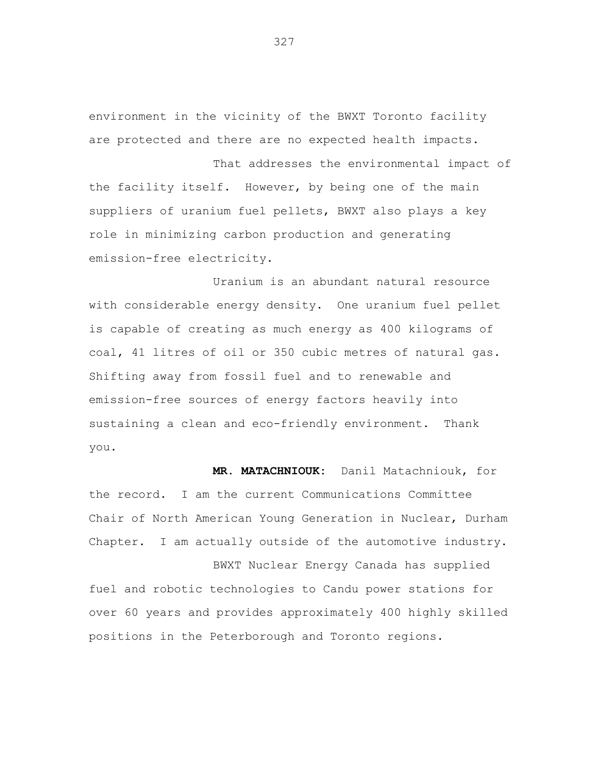environment in the vicinity of the BWXT Toronto facility are protected and there are no expected health impacts.

That addresses the environmental impact of the facility itself. However, by being one of the main suppliers of uranium fuel pellets, BWXT also plays a key role in minimizing carbon production and generating emission-free electricity.

Uranium is an abundant natural resource with considerable energy density. One uranium fuel pellet is capable of creating as much energy as 400 kilograms of coal, 41 litres of oil or 350 cubic metres of natural gas. Shifting away from fossil fuel and to renewable and emission-free sources of energy factors heavily into sustaining a clean and eco-friendly environment. Thank you.

**MR. MATACHNIOUK:** Danil Matachniouk, for the record. I am the current Communications Committee Chair of North American Young Generation in Nuclear, Durham Chapter. I am actually outside of the automotive industry.

BWXT Nuclear Energy Canada has supplied fuel and robotic technologies to Candu power stations for over 60 years and provides approximately 400 highly skilled positions in the Peterborough and Toronto regions.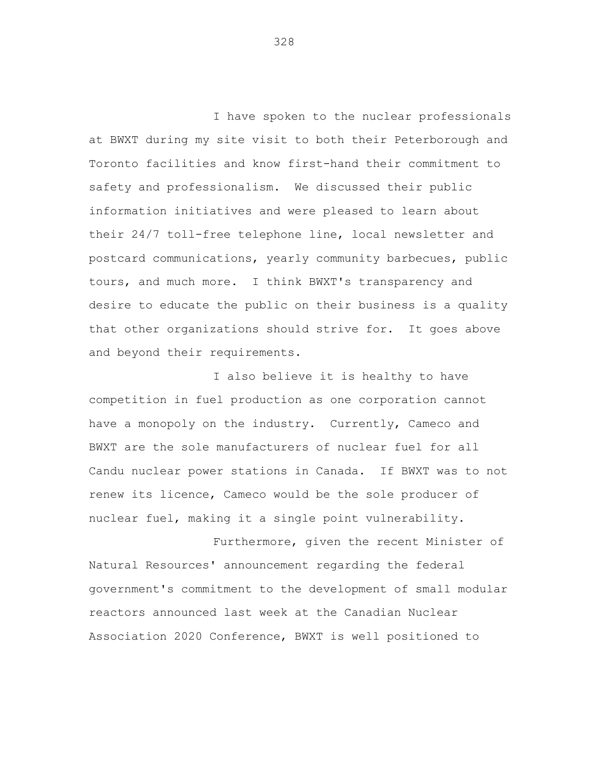I have spoken to the nuclear professionals at BWXT during my site visit to both their Peterborough and Toronto facilities and know first-hand their commitment to safety and professionalism. We discussed their public information initiatives and were pleased to learn about their 24/7 toll-free telephone line, local newsletter and postcard communications, yearly community barbecues, public tours, and much more. I think BWXT's transparency and desire to educate the public on their business is a quality that other organizations should strive for. It goes above and beyond their requirements.

I also believe it is healthy to have competition in fuel production as one corporation cannot have a monopoly on the industry. Currently, Cameco and BWXT are the sole manufacturers of nuclear fuel for all Candu nuclear power stations in Canada. If BWXT was to not renew its licence, Cameco would be the sole producer of nuclear fuel, making it a single point vulnerability.

Furthermore, given the recent Minister of Natural Resources' announcement regarding the federal government's commitment to the development of small modular reactors announced last week at the Canadian Nuclear Association 2020 Conference, BWXT is well positioned to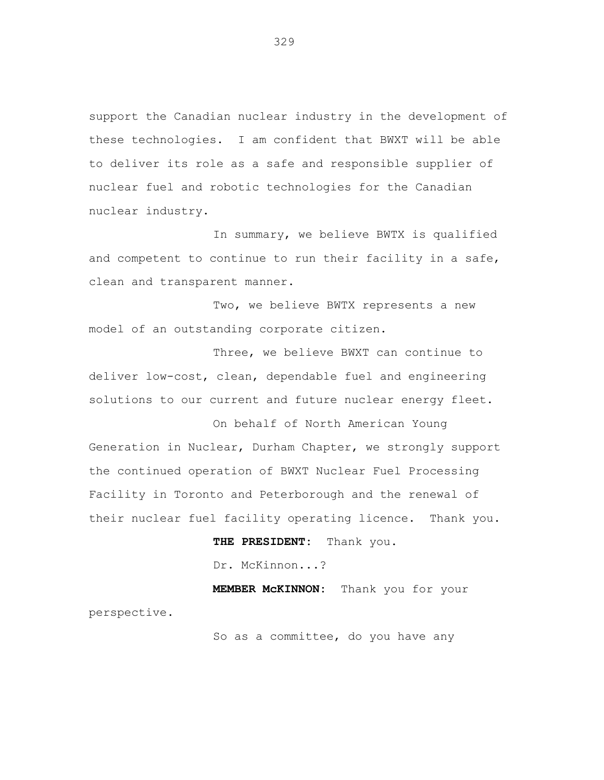support the Canadian nuclear industry in the development of these technologies. I am confident that BWXT will be able to deliver its role as a safe and responsible supplier of nuclear fuel and robotic technologies for the Canadian nuclear industry.

In summary, we believe BWTX is qualified and competent to continue to run their facility in a safe, clean and transparent manner.

Two, we believe BWTX represents a new model of an outstanding corporate citizen.

Three, we believe BWXT can continue to deliver low-cost, clean, dependable fuel and engineering solutions to our current and future nuclear energy fleet.

On behalf of North American Young Generation in Nuclear, Durham Chapter, we strongly support the continued operation of BWXT Nuclear Fuel Processing Facility in Toronto and Peterborough and the renewal of their nuclear fuel facility operating licence. Thank you.

> **THE PRESIDENT:** Thank you. Dr. McKinnon...?

**MEMBER McKINNON:** Thank you for your perspective.

So as a committee, do you have any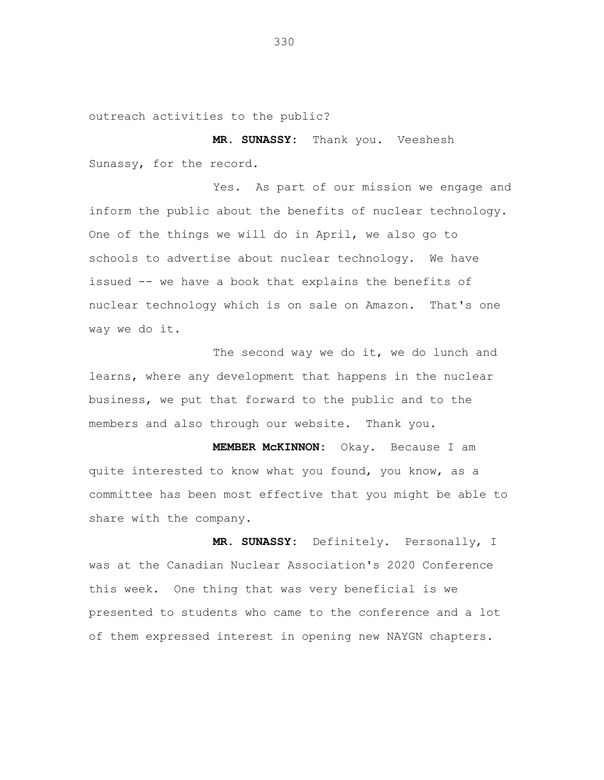outreach activities to the public?

**MR. SUNASSY:** Thank you. Veeshesh Sunassy, for the record.

Yes. As part of our mission we engage and inform the public about the benefits of nuclear technology. One of the things we will do in April, we also go to schools to advertise about nuclear technology. We have issued -- we have a book that explains the benefits of nuclear technology which is on sale on Amazon. That's one way we do it.

The second way we do it, we do lunch and learns, where any development that happens in the nuclear business, we put that forward to the public and to the members and also through our website. Thank you.

**MEMBER McKINNON:** Okay. Because I am quite interested to know what you found, you know, as a committee has been most effective that you might be able to share with the company.

**MR. SUNASSY:** Definitely. Personally, I was at the Canadian Nuclear Association's 2020 Conference this week. One thing that was very beneficial is we presented to students who came to the conference and a lot of them expressed interest in opening new NAYGN chapters.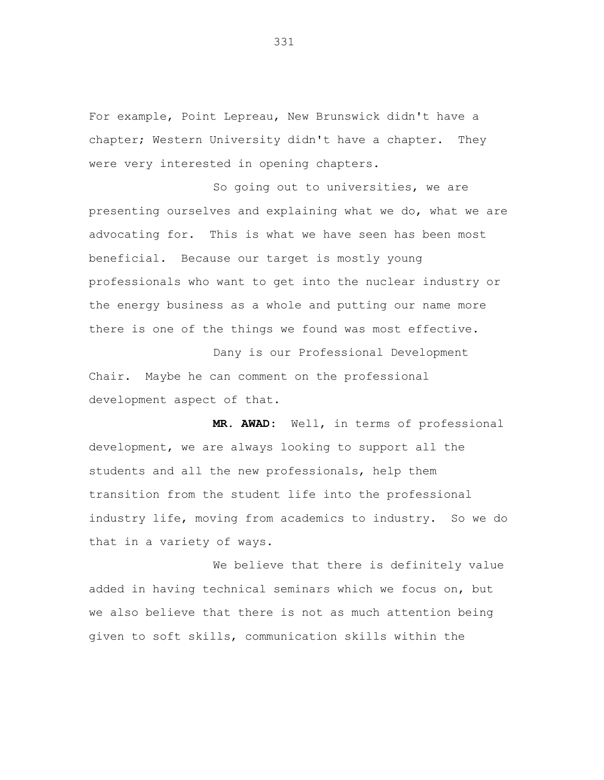For example, Point Lepreau, New Brunswick didn't have a chapter; Western University didn't have a chapter. They were very interested in opening chapters.

So going out to universities, we are presenting ourselves and explaining what we do, what we are advocating for. This is what we have seen has been most beneficial. Because our target is mostly young professionals who want to get into the nuclear industry or the energy business as a whole and putting our name more there is one of the things we found was most effective.

Dany is our Professional Development Chair. Maybe he can comment on the professional development aspect of that.

**MR. AWAD:** Well, in terms of professional development, we are always looking to support all the students and all the new professionals, help them transition from the student life into the professional industry life, moving from academics to industry. So we do that in a variety of ways.

We believe that there is definitely value added in having technical seminars which we focus on, but we also believe that there is not as much attention being given to soft skills, communication skills within the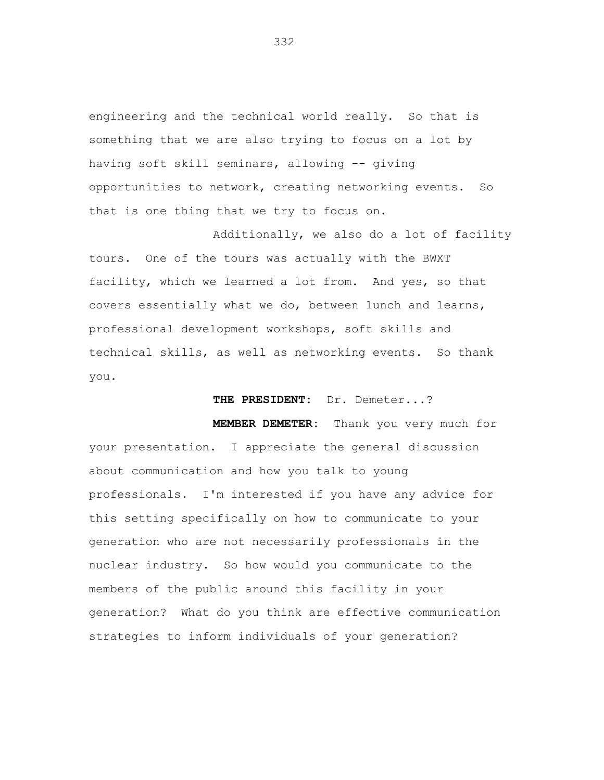engineering and the technical world really. So that is something that we are also trying to focus on a lot by having soft skill seminars, allowing -- giving opportunities to network, creating networking events. So that is one thing that we try to focus on.

Additionally, we also do a lot of facility tours. One of the tours was actually with the BWXT facility, which we learned a lot from. And yes, so that covers essentially what we do, between lunch and learns, professional development workshops, soft skills and technical skills, as well as networking events. So thank you.

**THE PRESIDENT:** Dr. Demeter...?

**MEMBER DEMETER:** Thank you very much for your presentation. I appreciate the general discussion about communication and how you talk to young professionals. I'm interested if you have any advice for this setting specifically on how to communicate to your generation who are not necessarily professionals in the nuclear industry. So how would you communicate to the members of the public around this facility in your generation? What do you think are effective communication strategies to inform individuals of your generation?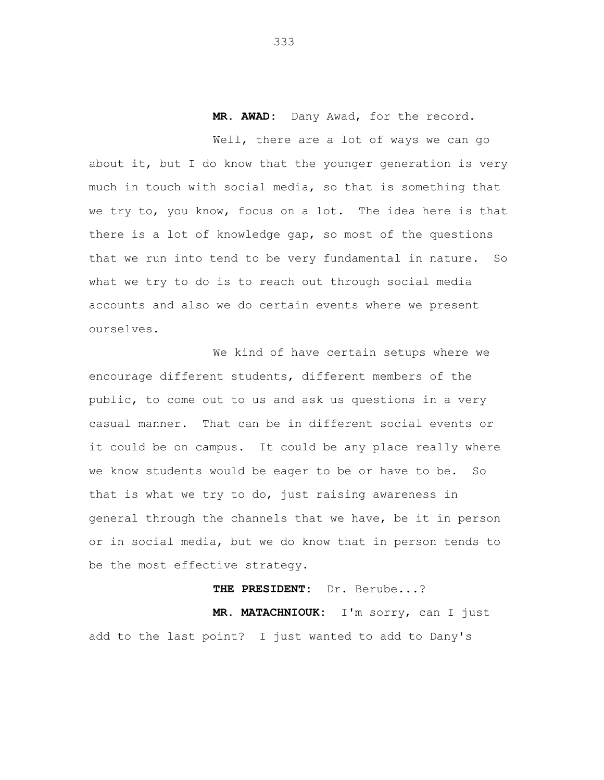**MR. AWAD:** Dany Awad, for the record.

Well, there are a lot of ways we can go about it, but I do know that the younger generation is very much in touch with social media, so that is something that we try to, you know, focus on a lot. The idea here is that there is a lot of knowledge gap, so most of the questions that we run into tend to be very fundamental in nature. So what we try to do is to reach out through social media accounts and also we do certain events where we present ourselves.

We kind of have certain setups where we encourage different students, different members of the public, to come out to us and ask us questions in a very casual manner. That can be in different social events or it could be on campus. It could be any place really where we know students would be eager to be or have to be. So that is what we try to do, just raising awareness in general through the channels that we have, be it in person or in social media, but we do know that in person tends to be the most effective strategy.

**THE PRESIDENT:** Dr. Berube...?

**MR. MATACHNIOUK:** I'm sorry, can I just add to the last point? I just wanted to add to Dany's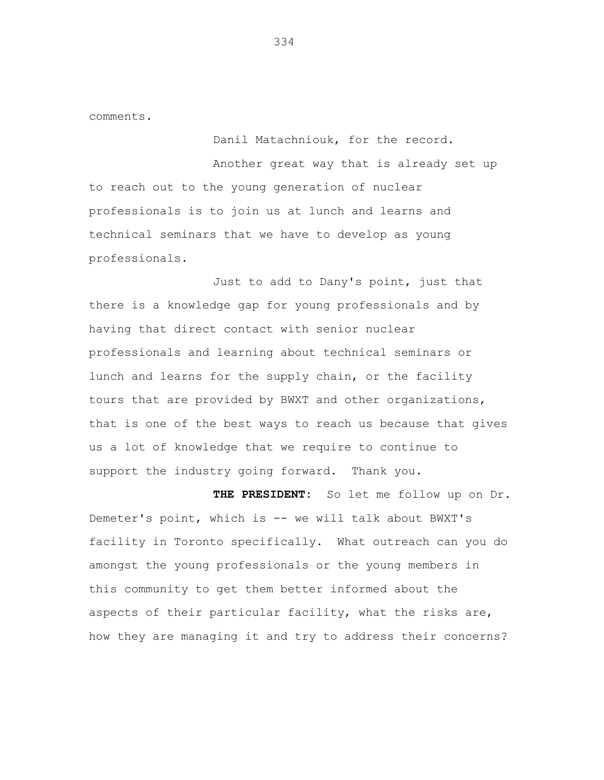comments.

Danil Matachniouk, for the record.

Another great way that is already set up to reach out to the young generation of nuclear professionals is to join us at lunch and learns and technical seminars that we have to develop as young professionals.

Just to add to Dany's point, just that there is a knowledge gap for young professionals and by having that direct contact with senior nuclear professionals and learning about technical seminars or lunch and learns for the supply chain, or the facility tours that are provided by BWXT and other organizations, that is one of the best ways to reach us because that gives us a lot of knowledge that we require to continue to support the industry going forward. Thank you.

**THE PRESIDENT:** So let me follow up on Dr. Demeter's point, which is -- we will talk about BWXT's facility in Toronto specifically. What outreach can you do amongst the young professionals or the young members in this community to get them better informed about the aspects of their particular facility, what the risks are, how they are managing it and try to address their concerns?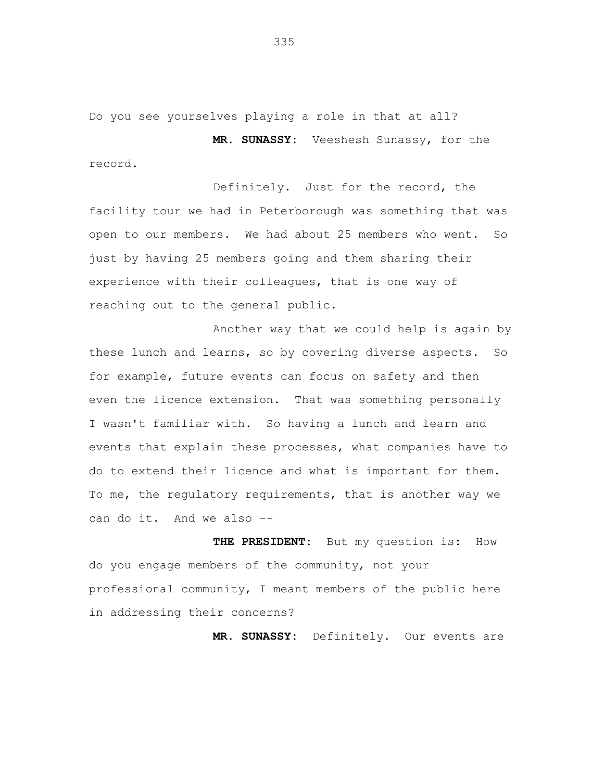Do you see yourselves playing a role in that at all?

**MR. SUNASSY:** Veeshesh Sunassy, for the record.

Definitely. Just for the record, the facility tour we had in Peterborough was something that was open to our members. We had about 25 members who went. So just by having 25 members going and them sharing their experience with their colleagues, that is one way of reaching out to the general public.

Another way that we could help is again by these lunch and learns, so by covering diverse aspects. So for example, future events can focus on safety and then even the licence extension. That was something personally I wasn't familiar with. So having a lunch and learn and events that explain these processes, what companies have to do to extend their licence and what is important for them. To me, the regulatory requirements, that is another way we can do it. And we also --

THE PRESIDENT: But my question is: How do you engage members of the community, not your professional community, I meant members of the public here in addressing their concerns?

**MR. SUNASSY:** Definitely. Our events are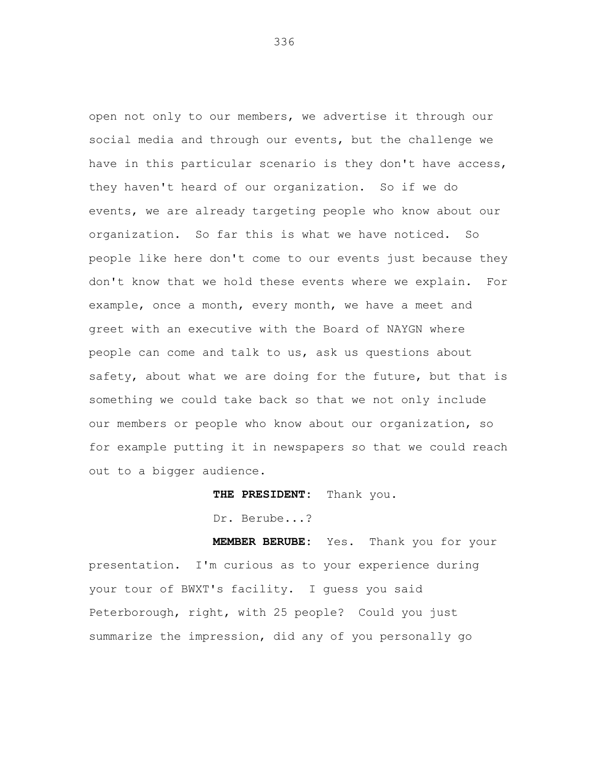open not only to our members, we advertise it through our social media and through our events, but the challenge we have in this particular scenario is they don't have access, they haven't heard of our organization. So if we do events, we are already targeting people who know about our organization. So far this is what we have noticed. So people like here don't come to our events just because they don't know that we hold these events where we explain. For example, once a month, every month, we have a meet and greet with an executive with the Board of NAYGN where people can come and talk to us, ask us questions about safety, about what we are doing for the future, but that is something we could take back so that we not only include our members or people who know about our organization, so for example putting it in newspapers so that we could reach out to a bigger audience.

**THE PRESIDENT:** Thank you.

Dr. Berube...?

**MEMBER BERUBE:** Yes. Thank you for your presentation. I'm curious as to your experience during your tour of BWXT's facility. I guess you said Peterborough, right, with 25 people? Could you just summarize the impression, did any of you personally go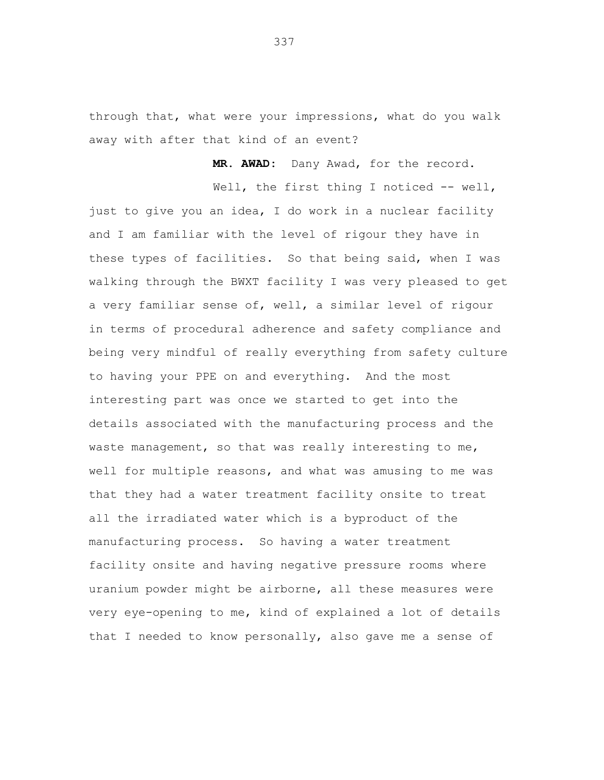through that, what were your impressions, what do you walk away with after that kind of an event?

**MR. AWAD:** Dany Awad, for the record.

Well, the first thing I noticed -- well, just to give you an idea, I do work in a nuclear facility and I am familiar with the level of rigour they have in these types of facilities. So that being said, when I was walking through the BWXT facility I was very pleased to get a very familiar sense of, well, a similar level of rigour in terms of procedural adherence and safety compliance and being very mindful of really everything from safety culture to having your PPE on and everything. And the most interesting part was once we started to get into the details associated with the manufacturing process and the waste management, so that was really interesting to me, well for multiple reasons, and what was amusing to me was that they had a water treatment facility onsite to treat all the irradiated water which is a byproduct of the manufacturing process. So having a water treatment facility onsite and having negative pressure rooms where uranium powder might be airborne, all these measures were very eye-opening to me, kind of explained a lot of details that I needed to know personally, also gave me a sense of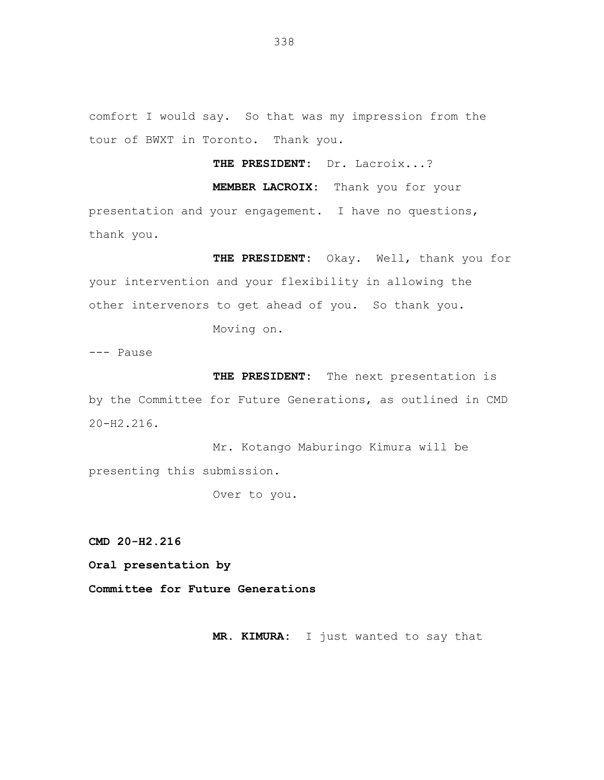comfort I would say. So that was my impression from the tour of BWXT in Toronto. Thank you.

**THE PRESIDENT:** Dr. Lacroix...?

**MEMBER LACROIX:** Thank you for your

presentation and your engagement. I have no questions, thank you.

**THE PRESIDENT:** Okay. Well, thank you for your intervention and your flexibility in allowing the other intervenors to get ahead of you. So thank you.

Moving on.

--- Pause

**THE PRESIDENT:** The next presentation is by the Committee for Future Generations, as outlined in CMD 20-H2.216.

Mr. Kotango Maburingo Kimura will be presenting this submission.

Over to you.

**CMD 20-H2.216**

**Oral presentation by**

**Committee for Future Generations**

**MR. KIMURA:** I just wanted to say that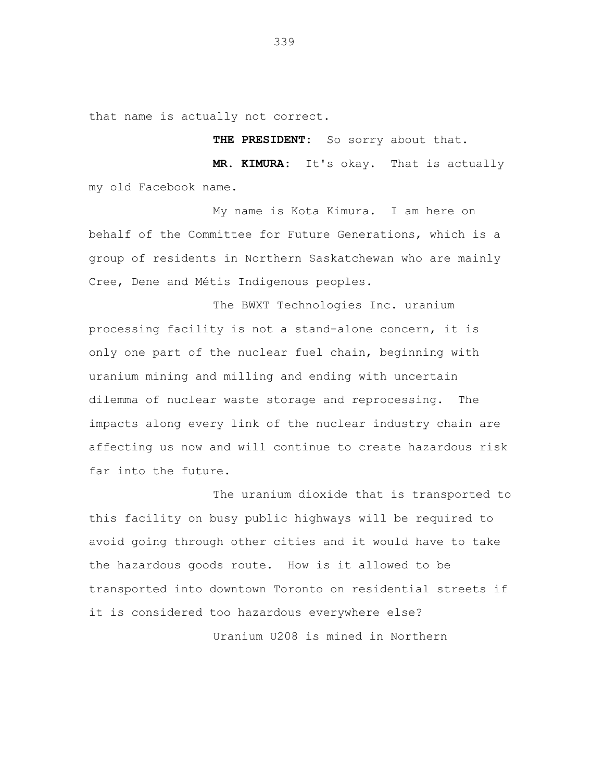that name is actually not correct.

**THE PRESIDENT:** So sorry about that.

**MR. KIMURA:** It's okay. That is actually my old Facebook name.

My name is Kota Kimura. I am here on behalf of the Committee for Future Generations, which is a group of residents in Northern Saskatchewan who are mainly Cree, Dene and Métis Indigenous peoples.

The BWXT Technologies Inc. uranium processing facility is not a stand-alone concern, it is only one part of the nuclear fuel chain, beginning with uranium mining and milling and ending with uncertain dilemma of nuclear waste storage and reprocessing. The impacts along every link of the nuclear industry chain are affecting us now and will continue to create hazardous risk far into the future.

The uranium dioxide that is transported to this facility on busy public highways will be required to avoid going through other cities and it would have to take the hazardous goods route. How is it allowed to be transported into downtown Toronto on residential streets if it is considered too hazardous everywhere else? Uranium U208 is mined in Northern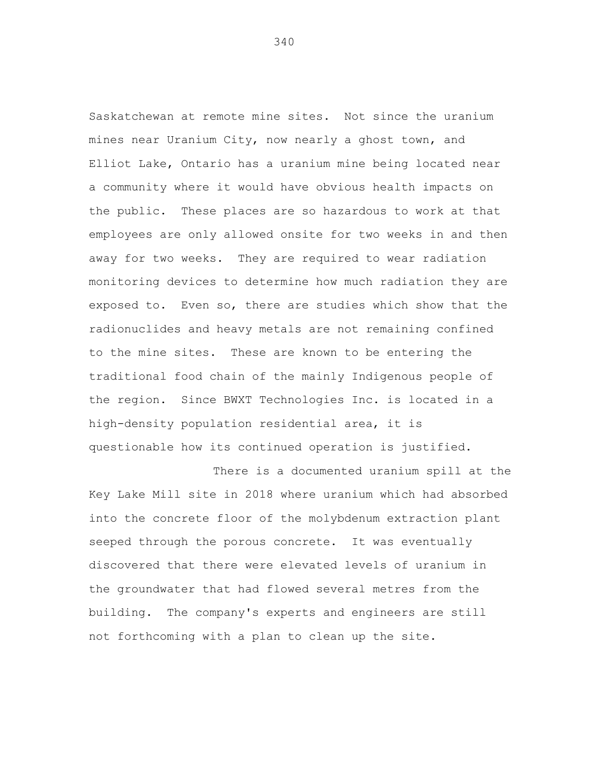Saskatchewan at remote mine sites. Not since the uranium mines near Uranium City, now nearly a ghost town, and Elliot Lake, Ontario has a uranium mine being located near a community where it would have obvious health impacts on the public. These places are so hazardous to work at that employees are only allowed onsite for two weeks in and then away for two weeks. They are required to wear radiation monitoring devices to determine how much radiation they are exposed to. Even so, there are studies which show that the radionuclides and heavy metals are not remaining confined to the mine sites. These are known to be entering the traditional food chain of the mainly Indigenous people of the region. Since BWXT Technologies Inc. is located in a high-density population residential area, it is questionable how its continued operation is justified.

There is a documented uranium spill at the Key Lake Mill site in 2018 where uranium which had absorbed into the concrete floor of the molybdenum extraction plant seeped through the porous concrete. It was eventually discovered that there were elevated levels of uranium in the groundwater that had flowed several metres from the building. The company's experts and engineers are still not forthcoming with a plan to clean up the site.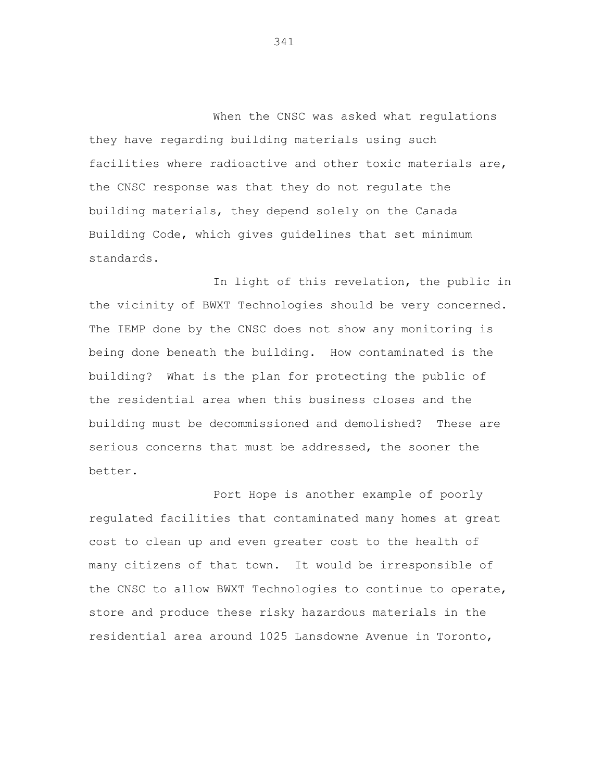When the CNSC was asked what regulations they have regarding building materials using such facilities where radioactive and other toxic materials are, the CNSC response was that they do not regulate the building materials, they depend solely on the Canada Building Code, which gives guidelines that set minimum standards.

In light of this revelation, the public in the vicinity of BWXT Technologies should be very concerned. The IEMP done by the CNSC does not show any monitoring is being done beneath the building. How contaminated is the building? What is the plan for protecting the public of the residential area when this business closes and the building must be decommissioned and demolished? These are serious concerns that must be addressed, the sooner the better.

Port Hope is another example of poorly regulated facilities that contaminated many homes at great cost to clean up and even greater cost to the health of many citizens of that town. It would be irresponsible of the CNSC to allow BWXT Technologies to continue to operate, store and produce these risky hazardous materials in the residential area around 1025 Lansdowne Avenue in Toronto,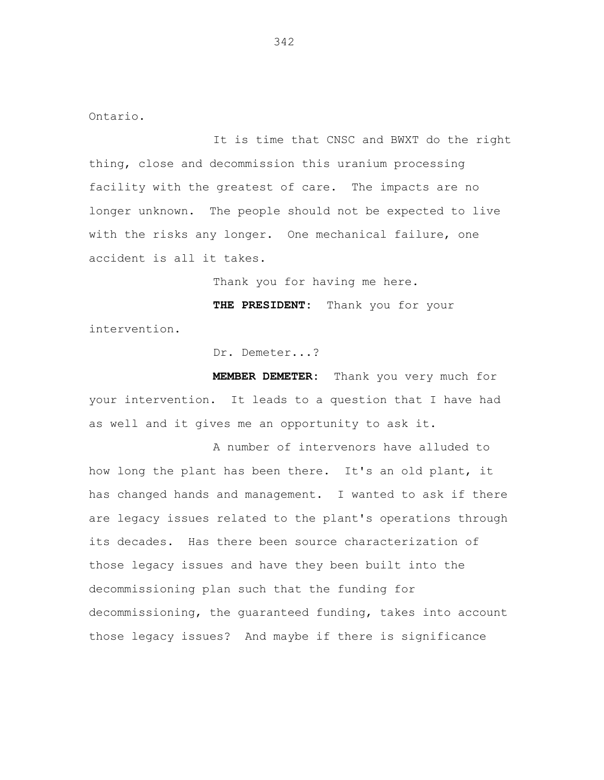Ontario.

It is time that CNSC and BWXT do the right thing, close and decommission this uranium processing facility with the greatest of care. The impacts are no longer unknown. The people should not be expected to live with the risks any longer. One mechanical failure, one accident is all it takes.

Thank you for having me here.

**THE PRESIDENT:** Thank you for your intervention.

Dr. Demeter...?

**MEMBER DEMETER:** Thank you very much for your intervention. It leads to a question that I have had as well and it gives me an opportunity to ask it.

A number of intervenors have alluded to how long the plant has been there. It's an old plant, it has changed hands and management. I wanted to ask if there are legacy issues related to the plant's operations through its decades. Has there been source characterization of those legacy issues and have they been built into the decommissioning plan such that the funding for decommissioning, the guaranteed funding, takes into account those legacy issues? And maybe if there is significance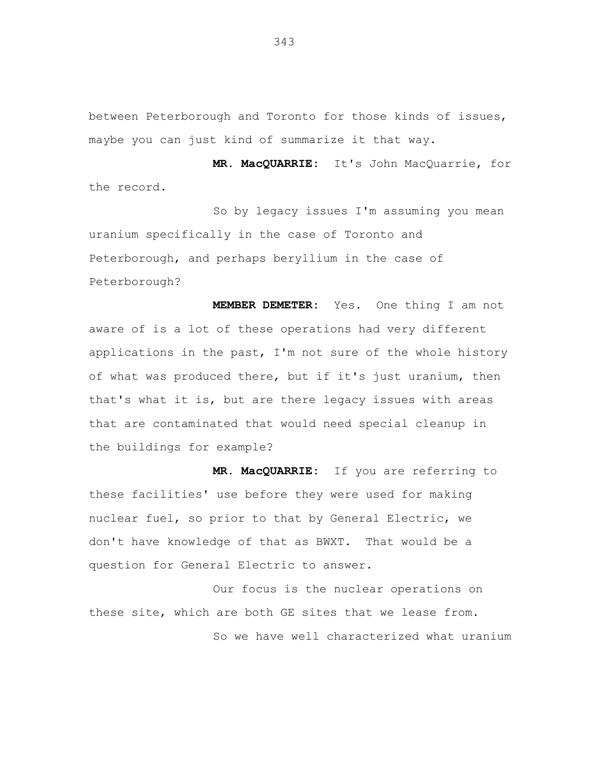between Peterborough and Toronto for those kinds of issues, maybe you can just kind of summarize it that way.

**MR. MacQUARRIE:** It's John MacQuarrie, for the record.

So by legacy issues I'm assuming you mean uranium specifically in the case of Toronto and Peterborough, and perhaps beryllium in the case of Peterborough?

**MEMBER DEMETER:** Yes. One thing I am not aware of is a lot of these operations had very different applications in the past, I'm not sure of the whole history of what was produced there, but if it's just uranium, then that's what it is, but are there legacy issues with areas that are contaminated that would need special cleanup in the buildings for example?

**MR. MacQUARRIE:** If you are referring to these facilities' use before they were used for making nuclear fuel, so prior to that by General Electric, we don't have knowledge of that as BWXT. That would be a question for General Electric to answer.

Our focus is the nuclear operations on these site, which are both GE sites that we lease from. So we have well characterized what uranium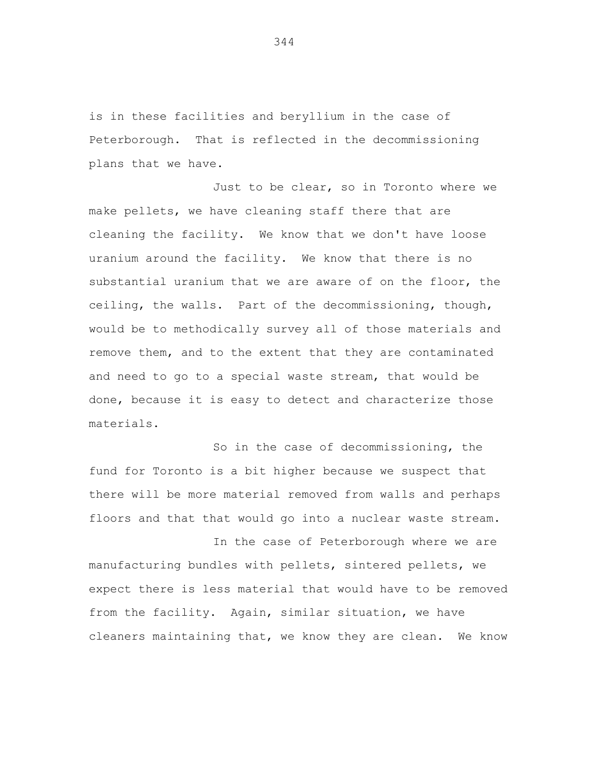is in these facilities and beryllium in the case of Peterborough. That is reflected in the decommissioning plans that we have.

Just to be clear, so in Toronto where we make pellets, we have cleaning staff there that are cleaning the facility. We know that we don't have loose uranium around the facility. We know that there is no substantial uranium that we are aware of on the floor, the ceiling, the walls. Part of the decommissioning, though, would be to methodically survey all of those materials and remove them, and to the extent that they are contaminated and need to go to a special waste stream, that would be done, because it is easy to detect and characterize those materials.

So in the case of decommissioning, the fund for Toronto is a bit higher because we suspect that there will be more material removed from walls and perhaps floors and that that would go into a nuclear waste stream.

In the case of Peterborough where we are manufacturing bundles with pellets, sintered pellets, we expect there is less material that would have to be removed from the facility. Again, similar situation, we have cleaners maintaining that, we know they are clean. We know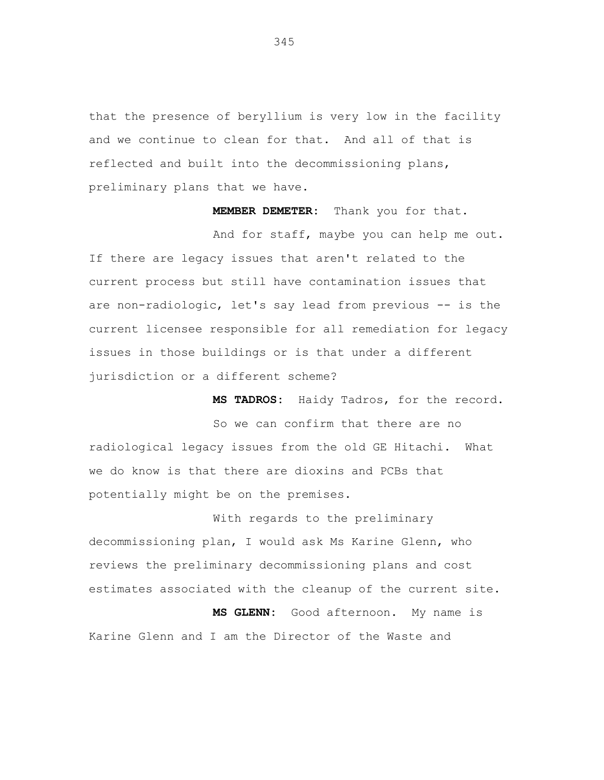that the presence of beryllium is very low in the facility and we continue to clean for that. And all of that is reflected and built into the decommissioning plans, preliminary plans that we have.

**MEMBER DEMETER:** Thank you for that.

And for staff, maybe you can help me out. If there are legacy issues that aren't related to the current process but still have contamination issues that are non-radiologic, let's say lead from previous -- is the current licensee responsible for all remediation for legacy issues in those buildings or is that under a different jurisdiction or a different scheme?

**MS TADROS:** Haidy Tadros, for the record.

So we can confirm that there are no radiological legacy issues from the old GE Hitachi. What we do know is that there are dioxins and PCBs that potentially might be on the premises.

With regards to the preliminary decommissioning plan, I would ask Ms Karine Glenn, who reviews the preliminary decommissioning plans and cost estimates associated with the cleanup of the current site.

**MS GLENN:** Good afternoon. My name is Karine Glenn and I am the Director of the Waste and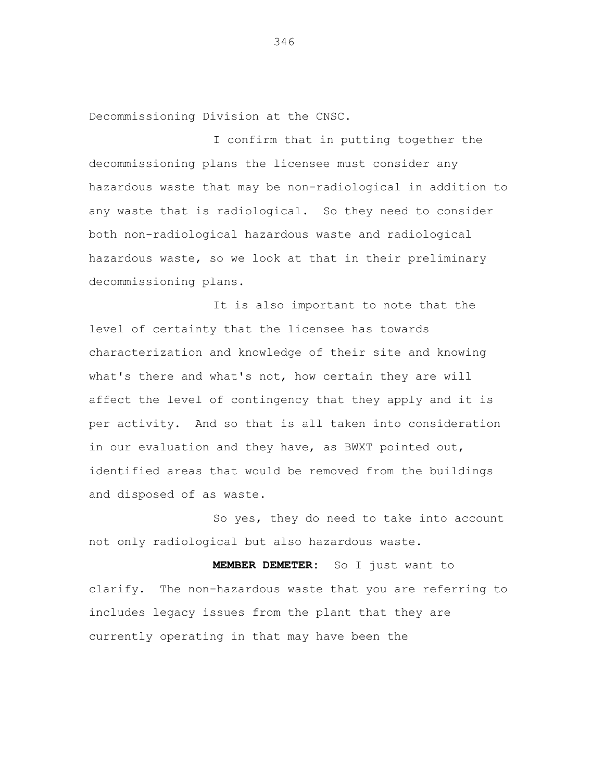Decommissioning Division at the CNSC.

I confirm that in putting together the decommissioning plans the licensee must consider any hazardous waste that may be non-radiological in addition to any waste that is radiological. So they need to consider both non-radiological hazardous waste and radiological hazardous waste, so we look at that in their preliminary decommissioning plans.

It is also important to note that the level of certainty that the licensee has towards characterization and knowledge of their site and knowing what's there and what's not, how certain they are will affect the level of contingency that they apply and it is per activity. And so that is all taken into consideration in our evaluation and they have, as BWXT pointed out, identified areas that would be removed from the buildings and disposed of as waste.

So yes, they do need to take into account not only radiological but also hazardous waste.

**MEMBER DEMETER:** So I just want to clarify. The non-hazardous waste that you are referring to includes legacy issues from the plant that they are currently operating in that may have been the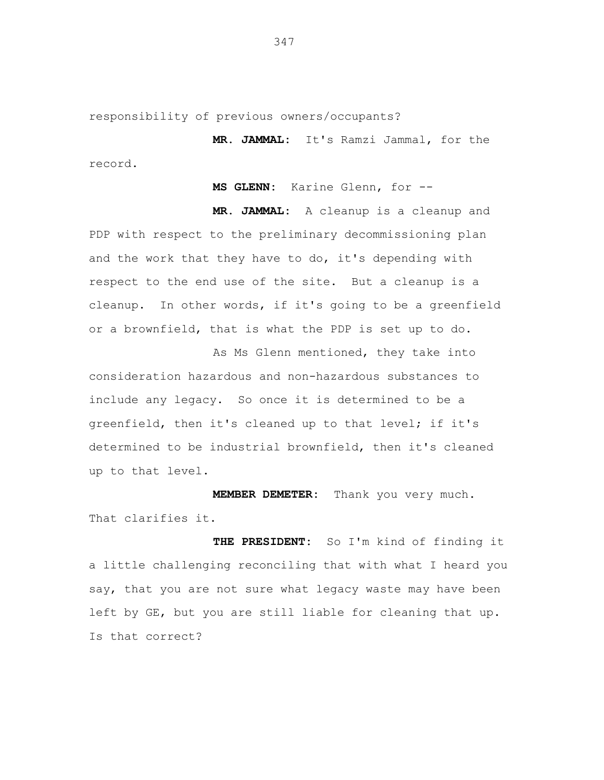responsibility of previous owners/occupants?

**MR. JAMMAL:** It's Ramzi Jammal, for the record.

**MS GLENN:** Karine Glenn, for --

**MR. JAMMAL:** A cleanup is a cleanup and PDP with respect to the preliminary decommissioning plan and the work that they have to do, it's depending with respect to the end use of the site. But a cleanup is a cleanup. In other words, if it's going to be a greenfield or a brownfield, that is what the PDP is set up to do.

As Ms Glenn mentioned, they take into consideration hazardous and non-hazardous substances to include any legacy. So once it is determined to be a greenfield, then it's cleaned up to that level; if it's determined to be industrial brownfield, then it's cleaned up to that level.

**MEMBER DEMETER:** Thank you very much. That clarifies it.

**THE PRESIDENT:** So I'm kind of finding it a little challenging reconciling that with what I heard you say, that you are not sure what legacy waste may have been left by GE, but you are still liable for cleaning that up. Is that correct?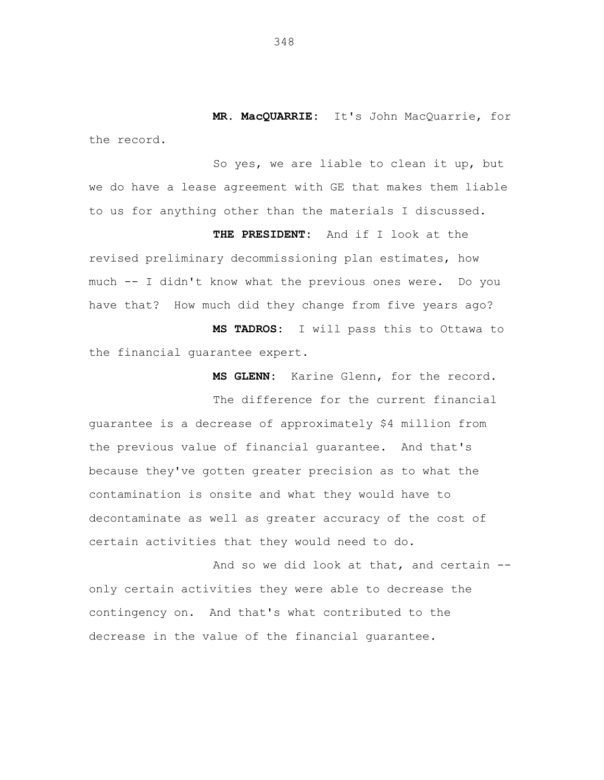**MR. MacQUARRIE:** It's John MacQuarrie, for the record.

So yes, we are liable to clean it up, but we do have a lease agreement with GE that makes them liable to us for anything other than the materials I discussed.

**THE PRESIDENT:** And if I look at the revised preliminary decommissioning plan estimates, how much -- I didn't know what the previous ones were. Do you have that? How much did they change from five years ago?

**MS TADROS:** I will pass this to Ottawa to the financial guarantee expert.

**MS GLENN:** Karine Glenn, for the record.

The difference for the current financial guarantee is a decrease of approximately \$4 million from the previous value of financial guarantee. And that's because they've gotten greater precision as to what the contamination is onsite and what they would have to decontaminate as well as greater accuracy of the cost of certain activities that they would need to do.

And so we did look at that, and certain - only certain activities they were able to decrease the contingency on. And that's what contributed to the decrease in the value of the financial guarantee.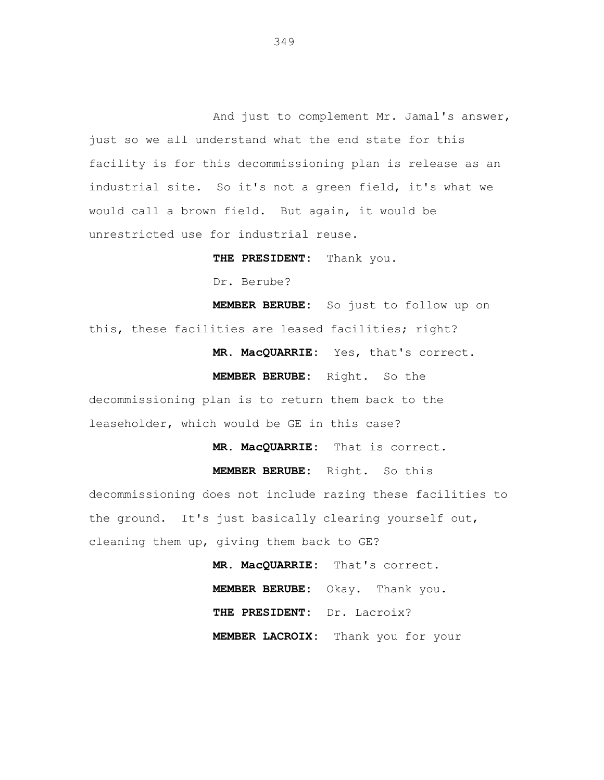And just to complement Mr. Jamal's answer, just so we all understand what the end state for this facility is for this decommissioning plan is release as an industrial site. So it's not a green field, it's what we would call a brown field. But again, it would be unrestricted use for industrial reuse.

**THE PRESIDENT:** Thank you.

Dr. Berube?

**MEMBER BERUBE:** So just to follow up on this, these facilities are leased facilities; right?

**MR. MacQUARRIE:** Yes, that's correct.

**MEMBER BERUBE:** Right. So the

decommissioning plan is to return them back to the leaseholder, which would be GE in this case?

**MR. MacQUARRIE:** That is correct.

**MEMBER BERUBE:** Right. So this

decommissioning does not include razing these facilities to the ground. It's just basically clearing yourself out, cleaning them up, giving them back to GE?

> **MR. MacQUARRIE:** That's correct. **MEMBER BERUBE:** Okay. Thank you. **THE PRESIDENT:** Dr. Lacroix? **MEMBER LACROIX:** Thank you for your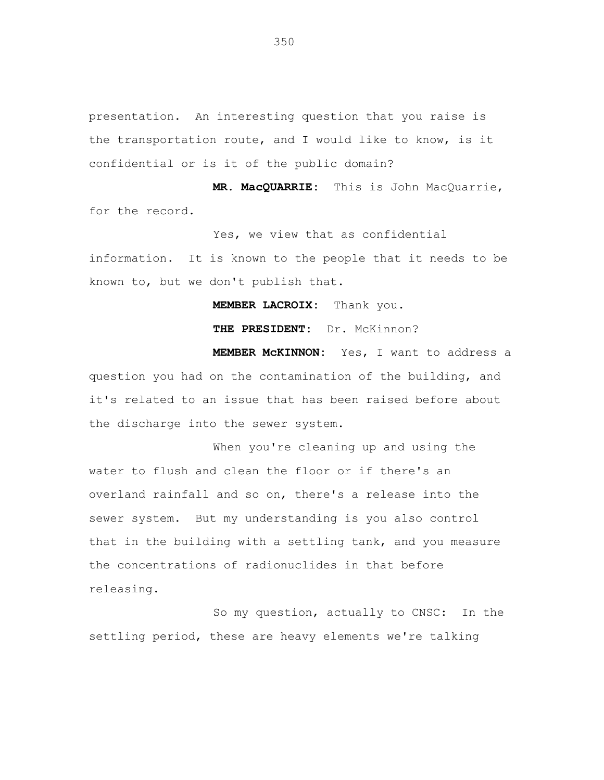presentation. An interesting question that you raise is the transportation route, and I would like to know, is it confidential or is it of the public domain?

**MR. MacQUARRIE:** This is John MacQuarrie, for the record.

Yes, we view that as confidential

information. It is known to the people that it needs to be known to, but we don't publish that.

**MEMBER LACROIX:** Thank you.

**THE PRESIDENT:** Dr. McKinnon?

**MEMBER McKINNON:** Yes, I want to address a question you had on the contamination of the building, and it's related to an issue that has been raised before about the discharge into the sewer system.

When you're cleaning up and using the water to flush and clean the floor or if there's an overland rainfall and so on, there's a release into the sewer system. But my understanding is you also control that in the building with a settling tank, and you measure the concentrations of radionuclides in that before releasing.

So my question, actually to CNSC: In the settling period, these are heavy elements we're talking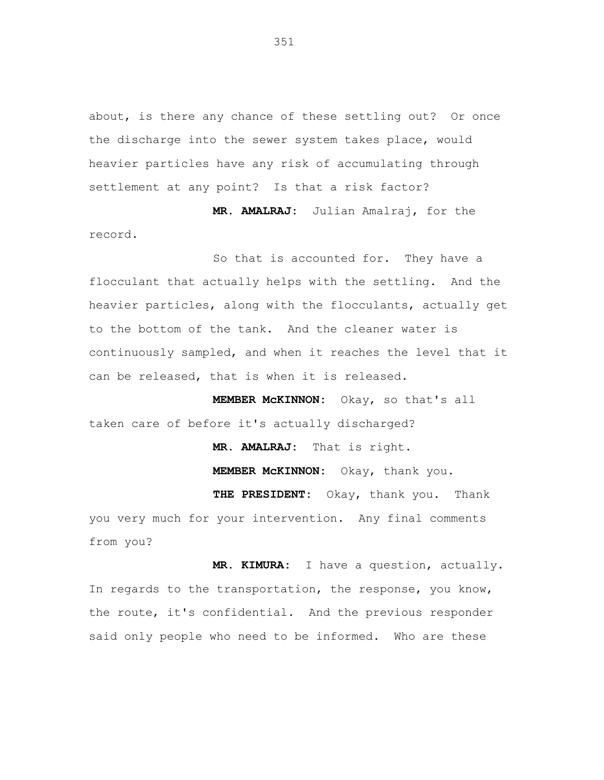about, is there any chance of these settling out? Or once the discharge into the sewer system takes place, would heavier particles have any risk of accumulating through settlement at any point? Is that a risk factor?

**MR. AMALRAJ:** Julian Amalraj, for the record.

So that is accounted for. They have a flocculant that actually helps with the settling. And the heavier particles, along with the flocculants, actually get to the bottom of the tank. And the cleaner water is continuously sampled, and when it reaches the level that it can be released, that is when it is released.

**MEMBER McKINNON:** Okay, so that's all taken care of before it's actually discharged?

> **MR. AMALRAJ:** That is right. **MEMBER McKINNON:** Okay, thank you.

**THE PRESIDENT:** Okay, thank you. Thank you very much for your intervention. Any final comments from you?

**MR. KIMURA:** I have a question, actually. In regards to the transportation, the response, you know, the route, it's confidential. And the previous responder said only people who need to be informed. Who are these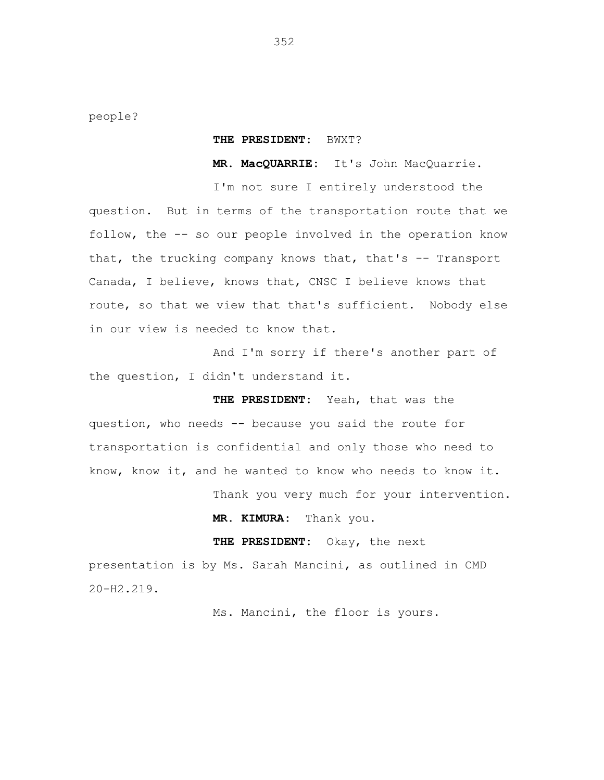people?

## **THE PRESIDENT:** BWXT?

**MR. MacQUARRIE:** It's John MacQuarrie.

I'm not sure I entirely understood the question. But in terms of the transportation route that we follow, the -- so our people involved in the operation know that, the trucking company knows that, that's  $-$  Transport Canada, I believe, knows that, CNSC I believe knows that route, so that we view that that's sufficient. Nobody else in our view is needed to know that.

And I'm sorry if there's another part of the question, I didn't understand it.

**THE PRESIDENT:** Yeah, that was the question, who needs -- because you said the route for transportation is confidential and only those who need to know, know it, and he wanted to know who needs to know it.

Thank you very much for your intervention.

**MR. KIMURA:** Thank you.

**THE PRESIDENT:** Okay, the next

presentation is by Ms. Sarah Mancini, as outlined in CMD 20-H2.219.

Ms. Mancini, the floor is yours.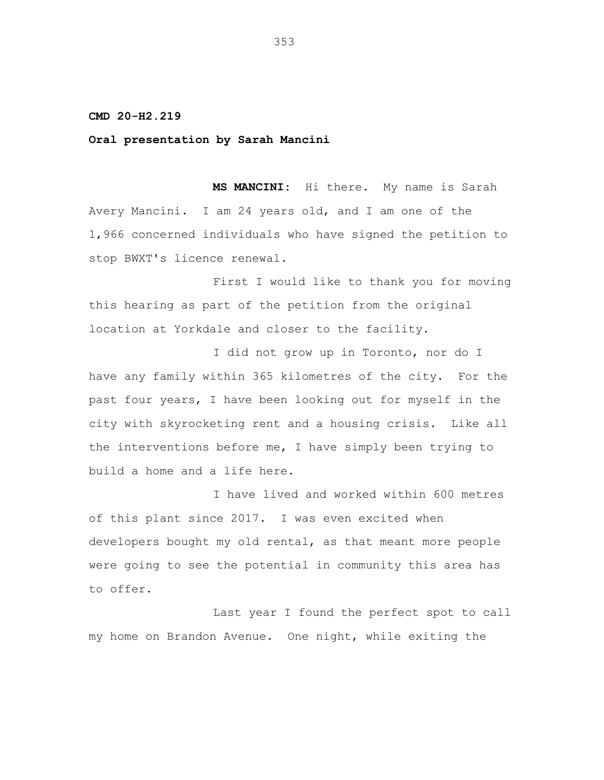**CMD 20-H2.219**

**Oral presentation by Sarah Mancini**

**MS MANCINI:** Hi there. My name is Sarah Avery Mancini. I am 24 years old, and I am one of the 1,966 concerned individuals who have signed the petition to stop BWXT's licence renewal.

First I would like to thank you for moving this hearing as part of the petition from the original location at Yorkdale and closer to the facility.

I did not grow up in Toronto, nor do I have any family within 365 kilometres of the city. For the past four years, I have been looking out for myself in the city with skyrocketing rent and a housing crisis. Like all the interventions before me, I have simply been trying to build a home and a life here.

I have lived and worked within 600 metres of this plant since 2017. I was even excited when developers bought my old rental, as that meant more people were going to see the potential in community this area has to offer.

Last year I found the perfect spot to call my home on Brandon Avenue. One night, while exiting the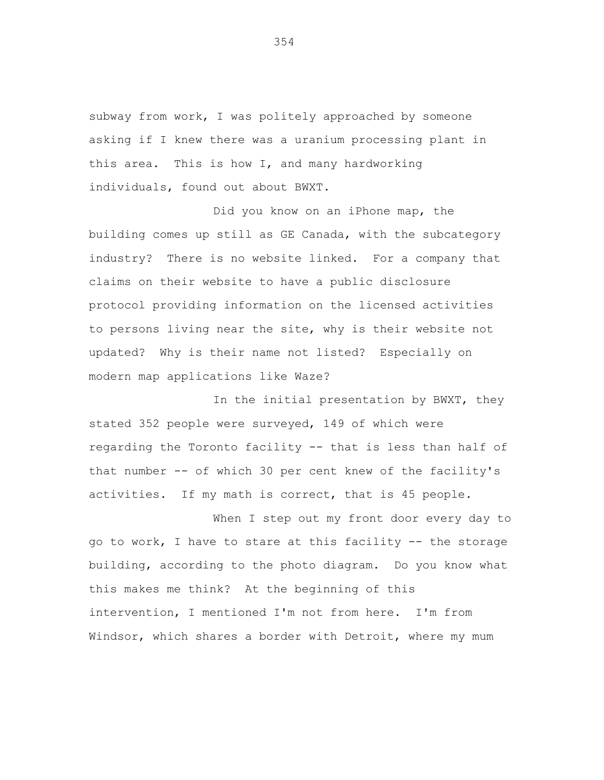subway from work, I was politely approached by someone asking if I knew there was a uranium processing plant in this area. This is how I, and many hardworking individuals, found out about BWXT.

Did you know on an iPhone map, the building comes up still as GE Canada, with the subcategory industry? There is no website linked. For a company that claims on their website to have a public disclosure protocol providing information on the licensed activities to persons living near the site, why is their website not updated? Why is their name not listed? Especially on modern map applications like Waze?

In the initial presentation by BWXT, they stated 352 people were surveyed, 149 of which were regarding the Toronto facility -- that is less than half of that number -- of which 30 per cent knew of the facility's activities. If my math is correct, that is 45 people.

When I step out my front door every day to go to work, I have to stare at this facility -- the storage building, according to the photo diagram. Do you know what this makes me think? At the beginning of this intervention, I mentioned I'm not from here. I'm from Windsor, which shares a border with Detroit, where my mum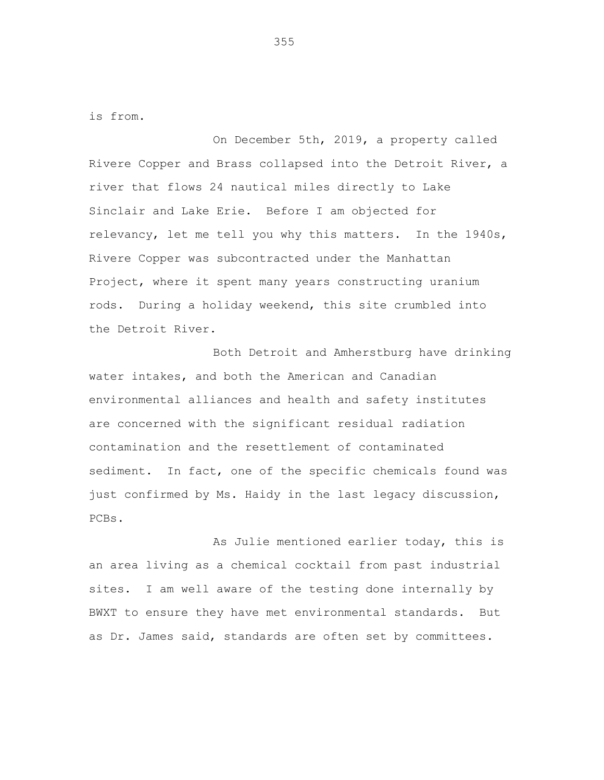is from.

On December 5th, 2019, a property called Rivere Copper and Brass collapsed into the Detroit River, a river that flows 24 nautical miles directly to Lake Sinclair and Lake Erie. Before I am objected for relevancy, let me tell you why this matters. In the 1940s, Rivere Copper was subcontracted under the Manhattan Project, where it spent many years constructing uranium rods. During a holiday weekend, this site crumbled into the Detroit River.

Both Detroit and Amherstburg have drinking water intakes, and both the American and Canadian environmental alliances and health and safety institutes are concerned with the significant residual radiation contamination and the resettlement of contaminated sediment. In fact, one of the specific chemicals found was just confirmed by Ms. Haidy in the last legacy discussion, PCBs.

As Julie mentioned earlier today, this is an area living as a chemical cocktail from past industrial sites. I am well aware of the testing done internally by BWXT to ensure they have met environmental standards. But as Dr. James said, standards are often set by committees.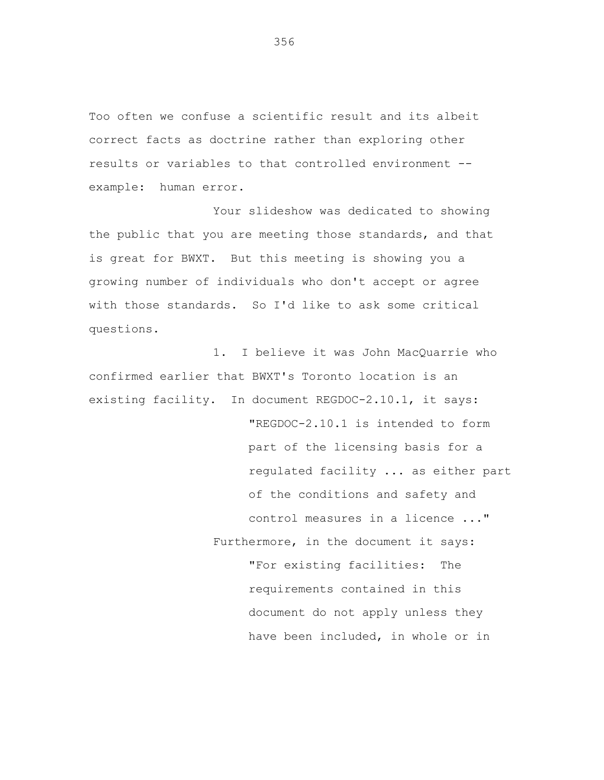Too often we confuse a scientific result and its albeit correct facts as doctrine rather than exploring other results or variables to that controlled environment - example: human error.

Your slideshow was dedicated to showing the public that you are meeting those standards, and that is great for BWXT. But this meeting is showing you a growing number of individuals who don't accept or agree with those standards. So I'd like to ask some critical questions.

1. I believe it was John MacQuarrie who confirmed earlier that BWXT's Toronto location is an existing facility. In document REGDOC-2.10.1, it says: "REGDOC-2.10.1 is intended to form part of the licensing basis for a regulated facility ... as either part of the conditions and safety and control measures in a licence ..." Furthermore, in the document it says: "For existing facilities: The requirements contained in this document do not apply unless they have been included, in whole or in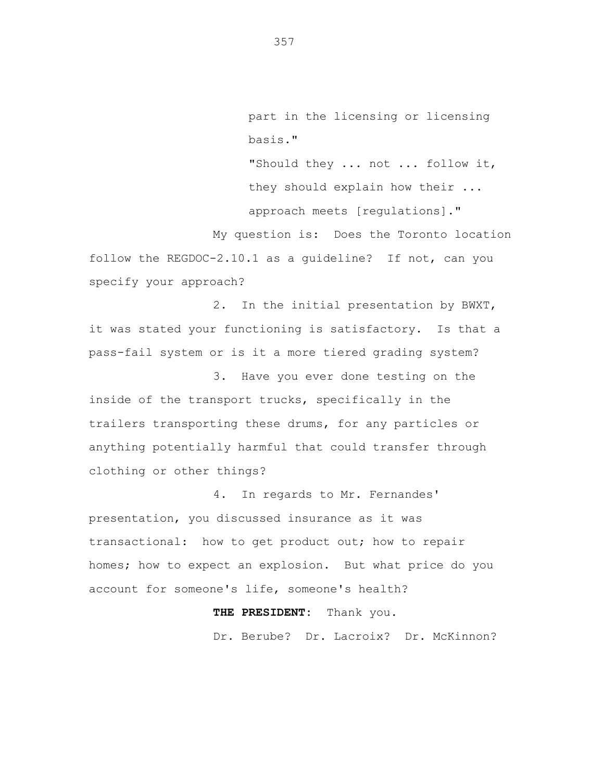part in the licensing or licensing basis."

"Should they ... not ... follow it, they should explain how their ... approach meets [regulations]."

My question is: Does the Toronto location follow the REGDOC-2.10.1 as a guideline? If not, can you specify your approach?

2. In the initial presentation by BWXT, it was stated your functioning is satisfactory. Is that a pass-fail system or is it a more tiered grading system?

3. Have you ever done testing on the inside of the transport trucks, specifically in the trailers transporting these drums, for any particles or anything potentially harmful that could transfer through clothing or other things?

4. In regards to Mr. Fernandes' presentation, you discussed insurance as it was transactional: how to get product out; how to repair homes; how to expect an explosion. But what price do you account for someone's life, someone's health?

# **THE PRESIDENT:** Thank you.

Dr. Berube? Dr. Lacroix? Dr. McKinnon?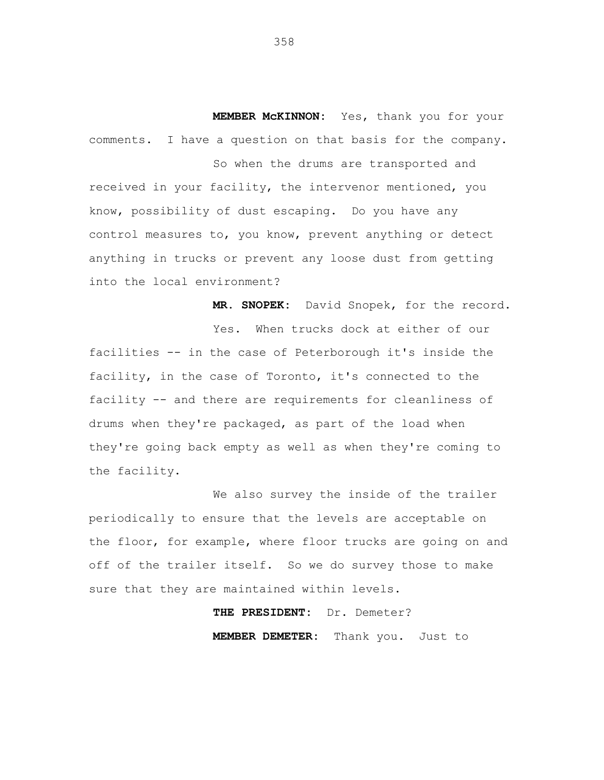**MEMBER McKINNON:** Yes, thank you for your comments. I have a question on that basis for the company.

So when the drums are transported and received in your facility, the intervenor mentioned, you know, possibility of dust escaping. Do you have any control measures to, you know, prevent anything or detect anything in trucks or prevent any loose dust from getting into the local environment?

**MR. SNOPEK:** David Snopek, for the record.

Yes. When trucks dock at either of our facilities -- in the case of Peterborough it's inside the facility, in the case of Toronto, it's connected to the facility -- and there are requirements for cleanliness of drums when they're packaged, as part of the load when they're going back empty as well as when they're coming to the facility.

We also survey the inside of the trailer periodically to ensure that the levels are acceptable on the floor, for example, where floor trucks are going on and off of the trailer itself. So we do survey those to make sure that they are maintained within levels.

> **THE PRESIDENT:** Dr. Demeter? **MEMBER DEMETER:** Thank you. Just to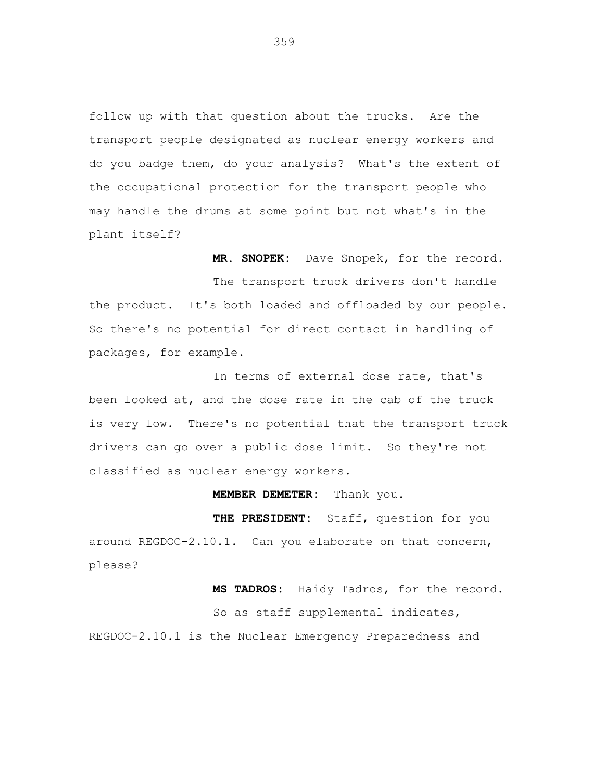follow up with that question about the trucks. Are the transport people designated as nuclear energy workers and do you badge them, do your analysis? What's the extent of the occupational protection for the transport people who may handle the drums at some point but not what's in the plant itself?

**MR. SNOPEK:** Dave Snopek, for the record. The transport truck drivers don't handle the product. It's both loaded and offloaded by our people. So there's no potential for direct contact in handling of packages, for example.

In terms of external dose rate, that's been looked at, and the dose rate in the cab of the truck is very low. There's no potential that the transport truck drivers can go over a public dose limit. So they're not classified as nuclear energy workers.

#### **MEMBER DEMETER:** Thank you.

**THE PRESIDENT:** Staff, question for you around REGDOC-2.10.1. Can you elaborate on that concern, please?

**MS TADROS:** Haidy Tadros, for the record. So as staff supplemental indicates, REGDOC-2.10.1 is the Nuclear Emergency Preparedness and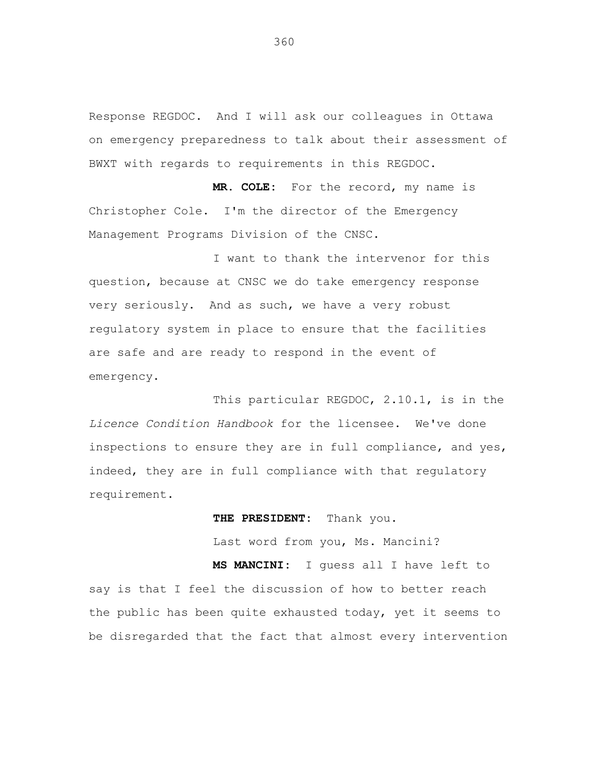Response REGDOC. And I will ask our colleagues in Ottawa on emergency preparedness to talk about their assessment of BWXT with regards to requirements in this REGDOC.

**MR. COLE:** For the record, my name is Christopher Cole. I'm the director of the Emergency Management Programs Division of the CNSC.

I want to thank the intervenor for this question, because at CNSC we do take emergency response very seriously. And as such, we have a very robust regulatory system in place to ensure that the facilities are safe and are ready to respond in the event of emergency.

This particular REGDOC, 2.10.1, is in the *Licence Condition Handbook* for the licensee. We've done inspections to ensure they are in full compliance, and yes, indeed, they are in full compliance with that regulatory requirement.

**THE PRESIDENT:** Thank you.

Last word from you, Ms. Mancini?

**MS MANCINI:** I guess all I have left to say is that I feel the discussion of how to better reach the public has been quite exhausted today, yet it seems to be disregarded that the fact that almost every intervention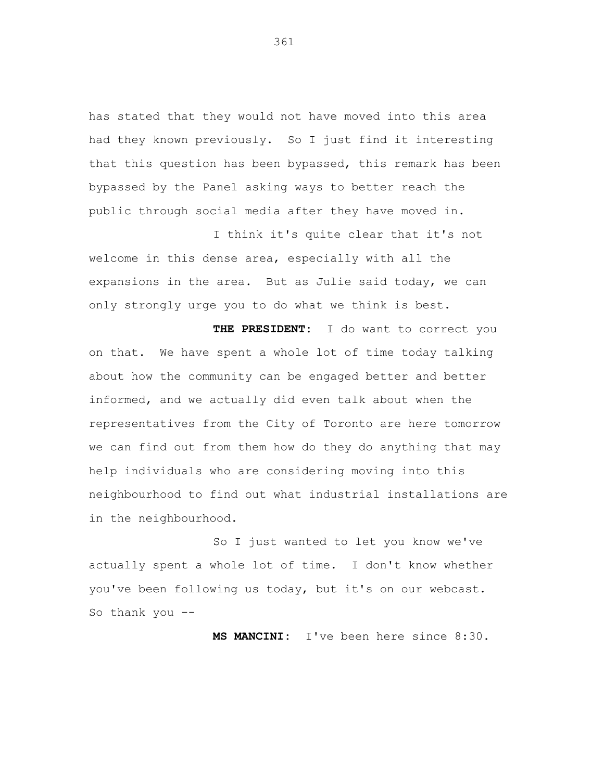has stated that they would not have moved into this area had they known previously. So I just find it interesting that this question has been bypassed, this remark has been bypassed by the Panel asking ways to better reach the public through social media after they have moved in.

I think it's quite clear that it's not welcome in this dense area, especially with all the expansions in the area. But as Julie said today, we can only strongly urge you to do what we think is best.

**THE PRESIDENT:** I do want to correct you on that. We have spent a whole lot of time today talking about how the community can be engaged better and better informed, and we actually did even talk about when the representatives from the City of Toronto are here tomorrow we can find out from them how do they do anything that may help individuals who are considering moving into this neighbourhood to find out what industrial installations are in the neighbourhood.

So I just wanted to let you know we've actually spent a whole lot of time. I don't know whether you've been following us today, but it's on our webcast. So thank you --

**MS MANCINI:** I've been here since 8:30.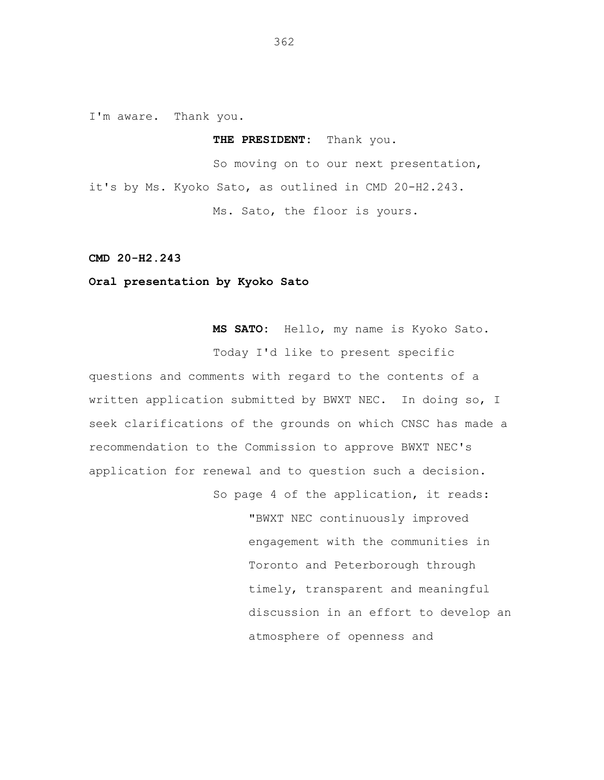I'm aware. Thank you.

#### **THE PRESIDENT:** Thank you.

So moving on to our next presentation, it's by Ms. Kyoko Sato, as outlined in CMD 20-H2.243. Ms. Sato, the floor is yours.

## **CMD 20-H2.243**

# **Oral presentation by Kyoko Sato**

**MS SATO:** Hello, my name is Kyoko Sato. Today I'd like to present specific

questions and comments with regard to the contents of a written application submitted by BWXT NEC. In doing so, I seek clarifications of the grounds on which CNSC has made a recommendation to the Commission to approve BWXT NEC's application for renewal and to question such a decision.

> So page 4 of the application, it reads: "BWXT NEC continuously improved engagement with the communities in Toronto and Peterborough through timely, transparent and meaningful discussion in an effort to develop an atmosphere of openness and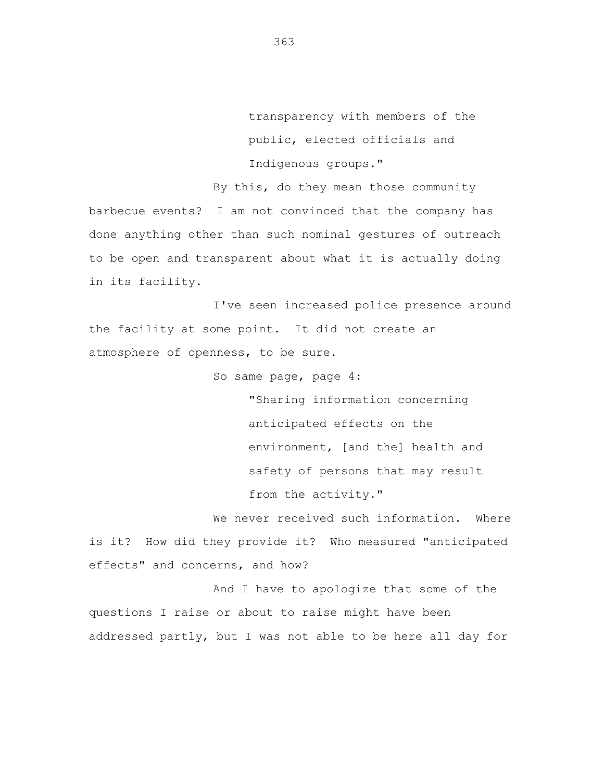transparency with members of the public, elected officials and Indigenous groups."

By this, do they mean those community barbecue events? I am not convinced that the company has done anything other than such nominal gestures of outreach to be open and transparent about what it is actually doing in its facility.

I've seen increased police presence around the facility at some point. It did not create an atmosphere of openness, to be sure.

So same page, page 4:

"Sharing information concerning anticipated effects on the environment, [and the] health and safety of persons that may result from the activity."

We never received such information. Where is it? How did they provide it? Who measured "anticipated effects" and concerns, and how?

And I have to apologize that some of the questions I raise or about to raise might have been addressed partly, but I was not able to be here all day for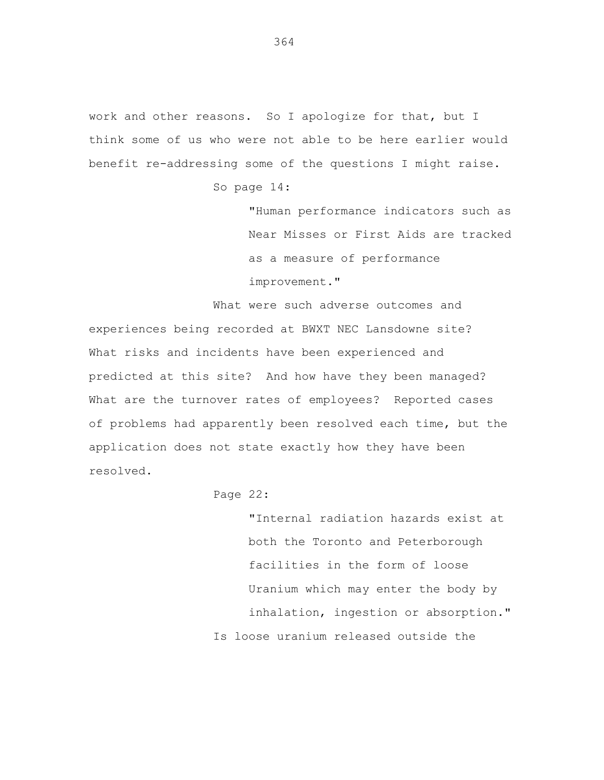work and other reasons. So I apologize for that, but I think some of us who were not able to be here earlier would benefit re-addressing some of the questions I might raise.

So page 14:

"Human performance indicators such as Near Misses or First Aids are tracked as a measure of performance improvement."

What were such adverse outcomes and experiences being recorded at BWXT NEC Lansdowne site? What risks and incidents have been experienced and predicted at this site? And how have they been managed? What are the turnover rates of employees? Reported cases of problems had apparently been resolved each time, but the application does not state exactly how they have been resolved.

Page 22:

"Internal radiation hazards exist at both the Toronto and Peterborough facilities in the form of loose Uranium which may enter the body by inhalation, ingestion or absorption." Is loose uranium released outside the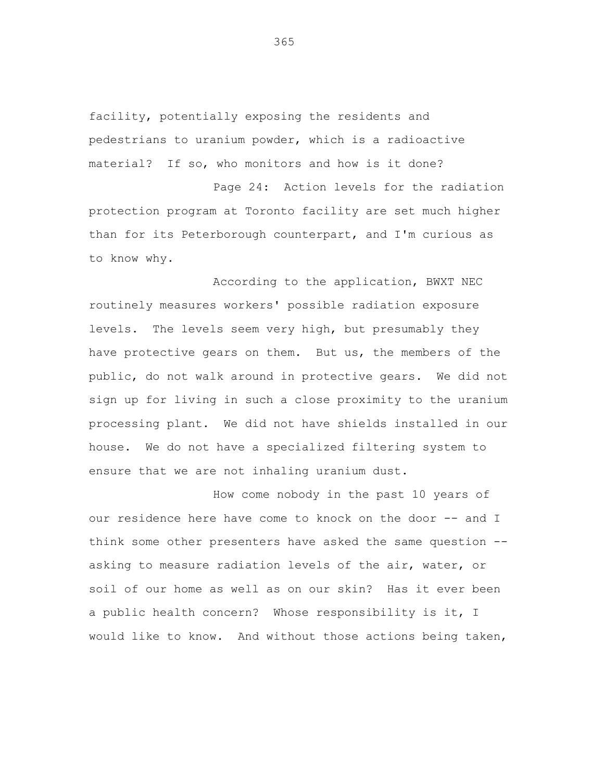facility, potentially exposing the residents and pedestrians to uranium powder, which is a radioactive material? If so, who monitors and how is it done?

Page 24: Action levels for the radiation protection program at Toronto facility are set much higher than for its Peterborough counterpart, and I'm curious as to know why.

According to the application, BWXT NEC routinely measures workers' possible radiation exposure levels. The levels seem very high, but presumably they have protective gears on them. But us, the members of the public, do not walk around in protective gears. We did not sign up for living in such a close proximity to the uranium processing plant. We did not have shields installed in our house. We do not have a specialized filtering system to ensure that we are not inhaling uranium dust.

How come nobody in the past 10 years of our residence here have come to knock on the door -- and I think some other presenters have asked the same question - asking to measure radiation levels of the air, water, or soil of our home as well as on our skin? Has it ever been a public health concern? Whose responsibility is it, I would like to know. And without those actions being taken,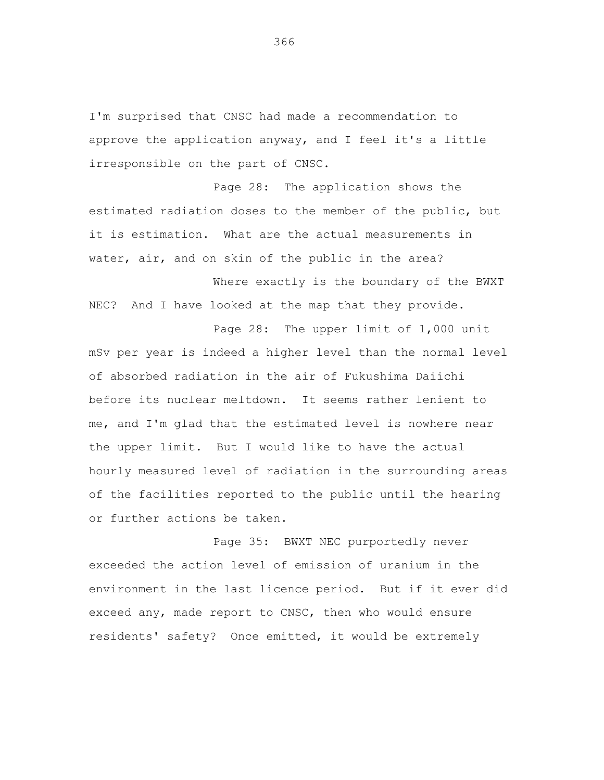I'm surprised that CNSC had made a recommendation to approve the application anyway, and I feel it's a little irresponsible on the part of CNSC.

Page 28: The application shows the estimated radiation doses to the member of the public, but it is estimation. What are the actual measurements in water, air, and on skin of the public in the area?

Where exactly is the boundary of the BWXT NEC? And I have looked at the map that they provide.

Page 28: The upper limit of 1,000 unit mSv per year is indeed a higher level than the normal level of absorbed radiation in the air of Fukushima Daiichi before its nuclear meltdown. It seems rather lenient to me, and I'm glad that the estimated level is nowhere near the upper limit. But I would like to have the actual hourly measured level of radiation in the surrounding areas of the facilities reported to the public until the hearing or further actions be taken.

Page 35: BWXT NEC purportedly never exceeded the action level of emission of uranium in the environment in the last licence period. But if it ever did exceed any, made report to CNSC, then who would ensure residents' safety? Once emitted, it would be extremely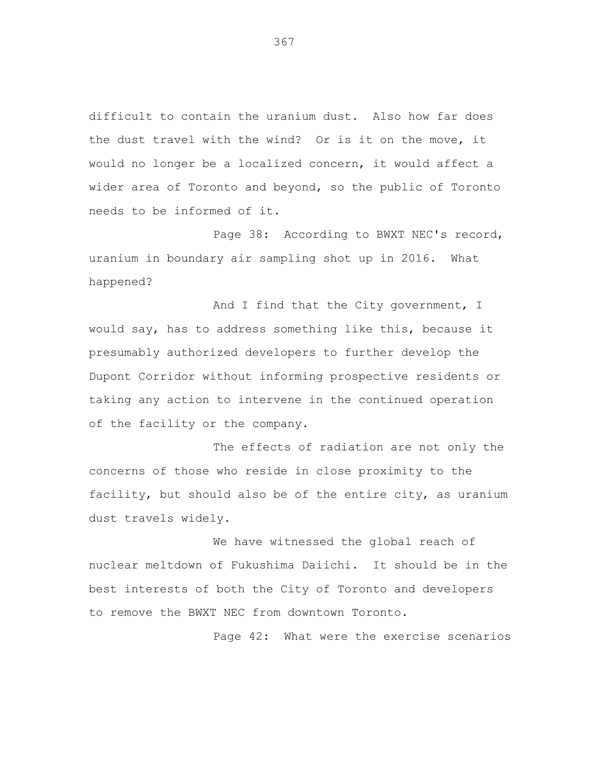difficult to contain the uranium dust. Also how far does the dust travel with the wind? Or is it on the move, it would no longer be a localized concern, it would affect a wider area of Toronto and beyond, so the public of Toronto needs to be informed of it.

Page 38: According to BWXT NEC's record, uranium in boundary air sampling shot up in 2016. What happened?

And I find that the City government, I would say, has to address something like this, because it presumably authorized developers to further develop the Dupont Corridor without informing prospective residents or taking any action to intervene in the continued operation of the facility or the company.

The effects of radiation are not only the concerns of those who reside in close proximity to the facility, but should also be of the entire city, as uranium dust travels widely.

We have witnessed the global reach of nuclear meltdown of Fukushima Daiichi. It should be in the best interests of both the City of Toronto and developers to remove the BWXT NEC from downtown Toronto.

Page 42: What were the exercise scenarios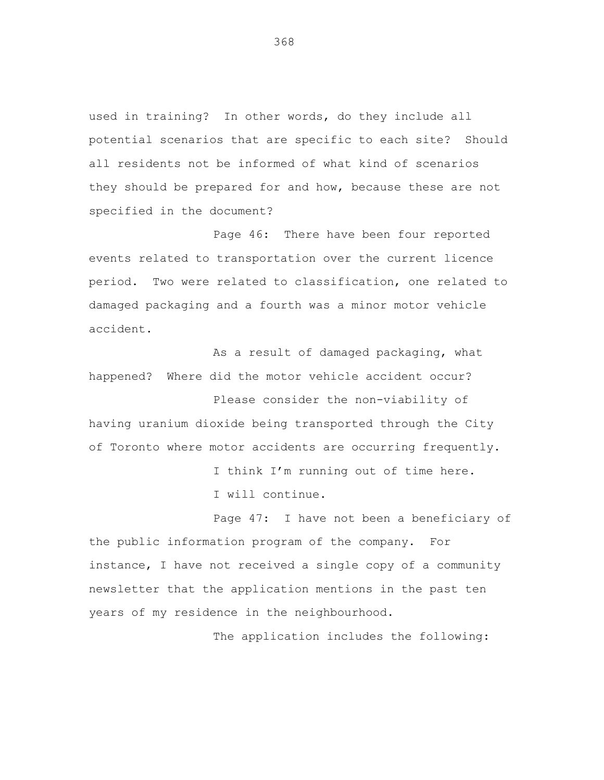used in training? In other words, do they include all potential scenarios that are specific to each site? Should all residents not be informed of what kind of scenarios they should be prepared for and how, because these are not specified in the document?

Page 46: There have been four reported events related to transportation over the current licence period. Two were related to classification, one related to damaged packaging and a fourth was a minor motor vehicle accident.

As a result of damaged packaging, what happened? Where did the motor vehicle accident occur?

Please consider the non-viability of having uranium dioxide being transported through the City of Toronto where motor accidents are occurring frequently.

> I think I'm running out of time here. I will continue.

Page 47: I have not been a beneficiary of the public information program of the company. For instance, I have not received a single copy of a community newsletter that the application mentions in the past ten years of my residence in the neighbourhood.

The application includes the following: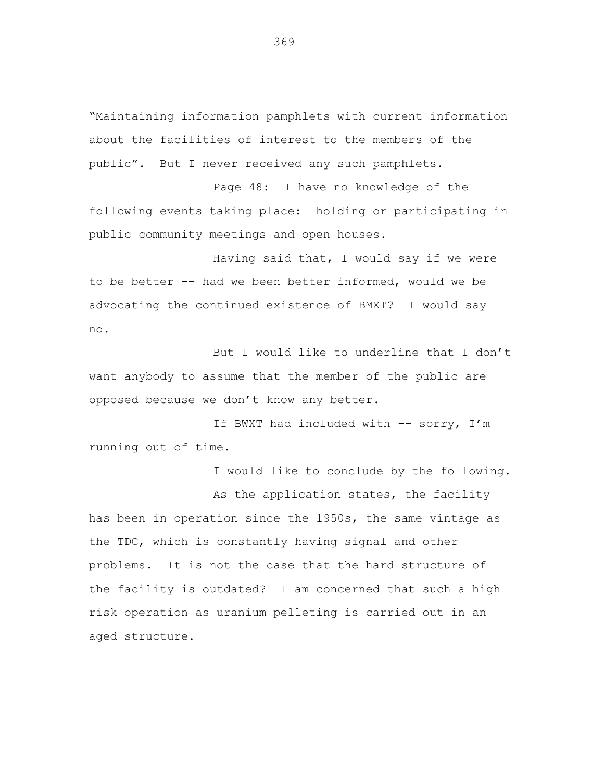"Maintaining information pamphlets with current information about the facilities of interest to the members of the public". But I never received any such pamphlets.

Page 48: I have no knowledge of the following events taking place: holding or participating in public community meetings and open houses.

Having said that, I would say if we were to be better -– had we been better informed, would we be advocating the continued existence of BMXT? I would say no.

But I would like to underline that I don't want anybody to assume that the member of the public are opposed because we don't know any better.

If BWXT had included with -– sorry, I'm running out of time.

I would like to conclude by the following. As the application states, the facility has been in operation since the 1950s, the same vintage as the TDC, which is constantly having signal and other problems. It is not the case that the hard structure of the facility is outdated? I am concerned that such a high risk operation as uranium pelleting is carried out in an aged structure.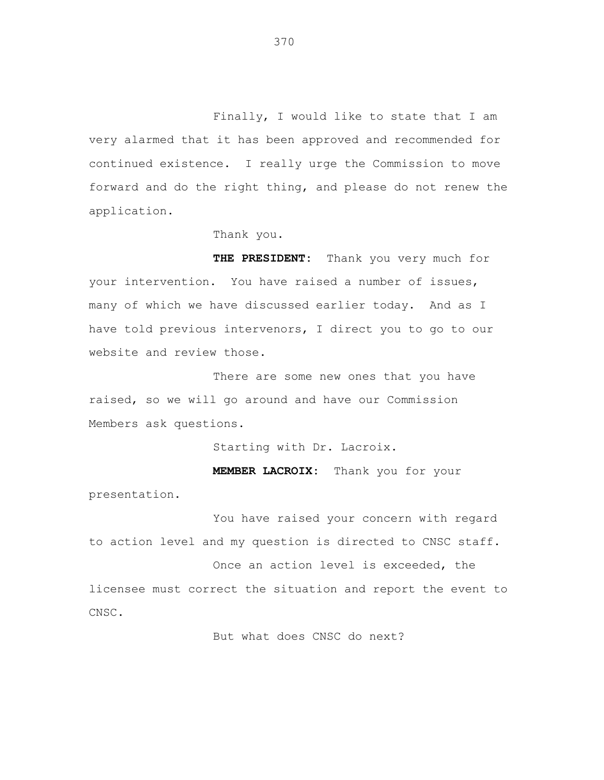Finally, I would like to state that I am very alarmed that it has been approved and recommended for continued existence. I really urge the Commission to move forward and do the right thing, and please do not renew the application.

Thank you.

**THE PRESIDENT:** Thank you very much for your intervention. You have raised a number of issues, many of which we have discussed earlier today. And as I have told previous intervenors, I direct you to go to our website and review those.

There are some new ones that you have raised, so we will go around and have our Commission Members ask questions.

Starting with Dr. Lacroix.

**MEMBER LACROIX:** Thank you for your presentation.

You have raised your concern with regard to action level and my question is directed to CNSC staff.

Once an action level is exceeded, the licensee must correct the situation and report the event to CNSC.

But what does CNSC do next?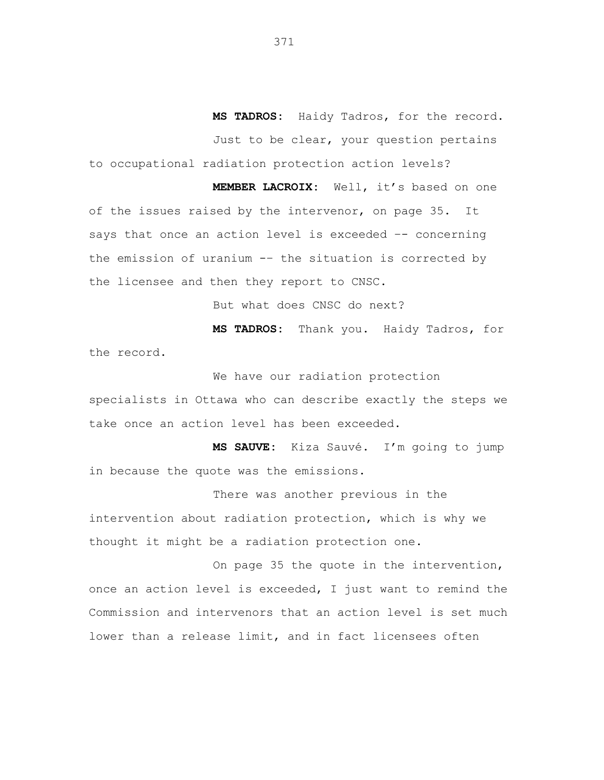**MS TADROS:** Haidy Tadros, for the record. Just to be clear, your question pertains to occupational radiation protection action levels?

**MEMBER LACROIX:** Well, it's based on one of the issues raised by the intervenor, on page 35. It says that once an action level is exceeded -- concerning the emission of uranium -– the situation is corrected by the licensee and then they report to CNSC.

But what does CNSC do next?

**MS TADROS:** Thank you. Haidy Tadros, for the record.

We have our radiation protection

specialists in Ottawa who can describe exactly the steps we take once an action level has been exceeded.

**MS SAUVE:** Kiza Sauvé. I'm going to jump in because the quote was the emissions.

There was another previous in the intervention about radiation protection, which is why we thought it might be a radiation protection one.

On page 35 the quote in the intervention, once an action level is exceeded, I just want to remind the Commission and intervenors that an action level is set much lower than a release limit, and in fact licensees often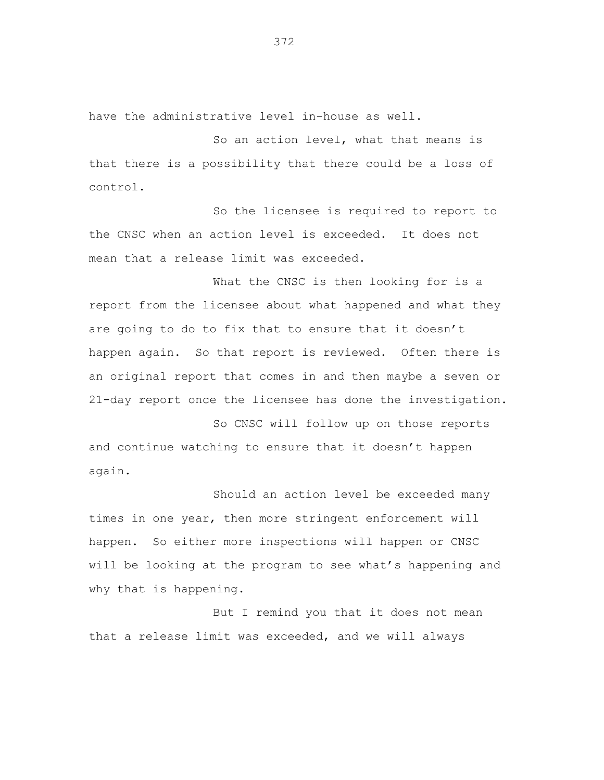have the administrative level in-house as well.

So an action level, what that means is that there is a possibility that there could be a loss of control.

So the licensee is required to report to the CNSC when an action level is exceeded. It does not mean that a release limit was exceeded.

What the CNSC is then looking for is a report from the licensee about what happened and what they are going to do to fix that to ensure that it doesn't happen again. So that report is reviewed. Often there is an original report that comes in and then maybe a seven or 21-day report once the licensee has done the investigation.

So CNSC will follow up on those reports and continue watching to ensure that it doesn't happen again.

Should an action level be exceeded many times in one year, then more stringent enforcement will happen. So either more inspections will happen or CNSC will be looking at the program to see what's happening and why that is happening.

But I remind you that it does not mean that a release limit was exceeded, and we will always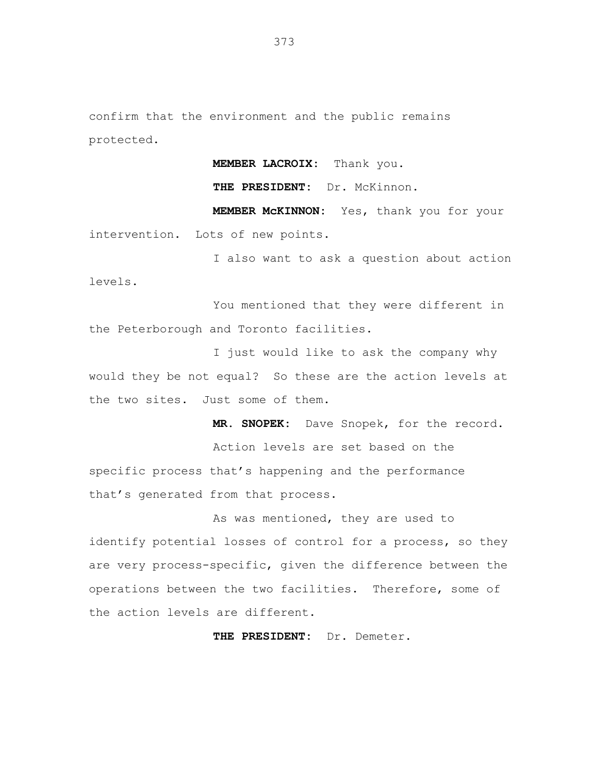confirm that the environment and the public remains protected.

**MEMBER LACROIX:** Thank you.

**THE PRESIDENT:** Dr. McKinnon.

**MEMBER McKINNON:** Yes, thank you for your intervention. Lots of new points.

I also want to ask a question about action levels.

You mentioned that they were different in the Peterborough and Toronto facilities.

I just would like to ask the company why would they be not equal? So these are the action levels at the two sites. Just some of them.

**MR. SNOPEK:** Dave Snopek, for the record.

Action levels are set based on the specific process that's happening and the performance that's generated from that process.

As was mentioned, they are used to identify potential losses of control for a process, so they are very process-specific, given the difference between the operations between the two facilities. Therefore, some of the action levels are different.

**THE PRESIDENT:** Dr. Demeter.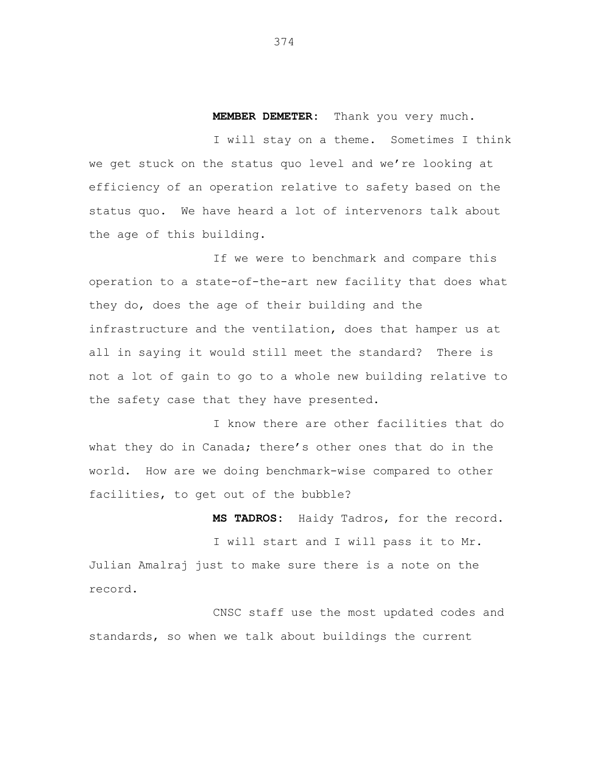**MEMBER DEMETER:** Thank you very much.

I will stay on a theme. Sometimes I think we get stuck on the status quo level and we're looking at efficiency of an operation relative to safety based on the status quo. We have heard a lot of intervenors talk about the age of this building.

If we were to benchmark and compare this operation to a state-of-the-art new facility that does what they do, does the age of their building and the infrastructure and the ventilation, does that hamper us at all in saying it would still meet the standard? There is not a lot of gain to go to a whole new building relative to the safety case that they have presented.

I know there are other facilities that do what they do in Canada; there's other ones that do in the world. How are we doing benchmark-wise compared to other facilities, to get out of the bubble?

**MS TADROS:** Haidy Tadros, for the record. I will start and I will pass it to Mr. Julian Amalraj just to make sure there is a note on the record.

CNSC staff use the most updated codes and standards, so when we talk about buildings the current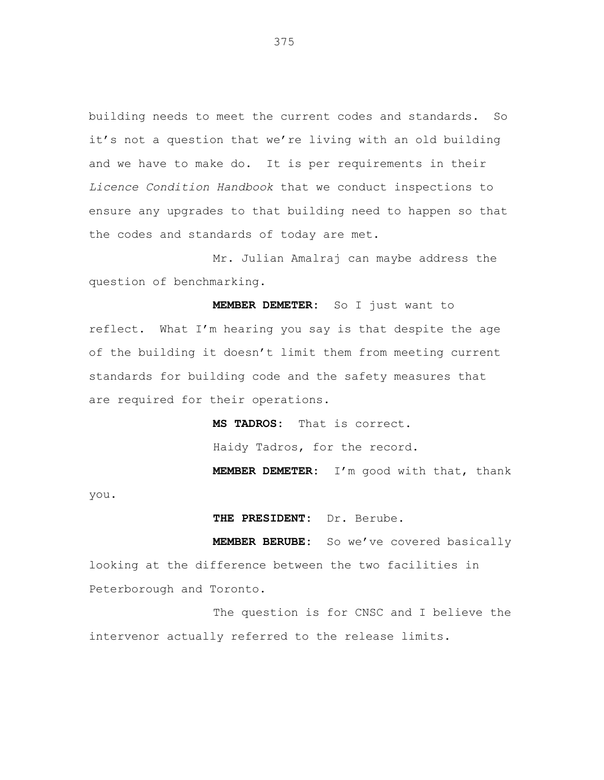building needs to meet the current codes and standards. So it's not a question that we're living with an old building and we have to make do. It is per requirements in their *Licence Condition Handbook* that we conduct inspections to ensure any upgrades to that building need to happen so that the codes and standards of today are met.

Mr. Julian Amalraj can maybe address the question of benchmarking.

**MEMBER DEMETER:** So I just want to reflect. What I'm hearing you say is that despite the age of the building it doesn't limit them from meeting current standards for building code and the safety measures that are required for their operations.

**MS TADROS:** That is correct.

Haidy Tadros, for the record.

**MEMBER DEMETER:** I'm good with that, thank

you.

**THE PRESIDENT:** Dr. Berube.

**MEMBER BERUBE:** So we've covered basically looking at the difference between the two facilities in Peterborough and Toronto.

The question is for CNSC and I believe the intervenor actually referred to the release limits.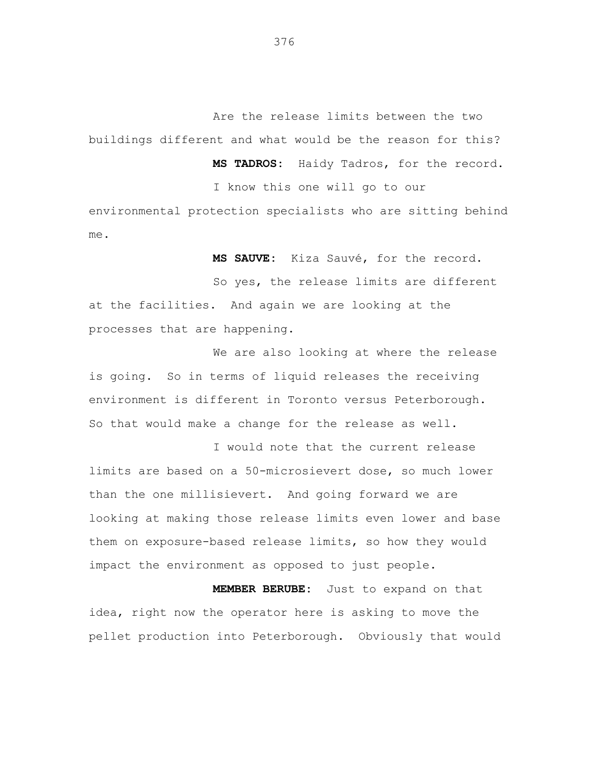Are the release limits between the two buildings different and what would be the reason for this?

> **MS TADROS:** Haidy Tadros, for the record. I know this one will go to our

environmental protection specialists who are sitting behind me.

**MS SAUVE:** Kiza Sauvé, for the record.

So yes, the release limits are different at the facilities. And again we are looking at the processes that are happening.

We are also looking at where the release is going. So in terms of liquid releases the receiving environment is different in Toronto versus Peterborough. So that would make a change for the release as well.

I would note that the current release limits are based on a 50-microsievert dose, so much lower than the one millisievert. And going forward we are looking at making those release limits even lower and base them on exposure-based release limits, so how they would impact the environment as opposed to just people.

**MEMBER BERUBE:** Just to expand on that idea, right now the operator here is asking to move the pellet production into Peterborough. Obviously that would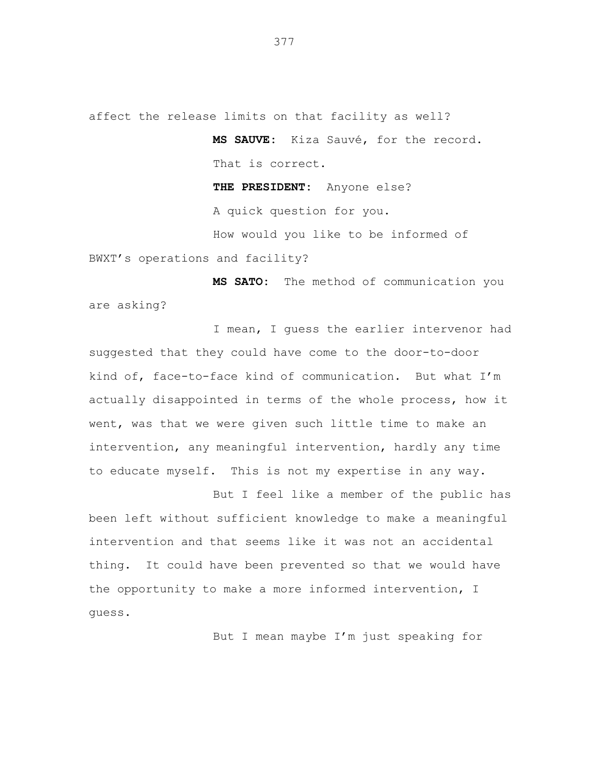affect the release limits on that facility as well?

**MS SAUVE:** Kiza Sauvé, for the record. That is correct.

**THE PRESIDENT:** Anyone else? A quick question for you. How would you like to be informed of

BWXT's operations and facility?

**MS SATO:** The method of communication you are asking?

I mean, I guess the earlier intervenor had suggested that they could have come to the door-to-door kind of, face-to-face kind of communication. But what I'm actually disappointed in terms of the whole process, how it went, was that we were given such little time to make an intervention, any meaningful intervention, hardly any time to educate myself. This is not my expertise in any way.

But I feel like a member of the public has been left without sufficient knowledge to make a meaningful intervention and that seems like it was not an accidental thing. It could have been prevented so that we would have the opportunity to make a more informed intervention, I guess.

But I mean maybe I'm just speaking for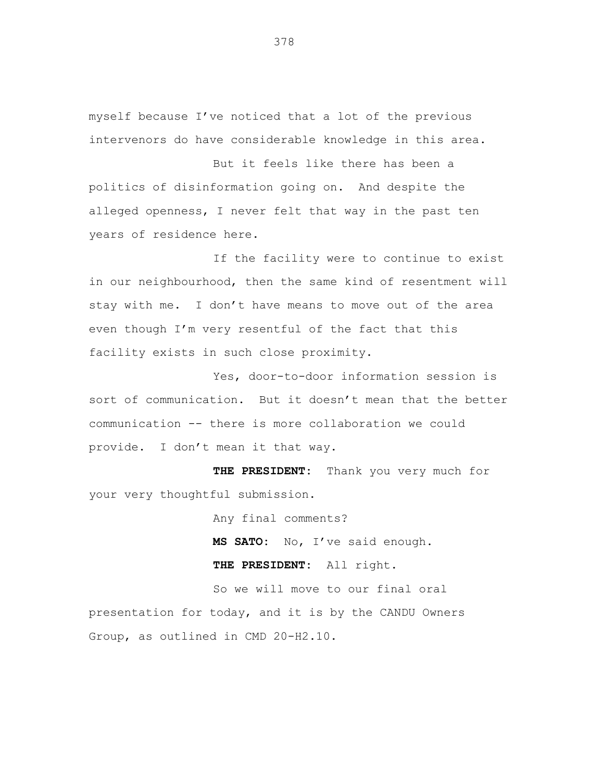myself because I've noticed that a lot of the previous intervenors do have considerable knowledge in this area.

But it feels like there has been a politics of disinformation going on. And despite the alleged openness, I never felt that way in the past ten years of residence here.

If the facility were to continue to exist in our neighbourhood, then the same kind of resentment will stay with me. I don't have means to move out of the area even though I'm very resentful of the fact that this facility exists in such close proximity.

Yes, door-to-door information session is sort of communication. But it doesn't mean that the better communication -- there is more collaboration we could provide. I don't mean it that way.

**THE PRESIDENT:** Thank you very much for your very thoughtful submission.

Any final comments?

**MS SATO:** No, I've said enough.

**THE PRESIDENT:** All right.

So we will move to our final oral presentation for today, and it is by the CANDU Owners Group, as outlined in CMD 20-H2.10.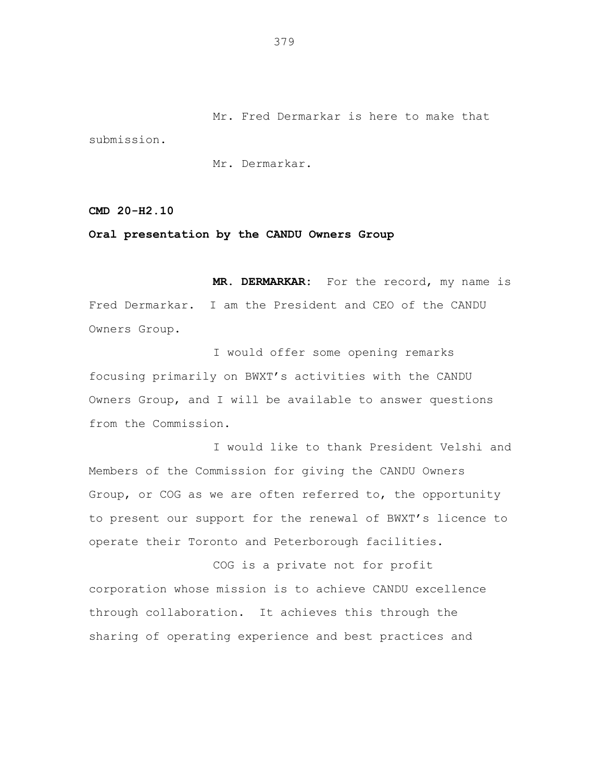Mr. Fred Dermarkar is here to make that submission.

Mr. Dermarkar.

**CMD 20-H2.10**

### **Oral presentation by the CANDU Owners Group**

**MR. DERMARKAR:** For the record, my name is Fred Dermarkar. I am the President and CEO of the CANDU Owners Group.

I would offer some opening remarks focusing primarily on BWXT's activities with the CANDU Owners Group, and I will be available to answer questions from the Commission.

I would like to thank President Velshi and Members of the Commission for giving the CANDU Owners Group, or COG as we are often referred to, the opportunity to present our support for the renewal of BWXT's licence to operate their Toronto and Peterborough facilities.

COG is a private not for profit corporation whose mission is to achieve CANDU excellence through collaboration. It achieves this through the sharing of operating experience and best practices and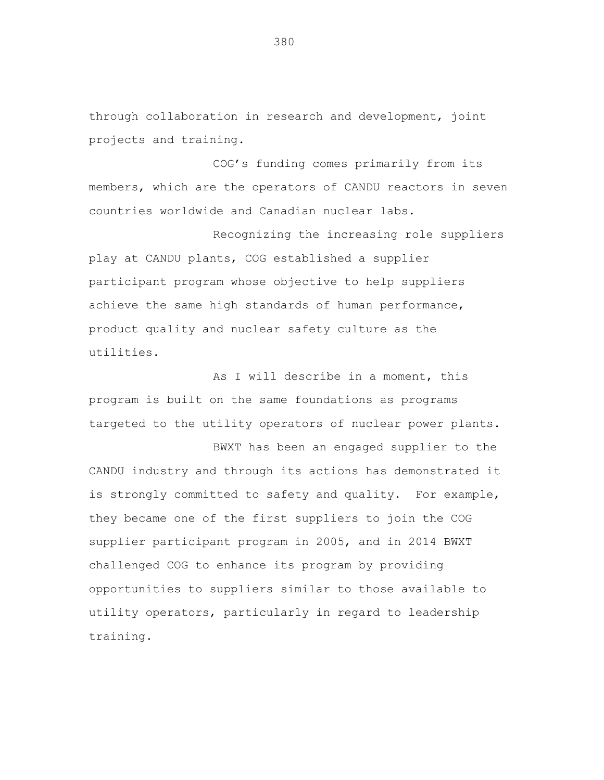through collaboration in research and development, joint projects and training.

COG's funding comes primarily from its members, which are the operators of CANDU reactors in seven countries worldwide and Canadian nuclear labs.

Recognizing the increasing role suppliers play at CANDU plants, COG established a supplier participant program whose objective to help suppliers achieve the same high standards of human performance, product quality and nuclear safety culture as the utilities.

As I will describe in a moment, this program is built on the same foundations as programs targeted to the utility operators of nuclear power plants.

BWXT has been an engaged supplier to the CANDU industry and through its actions has demonstrated it is strongly committed to safety and quality. For example, they became one of the first suppliers to join the COG supplier participant program in 2005, and in 2014 BWXT challenged COG to enhance its program by providing opportunities to suppliers similar to those available to utility operators, particularly in regard to leadership training.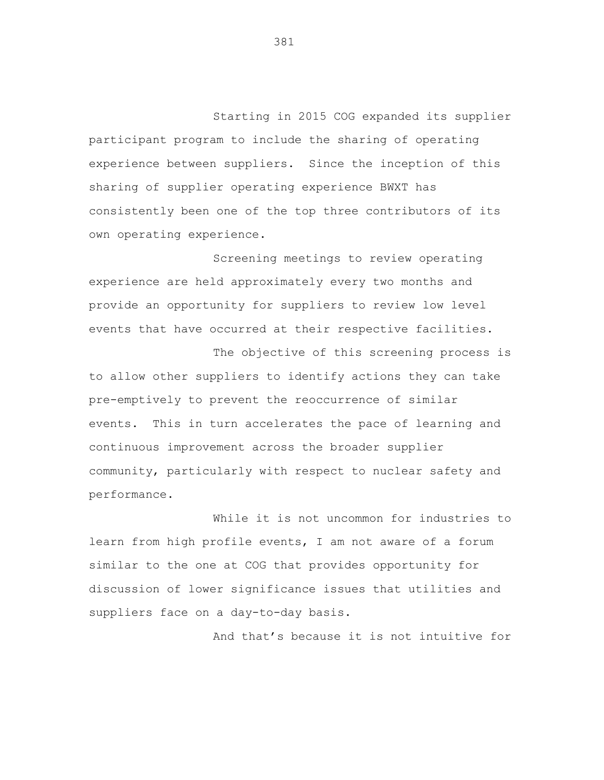Starting in 2015 COG expanded its supplier participant program to include the sharing of operating experience between suppliers. Since the inception of this sharing of supplier operating experience BWXT has consistently been one of the top three contributors of its own operating experience.

Screening meetings to review operating experience are held approximately every two months and provide an opportunity for suppliers to review low level events that have occurred at their respective facilities.

The objective of this screening process is to allow other suppliers to identify actions they can take pre-emptively to prevent the reoccurrence of similar events. This in turn accelerates the pace of learning and continuous improvement across the broader supplier community, particularly with respect to nuclear safety and performance.

While it is not uncommon for industries to learn from high profile events, I am not aware of a forum similar to the one at COG that provides opportunity for discussion of lower significance issues that utilities and suppliers face on a day-to-day basis.

And that's because it is not intuitive for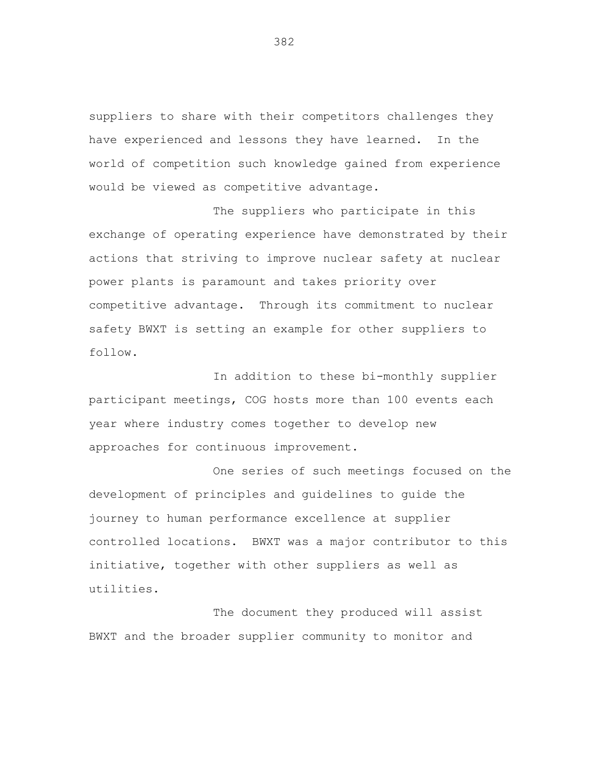suppliers to share with their competitors challenges they have experienced and lessons they have learned. In the world of competition such knowledge gained from experience would be viewed as competitive advantage.

The suppliers who participate in this exchange of operating experience have demonstrated by their actions that striving to improve nuclear safety at nuclear power plants is paramount and takes priority over competitive advantage. Through its commitment to nuclear safety BWXT is setting an example for other suppliers to follow.

In addition to these bi-monthly supplier participant meetings, COG hosts more than 100 events each year where industry comes together to develop new approaches for continuous improvement.

One series of such meetings focused on the development of principles and guidelines to guide the journey to human performance excellence at supplier controlled locations. BWXT was a major contributor to this initiative, together with other suppliers as well as utilities.

The document they produced will assist BWXT and the broader supplier community to monitor and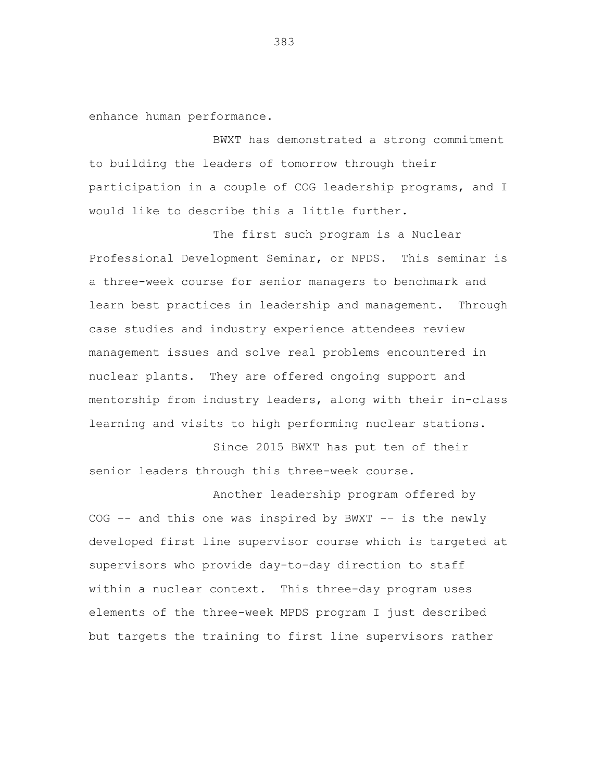enhance human performance.

BWXT has demonstrated a strong commitment to building the leaders of tomorrow through their participation in a couple of COG leadership programs, and I would like to describe this a little further.

The first such program is a Nuclear Professional Development Seminar, or NPDS. This seminar is a three-week course for senior managers to benchmark and learn best practices in leadership and management. Through case studies and industry experience attendees review management issues and solve real problems encountered in nuclear plants. They are offered ongoing support and mentorship from industry leaders, along with their in-class learning and visits to high performing nuclear stations.

Since 2015 BWXT has put ten of their senior leaders through this three-week course.

Another leadership program offered by COG -- and this one was inspired by BWXT -– is the newly developed first line supervisor course which is targeted at supervisors who provide day-to-day direction to staff within a nuclear context. This three-day program uses elements of the three-week MPDS program I just described but targets the training to first line supervisors rather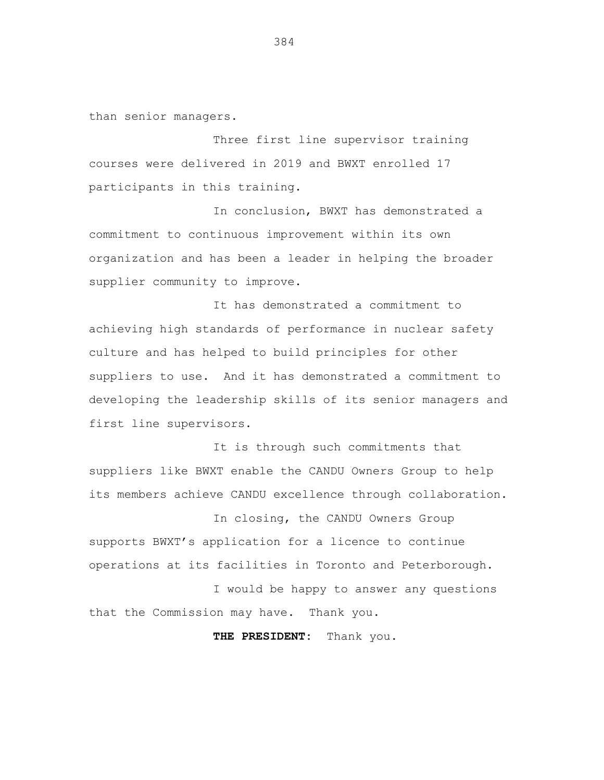than senior managers.

Three first line supervisor training courses were delivered in 2019 and BWXT enrolled 17 participants in this training.

In conclusion, BWXT has demonstrated a commitment to continuous improvement within its own organization and has been a leader in helping the broader supplier community to improve.

It has demonstrated a commitment to achieving high standards of performance in nuclear safety culture and has helped to build principles for other suppliers to use. And it has demonstrated a commitment to developing the leadership skills of its senior managers and first line supervisors.

It is through such commitments that suppliers like BWXT enable the CANDU Owners Group to help its members achieve CANDU excellence through collaboration.

In closing, the CANDU Owners Group supports BWXT's application for a licence to continue operations at its facilities in Toronto and Peterborough.

I would be happy to answer any questions that the Commission may have. Thank you.

**THE PRESIDENT:** Thank you.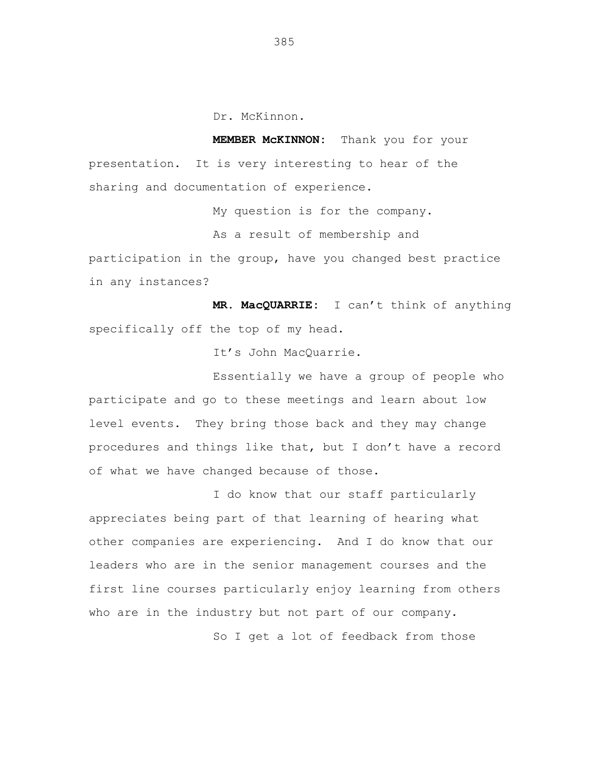Dr. McKinnon.

**MEMBER McKINNON:** Thank you for your presentation. It is very interesting to hear of the sharing and documentation of experience.

My question is for the company.

As a result of membership and

participation in the group, have you changed best practice in any instances?

**MR. MacQUARRIE:** I can't think of anything specifically off the top of my head.

It's John MacQuarrie.

Essentially we have a group of people who participate and go to these meetings and learn about low level events. They bring those back and they may change procedures and things like that, but I don't have a record of what we have changed because of those.

I do know that our staff particularly appreciates being part of that learning of hearing what other companies are experiencing. And I do know that our leaders who are in the senior management courses and the first line courses particularly enjoy learning from others who are in the industry but not part of our company. So I get a lot of feedback from those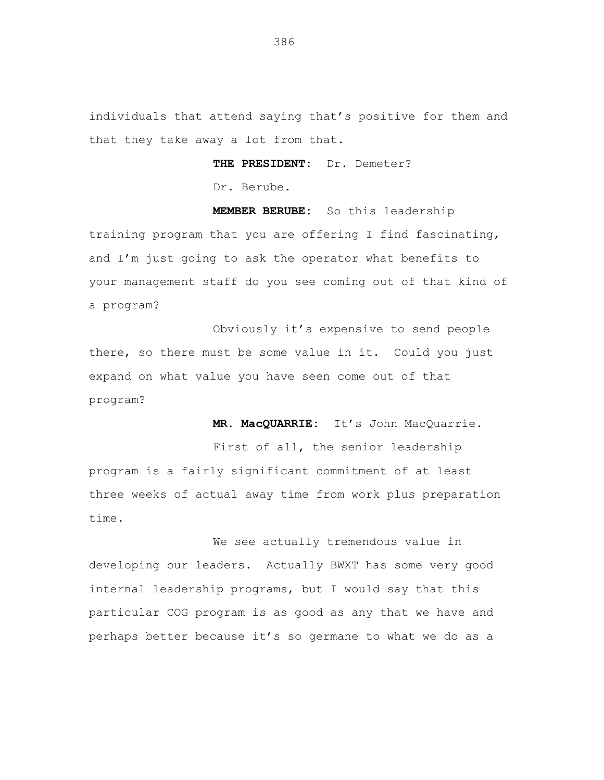individuals that attend saying that's positive for them and that they take away a lot from that.

## **THE PRESIDENT:** Dr. Demeter?

Dr. Berube.

**MEMBER BERUBE:** So this leadership training program that you are offering I find fascinating, and I'm just going to ask the operator what benefits to your management staff do you see coming out of that kind of a program?

Obviously it's expensive to send people there, so there must be some value in it. Could you just expand on what value you have seen come out of that program?

**MR. MacQUARRIE:** It's John MacQuarrie.

First of all, the senior leadership program is a fairly significant commitment of at least three weeks of actual away time from work plus preparation time.

We see actually tremendous value in developing our leaders. Actually BWXT has some very good internal leadership programs, but I would say that this particular COG program is as good as any that we have and perhaps better because it's so germane to what we do as a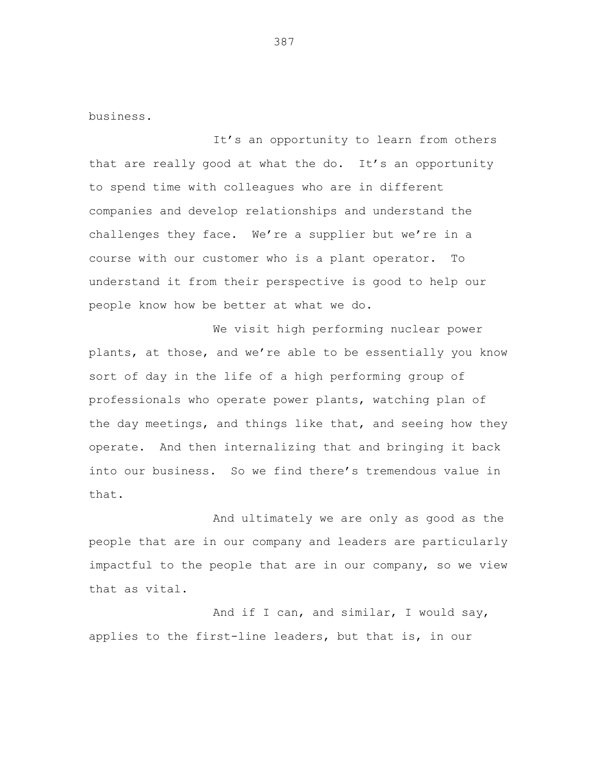business.

It's an opportunity to learn from others that are really good at what the do. It's an opportunity to spend time with colleagues who are in different companies and develop relationships and understand the challenges they face. We're a supplier but we're in a course with our customer who is a plant operator. To understand it from their perspective is good to help our people know how be better at what we do.

We visit high performing nuclear power plants, at those, and we're able to be essentially you know sort of day in the life of a high performing group of professionals who operate power plants, watching plan of the day meetings, and things like that, and seeing how they operate. And then internalizing that and bringing it back into our business. So we find there's tremendous value in that.

And ultimately we are only as good as the people that are in our company and leaders are particularly impactful to the people that are in our company, so we view that as vital.

And if I can, and similar, I would say, applies to the first-line leaders, but that is, in our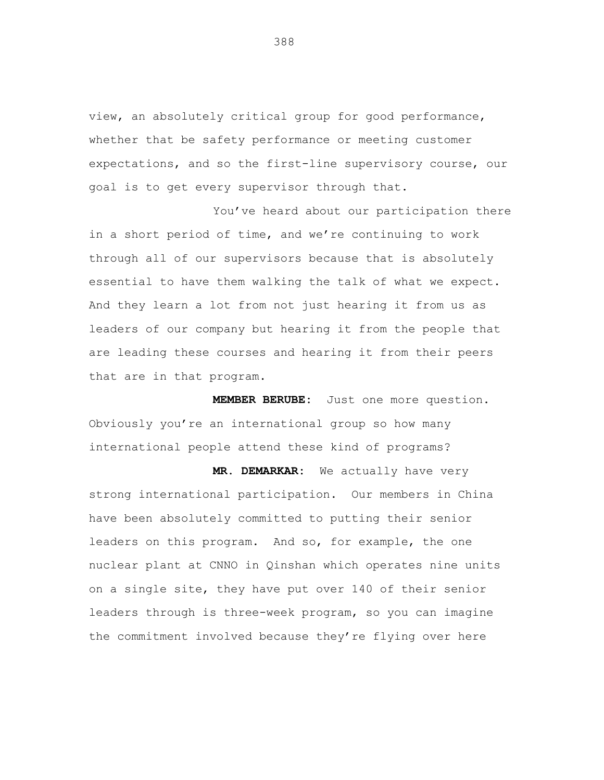view, an absolutely critical group for good performance, whether that be safety performance or meeting customer expectations, and so the first-line supervisory course, our goal is to get every supervisor through that.

You've heard about our participation there in a short period of time, and we're continuing to work through all of our supervisors because that is absolutely essential to have them walking the talk of what we expect. And they learn a lot from not just hearing it from us as leaders of our company but hearing it from the people that are leading these courses and hearing it from their peers that are in that program.

**MEMBER BERUBE:** Just one more question. Obviously you're an international group so how many international people attend these kind of programs?

**MR. DEMARKAR:** We actually have very strong international participation. Our members in China have been absolutely committed to putting their senior leaders on this program. And so, for example, the one nuclear plant at CNNO in Qinshan which operates nine units on a single site, they have put over 140 of their senior leaders through is three-week program, so you can imagine the commitment involved because they're flying over here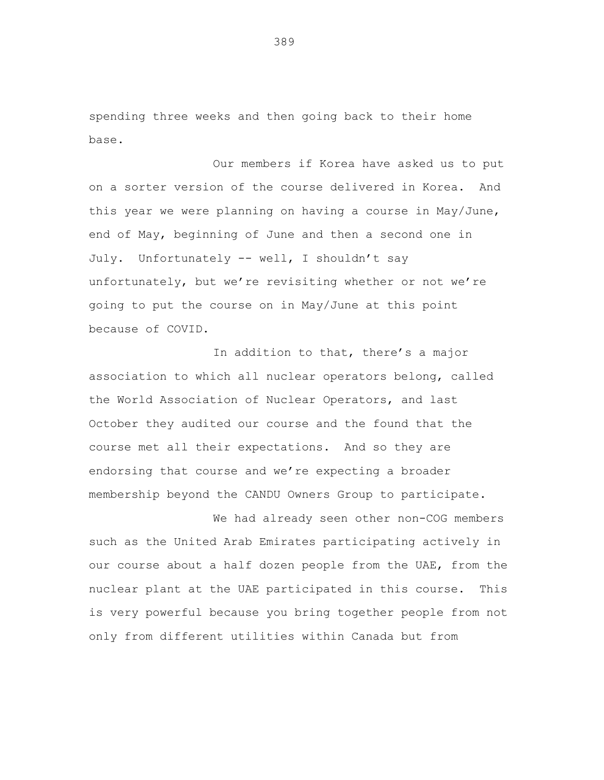spending three weeks and then going back to their home base.

Our members if Korea have asked us to put on a sorter version of the course delivered in Korea. And this year we were planning on having a course in May/June, end of May, beginning of June and then a second one in July. Unfortunately -- well, I shouldn't say unfortunately, but we're revisiting whether or not we're going to put the course on in May/June at this point because of COVID.

In addition to that, there's a major association to which all nuclear operators belong, called the World Association of Nuclear Operators, and last October they audited our course and the found that the course met all their expectations. And so they are endorsing that course and we're expecting a broader membership beyond the CANDU Owners Group to participate.

We had already seen other non-COG members such as the United Arab Emirates participating actively in our course about a half dozen people from the UAE, from the nuclear plant at the UAE participated in this course. This is very powerful because you bring together people from not only from different utilities within Canada but from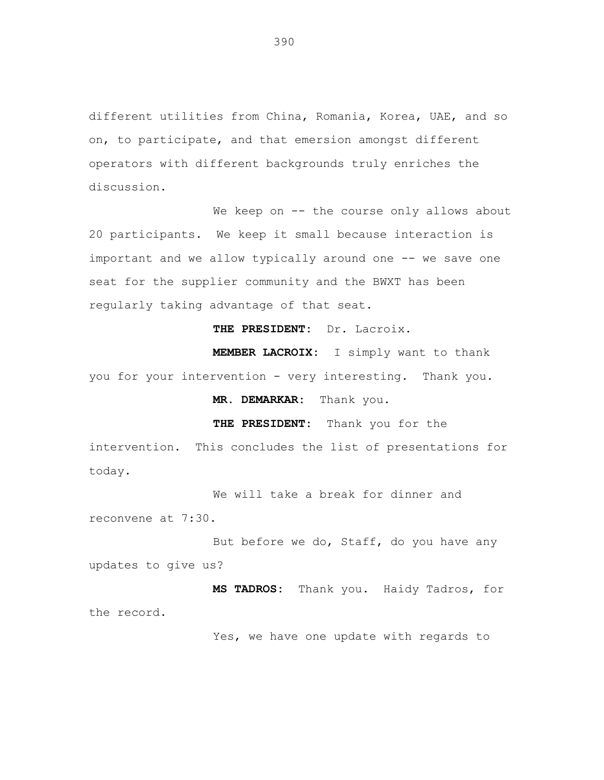different utilities from China, Romania, Korea, UAE, and so on, to participate, and that emersion amongst different operators with different backgrounds truly enriches the discussion.

We keep on -- the course only allows about 20 participants. We keep it small because interaction is important and we allow typically around one -- we save one seat for the supplier community and the BWXT has been regularly taking advantage of that seat.

**THE PRESIDENT:** Dr. Lacroix.

**MEMBER LACROIX:** I simply want to thank you for your intervention - very interesting. Thank you.

**MR. DEMARKAR:** Thank you.

**THE PRESIDENT:** Thank you for the

intervention. This concludes the list of presentations for today.

We will take a break for dinner and reconvene at 7:30.

But before we do, Staff, do you have any updates to give us?

**MS TADROS:** Thank you. Haidy Tadros, for the record.

Yes, we have one update with regards to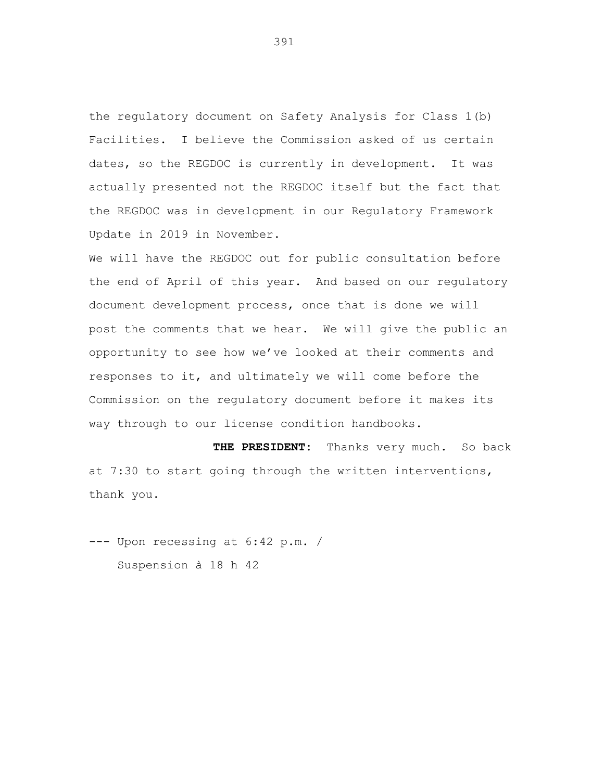the regulatory document on Safety Analysis for Class 1(b) Facilities. I believe the Commission asked of us certain dates, so the REGDOC is currently in development. It was actually presented not the REGDOC itself but the fact that the REGDOC was in development in our Regulatory Framework Update in 2019 in November.

We will have the REGDOC out for public consultation before the end of April of this year. And based on our regulatory document development process, once that is done we will post the comments that we hear. We will give the public an opportunity to see how we've looked at their comments and responses to it, and ultimately we will come before the Commission on the regulatory document before it makes its way through to our license condition handbooks.

**THE PRESIDENT:** Thanks very much. So back at 7:30 to start going through the written interventions, thank you.

--- Upon recessing at 6:42 p.m. / Suspension à 18 h 42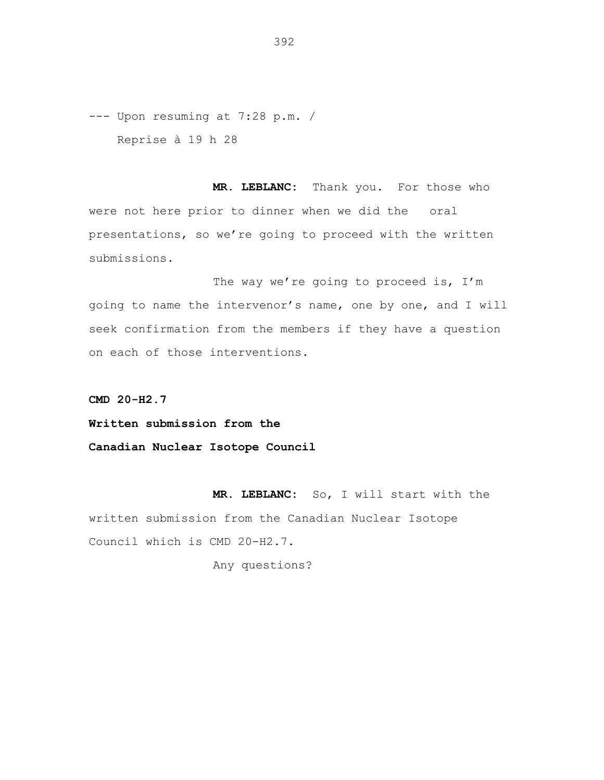--- Upon resuming at 7:28 p.m. / Reprise à 19 h 28

**MR. LEBLANC:** Thank you. For those who were not here prior to dinner when we did the oral presentations, so we're going to proceed with the written submissions.

The way we're going to proceed is, I'm going to name the intervenor's name, one by one, and I will seek confirmation from the members if they have a question on each of those interventions.

**CMD 20-H2.7**

**Written submission from the**

**Canadian Nuclear Isotope Council**

**MR. LEBLANC:** So, I will start with the written submission from the Canadian Nuclear Isotope Council which is CMD 20-H2.7.

Any questions?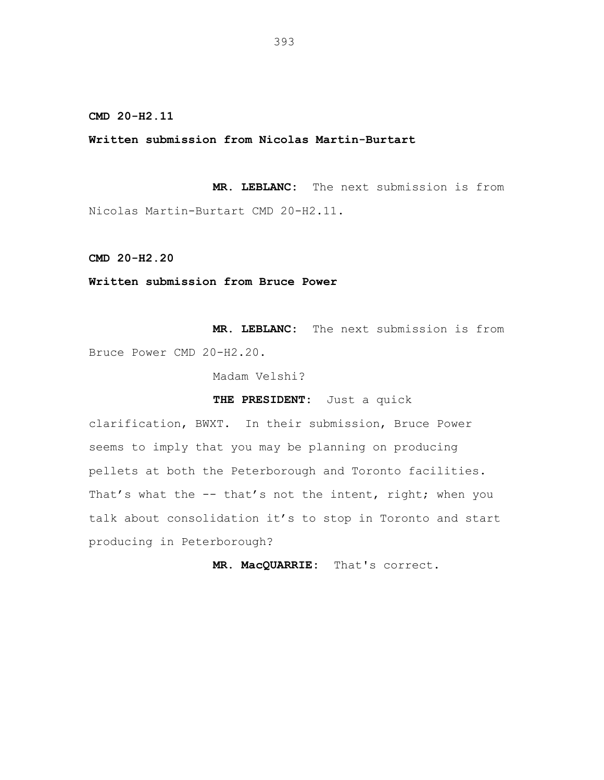## **Written submission from Nicolas Martin-Burtart**

**MR. LEBLANC:** The next submission is from Nicolas Martin-Burtart CMD 20-H2.11.

**CMD 20-H2.20**

**Written submission from Bruce Power**

**MR. LEBLANC:** The next submission is from Bruce Power CMD 20-H2.20.

Madam Velshi?

**THE PRESIDENT:** Just a quick

clarification, BWXT. In their submission, Bruce Power seems to imply that you may be planning on producing pellets at both the Peterborough and Toronto facilities. That's what the -- that's not the intent, right; when you talk about consolidation it's to stop in Toronto and start producing in Peterborough?

**MR. MacQUARRIE:** That's correct.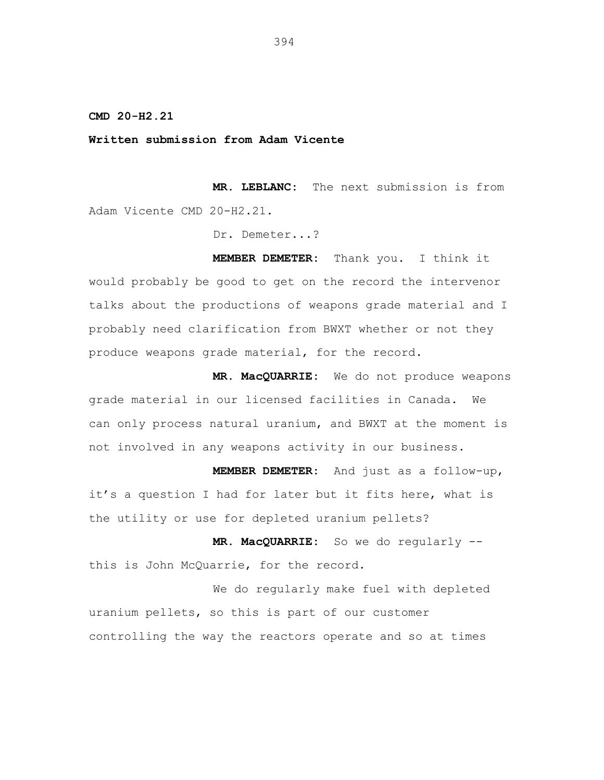**Written submission from Adam Vicente**

**MR. LEBLANC:** The next submission is from Adam Vicente CMD 20-H2.21.

Dr. Demeter...?

**MEMBER DEMETER:** Thank you. I think it would probably be good to get on the record the intervenor talks about the productions of weapons grade material and I probably need clarification from BWXT whether or not they produce weapons grade material, for the record.

**MR. MacQUARRIE:** We do not produce weapons grade material in our licensed facilities in Canada. We can only process natural uranium, and BWXT at the moment is not involved in any weapons activity in our business.

**MEMBER DEMETER:** And just as a follow-up, it's a question I had for later but it fits here, what is the utility or use for depleted uranium pellets?

**MR. MacQUARRIE:** So we do regularly - this is John McQuarrie, for the record.

We do regularly make fuel with depleted uranium pellets, so this is part of our customer controlling the way the reactors operate and so at times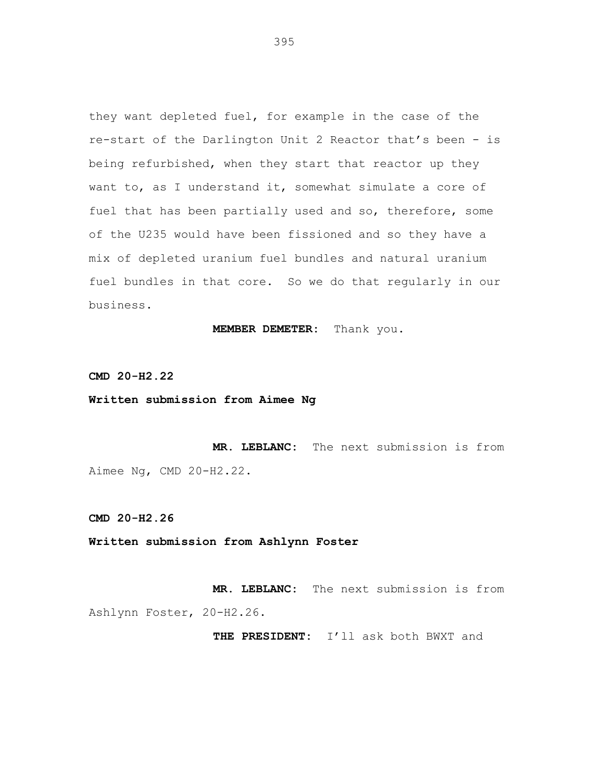they want depleted fuel, for example in the case of the re-start of the Darlington Unit 2 Reactor that's been - is being refurbished, when they start that reactor up they want to, as I understand it, somewhat simulate a core of fuel that has been partially used and so, therefore, some of the U235 would have been fissioned and so they have a mix of depleted uranium fuel bundles and natural uranium fuel bundles in that core. So we do that regularly in our business.

**MEMBER DEMETER:** Thank you.

**CMD 20-H2.22**

**Written submission from Aimee Ng**

**MR. LEBLANC:** The next submission is from Aimee Ng, CMD 20-H2.22.

**CMD 20-H2.26**

**Written submission from Ashlynn Foster**

**MR. LEBLANC:** The next submission is from Ashlynn Foster, 20-H2.26.

**THE PRESIDENT:** I'll ask both BWXT and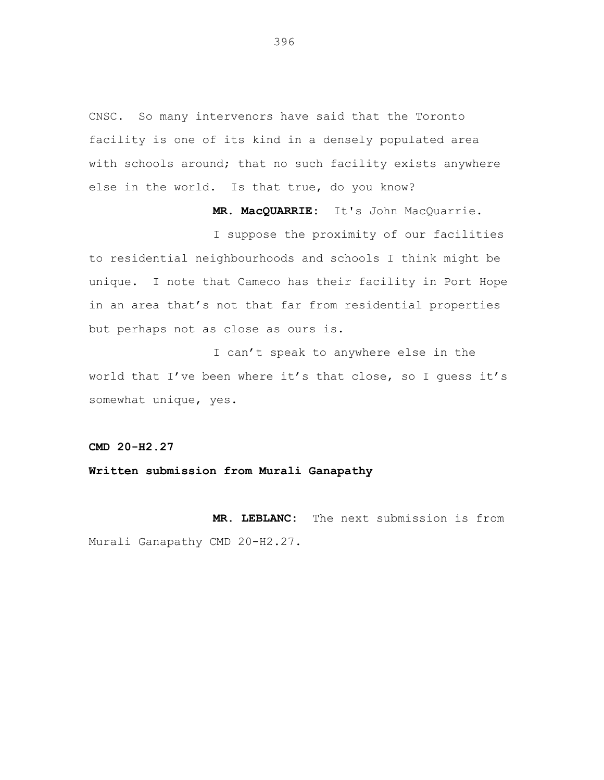CNSC. So many intervenors have said that the Toronto facility is one of its kind in a densely populated area with schools around; that no such facility exists anywhere else in the world. Is that true, do you know?

**MR. MacQUARRIE:** It's John MacQuarrie.

I suppose the proximity of our facilities to residential neighbourhoods and schools I think might be unique. I note that Cameco has their facility in Port Hope in an area that's not that far from residential properties but perhaps not as close as ours is.

I can't speak to anywhere else in the world that I've been where it's that close, so I guess it's somewhat unique, yes.

**CMD 20-H2.27**

**Written submission from Murali Ganapathy**

**MR. LEBLANC:** The next submission is from Murali Ganapathy CMD 20-H2.27.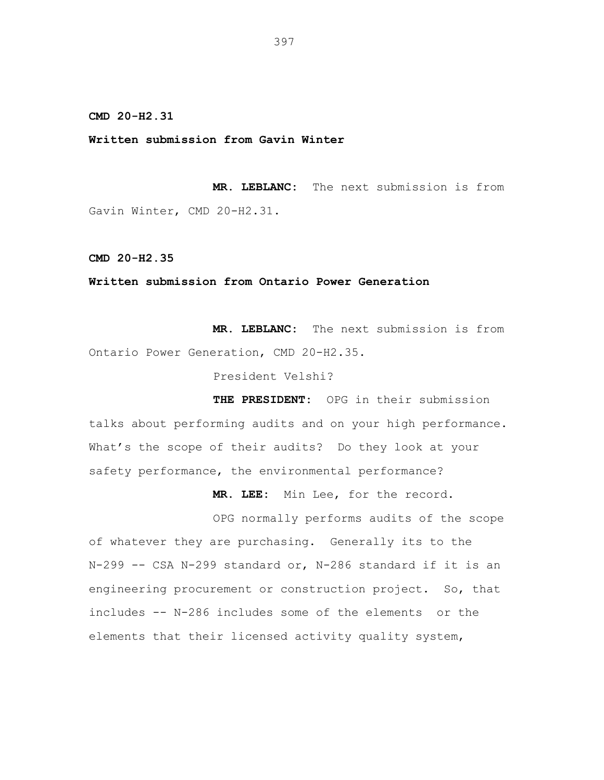**Written submission from Gavin Winter**

**MR. LEBLANC:** The next submission is from Gavin Winter, CMD 20-H2.31.

**CMD 20-H2.35**

## **Written submission from Ontario Power Generation**

**MR. LEBLANC:** The next submission is from Ontario Power Generation, CMD 20-H2.35.

President Velshi?

**THE PRESIDENT:** OPG in their submission talks about performing audits and on your high performance. What's the scope of their audits? Do they look at your safety performance, the environmental performance?

**MR. LEE:** Min Lee, for the record.

OPG normally performs audits of the scope of whatever they are purchasing. Generally its to the N-299 -- CSA N-299 standard or, N-286 standard if it is an engineering procurement or construction project. So, that includes -- N-286 includes some of the elements or the elements that their licensed activity quality system,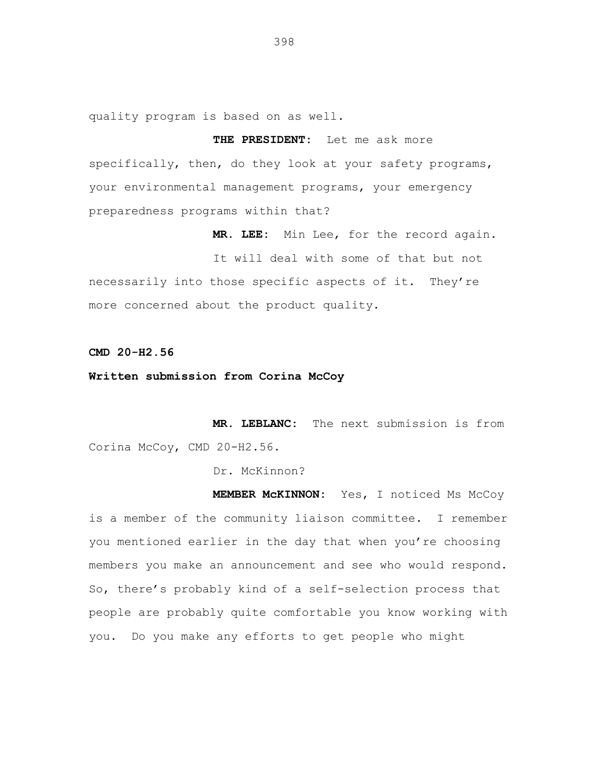quality program is based on as well.

**THE PRESIDENT:** Let me ask more specifically, then, do they look at your safety programs, your environmental management programs, your emergency preparedness programs within that?

**MR. LEE:** Min Lee, for the record again.

It will deal with some of that but not necessarily into those specific aspects of it. They're more concerned about the product quality.

**CMD 20-H2.56**

**Written submission from Corina McCoy**

**MR. LEBLANC:** The next submission is from Corina McCoy, CMD 20-H2.56.

Dr. McKinnon?

**MEMBER McKINNON:** Yes, I noticed Ms McCoy is a member of the community liaison committee. I remember you mentioned earlier in the day that when you're choosing members you make an announcement and see who would respond. So, there's probably kind of a self-selection process that people are probably quite comfortable you know working with you. Do you make any efforts to get people who might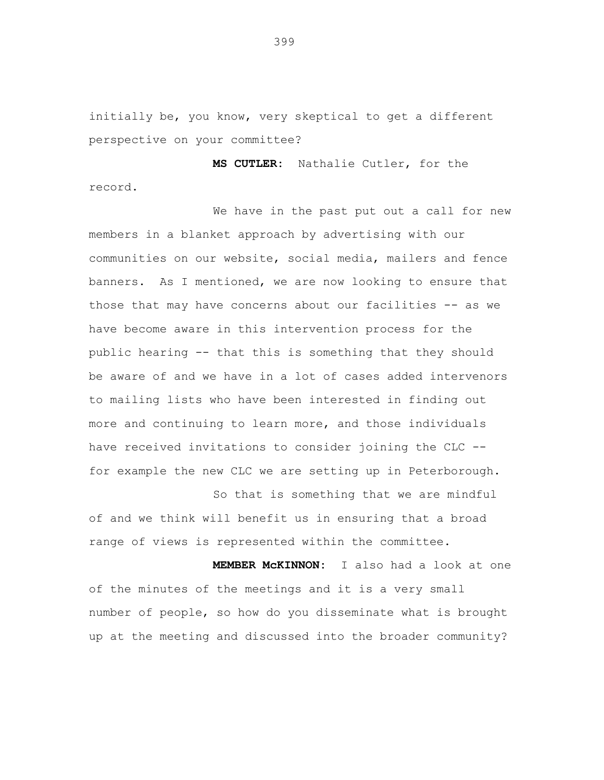initially be, you know, very skeptical to get a different perspective on your committee?

**MS CUTLER:** Nathalie Cutler, for the record.

We have in the past put out a call for new members in a blanket approach by advertising with our communities on our website, social media, mailers and fence banners. As I mentioned, we are now looking to ensure that those that may have concerns about our facilities -- as we have become aware in this intervention process for the public hearing -- that this is something that they should be aware of and we have in a lot of cases added intervenors to mailing lists who have been interested in finding out more and continuing to learn more, and those individuals have received invitations to consider joining the CLC - for example the new CLC we are setting up in Peterborough.

of and we think will benefit us in ensuring that a broad range of views is represented within the committee.

So that is something that we are mindful

**MEMBER McKINNON:** I also had a look at one of the minutes of the meetings and it is a very small number of people, so how do you disseminate what is brought up at the meeting and discussed into the broader community?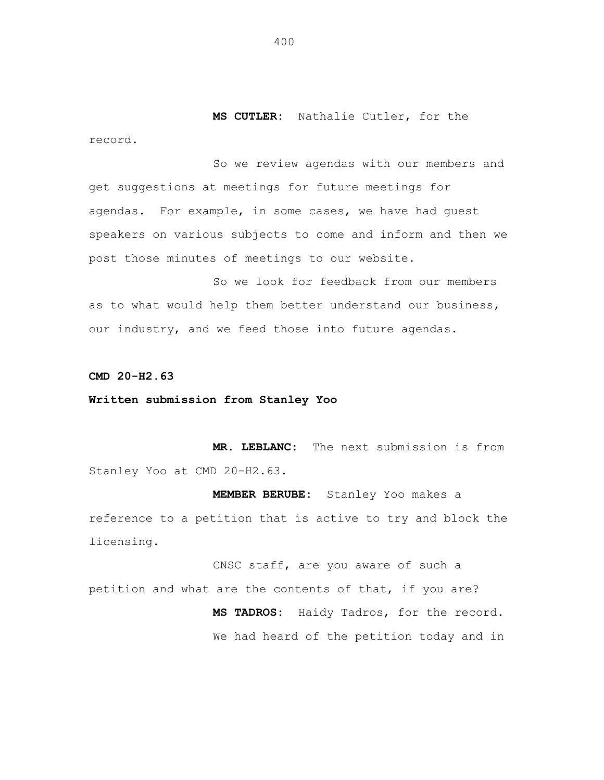**MS CUTLER:** Nathalie Cutler, for the record.

So we review agendas with our members and get suggestions at meetings for future meetings for agendas. For example, in some cases, we have had guest speakers on various subjects to come and inform and then we post those minutes of meetings to our website.

So we look for feedback from our members as to what would help them better understand our business, our industry, and we feed those into future agendas.

**CMD 20-H2.63**

**Written submission from Stanley Yoo**

**MR. LEBLANC:** The next submission is from Stanley Yoo at CMD 20-H2.63.

**MEMBER BERUBE:** Stanley Yoo makes a reference to a petition that is active to try and block the licensing.

CNSC staff, are you aware of such a petition and what are the contents of that, if you are? **MS TADROS:** Haidy Tadros, for the record. We had heard of the petition today and in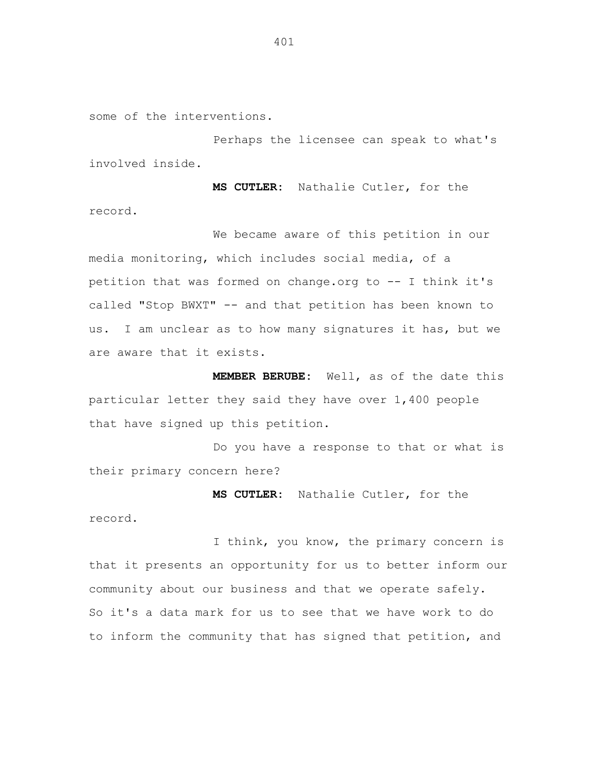some of the interventions.

Perhaps the licensee can speak to what's involved inside.

**MS CUTLER:** Nathalie Cutler, for the record.

We became aware of this petition in our media monitoring, which includes social media, of a petition that was formed on change.org to -- I think it's called "Stop BWXT" -- and that petition has been known to us. I am unclear as to how many signatures it has, but we are aware that it exists.

**MEMBER BERUBE:** Well, as of the date this particular letter they said they have over 1,400 people that have signed up this petition.

Do you have a response to that or what is their primary concern here?

**MS CUTLER:** Nathalie Cutler, for the

record.

I think, you know, the primary concern is that it presents an opportunity for us to better inform our community about our business and that we operate safely. So it's a data mark for us to see that we have work to do to inform the community that has signed that petition, and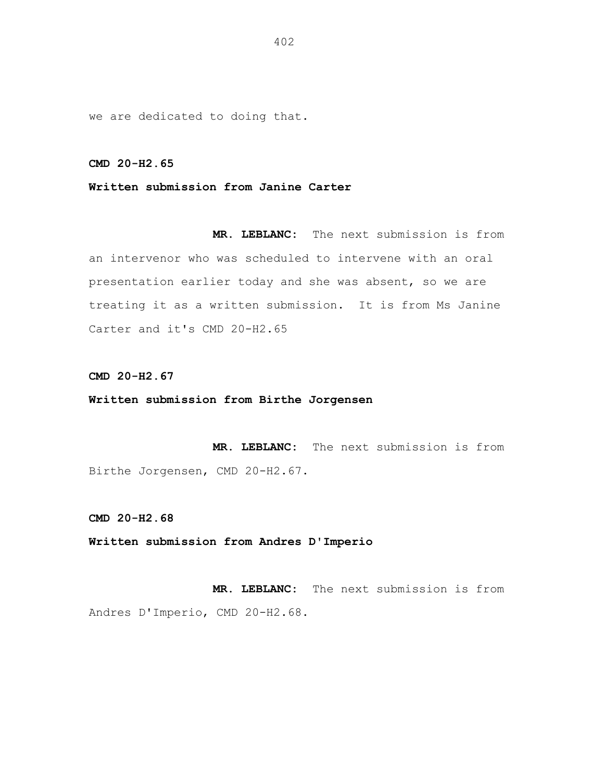we are dedicated to doing that.

**CMD 20-H2.65**

**Written submission from Janine Carter**

**MR. LEBLANC:** The next submission is from an intervenor who was scheduled to intervene with an oral presentation earlier today and she was absent, so we are treating it as a written submission. It is from Ms Janine Carter and it's CMD 20-H2.65

**CMD 20-H2.67**

**Written submission from Birthe Jorgensen**

**MR. LEBLANC:** The next submission is from Birthe Jorgensen, CMD 20-H2.67.

**CMD 20-H2.68**

**Written submission from Andres D'Imperio**

**MR. LEBLANC:** The next submission is from Andres D'Imperio, CMD 20-H2.68.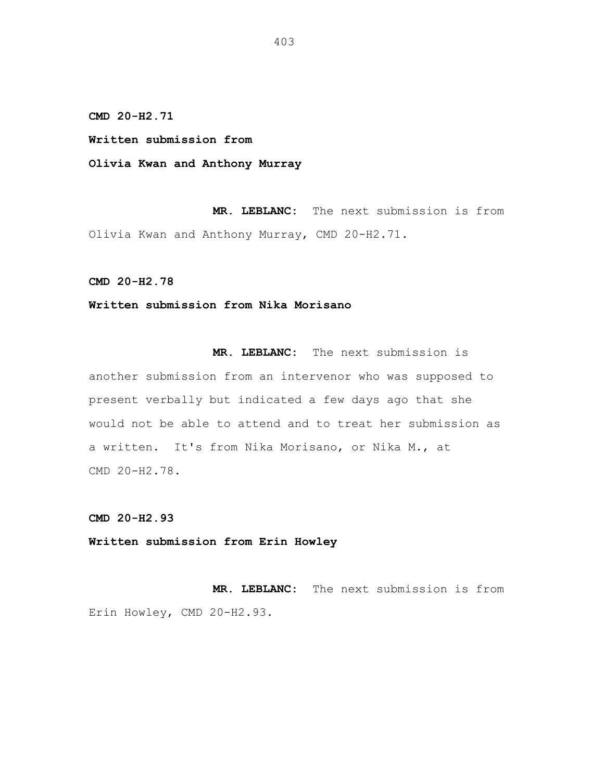**Written submission from**

**Olivia Kwan and Anthony Murray**

**MR. LEBLANC:** The next submission is from Olivia Kwan and Anthony Murray, CMD 20-H2.71.

**CMD 20-H2.78**

## **Written submission from Nika Morisano**

**MR. LEBLANC:** The next submission is another submission from an intervenor who was supposed to present verbally but indicated a few days ago that she would not be able to attend and to treat her submission as a written. It's from Nika Morisano, or Nika M., at CMD 20-H2.78.

**CMD 20-H2.93**

**Written submission from Erin Howley**

**MR. LEBLANC:** The next submission is from Erin Howley, CMD 20-H2.93.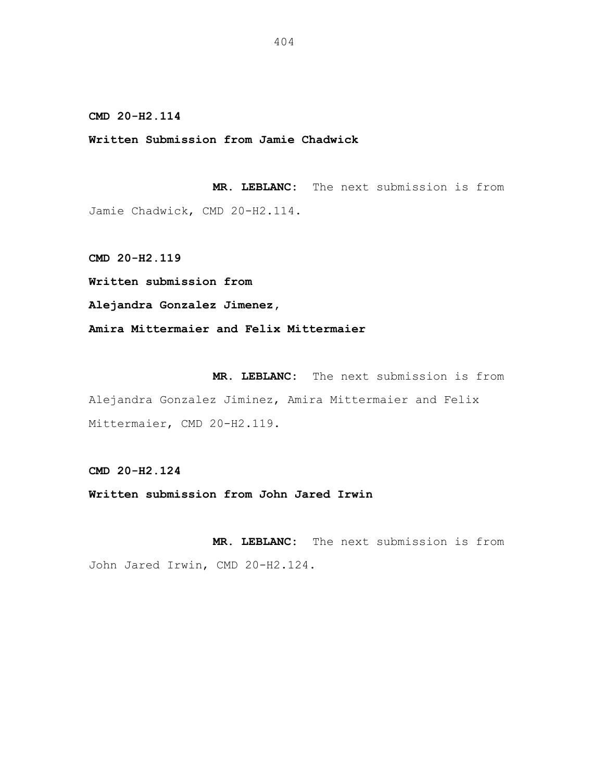**Written Submission from Jamie Chadwick**

**MR. LEBLANC:** The next submission is from Jamie Chadwick, CMD 20-H2.114.

**CMD 20-H2.119**

**Written submission from**

**Alejandra Gonzalez Jimenez,**

**Amira Mittermaier and Felix Mittermaier**

**MR. LEBLANC:** The next submission is from Alejandra Gonzalez Jiminez, Amira Mittermaier and Felix Mittermaier, CMD 20-H2.119.

**CMD 20-H2.124**

**Written submission from John Jared Irwin**

**MR. LEBLANC:** The next submission is from John Jared Irwin, CMD 20-H2.124.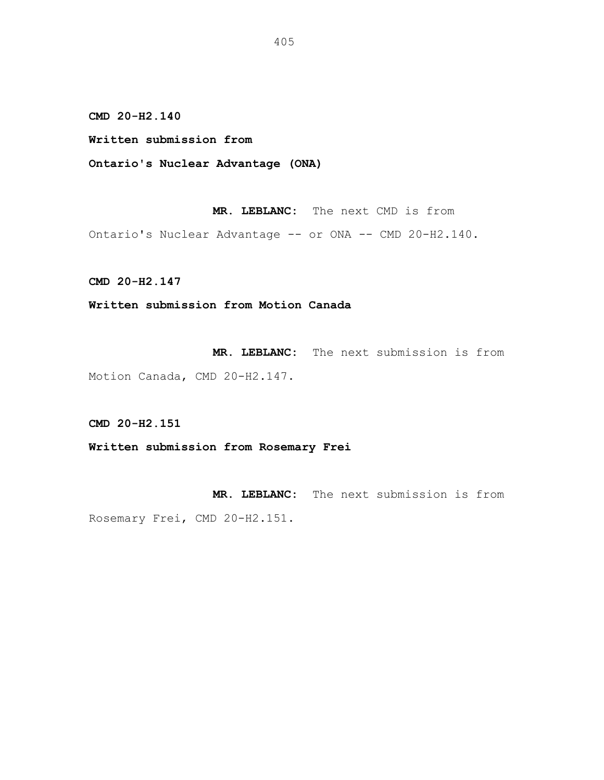**Written submission from**

**Ontario's Nuclear Advantage (ONA)**

**MR. LEBLANC:** The next CMD is from

Ontario's Nuclear Advantage -- or ONA -- CMD 20-H2.140.

**CMD 20-H2.147**

**Written submission from Motion Canada**

**MR. LEBLANC:** The next submission is from

Motion Canada, CMD 20-H2.147.

**CMD 20-H2.151**

**Written submission from Rosemary Frei**

**MR. LEBLANC:** The next submission is from Rosemary Frei, CMD 20-H2.151.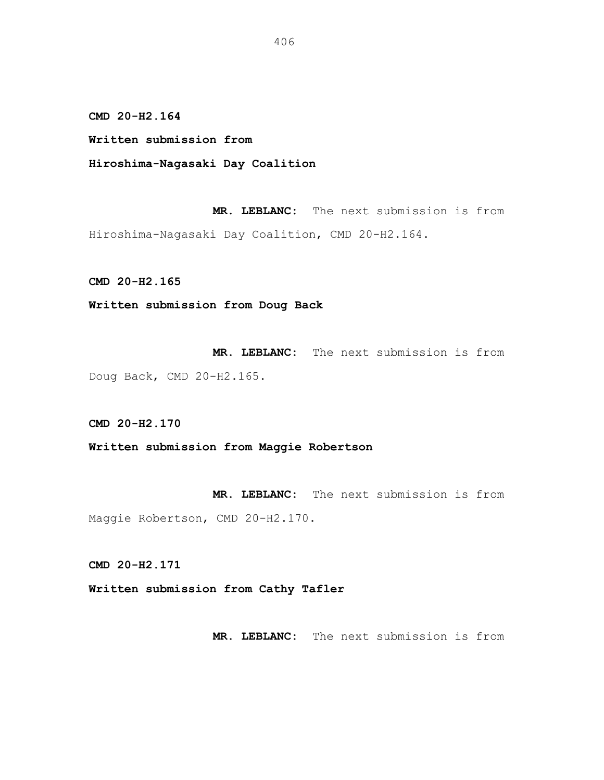**Written submission from**

**Hiroshima-Nagasaki Day Coalition**

**MR. LEBLANC:** The next submission is from Hiroshima-Nagasaki Day Coalition, CMD 20-H2.164.

**CMD 20-H2.165**

**Written submission from Doug Back**

**MR. LEBLANC:** The next submission is from Doug Back, CMD 20-H2.165.

**CMD 20-H2.170**

**Written submission from Maggie Robertson**

**MR. LEBLANC:** The next submission is from Maggie Robertson, CMD 20-H2.170.

**CMD 20-H2.171**

**Written submission from Cathy Tafler**

**MR. LEBLANC:** The next submission is from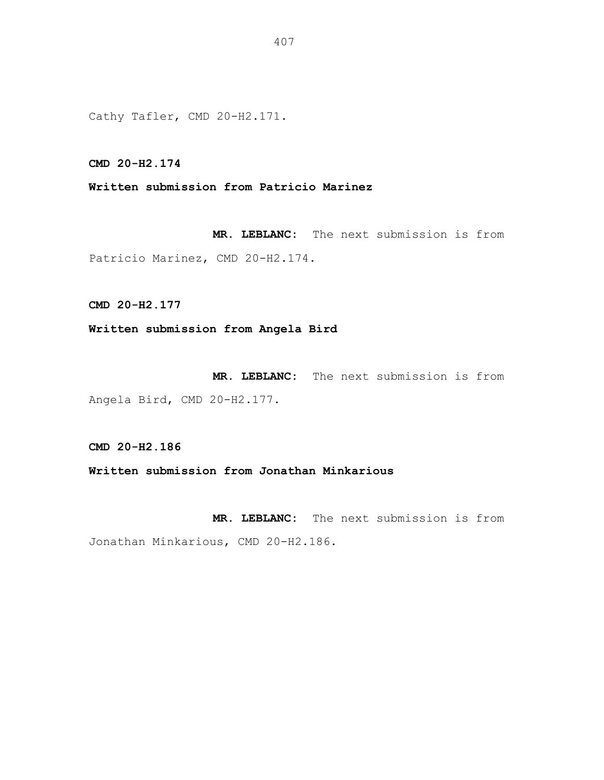Cathy Tafler, CMD 20-H2.171.

**CMD 20-H2.174**

**Written submission from Patricio Marinez**

**MR. LEBLANC:** The next submission is from Patricio Marinez, CMD 20-H2.174.

**CMD 20-H2.177**

**Written submission from Angela Bird**

**MR. LEBLANC:** The next submission is from Angela Bird, CMD 20-H2.177.

**CMD 20-H2.186**

**Written submission from Jonathan Minkarious**

**MR. LEBLANC:** The next submission is from Jonathan Minkarious, CMD 20-H2.186.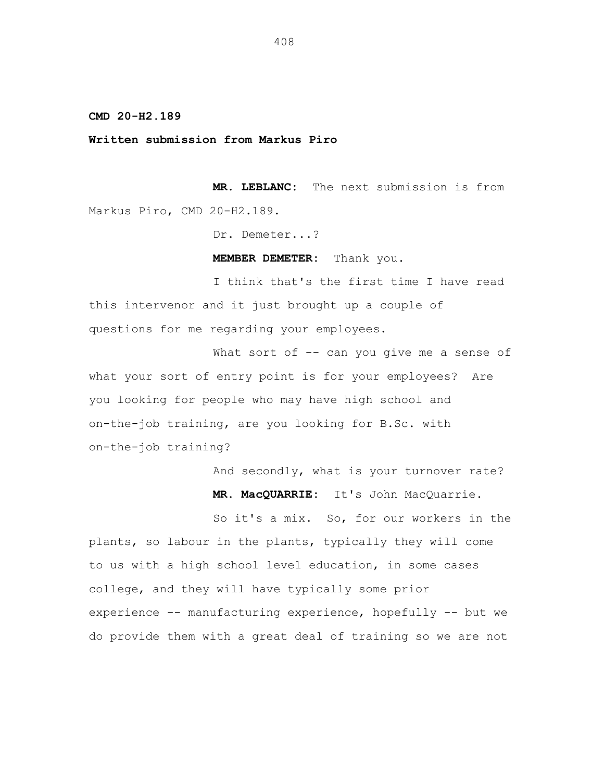**Written submission from Markus Piro**

**MR. LEBLANC:** The next submission is from Markus Piro, CMD 20-H2.189.

Dr. Demeter...?

**MEMBER DEMETER:** Thank you.

I think that's the first time I have read this intervenor and it just brought up a couple of questions for me regarding your employees.

What sort of -- can you give me a sense of what your sort of entry point is for your employees? Are you looking for people who may have high school and on-the-job training, are you looking for B.Sc. with on-the-job training?

> And secondly, what is your turnover rate? **MR. MacQUARRIE:** It's John MacQuarrie.

So it's a mix. So, for our workers in the plants, so labour in the plants, typically they will come to us with a high school level education, in some cases college, and they will have typically some prior experience -- manufacturing experience, hopefully -- but we do provide them with a great deal of training so we are not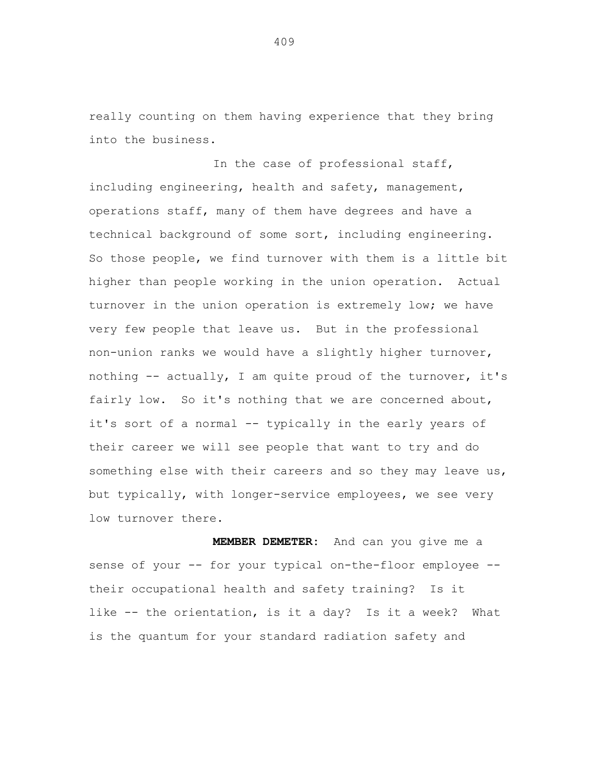really counting on them having experience that they bring into the business.

In the case of professional staff, including engineering, health and safety, management, operations staff, many of them have degrees and have a technical background of some sort, including engineering. So those people, we find turnover with them is a little bit higher than people working in the union operation. Actual turnover in the union operation is extremely low; we have very few people that leave us. But in the professional non-union ranks we would have a slightly higher turnover, nothing  $--$  actually, I am quite proud of the turnover, it's fairly low. So it's nothing that we are concerned about, it's sort of a normal -- typically in the early years of their career we will see people that want to try and do something else with their careers and so they may leave us, but typically, with longer-service employees, we see very low turnover there.

**MEMBER DEMETER:** And can you give me a sense of your -- for your typical on-the-floor employee -their occupational health and safety training? Is it like -- the orientation, is it a day? Is it a week? What is the quantum for your standard radiation safety and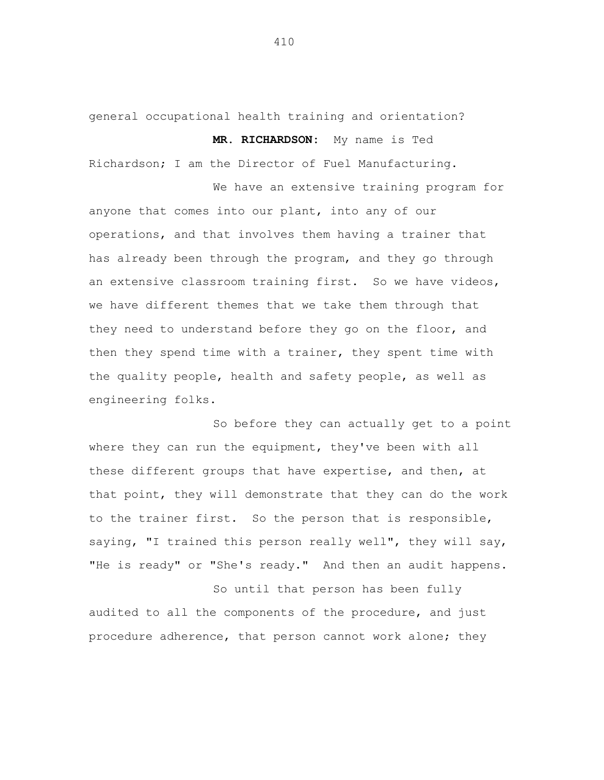general occupational health training and orientation?

**MR. RICHARDSON:** My name is Ted

Richardson; I am the Director of Fuel Manufacturing.

We have an extensive training program for anyone that comes into our plant, into any of our operations, and that involves them having a trainer that has already been through the program, and they go through an extensive classroom training first. So we have videos, we have different themes that we take them through that they need to understand before they go on the floor, and then they spend time with a trainer, they spent time with the quality people, health and safety people, as well as engineering folks.

So before they can actually get to a point where they can run the equipment, they've been with all these different groups that have expertise, and then, at that point, they will demonstrate that they can do the work to the trainer first. So the person that is responsible, saying, "I trained this person really well", they will say, "He is ready" or "She's ready." And then an audit happens.

So until that person has been fully audited to all the components of the procedure, and just procedure adherence, that person cannot work alone; they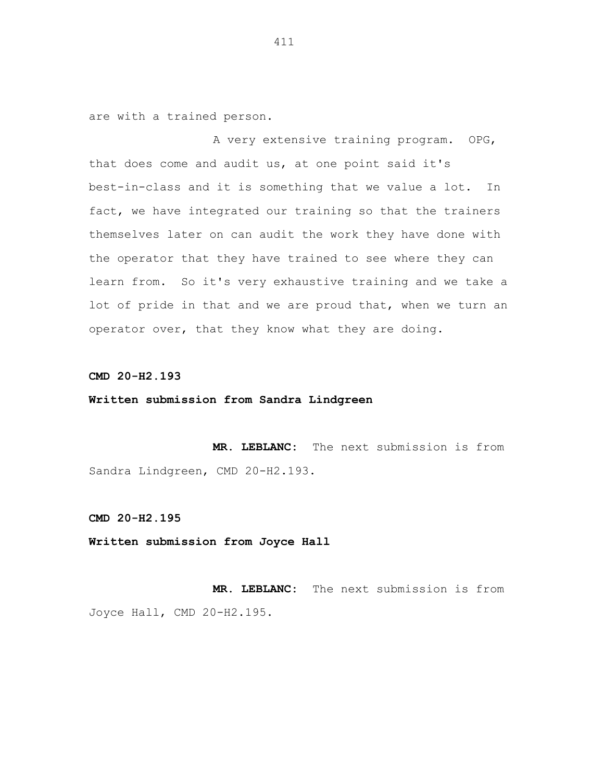are with a trained person.

A very extensive training program. OPG, that does come and audit us, at one point said it's best-in-class and it is something that we value a lot. In fact, we have integrated our training so that the trainers themselves later on can audit the work they have done with the operator that they have trained to see where they can learn from. So it's very exhaustive training and we take a lot of pride in that and we are proud that, when we turn an operator over, that they know what they are doing.

**CMD 20-H2.193**

**Written submission from Sandra Lindgreen**

**MR. LEBLANC:** The next submission is from Sandra Lindgreen, CMD 20-H2.193.

**CMD 20-H2.195**

**Written submission from Joyce Hall**

**MR. LEBLANC:** The next submission is from Joyce Hall, CMD 20-H2.195.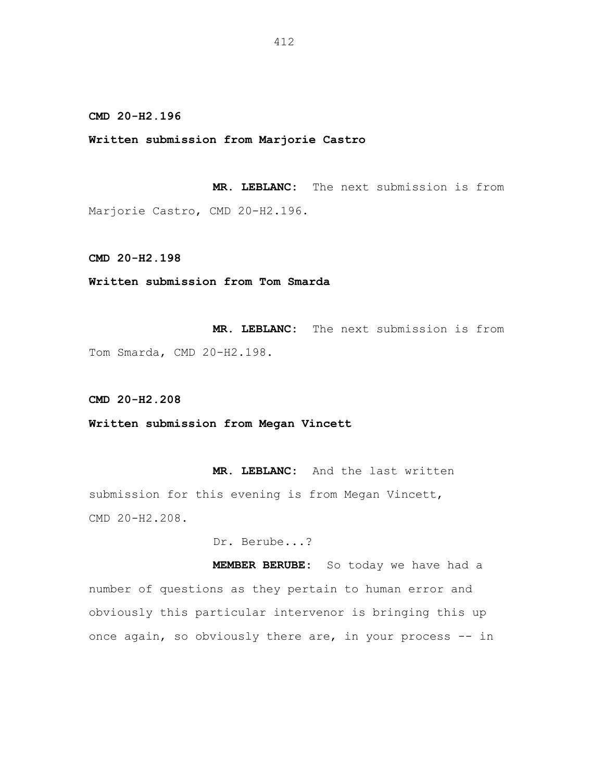**Written submission from Marjorie Castro**

**MR. LEBLANC:** The next submission is from Marjorie Castro, CMD 20-H2.196.

**CMD 20-H2.198**

**Written submission from Tom Smarda**

**MR. LEBLANC:** The next submission is from Tom Smarda, CMD 20-H2.198.

**CMD 20-H2.208**

**Written submission from Megan Vincett**

**MR. LEBLANC:** And the last written submission for this evening is from Megan Vincett, CMD 20-H2.208.

Dr. Berube...?

**MEMBER BERUBE:** So today we have had a number of questions as they pertain to human error and obviously this particular intervenor is bringing this up once again, so obviously there are, in your process -- in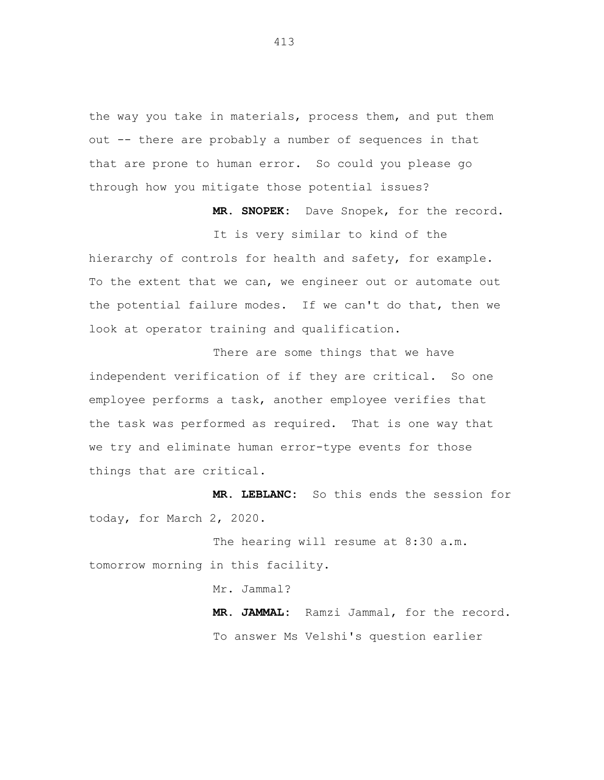the way you take in materials, process them, and put them out -- there are probably a number of sequences in that that are prone to human error. So could you please go through how you mitigate those potential issues?

**MR. SNOPEK:** Dave Snopek, for the record.

It is very similar to kind of the

hierarchy of controls for health and safety, for example. To the extent that we can, we engineer out or automate out the potential failure modes. If we can't do that, then we look at operator training and qualification.

There are some things that we have independent verification of if they are critical. So one employee performs a task, another employee verifies that the task was performed as required. That is one way that we try and eliminate human error-type events for those things that are critical.

**MR. LEBLANC:** So this ends the session for today, for March 2, 2020.

The hearing will resume at 8:30 a.m. tomorrow morning in this facility.

Mr. Jammal?

**MR. JAMMAL:** Ramzi Jammal, for the record. To answer Ms Velshi's question earlier